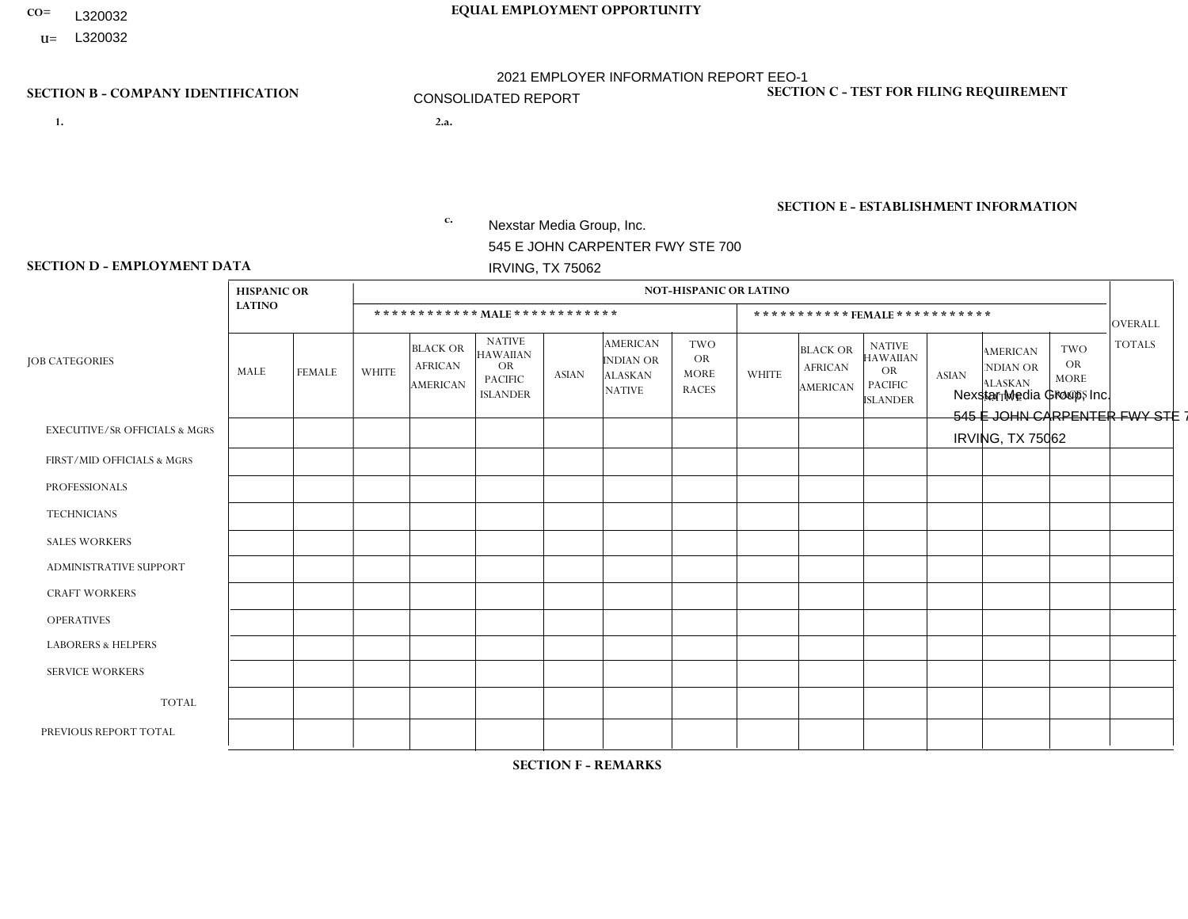- L320032
- **U=**

# **CO= EQUAL EMPLOYMENT OPPORTUNITY** 2021 EMPLOYER INFORMATION REPORT EEO-1 CONSOLIDATED REPORT

- **1. 2.a.** Nexstar Media Group, Inc. 545 E JOHN CARPENTER FWY STE 700 IRVING, TX 75062
- 2.a. Nexstar Media Group, Inc. 545 E JOHN CARPENTER FWY STE 700 IRVING, TX 75062

EIN= 233063152

### **SECTION B - COMPANY IDENTIFICATION SECTION C - TEST FOR FILING REQUIREMENT**

1- Y 2- N 3- Y DUNS= 058168001

# **SECTION E - ESTABLISHMENT INFORMATION c.** NAICS: 515120 - Television Broadcasting

### **SECTION D - EMPLOYMENT DATA**

|                                          | <b>HISPANIC OR</b> |               |                |                                                      |                                                                                    |                 |                                                                 | <b>NOT-HISPANIC OR LATINO</b>                          |              |                                                      |                                                                                    |              |                                                                       |                                                        |                |
|------------------------------------------|--------------------|---------------|----------------|------------------------------------------------------|------------------------------------------------------------------------------------|-----------------|-----------------------------------------------------------------|--------------------------------------------------------|--------------|------------------------------------------------------|------------------------------------------------------------------------------------|--------------|-----------------------------------------------------------------------|--------------------------------------------------------|----------------|
|                                          | <b>LATINO</b>      |               |                |                                                      | ************ MALE ************                                                     |                 |                                                                 |                                                        |              |                                                      | ***********FEMALE***********                                                       |              |                                                                       |                                                        | <b>OVERALL</b> |
| <b>JOB CATEGORIES</b>                    | MALE               | <b>FEMALE</b> | <b>WHITE</b>   | <b>BLACK OR</b><br><b>AFRICAN</b><br><b>AMERICAN</b> | <b>NATIVE</b><br><b>HAWAIIAN</b><br><b>OR</b><br><b>PACIFIC</b><br><b>ISLANDER</b> | <b>ASIAN</b>    | <b>AMERICAN</b><br>INDIAN OR<br><b>ALASKAN</b><br><b>NATIVE</b> | <b>TWO</b><br><b>OR</b><br><b>MORE</b><br><b>RACES</b> | <b>WHITE</b> | <b>BLACK OR</b><br><b>AFRICAN</b><br><b>AMERICAN</b> | <b>NATIVE</b><br><b>HAWAIIAN</b><br><b>OR</b><br><b>PACIFIC</b><br><b>ISLANDER</b> | <b>ASIAN</b> | <b>AMERICAN</b><br><b>NDIAN OR</b><br><b>ALASKAN</b><br><b>NATIVE</b> | <b>TWO</b><br><b>OR</b><br><b>MORE</b><br><b>RACES</b> | <b>TOTALS</b>  |
| <b>EXECUTIVE/SR OFFICIALS &amp; MGRS</b> | $\Omega$           | 3             | 52             | $\mathbf 0$                                          | $\mathbf{1}$                                                                       | $\mathbf{1}$    | $\mathbf{0}$                                                    | $\Omega$                                               | 16           | $\Omega$                                             | $\mathbf{0}$                                                                       | $\Omega$     | $\mathbf{0}$                                                          | $\Omega$                                               | 73             |
| FIRST/MID OFFICIALS & MGRS               | 46                 | 40            | 627            | 26                                                   | 3                                                                                  | 29              | $\overline{4}$                                                  | 11                                                     | 337          | 33                                                   | 2                                                                                  | 25           | 2                                                                     | 4                                                      | 1189           |
| <b>PROFESSIONALS</b>                     | 151                | 168           | 1566           | 201                                                  | 8                                                                                  | 65              | $\overline{4}$                                                  | 30                                                     | 1015         | 213                                                  | 3                                                                                  | 75           | 6                                                                     | 36                                                     | 3541           |
| <b>TECHNICIANS</b>                       | 366                | 220           | 2611           | 386                                                  | 9                                                                                  | 118             | 16                                                              | 47                                                     | 1144         | 233                                                  | 4                                                                                  | 77           | $\overline{7}$                                                        | 43                                                     | 5281           |
| <b>SALES WORKERS</b>                     | 22                 | 37            | 338            | 21                                                   | $\mathbf 0$                                                                        | 10 <sup>1</sup> | $\overline{1}$                                                  | $\overline{4}$                                         | 445          | 31                                                   | $\overline{2}$                                                                     | 16           | 2                                                                     | 8                                                      | 937            |
| <b>ADMINISTRATIVE SUPPORT</b>            | 42                 | 112           | 401            | 46                                                   | $\mathbf{1}$                                                                       | 9               | 3                                                               | 12                                                     | 550          | 132                                                  | 3                                                                                  | 35           | $\mathbf{1}$                                                          | 17                                                     | 1364           |
| <b>CRAFT WORKERS</b>                     | 0                  | $\mathbf 0$   | $\mathbf 0$    | $\mathbf 0$                                          | $\mathbf 0$                                                                        | $\Omega$        | $\Omega$                                                        | $\Omega$                                               | $\Omega$     | $\Omega$                                             | $\Omega$                                                                           | $\mathbf{0}$ | $\Omega$                                                              | $\Omega$                                               | $\mathbf{0}$   |
| <b>OPERATIVES</b>                        | 0                  | $\Omega$      | $\overline{4}$ | $\mathbf{1}$                                         | $\Omega$                                                                           | $\Omega$        | $\Omega$                                                        | $\Omega$                                               | 1            | $\Omega$                                             | $\Omega$                                                                           | 1            | $\Omega$                                                              | $\Omega$                                               | $\overline{7}$ |
| <b>LABORERS &amp; HELPERS</b>            | 0                  | $\Omega$      | 0              | $\mathbf 0$                                          | 0                                                                                  | $\mathbf 0$     | $\Omega$                                                        | $\Omega$                                               | $\Omega$     | $\Omega$                                             | $\Omega$                                                                           | $\mathbf{0}$ | $\Omega$                                                              | $\Omega$                                               | $\mathbf 0$    |
| <b>SERVICE WORKERS</b>                   | 0                  | 3             | $\overline{4}$ | $\overline{2}$                                       | $\mathbf 0$                                                                        | $\Omega$        | $\Omega$                                                        | $\Omega$                                               | $\Omega$     | $\Omega$                                             | $\mathbf{0}$                                                                       | $\Omega$     | $\mathbf{0}$                                                          | $\Omega$                                               | 9              |
| <b>TOTAL</b>                             | 627                | 583           | 5603           | 683                                                  | 22                                                                                 | 232             | 28                                                              | 104                                                    | 3508         | 642                                                  | 14                                                                                 | 229          | 18                                                                    | 108                                                    | 12401          |
| PREVIOUS REPORT TOTAL                    |                    |               |                |                                                      |                                                                                    |                 |                                                                 |                                                        |              |                                                      |                                                                                    |              |                                                                       |                                                        |                |

**SECTION F - REMARKS**

DATES OF PAYROLL PERIOD: 12/1/2021 THRU 12/31/2021 **SECTION G - CERTIFICATION CERTIFIED DATE [EST]: 5/20/2022 12:59 PM**

CERTIFYING OFFICIAL: Brad Burkhalter EMAIL: bburkhalter@nexstar.tv EEO1 REPORT CONTACT PERSON: Brad Burkhalter EMAIL: bburkhalter@nexstar.tv

TITLE: Sr. CORPORATE HR MANAGER PHONE: 972-373-8800 TITLE: Sr. CORPORATE HR MANAGER PHONE: 972-373-8800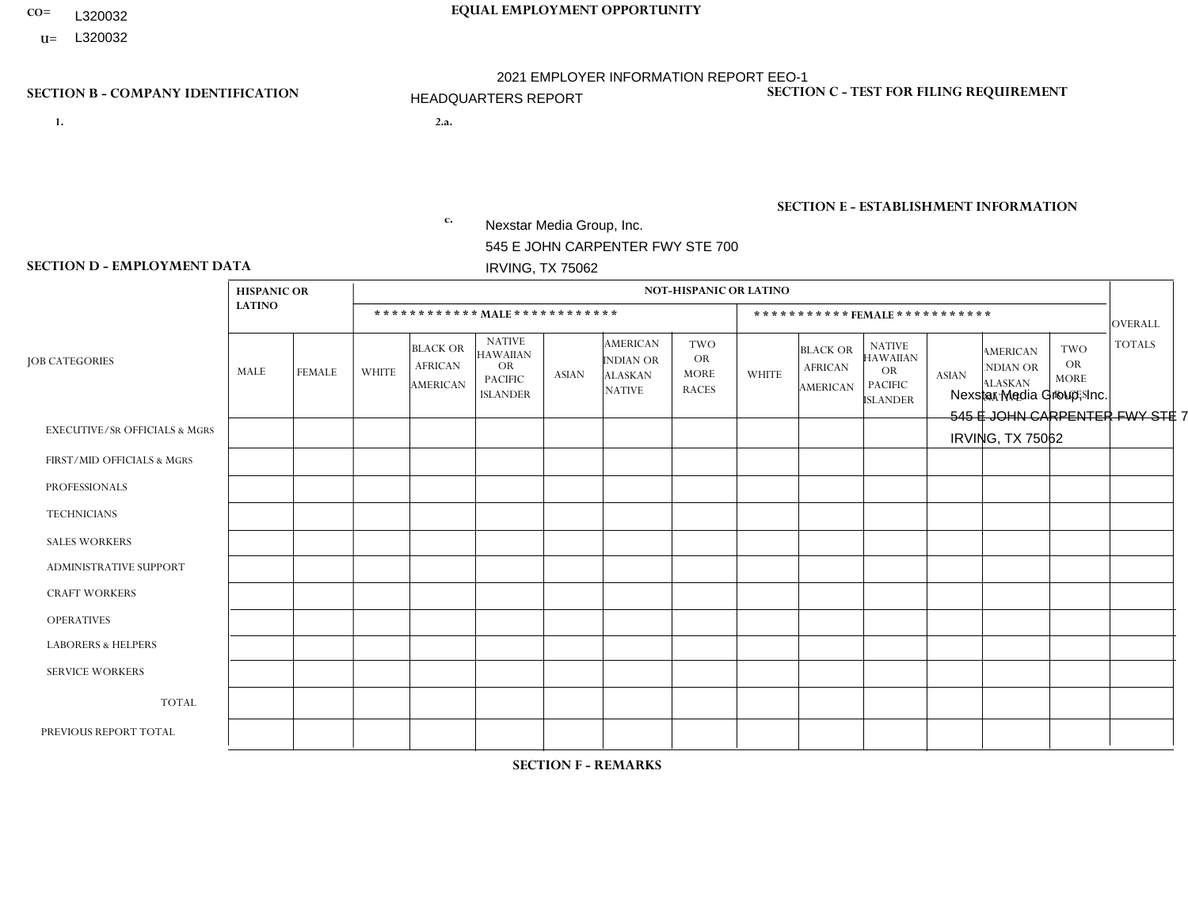- L320032
- **U=**

# **CO= EQUAL EMPLOYMENT OPPORTUNITY** 2021 EMPLOYER INFORMATION REPORT EEO-1 HEADQUARTERS REPORT

- **1. 2.a.** Nexstar Media Group, Inc. 545 E JOHN CARPENTER FWY STE 700 IRVING, TX 75062
- 2.a. Nexstar Media Group, Inc. 545 E JOHN CARPENTER FWY STE 700 IRVING, TX 75062

EIN= 233063152

# **SECTION B - COMPANY IDENTIFICATION SECTION C - TEST FOR FILING REQUIREMENT**

1- Y 2- N 3- Y DUNS= 058168001

# **SECTION E - ESTABLISHMENT INFORMATION c.** NAICS: 515120 - Television Broadcasting

### **SECTION D - EMPLOYMENT DATA**

|                                          | <b>HISPANIC OR</b> |               |              |                                                      |                                                                                    |              |                                                                        | <b>NOT-HISPANIC OR LATINO</b>                          |                |                                                      |                                                                                    |              |                                                                       |                                                  |               |
|------------------------------------------|--------------------|---------------|--------------|------------------------------------------------------|------------------------------------------------------------------------------------|--------------|------------------------------------------------------------------------|--------------------------------------------------------|----------------|------------------------------------------------------|------------------------------------------------------------------------------------|--------------|-----------------------------------------------------------------------|--------------------------------------------------|---------------|
|                                          | <b>LATINO</b>      |               |              |                                                      | ************ MALE ************                                                     |              |                                                                        |                                                        |                | *********** FEMALE ***********                       |                                                                                    |              |                                                                       |                                                  | OVERALL       |
| <b>JOB CATEGORIES</b>                    | MALE               | <b>FEMALE</b> | <b>WHITE</b> | <b>BLACK OR</b><br><b>AFRICAN</b><br><b>AMERICAN</b> | <b>NATIVE</b><br><b>HAWAIIAN</b><br><b>OR</b><br><b>PACIFIC</b><br><b>ISLANDER</b> | <b>ASIAN</b> | <b>AMERICAN</b><br><b>INDIAN OR</b><br><b>ALASKAN</b><br><b>NATIVE</b> | <b>TWO</b><br><b>OR</b><br><b>MORE</b><br><b>RACES</b> | <b>WHITE</b>   | <b>BLACK OR</b><br><b>AFRICAN</b><br><b>AMERICAN</b> | <b>NATIVE</b><br><b>HAWAIIAN</b><br><b>OR</b><br><b>PACIFIC</b><br><b>ISLANDER</b> | <b>ASIAN</b> | <b>AMERICAN</b><br><b>NDIAN OR</b><br><b>ALASKAN</b><br><b>NATIVE</b> | <b>TWO</b><br>OR.<br><b>MORE</b><br><b>RACES</b> | <b>TOTALS</b> |
| <b>EXECUTIVE/SR OFFICIALS &amp; MGRS</b> | $\Omega$           | $\mathbf 0$   | 14           | $\mathbf 0$                                          | $\mathbf 0$                                                                        | 0            | $\Omega$                                                               | $\Omega$                                               | $\overline{7}$ | $\mathbf{0}$                                         | $\Omega$                                                                           | $\Omega$     | $\Omega$                                                              | $\Omega$                                         | 21            |
| FIRST/MID OFFICIALS & MGRS               | $\mathbf{1}$       | 5             | 43           | $\overline{2}$                                       | 1                                                                                  | 6            | $\Omega$                                                               | $\overline{1}$                                         | 21             | 6                                                    | 0                                                                                  |              | $\overline{ }$                                                        | $\Omega$                                         | 88            |
| <b>PROFESSIONALS</b>                     | 4                  | 5             | 38           | $\overline{7}$                                       | $\mathbf 0$                                                                        | 5            | $\mathbf 0$                                                            | $\mathbf 0$                                            | 26             | 6                                                    | $\Omega$                                                                           | 11           | $\Omega$                                                              | $\overline{1}$                                   | 103           |
| <b>TECHNICIANS</b>                       | $\mathbf 0$        | $\mathbf 0$   | 6            | 3                                                    | $\mathbf 0$                                                                        | 2            | $\Omega$                                                               | $\Omega$                                               | 2              | 1                                                    | $\Omega$                                                                           | $\Omega$     | $\Omega$                                                              | $\Omega$                                         | 14            |
| <b>SALES WORKERS</b>                     | $\mathbf 0$        | $\mathbf 0$   | $\mathbf 0$  | $\mathbf 0$                                          | $\mathbf 0$                                                                        | 0            | $\Omega$                                                               | $\Omega$                                               | $\Omega$       | $\Omega$                                             | $\Omega$                                                                           | $\Omega$     | $\Omega$                                                              | $\mathbf 0$                                      | $\mathbf 0$   |
| <b>ADMINISTRATIVE SUPPORT</b>            | $\overline{2}$     | 14            | 13           | $5\phantom{.0}$                                      | $\mathbf 0$                                                                        | 1            | 1                                                                      | $\Omega$                                               | 11             | 13                                                   | $\Omega$                                                                           |              | $\Omega$                                                              | 3                                                | 64            |
| <b>CRAFT WORKERS</b>                     | $\Omega$           | $\Omega$      | $\mathbf{0}$ | $\mathbf 0$                                          | $\mathbf 0$                                                                        | $\Omega$     | $\Omega$                                                               | $\Omega$                                               | $\Omega$       | $\Omega$                                             | $\Omega$                                                                           | $\Omega$     | $\Omega$                                                              | $\Omega$                                         | $\Omega$      |
| <b>OPERATIVES</b>                        | $\Omega$           | $\Omega$      | $\Omega$     | $\mathbf 0$                                          | $\Omega$                                                                           | $\Omega$     | $\Omega$                                                               | $\Omega$                                               | $\Omega$       | $\Omega$                                             | $\Omega$                                                                           | $\Omega$     | $\Omega$                                                              | $\Omega$                                         | $\mathbf 0$   |
| <b>LABORERS &amp; HELPERS</b>            | $\Omega$           | $\Omega$      | $\mathbf 0$  | $\mathbf 0$                                          | 0                                                                                  | 0            | $\Omega$                                                               | $\Omega$                                               | $\Omega$       | $\Omega$                                             | $\Omega$                                                                           | $\Omega$     | $\Omega$                                                              | $\Omega$                                         | $\mathbf 0$   |
| <b>SERVICE WORKERS</b>                   | $\mathbf 0$        | $\mathbf 0$   | 0            | $\mathbf 0$                                          | 0                                                                                  | 0            | $\Omega$                                                               | $\Omega$                                               | $\Omega$       | $\Omega$                                             | $\Omega$                                                                           | $\Omega$     | $\Omega$                                                              | $\Omega$                                         | $\Omega$      |
| <b>TOTAL</b>                             | $\overline{7}$     | 24            | 114          | 17                                                   | $\mathbf 1$                                                                        | 14           | $\mathbf{1}$                                                           | $\mathbf{1}$                                           | 67             | 26                                                   | $\mathbf 0$                                                                        | 13           | 1                                                                     | $\overline{4}$                                   | 290           |
| PREVIOUS REPORT TOTAL                    |                    |               |              |                                                      |                                                                                    |              |                                                                        |                                                        |                |                                                      |                                                                                    |              |                                                                       |                                                  |               |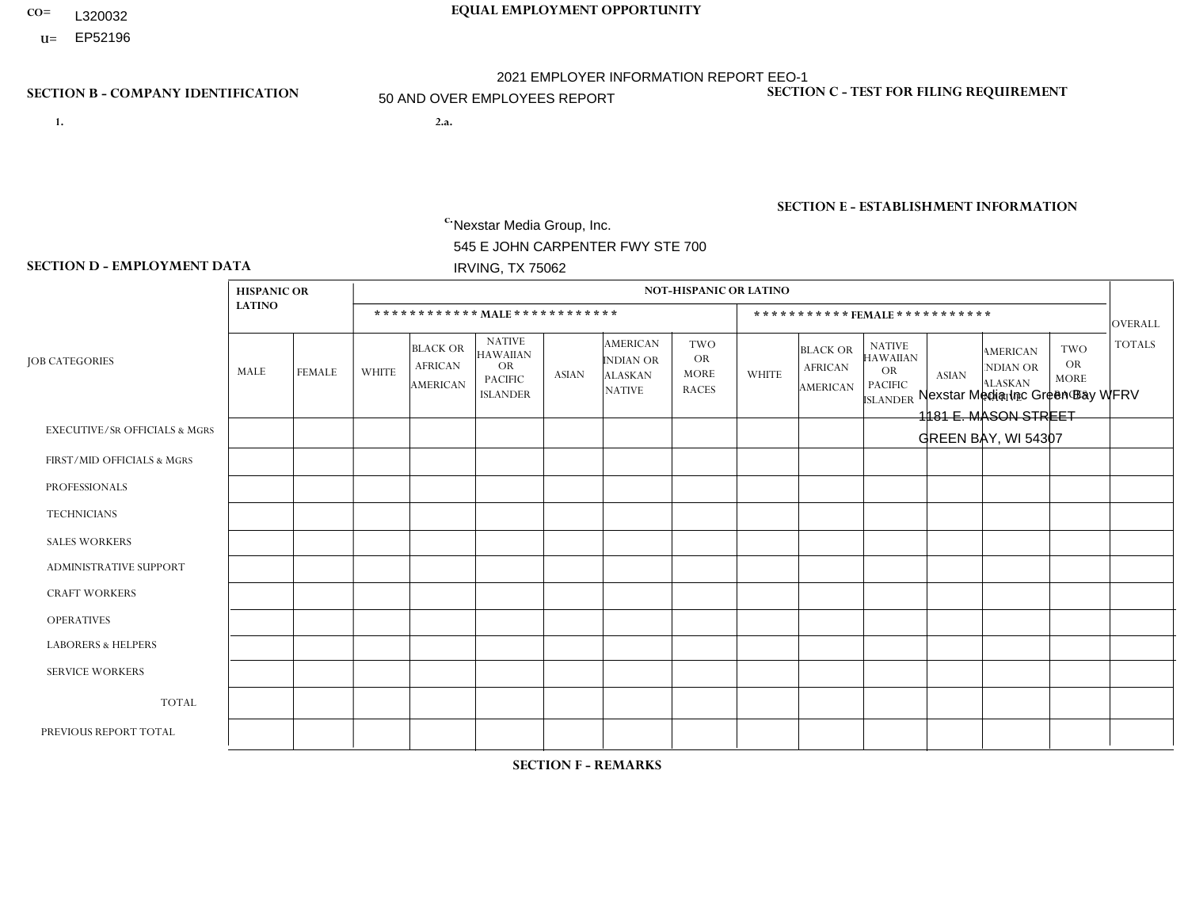- **CO= EQUAL EMPLOYMENT OPPORTUNITY** L320032
- **U=** EP52196

- **1. 2.a.** Nexstar Media Group, Inc. 545 E JOHN CARPENTER FWY STE 700 IRVING, TX 75062
- 2.a. Nexstar Media Inc Green Bay WFRV 1181 E. MASON STREET GREEN BAY, WI 54307

EIN= 233063152

# **SECTION B - COMPANY IDENTIFICATION SECTION C - TEST FOR FILING REQUIREMENT**

1- Y 2- N 3- Y DUNS= 058168001

**SECTION E - ESTABLISHMENT INFORMATION c.** NAICS: 515120 - Television Broadcasting

### **SECTION D - EMPLOYMENT DATA**

|                                          | <b>HISPANIC OR</b> |               |              |                                                      |                                                                                    |                |                                                                 | <b>NOT-HISPANIC OR LATINO</b>                          |                |                                                      |                                                                                    |              |                                                                       |                                                        |                |
|------------------------------------------|--------------------|---------------|--------------|------------------------------------------------------|------------------------------------------------------------------------------------|----------------|-----------------------------------------------------------------|--------------------------------------------------------|----------------|------------------------------------------------------|------------------------------------------------------------------------------------|--------------|-----------------------------------------------------------------------|--------------------------------------------------------|----------------|
|                                          | <b>LATINO</b>      |               |              |                                                      | ************ MALE ************                                                     |                |                                                                 |                                                        |                |                                                      | ***********FEMALE***********                                                       |              |                                                                       |                                                        | OVERALL        |
| <b>JOB CATEGORIES</b>                    | MALE               | <b>FEMALE</b> | <b>WHITE</b> | <b>BLACK OR</b><br><b>AFRICAN</b><br><b>AMERICAN</b> | <b>NATIVE</b><br><b>HAWAIIAN</b><br><b>OR</b><br><b>PACIFIC</b><br><b>ISLANDER</b> | <b>ASIAN</b>   | <b>AMERICAN</b><br>INDIAN OR<br><b>ALASKAN</b><br><b>NATIVE</b> | <b>TWO</b><br><b>OR</b><br><b>MORE</b><br><b>RACES</b> | <b>WHITE</b>   | <b>BLACK OR</b><br><b>AFRICAN</b><br><b>AMERICAN</b> | <b>NATIVE</b><br><b>HAWAIIAN</b><br><b>OR</b><br><b>PACIFIC</b><br><b>ISLANDER</b> | <b>ASIAN</b> | <b>AMERICAN</b><br><b>NDIAN OR</b><br><b>ALASKAN</b><br><b>NATIVE</b> | <b>TWO</b><br><b>OR</b><br><b>MORE</b><br><b>RACES</b> | <b>TOTALS</b>  |
| <b>EXECUTIVE/SR OFFICIALS &amp; MGRS</b> | $\Omega$           | $\Omega$      | $\mathbf 0$  | $\mathbf 0$                                          | $\mathbf 0$                                                                        | $\Omega$       | $\Omega$                                                        | $\Omega$                                               | $\Omega$       | $\Omega$                                             | $\mathbf{0}$                                                                       | $\Omega$     | $\mathbf{0}$                                                          | $\Omega$                                               | $\mathbf{0}$   |
| FIRST/MID OFFICIALS & MGRS               | 0                  | $\mathbf 0$   | 6            | $\mathbf 0$                                          | $\mathbf 0$                                                                        | $\mathbf 0$    | $\Omega$                                                        | $\Omega$                                               |                | $\Omega$                                             | $\Omega$                                                                           | $\Omega$     | $\mathbf{0}$                                                          | 0                                                      | $\overline{7}$ |
| <b>PROFESSIONALS</b>                     | 0                  | $\mathbf{1}$  | 5            | $\mathbf 0$                                          | $\Omega$                                                                           | $\Omega$       | $\Omega$                                                        | $\Omega$                                               | 11             | $\Omega$                                             | $\Omega$                                                                           | $\Omega$     | $\Omega$                                                              | $\mathbf{0}$                                           | 17             |
| <b>TECHNICIANS</b>                       | $\overline{1}$     | $\mathbf 0$   | 33           | $\mathbf{1}$                                         | $\mathbf 0$                                                                        | $\overline{2}$ | $\Omega$                                                        | $\mathbf{1}$                                           | 10             | $\overline{2}$                                       | $\Omega$                                                                           | $\Omega$     | $\Omega$                                                              | $\Omega$                                               | 50             |
| <b>SALES WORKERS</b>                     | 0                  | $\Omega$      | 6            | $\mathbf 0$                                          | $\Omega$                                                                           | $\Omega$       | $\mathbf{0}$                                                    | $\Omega$                                               | $\overline{2}$ | $\Omega$                                             | $\mathbf{0}$                                                                       | $\mathbf{0}$ | $\Omega$                                                              | $\Omega$                                               | 8              |
| <b>ADMINISTRATIVE SUPPORT</b>            |                    | $\mathbf{1}$  | 3            | $\mathbf 0$                                          | $\mathbf 0$                                                                        | $\Omega$       | $\Omega$                                                        | $\Omega$                                               | 6              | $\blacktriangleleft$                                 | $\Omega$                                                                           | $\Omega$     | $\mathbf{0}$                                                          | $\mathbf{0}$                                           | 12             |
| <b>CRAFT WORKERS</b>                     | 0                  | $\Omega$      | $\mathbf 0$  | $\mathbf 0$                                          | $\Omega$                                                                           | $\Omega$       | $\Omega$                                                        | $\Omega$                                               | $\Omega$       | $\Omega$                                             | $\Omega$                                                                           | $\Omega$     | $\Omega$                                                              | $\Omega$                                               | $\mathbf{0}$   |
| <b>OPERATIVES</b>                        | 0                  | $\Omega$      | $\mathbf 0$  | $\mathbf 0$                                          | $\mathbf 0$                                                                        | $\mathbf 0$    | $\Omega$                                                        | $\Omega$                                               | $\Omega$       | $\Omega$                                             | $\mathbf{0}$                                                                       | $\mathbf{0}$ | $\Omega$                                                              | $\mathbf{0}$                                           | $\mathbf{0}$   |
| <b>LABORERS &amp; HELPERS</b>            | 0                  | $\Omega$      | $\mathbf 0$  | $\mathbf 0$                                          | $\mathbf 0$                                                                        | $\mathbf 0$    | $\Omega$                                                        | $\Omega$                                               | $\Omega$       | $\Omega$                                             | $\mathbf{0}$                                                                       | $\mathbf{0}$ | $\Omega$                                                              | $\Omega$                                               | $\mathbf 0$    |
| <b>SERVICE WORKERS</b>                   | 0                  | $\Omega$      | $\mathbf 0$  | $\mathbf 0$                                          | $\mathbf 0$                                                                        | $\mathbf 0$    | $\Omega$                                                        | $\Omega$                                               | $\Omega$       | $\Omega$                                             | $\Omega$                                                                           | $\mathbf{0}$ | $\mathbf{0}$                                                          | $\mathbf{0}$                                           | $\mathbf{0}$   |
| <b>TOTAL</b>                             | $\overline{2}$     | 2             | 53           | $\mathbf{1}$                                         | $\mathbf 0$                                                                        | $\overline{2}$ | $\Omega$                                                        | 1                                                      | 30             | 3                                                    | $\Omega$                                                                           | $\Omega$     | $\Omega$                                                              | $\Omega$                                               | 94             |
| PREVIOUS REPORT TOTAL                    | $\overline{2}$     | 3             | 71           | $\overline{2}$                                       | $\mathbf{0}$                                                                       | $\Omega$       | $\Omega$                                                        | 1                                                      | 38             | $\overline{2}$                                       | $\Omega$                                                                           | $\Omega$     |                                                                       | 1                                                      | 121            |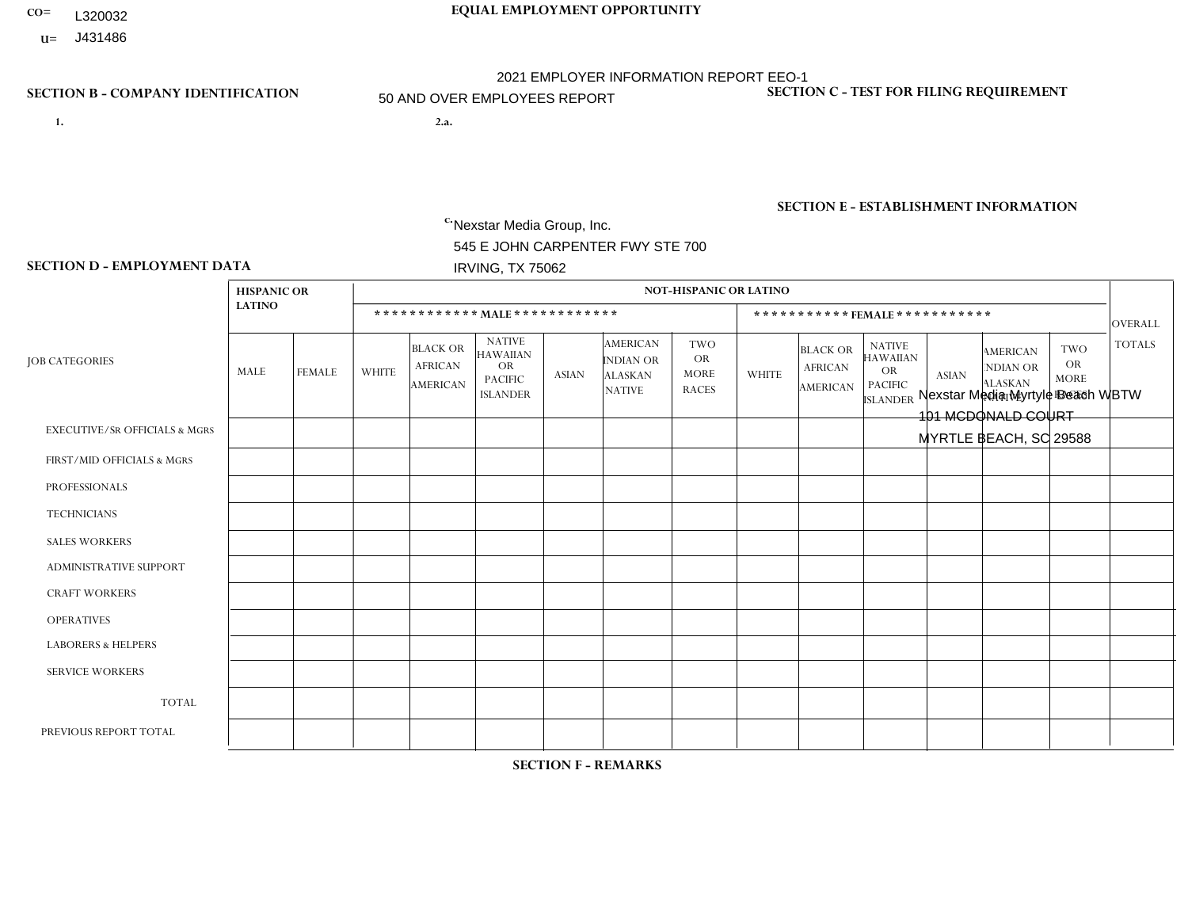- **CO= EQUAL EMPLOYMENT OPPORTUNITY** L320032
- **U=**

- **1. 2.a.** Nexstar Media Group, Inc. 545 E JOHN CARPENTER FWY STE 700 IRVING, TX 75062
- 2.a. Nexstar Media Myrtyle Beach WBTW 101 MCDONALD COURT MYRTLE BEACH, SC 29588

EIN= 233063152

# **SECTION B - COMPANY IDENTIFICATION SECTION C - TEST FOR FILING REQUIREMENT**

1- Y 2- N 3- Y DUNS= 058168001

**SECTION E - ESTABLISHMENT INFORMATION c.** NAICS: 515120 - Television Broadcasting

### **SECTION D - EMPLOYMENT DATA**

|                                          | <b>HISPANIC OR</b> |                |                |                                                      |                                                                                    |              |                                                                 | <b>NOT-HISPANIC OR LATINO</b>                          |              |                                                      |                                                                                    |              |                                                                       |                                                        |                |
|------------------------------------------|--------------------|----------------|----------------|------------------------------------------------------|------------------------------------------------------------------------------------|--------------|-----------------------------------------------------------------|--------------------------------------------------------|--------------|------------------------------------------------------|------------------------------------------------------------------------------------|--------------|-----------------------------------------------------------------------|--------------------------------------------------------|----------------|
|                                          | <b>LATINO</b>      |                |                |                                                      | ************ MALE ************                                                     |              |                                                                 |                                                        |              |                                                      | ***********FEMALE***********                                                       |              |                                                                       |                                                        | OVERALL        |
| <b>JOB CATEGORIES</b>                    | MALE               | <b>FEMALE</b>  | <b>WHITE</b>   | <b>BLACK OR</b><br><b>AFRICAN</b><br><b>AMERICAN</b> | <b>NATIVE</b><br><b>HAWAIIAN</b><br><b>OR</b><br><b>PACIFIC</b><br><b>ISLANDER</b> | <b>ASIAN</b> | <b>AMERICAN</b><br>INDIAN OR<br><b>ALASKAN</b><br><b>NATIVE</b> | <b>TWO</b><br><b>OR</b><br><b>MORE</b><br><b>RACES</b> | <b>WHITE</b> | <b>BLACK OR</b><br><b>AFRICAN</b><br><b>AMERICAN</b> | <b>NATIVE</b><br><b>HAWAIIAN</b><br><b>OR</b><br><b>PACIFIC</b><br><b>ISLANDER</b> | <b>ASIAN</b> | <b>AMERICAN</b><br><b>NDIAN OR</b><br><b>ALASKAN</b><br><b>NATIVE</b> | <b>TWO</b><br><b>OR</b><br><b>MORE</b><br><b>RACES</b> | <b>TOTALS</b>  |
| <b>EXECUTIVE/SR OFFICIALS &amp; MGRS</b> | $\Omega$           | $\Omega$       | -1             | $\Omega$                                             | $\Omega$                                                                           | $\Omega$     | $\Omega$                                                        | $\Omega$                                               | $\Omega$     | $\Omega$                                             | $\mathbf{0}$                                                                       | $\Omega$     | $\Omega$                                                              | $\Omega$                                               |                |
| FIRST/MID OFFICIALS & MGRS               |                    | $\Omega$       | $\overline{4}$ | $\mathbf 0$                                          | $\mathbf 0$                                                                        | $\Omega$     | $\Omega$                                                        | $\Omega$                                               |              | $\Omega$                                             | $\mathbf{0}$                                                                       | $\mathbf{0}$ | $\mathbf{0}$                                                          | 1                                                      | $\overline{7}$ |
| <b>PROFESSIONALS</b>                     | $\Omega$           | $\mathbf{1}$   | $\overline{7}$ | $\mathbf 0$                                          | $\mathbf 0$                                                                        | $\Omega$     | $\Omega$                                                        | $\Omega$                                               | 4            | 1                                                    | $\Omega$                                                                           | 1            | $\Omega$                                                              | $\Omega$                                               | 14             |
| <b>TECHNICIANS</b>                       | 1                  | $\overline{2}$ | 21             | $\mathbf{1}$                                         | $\mathbf 0$                                                                        | $\mathbf{1}$ | $\mathbf{0}$                                                    | $\Omega$                                               | 10           | $\overline{2}$                                       | $\mathbf 0$                                                                        | $\mathbf 0$  | $\Omega$                                                              | $\Omega$                                               | 38             |
| <b>SALES WORKERS</b>                     | 0                  | $\Omega$       | $\overline{2}$ | $\Omega$                                             | $\Omega$                                                                           | $\Omega$     | $\mathbf{0}$                                                    | $\Omega$                                               | 6            | $\Omega$                                             | $\Omega$                                                                           | $\mathbf{0}$ | $\Omega$                                                              | $\Omega$                                               | 8              |
| <b>ADMINISTRATIVE SUPPORT</b>            | 0                  | $\Omega$       | 3              | $\mathbf 0$                                          | $\mathbf 0$                                                                        | $\Omega$     | $\Omega$                                                        | $\Omega$                                               | 5            | $\Omega$                                             | $\Omega$                                                                           | $\Omega$     | $\mathbf{0}$                                                          | $\Omega$                                               | 8              |
| <b>CRAFT WORKERS</b>                     | 0                  | $\Omega$       | $\mathbf 0$    | $\mathbf 0$                                          | $\mathbf 0$                                                                        | $\Omega$     | $\Omega$                                                        | $\Omega$                                               | $\Omega$     | $\Omega$                                             | $\Omega$                                                                           | $\mathbf{0}$ | $\Omega$                                                              | $\Omega$                                               | $\mathbf 0$    |
| <b>OPERATIVES</b>                        | 0                  | $\mathbf 0$    | $\mathbf 0$    | $\mathbf 0$                                          | $\mathbf 0$                                                                        | $\mathbf 0$  | $\Omega$                                                        | $\Omega$                                               | $\Omega$     | $\Omega$                                             | $\mathbf{0}$                                                                       | $\Omega$     | $\mathbf{0}$                                                          | $\Omega$                                               | $\mathbf 0$    |
| <b>LABORERS &amp; HELPERS</b>            | 0                  | $\Omega$       | $\mathbf{0}$   | $\Omega$                                             | $\Omega$                                                                           | $\Omega$     | $\Omega$                                                        | $\Omega$                                               | $\Omega$     | $\Omega$                                             | $\Omega$                                                                           | $\mathbf{0}$ | $\Omega$                                                              | $\Omega$                                               | $\mathbf{0}$   |
| <b>SERVICE WORKERS</b>                   | 0                  | $\mathbf{0}$   | $\mathbf 0$    | $\mathbf 0$                                          | $\mathbf{0}$                                                                       | $\mathbf{0}$ | $\Omega$                                                        | $\Omega$                                               | $\Omega$     | $\Omega$                                             | $\Omega$                                                                           | $\Omega$     | $\mathbf{0}$                                                          | $\Omega$                                               | $\mathbf{0}$   |
| <b>TOTAL</b>                             | 2                  | 3              | 38             | $\mathbf{1}$                                         | $\mathbf 0$                                                                        | $\mathbf{1}$ | $\Omega$                                                        | $\Omega$                                               | 26           | 3                                                    | $\mathbf 0$                                                                        | 1            | $\mathbf 0$                                                           | 1                                                      | 76             |
| PREVIOUS REPORT TOTAL                    | $\overline{2}$     | 3              | 41             | $\mathbf{1}$                                         | $\mathbf 0$                                                                        | $\mathbf{1}$ | $\Omega$                                                        | $\Omega$                                               | 29           | 3                                                    | $\Omega$                                                                           | $\Omega$     | $\mathbf{0}$                                                          | 1                                                      | 81             |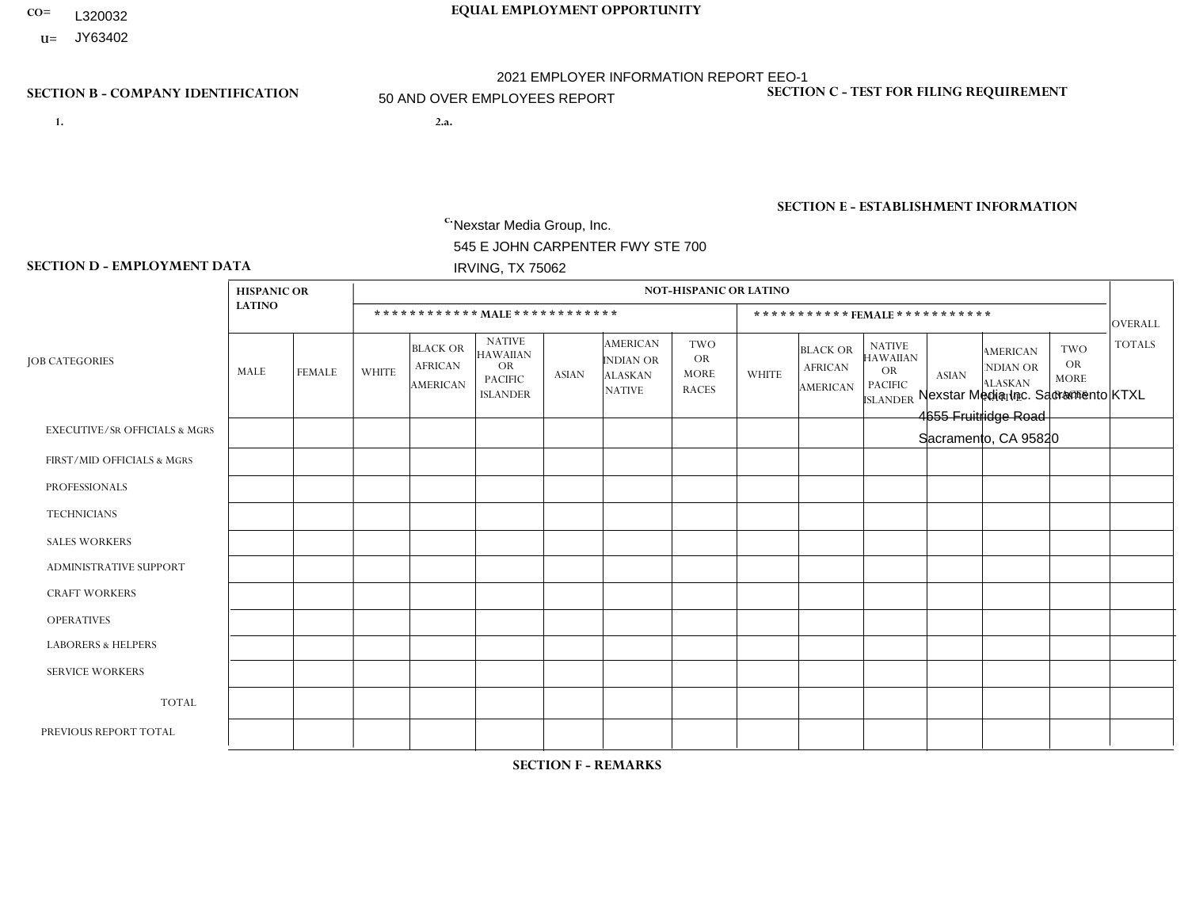- **CO= EQUAL EMPLOYMENT OPPORTUNITY** L320032
- **U=** JY63402

- **1. 2.a.** Nexstar Media Group, Inc. 545 E JOHN CARPENTER FWY STE 700 IRVING, TX 75062
- 2.a. Nexstar Media Inc. Sacramento KTXL 4655 Fruitridge Road Sacramento, CA 95820

EIN= 361880355

# **SECTION B - COMPANY IDENTIFICATION SECTION C - TEST FOR FILING REQUIREMENT**

1- Y 2- N 3- Y DUNS= 058168001

**SECTION E - ESTABLISHMENT INFORMATION c.** NAICS: 515120 - Television Broadcasting

### **SECTION D - EMPLOYMENT DATA**

|                                          | <b>HISPANIC OR</b> |                |                |                                                      |                                                                                    |                |                                                                 | <b>NOT-HISPANIC OR LATINO</b>                          |                |                                                      |                                                                                    |                |                                                                       |                                                        |               |
|------------------------------------------|--------------------|----------------|----------------|------------------------------------------------------|------------------------------------------------------------------------------------|----------------|-----------------------------------------------------------------|--------------------------------------------------------|----------------|------------------------------------------------------|------------------------------------------------------------------------------------|----------------|-----------------------------------------------------------------------|--------------------------------------------------------|---------------|
|                                          | <b>LATINO</b>      |                |                |                                                      | ************ MALE ************                                                     |                |                                                                 |                                                        |                |                                                      | ***********FEMALE***********                                                       |                |                                                                       |                                                        | OVERALL       |
| <b>JOB CATEGORIES</b>                    | MALE               | <b>FEMALE</b>  | <b>WHITE</b>   | <b>BLACK OR</b><br><b>AFRICAN</b><br><b>AMERICAN</b> | <b>NATIVE</b><br><b>HAWAIIAN</b><br><b>OR</b><br><b>PACIFIC</b><br><b>ISLANDER</b> | <b>ASIAN</b>   | <b>AMERICAN</b><br>INDIAN OR<br><b>ALASKAN</b><br><b>NATIVE</b> | <b>TWO</b><br><b>OR</b><br><b>MORE</b><br><b>RACES</b> | <b>WHITE</b>   | <b>BLACK OR</b><br><b>AFRICAN</b><br><b>AMERICAN</b> | <b>NATIVE</b><br><b>HAWAIIAN</b><br><b>OR</b><br><b>PACIFIC</b><br><b>ISLANDER</b> | <b>ASIAN</b>   | <b>AMERICAN</b><br><b>NDIAN OR</b><br><b>ALASKAN</b><br><b>NATIVE</b> | <b>TWO</b><br><b>OR</b><br><b>MORE</b><br><b>RACES</b> | <b>TOTALS</b> |
| <b>EXECUTIVE/SR OFFICIALS &amp; MGRS</b> | $\Omega$           | $\Omega$       | -1             | $\Omega$                                             | $\Omega$                                                                           | $\Omega$       | $\Omega$                                                        | $\Omega$                                               | $\Omega$       | $\Omega$                                             | $\mathbf{0}$                                                                       | $\Omega$       | $\Omega$                                                              | $\Omega$                                               | $\mathbf 1$   |
| FIRST/MID OFFICIALS & MGRS               | 0                  | $\Omega$       | $\overline{4}$ | $\mathbf 0$                                          | $\mathbf 0$                                                                        | $\Omega$       | $\Omega$                                                        | $\Omega$                                               | 5              | $\Omega$                                             | $\mathbf{0}$                                                                       | $\Omega$       | $\mathbf{0}$                                                          | $\Omega$                                               | 9             |
| <b>PROFESSIONALS</b>                     | 4                  | 6              | 26             | $\overline{2}$                                       | 1                                                                                  | $\overline{2}$ | $\mathbf{0}$                                                    | 1                                                      | 12             | 5                                                    | $\Omega$                                                                           | $\overline{4}$ | $\Omega$                                                              | $\mathbf{0}$                                           | 63            |
| <b>TECHNICIANS</b>                       | 5                  | $\overline{2}$ | 9              | $\overline{2}$                                       | $\mathbf{1}$                                                                       | $\mathbf 0$    | $\mathbf{0}$                                                    | 1                                                      | $\overline{4}$ | $\mathbf 0$                                          | $\mathbf{1}$                                                                       | 1              | $\mathbf 0$                                                           | 1                                                      | 27            |
| <b>SALES WORKERS</b>                     | 1                  | $\Omega$       | $\overline{1}$ | $\Omega$                                             | $\Omega$                                                                           | $\mathbf{1}$   | $\mathbf{0}$                                                    | $\Omega$                                               | $\mathbf{1}$   | $\Omega$                                             | $\Omega$                                                                           | 1              | $\Omega$                                                              | $\Omega$                                               | 5             |
| <b>ADMINISTRATIVE SUPPORT</b>            | $\Omega$           | $\mathbf{1}$   | $\overline{c}$ | $\mathbf 0$                                          | $\mathbf 0$                                                                        | $\Omega$       | $\Omega$                                                        | $\Omega$                                               | 3              | $\Omega$                                             | $\Omega$                                                                           | $\Omega$       | $\mathbf{0}$                                                          | $\Omega$                                               | 6             |
| <b>CRAFT WORKERS</b>                     | 0                  | $\Omega$       | $\mathbf 0$    | $\mathbf 0$                                          | $\mathbf 0$                                                                        | $\Omega$       | $\Omega$                                                        | $\Omega$                                               | $\Omega$       | $\Omega$                                             | $\Omega$                                                                           | $\Omega$       | $\Omega$                                                              | $\Omega$                                               | $\mathbf 0$   |
| <b>OPERATIVES</b>                        | 0                  | $\mathbf 0$    | $\mathbf 0$    | $\mathbf 0$                                          | $\mathbf 0$                                                                        | $\mathbf 0$    | $\Omega$                                                        | $\Omega$                                               | $\Omega$       | $\Omega$                                             | $\mathbf{0}$                                                                       | $\Omega$       | $\mathbf{0}$                                                          | $\Omega$                                               | $\mathbf 0$   |
| <b>LABORERS &amp; HELPERS</b>            | 0                  | $\Omega$       | $\mathbf{0}$   | $\Omega$                                             | $\Omega$                                                                           | $\Omega$       | $\Omega$                                                        | $\Omega$                                               | $\Omega$       | $\Omega$                                             | $\Omega$                                                                           | $\mathbf{0}$   | $\Omega$                                                              | $\Omega$                                               | $\mathbf{0}$  |
| <b>SERVICE WORKERS</b>                   | 0                  | $\mathbf{0}$   | $\mathbf 0$    | $\mathbf 0$                                          | $\mathbf{0}$                                                                       | $\mathbf{0}$   | $\Omega$                                                        | $\Omega$                                               | $\Omega$       | $\Omega$                                             | $\Omega$                                                                           | $\Omega$       | $\mathbf{0}$                                                          | $\Omega$                                               | $\mathbf 0$   |
| <b>TOTAL</b>                             | 10                 | 9              | 43             | $\overline{4}$                                       | $\overline{2}$                                                                     | 3              | $\Omega$                                                        | $\overline{2}$                                         | 25             | 5                                                    |                                                                                    | 6              | $\Omega$                                                              | $\mathbf{1}$                                           | 111           |
| PREVIOUS REPORT TOTAL                    | 9                  | 9              | 48             | $\overline{7}$                                       | 2                                                                                  | 3              | $\Omega$                                                        | 4                                                      | 29             | 5                                                    | $\mathbf{0}$                                                                       | 5              | $\mathbf{0}$                                                          | $\overline{c}$                                         | 123           |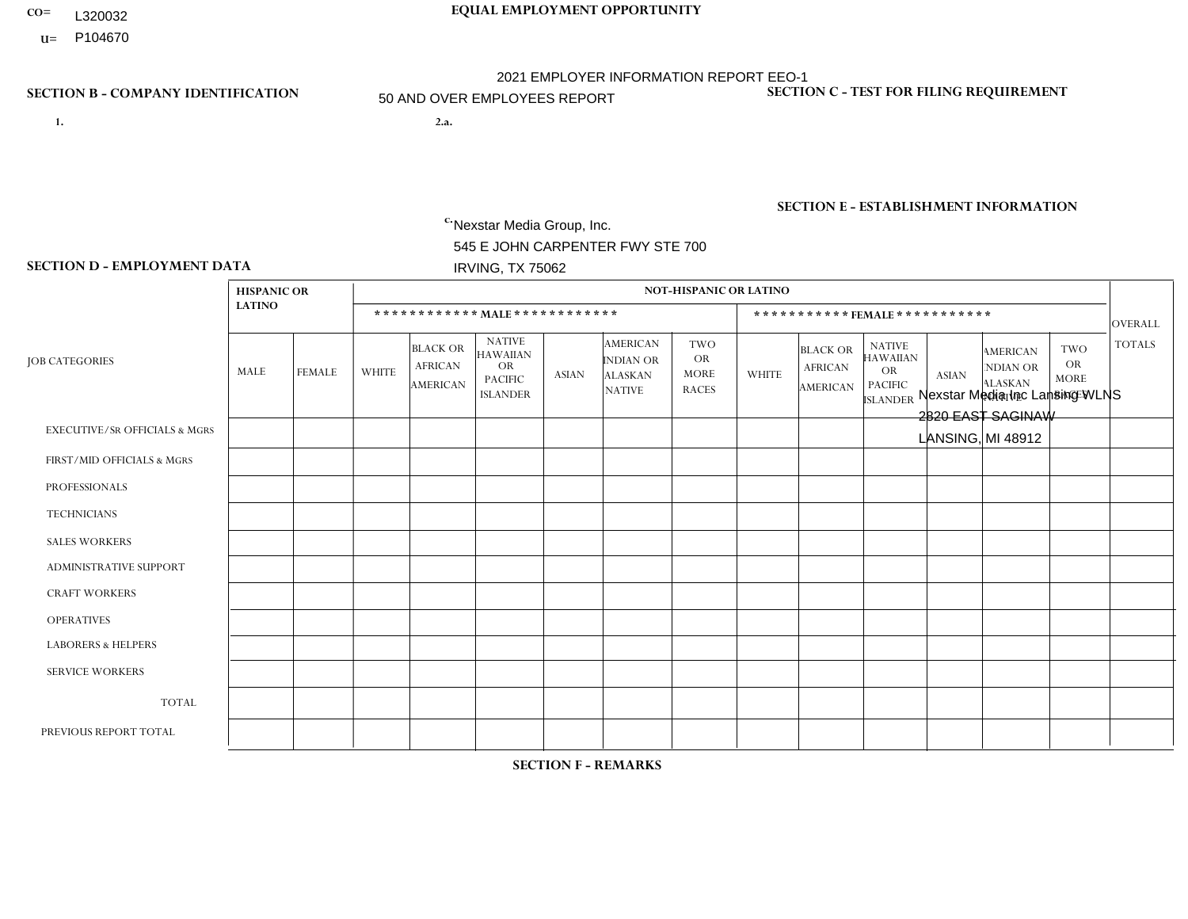- **CO= EQUAL EMPLOYMENT OPPORTUNITY** L320032
- **U=**

- **1. 2.a.** Nexstar Media Group, Inc. 545 E JOHN CARPENTER FWY STE 700 IRVING, TX 75062
- 2.a. Nexstar Media Inc Lansing WLNS 2820 EAST SAGINAW LANSING, MI 48912

EIN= 233063152

# **SECTION B - COMPANY IDENTIFICATION SECTION C - TEST FOR FILING REQUIREMENT**

1- Y 2- N 3- Y DUNS= 058168001

# **SECTION E - ESTABLISHMENT INFORMATION c.** NAICS: 515120 - Television Broadcasting

### **SECTION D - EMPLOYMENT DATA**

|                                          | <b>HISPANIC OR</b> |               |                |                                                      |                                                                                    |              |                                                                        | <b>NOT-HISPANIC OR LATINO</b>                          |                |                                                      |                                                                                    |                |                                                                       |                                                        |                |
|------------------------------------------|--------------------|---------------|----------------|------------------------------------------------------|------------------------------------------------------------------------------------|--------------|------------------------------------------------------------------------|--------------------------------------------------------|----------------|------------------------------------------------------|------------------------------------------------------------------------------------|----------------|-----------------------------------------------------------------------|--------------------------------------------------------|----------------|
|                                          | <b>LATINO</b>      |               |                |                                                      | ************ MALE ************                                                     |              |                                                                        |                                                        |                |                                                      | ***********FEMALE***********                                                       |                |                                                                       |                                                        | <b>OVERALL</b> |
| <b>JOB CATEGORIES</b>                    | MALE               | <b>FEMALE</b> | <b>WHITE</b>   | <b>BLACK OR</b><br><b>AFRICAN</b><br><b>AMERICAN</b> | <b>NATIVE</b><br><b>HAWAIIAN</b><br><b>OR</b><br><b>PACIFIC</b><br><b>ISLANDER</b> | <b>ASIAN</b> | <b>AMERICAN</b><br><b>INDIAN OR</b><br><b>ALASKAN</b><br><b>NATIVE</b> | <b>TWO</b><br><b>OR</b><br><b>MORE</b><br><b>RACES</b> | <b>WHITE</b>   | <b>BLACK OR</b><br><b>AFRICAN</b><br><b>AMERICAN</b> | <b>NATIVE</b><br><b>HAWAIIAN</b><br><b>OR</b><br><b>PACIFIC</b><br><b>ISLANDER</b> | <b>ASIAN</b>   | <b>AMERICAN</b><br><b>NDIAN OR</b><br><b>ALASKAN</b><br><b>NATIVE</b> | <b>TWO</b><br><b>OR</b><br><b>MORE</b><br><b>RACES</b> | <b>TOTALS</b>  |
| <b>EXECUTIVE/SR OFFICIALS &amp; MGRS</b> | $\Omega$           | $\Omega$      | $\Omega$       | $\Omega$                                             | $\mathbf{0}$                                                                       | $\Omega$     | $\Omega$                                                               | $\Omega$                                               | $\Omega$       | $\Omega$                                             | $\Omega$                                                                           | $\Omega$       | $\Omega$                                                              | $\Omega$                                               | $\mathbf{0}$   |
| FIRST/MID OFFICIALS & MGRS               | $\mathbf{0}$       | $\mathbf 0$   | $\overline{2}$ | $\mathbf 0$                                          | $\Omega$                                                                           |              | $\Omega$                                                               | $\Omega$                                               | 3              | $\Omega$                                             | $\Omega$                                                                           | $\Omega$       | $\Omega$                                                              | $\Omega$                                               | 6              |
| <b>PROFESSIONALS</b>                     |                    | $\mathbf 0$   | $\overline{4}$ | 0                                                    | $\Omega$                                                                           | $\Omega$     | $\Omega$                                                               | $\Omega$                                               | 8              | $\Omega$                                             | $\Omega$                                                                           | $\Omega$       | $\Omega$                                                              | 1                                                      | 14             |
| <b>TECHNICIANS</b>                       | 3                  | $\mathbf{1}$  | 29             | $\mathbf 0$                                          | $\Omega$                                                                           | $\Omega$     | $\Omega$                                                               |                                                        | $\overline{4}$ | $\overline{2}$                                       | $\Omega$                                                                           | $\Omega$       | $\Omega$                                                              | $\mathbf{1}$                                           | 41             |
| <b>SALES WORKERS</b>                     | $\Omega$           | $\Omega$      | 6              | $\Omega$                                             | $\Omega$                                                                           | $\Omega$     | $\Omega$                                                               | $\Omega$                                               | 4              | $\Omega$                                             | $\Omega$                                                                           | $\Omega$       | $\Omega$                                                              | $\Omega$                                               | 10             |
| <b>ADMINISTRATIVE SUPPORT</b>            | $\mathbf{0}$       | 0             | $\overline{2}$ | $\mathbf 0$                                          | $\mathbf{0}$                                                                       | $\Omega$     | $\Omega$                                                               | $\Omega$                                               | 5              | $\Omega$                                             | $\Omega$                                                                           | $\Omega$       | $\Omega$                                                              | 2                                                      | 9              |
| <b>CRAFT WORKERS</b>                     | $\mathbf 0$        | $\mathbf 0$   | $\mathbf 0$    | 0                                                    | $\Omega$                                                                           | $\Omega$     | $\Omega$                                                               | $\Omega$                                               | $\Omega$       | $\Omega$                                             | $\Omega$                                                                           | $\Omega$       | $\Omega$                                                              | $\Omega$                                               | $\mathbf 0$    |
| <b>OPERATIVES</b>                        | $\mathbf 0$        | $\mathbf 0$   | $\mathbf 0$    | 0                                                    | $\Omega$                                                                           | $\Omega$     | $\Omega$                                                               | $\Omega$                                               | $\Omega$       | $\mathbf 0$                                          | $\mathbf 0$                                                                        | $\Omega$       | $\Omega$                                                              | $\Omega$                                               | $\mathbf 0$    |
| <b>LABORERS &amp; HELPERS</b>            | $\mathbf{0}$       | $\Omega$      | $\Omega$       | $\Omega$                                             | $\Omega$                                                                           | $\Omega$     | $\Omega$                                                               | $\Omega$                                               | $\Omega$       | $\Omega$                                             | $\Omega$                                                                           | $\Omega$       | $\Omega$                                                              | $\Omega$                                               | $\mathbf 0$    |
| <b>SERVICE WORKERS</b>                   | $\mathbf{0}$       | $\mathbf{0}$  | $\mathbf 0$    | $\mathbf 0$                                          | $\Omega$                                                                           | $\Omega$     | $\Omega$                                                               | $\Omega$                                               | $\Omega$       | $\Omega$                                             | $\Omega$                                                                           | $\Omega$       | $\Omega$                                                              | $\Omega$                                               | $\mathbf 0$    |
| <b>TOTAL</b>                             | $\overline{4}$     | $\mathbf{1}$  | 43             | $\mathbf 0$                                          | $\mathbf 0$                                                                        | -1           | $\Omega$                                                               |                                                        | 24             | 2                                                    | $\Omega$                                                                           | $\mathbf 0$    | $\Omega$                                                              | 4                                                      | 80             |
| PREVIOUS REPORT TOTAL                    | 2                  | 1             | 46             | 0                                                    | $\Omega$                                                                           |              | $\Omega$                                                               | $\overline{2}$                                         | 24             | 1                                                    | 0                                                                                  | $\overline{2}$ |                                                                       | 4                                                      | 84             |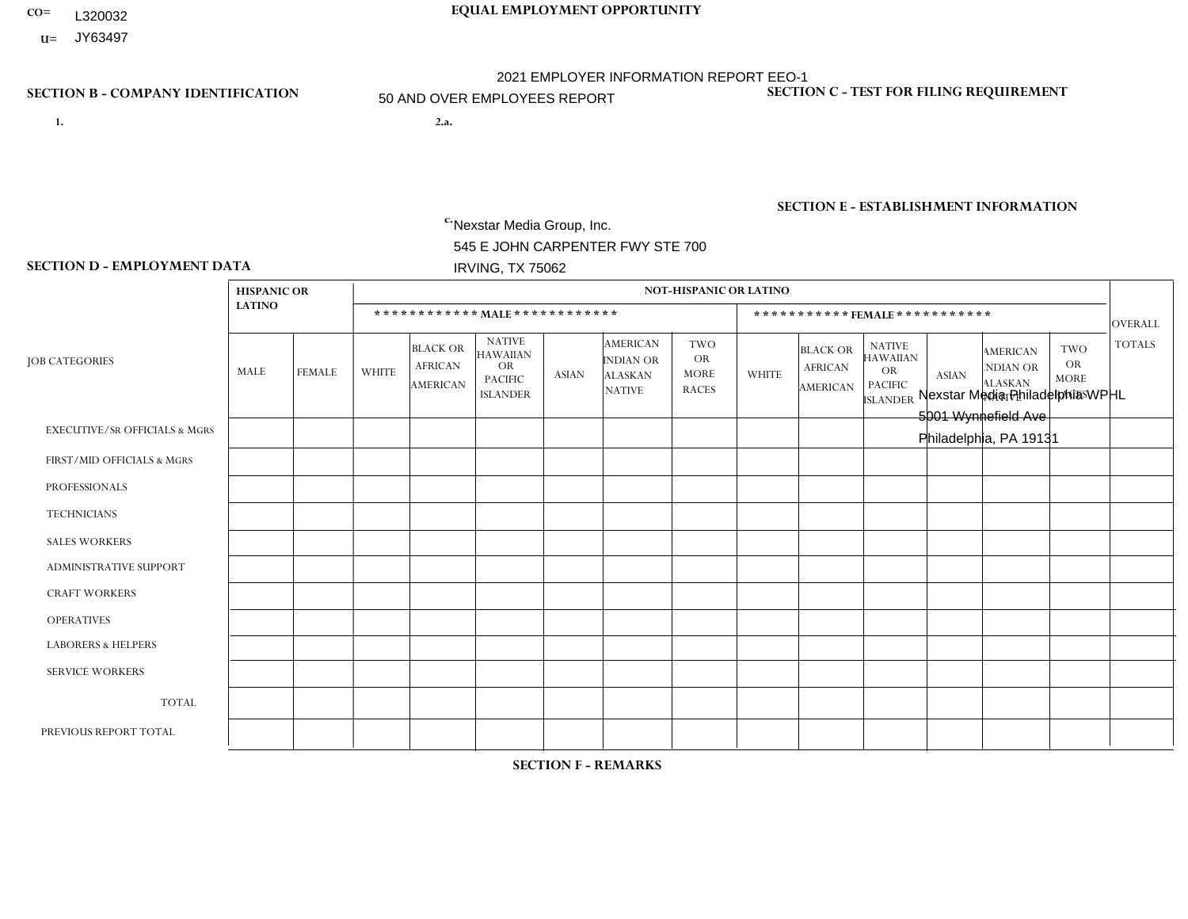- **CO= EQUAL EMPLOYMENT OPPORTUNITY** L320032
- **U=** JY63497

- **1. 2.a.** Nexstar Media Group, Inc. 545 E JOHN CARPENTER FWY STE 700 IRVING, TX 75062
- 2.a. Nexstar Media Philadelphia WPHL 5001 Wynnefield Ave Philadelphia, PA 19131

EIN= 361880355

# **SECTION B - COMPANY IDENTIFICATION SECTION C - TEST FOR FILING REQUIREMENT**

1- Y 2- N 3- Y DUNS= 058168001

**SECTION E - ESTABLISHMENT INFORMATION c.** NAICS: 515120 - Television Broadcasting

### **SECTION D - EMPLOYMENT DATA**

|                                          | <b>HISPANIC OR</b> |               |                |                                                      |                                                                                    |              |                                                                        | <b>NOT-HISPANIC OR LATINO</b>                          |                |                                                      |                                                                                    |              |                                                                       |                                                        |                |
|------------------------------------------|--------------------|---------------|----------------|------------------------------------------------------|------------------------------------------------------------------------------------|--------------|------------------------------------------------------------------------|--------------------------------------------------------|----------------|------------------------------------------------------|------------------------------------------------------------------------------------|--------------|-----------------------------------------------------------------------|--------------------------------------------------------|----------------|
|                                          | <b>LATINO</b>      |               |                |                                                      | ************ MALE *************                                                    |              |                                                                        |                                                        |                | ***********FEMALE***********                         |                                                                                    |              |                                                                       |                                                        | <b>OVERALL</b> |
| <b>JOB CATEGORIES</b>                    | MALE               | <b>FEMALE</b> | <b>WHITE</b>   | <b>BLACK OR</b><br><b>AFRICAN</b><br><b>AMERICAN</b> | <b>NATIVE</b><br><b>HAWAIIAN</b><br><b>OR</b><br><b>PACIFIC</b><br><b>ISLANDER</b> | <b>ASIAN</b> | <b>AMERICAN</b><br><b>INDIAN OR</b><br><b>ALASKAN</b><br><b>NATIVE</b> | <b>TWO</b><br><b>OR</b><br><b>MORE</b><br><b>RACES</b> | <b>WHITE</b>   | <b>BLACK OR</b><br><b>AFRICAN</b><br><b>AMERICAN</b> | <b>NATIVE</b><br><b>HAWAIIAN</b><br><b>OR</b><br><b>PACIFIC</b><br><b>ISLANDER</b> | <b>ASIAN</b> | <b>AMERICAN</b><br><b>NDIAN OR</b><br><b>ALASKAN</b><br><b>NATIVE</b> | <b>TWO</b><br><b>OR</b><br><b>MORE</b><br><b>RACES</b> | <b>TOTALS</b>  |
| <b>EXECUTIVE/SR OFFICIALS &amp; MGRS</b> | 0                  | $\Omega$      | 1              | $\mathbf 0$                                          | $\Omega$                                                                           | $\Omega$     | $\Omega$                                                               | $\Omega$                                               | 0              | $\Omega$                                             | $\Omega$                                                                           | $\Omega$     | $\Omega$                                                              | $\Omega$                                               |                |
| FIRST/MID OFFICIALS & MGRS               | 0                  | 0             | $\overline{7}$ | $\mathbf 0$                                          | $\mathbf 0$                                                                        | $\Omega$     | $\Omega$                                                               | $\Omega$                                               | $\overline{2}$ | $\Omega$                                             | $\Omega$                                                                           | $\Omega$     | $\Omega$                                                              | $\Omega$                                               | 9              |
| <b>PROFESSIONALS</b>                     | 0                  | $\mathbf 0$   | 11             | $\overline{2}$                                       | $\mathbf 0$                                                                        | $\Omega$     | $\Omega$                                                               | $\Omega$                                               | 10             | $\overline{7}$                                       | $\Omega$                                                                           | $\mathbf 0$  | $\Omega$                                                              | 1                                                      | 31             |
| <b>TECHNICIANS</b>                       | 0                  | $\Omega$      | 6              | 0                                                    | $\mathbf 0$                                                                        | $\Omega$     | $\Omega$                                                               | $\Omega$                                               | $\Omega$       | $\Omega$                                             | $\Omega$                                                                           | $\Omega$     | $\Omega$                                                              | $\Omega$                                               | 6              |
| <b>SALES WORKERS</b>                     | 0                  | 0             | 3              | $\overline{2}$                                       | $\Omega$                                                                           | $\Omega$     | $\Omega$                                                               | $\Omega$                                               | $\overline{2}$ | $\Omega$                                             | $\Omega$                                                                           | $\Omega$     | $\Omega$                                                              | $\Omega$                                               | $\overline{7}$ |
| <b>ADMINISTRATIVE SUPPORT</b>            |                    | 0             | $\overline{2}$ | 1                                                    | $\mathbf 0$                                                                        | 0            | $\Omega$                                                               | $\Omega$                                               | 6              | $\Omega$                                             | $\Omega$                                                                           | $\Omega$     | $\Omega$                                                              | $\Omega$                                               | 10             |
| <b>CRAFT WORKERS</b>                     | 0                  | $\Omega$      | $\mathbf 0$    | $\mathbf 0$                                          | 0                                                                                  | $\Omega$     | $\Omega$                                                               | $\Omega$                                               | $\Omega$       | $\Omega$                                             | $\Omega$                                                                           | $\Omega$     | $\Omega$                                                              | $\Omega$                                               | $\Omega$       |
| <b>OPERATIVES</b>                        | 0                  | $\Omega$      | $\mathbf 0$    | $\mathbf 0$                                          | 0                                                                                  | $\Omega$     | $\Omega$                                                               | $\Omega$                                               | $\Omega$       | $\Omega$                                             | $\Omega$                                                                           | $\Omega$     | $\Omega$                                                              | $\Omega$                                               | $\mathbf 0$    |
| <b>LABORERS &amp; HELPERS</b>            | 0                  | $\Omega$      | $\mathbf 0$    | $\mathbf 0$                                          | 0                                                                                  | $\Omega$     | $\Omega$                                                               | $\Omega$                                               | $\Omega$       | $\Omega$                                             | $\Omega$                                                                           | $\Omega$     | 0                                                                     | $\Omega$                                               | $\mathbf 0$    |
| <b>SERVICE WORKERS</b>                   | 0                  | $\Omega$      | $\mathbf 0$    | $\mathbf 0$                                          | 0                                                                                  | 0            | $\Omega$                                                               | $\Omega$                                               | 0              | $\Omega$                                             | $\Omega$                                                                           | $\Omega$     | $\Omega$                                                              | $\Omega$                                               | $\mathbf 0$    |
| <b>TOTAL</b>                             | 1                  | 0             | 30             | 5                                                    | 0                                                                                  | 0            | $\Omega$                                                               | $\Omega$                                               | 20             | $\overline{7}$                                       | $\Omega$                                                                           | $\mathbf 0$  | $\mathbf 0$                                                           | $\mathbf 1$                                            | 64             |
| PREVIOUS REPORT TOTAL                    | $\overline{2}$     | $\Omega$      | 25             | 5                                                    | $\mathbf 0$                                                                        | $\Omega$     | $\Omega$                                                               | $\Omega$                                               | 18             | 6                                                    | $\Omega$                                                                           | $\Omega$     | $\Omega$                                                              |                                                        | 57             |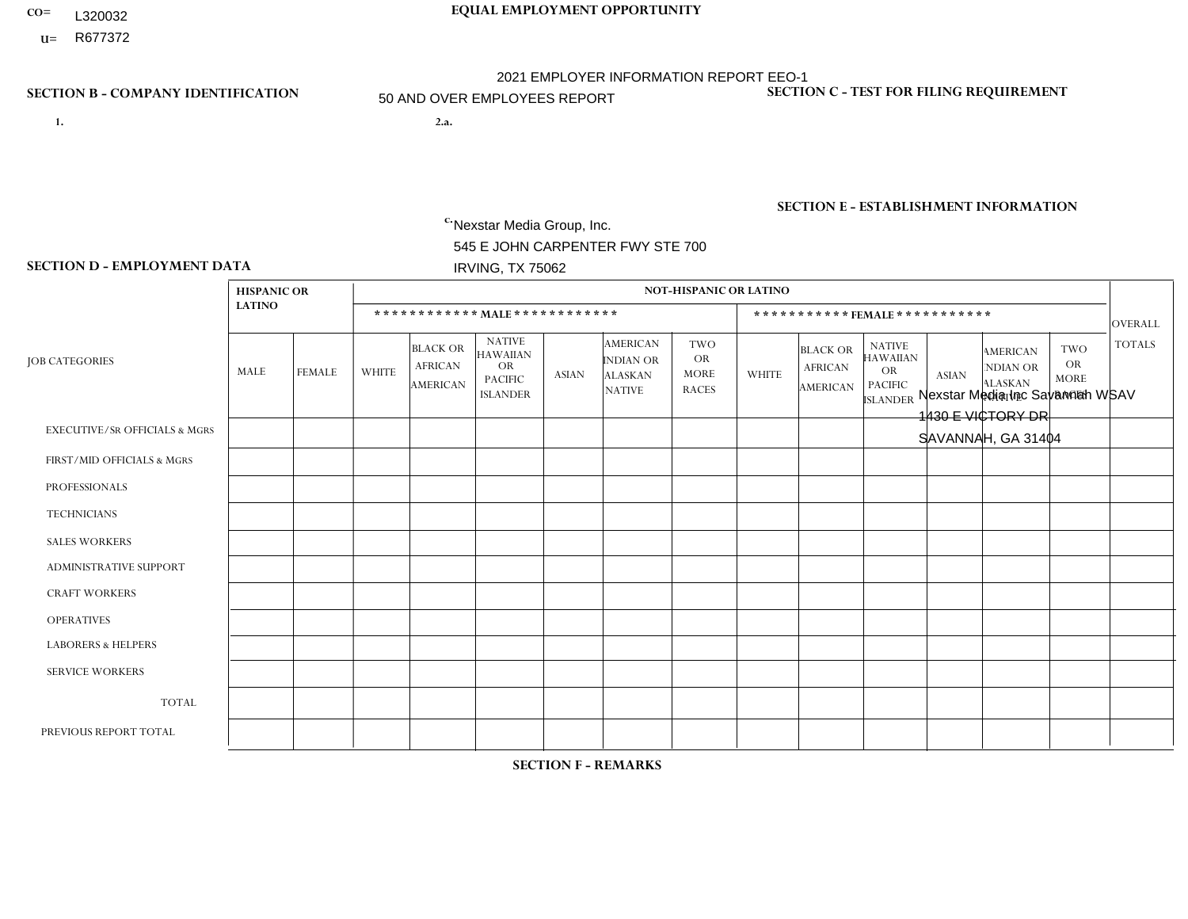- **CO= EQUAL EMPLOYMENT OPPORTUNITY** L320032
- **U=**

- **1. 2.a.** Nexstar Media Group, Inc. 545 E JOHN CARPENTER FWY STE 700 IRVING, TX 75062
- 2.a. Nexstar Media Inc Savannah WSAV 1430 E VICTORY DR SAVANNAH, GA 31404

EIN= 233063152

# **SECTION B - COMPANY IDENTIFICATION SECTION C - TEST FOR FILING REQUIREMENT**

1- Y 2- N 3- Y DUNS= 058168001

# **SECTION E - ESTABLISHMENT INFORMATION c.** NAICS: 515120 - Television Broadcasting

### **SECTION D - EMPLOYMENT DATA**

|                                          | <b>HISPANIC OR</b> |                |                |                                                      |                                                                                    |              |                                                                        | NOT-HISPANIC OR LATINO                                 |                |                                                      |                                                                                    |                |                                                                       |                                                        |                |
|------------------------------------------|--------------------|----------------|----------------|------------------------------------------------------|------------------------------------------------------------------------------------|--------------|------------------------------------------------------------------------|--------------------------------------------------------|----------------|------------------------------------------------------|------------------------------------------------------------------------------------|----------------|-----------------------------------------------------------------------|--------------------------------------------------------|----------------|
|                                          | <b>LATINO</b>      |                |                |                                                      | ************ MALE ************                                                     |              |                                                                        |                                                        |                |                                                      | ***********FEMALE***********                                                       |                |                                                                       |                                                        | <b>OVERALL</b> |
| <b>JOB CATEGORIES</b>                    | MALE               | <b>FEMALE</b>  | <b>WHITE</b>   | <b>BLACK OR</b><br><b>AFRICAN</b><br><b>AMERICAN</b> | <b>NATIVE</b><br><b>HAWAIIAN</b><br><b>OR</b><br><b>PACIFIC</b><br><b>ISLANDER</b> | <b>ASIAN</b> | <b>AMERICAN</b><br><b>INDIAN OR</b><br><b>ALASKAN</b><br><b>NATIVE</b> | <b>TWO</b><br><b>OR</b><br><b>MORE</b><br><b>RACES</b> | <b>WHITE</b>   | <b>BLACK OR</b><br><b>AFRICAN</b><br><b>AMERICAN</b> | <b>NATIVE</b><br><b>HAWAIIAN</b><br><b>OR</b><br><b>PACIFIC</b><br><b>ISLANDER</b> | <b>ASIAN</b>   | <b>AMERICAN</b><br><b>NDIAN OR</b><br><b>ALASKAN</b><br><b>NATIVE</b> | <b>TWO</b><br><b>OR</b><br><b>MORE</b><br><b>RACES</b> | <b>TOTALS</b>  |
| <b>EXECUTIVE/SR OFFICIALS &amp; MGRS</b> | $\Omega$           | $\Omega$       | 1              | $\mathbf 0$                                          | $\Omega$                                                                           | $\Omega$     | $\Omega$                                                               | $\Omega$                                               | $\Omega$       | $\Omega$                                             | $\Omega$                                                                           | $\Omega$       | $\Omega$                                                              | $\Omega$                                               |                |
| FIRST/MID OFFICIALS & MGRS               | 0                  | $\Omega$       | $\overline{c}$ | $\mathbf 0$                                          | $\mathbf 0$                                                                        | $\Omega$     | $\Omega$                                                               | $\Omega$                                               |                | $\Omega$                                             | $\Omega$                                                                           | 1              | $\mathbf{0}$                                                          | $\Omega$                                               | $\overline{4}$ |
| <b>PROFESSIONALS</b>                     | 0                  | $\Omega$       | 10             | $\mathbf{1}$                                         | $\Omega$                                                                           | $\Omega$     | $\Omega$                                                               | $\Omega$                                               | 5              | $\overline{2}$                                       | $\Omega$                                                                           | $\Omega$       | $\Omega$                                                              | $\Omega$                                               | 18             |
| <b>TECHNICIANS</b>                       | 0                  | $\mathbf{1}$   | 19             | $\mathbf{1}$                                         | $\mathbf 0$                                                                        | $\Omega$     | $\Omega$                                                               | $\Omega$                                               | $\overline{7}$ | 4                                                    | $\Omega$                                                                           | $\mathbf 0$    | $\Omega$                                                              | $\Omega$                                               | 32             |
| <b>SALES WORKERS</b>                     | -1                 | $\Omega$       | 3              | $\mathbf{1}$                                         | $\Omega$                                                                           | $\Omega$     | $\Omega$                                                               | $\Omega$                                               | 3              | $\mathbf{1}$                                         | $\Omega$                                                                           | $\mathbf{0}$   | $\Omega$                                                              | $\Omega$                                               | 9              |
| <b>ADMINISTRATIVE SUPPORT</b>            | 0                  | $\Omega$       | 3              | $\Omega$                                             | $\Omega$                                                                           | $\Omega$     | $\Omega$                                                               | $\Omega$                                               | $\overline{2}$ | $\overline{2}$                                       | $\Omega$                                                                           | 1              | $\Omega$                                                              | 1                                                      | 9              |
| <b>CRAFT WORKERS</b>                     | 0                  | $\Omega$       | $\mathbf 0$    | $\mathbf 0$                                          | $\mathbf 0$                                                                        | $\mathbf 0$  | $\Omega$                                                               | $\Omega$                                               | $\Omega$       | $\Omega$                                             | $\Omega$                                                                           | $\Omega$       | $\Omega$                                                              | $\Omega$                                               | $\mathbf{0}$   |
| <b>OPERATIVES</b>                        | 0                  | $\Omega$       | $\Omega$       | $\Omega$                                             | $\Omega$                                                                           | $\Omega$     | $\Omega$                                                               | $\Omega$                                               | $\Omega$       | $\Omega$                                             | $\mathbf{0}$                                                                       | $\Omega$       | $\Omega$                                                              | $\Omega$                                               | $\mathbf 0$    |
| <b>LABORERS &amp; HELPERS</b>            | 0                  | $\Omega$       | $\mathbf{0}$   | $\Omega$                                             | $\Omega$                                                                           | $\Omega$     | $\Omega$                                                               | $\Omega$                                               | $\Omega$       | $\Omega$                                             | $\Omega$                                                                           | $\Omega$       | $\mathbf{0}$                                                          | $\mathbf{0}$                                           | $\mathbf{0}$   |
| <b>SERVICE WORKERS</b>                   | 0                  | $\mathbf{0}$   | $\mathbf 0$    | $\mathbf 0$                                          | $\mathbf 0$                                                                        | $\mathbf{0}$ | $\Omega$                                                               | $\Omega$                                               | $\Omega$       | $\Omega$                                             | $\Omega$                                                                           | $\Omega$       | $\Omega$                                                              | $\Omega$                                               | $\mathbf{0}$   |
| <b>TOTAL</b>                             |                    | $\mathbf{1}$   | 38             | $\sqrt{3}$                                           | $\mathbf 0$                                                                        | $\mathbf{0}$ | $\mathbf{0}$                                                           | $\mathbf{0}$                                           | 18             | 9                                                    | $\mathbf{0}$                                                                       | $\overline{2}$ | $\mathbf{0}$                                                          | 1                                                      | 73             |
| PREVIOUS REPORT TOTAL                    | 0                  | $\overline{2}$ | 33             | 3                                                    | $\mathbf 0$                                                                        | $\Omega$     | $\Omega$                                                               |                                                        | 24             | 9                                                    | $\mathbf{0}$                                                                       | $\Omega$       | $\mathbf{0}$                                                          | 0                                                      | 72             |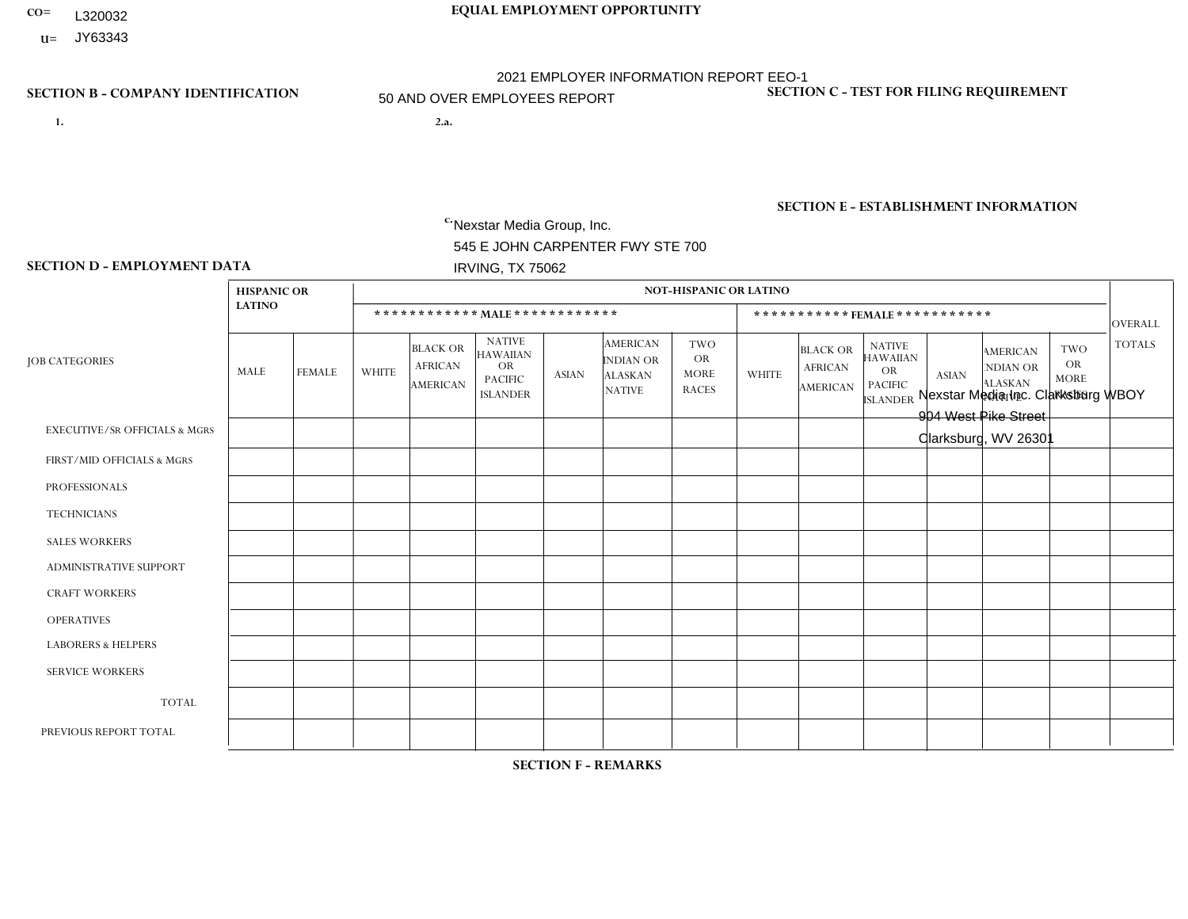- **CO= EQUAL EMPLOYMENT OPPORTUNITY** L320032
- **U=**

- **1. 2.a.** Nexstar Media Group, Inc. 545 E JOHN CARPENTER FWY STE 700 IRVING, TX 75062
- 2.a. Nexstar Media Inc. Clarksburg WBOY 904 West Pike Street Clarksburg, WV 26301

EIN= 233063152

# **SECTION B - COMPANY IDENTIFICATION SECTION C - TEST FOR FILING REQUIREMENT**

1- Y 2- N 3- Y DUNS= 058168001

**SECTION E - ESTABLISHMENT INFORMATION c.** NAICS: 515120 - Television Broadcasting

### **SECTION D - EMPLOYMENT DATA**

|                                          | <b>HISPANIC OR</b> |               |                |                                                      |                                                                                    |              |                                                                        | <b>NOT-HISPANIC OR LATINO</b>                          |                |                                                      |                                                                             |              |                                                                       |                                                        |                |
|------------------------------------------|--------------------|---------------|----------------|------------------------------------------------------|------------------------------------------------------------------------------------|--------------|------------------------------------------------------------------------|--------------------------------------------------------|----------------|------------------------------------------------------|-----------------------------------------------------------------------------|--------------|-----------------------------------------------------------------------|--------------------------------------------------------|----------------|
|                                          | <b>LATINO</b>      |               |                |                                                      | ************ MALE************                                                      |              |                                                                        |                                                        |                | ***********FEMALE***********                         |                                                                             |              |                                                                       |                                                        | <b>OVERALL</b> |
| <b>JOB CATEGORIES</b>                    | MALE               | <b>FEMALE</b> | <b>WHITE</b>   | <b>BLACK OR</b><br><b>AFRICAN</b><br><b>AMERICAN</b> | <b>NATIVE</b><br><b>HAWAIIAN</b><br><b>OR</b><br><b>PACIFIC</b><br><b>ISLANDER</b> | <b>ASIAN</b> | <b>AMERICAN</b><br><b>INDIAN OR</b><br><b>ALASKAN</b><br><b>NATIVE</b> | <b>TWO</b><br><b>OR</b><br><b>MORE</b><br><b>RACES</b> | <b>WHITE</b>   | <b>BLACK OR</b><br><b>AFRICAN</b><br><b>AMERICAN</b> | <b>NATIVE</b><br><b>HAWAIIAN</b><br>OR<br><b>PACIFIC</b><br><b>ISLANDER</b> | <b>ASIAN</b> | <b>AMERICAN</b><br><b>NDIAN OR</b><br><b>ALASKAN</b><br><b>NATIVE</b> | <b>TWO</b><br><b>OR</b><br><b>MORE</b><br><b>RACES</b> | <b>TOTALS</b>  |
| <b>EXECUTIVE/SR OFFICIALS &amp; MGRS</b> | $\Omega$           | $\mathbf 0$   | $\mathbf 0$    | $\mathbf 0$                                          | $\mathbf 0$                                                                        | $\mathbf 0$  | $\Omega$                                                               | $\Omega$                                               | $\Omega$       | $\Omega$                                             | $\Omega$                                                                    | $\mathbf 0$  | $\Omega$                                                              | $\Omega$                                               | $\mathbf 0$    |
| FIRST/MID OFFICIALS & MGRS               | 0                  | 0             | $\overline{c}$ | $\mathbf 0$                                          | 0                                                                                  | 0            | $\Omega$                                                               | $\Omega$                                               | 0              | $\Omega$                                             | $\Omega$                                                                    | $\Omega$     | $\Omega$                                                              | $\Omega$                                               | $\overline{2}$ |
| <b>PROFESSIONALS</b>                     | 0                  | $\Omega$      | $\overline{7}$ | $\mathbf 0$                                          | $\Omega$                                                                           | $\Omega$     | $\Omega$                                                               | $\Omega$                                               | 3              | $\Omega$                                             | $\Omega$                                                                    | $\Omega$     | $\Omega$                                                              | $\Omega$                                               | 10             |
| <b>TECHNICIANS</b>                       | 0                  | $\mathbf{0}$  | 12             | $\mathsf{O}\xspace$                                  | $\overline{2}$                                                                     | 0            | 1                                                                      | $\Omega$                                               | 10             | $\Omega$                                             | $\Omega$                                                                    | $\Omega$     | $\Omega$                                                              | $\Omega$                                               | 25             |
| <b>SALES WORKERS</b>                     |                    | $\Omega$      | $\overline{2}$ | $\mathbf 0$                                          | $\mathbf 0$                                                                        | $\Omega$     | $\Omega$                                                               | $\Omega$                                               | 4              | $\Omega$                                             | $\Omega$                                                                    | $\Omega$     | $\Omega$                                                              | $\Omega$                                               | $\overline{7}$ |
| ADMINISTRATIVE SUPPORT                   | 0                  | 0             | $\overline{c}$ | 1                                                    | $\mathbf 0$                                                                        | 0            | $\Omega$                                                               | $\Omega$                                               | $\overline{2}$ | $\Omega$                                             | $\Omega$                                                                    | -1           | $\Omega$                                                              | $\Omega$                                               | 6              |
| <b>CRAFT WORKERS</b>                     | 0                  | $\Omega$      | $\mathbf 0$    | $\mathbf 0$                                          | $\Omega$                                                                           | $\Omega$     | $\Omega$                                                               | $\Omega$                                               | $\Omega$       | $\Omega$                                             | $\Omega$                                                                    | $\Omega$     | $\Omega$                                                              | $\Omega$                                               | $\Omega$       |
| <b>OPERATIVES</b>                        | 0                  | $\Omega$      | $\mathbf 0$    | $\mathbf 0$                                          | 0                                                                                  | $\Omega$     | $\Omega$                                                               | $\Omega$                                               | 0              | $\Omega$                                             | $\Omega$                                                                    | $\Omega$     | $\Omega$                                                              | $\Omega$                                               | $\mathbf 0$    |
| <b>LABORERS &amp; HELPERS</b>            | 0                  | $\Omega$      | $\mathbf 0$    | $\mathbf 0$                                          | $\mathbf 0$                                                                        | $\Omega$     | $\Omega$                                                               | $\Omega$                                               | $\Omega$       | $\Omega$                                             | $\Omega$                                                                    | $\Omega$     | $\Omega$                                                              | $\Omega$                                               | $\mathbf 0$    |
| <b>SERVICE WORKERS</b>                   | 0                  | $\mathbf{0}$  | $\mathbf 0$    | $\mathbf 0$                                          | 0                                                                                  | 0            | $\Omega$                                                               | $\Omega$                                               | $\Omega$       | $\Omega$                                             | $\Omega$                                                                    | $\mathbf 0$  | $\Omega$                                                              | $\Omega$                                               | $\mathbf 0$    |
| <b>TOTAL</b>                             | 1                  | 0             | 25             | $\mathbf{1}$                                         | $\overline{2}$                                                                     | 0            |                                                                        | $\Omega$                                               | 19             | $\Omega$                                             | $\Omega$                                                                    |              | $\Omega$                                                              | $\Omega$                                               | 50             |
| PREVIOUS REPORT TOTAL                    | 3                  | $\Omega$      | 35             | $\mathbf 0$                                          |                                                                                    | $\Omega$     | $\Omega$                                                               | $\Omega$                                               | 22             | $\Omega$                                             | $\Omega$                                                                    | $\Omega$     | $\Omega$                                                              | $\Omega$                                               | 61             |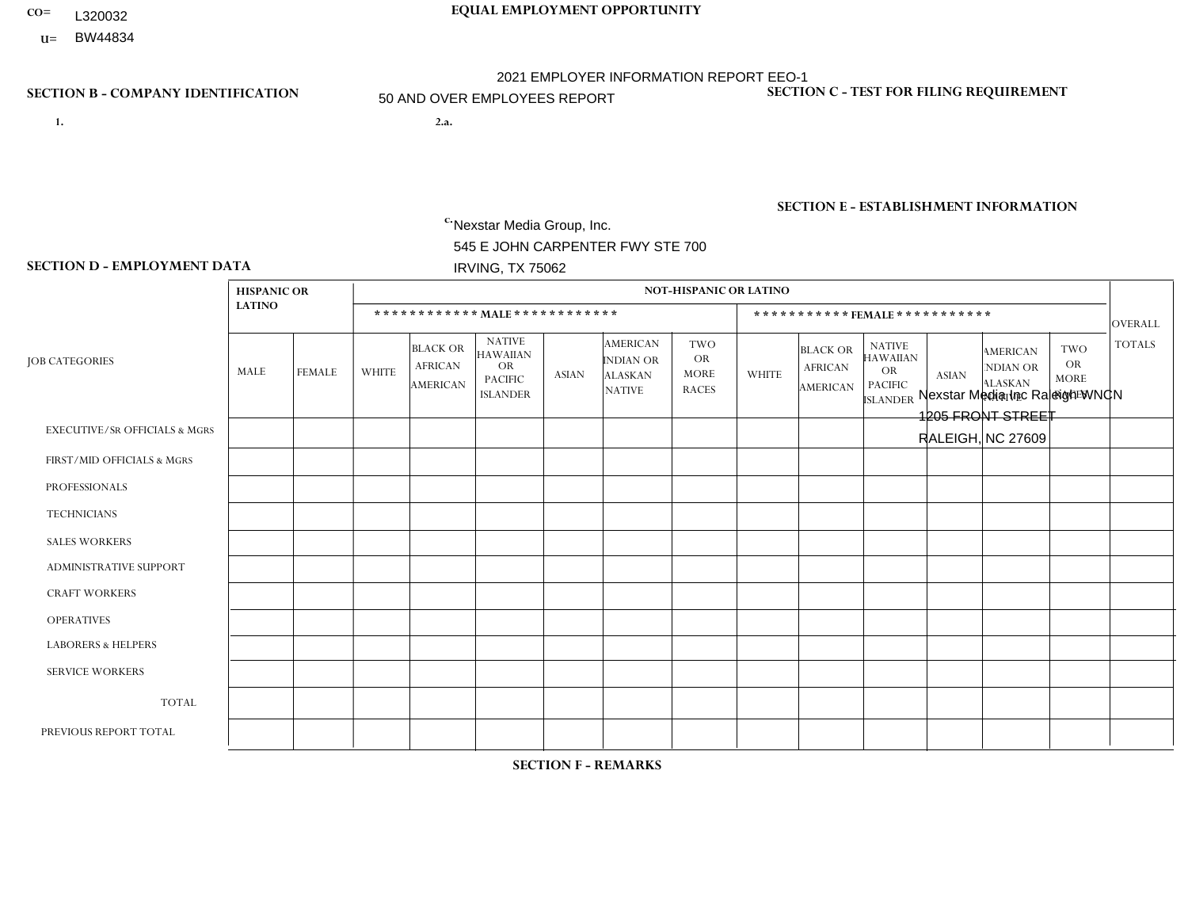- **CO= EQUAL EMPLOYMENT OPPORTUNITY** L320032
- **U=**

- **1. 2.a.** Nexstar Media Group, Inc. 545 E JOHN CARPENTER FWY STE 700 IRVING, TX 75062
- 2.a. Nexstar Media Inc Raleigh WNCN 1205 FRONT STREET RALEIGH, NC 27609

EIN= 233063152

# **SECTION B - COMPANY IDENTIFICATION SECTION C - TEST FOR FILING REQUIREMENT**

1- Y 2- N 3- Y DUNS= 058168001

# **SECTION E - ESTABLISHMENT INFORMATION c.** NAICS: 515120 - Television Broadcasting

### **SECTION D - EMPLOYMENT DATA**

|                                          |                    |                | <b>NOT-HISPANIC OR LATINO</b> |                                               |                                                                                    |              |                                                                        |                                                        |              |                                               |                                                                                    |                |                                                                       |                                                        |                |
|------------------------------------------|--------------------|----------------|-------------------------------|-----------------------------------------------|------------------------------------------------------------------------------------|--------------|------------------------------------------------------------------------|--------------------------------------------------------|--------------|-----------------------------------------------|------------------------------------------------------------------------------------|----------------|-----------------------------------------------------------------------|--------------------------------------------------------|----------------|
|                                          | <b>HISPANIC OR</b> |                |                               |                                               |                                                                                    |              |                                                                        |                                                        |              |                                               |                                                                                    |                |                                                                       |                                                        |                |
|                                          | <b>LATINO</b>      |                |                               |                                               |                                                                                    |              |                                                                        |                                                        |              |                                               | *********** FEMALE ***********                                                     |                |                                                                       |                                                        | <b>OVERALL</b> |
| <b>JOB CATEGORIES</b>                    | MALE               | <b>FEMALE</b>  | <b>WHITE</b>                  | <b>BLACK OR</b><br><b>AFRICAN</b><br>AMERICAN | <b>NATIVE</b><br><b>HAWAIIAN</b><br><b>OR</b><br><b>PACIFIC</b><br><b>ISLANDER</b> | <b>ASIAN</b> | <b>AMERICAN</b><br><b>INDIAN OR</b><br><b>ALASKAN</b><br><b>NATIVE</b> | <b>TWO</b><br><b>OR</b><br><b>MORE</b><br><b>RACES</b> | <b>WHITE</b> | <b>BLACK OR</b><br><b>AFRICAN</b><br>AMERICAN | <b>NATIVE</b><br><b>HAWAIIAN</b><br><b>OR</b><br><b>PACIFIC</b><br><b>ISLANDER</b> | <b>ASIAN</b>   | <b>AMERICAN</b><br><b>NDIAN OR</b><br><b>ALASKAN</b><br><b>NATIVE</b> | <b>TWO</b><br><b>OR</b><br><b>MORE</b><br><b>RACES</b> | <b>TOTALS</b>  |
| <b>EXECUTIVE/SR OFFICIALS &amp; MGRS</b> | $\mathbf{0}$       | $\mathbf 0$    | $\mathbf 0$                   | 0                                             | $\Omega$                                                                           | $\Omega$     | $\Omega$                                                               | $\Omega$                                               | $\Omega$     | $\Omega$                                      | $\Omega$                                                                           | $\Omega$       | $\Omega$                                                              | $\Omega$                                               | $\mathbf 0$    |
| FIRST/MID OFFICIALS & MGRS               | $\mathbf 0$        | $\mathbf 0$    | 8                             | 0                                             | $\Omega$                                                                           | $\Omega$     | $\Omega$                                                               | $\Omega$                                               | 4            | 1                                             | 0                                                                                  | $\Omega$       | $\Omega$                                                              | $\Omega$                                               | 13             |
| <b>PROFESSIONALS</b>                     | $\mathbf 0$        | $\mathbf{1}$   | 10                            | 3                                             | $\Omega$                                                                           | $\Omega$     | $\Omega$                                                               | $\Omega$                                               | 6            | $\overline{1}$                                | $\mathbf{0}$                                                                       | $\mathbf 0$    |                                                                       | 1                                                      | 23             |
| <b>TECHNICIANS</b>                       | $\overline{2}$     | $\overline{2}$ | 25                            | 9                                             | $\Omega$                                                                           | $\Omega$     | $\Omega$                                                               | $\Omega$                                               | 14           | $\overline{4}$                                | $\mathbf 0$                                                                        | $\Omega$       |                                                                       | $\Omega$                                               | 57             |
| <b>SALES WORKERS</b>                     | 0                  | $\mathbf 0$    | $\overline{4}$                | 1                                             | $\Omega$                                                                           | $\Omega$     | $\Omega$                                                               | $\Omega$                                               | 6            | $\overline{1}$                                | $\overline{1}$                                                                     | $\Omega$       | $\Omega$                                                              | $\Omega$                                               | 13             |
| <b>ADMINISTRATIVE SUPPORT</b>            | $\Omega$           | $\mathbf 0$    | 3                             | $\mathbf 0$                                   | $\mathbf{0}$                                                                       | $\Omega$     | $\Omega$                                                               | $\Omega$                                               | 5            | 1                                             | $\overline{1}$                                                                     | $\Omega$       | $\Omega$                                                              | $\Omega$                                               | 10             |
| <b>CRAFT WORKERS</b>                     | 0                  | $\mathbf{0}$   | $\mathbf 0$                   | $\mathbf 0$                                   | $\Omega$                                                                           | $\Omega$     | $\Omega$                                                               | $\Omega$                                               | 0            | $\Omega$                                      | $\Omega$                                                                           | $\Omega$       | $\Omega$                                                              | $\Omega$                                               | $\mathbf 0$    |
| <b>OPERATIVES</b>                        | $\mathbf 0$        | $\mathbf 0$    | $\mathbf 0$                   | 0                                             | $\Omega$                                                                           | $\Omega$     | $\Omega$                                                               | $\Omega$                                               | $\Omega$     | $\Omega$                                      | $\mathbf 0$                                                                        | $\Omega$       | $\Omega$                                                              | $\Omega$                                               | $\mathbf 0$    |
| <b>LABORERS &amp; HELPERS</b>            | $\mathbf{0}$       | $\mathbf{0}$   | $\mathbf 0$                   | $\mathbf 0$                                   | $\Omega$                                                                           | $\Omega$     | $\Omega$                                                               | $\Omega$                                               | $\Omega$     | $\Omega$                                      | $\Omega$                                                                           | $\Omega$       | $\Omega$                                                              | $\Omega$                                               | $\mathbf 0$    |
| <b>SERVICE WORKERS</b>                   | 0                  | $\mathbf{0}$   | $\mathbf 0$                   | $\mathbf 0$                                   | $\Omega$                                                                           | $\Omega$     | $\Omega$                                                               | $\Omega$                                               | $\Omega$     | $\Omega$                                      | $\Omega$                                                                           | $\mathbf 0$    | $\Omega$                                                              | 0                                                      | $\mathbf 0$    |
| <b>TOTAL</b>                             | 2                  | 3              | 50                            | 13                                            | $\mathbf{0}$                                                                       | $\Omega$     | $\Omega$                                                               | $\Omega$                                               | 35           | 8                                             | 2                                                                                  | $\mathbf 0$    | $\overline{2}$                                                        | $\mathbf{1}$                                           | 116            |
| PREVIOUS REPORT TOTAL                    | $\overline{2}$     | 3              | 53                            | 13                                            | $\Omega$                                                                           | $\Omega$     | $\Omega$                                                               | $\Omega$                                               | 35           | 11                                            | $\mathbf{1}$                                                                       | $\overline{ }$ |                                                                       | 1                                                      | 121            |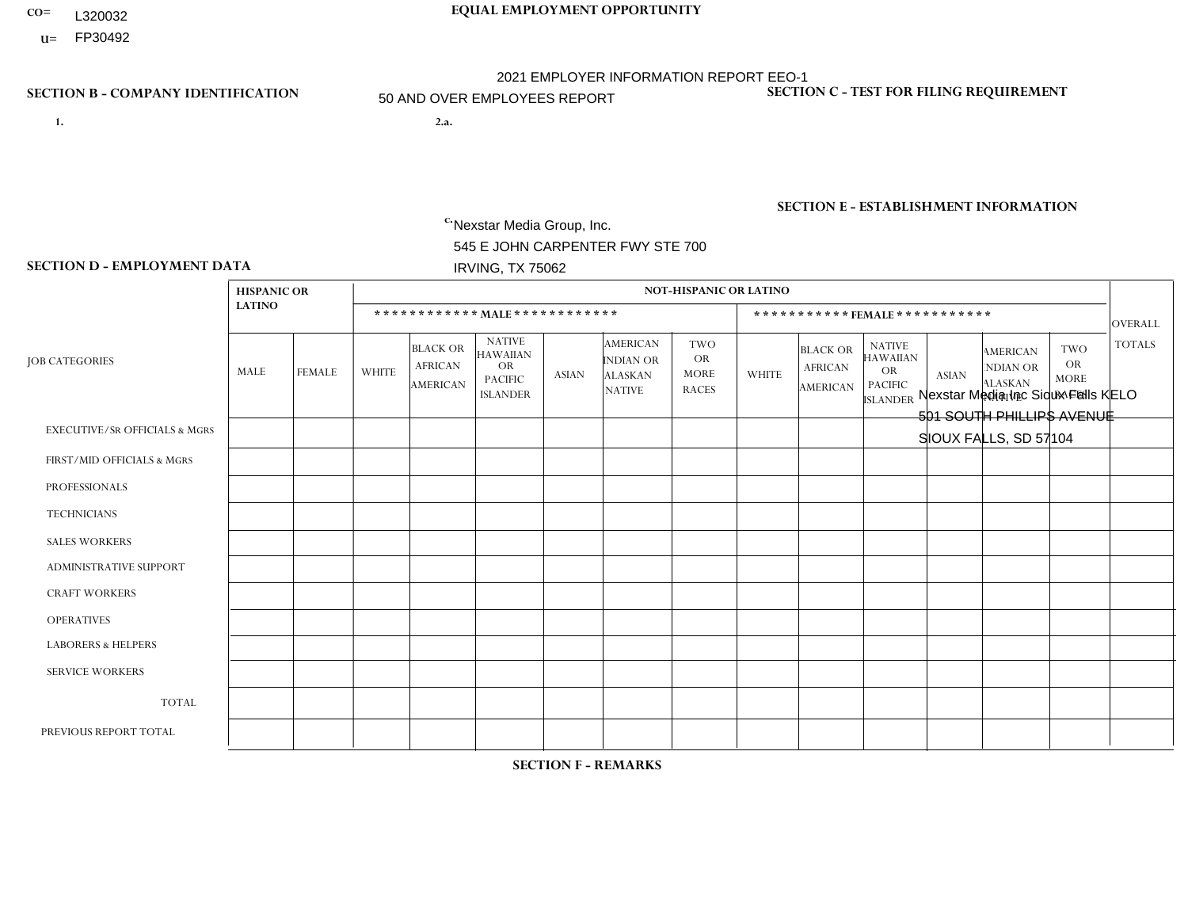- **CO= EQUAL EMPLOYMENT OPPORTUNITY** L320032
- **U=**

- **1. 2.a.** Nexstar Media Group, Inc. 545 E JOHN CARPENTER FWY STE 700 IRVING, TX 75062
- 2.a. Nexstar Media Inc Sioux Falls KELO 501 SOUTH PHILLIPS AVENUE SIOUX FALLS, SD 57104

EIN= 233063152

# **SECTION B - COMPANY IDENTIFICATION SECTION C - TEST FOR FILING REQUIREMENT**

1- Y 2- N 3- Y DUNS= 058168001

**SECTION E - ESTABLISHMENT INFORMATION c.** NAICS: 515120 - Television Broadcasting

### **SECTION D - EMPLOYMENT DATA**

|                                          | <b>HISPANIC OR</b> |                |                |                                                      |                                                                                    |              |                                                                 | <b>NOT-HISPANIC OR LATINO</b>                          |                |                                                      |                                                                                    |              |                                                                       |                                                        |                |
|------------------------------------------|--------------------|----------------|----------------|------------------------------------------------------|------------------------------------------------------------------------------------|--------------|-----------------------------------------------------------------|--------------------------------------------------------|----------------|------------------------------------------------------|------------------------------------------------------------------------------------|--------------|-----------------------------------------------------------------------|--------------------------------------------------------|----------------|
|                                          | <b>LATINO</b>      |                |                |                                                      | ************ MALE ************                                                     |              |                                                                 |                                                        |                |                                                      | ***********FEMALE***********                                                       |              |                                                                       |                                                        | OVERALL        |
| <b>JOB CATEGORIES</b>                    | MALE               | <b>FEMALE</b>  | <b>WHITE</b>   | <b>BLACK OR</b><br><b>AFRICAN</b><br><b>AMERICAN</b> | <b>NATIVE</b><br><b>HAWAIIAN</b><br><b>OR</b><br><b>PACIFIC</b><br><b>ISLANDER</b> | <b>ASIAN</b> | <b>AMERICAN</b><br>INDIAN OR<br><b>ALASKAN</b><br><b>NATIVE</b> | <b>TWO</b><br><b>OR</b><br><b>MORE</b><br><b>RACES</b> | <b>WHITE</b>   | <b>BLACK OR</b><br><b>AFRICAN</b><br><b>AMERICAN</b> | <b>NATIVE</b><br><b>HAWAIIAN</b><br><b>OR</b><br><b>PACIFIC</b><br><b>ISLANDER</b> | <b>ASIAN</b> | <b>AMERICAN</b><br><b>NDIAN OR</b><br><b>ALASKAN</b><br><b>NATIVE</b> | <b>TWO</b><br><b>OR</b><br><b>MORE</b><br><b>RACES</b> | <b>TOTALS</b>  |
| <b>EXECUTIVE/SR OFFICIALS &amp; MGRS</b> | $\Omega$           | $\Omega$       | $\mathbf 0$    | $\mathbf 0$                                          | $\mathbf 0$                                                                        | $\Omega$     | $\Omega$                                                        | $\Omega$                                               | $\Omega$       | $\Omega$                                             | $\mathbf{0}$                                                                       | $\mathbf{0}$ | $\mathbf{0}$                                                          | $\Omega$                                               | $\mathbf{0}$   |
| FIRST/MID OFFICIALS & MGRS               | 0                  | $\mathbf 0$    | $\overline{c}$ | $\mathbf 0$                                          | $\mathbf 0$                                                                        | $\mathbf 0$  | $\Omega$                                                        | $\Omega$                                               | 5              | $\Omega$                                             | $\Omega$                                                                           | $\Omega$     | $\mathbf{0}$                                                          | $\Omega$                                               | $\overline{7}$ |
| <b>PROFESSIONALS</b>                     | 0                  | $\Omega$       | 13             | $\mathbf 0$                                          | $\Omega$                                                                           | $\Omega$     | $\mathbf{0}$                                                    | $\Omega$                                               | 5              | $\Omega$                                             | $\Omega$                                                                           | $\mathbf{0}$ | $\Omega$                                                              | $\mathbf{0}$                                           | 18             |
| <b>TECHNICIANS</b>                       | 0                  | $\overline{2}$ | 36             | $\mathbf{1}$                                         | $\mathbf 0$                                                                        | $\Omega$     | $\overline{1}$                                                  | $\mathbf{1}$                                           | 10             | $\mathbf{1}$                                         | $\Omega$                                                                           | $\Omega$     | $\Omega$                                                              | 1                                                      | 53             |
| <b>SALES WORKERS</b>                     | 0                  | $\Omega$       | 5              | $\mathbf 0$                                          | $\Omega$                                                                           | $\Omega$     | $\mathbf{0}$                                                    | $\Omega$                                               | $\overline{2}$ | $\Omega$                                             | $\Omega$                                                                           | $\mathbf{0}$ | $\Omega$                                                              | $\Omega$                                               | $\overline{7}$ |
| <b>ADMINISTRATIVE SUPPORT</b>            | 0                  | $\Omega$       | $\overline{4}$ | $\mathbf 0$                                          | $\mathbf 0$                                                                        | $\Omega$     | $\Omega$                                                        | $\Omega$                                               | 5              | $\Omega$                                             | $\Omega$                                                                           | $\Omega$     | $\mathbf{0}$                                                          | $\Omega$                                               | 9              |
| <b>CRAFT WORKERS</b>                     | 0                  | $\Omega$       | $\mathbf 0$    | $\mathbf 0$                                          | $\Omega$                                                                           | $\Omega$     | $\Omega$                                                        | $\Omega$                                               | $\Omega$       | $\Omega$                                             | $\Omega$                                                                           | $\Omega$     | $\Omega$                                                              | $\Omega$                                               | $\mathbf{0}$   |
| <b>OPERATIVES</b>                        | 0                  | $\Omega$       | $\mathbf 0$    | $\mathbf 0$                                          | $\mathbf 0$                                                                        | $\mathbf 0$  | $\Omega$                                                        | $\Omega$                                               | $\Omega$       | $\Omega$                                             | $\mathbf{0}$                                                                       | $\mathbf{0}$ | $\Omega$                                                              | $\mathbf{0}$                                           | $\mathbf{0}$   |
| <b>LABORERS &amp; HELPERS</b>            | 0                  | $\Omega$       | $\mathbf 0$    | $\mathbf 0$                                          | $\mathbf 0$                                                                        | $\mathbf 0$  | $\Omega$                                                        | $\Omega$                                               | $\Omega$       | $\Omega$                                             | $\mathbf{0}$                                                                       | $\mathbf{0}$ | $\Omega$                                                              | $\Omega$                                               | $\mathbf 0$    |
| <b>SERVICE WORKERS</b>                   | 0                  | $\Omega$       | $\mathbf 0$    | $\mathbf 0$                                          | $\mathbf 0$                                                                        | $\mathbf{0}$ | $\Omega$                                                        | $\Omega$                                               | $\Omega$       | $\Omega$                                             | $\Omega$                                                                           | $\mathbf{0}$ | $\mathbf{0}$                                                          | $\mathbf{0}$                                           | $\mathbf{0}$   |
| <b>TOTAL</b>                             | $\mathbf 0$        | $\overline{2}$ | 60             | $\mathbf{1}$                                         | $\mathbf 0$                                                                        | $\mathbf{0}$ | $\overline{\mathbf{1}}$                                         | 1                                                      | 27             | $\mathbf{1}$                                         | $\Omega$                                                                           | $\mathbf 0$  | $\Omega$                                                              | $\mathbf{1}$                                           | 94             |
| PREVIOUS REPORT TOTAL                    | 0                  | $\mathbf{1}$   | 61             | $\mathbf{1}$                                         | $\mathbf 0$                                                                        | $\mathbf{0}$ |                                                                 | $\overline{2}$                                         | 30             | $\mathbf{1}$                                         | $\Omega$                                                                           | $\Omega$     | $\Omega$                                                              | 1                                                      | 98             |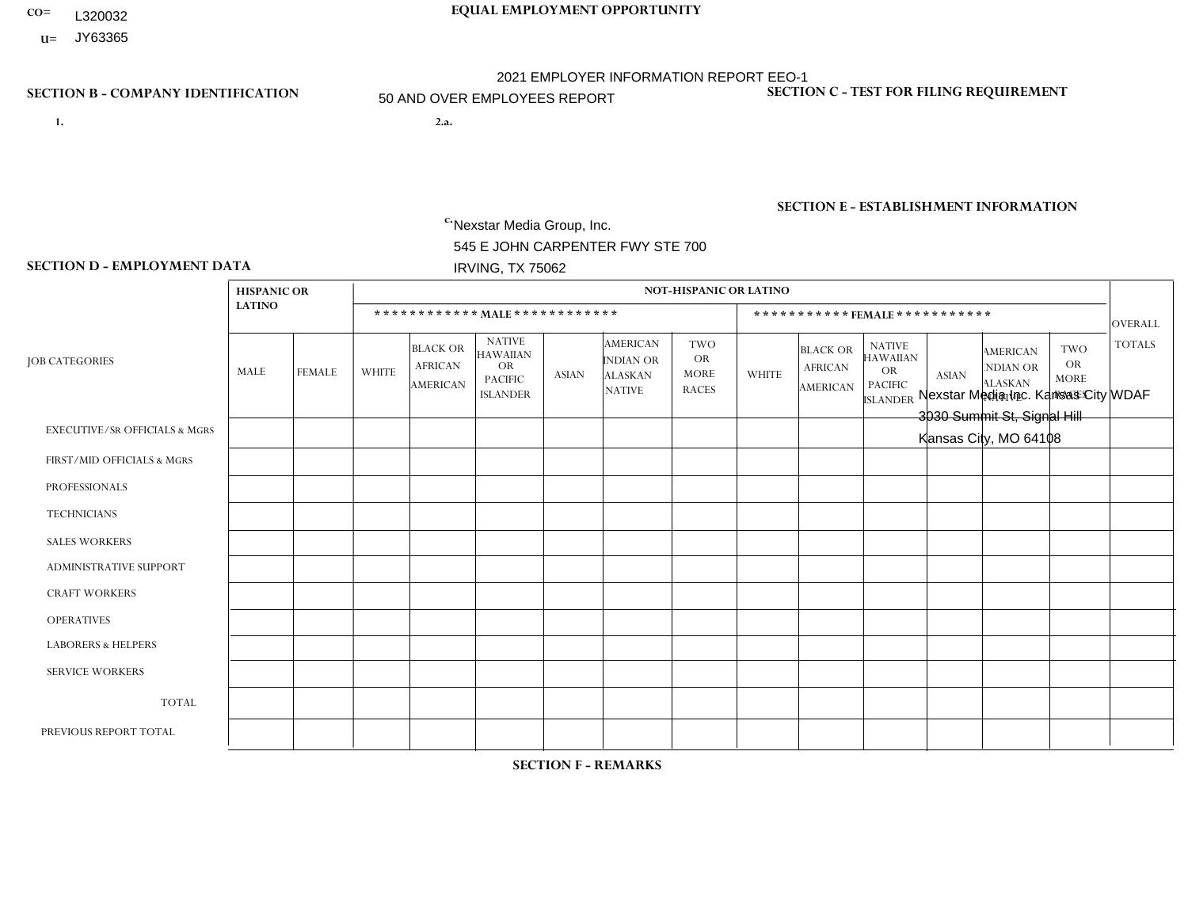- **CO= EQUAL EMPLOYMENT OPPORTUNITY** L320032
- **U=** JY63365

- **1. 2.a.** Nexstar Media Group, Inc. 545 E JOHN CARPENTER FWY STE 700 IRVING, TX 75062
- 2.a. Nexstar Media Inc. Kansas City WDAF 3030 Summit St, Signal Hill Kansas City, MO 64108

EIN= 133771990

# **SECTION B - COMPANY IDENTIFICATION SECTION C - TEST FOR FILING REQUIREMENT**

1- Y 2- N 3- Y DUNS= 058168001

**SECTION E - ESTABLISHMENT INFORMATION c.** NAICS: 515120 - Television Broadcasting

### **SECTION D - EMPLOYMENT DATA**

|                                          | <b>HISPANIC OR</b> |                |              |                                                      |                                                                             |              |                                                                 | <b>NOT-HISPANIC OR LATINO</b>                          |                |                                                      |                                                                                    |              |                                                                       |                                                        |                |
|------------------------------------------|--------------------|----------------|--------------|------------------------------------------------------|-----------------------------------------------------------------------------|--------------|-----------------------------------------------------------------|--------------------------------------------------------|----------------|------------------------------------------------------|------------------------------------------------------------------------------------|--------------|-----------------------------------------------------------------------|--------------------------------------------------------|----------------|
|                                          | <b>LATINO</b>      |                |              |                                                      | ************ MALE************                                               |              |                                                                 |                                                        |                |                                                      | ***********FEMALE ***********                                                      |              |                                                                       |                                                        | <b>OVERALL</b> |
| <b>JOB CATEGORIES</b>                    | MALE               | <b>FEMALE</b>  | <b>WHITE</b> | <b>BLACK OR</b><br><b>AFRICAN</b><br><b>AMERICAN</b> | <b>NATIVE</b><br><b>HAWAIIAN</b><br>OR<br><b>PACIFIC</b><br><b>ISLANDER</b> | <b>ASIAN</b> | <b>AMERICAN</b><br>INDIAN OR<br><b>ALASKAN</b><br><b>NATIVE</b> | <b>TWO</b><br><b>OR</b><br><b>MORE</b><br><b>RACES</b> | <b>WHITE</b>   | <b>BLACK OR</b><br><b>AFRICAN</b><br><b>AMERICAN</b> | <b>NATIVE</b><br><b>HAWAIIAN</b><br><b>OR</b><br><b>PACIFIC</b><br><b>ISLANDER</b> | <b>ASIAN</b> | <b>AMERICAN</b><br><b>NDIAN OR</b><br><b>ALASKAN</b><br><b>NATIVE</b> | <b>TWO</b><br><b>OR</b><br><b>MORE</b><br><b>RACES</b> | <b>TOTALS</b>  |
| <b>EXECUTIVE/SR OFFICIALS &amp; MGRS</b> | $\mathbf 0$        | $\mathbf 0$    | $\mathbf 0$  | $\mathbf 0$                                          | $\mathbf 0$                                                                 | $\mathbf 0$  | $\Omega$                                                        | $\mathbf{0}$                                           |                | $\Omega$                                             | $\Omega$                                                                           | $\mathbf 0$  | $\Omega$                                                              | $\Omega$                                               |                |
| FIRST/MID OFFICIALS & MGRS               |                    | $\mathbf{1}$   | 12           | $\mathbf 0$                                          | $\mathbf 0$                                                                 | $\mathbf 0$  | $\Omega$                                                        | $\Omega$                                               | 8              | $\Omega$                                             | $\Omega$                                                                           | $\Omega$     | $\mathbf{0}$                                                          | $\Omega$                                               | 22             |
| <b>PROFESSIONALS</b>                     | 3                  | $\overline{2}$ | 31           | 3                                                    | $\Omega$                                                                    | $\Omega$     | $\Omega$                                                        | $\overline{2}$                                         | 19             | 5                                                    | $\Omega$                                                                           | $\Omega$     | $\Omega$                                                              | $\mathbf{0}$                                           | 65             |
| <b>TECHNICIANS</b>                       | 1                  | $\overline{2}$ | 24           | $\mathfrak{S}$                                       | $\mathbf{1}$                                                                | $\mathbf{1}$ | $\Omega$                                                        | $\Omega$                                               | 10             | $\mathbf{1}$                                         | $\Omega$                                                                           | $\mathbf 0$  | $\Omega$                                                              | $\Omega$                                               | 43             |
| <b>SALES WORKERS</b>                     | $\Omega$           | $\mathbf 0$    | 5            | $\mathbf 0$                                          | $\mathbf 0$                                                                 | $\Omega$     | $\Omega$                                                        | $\Omega$                                               | $\overline{7}$ | $\Omega$                                             | $\mathbf{0}$                                                                       | $\Omega$     | $\mathbf{0}$                                                          | 1                                                      | 13             |
| <b>ADMINISTRATIVE SUPPORT</b>            |                    | $\mathbf{1}$   | $\mathbf 0$  | 1                                                    | $\mathbf 0$                                                                 | $\mathbf 0$  | $\Omega$                                                        | $\Omega$                                               | 6              | 1                                                    | $\Omega$                                                                           | $\mathbf{0}$ | $\Omega$                                                              | 0                                                      | 10             |
| <b>CRAFT WORKERS</b>                     | 0                  | $\Omega$       | $\mathbf 0$  | $\mathbf 0$                                          | $\Omega$                                                                    | $\Omega$     | $\Omega$                                                        | $\Omega$                                               | $\Omega$       | $\Omega$                                             | $\Omega$                                                                           | $\Omega$     | $\Omega$                                                              | $\mathbf{0}$                                           | $\mathbf{0}$   |
| <b>OPERATIVES</b>                        | 0                  | $\Omega$       | $\mathbf 0$  | $\mathbf 0$                                          | $\mathbf 0$                                                                 | $\Omega$     | $\Omega$                                                        | $\Omega$                                               | $\Omega$       | $\Omega$                                             | $\Omega$                                                                           | $\Omega$     | $\Omega$                                                              | $\Omega$                                               | $\mathbf{0}$   |
| <b>LABORERS &amp; HELPERS</b>            | 0                  | $\Omega$       | $\mathbf 0$  | $\mathbf 0$                                          | $\mathbf 0$                                                                 | $\Omega$     | $\Omega$                                                        | $\Omega$                                               | $\Omega$       | $\Omega$                                             | $\mathbf{0}$                                                                       | $\mathbf{0}$ | $\Omega$                                                              | $\Omega$                                               | $\mathbf 0$    |
| <b>SERVICE WORKERS</b>                   | 0                  | $\mathbf{0}$   | $\mathbf 0$  | $\mathbf 0$                                          | $\mathbf 0$                                                                 | $\mathbf{0}$ | $\Omega$                                                        | $\Omega$                                               | $\Omega$       | $\Omega$                                             | $\Omega$                                                                           | $\Omega$     | $\mathbf 0$                                                           | $\mathbf 0$                                            | $\mathbf{0}$   |
| <b>TOTAL</b>                             | 6                  | 6              | 72           | $\overline{7}$                                       | 1                                                                           | $\mathbf{1}$ | $\Omega$                                                        | $\overline{2}$                                         | 51             | $\overline{7}$                                       | $\Omega$                                                                           | $\mathbf 0$  | $\Omega$                                                              | $\mathbf{1}$                                           | 154            |
| PREVIOUS REPORT TOTAL                    | $\overline{7}$     | 3              | 80           | 5                                                    | $\mathbf{1}$                                                                | $\mathbf{1}$ | $\Omega$                                                        | 1                                                      | 49             | 10                                                   | $\Omega$                                                                           | $\Omega$     | $\mathbf{0}$                                                          | $\Omega$                                               | 157            |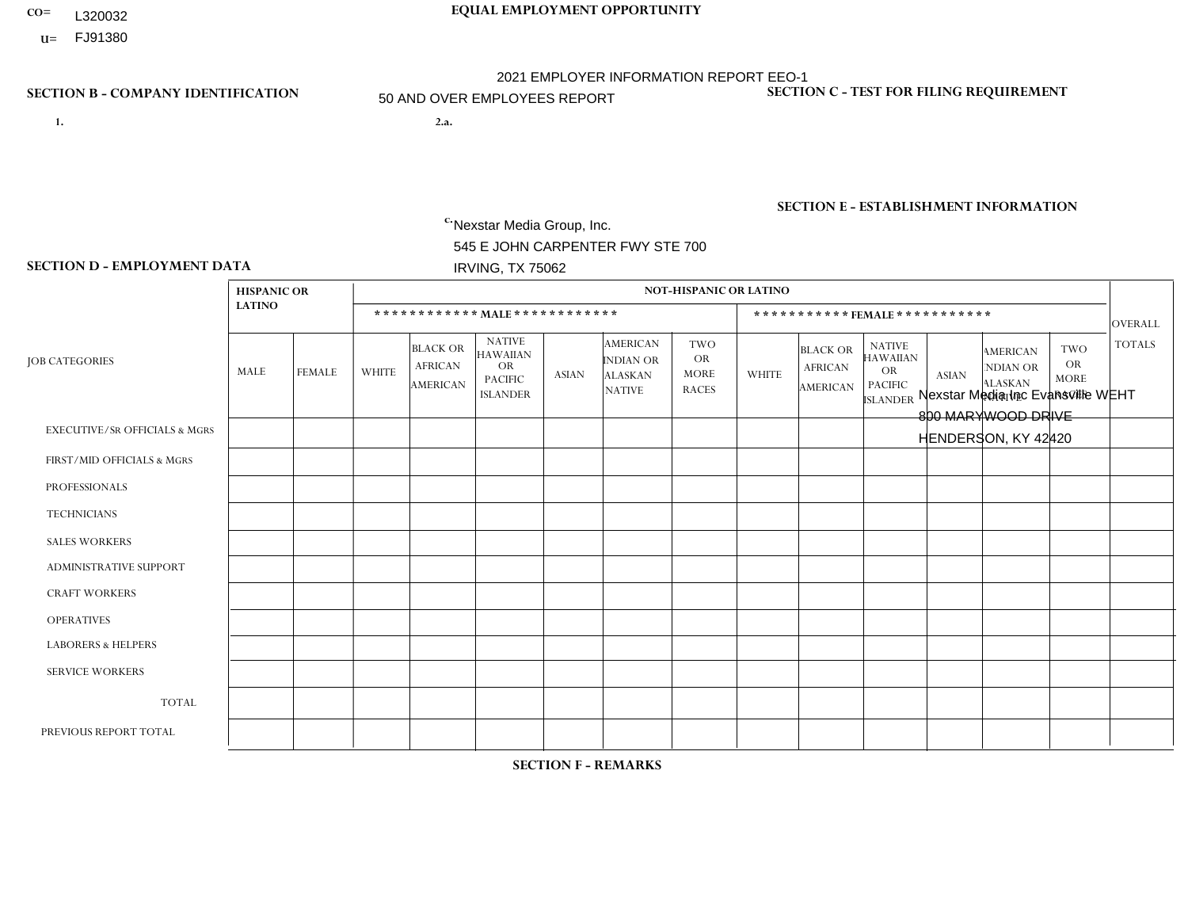- **CO= EQUAL EMPLOYMENT OPPORTUNITY** L320032
	- **U=**

- **1. 2.a.** Nexstar Media Group, Inc. 545 E JOHN CARPENTER FWY STE 700 IRVING, TX 75062
- 2.a. Nexstar Media Inc Evansville WEHT 800 MARYWOOD DRIVE HENDERSON, KY 42420

EIN= 233063152

# **SECTION B - COMPANY IDENTIFICATION SECTION C - TEST FOR FILING REQUIREMENT**

1- Y 2- N 3- Y DUNS= 058168001

**SECTION E - ESTABLISHMENT INFORMATION c.** NAICS: 515120 - Television Broadcasting

### **SECTION D - EMPLOYMENT DATA**

|                                          | <b>HISPANIC OR</b> |              |                 |                                                      |                                                                                    |              |                                                                 | <b>NOT-HISPANIC OR LATINO</b>                          |              |                                                      |                                                                                    |              |                                                                       |                                                        |                |
|------------------------------------------|--------------------|--------------|-----------------|------------------------------------------------------|------------------------------------------------------------------------------------|--------------|-----------------------------------------------------------------|--------------------------------------------------------|--------------|------------------------------------------------------|------------------------------------------------------------------------------------|--------------|-----------------------------------------------------------------------|--------------------------------------------------------|----------------|
|                                          | <b>LATINO</b>      |              |                 |                                                      | ************ MALE************                                                      |              |                                                                 |                                                        |              |                                                      | *********** FEMALE ***********                                                     |              |                                                                       |                                                        | <b>OVERALL</b> |
| <b>JOB CATEGORIES</b>                    | MALE               | FEMALE       | <b>WHITE</b>    | <b>BLACK OR</b><br><b>AFRICAN</b><br><b>AMERICAN</b> | <b>NATIVE</b><br><b>HAWAIIAN</b><br><b>OR</b><br><b>PACIFIC</b><br><b>ISLANDER</b> | <b>ASIAN</b> | <b>AMERICAN</b><br>INDIAN OR<br><b>ALASKAN</b><br><b>NATIVE</b> | <b>TWO</b><br><b>OR</b><br><b>MORE</b><br><b>RACES</b> | <b>WHITE</b> | <b>BLACK OR</b><br><b>AFRICAN</b><br><b>AMERICAN</b> | <b>NATIVE</b><br><b>HAWAIIAN</b><br><b>OR</b><br><b>PACIFIC</b><br><b>ISLANDER</b> | <b>ASIAN</b> | <b>AMERICAN</b><br><b>NDIAN OR</b><br><b>ALASKAN</b><br><b>NATIVE</b> | <b>TWO</b><br><b>OR</b><br><b>MORE</b><br><b>RACES</b> | <b>TOTALS</b>  |
| <b>EXECUTIVE/SR OFFICIALS &amp; MGRS</b> | 0                  | $\Omega$     | $\mathbf 0$     | $\mathbf 0$                                          | $\Omega$                                                                           | $\Omega$     | $\mathbf{0}$                                                    | $\Omega$                                               | $\Omega$     | $\Omega$                                             | $\mathbf{0}$                                                                       | $\Omega$     | $\mathbf{0}$                                                          | $\Omega$                                               | $\Omega$       |
| FIRST/MID OFFICIALS & MGRS               | 0                  | $\mathbf 0$  | $5\phantom{.0}$ | $\mathbf 0$                                          | $\mathbf 0$                                                                        | $\mathbf 0$  | $\Omega$                                                        | $\Omega$                                               |              | $\Omega$                                             | $\Omega$                                                                           | $\mathbf{0}$ | $\mathbf{0}$                                                          | $\Omega$                                               | 6              |
| <b>PROFESSIONALS</b>                     | 0                  | $\mathbf 0$  | 5               | $\mathbf 0$                                          | $\mathbf 0$                                                                        | $\mathbf 0$  | $\Omega$                                                        | $\Omega$                                               | 4            | $\Omega$                                             | $\Omega$                                                                           | $\mathbf 0$  | $\Omega$                                                              | $\Omega$                                               | 9              |
| <b>TECHNICIANS</b>                       | 0                  | $\mathbf 0$  | 34              | $\mathbf{1}$                                         | $\mathbf 0$                                                                        | $\Omega$     | $\mathbf{0}$                                                    | $\Omega$                                               | 14           | $\mathbf{1}$                                         | $\Omega$                                                                           | $\Omega$     | $\Omega$                                                              | 1                                                      | 51             |
| <b>SALES WORKERS</b>                     | 0                  | $\Omega$     | $\overline{c}$  | $\mathbf{1}$                                         | $\Omega$                                                                           | $\Omega$     | $\Omega$                                                        | $\Omega$                                               | 6            | $\mathbf{1}$                                         | $\Omega$                                                                           | $\mathbf{0}$ | $\Omega$                                                              | $\Omega$                                               | 10             |
| <b>ADMINISTRATIVE SUPPORT</b>            | 0                  | $\mathbf 0$  | 5               | $\mathbf 0$                                          | $\mathbf 0$                                                                        | $\mathbf{0}$ | $\Omega$                                                        | $\Omega$                                               | 3            | $\Omega$                                             | $\Omega$                                                                           | $\Omega$     | $\Omega$                                                              | $\mathbf{0}$                                           | 8              |
| <b>CRAFT WORKERS</b>                     | 0                  | $\Omega$     | $\mathbf 0$     | $\mathbf 0$                                          | $\Omega$                                                                           | $\Omega$     | $\Omega$                                                        | $\Omega$                                               | $\Omega$     | $\Omega$                                             | $\Omega$                                                                           | $\Omega$     | $\Omega$                                                              | $\Omega$                                               | $\Omega$       |
| <b>OPERATIVES</b>                        | 0                  | $\Omega$     | $\mathbf 0$     | $\mathbf 0$                                          | $\mathbf 0$                                                                        | $\Omega$     | $\Omega$                                                        | $\Omega$                                               | $\Omega$     | $\Omega$                                             | $\Omega$                                                                           | $\Omega$     | $\mathbf{0}$                                                          | $\Omega$                                               | $\mathbf{0}$   |
| <b>LABORERS &amp; HELPERS</b>            | 0                  | $\Omega$     | $\mathbf 0$     | $\mathbf 0$                                          | $\mathbf 0$                                                                        | $\Omega$     | $\Omega$                                                        | $\Omega$                                               | $\Omega$     | $\Omega$                                             | $\Omega$                                                                           | $\Omega$     | $\Omega$                                                              | $\Omega$                                               | $\mathbf{0}$   |
| <b>SERVICE WORKERS</b>                   | 0                  | $\mathbf{0}$ | $\mathbf 0$     | $\mathbf 0$                                          | $\mathbf{0}$                                                                       | $\mathbf{0}$ | $\Omega$                                                        | $\Omega$                                               | $\Omega$     | $\Omega$                                             | $\Omega$                                                                           | $\Omega$     | $\mathbf{0}$                                                          | $\Omega$                                               | $\mathbf{0}$   |
| <b>TOTAL</b>                             | $\mathbf 0$        | 0            | 51              | $\overline{c}$                                       | $\mathbf 0$                                                                        | $\mathbf{0}$ | $\Omega$                                                        | $\Omega$                                               | 28           | $\overline{2}$                                       | $\mathbf 0$                                                                        | $\mathbf 0$  | $\mathbf 0$                                                           | 1                                                      | 84             |
| PREVIOUS REPORT TOTAL                    | 0                  | $\mathbf 0$  | 53              | 3                                                    | $\mathbf 0$                                                                        | $\mathbf{1}$ | $\mathbf{0}$                                                    | 1                                                      | 32           | $\overline{2}$                                       | $\Omega$                                                                           | $\Omega$     |                                                                       | $\Omega$                                               | 93             |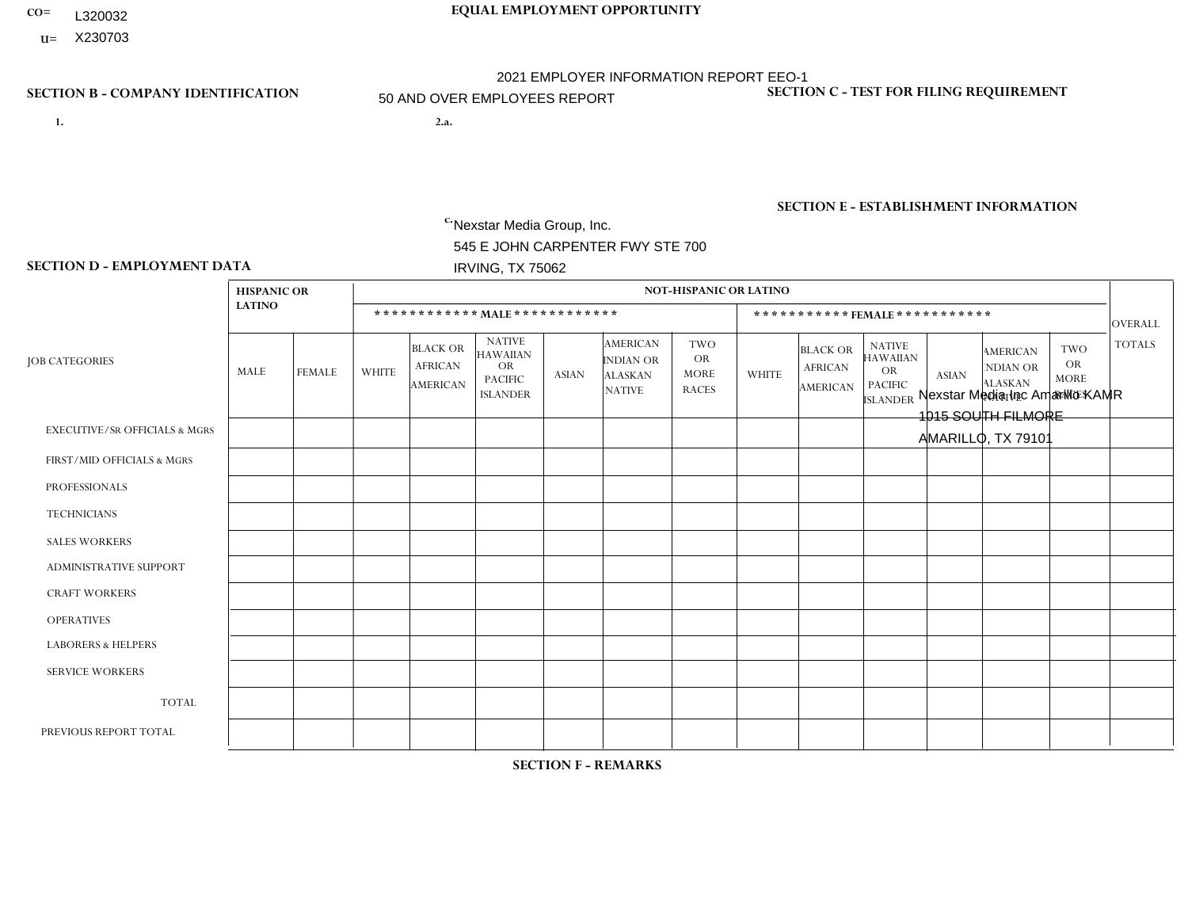- **CO= EQUAL EMPLOYMENT OPPORTUNITY** L320032
	- **U=**

- **1. 2.a.** Nexstar Media Group, Inc. 545 E JOHN CARPENTER FWY STE 700 IRVING, TX 75062
- 2.a. Nexstar Media Inc Amarillo KAMR 1015 SOUTH FILMORE AMARILLO, TX 79101

EIN= 233063152

# **SECTION B - COMPANY IDENTIFICATION SECTION C - TEST FOR FILING REQUIREMENT**

1- Y 2- N 3- Y DUNS= 058168001

**SECTION E - ESTABLISHMENT INFORMATION c.** NAICS: 515120 - Television Broadcasting

### **SECTION D - EMPLOYMENT DATA**

|                                          | <b>HISPANIC OR</b> |                |                |                                               |                                                                                    |              |                                                                        | <b>NOT-HISPANIC OR LATINO</b>                          |                |                                               |                                                                                    |                         |                                                                       |                                                        |                |
|------------------------------------------|--------------------|----------------|----------------|-----------------------------------------------|------------------------------------------------------------------------------------|--------------|------------------------------------------------------------------------|--------------------------------------------------------|----------------|-----------------------------------------------|------------------------------------------------------------------------------------|-------------------------|-----------------------------------------------------------------------|--------------------------------------------------------|----------------|
|                                          | <b>LATINO</b>      |                |                |                                               |                                                                                    |              |                                                                        |                                                        |                |                                               | *********** FEMALE ***********                                                     |                         |                                                                       |                                                        | <b>OVERALL</b> |
| <b>JOB CATEGORIES</b>                    | MALE               | <b>FEMALE</b>  | <b>WHITE</b>   | <b>BLACK OR</b><br><b>AFRICAN</b><br>AMERICAN | <b>NATIVE</b><br><b>HAWAIIAN</b><br><b>OR</b><br><b>PACIFIC</b><br><b>ISLANDER</b> | <b>ASIAN</b> | <b>AMERICAN</b><br><b>INDIAN OR</b><br><b>ALASKAN</b><br><b>NATIVE</b> | <b>TWO</b><br><b>OR</b><br><b>MORE</b><br><b>RACES</b> | <b>WHITE</b>   | <b>BLACK OR</b><br><b>AFRICAN</b><br>AMERICAN | <b>NATIVE</b><br><b>HAWAIIAN</b><br><b>OR</b><br><b>PACIFIC</b><br><b>ISLANDER</b> | <b>ASIAN</b>            | <b>AMERICAN</b><br><b>NDIAN OR</b><br><b>ALASKAN</b><br><b>NATIVE</b> | <b>TWO</b><br><b>OR</b><br><b>MORE</b><br><b>RACES</b> | <b>TOTALS</b>  |
| <b>EXECUTIVE/SR OFFICIALS &amp; MGRS</b> | $\Omega$           | $\mathbf 0$    | $\mathbf 0$    | 0                                             | $\Omega$                                                                           | $\Omega$     | $\Omega$                                                               | $\Omega$                                               | $\Omega$       | $\Omega$                                      | $\Omega$                                                                           | $\Omega$                | $\Omega$                                                              | $\Omega$                                               | $\mathbf 0$    |
| FIRST/MID OFFICIALS & MGRS               | $\mathbf{0}$       | 1              | $\overline{c}$ | $\mathbf 0$                                   | $\mathbf{0}$                                                                       | $\Omega$     | $\Omega$                                                               | $\Omega$                                               | 2              | $\Omega$                                      | $\Omega$                                                                           | $\Omega$                | $\Omega$                                                              | $\Omega$                                               | 5              |
| <b>PROFESSIONALS</b>                     | $\mathbf 0$        | 3              | 8              | $\mathbf{1}$                                  | $\Omega$                                                                           | $\Omega$     | $\Omega$                                                               | $\Omega$                                               | 3              | 0                                             | 0                                                                                  |                         | 0                                                                     | $\mathbf 0$                                            | 16             |
| <b>TECHNICIANS</b>                       | 6                  | $\overline{2}$ | 13             | $\mathbf 0$                                   | $\Omega$                                                                           | 1            | $\Omega$                                                               |                                                        | 6              | 0                                             | $\mathbf 0$                                                                        | $\overline{ }$          | $\Omega$                                                              | $\Omega$                                               | 30             |
| <b>SALES WORKERS</b>                     | $\mathbf 0$        | $\mathbf{1}$   | $\overline{1}$ | 0                                             | $\Omega$                                                                           | $\Omega$     | $\Omega$                                                               | $\Omega$                                               | $\overline{2}$ | $\Omega$                                      | $\Omega$                                                                           | $\overline{2}$          | $\Omega$                                                              | $\Omega$                                               | 6              |
| ADMINISTRATIVE SUPPORT                   | 2                  | 1              | $\mathbf{1}$   | $\mathbf 0$                                   | $\Omega$                                                                           | $\Omega$     | $\Omega$                                                               | $\Omega$                                               | $\overline{2}$ | $\overline{1}$                                | $\Omega$                                                                           | $\Omega$                | $\Omega$                                                              | $\Omega$                                               | $\overline{7}$ |
| <b>CRAFT WORKERS</b>                     | $\mathbf{0}$       | $\Omega$       | $\mathbf 0$    | 0                                             | $\Omega$                                                                           | $\Omega$     | $\Omega$                                                               | $\Omega$                                               | $\Omega$       | $\Omega$                                      | $\Omega$                                                                           | $\Omega$                | $\Omega$                                                              | $\Omega$                                               | $\mathbf 0$    |
| <b>OPERATIVES</b>                        | 0                  | $\mathbf{0}$   | $\mathbf 0$    | $\mathbf 0$                                   | $\Omega$                                                                           | $\Omega$     | $\Omega$                                                               | $\Omega$                                               | $\Omega$       | $\Omega$                                      | $\Omega$                                                                           | $\Omega$                | $\Omega$                                                              | $\Omega$                                               | $\mathbf 0$    |
| <b>LABORERS &amp; HELPERS</b>            | $\mathbf{0}$       | $\overline{0}$ | $\mathbf 0$    | $\mathbf 0$                                   | $\Omega$                                                                           | $\Omega$     | $\Omega$                                                               | $\Omega$                                               | $\Omega$       | $\Omega$                                      | $\Omega$                                                                           | $\Omega$                | $\Omega$                                                              | $\Omega$                                               | 0              |
| <b>SERVICE WORKERS</b>                   | $\mathbf{0}$       | $\mathbf{0}$   | $\mathbf 0$    | $\mathbf 0$                                   | $\Omega$                                                                           | $\Omega$     | $\Omega$                                                               | $\Omega$                                               | $\Omega$       | $\Omega$                                      | $\Omega$                                                                           | $\Omega$                | $\Omega$                                                              | $\Omega$                                               | 0              |
| <b>TOTAL</b>                             | 8                  | 8              | 25             | $\mathbf{1}$                                  | $\Omega$                                                                           |              | $\Omega$                                                               |                                                        | 15             | $\blacktriangleleft$                          | $\Omega$                                                                           | 4                       | $\Omega$                                                              | $\Omega$                                               | 64             |
| PREVIOUS REPORT TOTAL                    | 9                  | 8              | 27             | $\mathbf{1}$                                  | $\Omega$                                                                           | -1           | $\Omega$                                                               |                                                        | 13             | 3                                             | 0                                                                                  | $\overline{\mathbf{A}}$ | $\Omega$                                                              | 0                                                      | 64             |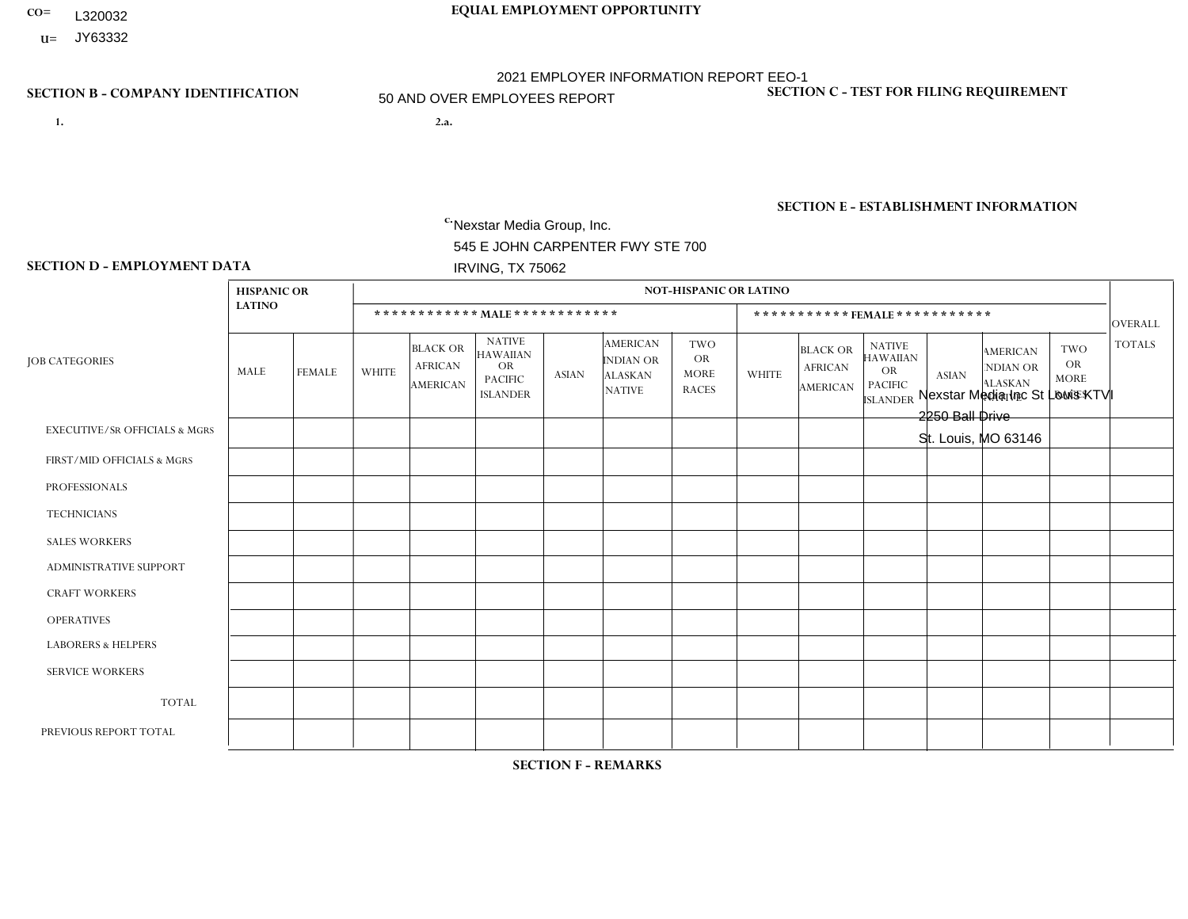- **CO= EQUAL EMPLOYMENT OPPORTUNITY** L320032
- **U=**

**1. 2.a.** Nexstar Media Group, Inc. 545 E JOHN CARPENTER FWY STE 700 IRVING, TX 75062

2.a. Nexstar Media Inc St Louis KTVI 2250 Ball Drive St. Louis, MO 63146

2021 EMPLOYER INFORMATION REPORT EEO-1 50 AND OVER EMPLOYEES REPORT

EIN= 364766010

# **SECTION B - COMPANY IDENTIFICATION SECTION C - TEST FOR FILING REQUIREMENT**

1- Y 2- N 3- Y DUNS= 058168001

# **SECTION E - ESTABLISHMENT INFORMATION c.** NAICS: 515120 - Television Broadcasting

### **SECTION D - EMPLOYMENT DATA**

|                                          | <b>HISPANIC OR</b> |                |              |                                                      |                                                                                    |              |                                                                 | <b>NOT-HISPANIC OR LATINO</b>                          |                |                                                      |                                                                                    |                |                                                                       |                                                        |                |
|------------------------------------------|--------------------|----------------|--------------|------------------------------------------------------|------------------------------------------------------------------------------------|--------------|-----------------------------------------------------------------|--------------------------------------------------------|----------------|------------------------------------------------------|------------------------------------------------------------------------------------|----------------|-----------------------------------------------------------------------|--------------------------------------------------------|----------------|
|                                          | <b>LATINO</b>      |                |              |                                                      | ************ MALE *************                                                    |              |                                                                 |                                                        |                |                                                      | *********** FEMALE ***********                                                     |                |                                                                       |                                                        | <b>OVERALL</b> |
| <b>JOB CATEGORIES</b>                    | MALE               | <b>FEMALE</b>  | <b>WHITE</b> | <b>BLACK OR</b><br><b>AFRICAN</b><br><b>AMERICAN</b> | <b>NATIVE</b><br><b>HAWAIIAN</b><br><b>OR</b><br><b>PACIFIC</b><br><b>ISLANDER</b> | <b>ASIAN</b> | <b>AMERICAN</b><br>INDIAN OR<br><b>ALASKAN</b><br><b>NATIVE</b> | <b>TWO</b><br><b>OR</b><br><b>MORE</b><br><b>RACES</b> | <b>WHITE</b>   | <b>BLACK OR</b><br><b>AFRICAN</b><br><b>AMERICAN</b> | <b>NATIVE</b><br><b>HAWAIIAN</b><br><b>OR</b><br><b>PACIFIC</b><br><b>ISLANDER</b> | <b>ASIAN</b>   | <b>AMERICAN</b><br><b>NDIAN OR</b><br><b>ALASKAN</b><br><b>NATIVE</b> | <b>TWO</b><br><b>OR</b><br><b>MORE</b><br><b>RACES</b> | <b>TOTALS</b>  |
| <b>EXECUTIVE/SR OFFICIALS &amp; MGRS</b> | $\Omega$           | $\Omega$       | 1            | $\Omega$                                             | $\Omega$                                                                           | $\Omega$     | $\mathbf{0}$                                                    | $\Omega$                                               | $\Omega$       | $\Omega$                                             | $\mathbf{0}$                                                                       | $\Omega$       | $\mathbf{0}$                                                          | $\Omega$                                               |                |
| FIRST/MID OFFICIALS & MGRS               | 0                  | $\mathbf 0$    | 6            | $\mathbf{1}$                                         | $\mathbf 0$                                                                        | $\mathbf 0$  | $\mathbf{0}$                                                    | 1                                                      | 11             | 1                                                    | $\mathbf{0}$                                                                       | 1              | $\mathbf{0}$                                                          | $\Omega$                                               | 21             |
| <b>PROFESSIONALS</b>                     | 2                  | $\mathbf 0$    | 51           | 9                                                    | $\mathbf 0$                                                                        | $\Omega$     | $\overline{\mathbf{1}}$                                         | 1                                                      | 31             | 11                                                   | $\Omega$                                                                           | 1              | $\Omega$                                                              | 1                                                      | 108            |
| <b>TECHNICIANS</b>                       | $\mathbf{1}$       | $\overline{0}$ | 17           | 6                                                    | $\mathbf 0$                                                                        | $\mathbf 0$  | $\mathbf{0}$                                                    | $\Omega$                                               | $\overline{4}$ | $\overline{4}$                                       | $\mathbf 0$                                                                        | $\mathbf{1}$   | $\mathbf 0$                                                           | $\mathbf{0}$                                           | 33             |
| <b>SALES WORKERS</b>                     | 0                  | $\Omega$       | $\mathbf 0$  | $\mathbf 0$                                          | $\Omega$                                                                           | $\Omega$     | $\mathbf{0}$                                                    | $\Omega$                                               |                | $\Omega$                                             | $\Omega$                                                                           | $\Omega$       | $\Omega$                                                              | $\Omega$                                               | $\mathbf{1}$   |
| <b>ADMINISTRATIVE SUPPORT</b>            | 0                  | $\mathbf 0$    | $\mathbf 0$  | $\mathbf 0$                                          | $\mathbf 0$                                                                        | $\mathbf 0$  | $\Omega$                                                        | $\Omega$                                               | $\overline{2}$ | $\Omega$                                             | $\Omega$                                                                           | $\Omega$       | $\mathbf{0}$                                                          | $\Omega$                                               | $\overline{2}$ |
| <b>CRAFT WORKERS</b>                     | 0                  | $\Omega$       | $\mathbf 0$  | $\mathbf 0$                                          | $\Omega$                                                                           | $\Omega$     | $\Omega$                                                        | $\Omega$                                               | $\Omega$       | $\Omega$                                             | $\Omega$                                                                           | $\Omega$       | $\Omega$                                                              | $\Omega$                                               | $\Omega$       |
| <b>OPERATIVES</b>                        | 0                  | $\Omega$       | $\mathbf 0$  | $\Omega$                                             | $\Omega$                                                                           | $\Omega$     | $\Omega$                                                        | $\Omega$                                               | $\Omega$       | $\Omega$                                             | $\Omega$                                                                           | $\mathbf{0}$   | $\Omega$                                                              | $\Omega$                                               | $\mathbf{0}$   |
| <b>LABORERS &amp; HELPERS</b>            | 0                  | $\Omega$       | $\mathbf 0$  | $\mathbf 0$                                          | $\mathbf 0$                                                                        | $\mathbf 0$  | $\Omega$                                                        | $\Omega$                                               | $\Omega$       | $\Omega$                                             | $\Omega$                                                                           | $\Omega$       | $\Omega$                                                              | $\mathbf{0}$                                           | $\mathbf 0$    |
| <b>SERVICE WORKERS</b>                   | 0                  | $\mathbf 0$    | $\mathbf 0$  | 0                                                    | $\mathbf 0$                                                                        | $\mathbf 0$  | $\Omega$                                                        | $\Omega$                                               | $\Omega$       | $\Omega$                                             | $\Omega$                                                                           | $\Omega$       | $\Omega$                                                              | $\mathbf{0}$                                           | $\mathbf{0}$   |
| <b>TOTAL</b>                             | 3                  | $\mathbf 0$    | 75           | 16                                                   | $\mathbf 0$                                                                        | $\mathbf 0$  |                                                                 | $\overline{2}$                                         | 49             | 16                                                   | $\Omega$                                                                           | 3              | $\Omega$                                                              | $\mathbf{1}$                                           | 166            |
| PREVIOUS REPORT TOTAL                    | $\overline{2}$     | $\mathbf 0$    | 79           | 15                                                   | $\mathbf 0$                                                                        | $\Omega$     | -1                                                              | $\overline{2}$                                         | 55             | 13                                                   | $\Omega$                                                                           | $\overline{4}$ | $\mathbf 0$                                                           | 1                                                      | 172            |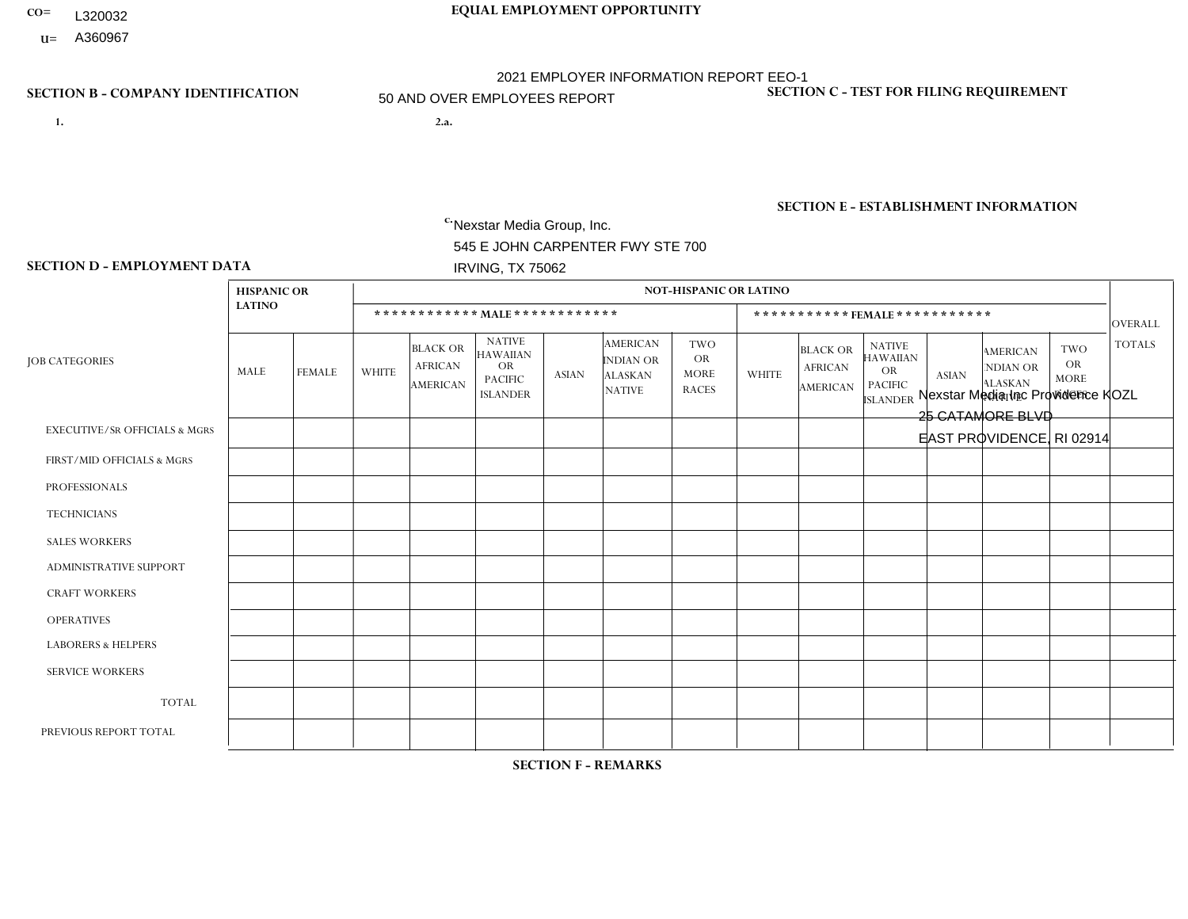- **CO= EQUAL EMPLOYMENT OPPORTUNITY** L320032
- **U=**

- **1. 2.a.** Nexstar Media Group, Inc. 545 E JOHN CARPENTER FWY STE 700 IRVING, TX 75062
- 2.a. Nexstar Media Inc Providence KOZL 25 CATAMORE BLVD EAST PROVIDENCE, RI 02914

EIN= 233063152

# **SECTION B - COMPANY IDENTIFICATION SECTION C - TEST FOR FILING REQUIREMENT**

1- Y 2- N 3- Y DUNS= 058168001

# **SECTION E - ESTABLISHMENT INFORMATION c.** NAICS: 515120 - Television Broadcasting

### **SECTION D - EMPLOYMENT DATA**

|                                          | <b>HISPANIC OR</b> |               |                |                                                      |                                                                                    |              |                                                                 | <b>NOT-HISPANIC OR LATINO</b>                          |              |                                                      |                                                                                    |                |                                                                       |                                                        |                |
|------------------------------------------|--------------------|---------------|----------------|------------------------------------------------------|------------------------------------------------------------------------------------|--------------|-----------------------------------------------------------------|--------------------------------------------------------|--------------|------------------------------------------------------|------------------------------------------------------------------------------------|----------------|-----------------------------------------------------------------------|--------------------------------------------------------|----------------|
|                                          | <b>LATINO</b>      |               |                |                                                      | ************ MALE *************                                                    |              |                                                                 |                                                        |              |                                                      | *********** FEMALE ***********                                                     |                |                                                                       |                                                        | <b>OVERALL</b> |
| <b>JOB CATEGORIES</b>                    | MALE               | <b>FEMALE</b> | <b>WHITE</b>   | <b>BLACK OR</b><br><b>AFRICAN</b><br><b>AMERICAN</b> | <b>NATIVE</b><br><b>HAWAIIAN</b><br><b>OR</b><br><b>PACIFIC</b><br><b>ISLANDER</b> | <b>ASIAN</b> | <b>AMERICAN</b><br>INDIAN OR<br><b>ALASKAN</b><br><b>NATIVE</b> | <b>TWO</b><br><b>OR</b><br><b>MORE</b><br><b>RACES</b> | <b>WHITE</b> | <b>BLACK OR</b><br><b>AFRICAN</b><br><b>AMERICAN</b> | <b>NATIVE</b><br><b>HAWAIIAN</b><br><b>OR</b><br><b>PACIFIC</b><br><b>ISLANDER</b> | <b>ASIAN</b>   | <b>AMERICAN</b><br><b>NDIAN OR</b><br><b>ALASKAN</b><br><b>NATIVE</b> | <b>TWO</b><br><b>OR</b><br><b>MORE</b><br><b>RACES</b> | <b>TOTALS</b>  |
| <b>EXECUTIVE/SR OFFICIALS &amp; MGRS</b> | $\Omega$           | $\Omega$      | $\mathbf 0$    | $\mathbf 0$                                          | $\Omega$                                                                           | $\Omega$     | $\mathbf{0}$                                                    | $\Omega$                                               | $\Omega$     | $\Omega$                                             | $\mathbf{0}$                                                                       | $\mathbf{0}$   | $\mathbf{0}$                                                          | $\Omega$                                               | $\Omega$       |
| FIRST/MID OFFICIALS & MGRS               | 0                  | $\mathbf 0$   | $\overline{7}$ | $\mathbf 0$                                          | $\mathbf 0$                                                                        | $\Omega$     | $\mathbf{0}$                                                    | $\Omega$                                               | 3            | $\Omega$                                             | $\mathbf{0}$                                                                       | $\Omega$       | $\mathbf{0}$                                                          | $\mathbf{0}$                                           | 10             |
| <b>PROFESSIONALS</b>                     | 0                  | $\mathbf 0$   | 12             | $\mathbf 0$                                          | $\mathbf 0$                                                                        | $\Omega$     | $\Omega$                                                        | $\Omega$                                               | 5            | $\Omega$                                             | $\Omega$                                                                           | $\Omega$       | $\Omega$                                                              | $\Omega$                                               | 17             |
| <b>TECHNICIANS</b>                       | 0                  | $\mathbf{1}$  | 40             | $\mathbf 0$                                          | $\mathbf 0$                                                                        | $\mathbf 0$  | $\mathbf{0}$                                                    | $\Omega$                                               | 27           | $\overline{2}$                                       | $\mathbf 0$                                                                        | $\mathbf{1}$   | $\mathbf 0$                                                           | 1                                                      | 72             |
| <b>SALES WORKERS</b>                     | 0                  | $\Omega$      | 6              | $\mathbf 0$                                          | $\Omega$                                                                           | $\Omega$     | $\mathbf{0}$                                                    | $\Omega$                                               | 6            | $\Omega$                                             | $\Omega$                                                                           | $\Omega$       | $\Omega$                                                              | $\mathbf{0}$                                           | 12             |
| <b>ADMINISTRATIVE SUPPORT</b>            | 0                  | $\mathbf 0$   | $\overline{4}$ | $\mathbf 0$                                          | $\mathbf 0$                                                                        | $\mathbf 0$  | $\Omega$                                                        | $\Omega$                                               | 10           | $\Omega$                                             | $\Omega$                                                                           | $\Omega$       | $\mathbf{0}$                                                          | $\mathbf{0}$                                           | 14             |
| <b>CRAFT WORKERS</b>                     | 0                  | $\Omega$      | $\mathbf 0$    | $\mathbf 0$                                          | $\Omega$                                                                           | $\Omega$     | $\Omega$                                                        | $\Omega$                                               | $\Omega$     | $\Omega$                                             | $\Omega$                                                                           | $\Omega$       | $\Omega$                                                              | $\Omega$                                               | $\Omega$       |
| <b>OPERATIVES</b>                        | 0                  | $\Omega$      | $\mathbf 0$    | $\Omega$                                             | $\Omega$                                                                           | $\Omega$     | $\Omega$                                                        | $\Omega$                                               | $\Omega$     | $\Omega$                                             | $\Omega$                                                                           | $\mathbf{0}$   | $\Omega$                                                              | $\Omega$                                               | $\overline{0}$ |
| <b>LABORERS &amp; HELPERS</b>            | 0                  | $\Omega$      | $\mathbf 0$    | $\mathbf 0$                                          | $\mathbf 0$                                                                        | $\mathbf 0$  | $\Omega$                                                        | $\Omega$                                               | $\Omega$     | $\Omega$                                             | $\Omega$                                                                           | $\Omega$       | $\Omega$                                                              | $\mathbf{0}$                                           | $\mathbf 0$    |
| <b>SERVICE WORKERS</b>                   | 0                  | $\mathbf 0$   | $\mathbf 0$    | 0                                                    | $\mathbf 0$                                                                        | $\mathbf 0$  | $\Omega$                                                        | $\Omega$                                               | $\Omega$     | $\Omega$                                             | $\Omega$                                                                           | $\Omega$       | $\Omega$                                                              | $\mathbf{0}$                                           | $\overline{0}$ |
| <b>TOTAL</b>                             | $\mathbf 0$        | $\mathbf{1}$  | 69             | $\mathbf 0$                                          | $\mathbf 0$                                                                        | $\mathbf 0$  | $\Omega$                                                        | $\Omega$                                               | 51           | $\overline{2}$                                       | $\Omega$                                                                           | 1              | $\mathbf{0}$                                                          | $\mathbf{1}$                                           | 125            |
| PREVIOUS REPORT TOTAL                    |                    | $\mathbf 0$   | 79             | 1                                                    | $\mathbf 0$                                                                        | $\Omega$     | $\Omega$                                                        | $\Omega$                                               | 53           | 3                                                    | $\mathbf{0}$                                                                       | $\overline{ }$ |                                                                       | $\Omega$                                               | 139            |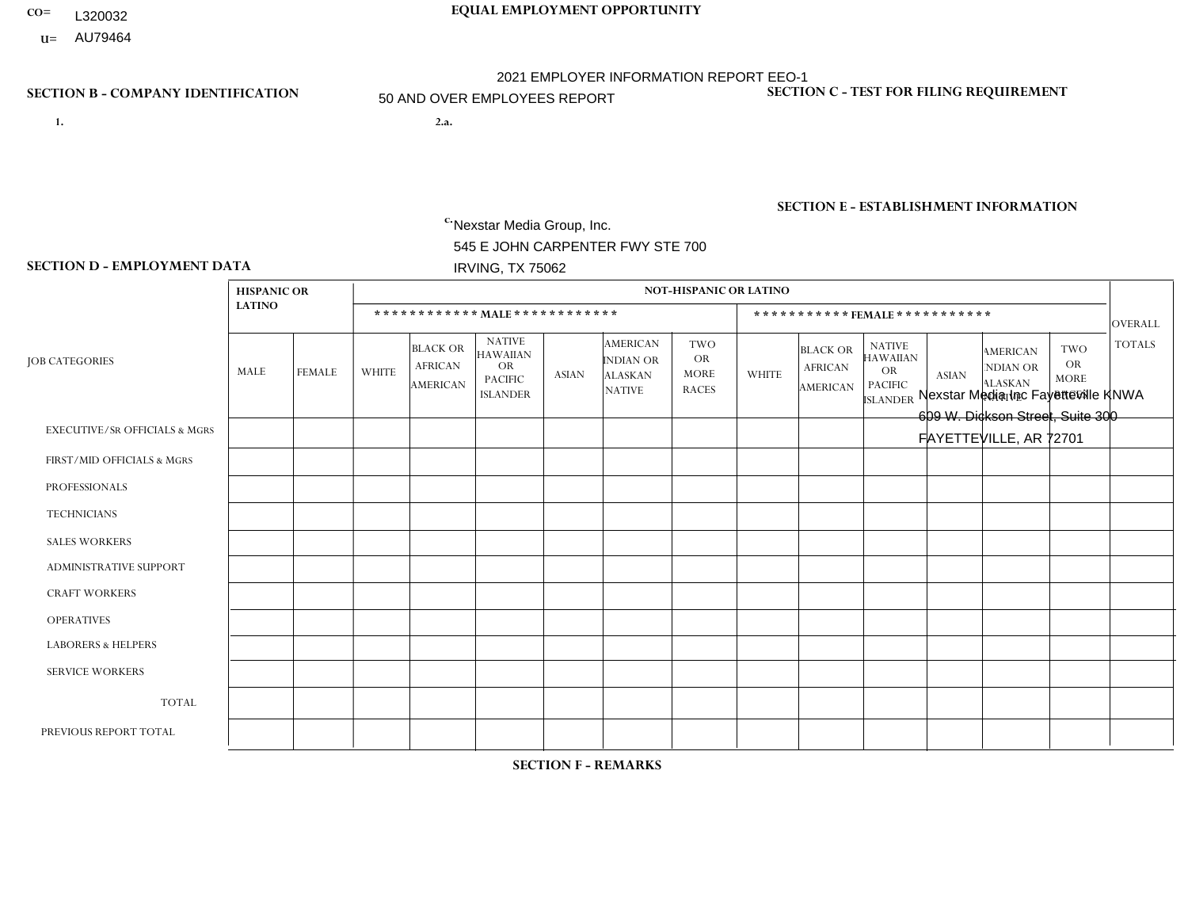- **CO= EQUAL EMPLOYMENT OPPORTUNITY** L320032
- **u**= AU79464

- **1. 2.a.** Nexstar Media Group, Inc. 545 E JOHN CARPENTER FWY STE 700 IRVING, TX 75062
- 2.a. Nexstar Media Inc Fayetteville KNWA 609 W. Dickson Street, Suite 300 FAYETTEVILLE, AR 72701

EIN= 233063152

# **SECTION B - COMPANY IDENTIFICATION SECTION C - TEST FOR FILING REQUIREMENT**

1- Y 2- N 3- Y DUNS= 058168001

**SECTION E - ESTABLISHMENT INFORMATION c.** NAICS: 515120 - Television Broadcasting

### **SECTION D - EMPLOYMENT DATA**

|                                          | <b>HISPANIC OR</b> |               |                |                                                      |                                                                             |              |                                                                 | <b>NOT-HISPANIC OR LATINO</b>                          |                |                                                      |                                                                                    |              |                                                                       |                                                        |                |
|------------------------------------------|--------------------|---------------|----------------|------------------------------------------------------|-----------------------------------------------------------------------------|--------------|-----------------------------------------------------------------|--------------------------------------------------------|----------------|------------------------------------------------------|------------------------------------------------------------------------------------|--------------|-----------------------------------------------------------------------|--------------------------------------------------------|----------------|
|                                          | <b>LATINO</b>      |               |                |                                                      | ************ MALE************                                               |              |                                                                 |                                                        |                |                                                      | ***********FEMALE ***********                                                      |              |                                                                       |                                                        | <b>OVERALL</b> |
| <b>JOB CATEGORIES</b>                    | MALE               | <b>FEMALE</b> | <b>WHITE</b>   | <b>BLACK OR</b><br><b>AFRICAN</b><br><b>AMERICAN</b> | <b>NATIVE</b><br><b>HAWAIIAN</b><br>OR<br><b>PACIFIC</b><br><b>ISLANDER</b> | <b>ASIAN</b> | <b>AMERICAN</b><br>INDIAN OR<br><b>ALASKAN</b><br><b>NATIVE</b> | <b>TWO</b><br><b>OR</b><br><b>MORE</b><br><b>RACES</b> | <b>WHITE</b>   | <b>BLACK OR</b><br><b>AFRICAN</b><br><b>AMERICAN</b> | <b>NATIVE</b><br><b>HAWAIIAN</b><br><b>OR</b><br><b>PACIFIC</b><br><b>ISLANDER</b> | <b>ASIAN</b> | <b>AMERICAN</b><br><b>NDIAN OR</b><br><b>ALASKAN</b><br><b>NATIVE</b> | <b>TWO</b><br><b>OR</b><br><b>MORE</b><br><b>RACES</b> | <b>TOTALS</b>  |
| <b>EXECUTIVE/SR OFFICIALS &amp; MGRS</b> | $\Omega$           | $\mathbf 0$   | $\mathbf 0$    | $\mathbf 0$                                          | $\mathbf 0$                                                                 | $\mathbf 0$  | $\Omega$                                                        | $\Omega$                                               | $\Omega$       | $\Omega$                                             | $\Omega$                                                                           | $\mathbf 0$  | $\Omega$                                                              | $\Omega$                                               | $\mathbf 0$    |
| FIRST/MID OFFICIALS & MGRS               | 0                  | $\mathbf 0$   | $\overline{4}$ | $\mathbf 0$                                          | $\mathbf 0$                                                                 | $\mathbf 0$  | $\Omega$                                                        | $\Omega$                                               | 3              | $\Omega$                                             | $\Omega$                                                                           | $\Omega$     | $\mathbf{0}$                                                          | $\Omega$                                               | $\overline{7}$ |
| <b>PROFESSIONALS</b>                     | 0                  | $\mathbf{1}$  | 8              | $\mathbf 0$                                          | $\Omega$                                                                    | $\Omega$     | $\Omega$                                                        | $\Omega$                                               | 5              | $\mathbf 1$                                          | $\Omega$                                                                           | $\Omega$     | $\Omega$                                                              | $\mathbf{0}$                                           | 15             |
| <b>TECHNICIANS</b>                       | 2                  | $\mathbf 0$   | 26             | $\overline{2}$                                       | $\mathbf 0$                                                                 | $\mathbf{1}$ | $\overline{1}$                                                  | 1                                                      | $\overline{7}$ | $\mathbf{1}$                                         | $\Omega$                                                                           | $\mathbf 0$  | $\Omega$                                                              | $\Omega$                                               | 41             |
| <b>SALES WORKERS</b>                     | $\Omega$           | $\mathbf 0$   | 5              | $\mathbf 0$                                          | $\mathbf 0$                                                                 | $\Omega$     | $\mathbf{0}$                                                    | 1                                                      | 6              | $\Omega$                                             | $\mathbf{0}$                                                                       | $\Omega$     | $\mathbf{0}$                                                          | $\mathbf{0}$                                           | 12             |
| <b>ADMINISTRATIVE SUPPORT</b>            | 0                  | $\mathbf 0$   | 3              | $\mathbf 0$                                          | $\mathbf 0$                                                                 | $\mathbf 0$  | $\Omega$                                                        | $\Omega$                                               | 3              | $\Omega$                                             | $\Omega$                                                                           | $\mathbf{0}$ | $\Omega$                                                              | $\mathbf 0$                                            | 6              |
| <b>CRAFT WORKERS</b>                     | 0                  | $\Omega$      | $\mathbf 0$    | $\mathbf 0$                                          | $\Omega$                                                                    | $\Omega$     | $\Omega$                                                        | $\Omega$                                               | $\Omega$       | $\Omega$                                             | $\Omega$                                                                           | $\Omega$     | $\Omega$                                                              | $\mathbf{0}$                                           | $\Omega$       |
| <b>OPERATIVES</b>                        | 0                  | $\Omega$      | $\mathbf 0$    | $\mathbf 0$                                          | $\mathbf 0$                                                                 | $\Omega$     | $\Omega$                                                        | $\Omega$                                               | $\Omega$       | $\Omega$                                             | $\Omega$                                                                           | $\Omega$     | $\Omega$                                                              | $\Omega$                                               | $\overline{0}$ |
| <b>LABORERS &amp; HELPERS</b>            | 0                  | $\Omega$      | $\mathbf 0$    | $\mathbf 0$                                          | $\mathbf 0$                                                                 | $\Omega$     | $\Omega$                                                        | $\Omega$                                               | $\Omega$       | $\Omega$                                             | $\mathbf{0}$                                                                       | $\mathbf{0}$ | $\Omega$                                                              | $\Omega$                                               | $\mathbf 0$    |
| <b>SERVICE WORKERS</b>                   | 0                  | $\mathbf 0$   | $\mathbf 0$    | $\mathbf 0$                                          | $\mathbf 0$                                                                 | $\mathbf 0$  | $\Omega$                                                        | $\Omega$                                               | $\Omega$       | $\Omega$                                             | $\Omega$                                                                           | $\Omega$     | $\mathbf 0$                                                           | $\mathbf 0$                                            | $\overline{0}$ |
| <b>TOTAL</b>                             | $\overline{2}$     | $\mathbf{1}$  | 46             | $\overline{2}$                                       | $\mathbf 0$                                                                 | $\mathbf{1}$ | -1                                                              | $\overline{2}$                                         | 24             | $\overline{2}$                                       | $\Omega$                                                                           | $\Omega$     | $\Omega$                                                              | $\Omega$                                               | 81             |
| PREVIOUS REPORT TOTAL                    | $\overline{2}$     | 3             | 42             | 3                                                    | $\mathbf 0$                                                                 | $\mathbf{1}$ |                                                                 | 3                                                      | 27             | $\overline{4}$                                       | $\Omega$                                                                           | $\Omega$     | $\mathbf{0}$                                                          | $\Omega$                                               | 86             |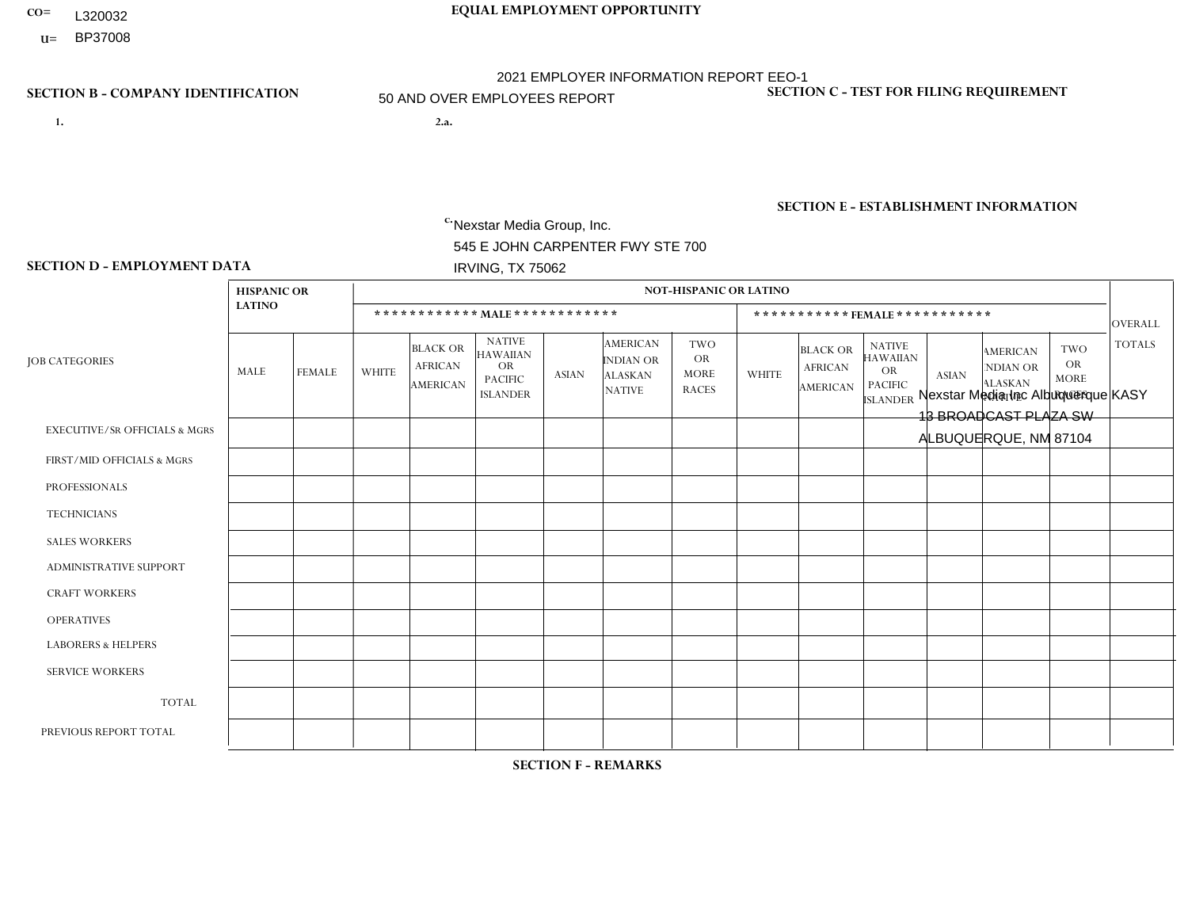- **CO= EQUAL EMPLOYMENT OPPORTUNITY** L320032
- **U=** BP37008

- **1. 2.a.** Nexstar Media Group, Inc. 545 E JOHN CARPENTER FWY STE 700 IRVING, TX 75062
- 2.a. Nexstar Media Inc Albuquerque KASY 13 BROADCAST PLAZA SW ALBUQUERQUE, NM 87104

EIN= 233063152

# **SECTION B - COMPANY IDENTIFICATION SECTION C - TEST FOR FILING REQUIREMENT**

1- Y 2- N 3- Y DUNS= 058168001

**SECTION E - ESTABLISHMENT INFORMATION c.** NAICS: 515120 - Television Broadcasting

### **SECTION D - EMPLOYMENT DATA**

|                                          | <b>HISPANIC OR</b> |                |              |                                                      |                                                                                    |                |                                                                 | <b>NOT-HISPANIC OR LATINO</b>                          |                |                                                      |                                                                                    |                |                                                                       |                                                        |                |
|------------------------------------------|--------------------|----------------|--------------|------------------------------------------------------|------------------------------------------------------------------------------------|----------------|-----------------------------------------------------------------|--------------------------------------------------------|----------------|------------------------------------------------------|------------------------------------------------------------------------------------|----------------|-----------------------------------------------------------------------|--------------------------------------------------------|----------------|
|                                          | <b>LATINO</b>      |                |              |                                                      | ************ MALE ************                                                     |                |                                                                 |                                                        |                |                                                      | ***********FEMALE***********                                                       |                |                                                                       |                                                        | OVERALL        |
| <b>JOB CATEGORIES</b>                    | MALE               | <b>FEMALE</b>  | <b>WHITE</b> | <b>BLACK OR</b><br><b>AFRICAN</b><br><b>AMERICAN</b> | <b>NATIVE</b><br><b>HAWAIIAN</b><br><b>OR</b><br><b>PACIFIC</b><br><b>ISLANDER</b> | <b>ASIAN</b>   | <b>AMERICAN</b><br>INDIAN OR<br><b>ALASKAN</b><br><b>NATIVE</b> | <b>TWO</b><br><b>OR</b><br><b>MORE</b><br><b>RACES</b> | <b>WHITE</b>   | <b>BLACK OR</b><br><b>AFRICAN</b><br><b>AMERICAN</b> | <b>NATIVE</b><br><b>HAWAIIAN</b><br><b>OR</b><br><b>PACIFIC</b><br><b>ISLANDER</b> | <b>ASIAN</b>   | <b>AMERICAN</b><br><b>NDIAN OR</b><br><b>ALASKAN</b><br><b>NATIVE</b> | <b>TWO</b><br><b>OR</b><br><b>MORE</b><br><b>RACES</b> | <b>TOTALS</b>  |
| <b>EXECUTIVE/SR OFFICIALS &amp; MGRS</b> | $\Omega$           | $\Omega$       | $\mathbf 0$  | $\Omega$                                             | $\Omega$                                                                           | $\Omega$       | $\Omega$                                                        | $\Omega$                                               | $\Omega$       | $\Omega$                                             | $\mathbf{0}$                                                                       | $\Omega$       | $\Omega$                                                              | $\Omega$                                               | $\Omega$       |
| FIRST/MID OFFICIALS & MGRS               | $\overline{2}$     | $\overline{2}$ | 3            | $\mathbf 0$                                          | $\mathbf 0$                                                                        | $\Omega$       | $\Omega$                                                        | $\Omega$                                               | $\overline{2}$ | $\Omega$                                             | $\mathbf{0}$                                                                       | $\mathbf{0}$   | $\mathbf{0}$                                                          | $\Omega$                                               | 9              |
| <b>PROFESSIONALS</b>                     |                    | 3              | 5            | $\mathbf 0$                                          | $\mathbf 0$                                                                        | $\overline{4}$ | $\Omega$                                                        | $\Omega$                                               | 5              | $\Omega$                                             | $\Omega$                                                                           | $\Omega$       | $\Omega$                                                              | $\mathbf{0}$                                           | 18             |
| <b>TECHNICIANS</b>                       | 20                 | 14             | 22           | $\overline{2}$                                       | $\mathbf 0$                                                                        | 6              | -1                                                              | $\overline{2}$                                         | 9              | $\mathbf{1}$                                         | $\mathbf 0$                                                                        | $\mathbf{1}$   |                                                                       | $\mathbf{0}$                                           | 79             |
| <b>SALES WORKERS</b>                     | 1                  | $\overline{7}$ | 3            | $\Omega$                                             | $\Omega$                                                                           | $\Omega$       | $\Omega$                                                        | $\Omega$                                               | 3              | $\Omega$                                             | $\Omega$                                                                           | $\Omega$       | $\overline{1}$                                                        | $\mathbf{0}$                                           | 15             |
| <b>ADMINISTRATIVE SUPPORT</b>            | $\overline{2}$     | $\overline{4}$ | 5            | $\mathbf 0$                                          | $\mathbf 0$                                                                        | $\Omega$       | $\Omega$                                                        | $\Omega$                                               | 5              | $\Omega$                                             | $\Omega$                                                                           | $\Omega$       |                                                                       | $\mathbf{0}$                                           | 17             |
| <b>CRAFT WORKERS</b>                     | 0                  | $\Omega$       | $\mathbf 0$  | $\mathbf 0$                                          | $\mathbf 0$                                                                        | $\Omega$       | $\Omega$                                                        | $\Omega$                                               | $\Omega$       | $\Omega$                                             | $\Omega$                                                                           | $\Omega$       | $\Omega$                                                              | $\Omega$                                               | $\mathbf 0$    |
| <b>OPERATIVES</b>                        | 0                  | $\mathbf 0$    | $\mathbf 0$  | $\mathbf 0$                                          | $\mathbf 0$                                                                        | $\mathbf 0$    | $\Omega$                                                        | $\Omega$                                               | $\Omega$       | $\Omega$                                             | $\Omega$                                                                           | $\Omega$       | $\mathbf{0}$                                                          | $\Omega$                                               | $\mathbf 0$    |
| <b>LABORERS &amp; HELPERS</b>            | 0                  | $\Omega$       | $\Omega$     | $\Omega$                                             | $\Omega$                                                                           | $\Omega$       | $\Omega$                                                        | $\Omega$                                               | $\Omega$       | $\Omega$                                             | $\Omega$                                                                           | $\mathbf{0}$   | $\Omega$                                                              | $\Omega$                                               | $\overline{0}$ |
| <b>SERVICE WORKERS</b>                   | 0                  | $\Omega$       | $\mathbf 0$  | $\mathbf 0$                                          | $\mathbf 0$                                                                        | $\mathbf 0$    | $\Omega$                                                        | $\Omega$                                               | $\Omega$       | $\Omega$                                             | $\Omega$                                                                           | $\Omega$       | $\mathbf{0}$                                                          | $\Omega$                                               | $\overline{0}$ |
| <b>TOTAL</b>                             | 26                 | 30             | 38           | $\overline{c}$                                       | $\mathbf 0$                                                                        | 10             |                                                                 | $\overline{2}$                                         | 24             | $\mathbf{1}$                                         | $\mathbf 0$                                                                        | 1              | 3                                                                     | $\mathbf 0$                                            | 138            |
| PREVIOUS REPORT TOTAL                    | 12                 | 16             | 52           | 3                                                    | $\mathbf 0$                                                                        | $\mathbf{1}$   | 2                                                               | 3                                                      | 34             | $\overline{4}$                                       | 1                                                                                  | $\overline{1}$ | 3                                                                     | 1                                                      | 133            |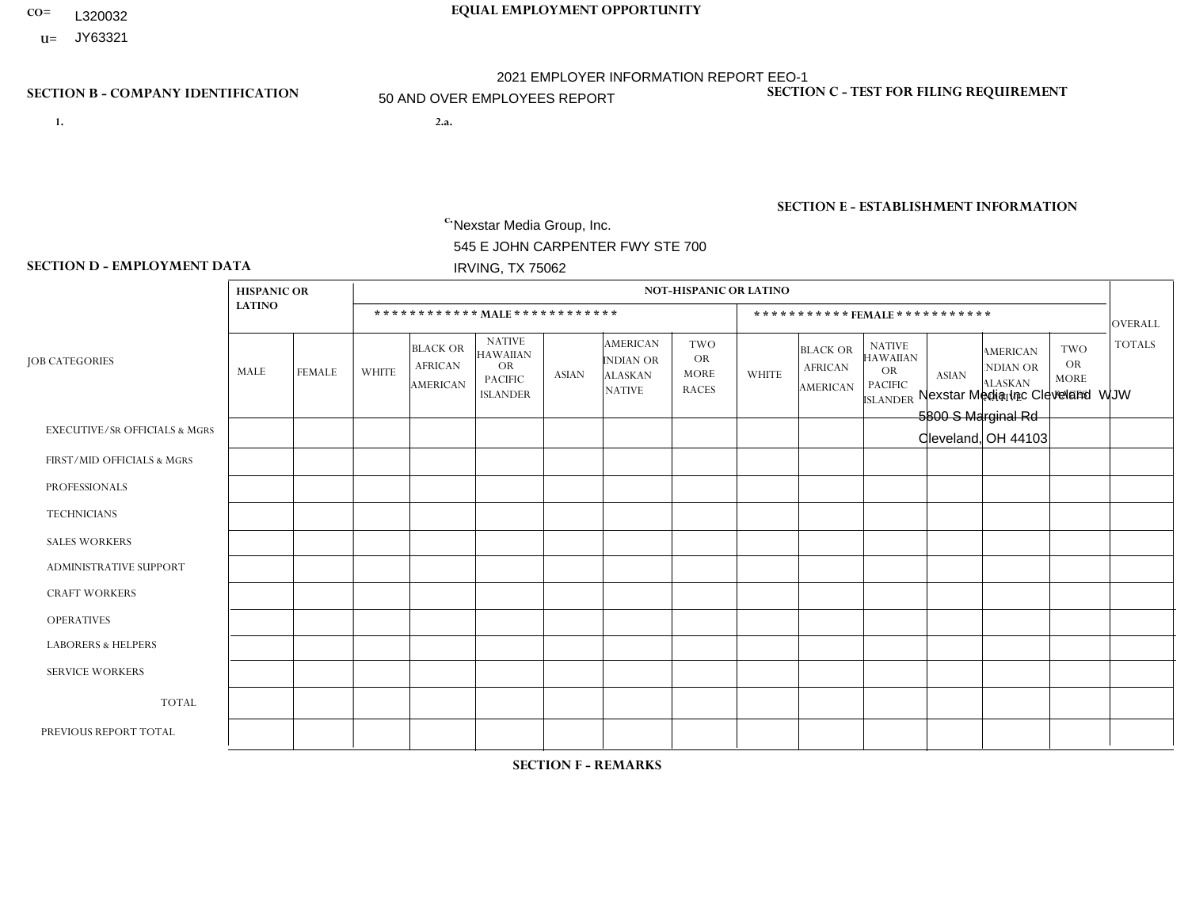- **CO= EQUAL EMPLOYMENT OPPORTUNITY** L320032
- **U=**

- **1. 2.a.** Nexstar Media Group, Inc. 545 E JOHN CARPENTER FWY STE 700 IRVING, TX 75062
- 2.a. Nexstar Media Inc Cleveland WJW 5800 S Marginal Rd Cleveland, OH 44103

EIN= 364766010

# **SECTION B - COMPANY IDENTIFICATION SECTION C - TEST FOR FILING REQUIREMENT**

1- Y 2- N 3- Y DUNS= 058168001

# **SECTION E - ESTABLISHMENT INFORMATION c.** NAICS: 515120 - Television Broadcasting

### **SECTION D - EMPLOYMENT DATA**

|                                          | <b>HISPANIC OR</b> |                |                |                                               |                                                                                    |              |                                                                 | NOT-HISPANIC OR LATINO                                 |                |                                               |                                                                                    |                |                                                                       |                                                        |                |
|------------------------------------------|--------------------|----------------|----------------|-----------------------------------------------|------------------------------------------------------------------------------------|--------------|-----------------------------------------------------------------|--------------------------------------------------------|----------------|-----------------------------------------------|------------------------------------------------------------------------------------|----------------|-----------------------------------------------------------------------|--------------------------------------------------------|----------------|
|                                          | <b>LATINO</b>      |                |                |                                               | ************ MALE ************                                                     |              |                                                                 |                                                        |                |                                               | ***********FEMALE***********                                                       |                |                                                                       |                                                        | <b>OVERALL</b> |
| <b>JOB CATEGORIES</b>                    | MALE               | <b>FEMALE</b>  | <b>WHITE</b>   | <b>BLACK OR</b><br><b>AFRICAN</b><br>AMERICAN | <b>NATIVE</b><br><b>HAWAIIAN</b><br><b>OR</b><br><b>PACIFIC</b><br><b>ISLANDER</b> | <b>ASIAN</b> | <b>AMERICAN</b><br>INDIAN OR<br><b>ALASKAN</b><br><b>NATIVE</b> | <b>TWO</b><br><b>OR</b><br><b>MORE</b><br><b>RACES</b> | <b>WHITE</b>   | <b>BLACK OR</b><br><b>AFRICAN</b><br>AMERICAN | <b>NATIVE</b><br><b>HAWAIIAN</b><br><b>OR</b><br><b>PACIFIC</b><br><b>ISLANDER</b> | <b>ASIAN</b>   | <b>AMERICAN</b><br><b>NDIAN OR</b><br><b>ALASKAN</b><br><b>NATIVE</b> | <b>TWO</b><br><b>OR</b><br><b>MORE</b><br><b>RACES</b> | <b>TOTALS</b>  |
| <b>EXECUTIVE/SR OFFICIALS &amp; MGRS</b> | $\Omega$           | $\Omega$       | 1              | $\Omega$                                      | $\Omega$                                                                           | $\Omega$     | $\mathbf{0}$                                                    | $\Omega$                                               | $\Omega$       | $\Omega$                                      | $\mathbf{0}$                                                                       | $\mathbf{0}$   | $\Omega$                                                              | $\Omega$                                               |                |
| FIRST/MID OFFICIALS & MGRS               | 0                  | $\mathbf{1}$   | 13             | $\mathbf 0$                                   | $\mathbf 0$                                                                        | $\mathbf 0$  | $\mathbf{0}$                                                    | $\Omega$                                               | 6              | $\Omega$                                      | $\Omega$                                                                           | $\Omega$       | $\mathbf{0}$                                                          | $\mathbf{0}$                                           | 20             |
| <b>PROFESSIONALS</b>                     | 0                  | $\overline{2}$ | 40             | $\overline{7}$                                | $\mathbf 0$                                                                        | $\Omega$     | $\mathbf{0}$                                                    | $\overline{2}$                                         | 41             | $\overline{4}$                                | $\Omega$                                                                           | 1              |                                                                       | 1                                                      | 99             |
| <b>TECHNICIANS</b>                       | $\overline{1}$     | $\mathbf 0$    | 35             | 8                                             | $\mathbf{1}$                                                                       | $\mathbf 0$  | $\mathbf{0}$                                                    | $\Omega$                                               | 9              | 3                                             | $\mathbf 0$                                                                        | $\mathbf 0$    | $\mathbf 0$                                                           | $\Omega$                                               | 57             |
| <b>SALES WORKERS</b>                     | 0                  | $\Omega$       | $\overline{2}$ | $\mathbf 0$                                   | $\Omega$                                                                           | $\Omega$     | $\Omega$                                                        | $\Omega$                                               | $\overline{2}$ | $\Omega$                                      | $\Omega$                                                                           | $\mathbf{0}$   | $\Omega$                                                              | $\mathbf{0}$                                           | $\overline{4}$ |
| <b>ADMINISTRATIVE SUPPORT</b>            | 0                  | $\Omega$       | $\mathbf 0$    | $\mathbf 0$                                   | $\mathbf 0$                                                                        | $\Omega$     | $\Omega$                                                        | $\Omega$                                               | $\overline{2}$ | $\Omega$                                      | $\Omega$                                                                           | $\Omega$       | $\mathbf{0}$                                                          | $\Omega$                                               | $\overline{2}$ |
| <b>CRAFT WORKERS</b>                     | 0                  | $\Omega$       | $\mathbf 0$    | $\mathbf 0$                                   | $\mathbf 0$                                                                        | $\mathbf 0$  | $\Omega$                                                        | $\Omega$                                               | $\Omega$       | $\Omega$                                      | $\Omega$                                                                           | $\Omega$       | $\Omega$                                                              | $\Omega$                                               | $\Omega$       |
| <b>OPERATIVES</b>                        | 0                  | $\Omega$       | $\Omega$       | $\Omega$                                      | $\Omega$                                                                           | $\Omega$     | $\Omega$                                                        | $\Omega$                                               | $\Omega$       | $\Omega$                                      | $\Omega$                                                                           | $\Omega$       | $\mathbf{0}$                                                          | $\Omega$                                               | $\Omega$       |
| <b>LABORERS &amp; HELPERS</b>            | 0                  | $\mathbf 0$    | $\mathbf 0$    | $\mathbf 0$                                   | $\mathbf 0$                                                                        | $\mathbf 0$  | $\Omega$                                                        | $\Omega$                                               | $\Omega$       | $\Omega$                                      | $\Omega$                                                                           | $\Omega$       | $\Omega$                                                              | $\mathbf 0$                                            | $\mathbf 0$    |
| <b>SERVICE WORKERS</b>                   | 0                  | $\Omega$       | $\mathbf 0$    | 0                                             | 0                                                                                  | $\mathbf 0$  | $\Omega$                                                        | $\Omega$                                               | $\Omega$       | $\Omega$                                      | $\Omega$                                                                           | $\Omega$       | $\mathbf{0}$                                                          | $\Omega$                                               | $\mathbf 0$    |
| <b>TOTAL</b>                             | 1                  | 3              | 91             | 15                                            | $\mathbf{1}$                                                                       | $\mathbf 0$  | $\Omega$                                                        | $\overline{2}$                                         | 60             | $\overline{7}$                                | $\mathbf 0$                                                                        | $\overline{1}$ |                                                                       | 1                                                      | 183            |
| PREVIOUS REPORT TOTAL                    |                    | 3              | 91             | 16                                            | 1                                                                                  | $\Omega$     | $\Omega$                                                        | $\overline{2}$                                         | 65             | 5                                             | $\Omega$                                                                           | 1              |                                                                       | 2                                                      | 188            |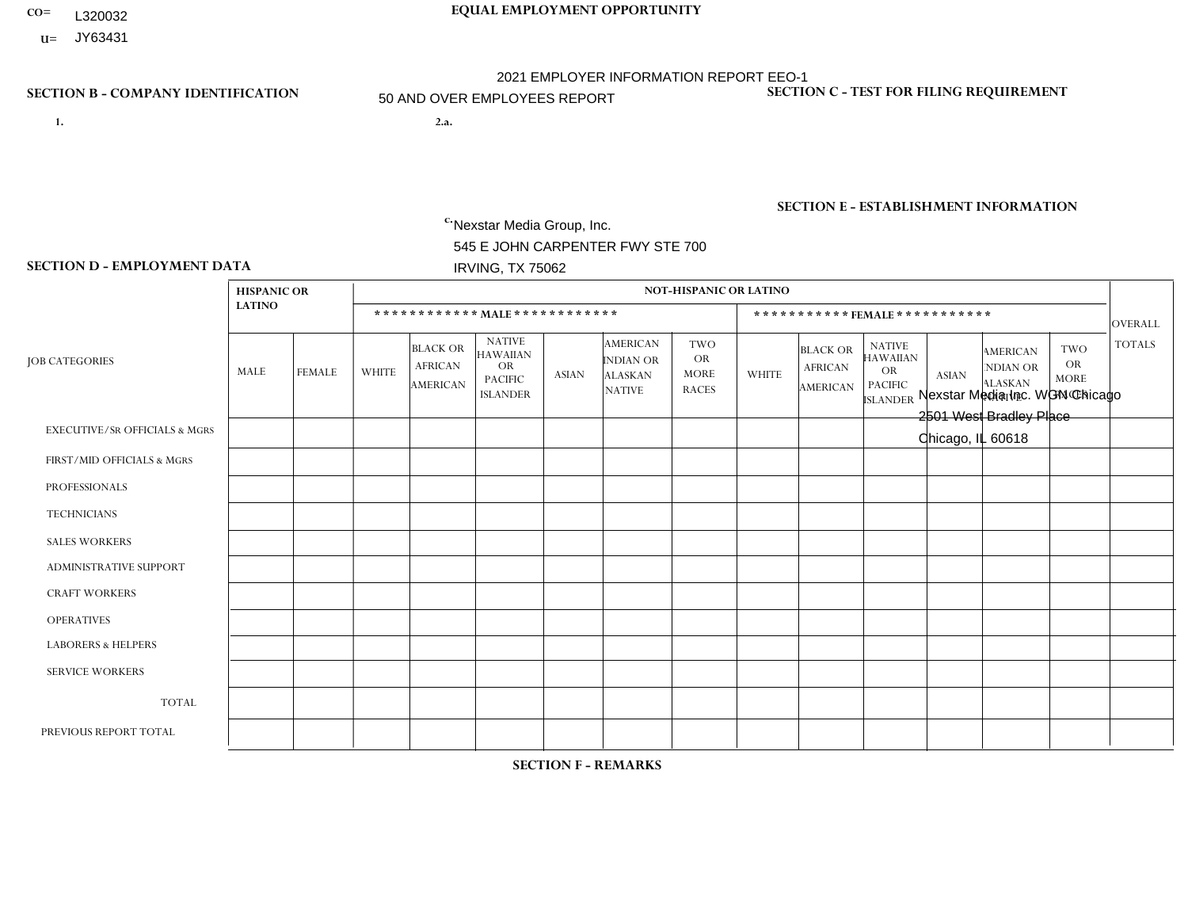- **CO= EQUAL EMPLOYMENT OPPORTUNITY** L320032
- **U=**

- **1. 2.a.** Nexstar Media Group, Inc. 545 E JOHN CARPENTER FWY STE 700 IRVING, TX 75062
- 2.a. Nexstar Media Inc. WGN Chicago 2501 West Bradley Place Chicago, IL 60618

EIN= 361880355

# **SECTION B - COMPANY IDENTIFICATION SECTION C - TEST FOR FILING REQUIREMENT**

1- Y 2- N 3- Y DUNS= 058168001

**SECTION E - ESTABLISHMENT INFORMATION c.** NAICS: 515120 - Television Broadcasting

### **SECTION D - EMPLOYMENT DATA**

|                                          | <b>HISPANIC OR</b> |                |                |                                                      |                                                                                    |              |                                                                        | <b>NOT-HISPANIC OR LATINO</b>                          |              |                                               |                                                                             |              |                                                                       |                                                        |                |
|------------------------------------------|--------------------|----------------|----------------|------------------------------------------------------|------------------------------------------------------------------------------------|--------------|------------------------------------------------------------------------|--------------------------------------------------------|--------------|-----------------------------------------------|-----------------------------------------------------------------------------|--------------|-----------------------------------------------------------------------|--------------------------------------------------------|----------------|
|                                          | <b>LATINO</b>      |                |                |                                                      | ************ MALE ************                                                     |              |                                                                        |                                                        |              |                                               | *********** FEMALE ***********                                              |              |                                                                       |                                                        | <b>OVERALL</b> |
| <b>JOB CATEGORIES</b>                    | <b>MALE</b>        | <b>FEMALE</b>  | <b>WHITE</b>   | <b>BLACK OR</b><br><b>AFRICAN</b><br><b>AMERICAN</b> | <b>NATIVE</b><br><b>HAWAIIAN</b><br><b>OR</b><br><b>PACIFIC</b><br><b>ISLANDER</b> | <b>ASIAN</b> | <b>AMERICAN</b><br><b>INDIAN OR</b><br><b>ALASKAN</b><br><b>NATIVE</b> | <b>TWO</b><br><b>OR</b><br><b>MORE</b><br><b>RACES</b> | <b>WHITE</b> | <b>BLACK OR</b><br><b>AFRICAN</b><br>AMERICAN | <b>NATIVE</b><br><b>HAWAIIAN</b><br>OR<br><b>PACIFIC</b><br><b>ISLANDER</b> | <b>ASIAN</b> | <b>AMERICAN</b><br><b>NDIAN OR</b><br><b>ALASKAN</b><br><b>NATIVE</b> | <b>TWO</b><br><b>OR</b><br><b>MORE</b><br><b>RACES</b> | <b>TOTALS</b>  |
| <b>EXECUTIVE/SR OFFICIALS &amp; MGRS</b> | $\mathbf{0}$       | 0              | $\overline{2}$ | $\mathbf 0$                                          | $\mathbf 0$                                                                        | $\Omega$     | $\Omega$                                                               | $\Omega$                                               | 1            | $\Omega$                                      | $\mathbf 0$                                                                 | $\mathbf 0$  | $\Omega$                                                              | $\Omega$                                               | 3              |
| FIRST/MID OFFICIALS & MGRS               | 2                  | 3              | 21             | $\mathbf{1}$                                         | $\Omega$                                                                           | $\Omega$     | $\Omega$                                                               | $\overline{2}$                                         | 8            | $\Omega$                                      | $\mathbf{1}$                                                                | $\Omega$     | $\Omega$                                                              | $\Omega$                                               | 38             |
| <b>PROFESSIONALS</b>                     | 22                 | 18             | 150            | 31                                                   | $\Omega$                                                                           | 4            | $\Omega$                                                               | 3                                                      | 100          | 27                                            | $\Omega$                                                                    | 8            | $\Omega$                                                              | 3                                                      | 366            |
| <b>TECHNICIANS</b>                       | 16                 | 3              | 175            | 25                                                   | $\Omega$                                                                           | 4            | $\Omega$                                                               | $\overline{4}$                                         | 35           | 8                                             | $\Omega$                                                                    |              | $\Omega$                                                              | $\mathbf{1}$                                           | 272            |
| <b>SALES WORKERS</b>                     | $\mathbf 0$        | $\overline{0}$ | $\mathbf 0$    | $\mathbf 0$                                          | $\Omega$                                                                           | $\Omega$     | $\Omega$                                                               | $\Omega$                                               | $\Omega$     | $\Omega$                                      | $\Omega$                                                                    | $\Omega$     | $\Omega$                                                              | $\Omega$                                               | $\mathbf 0$    |
| <b>ADMINISTRATIVE SUPPORT</b>            | $\mathbf 0$        | $\overline{2}$ | $\mathbf 0$    | $\overline{2}$                                       | $\Omega$                                                                           | $\Omega$     | $\Omega$                                                               | $\mathbf 0$                                            | 11           | $\blacktriangleleft$                          | $\mathbf{0}$                                                                | $\mathbf 0$  | $\Omega$                                                              | $\mathbf{0}$                                           | 16             |
| <b>CRAFT WORKERS</b>                     | $\mathbf 0$        | $\overline{0}$ | $\Omega$       | $\Omega$                                             | $\Omega$                                                                           | $\Omega$     | $\Omega$                                                               | $\Omega$                                               | $\Omega$     | $\Omega$                                      | $\Omega$                                                                    | $\Omega$     | $\Omega$                                                              | $\Omega$                                               | $\mathbf 0$    |
| <b>OPERATIVES</b>                        | $\Omega$           | $\Omega$       | $\Omega$       | $\Omega$                                             | $\Omega$                                                                           | $\Omega$     | $\Omega$                                                               | $\Omega$                                               | $\Omega$     | $\Omega$                                      | $\Omega$                                                                    | $\Omega$     | $\Omega$                                                              | $\Omega$                                               | $\mathbf 0$    |
| <b>LABORERS &amp; HELPERS</b>            | $\Omega$           | 0              | $\mathbf 0$    | $\mathbf 0$                                          | $\Omega$                                                                           | $\Omega$     | $\Omega$                                                               | $\Omega$                                               | $\Omega$     | $\Omega$                                      | $\Omega$                                                                    | $\Omega$     | $\Omega$                                                              | $\Omega$                                               | $\mathbf 0$    |
| <b>SERVICE WORKERS</b>                   | $\mathbf{0}$       | 0              | $\mathbf 0$    | $\mathbf 0$                                          | $\Omega$                                                                           | $\Omega$     | $\Omega$                                                               | $\Omega$                                               | $\Omega$     | $\Omega$                                      | $\Omega$                                                                    | $\Omega$     | $\Omega$                                                              | $\Omega$                                               | $\mathbf 0$    |
| <b>TOTAL</b>                             | 40                 | 26             | 348            | 59                                                   | $\mathbf 0$                                                                        | 8            | 0                                                                      | 9                                                      | 155          | 36                                            | $\mathbf{1}$                                                                | 9            | $\Omega$                                                              | 4                                                      | 695            |
| PREVIOUS REPORT TOTAL                    | 36                 | 32             | 369            | 47                                                   | -1                                                                                 | 11           | $\Omega$                                                               | 8                                                      | 183          | 34                                            | 1                                                                           | 12           | $\Omega$                                                              | $\overline{7}$                                         | 741            |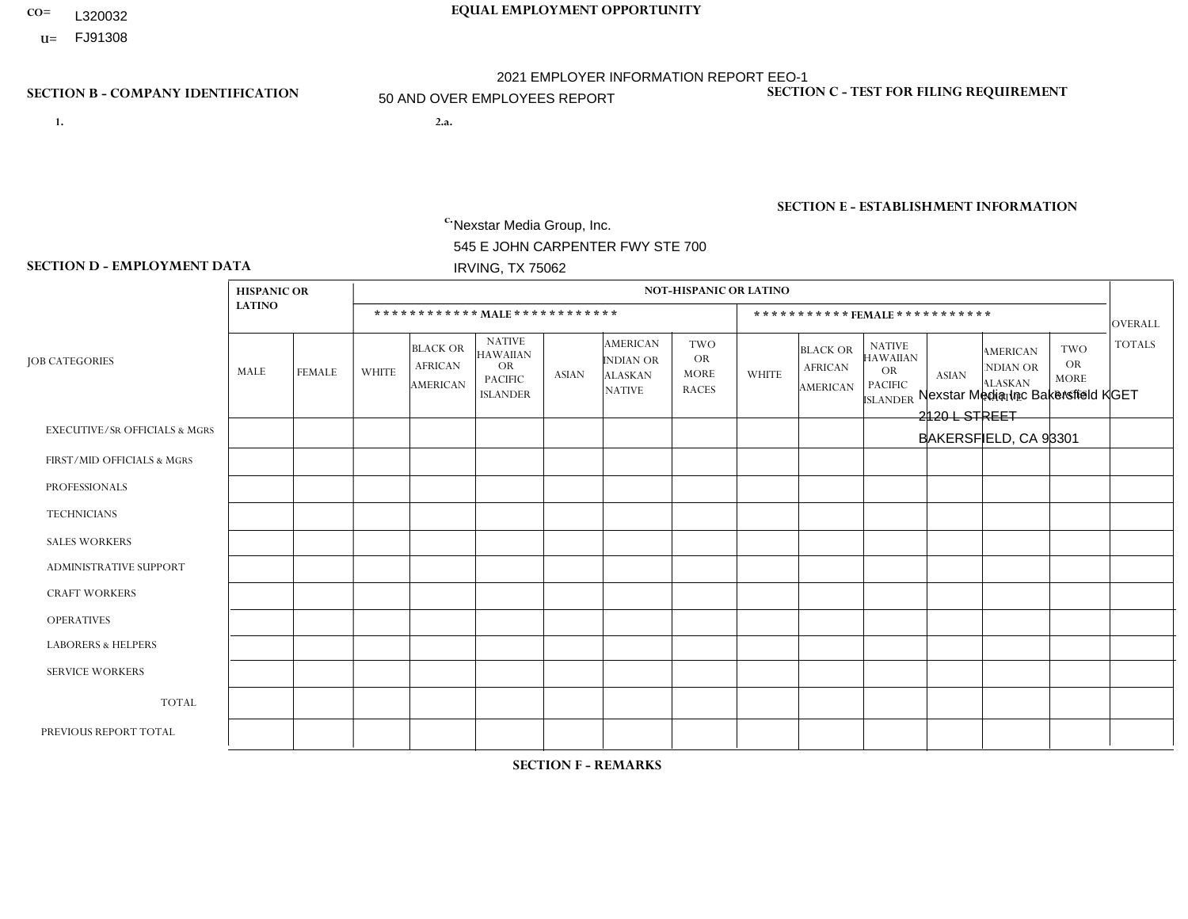- **CO= EQUAL EMPLOYMENT OPPORTUNITY** L320032
	- **U=**

- **1. 2.a.** Nexstar Media Group, Inc. 545 E JOHN CARPENTER FWY STE 700 IRVING, TX 75062
- 2.a. Nexstar Media Inc Bakersfield KGET 2120 L STREET BAKERSFIELD, CA 93301

EIN= 233063152

# **SECTION B - COMPANY IDENTIFICATION SECTION C - TEST FOR FILING REQUIREMENT**

1- Y 2- N 3- Y DUNS= 058168001

**SECTION E - ESTABLISHMENT INFORMATION c.** NAICS: 515120 - Television Broadcasting

### **SECTION D - EMPLOYMENT DATA**

|                                          | <b>HISPANIC OR</b> |                |                |                                                      |                                                                             |              |                                                                 | <b>NOT-HISPANIC OR LATINO</b>                          |                |                                                      |                                                                                    |                |                                                                       |                                                        |                |
|------------------------------------------|--------------------|----------------|----------------|------------------------------------------------------|-----------------------------------------------------------------------------|--------------|-----------------------------------------------------------------|--------------------------------------------------------|----------------|------------------------------------------------------|------------------------------------------------------------------------------------|----------------|-----------------------------------------------------------------------|--------------------------------------------------------|----------------|
|                                          | <b>LATINO</b>      |                |                |                                                      | ************ MALE************                                               |              |                                                                 |                                                        |                |                                                      | ***********FEMALE ***********                                                      |                |                                                                       |                                                        | <b>OVERALL</b> |
| <b>JOB CATEGORIES</b>                    | MALE               | <b>FEMALE</b>  | <b>WHITE</b>   | <b>BLACK OR</b><br><b>AFRICAN</b><br><b>AMERICAN</b> | <b>NATIVE</b><br><b>HAWAIIAN</b><br>OR<br><b>PACIFIC</b><br><b>ISLANDER</b> | <b>ASIAN</b> | <b>AMERICAN</b><br>INDIAN OR<br><b>ALASKAN</b><br><b>NATIVE</b> | <b>TWO</b><br><b>OR</b><br><b>MORE</b><br><b>RACES</b> | <b>WHITE</b>   | <b>BLACK OR</b><br><b>AFRICAN</b><br><b>AMERICAN</b> | <b>NATIVE</b><br><b>HAWAIIAN</b><br><b>OR</b><br><b>PACIFIC</b><br><b>ISLANDER</b> | <b>ASIAN</b>   | <b>AMERICAN</b><br><b>NDIAN OR</b><br><b>ALASKAN</b><br><b>NATIVE</b> | <b>TWO</b><br><b>OR</b><br><b>MORE</b><br><b>RACES</b> | <b>TOTALS</b>  |
| <b>EXECUTIVE/SR OFFICIALS &amp; MGRS</b> | $\Omega$           | $\mathbf 0$    | $\mathbf 0$    | $\mathbf 0$                                          | $\mathbf 0$                                                                 | $\mathbf 0$  | $\Omega$                                                        | $\Omega$                                               | $\Omega$       | $\Omega$                                             | $\Omega$                                                                           | $\mathbf 0$    | $\Omega$                                                              | $\Omega$                                               | $\mathbf 0$    |
| FIRST/MID OFFICIALS & MGRS               | 0                  | $\overline{2}$ | 3              | $\mathbf 0$                                          | $\mathbf 0$                                                                 | $\mathbf 1$  | $\Omega$                                                        | $\Omega$                                               |                | $\Omega$                                             | $\Omega$                                                                           | $\Omega$       | $\mathbf{0}$                                                          | $\Omega$                                               | $\overline{7}$ |
| <b>PROFESSIONALS</b>                     | 1                  | $\Omega$       | $\overline{7}$ | $\mathbf 0$                                          | $\Omega$                                                                    | $\Omega$     | $\Omega$                                                        | $\Omega$                                               | $\overline{2}$ | $\Omega$                                             | $\Omega$                                                                           | $\overline{2}$ | $\Omega$                                                              | $\mathbf{0}$                                           | 12             |
| <b>TECHNICIANS</b>                       | 8                  | 6              | 11             | $\mathbf{1}$                                         | $\mathbf 0$                                                                 | 3            | $\Omega$                                                        | $\Omega$                                               | 3              | $\Omega$                                             | $\Omega$                                                                           | $\mathbf{1}$   | $\mathbf 0$                                                           | $\Omega$                                               | 33             |
| <b>SALES WORKERS</b>                     | 1                  | $\mathbf{1}$   | $\overline{1}$ | $\mathbf 0$                                          | $\mathbf 0$                                                                 | $\mathbf{1}$ | $\mathbf{0}$                                                    | $\Omega$                                               | $\overline{4}$ | $\Omega$                                             | $\overline{1}$                                                                     | $\Omega$       | $\mathbf{0}$                                                          | $\Omega$                                               | 9              |
| <b>ADMINISTRATIVE SUPPORT</b>            | $\overline{2}$     | 3              | $\mathbf 0$    | $\mathbf 0$                                          | $\mathbf 0$                                                                 | $\mathbf 0$  | $\Omega$                                                        | $\Omega$                                               | $\overline{2}$ | $\Omega$                                             | $\Omega$                                                                           | $\mathbf{0}$   | $\Omega$                                                              | 0                                                      | $\overline{7}$ |
| <b>CRAFT WORKERS</b>                     | 0                  | $\Omega$       | $\mathbf 0$    | $\mathbf 0$                                          | $\Omega$                                                                    | $\Omega$     | $\Omega$                                                        | $\Omega$                                               | $\Omega$       | $\Omega$                                             | $\Omega$                                                                           | $\Omega$       | $\Omega$                                                              | $\mathbf{0}$                                           | $\Omega$       |
| <b>OPERATIVES</b>                        | 0                  | $\Omega$       | $\mathbf 0$    | $\mathbf 0$                                          | $\mathbf 0$                                                                 | $\Omega$     | $\Omega$                                                        | $\Omega$                                               | $\Omega$       | $\Omega$                                             | $\Omega$                                                                           | $\Omega$       | $\Omega$                                                              | $\Omega$                                               | $\overline{0}$ |
| <b>LABORERS &amp; HELPERS</b>            | 0                  | $\Omega$       | $\mathbf 0$    | $\mathbf 0$                                          | $\mathbf 0$                                                                 | $\Omega$     | $\Omega$                                                        | $\Omega$                                               | $\Omega$       | $\Omega$                                             | $\mathbf{0}$                                                                       | $\mathbf{0}$   | $\Omega$                                                              | $\Omega$                                               | $\mathbf 0$    |
| <b>SERVICE WORKERS</b>                   | 0                  | $\mathbf 0$    | $\mathbf 0$    | $\mathbf 0$                                          | $\mathbf 0$                                                                 | $\mathbf 0$  | $\Omega$                                                        | $\Omega$                                               | $\Omega$       | $\Omega$                                             | $\Omega$                                                                           | $\Omega$       | $\mathbf{0}$                                                          | $\mathbf 0$                                            | $\overline{0}$ |
| <b>TOTAL</b>                             | 12                 | 12             | 22             | $\mathbf{1}$                                         | $\mathbf 0$                                                                 | 5            | $\Omega$                                                        | $\Omega$                                               | 12             | $\Omega$                                             | $\mathbf{1}$                                                                       | 3              | $\Omega$                                                              | $\Omega$                                               | 68             |
| PREVIOUS REPORT TOTAL                    | $\overline{7}$     | 14             | 24             | $\overline{2}$                                       | $\mathbf 0$                                                                 | 6            | $\Omega$                                                        | $\Omega$                                               | 13             | $\Omega$                                             |                                                                                    | 3              | $\mathbf{0}$                                                          | $\Omega$                                               | 70             |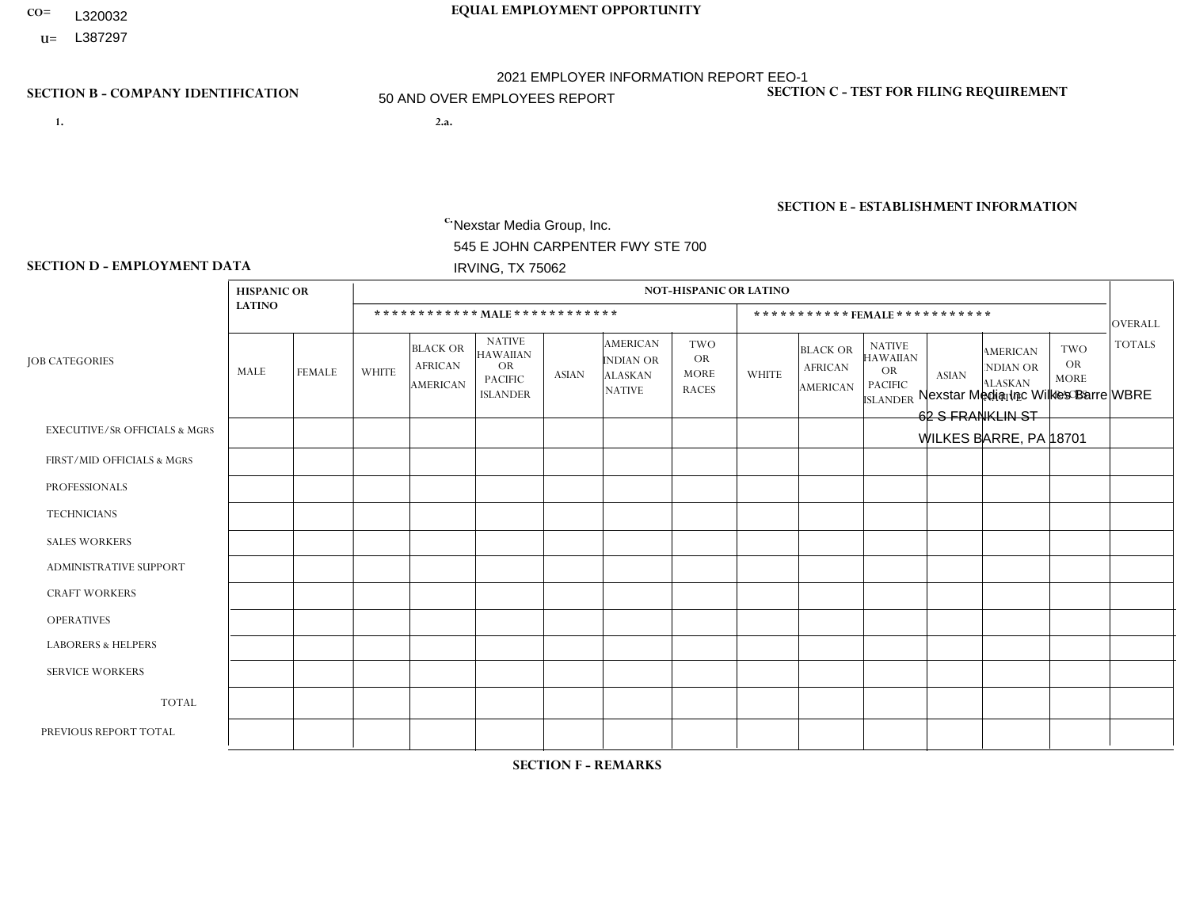- **CO= EQUAL EMPLOYMENT OPPORTUNITY** L320032
- **U=**

- **1. 2.a.** Nexstar Media Group, Inc. 545 E JOHN CARPENTER FWY STE 700 IRVING, TX 75062
- 2.a. Nexstar Media Inc Wilkes Barre WBRE 62 S FRANKLIN ST WILKES BARRE, PA 18701

EIN= 233063152

# **SECTION B - COMPANY IDENTIFICATION SECTION C - TEST FOR FILING REQUIREMENT**

1- Y 2- N 3- Y DUNS= 058168001

**SECTION E - ESTABLISHMENT INFORMATION c.** NAICS: 515120 - Television Broadcasting

### **SECTION D - EMPLOYMENT DATA**

|                                          | <b>HISPANIC OR</b> |                |                |                                                      |                                                                                    |                |                                                                        | <b>NOT-HISPANIC OR LATINO</b>                          |              |                                                      |                                                                                    |              |                                                                       |                                                        |                |
|------------------------------------------|--------------------|----------------|----------------|------------------------------------------------------|------------------------------------------------------------------------------------|----------------|------------------------------------------------------------------------|--------------------------------------------------------|--------------|------------------------------------------------------|------------------------------------------------------------------------------------|--------------|-----------------------------------------------------------------------|--------------------------------------------------------|----------------|
|                                          | <b>LATINO</b>      |                |                |                                                      | ************ MALE ************                                                     |                |                                                                        |                                                        |              | ***********FEMALE***********                         |                                                                                    |              |                                                                       |                                                        | <b>OVERALL</b> |
| <b>JOB CATEGORIES</b>                    | MALE               | <b>FEMALE</b>  | <b>WHITE</b>   | <b>BLACK OR</b><br><b>AFRICAN</b><br><b>AMERICAN</b> | <b>NATIVE</b><br><b>HAWAIIAN</b><br><b>OR</b><br><b>PACIFIC</b><br><b>ISLANDER</b> | <b>ASIAN</b>   | <b>AMERICAN</b><br><b>INDIAN OR</b><br><b>ALASKAN</b><br><b>NATIVE</b> | <b>TWO</b><br><b>OR</b><br><b>MORE</b><br><b>RACES</b> | <b>WHITE</b> | <b>BLACK OR</b><br><b>AFRICAN</b><br><b>AMERICAN</b> | <b>NATIVE</b><br><b>HAWAIIAN</b><br><b>OR</b><br><b>PACIFIC</b><br><b>ISLANDER</b> | <b>ASIAN</b> | <b>AMERICAN</b><br><b>NDIAN OR</b><br><b>ALASKAN</b><br><b>NATIVE</b> | <b>TWO</b><br><b>OR</b><br><b>MORE</b><br><b>RACES</b> | <b>TOTALS</b>  |
| <b>EXECUTIVE/SR OFFICIALS &amp; MGRS</b> | 0                  | $\Omega$       | $\Omega$       | $\mathbf 0$                                          | $\Omega$                                                                           | $\Omega$       | $\Omega$                                                               | $\Omega$                                               | 0            | $\Omega$                                             | $\Omega$                                                                           | $\Omega$     | $\Omega$                                                              | $\Omega$                                               | $\Omega$       |
| FIRST/MID OFFICIALS & MGRS               | 0                  | $\Omega$       | $\mathbf 0$    | $\mathbf 0$                                          | $\mathbf 0$                                                                        | $\Omega$       |                                                                        | $\Omega$                                               | 3            | $\Omega$                                             | $\Omega$                                                                           | $\Omega$     | $\Omega$                                                              | $\Omega$                                               | $\overline{4}$ |
| <b>PROFESSIONALS</b>                     | 0                  | $\overline{0}$ | 10             | $\mathbf{1}$                                         | $\mathbf 0$                                                                        | $\Omega$       | $\Omega$                                                               | $\Omega$                                               | 3            | $\Omega$                                             | $\Omega$                                                                           | $\mathbf 0$  | $\Omega$                                                              | $\Omega$                                               | 14             |
| <b>TECHNICIANS</b>                       |                    | $\mathbf{1}$   | 41             | $\mathbf 0$                                          | $\mathbf 0$                                                                        | $\mathbf{1}$   | $\Omega$                                                               | $\Omega$                                               | 16           | $\Omega$                                             | $\Omega$                                                                           | $\Omega$     | $\Omega$                                                              | $\Omega$                                               | 60             |
| <b>SALES WORKERS</b>                     | 0                  | $\Omega$       | 5              | $\mathbf 0$                                          | $\Omega$                                                                           | $\Omega$       | $\Omega$                                                               | $\Omega$                                               | 6            | $\Omega$                                             | $\Omega$                                                                           | $\Omega$     | $\Omega$                                                              | $\Omega$                                               | 11             |
| <b>ADMINISTRATIVE SUPPORT</b>            | 0                  | $\mathbf{1}$   | $\overline{4}$ | $\mathbf 0$                                          | $\mathbf 0$                                                                        | 0              | $\Omega$                                                               | $\Omega$                                               | 4            | 1                                                    | $\Omega$                                                                           | $\Omega$     | $\Omega$                                                              | $\Omega$                                               | 10             |
| <b>CRAFT WORKERS</b>                     | 0                  | $\Omega$       | $\mathbf 0$    | $\mathbf 0$                                          | 0                                                                                  | $\Omega$       | $\Omega$                                                               | $\Omega$                                               | 0            | $\Omega$                                             | $\Omega$                                                                           | $\Omega$     | $\Omega$                                                              | $\Omega$                                               | $\Omega$       |
| <b>OPERATIVES</b>                        | 0                  | $\Omega$       | $\mathbf 0$    | $\mathbf 0$                                          | 0                                                                                  | $\Omega$       | $\Omega$                                                               | $\Omega$                                               | 0            | $\Omega$                                             | $\Omega$                                                                           | $\Omega$     | $\Omega$                                                              | $\Omega$                                               | $\mathbf 0$    |
| <b>LABORERS &amp; HELPERS</b>            | 0                  | $\Omega$       | $\mathbf 0$    | $\mathbf 0$                                          | 0                                                                                  | $\Omega$       | $\Omega$                                                               | $\Omega$                                               | $\Omega$     | $\Omega$                                             | $\Omega$                                                                           | $\Omega$     | 0                                                                     | $\Omega$                                               | $\mathbf 0$    |
| <b>SERVICE WORKERS</b>                   | 0                  | $\Omega$       |                | $\mathbf 0$                                          | 0                                                                                  | 0              | $\Omega$                                                               | $\Omega$                                               | 0            | $\Omega$                                             | $\Omega$                                                                           | $\Omega$     | $\Omega$                                                              | $\Omega$                                               | $\overline{1}$ |
| <b>TOTAL</b>                             | 1                  | $\overline{2}$ | 61             | $\mathbf{1}$                                         | 0                                                                                  | 1              |                                                                        | $\Omega$                                               | 32           | $\mathbf 1$                                          | $\Omega$                                                                           | $\mathbf 0$  | $\Omega$                                                              | 0                                                      | 100            |
| PREVIOUS REPORT TOTAL                    |                    | $\overline{2}$ | 60             | $\overline{2}$                                       | $\mathbf 0$                                                                        | $\overline{2}$ |                                                                        | $\Omega$                                               | 31           | $\Omega$                                             | $\Omega$                                                                           |              | $\Omega$                                                              | $\mathbf 0$                                            | 100            |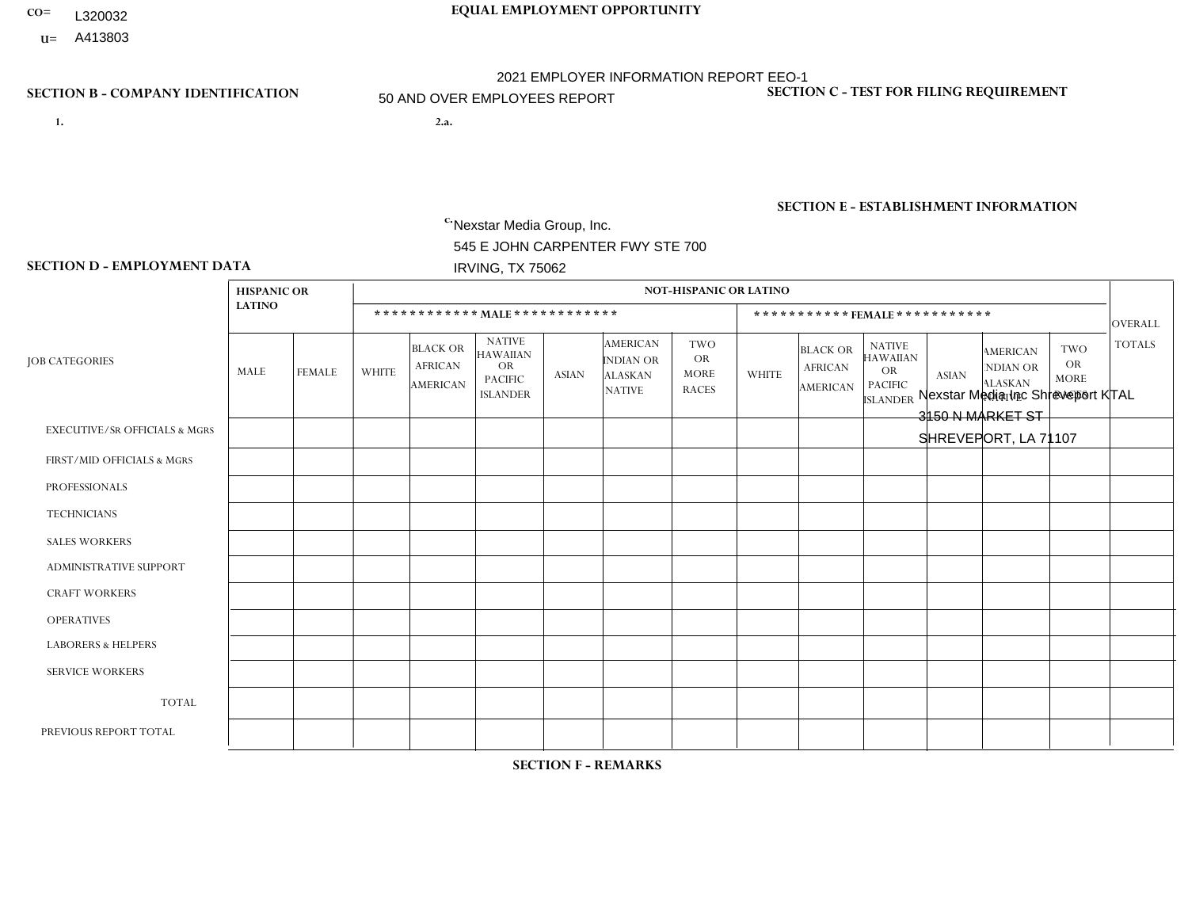- **CO= EQUAL EMPLOYMENT OPPORTUNITY** L320032
- **U=**

- **1. 2.a.** Nexstar Media Group, Inc. 545 E JOHN CARPENTER FWY STE 700 IRVING, TX 75062
- 2.a. Nexstar Media Inc Shreveport KTAL 3150 N MARKET ST SHREVEPORT, LA 71107

EIN= 233063152

# **SECTION B - COMPANY IDENTIFICATION SECTION C - TEST FOR FILING REQUIREMENT**

1- Y 2- N 3- Y DUNS= 058168001

**SECTION E - ESTABLISHMENT INFORMATION c.** NAICS: 515120 - Television Broadcasting

### **SECTION D - EMPLOYMENT DATA**

|                                          | <b>HISPANIC OR</b> |                |                |                                                      |                                                                                    |                |                                                                 | <b>NOT-HISPANIC OR LATINO</b>                          |              |                                                      |                                                                                    |              |                                                                       |                                                        |                |
|------------------------------------------|--------------------|----------------|----------------|------------------------------------------------------|------------------------------------------------------------------------------------|----------------|-----------------------------------------------------------------|--------------------------------------------------------|--------------|------------------------------------------------------|------------------------------------------------------------------------------------|--------------|-----------------------------------------------------------------------|--------------------------------------------------------|----------------|
|                                          | <b>LATINO</b>      |                |                |                                                      | ************ MALE************                                                      |                |                                                                 |                                                        |              |                                                      | ***********FEMALE ***********                                                      |              |                                                                       |                                                        | <b>OVERALL</b> |
| <b>JOB CATEGORIES</b>                    | MALE               | FEMALE         | <b>WHITE</b>   | <b>BLACK OR</b><br><b>AFRICAN</b><br><b>AMERICAN</b> | <b>NATIVE</b><br><b>HAWAIIAN</b><br><b>OR</b><br><b>PACIFIC</b><br><b>ISLANDER</b> | <b>ASIAN</b>   | <b>AMERICAN</b><br>INDIAN OR<br><b>ALASKAN</b><br><b>NATIVE</b> | <b>TWO</b><br><b>OR</b><br><b>MORE</b><br><b>RACES</b> | <b>WHITE</b> | <b>BLACK OR</b><br><b>AFRICAN</b><br><b>AMERICAN</b> | <b>NATIVE</b><br><b>HAWAIIAN</b><br><b>OR</b><br><b>PACIFIC</b><br><b>ISLANDER</b> | <b>ASIAN</b> | <b>AMERICAN</b><br><b>NDIAN OR</b><br><b>ALASKAN</b><br><b>NATIVE</b> | <b>TWO</b><br><b>OR</b><br><b>MORE</b><br><b>RACES</b> | <b>TOTALS</b>  |
| <b>EXECUTIVE/SR OFFICIALS &amp; MGRS</b> | $\Omega$           | $\Omega$       | $\mathbf 0$    | $\mathbf 0$                                          | $\Omega$                                                                           | $\Omega$       | $\mathbf{0}$                                                    | $\Omega$                                               | $\Omega$     | $\Omega$                                             | $\mathbf{0}$                                                                       | $\Omega$     | $\mathbf{0}$                                                          | $\Omega$                                               | $\Omega$       |
| FIRST/MID OFFICIALS & MGRS               | 0                  | $\mathbf{1}$   | 3              | 1                                                    | $\mathbf 0$                                                                        | $\mathbf 1$    | $\Omega$                                                        | $\Omega$                                               |              | $\Omega$                                             | $\Omega$                                                                           | $\mathbf{0}$ | $\mathbf{0}$                                                          | $\Omega$                                               | $\overline{7}$ |
| <b>PROFESSIONALS</b>                     | 0                  | $\mathbf{1}$   | $\overline{4}$ | $\overline{2}$                                       | $\mathbf 0$                                                                        | $\mathbf 0$    | $\Omega$                                                        | $\Omega$                                               | 4            | 1                                                    | $\Omega$                                                                           | $\mathbf 0$  | $\Omega$                                                              | $\Omega$                                               | 12             |
| <b>TECHNICIANS</b>                       | 0                  | $\mathbf 0$    | 10             | $\overline{7}$                                       | $\mathbf 0$                                                                        | $\mathbf{1}$   | $\mathbf{0}$                                                    | $\overline{2}$                                         | 8            | $\overline{7}$                                       | $\Omega$                                                                           | $\Omega$     | $\mathbf 0$                                                           | 1                                                      | 36             |
| <b>SALES WORKERS</b>                     | 0                  | $\Omega$       | $\overline{c}$ | $\mathbf 0$                                          | $\Omega$                                                                           | $\Omega$       | $\Omega$                                                        | $\Omega$                                               | 4            | $\mathbf{1}$                                         | $\Omega$                                                                           | $\mathbf{0}$ | $\Omega$                                                              | 1                                                      | 8              |
| <b>ADMINISTRATIVE SUPPORT</b>            | 0                  | $\mathbf 0$    | $\overline{4}$ | $\mathbf{1}$                                         | $\mathbf 0$                                                                        | $\mathbf 0$    | $\Omega$                                                        | $\Omega$                                               | 8            | 1                                                    | $\Omega$                                                                           | $\mathbf{0}$ | $\Omega$                                                              | $\mathbf{0}$                                           | 14             |
| <b>CRAFT WORKERS</b>                     | 0                  | $\Omega$       | $\mathbf 0$    | $\mathbf 0$                                          | $\Omega$                                                                           | $\Omega$       | $\Omega$                                                        | $\Omega$                                               | $\Omega$     | $\Omega$                                             | $\Omega$                                                                           | $\Omega$     | $\Omega$                                                              | $\Omega$                                               | $\Omega$       |
| <b>OPERATIVES</b>                        | 0                  | $\Omega$       | $\mathbf 0$    | $\mathbf 0$                                          | $\mathbf 0$                                                                        | $\mathbf 0$    | $\Omega$                                                        | $\Omega$                                               | $\Omega$     | $\Omega$                                             | $\Omega$                                                                           | $\Omega$     | $\mathbf{0}$                                                          | $\Omega$                                               | $\overline{0}$ |
| <b>LABORERS &amp; HELPERS</b>            | 0                  | $\Omega$       | $\mathbf 0$    | $\mathbf 0$                                          | $\mathbf 0$                                                                        | $\mathbf 0$    | $\Omega$                                                        | $\Omega$                                               | $\Omega$     | $\Omega$                                             | $\Omega$                                                                           | $\Omega$     | $\Omega$                                                              | $\Omega$                                               | $\overline{0}$ |
| <b>SERVICE WORKERS</b>                   | 0                  | $\mathbf 0$    | $\mathbf 0$    | $\mathbf 0$                                          | $\mathbf 0$                                                                        | $\mathbf 0$    | $\Omega$                                                        | $\Omega$                                               | $\Omega$     | $\Omega$                                             | $\Omega$                                                                           | $\Omega$     | $\mathbf{0}$                                                          | $\Omega$                                               | $\overline{0}$ |
| <b>TOTAL</b>                             | $\mathbf 0$        | $\overline{2}$ | 23             | 11                                                   | 0                                                                                  | $\overline{2}$ | $\Omega$                                                        | $\overline{2}$                                         | 25           | 10                                                   | $\Omega$                                                                           | $\mathbf 0$  | $\Omega$                                                              | 2                                                      | 77             |
| PREVIOUS REPORT TOTAL                    | 0                  | $\mathbf{1}$   | 25             | 17                                                   | $\mathbf 0$                                                                        | $\Omega$       | $\Omega$                                                        | $\Omega$                                               | 19           | 13                                                   | $\Omega$                                                                           | $\Omega$     | $\mathbf{0}$                                                          | $\Omega$                                               | 75             |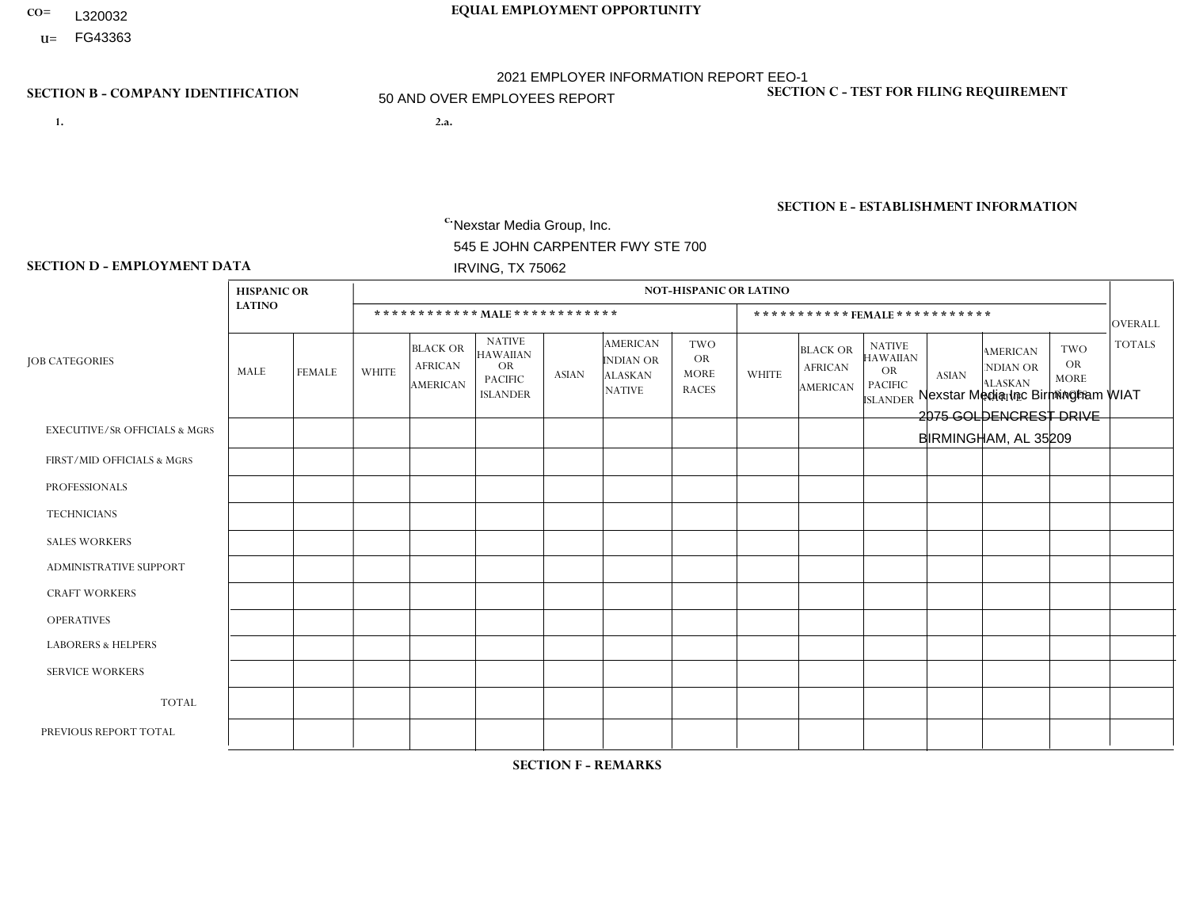- **CO= EQUAL EMPLOYMENT OPPORTUNITY** L320032
- **U=**

- **1. 2.a.** Nexstar Media Group, Inc. 545 E JOHN CARPENTER FWY STE 700 IRVING, TX 75062
- 2.a. Nexstar Media Inc Birmingham WIAT 2075 GOLDENCREST DRIVE BIRMINGHAM, AL 35209

EIN= 233063152

# **SECTION B - COMPANY IDENTIFICATION SECTION C - TEST FOR FILING REQUIREMENT**

1- Y 2- N 3- Y DUNS= 058168001

# **SECTION E - ESTABLISHMENT INFORMATION c.** NAICS: 515120 - Television Broadcasting

### **SECTION D - EMPLOYMENT DATA**

|                                          | <b>HISPANIC OR</b> |                |                |                                                      |                                                                                    |              |                                                                 | <b>NOT-HISPANIC OR LATINO</b>                          |                |                                                      |                                                                                    |              |                                                                       |                                                        |                |
|------------------------------------------|--------------------|----------------|----------------|------------------------------------------------------|------------------------------------------------------------------------------------|--------------|-----------------------------------------------------------------|--------------------------------------------------------|----------------|------------------------------------------------------|------------------------------------------------------------------------------------|--------------|-----------------------------------------------------------------------|--------------------------------------------------------|----------------|
|                                          | <b>LATINO</b>      |                |                |                                                      | ************ MALE ************                                                     |              |                                                                 |                                                        |                |                                                      | ***********FEMALE ***********                                                      |              |                                                                       |                                                        | <b>OVERALL</b> |
| <b>JOB CATEGORIES</b>                    | MALE               | <b>FEMALE</b>  | <b>WHITE</b>   | <b>BLACK OR</b><br><b>AFRICAN</b><br><b>AMERICAN</b> | <b>NATIVE</b><br><b>HAWAIIAN</b><br><b>OR</b><br><b>PACIFIC</b><br><b>ISLANDER</b> | <b>ASIAN</b> | <b>AMERICAN</b><br>INDIAN OR<br><b>ALASKAN</b><br><b>NATIVE</b> | <b>TWO</b><br><b>OR</b><br><b>MORE</b><br><b>RACES</b> | WHITE          | <b>BLACK OR</b><br><b>AFRICAN</b><br><b>AMERICAN</b> | <b>NATIVE</b><br><b>HAWAIIAN</b><br><b>OR</b><br><b>PACIFIC</b><br><b>ISLANDER</b> | <b>ASIAN</b> | <b>AMERICAN</b><br><b>NDIAN OR</b><br><b>ALASKAN</b><br><b>NATIVE</b> | <b>TWO</b><br><b>OR</b><br><b>MORE</b><br><b>RACES</b> | <b>TOTALS</b>  |
| <b>EXECUTIVE/SR OFFICIALS &amp; MGRS</b> | $\Omega$           | $\Omega$       | $\mathbf 0$    | $\mathbf 0$                                          | $\Omega$                                                                           | $\Omega$     | $\Omega$                                                        | $\Omega$                                               | $\Omega$       | $\Omega$                                             | $\mathbf{0}$                                                                       | $\Omega$     | $\Omega$                                                              | $\Omega$                                               | $\overline{0}$ |
| FIRST/MID OFFICIALS & MGRS               | 0                  | $\mathbf 0$    | $\overline{4}$ | 1                                                    | $\mathbf 0$                                                                        | $\Omega$     | $\Omega$                                                        | $\Omega$                                               | 2              | $\overline{2}$                                       | $\Omega$                                                                           | $\mathbf{0}$ | $\Omega$                                                              | $\Omega$                                               | 9              |
| <b>PROFESSIONALS</b>                     | 0                  | $\mathbf 0$    | $\overline{7}$ | $\mathbf{1}$                                         | $\mathbf 0$                                                                        | $\mathbf 0$  | $\Omega$                                                        | $\Omega$                                               | $\overline{2}$ | $\overline{4}$                                       | $\Omega$                                                                           | $\mathbf 0$  | $\Omega$                                                              | $\Omega$                                               | 14             |
| <b>TECHNICIANS</b>                       | $\Omega$           | $\mathbf{1}$   | 24             | 8                                                    | $\mathbf 0$                                                                        | $\mathbf{1}$ | $\Omega$                                                        | $\mathbf{1}$                                           | 12             | $\overline{7}$                                       | $\Omega$                                                                           | 1            | $\Omega$                                                              | 1                                                      | 56             |
| <b>SALES WORKERS</b>                     | 0                  | $\Omega$       | $\overline{1}$ | $\mathbf{1}$                                         | $\Omega$                                                                           | $\Omega$     | $\Omega$                                                        | $\Omega$                                               | 5              | $\Omega$                                             | $\Omega$                                                                           | $\Omega$     | $\Omega$                                                              | $\Omega$                                               | $\overline{7}$ |
| <b>ADMINISTRATIVE SUPPORT</b>            | 0                  | $\Omega$       | $\overline{4}$ | $\overline{2}$                                       | $\Omega$                                                                           | $\Omega$     | $\Omega$                                                        | $\Omega$                                               | 4              | 3                                                    | $\Omega$                                                                           | $\mathbf{0}$ | $\Omega$                                                              | $\mathbf{0}$                                           | 13             |
| <b>CRAFT WORKERS</b>                     | 0                  | $\Omega$       | $\mathbf 0$    | $\mathbf 0$                                          | $\mathbf 0$                                                                        | $\Omega$     | $\Omega$                                                        | $\Omega$                                               | $\Omega$       | $\Omega$                                             | $\Omega$                                                                           | $\Omega$     | $\mathbf{0}$                                                          | $\Omega$                                               | $\overline{0}$ |
| <b>OPERATIVES</b>                        | 0                  | $\Omega$       | $\mathbf 0$    | $\Omega$                                             | $\Omega$                                                                           | $\Omega$     | $\Omega$                                                        | $\Omega$                                               | $\Omega$       | $\Omega$                                             | $\Omega$                                                                           | $\Omega$     | $\Omega$                                                              | $\Omega$                                               | $\overline{0}$ |
| <b>LABORERS &amp; HELPERS</b>            | 0                  | $\Omega$       | $\mathbf 0$    | $\mathbf 0$                                          | $\mathbf 0$                                                                        | $\Omega$     | $\Omega$                                                        | $\Omega$                                               | $\Omega$       | $\Omega$                                             | $\Omega$                                                                           | $\Omega$     | $\Omega$                                                              | $\Omega$                                               | $\mathbf 0$    |
| <b>SERVICE WORKERS</b>                   | $\Omega$           | $\mathbf 0$    | $\mathbf 0$    | $\mathbf 0$                                          | $\mathbf 0$                                                                        | $\mathbf{0}$ | $\Omega$                                                        | $\Omega$                                               | $\Omega$       | $\Omega$                                             | $\Omega$                                                                           | $\Omega$     | $\Omega$                                                              | $\mathbf 0$                                            | $\mathbf{0}$   |
| <b>TOTAL</b>                             | 0                  | $\mathbf{1}$   | 40             | 13                                                   | $\mathbf 0$                                                                        | $\mathbf{1}$ | $\Omega$                                                        | 1                                                      | 25             | 16                                                   | $\Omega$                                                                           | 1            | $\mathbf{0}$                                                          | 1                                                      | 99             |
| PREVIOUS REPORT TOTAL                    | 0                  | $\overline{2}$ | 41             | 13                                                   | 0                                                                                  | $\mathbf 0$  | $\mathbf{0}$                                                    |                                                        | 23             | 19                                                   | $\mathbf{0}$                                                                       | $\Omega$     | $\mathbf 0$                                                           | 1                                                      | 100            |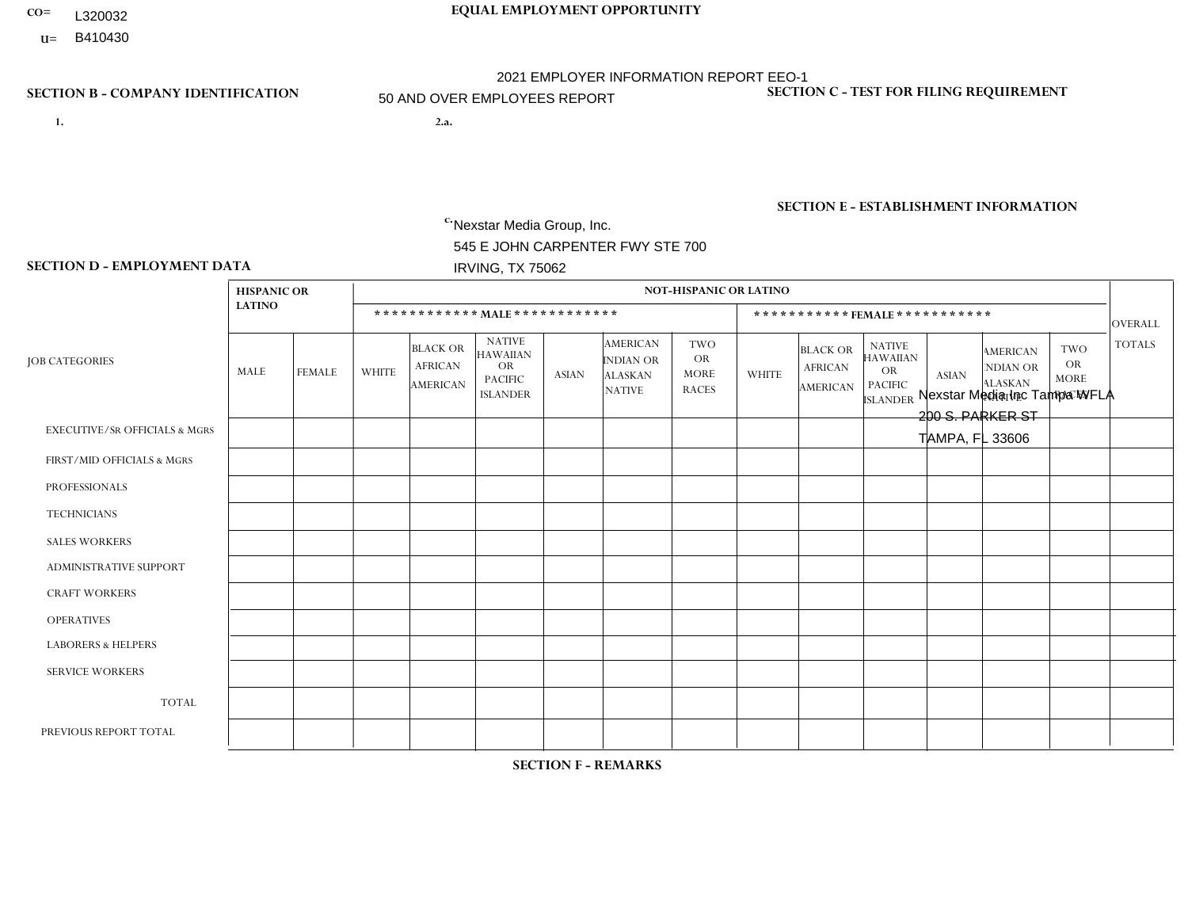- L320032
- **U=**

# **CO= EQUAL EMPLOYMENT OPPORTUNITY** 2021 EMPLOYER INFORMATION REPORT EEO-1 50 AND OVER EMPLOYEES REPORT

- **1. 2.a.** Nexstar Media Group, Inc. 545 E JOHN CARPENTER FWY STE 700 IRVING, TX 75062
- 2.a. Nexstar Media Inc Tampa WFLA 200 S. PARKER ST TAMPA, FL 33606

EIN= 233063152

# **SECTION B - COMPANY IDENTIFICATION SECTION C - TEST FOR FILING REQUIREMENT**

1- Y 2- N 3- Y DUNS= 058168001

# **SECTION E - ESTABLISHMENT INFORMATION c.** NAICS: 515120 - Television Broadcasting

### **SECTION D - EMPLOYMENT DATA**

|                                          | <b>HISPANIC OR</b> |                |              |                                                      |                                                                                    |                |                                                                        | <b>NOT-HISPANIC OR LATINO</b>                          |              |                                               |                                                                                    |                |                                                                       |                                                        |                |
|------------------------------------------|--------------------|----------------|--------------|------------------------------------------------------|------------------------------------------------------------------------------------|----------------|------------------------------------------------------------------------|--------------------------------------------------------|--------------|-----------------------------------------------|------------------------------------------------------------------------------------|----------------|-----------------------------------------------------------------------|--------------------------------------------------------|----------------|
|                                          | <b>LATINO</b>      |                |              |                                                      | ************ MALE ************                                                     |                |                                                                        |                                                        |              |                                               | ***********FEMALE***********                                                       |                |                                                                       |                                                        | <b>OVERALL</b> |
| <b>JOB CATEGORIES</b>                    | MALE               | <b>FEMALE</b>  | <b>WHITE</b> | <b>BLACK OR</b><br><b>AFRICAN</b><br><b>AMERICAN</b> | <b>NATIVE</b><br><b>HAWAIIAN</b><br><b>OR</b><br><b>PACIFIC</b><br><b>ISLANDER</b> | <b>ASIAN</b>   | <b>AMERICAN</b><br><b>INDIAN OR</b><br><b>ALASKAN</b><br><b>NATIVE</b> | <b>TWO</b><br><b>OR</b><br><b>MORE</b><br><b>RACES</b> | <b>WHITE</b> | <b>BLACK OR</b><br><b>AFRICAN</b><br>AMERICAN | <b>NATIVE</b><br><b>HAWAIIAN</b><br><b>OR</b><br><b>PACIFIC</b><br><b>ISLANDER</b> | <b>ASIAN</b>   | <b>AMERICAN</b><br><b>NDIAN OR</b><br><b>ALASKAN</b><br><b>NATIVE</b> | <b>TWO</b><br><b>OR</b><br><b>MORE</b><br><b>RACES</b> | <b>TOTALS</b>  |
| <b>EXECUTIVE/SR OFFICIALS &amp; MGRS</b> | $\Omega$           | $\mathbf 0$    | $\mathbf 0$  | $\mathbf 0$                                          | $\Omega$                                                                           | $\Omega$       | $\Omega$                                                               | $\Omega$                                               | $\Omega$     | $\Omega$                                      | $\Omega$                                                                           | $\Omega$       | $\Omega$                                                              | $\Omega$                                               | $\mathbf 0$    |
| FIRST/MID OFFICIALS & MGRS               |                    | $\mathbf 0$    | 11           | $\mathbf 0$                                          | $\Omega$                                                                           | $\Omega$       | $\Omega$                                                               | $\Omega$                                               | 2            | $\overline{1}$                                | $\Omega$                                                                           |                | $\Omega$                                                              | $\Omega$                                               | 16             |
| <b>PROFESSIONALS</b>                     | $\overline{2}$     | $\overline{2}$ | 15           | $\Omega$                                             | $\Omega$                                                                           |                | $\Omega$                                                               | $\Omega$                                               | 11           | $\Omega$                                      | $\Omega$                                                                           |                | $\Omega$                                                              | $\Omega$                                               | 32             |
| <b>TECHNICIANS</b>                       | 10                 | $\overline{7}$ | 44           | 8                                                    | $\Omega$                                                                           | $\overline{2}$ | $\Omega$                                                               | $\Omega$                                               | 24           | 3                                             | $\Omega$                                                                           |                | $\Omega$                                                              | $\mathbf{1}$                                           | 100            |
| <b>SALES WORKERS</b>                     | $\mathbf 0$        | $\overline{2}$ | 9            | $\mathbf 0$                                          | $\Omega$                                                                           | $\Omega$       | $\Omega$                                                               | $\Omega$                                               | 8            | $\blacktriangleleft$                          | $\Omega$                                                                           | $\Omega$       | $\Omega$                                                              | $\Omega$                                               | 20             |
| ADMINISTRATIVE SUPPORT                   | 8                  | 6              | 27           | 8                                                    | $\Omega$                                                                           |                | $\Omega$                                                               | $\Omega$                                               | 22           | $\overline{7}$                                | $\Omega$                                                                           |                | $\Omega$                                                              | $\Omega$                                               | 80             |
| <b>CRAFT WORKERS</b>                     | 0                  | $\mathbf 0$    | $\mathbf 0$  | 0                                                    | $\Omega$                                                                           | $\Omega$       | $\Omega$                                                               | $\Omega$                                               | $\Omega$     | $\Omega$                                      | $\Omega$                                                                           | $\Omega$       | $\Omega$                                                              | $\Omega$                                               | $\mathbf 0$    |
| <b>OPERATIVES</b>                        | $\mathbf 0$        | $\overline{0}$ | $\mathbf 0$  | $\mathbf 0$                                          | $\Omega$                                                                           | $\Omega$       | $\Omega$                                                               | $\Omega$                                               | $\Omega$     | $\Omega$                                      | $\Omega$                                                                           | $\Omega$       | $\Omega$                                                              | $\Omega$                                               | $\mathbf 0$    |
| <b>LABORERS &amp; HELPERS</b>            | $\mathbf{0}$       | $\Omega$       | $\mathbf 0$  | 0                                                    | $\Omega$                                                                           | $\Omega$       | $\Omega$                                                               | $\Omega$                                               | $\Omega$     | $\Omega$                                      | $\Omega$                                                                           | $\Omega$       | $\Omega$                                                              | $\Omega$                                               | $\mathbf 0$    |
| <b>SERVICE WORKERS</b>                   | $\mathbf{0}$       | $\overline{0}$ | $\mathbf 0$  | $\mathbf 0$                                          | $\Omega$                                                                           | $\Omega$       | $\Omega$                                                               | $\Omega$                                               | $\Omega$     | $\Omega$                                      | $\Omega$                                                                           | $\mathbf 0$    | $\Omega$                                                              | $\mathbf 0$                                            | $\mathbf 0$    |
| <b>TOTAL</b>                             | 21                 | 17             | 106          | 16                                                   | $\mathbf 0$                                                                        | 4              | $\Omega$                                                               | $\Omega$                                               | 67           | 12                                            | $\Omega$                                                                           | $\overline{4}$ | $\Omega$                                                              | $\mathbf{1}$                                           | 248            |
| PREVIOUS REPORT TOTAL                    | 12                 | 6              | 122          | 14                                                   | $\Omega$                                                                           | 2              | 0                                                                      |                                                        | 76           | 13                                            | $\mathbf 0$                                                                        | $\overline{ }$ |                                                                       | $\mathbf{1}$                                           | 249            |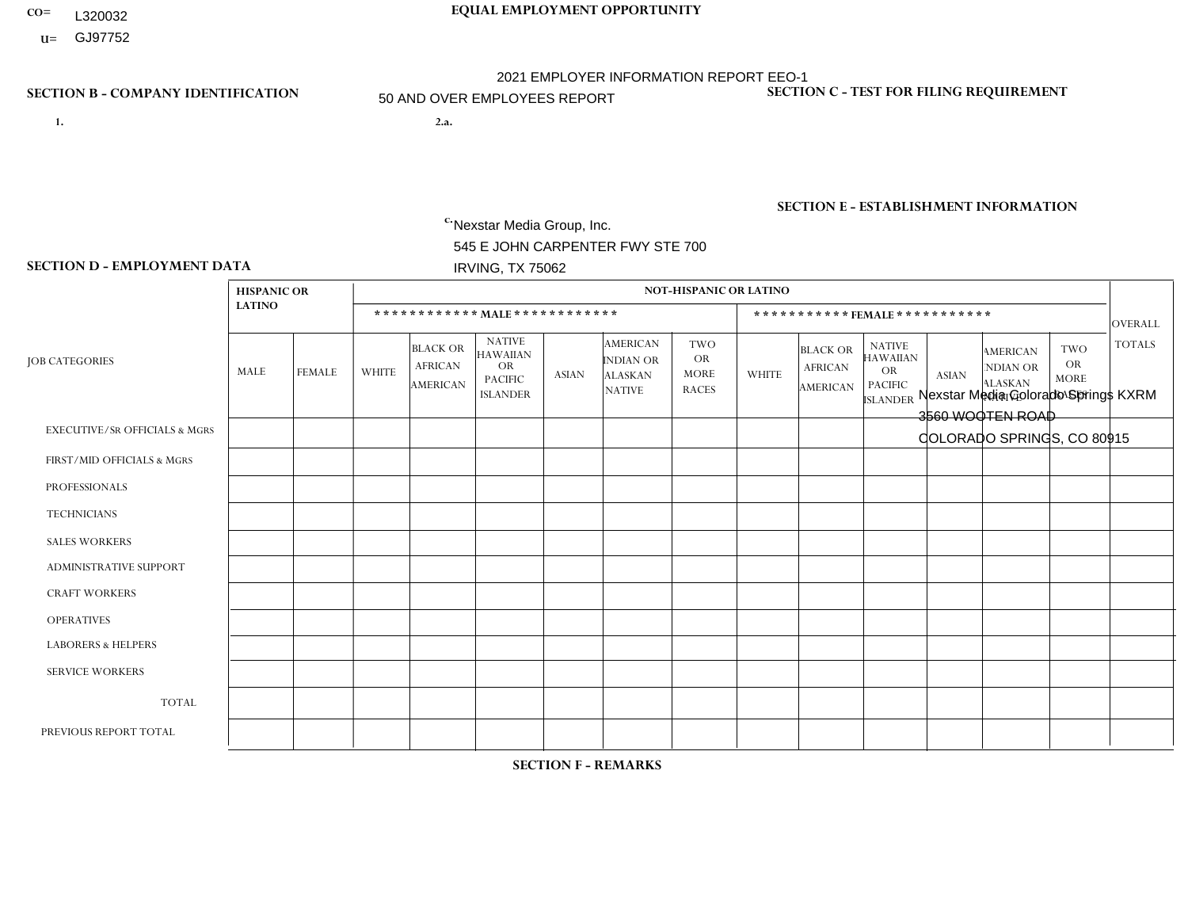- **CO= EQUAL EMPLOYMENT OPPORTUNITY** L320032
- **U=**

- **1. 2.a.** Nexstar Media Group, Inc. 545 E JOHN CARPENTER FWY STE 700 IRVING, TX 75062
- 2.a. Nexstar Media Colorado Springs KXRM 3560 WOOTEN ROAD COLORADO SPRINGS, CO 80915

EIN= 233063152

# **SECTION B - COMPANY IDENTIFICATION SECTION C - TEST FOR FILING REQUIREMENT**

1- Y 2- N 3- Y DUNS= 058168001

**SECTION E - ESTABLISHMENT INFORMATION c.** NAICS: 515120 - Television Broadcasting

### **SECTION D - EMPLOYMENT DATA**

|                                          | <b>HISPANIC OR</b> |                |                |                                                      |                                                                                    |              |                                                                        | <b>NOT-HISPANIC OR LATINO</b>                          |              |                                                      |                                                                                    |              |                                                                       |                                                        |                |
|------------------------------------------|--------------------|----------------|----------------|------------------------------------------------------|------------------------------------------------------------------------------------|--------------|------------------------------------------------------------------------|--------------------------------------------------------|--------------|------------------------------------------------------|------------------------------------------------------------------------------------|--------------|-----------------------------------------------------------------------|--------------------------------------------------------|----------------|
|                                          | <b>LATINO</b>      |                |                |                                                      | ************ MALE ************                                                     |              |                                                                        |                                                        |              | ***********FEMALE***********                         |                                                                                    |              |                                                                       |                                                        | <b>OVERALL</b> |
| <b>JOB CATEGORIES</b>                    | MALE               | <b>FEMALE</b>  | <b>WHITE</b>   | <b>BLACK OR</b><br><b>AFRICAN</b><br><b>AMERICAN</b> | <b>NATIVE</b><br><b>HAWAIIAN</b><br><b>OR</b><br><b>PACIFIC</b><br><b>ISLANDER</b> | <b>ASIAN</b> | <b>AMERICAN</b><br><b>INDIAN OR</b><br><b>ALASKAN</b><br><b>NATIVE</b> | <b>TWO</b><br><b>OR</b><br><b>MORE</b><br><b>RACES</b> | <b>WHITE</b> | <b>BLACK OR</b><br><b>AFRICAN</b><br><b>AMERICAN</b> | <b>NATIVE</b><br><b>HAWAIIAN</b><br><b>OR</b><br><b>PACIFIC</b><br><b>ISLANDER</b> | <b>ASIAN</b> | <b>AMERICAN</b><br><b>NDIAN OR</b><br><b>ALASKAN</b><br><b>NATIVE</b> | <b>TWO</b><br><b>OR</b><br><b>MORE</b><br><b>RACES</b> | <b>TOTALS</b>  |
| <b>EXECUTIVE/SR OFFICIALS &amp; MGRS</b> | 0                  | 0              | $\Omega$       | $\Omega$                                             | $\Omega$                                                                           | $\Omega$     | $\Omega$                                                               | $\Omega$                                               | 0            | $\Omega$                                             | $\Omega$                                                                           | $\Omega$     | $\Omega$                                                              | $\Omega$                                               | $\Omega$       |
| FIRST/MID OFFICIALS & MGRS               | 0                  | $\Omega$       | 3              | $\mathbf 0$                                          | $\mathbf 0$                                                                        | $\Omega$     | $\Omega$                                                               | $\Omega$                                               | 4            | $\Omega$                                             | $\Omega$                                                                           | $\Omega$     | $\Omega$                                                              | $\Omega$                                               | $\overline{7}$ |
| <b>PROFESSIONALS</b>                     |                    | $\mathbf{1}$   | 6              | $\mathbf 0$                                          | $\mathbf 0$                                                                        | $\Omega$     | $\Omega$                                                               | $\Omega$                                               | 3            | $\Omega$                                             | $\Omega$                                                                           | $\Omega$     | $\Omega$                                                              | $\mathbf 1$                                            | 12             |
| <b>TECHNICIANS</b>                       | 3                  | $\overline{0}$ | 17             | $\mathbf 0$                                          | $\mathbf 0$                                                                        | $\Omega$     | $\Omega$                                                               | $\Omega$                                               | 10           | $\Omega$                                             | $\mathbf 0$                                                                        | $\mathbf 0$  | $\Omega$                                                              | 2                                                      | 32             |
| <b>SALES WORKERS</b>                     | 0                  | $\overline{2}$ | 4              | 1                                                    | $\Omega$                                                                           | $\Omega$     | $\Omega$                                                               | $\Omega$                                               | 6            | $\Omega$                                             | $\Omega$                                                                           | $\Omega$     | $\Omega$                                                              | $\blacktriangleleft$                                   | 14             |
| ADMINISTRATIVE SUPPORT                   | 0                  | $\Omega$       | $\overline{c}$ | $\mathbf 0$                                          | $\mathbf 0$                                                                        | $\Omega$     | $\Omega$                                                               | $\Omega$                                               | 6            | 1                                                    | $\Omega$                                                                           | $\Omega$     | $\Omega$                                                              | $\Omega$                                               | 9              |
| <b>CRAFT WORKERS</b>                     | 0                  | $\Omega$       | $\mathbf 0$    | $\mathbf 0$                                          | $\mathbf 0$                                                                        | $\Omega$     | $\Omega$                                                               | $\Omega$                                               | $\Omega$     | $\Omega$                                             | $\Omega$                                                                           | $\Omega$     | $\Omega$                                                              | $\Omega$                                               | $\Omega$       |
| <b>OPERATIVES</b>                        | 0                  | $\Omega$       | 0              | $\mathbf 0$                                          | 0                                                                                  | $\Omega$     | $\Omega$                                                               | $\Omega$                                               | $\Omega$     | $\Omega$                                             | $\Omega$                                                                           | $\Omega$     | $\Omega$                                                              | $\Omega$                                               | $\mathbf 0$    |
| <b>LABORERS &amp; HELPERS</b>            | 0                  | $\Omega$       | $\Omega$       | $\mathbf 0$                                          | $\Omega$                                                                           | $\Omega$     | $\Omega$                                                               | $\Omega$                                               | $\Omega$     | $\Omega$                                             | $\Omega$                                                                           | $\Omega$     | 0                                                                     | $\Omega$                                               | $\mathbf 0$    |
| <b>SERVICE WORKERS</b>                   | 0                  | $\Omega$       | $\mathbf 0$    | $\mathbf 0$                                          | 0                                                                                  | 0            | $\Omega$                                                               | $\Omega$                                               | 0            | $\Omega$                                             | $\Omega$                                                                           | $\Omega$     | $\Omega$                                                              | $\Omega$                                               | $\mathbf 0$    |
| <b>TOTAL</b>                             | 4                  | 3              | 32             | $\mathbf{1}$                                         | 0                                                                                  | 0            | $\Omega$                                                               | $\Omega$                                               | 29           | 1                                                    | $\Omega$                                                                           | $\mathbf 0$  | $\Omega$                                                              | 4                                                      | 74             |
| PREVIOUS REPORT TOTAL                    | 3                  | 5              | 30             | 1                                                    | $\mathbf 0$                                                                        | $\Omega$     |                                                                        | $\Omega$                                               | 30           | 1                                                    | $\Omega$                                                                           | $\Omega$     | $\Omega$                                                              | 3                                                      | 74             |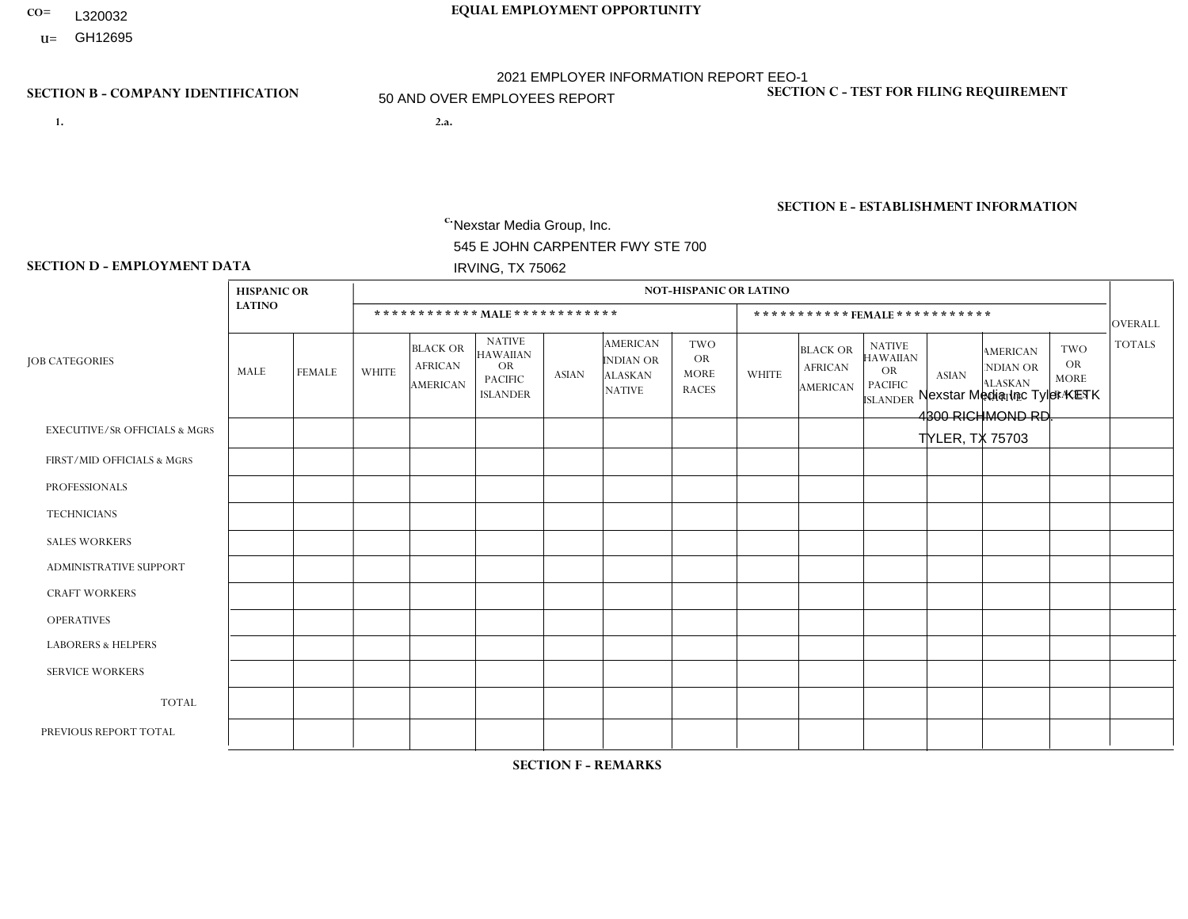- L320032
- **U=**

# **CO= EQUAL EMPLOYMENT OPPORTUNITY** 2021 EMPLOYER INFORMATION REPORT EEO-1 50 AND OVER EMPLOYEES REPORT

- **1. 2.a.** Nexstar Media Group, Inc. 545 E JOHN CARPENTER FWY STE 700 IRVING, TX 75062
- 2.a. Nexstar Media Inc Tyler KETK 4300 RICHMOND RD. TYLER, TX 75703

EIN= 233063152

# **SECTION B - COMPANY IDENTIFICATION SECTION C - TEST FOR FILING REQUIREMENT**

1- Y 2- N 3- Y DUNS= 058168001

# **SECTION E - ESTABLISHMENT INFORMATION c.** NAICS: 515120 - Television Broadcasting

### **SECTION D - EMPLOYMENT DATA**

|                                          | <b>HISPANIC OR</b> |                 |              |                                                      |                                                                                    |              |                                                                        | <b>NOT-HISPANIC OR LATINO</b>                          |                         |                                                      |                                                                             |              |                                                                       |                                                        |               |
|------------------------------------------|--------------------|-----------------|--------------|------------------------------------------------------|------------------------------------------------------------------------------------|--------------|------------------------------------------------------------------------|--------------------------------------------------------|-------------------------|------------------------------------------------------|-----------------------------------------------------------------------------|--------------|-----------------------------------------------------------------------|--------------------------------------------------------|---------------|
|                                          | <b>LATINO</b>      |                 |              | ************ MALE ************                       |                                                                                    |              |                                                                        |                                                        |                         | *********** FEMALE ***********                       |                                                                             |              |                                                                       |                                                        | OVERALL       |
| <b>JOB CATEGORIES</b>                    | MALE               | <b>FEMALE</b>   | <b>WHITE</b> | <b>BLACK OR</b><br><b>AFRICAN</b><br><b>AMERICAN</b> | <b>NATIVE</b><br><b>HAWAIIAN</b><br><b>OR</b><br><b>PACIFIC</b><br><b>ISLANDER</b> | <b>ASIAN</b> | <b>AMERICAN</b><br><b>INDIAN OR</b><br><b>ALASKAN</b><br><b>NATIVE</b> | <b>TWO</b><br><b>OR</b><br><b>MORE</b><br><b>RACES</b> | <b>WHITE</b>            | <b>BLACK OR</b><br><b>AFRICAN</b><br><b>AMERICAN</b> | <b>NATIVE</b><br><b>HAWAIIAN</b><br>OR<br><b>PACIFIC</b><br><b>ISLANDER</b> | <b>ASIAN</b> | <b>AMERICAN</b><br><b>NDIAN OR</b><br><b>ALASKAN</b><br><b>NATIVE</b> | <b>TWO</b><br><b>OR</b><br><b>MORE</b><br><b>RACES</b> | <b>TOTALS</b> |
| <b>EXECUTIVE/SR OFFICIALS &amp; MGRS</b> | $\mathbf 0$        | $\mathbf 0$     | $\Omega$     | $\mathbf 0$                                          | $\mathbf 0$                                                                        | 0            | $\Omega$                                                               | $\Omega$                                               | $\Omega$                | $\Omega$                                             | 0                                                                           | $\Omega$     | $\Omega$                                                              | $\mathbf 0$                                            | $\mathbf 0$   |
| FIRST/MID OFFICIALS & MGRS               | $\Omega$           | $\mathbf 0$     | 4            | $\mathbf 0$                                          | $\mathbf 0$                                                                        | 1            | $\Omega$                                                               | $\Omega$                                               | $\overline{\mathbf{1}}$ | $\Omega$                                             | $\Omega$                                                                    | $\Omega$     | $\Omega$                                                              | $\Omega$                                               | 6             |
| <b>PROFESSIONALS</b>                     | $\overline{2}$     | $\overline{2}$  | 6            | $\mathbf{1}$                                         | $\mathbf 0$                                                                        | $\mathbf 0$  | $\Omega$                                                               | $\overline{1}$                                         | 4                       | $\Omega$                                             | $\Omega$                                                                    | $\Omega$     | $\Omega$                                                              | $\Omega$                                               | 16            |
| <b>TECHNICIANS</b>                       | 2                  | $\overline{2}$  | 15           | $5\phantom{.0}$                                      | $\mathbf 1$                                                                        | 0            | $\Omega$                                                               | $\mathbf 0$                                            | 11                      | -1                                                   | $\mathbf 0$                                                                 | $\Omega$     | 0                                                                     | $\mathbf{1}$                                           | 38            |
| <b>SALES WORKERS</b>                     | $\mathbf 0$        | $\mathbf 0$     | 3            | $\mathbf 0$                                          | $\mathbf 0$                                                                        | $\mathbf 0$  | $\Omega$                                                               | $\Omega$                                               | 5                       | 1                                                    | $\Omega$                                                                    | $\Omega$     | $\Omega$                                                              | $\mathbf 0$                                            | 9             |
| <b>ADMINISTRATIVE SUPPORT</b>            | $\mathbf 0$        | $\mathbf{1}$    | 3            | $\mathbf 0$                                          | $\mathbf 0$                                                                        | $\mathbf 0$  | $\Omega$                                                               | $\Omega$                                               | 6                       | $\overline{2}$                                       | $\Omega$                                                                    | $\Omega$     | $\Omega$                                                              | $\Omega$                                               | 12            |
| <b>CRAFT WORKERS</b>                     | $\Omega$           | $\mathbf 0$     | $\Omega$     | $\mathbf 0$                                          | $\mathbf 0$                                                                        | 0            | $\Omega$                                                               | $\Omega$                                               | $\mathbf{0}$            | $\mathbf{0}$                                         | $\Omega$                                                                    | $\Omega$     | $\Omega$                                                              | $\Omega$                                               | $\mathbf 0$   |
| <b>OPERATIVES</b>                        | 0                  | $\mathbf 0$     | 0            | $\mathbf 0$                                          | 0                                                                                  | 0            | $\Omega$                                                               | $\Omega$                                               | $\Omega$                | $\Omega$                                             | $\Omega$                                                                    | $\Omega$     | $\Omega$                                                              | $\Omega$                                               | $\mathbf 0$   |
| <b>LABORERS &amp; HELPERS</b>            | $\Omega$           | 0               | $\Omega$     | $\mathbf 0$                                          | 0                                                                                  | 0            | $\Omega$                                                               | $\Omega$                                               | $\Omega$                | $\Omega$                                             | $\Omega$                                                                    | $\Omega$     | $\Omega$                                                              | $\Omega$                                               | $\mathbf 0$   |
| <b>SERVICE WORKERS</b>                   | $\Omega$           | $\Omega$        | $\Omega$     | $\mathbf 0$                                          | 0                                                                                  | 0            | $\Omega$                                                               | $\Omega$                                               | $\Omega$                | $\Omega$                                             | $\Omega$                                                                    | $\Omega$     | $\Omega$                                                              | $\Omega$                                               | $\Omega$      |
| <b>TOTAL</b>                             | $\overline{4}$     | $5\phantom{.0}$ | 31           | 6                                                    |                                                                                    | 1            | 0                                                                      | $\mathbf{1}$                                           | 27                      | 4                                                    | $\Omega$                                                                    | 0            | $\Omega$                                                              | $\mathbf{1}$                                           | 81            |
| PREVIOUS REPORT TOTAL                    | 8                  | 3               | 40           | $\overline{4}$                                       | 1                                                                                  | $\Omega$     | $\Omega$                                                               | $\mathbf{1}$                                           | 23                      | 4                                                    | 0                                                                           | 0            | $\Omega$                                                              | $\Omega$                                               | 84            |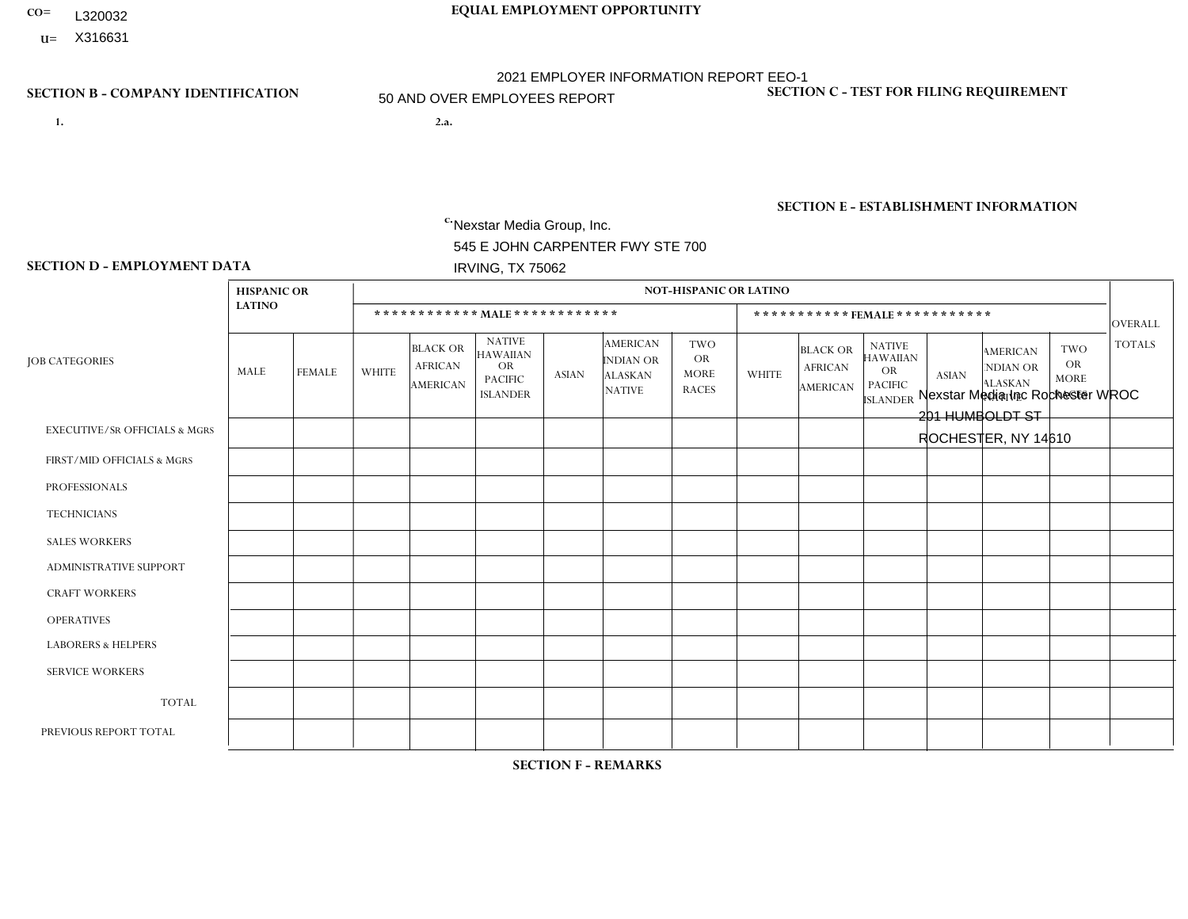- **CO= EQUAL EMPLOYMENT OPPORTUNITY** L320032
- **U=**

- **1. 2.a.** Nexstar Media Group, Inc. 545 E JOHN CARPENTER FWY STE 700 IRVING, TX 75062
- 2.a. Nexstar Media Inc Rochester WROC 201 HUMBOLDT ST ROCHESTER, NY 14610

EIN= 233063152

# **SECTION B - COMPANY IDENTIFICATION SECTION C - TEST FOR FILING REQUIREMENT**

1- Y 2- N 3- Y DUNS= 058168001

# **SECTION E - ESTABLISHMENT INFORMATION c.** NAICS: 515120 - Television Broadcasting

### **SECTION D - EMPLOYMENT DATA**

|                                          | <b>HISPANIC OR</b> |                |                |                                                      |                                                                                    |                |                                                                        | <b>NOT-HISPANIC OR LATINO</b>                          |                |                                               |                                                                                    |              |                                                                       |                                                        |                |
|------------------------------------------|--------------------|----------------|----------------|------------------------------------------------------|------------------------------------------------------------------------------------|----------------|------------------------------------------------------------------------|--------------------------------------------------------|----------------|-----------------------------------------------|------------------------------------------------------------------------------------|--------------|-----------------------------------------------------------------------|--------------------------------------------------------|----------------|
|                                          | <b>LATINO</b>      |                |                |                                                      | ************ MAIE************                                                      |                |                                                                        |                                                        |                | ***********FEMALE***********                  |                                                                                    |              |                                                                       |                                                        | <b>OVERALL</b> |
| <b>JOB CATEGORIES</b>                    | MALE               | <b>FEMALE</b>  | <b>WHITE</b>   | <b>BLACK OR</b><br><b>AFRICAN</b><br><b>AMERICAN</b> | <b>NATIVE</b><br><b>HAWAIIAN</b><br><b>OR</b><br><b>PACIFIC</b><br><b>ISLANDER</b> | <b>ASIAN</b>   | <b>AMERICAN</b><br><b>INDIAN OR</b><br><b>ALASKAN</b><br><b>NATIVE</b> | <b>TWO</b><br><b>OR</b><br><b>MORE</b><br><b>RACES</b> | <b>WHITE</b>   | <b>BLACK OR</b><br><b>AFRICAN</b><br>AMERICAN | <b>NATIVE</b><br><b>HAWAIIAN</b><br><b>OR</b><br><b>PACIFIC</b><br><b>ISLANDER</b> | <b>ASIAN</b> | <b>AMERICAN</b><br><b>NDIAN OR</b><br><b>ALASKAN</b><br><b>NATIVE</b> | <b>TWO</b><br><b>OR</b><br><b>MORE</b><br><b>RACES</b> | <b>TOTALS</b>  |
| <b>EXECUTIVE/SR OFFICIALS &amp; MGRS</b> | $\Omega$           | $\Omega$       | $\Omega$       | $\Omega$                                             | $\Omega$                                                                           | $\Omega$       | $\Omega$                                                               | $\Omega$                                               | $\Omega$       | $\Omega$                                      | $\Omega$                                                                           | $\Omega$     | $\Omega$                                                              | $\Omega$                                               | $\Omega$       |
| FIRST/MID OFFICIALS & MGRS               | 0                  | $\Omega$       | 5              | $\mathbf 0$                                          | $\Omega$                                                                           | $\Omega$       | $\Omega$                                                               | $\Omega$                                               | $\overline{2}$ | $\Omega$                                      | $\Omega$                                                                           | $\Omega$     | $\Omega$                                                              | $\Omega$                                               | $\overline{7}$ |
| <b>PROFESSIONALS</b>                     | 0                  | $\overline{0}$ | $\overline{7}$ | $\mathbf 0$                                          | $\mathbf 0$                                                                        | $\mathbf 0$    | $\Omega$                                                               | $\Omega$                                               | $\Omega$       | 1                                             | $\Omega$                                                                           | $\Omega$     | $\Omega$                                                              | $\mathbf 0$                                            | 8              |
| <b>TECHNICIANS</b>                       | 0                  | $\overline{0}$ | 23             | $\overline{1}$                                       | $\Omega$                                                                           | $\overline{2}$ | $\Omega$                                                               | -1                                                     | 9              | $\mathbf{1}$                                  | $\Omega$                                                                           | $\Omega$     | $\Omega$                                                              | $\overline{1}$                                         | 38             |
| <b>SALES WORKERS</b>                     | 0                  | $\Omega$       | 4              | $\mathbf 0$                                          | $\Omega$                                                                           | $\Omega$       | $\Omega$                                                               | $\Omega$                                               | 3              | $\Omega$                                      | $\Omega$                                                                           | $\Omega$     | $\Omega$                                                              | $\Omega$                                               | $\overline{7}$ |
| <b>ADMINISTRATIVE SUPPORT</b>            | 0                  | $\Omega$       | 8              | $\mathbf 0$                                          | $\mathbf 0$                                                                        | $\Omega$       | $\Omega$                                                               | $\Omega$                                               | $\overline{7}$ | $\overline{2}$                                | $\Omega$                                                                           |              | $\Omega$                                                              | $\Omega$                                               | 18             |
| <b>CRAFT WORKERS</b>                     | 0                  | $\Omega$       | $\Omega$       | $\Omega$                                             | $\Omega$                                                                           | $\Omega$       | $\Omega$                                                               | $\Omega$                                               | 0              | $\Omega$                                      | $\Omega$                                                                           | $\Omega$     | $\Omega$                                                              | $\Omega$                                               | $\Omega$       |
| <b>OPERATIVES</b>                        | 0                  | $\Omega$       | $\Omega$       | $\Omega$                                             | $\Omega$                                                                           | $\Omega$       | $\Omega$                                                               | $\Omega$                                               | 0              | $\Omega$                                      | $\Omega$                                                                           | $\Omega$     | $\Omega$                                                              | $\Omega$                                               | $\Omega$       |
| <b>LABORERS &amp; HELPERS</b>            | 0                  | $\Omega$       | $\mathbf 0$    | $\mathbf 0$                                          | 0                                                                                  | $\Omega$       | $\Omega$                                                               | $\Omega$                                               | $\Omega$       | $\Omega$                                      | $\Omega$                                                                           | $\Omega$     | $\Omega$                                                              | $\Omega$                                               | $\mathbf 0$    |
| <b>SERVICE WORKERS</b>                   | 0                  | $\Omega$       | $\mathbf 0$    | 0                                                    | 0                                                                                  | $\Omega$       | $\Omega$                                                               | $\Omega$                                               | $\Omega$       | $\Omega$                                      | $\Omega$                                                                           | $\Omega$     | $\Omega$                                                              | $\Omega$                                               | $\mathbf 0$    |
| <b>TOTAL</b>                             | 0                  | $\mathbf{0}$   | 47             | 1                                                    | $\mathbf 0$                                                                        | $\overline{2}$ | $\Omega$                                                               | $\overline{ }$                                         | 21             | 4                                             | $\Omega$                                                                           |              | $\Omega$                                                              | $\overline{1}$                                         | 78             |
| PREVIOUS REPORT TOTAL                    | $\overline{2}$     | $\overline{2}$ | 54             | $\mathbf 0$                                          | $\mathbf 0$                                                                        | $\Omega$       | $\Omega$                                                               | $\Omega$                                               | 22             | 4                                             | $\Omega$                                                                           |              | $\Omega$                                                              | 2                                                      | 87             |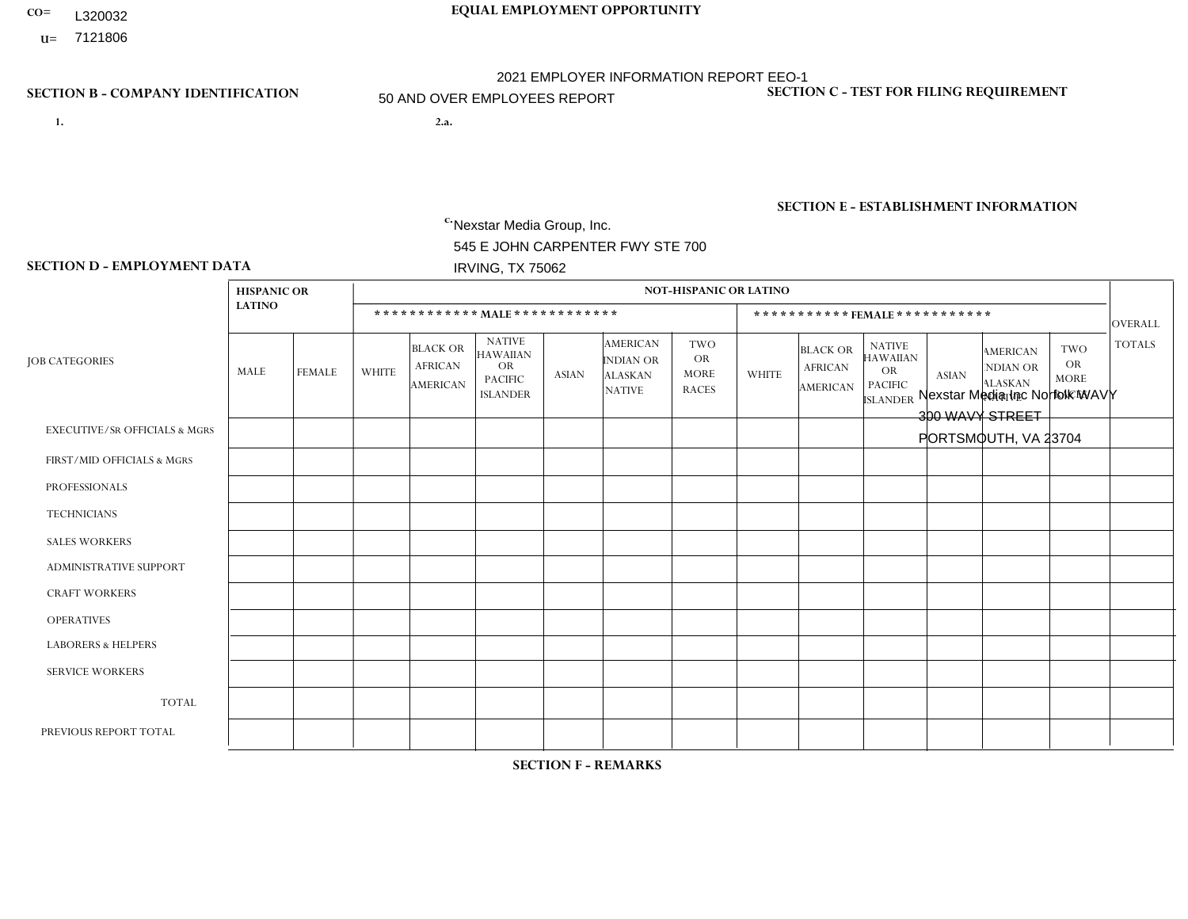- **CO= EQUAL EMPLOYMENT OPPORTUNITY** L320032
- **U=**

- **1. 2.a.** Nexstar Media Group, Inc. 545 E JOHN CARPENTER FWY STE 700 IRVING, TX 75062
- 2.a. Nexstar Media Inc Norfolk WAVY 300 WAVY STREET PORTSMOUTH, VA 23704

EIN= 233063152

# **SECTION B - COMPANY IDENTIFICATION SECTION C - TEST FOR FILING REQUIREMENT**

1- Y 2- N 3- Y DUNS= 058168001

**SECTION E - ESTABLISHMENT INFORMATION c.** NAICS: 515120 - Television Broadcasting

### **SECTION D - EMPLOYMENT DATA**

|                                          | <b>HISPANIC OR</b> |                |                |                                                      |                                                                                    |              |                                                                 | <b>NOT-HISPANIC OR LATINO</b>                          |              |                                                      |                                                                                    |              |                                                                       |                                                        |               |
|------------------------------------------|--------------------|----------------|----------------|------------------------------------------------------|------------------------------------------------------------------------------------|--------------|-----------------------------------------------------------------|--------------------------------------------------------|--------------|------------------------------------------------------|------------------------------------------------------------------------------------|--------------|-----------------------------------------------------------------------|--------------------------------------------------------|---------------|
|                                          | <b>LATINO</b>      |                |                |                                                      | ************ MALE ************                                                     |              |                                                                 |                                                        |              |                                                      | ***********FEMALE***********                                                       |              |                                                                       |                                                        | OVERALL       |
| <b>JOB CATEGORIES</b>                    | MALE               | <b>FEMALE</b>  | <b>WHITE</b>   | <b>BLACK OR</b><br><b>AFRICAN</b><br><b>AMERICAN</b> | <b>NATIVE</b><br><b>HAWAIIAN</b><br><b>OR</b><br><b>PACIFIC</b><br><b>ISLANDER</b> | <b>ASIAN</b> | <b>AMERICAN</b><br>INDIAN OR<br><b>ALASKAN</b><br><b>NATIVE</b> | <b>TWO</b><br><b>OR</b><br><b>MORE</b><br><b>RACES</b> | <b>WHITE</b> | <b>BLACK OR</b><br><b>AFRICAN</b><br><b>AMERICAN</b> | <b>NATIVE</b><br><b>HAWAIIAN</b><br><b>OR</b><br><b>PACIFIC</b><br><b>ISLANDER</b> | <b>ASIAN</b> | <b>AMERICAN</b><br><b>NDIAN OR</b><br><b>ALASKAN</b><br><b>NATIVE</b> | <b>TWO</b><br><b>OR</b><br><b>MORE</b><br><b>RACES</b> | <b>TOTALS</b> |
| <b>EXECUTIVE/SR OFFICIALS &amp; MGRS</b> | $\Omega$           | $\Omega$       | $\Omega$       | $\Omega$                                             | $\Omega$                                                                           | $\Omega$     | $\mathbf{0}$                                                    | $\Omega$                                               | $\Omega$     | $\Omega$                                             | $\mathbf{0}$                                                                       | $\Omega$     | $\Omega$                                                              | $\Omega$                                               | $\Omega$      |
| FIRST/MID OFFICIALS & MGRS               | 0                  | $\Omega$       | $\overline{4}$ | $\mathbf 0$                                          | $\mathbf 0$                                                                        | $\Omega$     | $\Omega$                                                        | $\Omega$                                               | 6            | $\Omega$                                             | $\mathbf{0}$                                                                       | $\Omega$     | $\mathbf{0}$                                                          | $\mathbf{0}$                                           | 10            |
| <b>PROFESSIONALS</b>                     | $\Omega$           | $\mathbf{1}$   | 10             | $\overline{2}$                                       | $\mathbf 0$                                                                        | $\Omega$     | $\Omega$                                                        | $\Omega$                                               | 6            | $\overline{2}$                                       | $\mathbf{0}$                                                                       | $\mathbf{0}$ | $\Omega$                                                              | $\Omega$                                               | 21            |
| <b>TECHNICIANS</b>                       | 2                  | 3              | 34             | 10                                                   | $\mathbf 0$                                                                        | $\mathbf 0$  | $\mathbf{0}$                                                    | 1                                                      | 14           | 10                                                   | $\mathbf 0$                                                                        | $\mathbf{1}$ | $\mathbf 0$                                                           | $\Omega$                                               | 75            |
| <b>SALES WORKERS</b>                     | 0                  | $\Omega$       | 3              | $\mathbf{1}$                                         | $\Omega$                                                                           | $\Omega$     | $\mathbf{0}$                                                    | $\overline{1}$                                         | 9            | $\mathbf{1}$                                         | $\Omega$                                                                           | $\mathbf{0}$ | $\Omega$                                                              | $\Omega$                                               | 15            |
| <b>ADMINISTRATIVE SUPPORT</b>            | 0                  | $\overline{2}$ | 3              | $\mathbf{1}$                                         | $\mathbf 0$                                                                        | $\mathbf{1}$ | $\Omega$                                                        | $\Omega$                                               |              | 6                                                    | $\Omega$                                                                           | $\Omega$     | $\mathbf{0}$                                                          | $\mathbf{0}$                                           | 14            |
| <b>CRAFT WORKERS</b>                     | 0                  | $\Omega$       | $\mathbf 0$    | $\mathbf 0$                                          | $\mathbf 0$                                                                        | $\Omega$     | $\Omega$                                                        | $\Omega$                                               | $\Omega$     | $\Omega$                                             | $\Omega$                                                                           | $\mathbf{0}$ | $\Omega$                                                              | $\Omega$                                               | $\mathbf 0$   |
| <b>OPERATIVES</b>                        | 0                  | $\mathbf 0$    | $\mathbf 0$    | $\mathbf 0$                                          | $\mathbf 0$                                                                        | $\mathbf 0$  | $\Omega$                                                        | $\Omega$                                               | $\Omega$     | $\Omega$                                             | $\mathbf{0}$                                                                       | $\Omega$     | $\mathbf{0}$                                                          | $\Omega$                                               | $\mathbf 0$   |
| <b>LABORERS &amp; HELPERS</b>            | 0                  | $\Omega$       | $\mathbf{0}$   | $\Omega$                                             | $\Omega$                                                                           | $\Omega$     | $\Omega$                                                        | $\Omega$                                               | $\Omega$     | $\Omega$                                             | $\Omega$                                                                           | $\mathbf{0}$ | $\Omega$                                                              | $\Omega$                                               | $\mathbf{0}$  |
| <b>SERVICE WORKERS</b>                   | 0                  | $\mathbf 0$    | $\mathbf 0$    | $\mathbf 0$                                          | $\mathbf 0$                                                                        | $\mathbf 0$  | $\Omega$                                                        | $\Omega$                                               | $\Omega$     | $\Omega$                                             | $\Omega$                                                                           | $\Omega$     | $\mathbf{0}$                                                          | $\Omega$                                               | $\mathbf{0}$  |
| <b>TOTAL</b>                             | 2                  | 6              | 54             | 14                                                   | $\mathbf 0$                                                                        | $\mathbf{1}$ | $\Omega$                                                        | $\overline{2}$                                         | 36           | 19                                                   | $\mathbf 0$                                                                        | 1            | $\Omega$                                                              | $\mathbf 0$                                            | 135           |
| PREVIOUS REPORT TOTAL                    | 3                  | $\overline{4}$ | 59             | 11                                                   | $\mathbf 0$                                                                        | $\mathbf{1}$ | $\Omega$                                                        | 1                                                      | 43           | 18                                                   | $\mathbf{0}$                                                                       | $\Omega$     | $\Omega$                                                              | 1                                                      | 141           |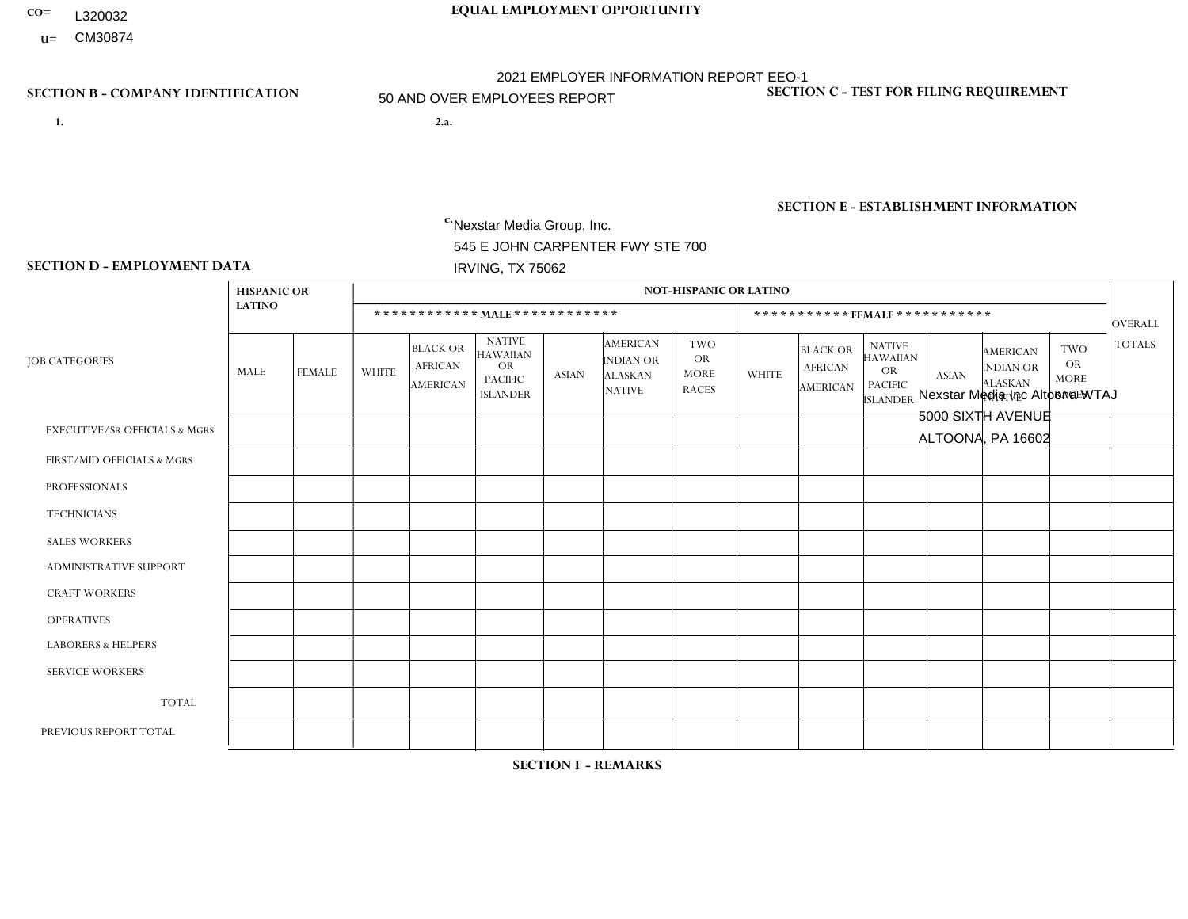- **CO= EQUAL EMPLOYMENT OPPORTUNITY** L320032
	- **U=**

- **1. 2.a.** Nexstar Media Group, Inc. 545 E JOHN CARPENTER FWY STE 700 IRVING, TX 75062
- 2.a. Nexstar Media Inc Altoona WTAJ 5000 SIXTH AVENUE ALTOONA, PA 16602

EIN= 233063152

# **SECTION B - COMPANY IDENTIFICATION SECTION C - TEST FOR FILING REQUIREMENT**

1- Y 2- N 3- Y DUNS= 058168001

**SECTION E - ESTABLISHMENT INFORMATION c.** NAICS: 515120 - Television Broadcasting

### **SECTION D - EMPLOYMENT DATA**

|                                          | <b>HISPANIC OR</b> |               |                |                                                      |                                                                                    |              |                                                                 | <b>NOT-HISPANIC OR LATINO</b>                          |                |                                                      |                                                                                    |              |                                                                       |                                                        |                |
|------------------------------------------|--------------------|---------------|----------------|------------------------------------------------------|------------------------------------------------------------------------------------|--------------|-----------------------------------------------------------------|--------------------------------------------------------|----------------|------------------------------------------------------|------------------------------------------------------------------------------------|--------------|-----------------------------------------------------------------------|--------------------------------------------------------|----------------|
|                                          | <b>LATINO</b>      |               |                |                                                      | ************ MALE ************                                                     |              |                                                                 |                                                        |                |                                                      | ***********FEMALE***********                                                       |              |                                                                       |                                                        | OVERALL        |
| <b>JOB CATEGORIES</b>                    | MALE               | <b>FEMALE</b> | <b>WHITE</b>   | <b>BLACK OR</b><br><b>AFRICAN</b><br><b>AMERICAN</b> | <b>NATIVE</b><br><b>HAWAIIAN</b><br><b>OR</b><br><b>PACIFIC</b><br><b>ISLANDER</b> | <b>ASIAN</b> | <b>AMERICAN</b><br>INDIAN OR<br><b>ALASKAN</b><br><b>NATIVE</b> | <b>TWO</b><br><b>OR</b><br><b>MORE</b><br><b>RACES</b> | <b>WHITE</b>   | <b>BLACK OR</b><br><b>AFRICAN</b><br><b>AMERICAN</b> | <b>NATIVE</b><br><b>HAWAIIAN</b><br><b>OR</b><br><b>PACIFIC</b><br><b>ISLANDER</b> | <b>ASIAN</b> | <b>AMERICAN</b><br><b>NDIAN OR</b><br><b>ALASKAN</b><br><b>NATIVE</b> | <b>TWO</b><br><b>OR</b><br><b>MORE</b><br><b>RACES</b> | <b>TOTALS</b>  |
| <b>EXECUTIVE/SR OFFICIALS &amp; MGRS</b> | $\Omega$           | $\Omega$      | $\Omega$       | $\Omega$                                             | $\Omega$                                                                           | $\Omega$     | $\Omega$                                                        | $\Omega$                                               | $\Omega$       | $\Omega$                                             | $\mathbf{0}$                                                                       | $\Omega$     | $\Omega$                                                              | $\Omega$                                               | $\Omega$       |
| FIRST/MID OFFICIALS & MGRS               | 0                  | $\Omega$      | $\overline{c}$ | $\mathbf 0$                                          | $\mathbf 0$                                                                        | $\Omega$     | $\Omega$                                                        | $\Omega$                                               | 3              | $\Omega$                                             | $\mathbf{0}$                                                                       | $\Omega$     | $\mathbf{0}$                                                          | $\Omega$                                               | $\overline{5}$ |
| <b>PROFESSIONALS</b>                     | 1                  | $\mathbf 0$   | 10             | $\mathbf 0$                                          | $\mathbf 0$                                                                        | $\mathbf{1}$ | $\Omega$                                                        | $\Omega$                                               | 5              | 1                                                    | $\Omega$                                                                           | $\mathbf{0}$ | $\Omega$                                                              | $\mathbf{0}$                                           | 18             |
| <b>TECHNICIANS</b>                       | 1                  | $\mathbf 0$   | 16             | $\mathbf 0$                                          | $\mathbf 0$                                                                        | $\Omega$     | $\mathbf{0}$                                                    | $\Omega$                                               | $\overline{7}$ | $\mathbf{1}$                                         | $\mathbf 0$                                                                        | $\mathbf 0$  | $\mathbf 0$                                                           | 1                                                      | 26             |
| <b>SALES WORKERS</b>                     | 0                  | $\Omega$      | $\overline{2}$ | $\Omega$                                             | $\Omega$                                                                           | $\Omega$     | $\mathbf{0}$                                                    | $\Omega$                                               | 4              | $\Omega$                                             | $\Omega$                                                                           | $\mathbf{0}$ | $\Omega$                                                              | $\Omega$                                               | 6              |
| <b>ADMINISTRATIVE SUPPORT</b>            | 0                  | $\Omega$      | 3              | $\mathbf 0$                                          | $\mathbf 0$                                                                        | $\Omega$     | $\Omega$                                                        | $\Omega$                                               | 6              | $\Omega$                                             | $\Omega$                                                                           | $\Omega$     | $\mathbf{0}$                                                          | $\Omega$                                               | 9              |
| <b>CRAFT WORKERS</b>                     | 0                  | $\Omega$      | $\mathbf 0$    | $\mathbf 0$                                          | $\mathbf 0$                                                                        | $\Omega$     | $\Omega$                                                        | $\Omega$                                               | $\Omega$       | $\Omega$                                             | $\Omega$                                                                           | $\Omega$     | $\Omega$                                                              | $\Omega$                                               | $\mathbf 0$    |
| <b>OPERATIVES</b>                        | 0                  | $\mathbf 0$   | $\mathbf 0$    | $\mathbf 0$                                          | $\mathbf 0$                                                                        | $\mathbf 0$  | $\Omega$                                                        | $\Omega$                                               | $\Omega$       | $\Omega$                                             | $\Omega$                                                                           | $\Omega$     | $\mathbf{0}$                                                          | $\Omega$                                               | $\mathbf 0$    |
| <b>LABORERS &amp; HELPERS</b>            | 0                  | $\Omega$      | $\Omega$       | $\Omega$                                             | $\Omega$                                                                           | $\Omega$     | $\Omega$                                                        | $\Omega$                                               | $\Omega$       | $\Omega$                                             | $\Omega$                                                                           | $\Omega$     | $\Omega$                                                              | $\Omega$                                               | $\mathbf{0}$   |
| <b>SERVICE WORKERS</b>                   | 0                  | $\mathbf 0$   | $\mathbf 0$    | $\mathbf 0$                                          | $\mathbf 0$                                                                        | $\mathbf 0$  | $\Omega$                                                        | $\Omega$                                               | $\Omega$       | $\Omega$                                             | $\Omega$                                                                           | $\Omega$     | $\mathbf{0}$                                                          | $\Omega$                                               | $\mathbf{0}$   |
| <b>TOTAL</b>                             | 2                  | $\mathbf 0$   | 33             | $\mathbf 0$                                          | $\mathbf 0$                                                                        | $\mathbf{1}$ | $\Omega$                                                        | $\Omega$                                               | 25             | $\overline{2}$                                       | $\Omega$                                                                           | $\mathbf 0$  | $\Omega$                                                              | 1                                                      | 64             |
| PREVIOUS REPORT TOTAL                    | $\overline{2}$     | $\mathbf{1}$  | 32             | $\mathbf{1}$                                         | $\mathbf 0$                                                                        | $\mathbf{1}$ | $\Omega$                                                        | $\Omega$                                               | 30             | $\mathbf{1}$                                         | $\mathbf{0}$                                                                       | $\Omega$     | $\mathbf{0}$                                                          | $\overline{2}$                                         | 70             |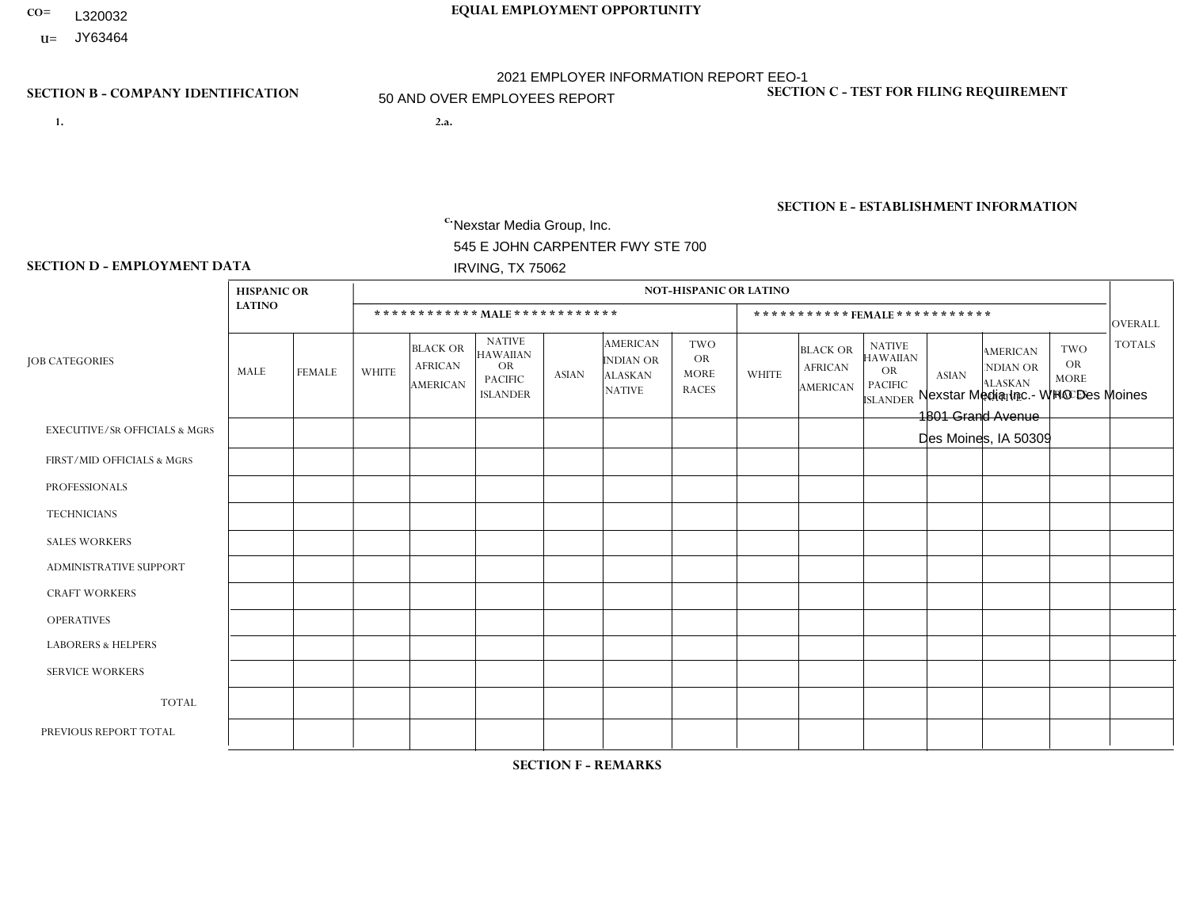- **CO= EQUAL EMPLOYMENT OPPORTUNITY** L320032
- **U=** JY63464

- **1. 2.a.** Nexstar Media Group, Inc. 545 E JOHN CARPENTER FWY STE 700 IRVING, TX 75062
- 2.a. Nexstar Media Inc.- WHO Des Moines 1801 Grand Avenue Des Moines, IA 50309

EIN= 364766010

# **SECTION B - COMPANY IDENTIFICATION SECTION C - TEST FOR FILING REQUIREMENT**

1- Y 2- N 3- Y DUNS= 058168001

**SECTION E - ESTABLISHMENT INFORMATION c.** NAICS: 515120 - Television Broadcasting

### **SECTION D - EMPLOYMENT DATA**

|                                          | <b>HISPANIC OR</b> |               |                |                                                      |                                                                             |              |                                                                 | <b>NOT-HISPANIC OR LATINO</b>                          |              |                                                      |                                                                                    |              |                                                                       |                                                        |                |
|------------------------------------------|--------------------|---------------|----------------|------------------------------------------------------|-----------------------------------------------------------------------------|--------------|-----------------------------------------------------------------|--------------------------------------------------------|--------------|------------------------------------------------------|------------------------------------------------------------------------------------|--------------|-----------------------------------------------------------------------|--------------------------------------------------------|----------------|
|                                          | <b>LATINO</b>      |               |                |                                                      | ************ MALE************                                               |              |                                                                 |                                                        |              |                                                      | ***********FEMALE ***********                                                      |              |                                                                       |                                                        | <b>OVERALL</b> |
| <b>JOB CATEGORIES</b>                    | MALE               | <b>FEMALE</b> | <b>WHITE</b>   | <b>BLACK OR</b><br><b>AFRICAN</b><br><b>AMERICAN</b> | <b>NATIVE</b><br><b>HAWAIIAN</b><br>OR<br><b>PACIFIC</b><br><b>ISLANDER</b> | <b>ASIAN</b> | <b>AMERICAN</b><br>INDIAN OR<br><b>ALASKAN</b><br><b>NATIVE</b> | <b>TWO</b><br><b>OR</b><br><b>MORE</b><br><b>RACES</b> | <b>WHITE</b> | <b>BLACK OR</b><br><b>AFRICAN</b><br><b>AMERICAN</b> | <b>NATIVE</b><br><b>HAWAIIAN</b><br><b>OR</b><br><b>PACIFIC</b><br><b>ISLANDER</b> | <b>ASIAN</b> | <b>AMERICAN</b><br><b>NDIAN OR</b><br><b>ALASKAN</b><br><b>NATIVE</b> | <b>TWO</b><br><b>OR</b><br><b>MORE</b><br><b>RACES</b> | <b>TOTALS</b>  |
| <b>EXECUTIVE/SR OFFICIALS &amp; MGRS</b> | $\Omega$           | $\mathbf 0$   | 1              | $\mathbf 0$                                          | $\mathbf 0$                                                                 | $\mathbf 0$  | $\Omega$                                                        | $\Omega$                                               | $\Omega$     | $\Omega$                                             | $\Omega$                                                                           | $\mathbf 0$  | $\Omega$                                                              | $\Omega$                                               |                |
| FIRST/MID OFFICIALS & MGRS               | 0                  | $\mathbf{0}$  | $\overline{7}$ | $\mathbf 0$                                          | $\mathbf 0$                                                                 | $\mathbf 0$  | $\Omega$                                                        | $\Omega$                                               | 3            | $\Omega$                                             | $\Omega$                                                                           | $\Omega$     | $\mathbf{0}$                                                          | $\Omega$                                               | 10             |
| <b>PROFESSIONALS</b>                     | 0                  | $\mathbf{1}$  | 30             | 3                                                    | $\mathbf{1}$                                                                | $\Omega$     | $\Omega$                                                        | $\Omega$                                               | 14           | $\overline{2}$                                       | $\Omega$                                                                           | $\Omega$     | $\Omega$                                                              | $\mathbf{0}$                                           | 51             |
| <b>TECHNICIANS</b>                       | 0                  | $\mathbf{0}$  | 12             | $\mathsf{O}\xspace$                                  | $\mathbf 0$                                                                 | $\mathbf{1}$ | $\Omega$                                                        | 1                                                      | 3            | $\Omega$                                             | $\Omega$                                                                           | $\mathbf 0$  | $\Omega$                                                              | $\Omega$                                               | 17             |
| <b>SALES WORKERS</b>                     | $\Omega$           | $\mathbf 0$   | 3              | $\mathbf 0$                                          | $\mathbf 0$                                                                 | $\Omega$     | $\mathbf{0}$                                                    | $\Omega$                                               | 5            | $\Omega$                                             | $\mathbf{0}$                                                                       | $\Omega$     | $\mathbf{0}$                                                          | $\Omega$                                               | 8              |
| <b>ADMINISTRATIVE SUPPORT</b>            | 0                  | $\mathbf{0}$  | $\mathbf 0$    | $\mathbf 0$                                          | $\mathbf 0$                                                                 | $\mathbf 0$  | $\Omega$                                                        | $\Omega$                                               | 3            | $\Omega$                                             | $\Omega$                                                                           | $\mathbf{0}$ | $\Omega$                                                              | 0                                                      | 3              |
| <b>CRAFT WORKERS</b>                     | 0                  | $\Omega$      | $\mathbf 0$    | $\mathbf 0$                                          | $\Omega$                                                                    | $\Omega$     | $\Omega$                                                        | $\Omega$                                               | $\Omega$     | $\Omega$                                             | $\Omega$                                                                           | $\Omega$     | $\Omega$                                                              | $\mathbf{0}$                                           | $\Omega$       |
| <b>OPERATIVES</b>                        | 0                  | $\Omega$      | $\mathbf 0$    | $\mathbf 0$                                          | $\mathbf 0$                                                                 | $\Omega$     | $\Omega$                                                        | $\Omega$                                               | $\Omega$     | $\Omega$                                             | $\Omega$                                                                           | $\Omega$     | $\Omega$                                                              | $\Omega$                                               | $\mathbf{0}$   |
| <b>LABORERS &amp; HELPERS</b>            | 0                  | $\Omega$      | $\mathbf 0$    | $\mathbf 0$                                          | $\mathbf 0$                                                                 | $\Omega$     | $\Omega$                                                        | $\Omega$                                               | $\Omega$     | $\Omega$                                             | $\mathbf{0}$                                                                       | $\mathbf{0}$ | $\Omega$                                                              | $\Omega$                                               | $\mathbf 0$    |
| <b>SERVICE WORKERS</b>                   | 0                  | $\mathbf{0}$  | $\mathbf 0$    | $\mathbf 0$                                          | $\mathbf 0$                                                                 | $\mathbf{0}$ | $\Omega$                                                        | $\Omega$                                               | $\Omega$     | $\Omega$                                             | $\Omega$                                                                           | $\Omega$     | $\mathbf 0$                                                           | $\mathbf 0$                                            | $\mathbf{0}$   |
| <b>TOTAL</b>                             | $\mathbf 0$        | $\mathbf{1}$  | 53             | 3                                                    | 1                                                                           | $\mathbf{1}$ | $\Omega$                                                        | 1                                                      | 28           | $\overline{2}$                                       | $\Omega$                                                                           | $\Omega$     | $\Omega$                                                              | $\Omega$                                               | 90             |
| PREVIOUS REPORT TOTAL                    | 0                  | $\mathbf{0}$  | 53             | $\mathbf{1}$                                         | $\mathbf 0$                                                                 | $\mathbf{1}$ | $\Omega$                                                        | $\Omega$                                               | 32           | $\overline{4}$                                       | $\Omega$                                                                           | $\Omega$     | $\mathbf{0}$                                                          | $\Omega$                                               | 91             |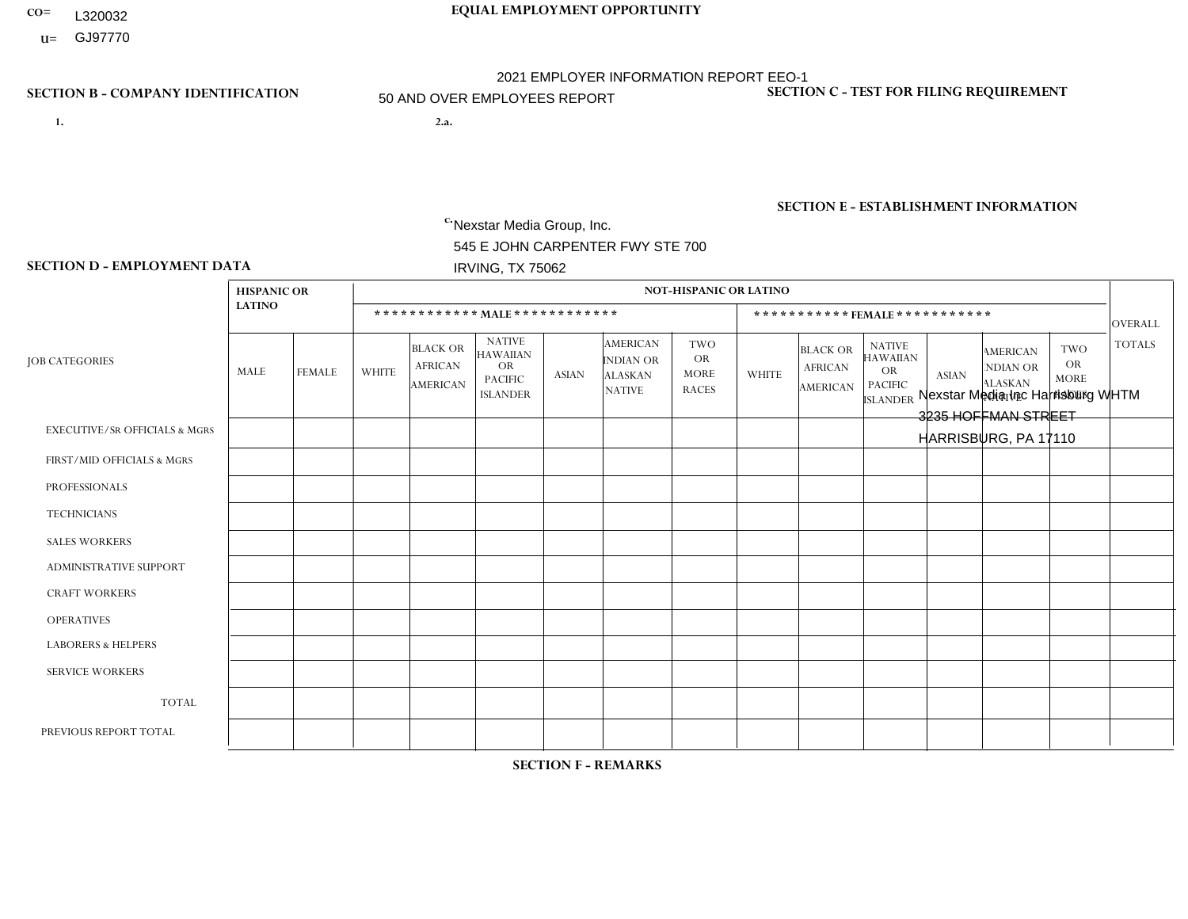- **CO= EQUAL EMPLOYMENT OPPORTUNITY** L320032
- **U=**

- **1. 2.a.** Nexstar Media Group, Inc. 545 E JOHN CARPENTER FWY STE 700 IRVING, TX 75062
- 2.a. Nexstar Media Inc Harrisburg WHTM 3235 HOFFMAN STREET HARRISBURG, PA 17110

EIN= 233063152

# **SECTION B - COMPANY IDENTIFICATION SECTION C - TEST FOR FILING REQUIREMENT**

1- Y 2- N 3- Y DUNS= 058168001

**SECTION E - ESTABLISHMENT INFORMATION c.** NAICS: 515120 - Television Broadcasting

### **SECTION D - EMPLOYMENT DATA**

|                                          | <b>HISPANIC OR</b> |               |                |                                                      |                                                                                    |              |                                                                 | <b>NOT-HISPANIC OR LATINO</b>                          |              |                                                      |                                                                                    |                |                                                                       |                                                        |               |
|------------------------------------------|--------------------|---------------|----------------|------------------------------------------------------|------------------------------------------------------------------------------------|--------------|-----------------------------------------------------------------|--------------------------------------------------------|--------------|------------------------------------------------------|------------------------------------------------------------------------------------|----------------|-----------------------------------------------------------------------|--------------------------------------------------------|---------------|
|                                          | <b>LATINO</b>      |               |                |                                                      | ************ MALE ************                                                     |              |                                                                 |                                                        |              |                                                      | ***********FEMALE***********                                                       |                |                                                                       |                                                        | OVERALL       |
| <b>JOB CATEGORIES</b>                    | MALE               | <b>FEMALE</b> | <b>WHITE</b>   | <b>BLACK OR</b><br><b>AFRICAN</b><br><b>AMERICAN</b> | <b>NATIVE</b><br><b>HAWAIIAN</b><br><b>OR</b><br><b>PACIFIC</b><br><b>ISLANDER</b> | <b>ASIAN</b> | <b>AMERICAN</b><br>INDIAN OR<br><b>ALASKAN</b><br><b>NATIVE</b> | <b>TWO</b><br><b>OR</b><br><b>MORE</b><br><b>RACES</b> | <b>WHITE</b> | <b>BLACK OR</b><br><b>AFRICAN</b><br><b>AMERICAN</b> | <b>NATIVE</b><br><b>HAWAIIAN</b><br><b>OR</b><br><b>PACIFIC</b><br><b>ISLANDER</b> | <b>ASIAN</b>   | <b>AMERICAN</b><br><b>NDIAN OR</b><br><b>ALASKAN</b><br><b>NATIVE</b> | <b>TWO</b><br><b>OR</b><br><b>MORE</b><br><b>RACES</b> | <b>TOTALS</b> |
| <b>EXECUTIVE/SR OFFICIALS &amp; MGRS</b> | $\Omega$           | $\Omega$      | $\Omega$       | $\Omega$                                             | $\Omega$                                                                           | $\Omega$     | $\Omega$                                                        | $\Omega$                                               | $\Omega$     | $\Omega$                                             | $\mathbf{0}$                                                                       | $\Omega$       | $\Omega$                                                              | $\Omega$                                               | $\Omega$      |
| FIRST/MID OFFICIALS & MGRS               | 0                  | $\Omega$      | 6              | $\mathbf 0$                                          | $\mathbf 0$                                                                        | $\Omega$     | $\Omega$                                                        | $\Omega$                                               | 4            | $\Omega$                                             | $\mathbf{0}$                                                                       | $\mathbf{0}$   | $\mathbf{0}$                                                          | $\mathbf{0}$                                           | 10            |
| <b>PROFESSIONALS</b>                     | $\Omega$           | $\mathbf 0$   | 6              | $\mathbf{1}$                                         | $\mathbf 0$                                                                        | $\Omega$     | $\Omega$                                                        | $\Omega$                                               | 4            | 1                                                    | $\Omega$                                                                           | $\Omega$       | $\Omega$                                                              | $\mathbf{0}$                                           | 12            |
| <b>TECHNICIANS</b>                       | 2                  | $\mathbf 0$   | 36             | $\overline{2}$                                       | $\mathbf 0$                                                                        | $\mathbf{1}$ | $\Omega$                                                        | $\Omega$                                               | 19           | $\mathbf{1}$                                         | $\mathbf 0$                                                                        | $\overline{2}$ | $\Omega$                                                              | $\Omega$                                               | 63            |
| <b>SALES WORKERS</b>                     | 0                  | $\Omega$      | $\overline{4}$ | $\Omega$                                             | $\Omega$                                                                           | $\Omega$     | $\Omega$                                                        | $\Omega$                                               | 6            | $\Omega$                                             | $\Omega$                                                                           | $\Omega$       | $\Omega$                                                              | $\Omega$                                               | 10            |
| <b>ADMINISTRATIVE SUPPORT</b>            | 0                  | $\Omega$      | $\overline{7}$ | $\mathbf 0$                                          | $\mathbf 0$                                                                        | $\Omega$     | $\Omega$                                                        | $\Omega$                                               | 8            | $\Omega$                                             | $\Omega$                                                                           | $\Omega$       | $\mathbf{0}$                                                          | $\mathbf{0}$                                           | 15            |
| <b>CRAFT WORKERS</b>                     | 0                  | $\Omega$      | $\mathbf 0$    | $\mathbf 0$                                          | $\Omega$                                                                           | $\Omega$     | $\Omega$                                                        | $\Omega$                                               | $\Omega$     | $\Omega$                                             | $\Omega$                                                                           | $\Omega$       | $\Omega$                                                              | $\Omega$                                               | $\mathbf 0$   |
| <b>OPERATIVES</b>                        | 0                  | $\mathbf 0$   | $\mathbf 0$    | $\mathbf 0$                                          | $\mathbf 0$                                                                        | $\mathbf 0$  | $\Omega$                                                        | $\Omega$                                               | $\Omega$     | $\Omega$                                             | $\mathbf{0}$                                                                       | $\Omega$       | $\mathbf{0}$                                                          | $\Omega$                                               | $\mathbf 0$   |
| <b>LABORERS &amp; HELPERS</b>            | 0                  | $\Omega$      | $\mathbf{0}$   | $\Omega$                                             | $\Omega$                                                                           | $\Omega$     | $\Omega$                                                        | $\Omega$                                               | $\Omega$     | $\Omega$                                             | $\Omega$                                                                           | $\mathbf{0}$   | $\Omega$                                                              | $\Omega$                                               | $\mathbf{0}$  |
| <b>SERVICE WORKERS</b>                   | 0                  | $\mathbf{0}$  | $\mathbf 0$    | $\mathbf 0$                                          | $\mathbf{0}$                                                                       | $\mathbf{0}$ | $\Omega$                                                        | $\Omega$                                               | $\Omega$     | $\Omega$                                             | $\Omega$                                                                           | $\Omega$       | $\mathbf{0}$                                                          | $\Omega$                                               | $\mathbf{0}$  |
| <b>TOTAL</b>                             | 2                  | $\mathbf{0}$  | 59             | 3                                                    | $\mathbf 0$                                                                        | $\mathbf{1}$ | $\Omega$                                                        | $\Omega$                                               | 41           | $\overline{2}$                                       | $\mathbf 0$                                                                        | 2              | $\Omega$                                                              | $\mathbf{0}$                                           | 110           |
| PREVIOUS REPORT TOTAL                    | $\overline{2}$     | $\Omega$      | 65             | $\overline{2}$                                       | $\mathbf 0$                                                                        | $\Omega$     | $\Omega$                                                        | 1                                                      | 41           | 3                                                    | $\mathbf{0}$                                                                       | 2              | $\mathbf{0}$                                                          | $\mathbf{0}$                                           | 116           |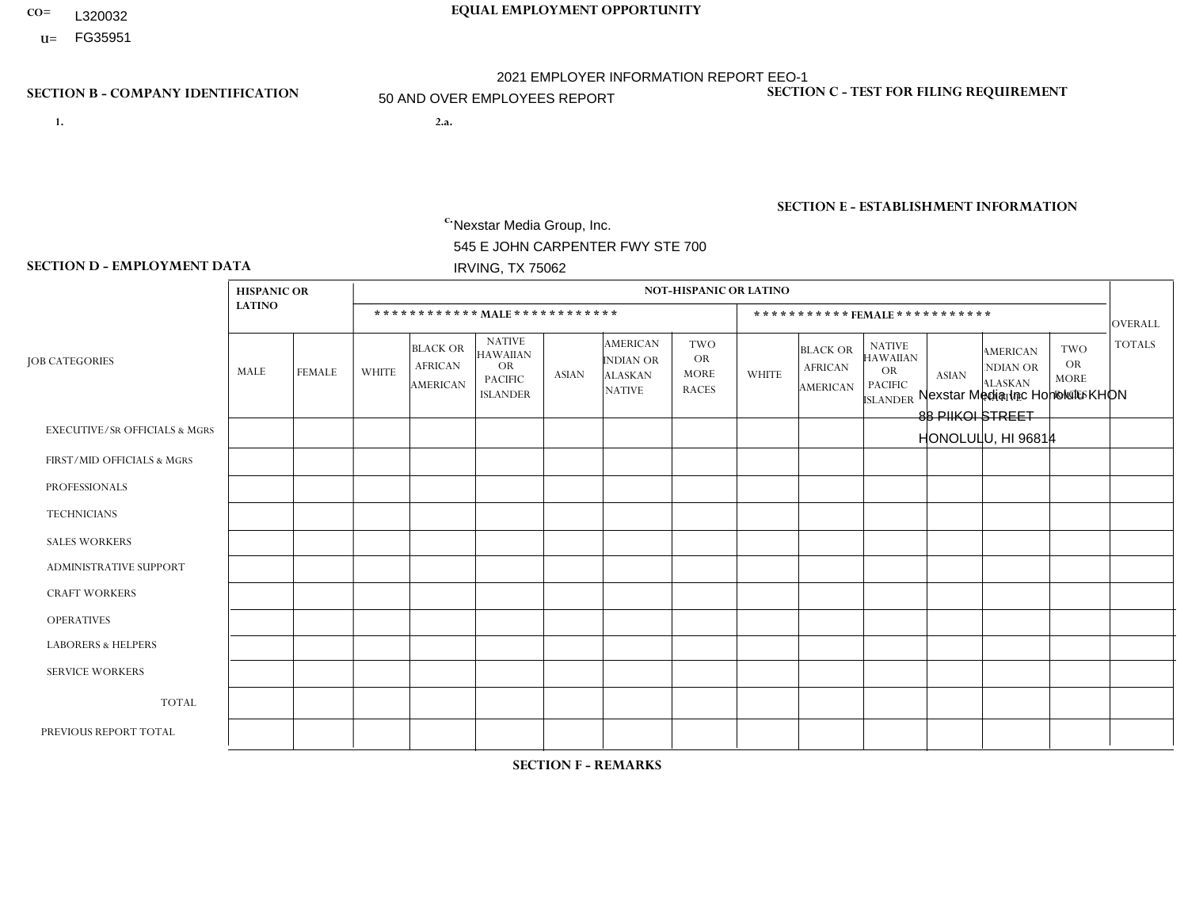- **CO= EQUAL EMPLOYMENT OPPORTUNITY** L320032
- **U=**

- **1. 2.a.** Nexstar Media Group, Inc. 545 E JOHN CARPENTER FWY STE 700 IRVING, TX 75062
- 2.a. Nexstar Media Inc Honolulu KHON 88 PIIKOI STREET HONOLULU, HI 96814

EIN= 233063152

# **SECTION B - COMPANY IDENTIFICATION SECTION C - TEST FOR FILING REQUIREMENT**

1- Y 2- N 3- Y DUNS= 058168001

**SECTION E - ESTABLISHMENT INFORMATION c.** NAICS: 515120 - Television Broadcasting

### **SECTION D - EMPLOYMENT DATA**

|                                          | <b>HISPANIC OR</b> |               |                |                                                      |                                                                                    |                |                                                                 | <b>NOT-HISPANIC OR LATINO</b>                          |                |                                                      |                                                                                    |                |                                                                       |                                                        |                |
|------------------------------------------|--------------------|---------------|----------------|------------------------------------------------------|------------------------------------------------------------------------------------|----------------|-----------------------------------------------------------------|--------------------------------------------------------|----------------|------------------------------------------------------|------------------------------------------------------------------------------------|----------------|-----------------------------------------------------------------------|--------------------------------------------------------|----------------|
|                                          | <b>LATINO</b>      |               |                |                                                      | ************ MALE ************                                                     |                |                                                                 |                                                        |                |                                                      | ***********FEMALE***********                                                       |                |                                                                       |                                                        | OVERALL        |
| <b>JOB CATEGORIES</b>                    | MALE               | <b>FEMALE</b> | <b>WHITE</b>   | <b>BLACK OR</b><br><b>AFRICAN</b><br><b>AMERICAN</b> | <b>NATIVE</b><br><b>HAWAIIAN</b><br><b>OR</b><br><b>PACIFIC</b><br><b>ISLANDER</b> | <b>ASIAN</b>   | <b>AMERICAN</b><br>INDIAN OR<br><b>ALASKAN</b><br><b>NATIVE</b> | <b>TWO</b><br><b>OR</b><br><b>MORE</b><br><b>RACES</b> | <b>WHITE</b>   | <b>BLACK OR</b><br><b>AFRICAN</b><br><b>AMERICAN</b> | <b>NATIVE</b><br><b>HAWAIIAN</b><br><b>OR</b><br><b>PACIFIC</b><br><b>ISLANDER</b> | <b>ASIAN</b>   | <b>AMERICAN</b><br><b>NDIAN OR</b><br><b>ALASKAN</b><br><b>NATIVE</b> | <b>TWO</b><br><b>OR</b><br><b>MORE</b><br><b>RACES</b> | <b>TOTALS</b>  |
| <b>EXECUTIVE/SR OFFICIALS &amp; MGRS</b> | $\Omega$           | $\Omega$      | $\mathbf 0$    | $\mathbf 0$                                          | $\mathbf 0$                                                                        | $\Omega$       | $\Omega$                                                        | $\Omega$                                               | $\Omega$       | $\Omega$                                             | $\Omega$                                                                           | $\Omega$       | $\mathbf{0}$                                                          | $\Omega$                                               | $\mathbf 0$    |
| FIRST/MID OFFICIALS & MGRS               | 0                  | $\mathbf 0$   | $\mathbf{1}$   | $\mathbf 0$                                          | $\mathbf 0$                                                                        | $\mathbf 0$    | $\Omega$                                                        | -1                                                     |                | $\Omega$                                             | $\mathbf{0}$                                                                       | $\overline{4}$ | $\mathbf 0$                                                           | 1                                                      | 8              |
| <b>PROFESSIONALS</b>                     | 0                  | $\Omega$      | 5              | $\mathbf 0$                                          | $\mathbf 1$                                                                        | $\overline{4}$ | $\Omega$                                                        | $\Omega$                                               | $\Omega$       | $\Omega$                                             |                                                                                    | 8              | $\Omega$                                                              | 1                                                      | 20             |
| <b>TECHNICIANS</b>                       | 4                  | $\mathbf 0$   | 3              | $\mathbf 0$                                          | $\mathbf{1}$                                                                       | 23             | $\Omega$                                                        | $\mathbf{1}$                                           | $\mathbf{1}$   | $\mathbf{1}$                                         | $\Omega$                                                                           | 13             | $\Omega$                                                              | 1                                                      | 48             |
| <b>SALES WORKERS</b>                     | 0                  | $\Omega$      | $\overline{1}$ | $\mathbf 0$                                          | $\Omega$                                                                           | $\overline{2}$ | $\Omega$                                                        | $\Omega$                                               | $\overline{2}$ | $\Omega$                                             | $\Omega$                                                                           | 5              | $\Omega$                                                              | $\mathbf{0}$                                           | 10             |
| <b>ADMINISTRATIVE SUPPORT</b>            | $\Omega$           | $\mathbf{1}$  | 1              | $\mathbf 0$                                          |                                                                                    | 3              | $\Omega$                                                        | 1                                                      |                | $\Omega$                                             | 2                                                                                  | $\overline{7}$ | $\mathbf{0}$                                                          | 1                                                      | 18             |
| <b>CRAFT WORKERS</b>                     | 0                  | $\Omega$      | $\mathbf 0$    | $\mathbf 0$                                          | $\Omega$                                                                           | $\Omega$       | $\Omega$                                                        | $\Omega$                                               | $\Omega$       | $\Omega$                                             | $\Omega$                                                                           | $\Omega$       | $\Omega$                                                              | $\Omega$                                               | $\mathbf{0}$   |
| <b>OPERATIVES</b>                        | 0                  | $\mathbf 0$   | $\mathbf 0$    | $\mathbf 0$                                          | $\mathbf 0$                                                                        | $\mathbf 0$    | $\Omega$                                                        | $\Omega$                                               | $\Omega$       | $\Omega$                                             | $\Omega$                                                                           | $\mathbf{0}$   | $\Omega$                                                              | $\mathbf{0}$                                           | $\overline{0}$ |
| <b>LABORERS &amp; HELPERS</b>            | 0                  | $\Omega$      | $\mathbf 0$    | $\mathbf 0$                                          | $\mathbf 0$                                                                        | $\mathbf 0$    | $\Omega$                                                        | $\Omega$                                               | $\Omega$       | $\Omega$                                             | $\mathbf{0}$                                                                       | $\mathbf{0}$   | $\Omega$                                                              | $\Omega$                                               | $\mathbf 0$    |
| <b>SERVICE WORKERS</b>                   | 0                  | $\Omega$      | $\mathbf 0$    | $\mathbf 0$                                          | $\mathbf 0$                                                                        | $\Omega$       | $\Omega$                                                        | $\Omega$                                               | $\Omega$       | $\Omega$                                             | $\Omega$                                                                           | $\mathbf{0}$   | $\Omega$                                                              | $\mathbf{0}$                                           | $\overline{0}$ |
| <b>TOTAL</b>                             | 4                  | $\mathbf{1}$  | 11             | 0                                                    | 3                                                                                  | 32             | $\Omega$                                                        | 3                                                      | 5              | $\mathbf{1}$                                         | 3                                                                                  | 37             | $\Omega$                                                              | 4                                                      | 104            |
| PREVIOUS REPORT TOTAL                    | 3                  | $\mathbf{1}$  | 11             | $\mathbf 0$                                          | 5                                                                                  | 29             | $\Omega$                                                        | 5                                                      | 13             | $\Omega$                                             | 5                                                                                  | 25             | $\mathbf{0}$                                                          | 6                                                      | 103            |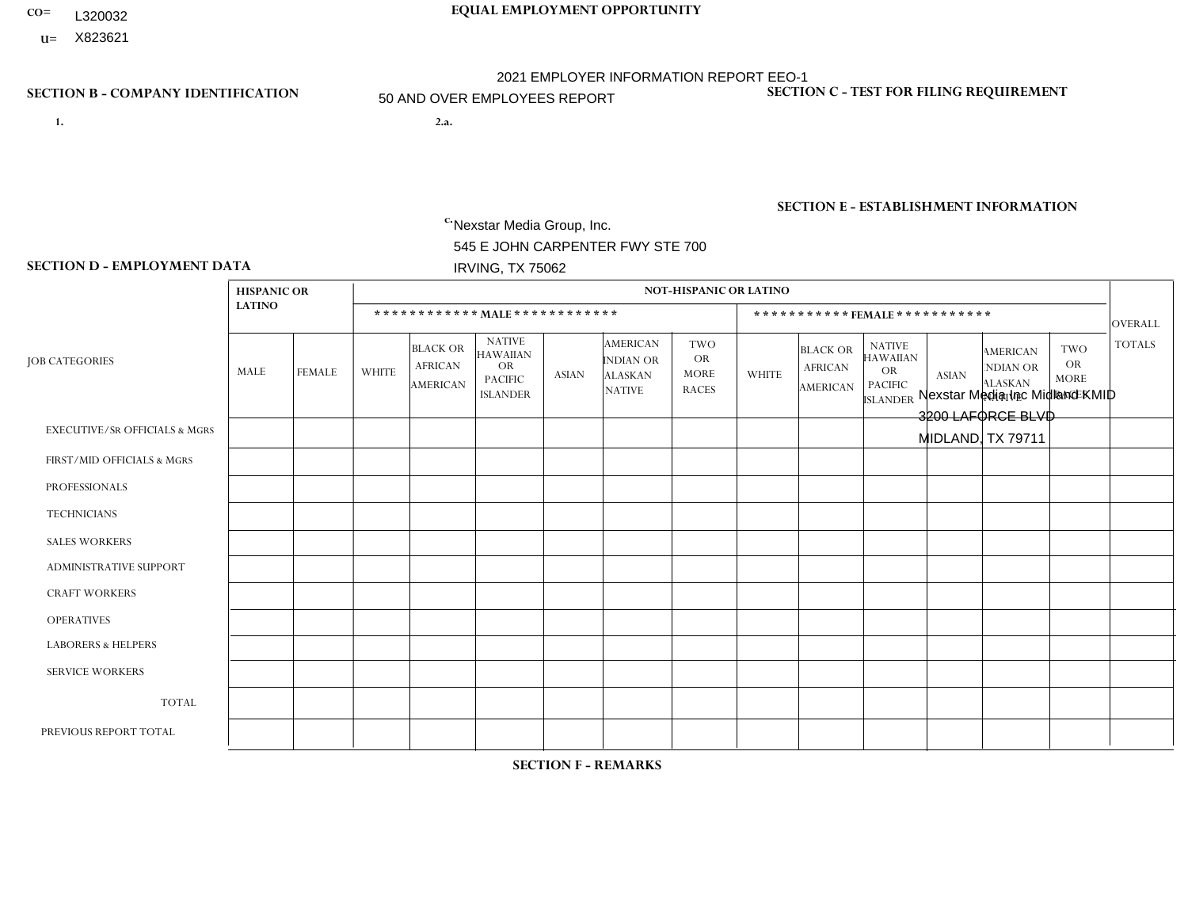- **CO= EQUAL EMPLOYMENT OPPORTUNITY** L320032
	- **U=**

# **SECTION B - COMPANY IDENTIFICATION SECTION C - TEST FOR FILING REQUIREMENT**

- **1. 2.a.** Nexstar Media Group, Inc. 545 E JOHN CARPENTER FWY STE 700 IRVING, TX 75062
- 2.a. Nexstar Media Inc Midland KMID 3200 LAFORCE BLVD MIDLAND, TX 79711

2021 EMPLOYER INFORMATION REPORT EEO-1 50 AND OVER EMPLOYEES REPORT

EIN= 233063152

1- Y 2- N 3- Y DUNS= 058168001

**SECTION E - ESTABLISHMENT INFORMATION c.** NAICS: 515120 - Television Broadcasting

### **SECTION D - EMPLOYMENT DATA**

|                                          | <b>HISPANIC OR</b> |                |                 |                                                      |                                                                                    |              |                                                                        | <b>NOT-HISPANIC OR LATINO</b>                          |                |                                               |                                                                             |              |                                                                       |                                                        |                |
|------------------------------------------|--------------------|----------------|-----------------|------------------------------------------------------|------------------------------------------------------------------------------------|--------------|------------------------------------------------------------------------|--------------------------------------------------------|----------------|-----------------------------------------------|-----------------------------------------------------------------------------|--------------|-----------------------------------------------------------------------|--------------------------------------------------------|----------------|
|                                          | <b>LATINO</b>      |                |                 |                                                      | ************ MAIE************                                                      |              |                                                                        |                                                        |                |                                               | *********** FEMALE ***********                                              |              |                                                                       |                                                        | <b>OVERALL</b> |
| <b>JOB CATEGORIES</b>                    | MALE               | <b>FEMALE</b>  | <b>WHITE</b>    | <b>BLACK OR</b><br><b>AFRICAN</b><br><b>AMERICAN</b> | <b>NATIVE</b><br><b>HAWAIIAN</b><br><b>OR</b><br><b>PACIFIC</b><br><b>ISLANDER</b> | <b>ASIAN</b> | <b>AMERICAN</b><br><b>INDIAN OR</b><br><b>ALASKAN</b><br><b>NATIVE</b> | <b>TWO</b><br><b>OR</b><br><b>MORE</b><br><b>RACES</b> | <b>WHITE</b>   | <b>BLACK OR</b><br><b>AFRICAN</b><br>AMERICAN | <b>NATIVE</b><br><b>HAWAIIAN</b><br>OR<br><b>PACIFIC</b><br><b>ISLANDER</b> | <b>ASIAN</b> | <b>AMERICAN</b><br><b>NDIAN OR</b><br><b>ALASKAN</b><br><b>NATIVE</b> | <b>TWO</b><br><b>OR</b><br><b>MORE</b><br><b>RACES</b> | <b>TOTALS</b>  |
| <b>EXECUTIVE/SR OFFICIALS &amp; MGRS</b> | $\Omega$           | $\mathbf 0$    | $\mathbf 0$     | 0                                                    | $\Omega$                                                                           | $\Omega$     | $\Omega$                                                               | $\Omega$                                               | $\Omega$       | $\Omega$                                      | $\Omega$                                                                    | $\Omega$     | $\Omega$                                                              | $\Omega$                                               | $\mathbf 0$    |
| FIRST/MID OFFICIALS & MGRS               |                    | $\mathbf 0$    | $\overline{2}$  | $\mathbf 0$                                          | $\mathbf{0}$                                                                       | $\Omega$     | $\Omega$                                                               | $\Omega$                                               | 1              | 1                                             | $\Omega$                                                                    | $\Omega$     | $\Omega$                                                              | $\Omega$                                               | 5              |
| <b>PROFESSIONALS</b>                     | $\mathbf 0$        | $\overline{2}$ | $5\phantom{.0}$ | 3                                                    | $\Omega$                                                                           | $\Omega$     | $\Omega$                                                               |                                                        | $\overline{2}$ | $\Omega$                                      | $\Omega$                                                                    | $\mathbf 0$  | $\Omega$                                                              | $\Omega$                                               | 13             |
| <b>TECHNICIANS</b>                       | 4                  | 4              | 6               | $\mathbf 0$                                          | $\Omega$                                                                           | $\Omega$     | $\Omega$                                                               | 2                                                      | $\overline{4}$ | $\overline{2}$                                | $\Omega$                                                                    | $\Omega$     | $\Omega$                                                              | $\Omega$                                               | 22             |
| <b>SALES WORKERS</b>                     | $\mathbf 0$        | $\overline{1}$ | $\mathbf 0$     | 0                                                    | $\Omega$                                                                           | $\Omega$     | $\Omega$                                                               | $\Omega$                                               | 5              | $\Omega$                                      | $\Omega$                                                                    | $\Omega$     | $\Omega$                                                              | $\Omega$                                               | 6              |
| ADMINISTRATIVE SUPPORT                   |                    | $\overline{2}$ | $\mathbf{1}$    | $\mathbf 0$                                          | $\Omega$                                                                           | $\Omega$     | $\Omega$                                                               | $\Omega$                                               | 3              | $\Omega$                                      | $\Omega$                                                                    | $\Omega$     | $\Omega$                                                              | $\Omega$                                               | $\overline{7}$ |
| <b>CRAFT WORKERS</b>                     | $\mathbf{0}$       | $\mathbf 0$    | $\mathbf 0$     | 0                                                    | $\Omega$                                                                           | $\Omega$     | $\Omega$                                                               | $\Omega$                                               | $\Omega$       | $\Omega$                                      | $\Omega$                                                                    | $\Omega$     | $\Omega$                                                              | $\Omega$                                               | $\mathbf 0$    |
| <b>OPERATIVES</b>                        | $\mathbf 0$        | $\mathbf 0$    | $\mathbf 0$     | $\mathbf 0$                                          | $\Omega$                                                                           | $\Omega$     | $\Omega$                                                               | $\Omega$                                               | $\Omega$       | $\Omega$                                      | $\Omega$                                                                    | $\Omega$     | $\Omega$                                                              | $\Omega$                                               | $\mathbf 0$    |
| <b>LABORERS &amp; HELPERS</b>            | $\mathbf{0}$       | $\Omega$       | $\mathbf 0$     | 0                                                    | $\Omega$                                                                           | $\Omega$     | $\Omega$                                                               | $\Omega$                                               | $\Omega$       | $\Omega$                                      | $\Omega$                                                                    | $\Omega$     | $\Omega$                                                              | $\Omega$                                               | $\mathbf 0$    |
| <b>SERVICE WORKERS</b>                   | $\mathbf{0}$       | $\mathbf 0$    | 0               | 0                                                    | $\Omega$                                                                           | $\Omega$     | $\Omega$                                                               | $\Omega$                                               | $\Omega$       | $\Omega$                                      | $\Omega$                                                                    | $\Omega$     | $\Omega$                                                              | $\Omega$                                               | 0              |
| <b>TOTAL</b>                             | 6                  | 9              | 14              | 3                                                    | $\mathbf 0$                                                                        | $\Omega$     | $\Omega$                                                               | 3                                                      | 15             | 3                                             | $\Omega$                                                                    | $\mathbf 0$  | $\Omega$                                                              | $\mathbf 0$                                            | 53             |
| PREVIOUS REPORT TOTAL                    | 9                  | 6              | 16              | $\overline{c}$                                       | $\Omega$                                                                           | $\Omega$     | $\Omega$                                                               |                                                        | 13             | 3                                             | $\Omega$                                                                    |              | $\Omega$                                                              | $\Omega$                                               | 51             |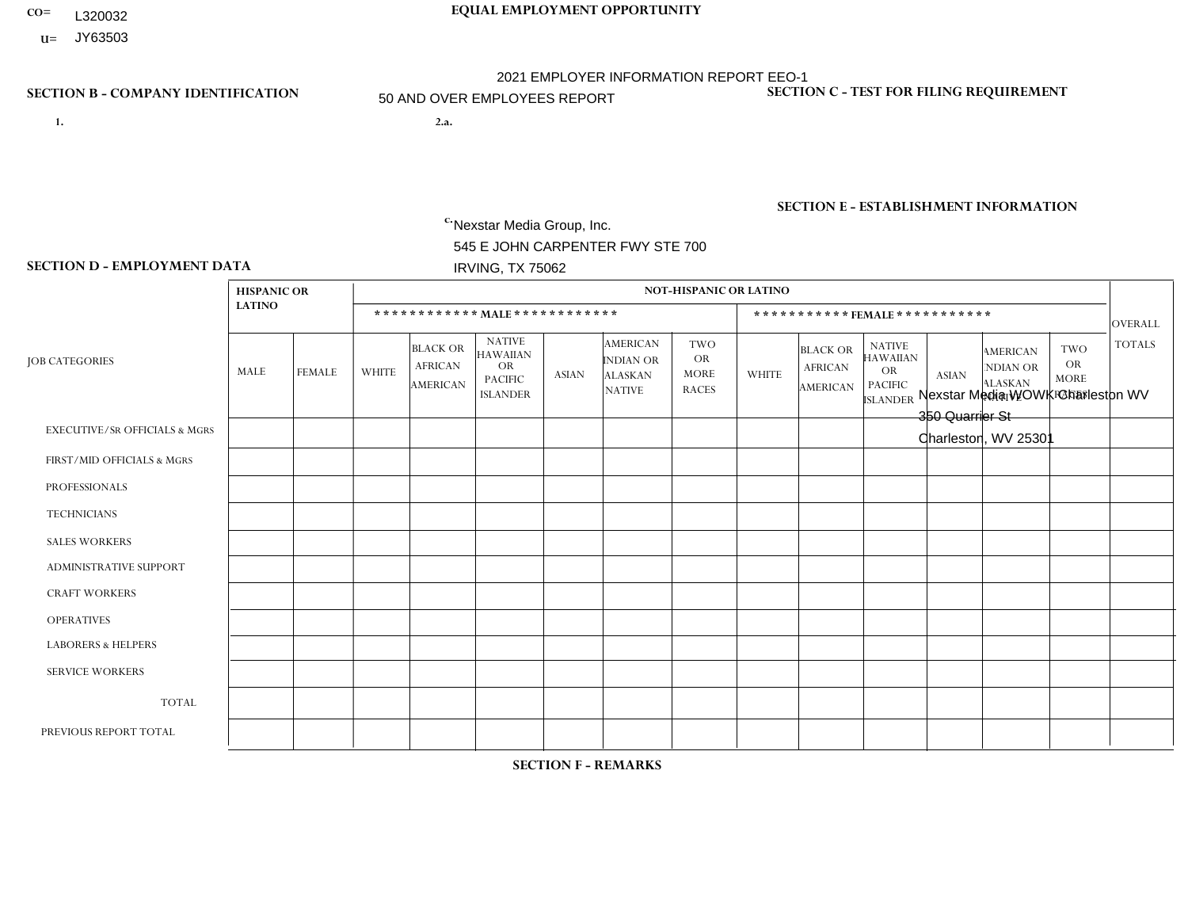- **CO= EQUAL EMPLOYMENT OPPORTUNITY** L320032
- **U=** JY63503

- **1. 2.a.** Nexstar Media Group, Inc. 545 E JOHN CARPENTER FWY STE 700 IRVING, TX 75062
- 2.a. Nexstar Media WOWK Charleston WV 350 Quarrier St Charleston, WV 25301

EIN= 233063152

# **SECTION B - COMPANY IDENTIFICATION SECTION C - TEST FOR FILING REQUIREMENT**

1- Y 2- N 3- Y DUNS= 058168001

**SECTION E - ESTABLISHMENT INFORMATION c.** NAICS: 515120 - Television Broadcasting

### **SECTION D - EMPLOYMENT DATA**

|                                          | <b>HISPANIC OR</b> |                |              |                                                      |                                                                                    |                |                                                                        | <b>NOT-HISPANIC OR LATINO</b>                   |              |                                               |                                                                                    |              |                                                                       |                                                        |                |
|------------------------------------------|--------------------|----------------|--------------|------------------------------------------------------|------------------------------------------------------------------------------------|----------------|------------------------------------------------------------------------|-------------------------------------------------|--------------|-----------------------------------------------|------------------------------------------------------------------------------------|--------------|-----------------------------------------------------------------------|--------------------------------------------------------|----------------|
|                                          | <b>LATINO</b>      |                |              | ************ MALE ************                       |                                                                                    |                |                                                                        |                                                 |              | ***********FEMALE***********                  |                                                                                    |              |                                                                       |                                                        | <b>OVERALL</b> |
| <b>JOB CATEGORIES</b>                    | MALE               | <b>FEMALE</b>  | <b>WHITE</b> | <b>BLACK OR</b><br><b>AFRICAN</b><br><b>AMERICAN</b> | <b>NATIVE</b><br><b>HAWAIIAN</b><br><b>OR</b><br><b>PACIFIC</b><br><b>ISLANDER</b> | ASIAN          | <b>AMERICAN</b><br><b>INDIAN OR</b><br><b>ALASKAN</b><br><b>NATIVE</b> | TWO<br><b>OR</b><br><b>MORE</b><br><b>RACES</b> | <b>WHITE</b> | <b>BLACK OR</b><br><b>AFRICAN</b><br>AMERICAN | <b>NATIVE</b><br><b>HAWAIIAN</b><br><b>OR</b><br><b>PACIFIC</b><br><b>ISLANDER</b> | <b>ASIAN</b> | <b>AMERICAN</b><br><b>NDIAN OR</b><br><b>ALASKAN</b><br><b>NATIVE</b> | <b>TWO</b><br><b>OR</b><br><b>MORE</b><br><b>RACES</b> | <b>TOTALS</b>  |
| <b>EXECUTIVE/SR OFFICIALS &amp; MGRS</b> | $\Omega$           | $\mathbf 0$    | $\mathbf 0$  | $\mathbf 0$                                          | $\mathbf 0$                                                                        | $\mathbf 0$    | $\Omega$                                                               | $\Omega$                                        | $\Omega$     | $\Omega$                                      | $\Omega$                                                                           | $\mathbf 0$  | $\mathbf 0$                                                           | $\mathbf 0$                                            | $\mathbf 0$    |
| FIRST/MID OFFICIALS & MGRS               | 0                  | $\Omega$       | 10           | $\mathbf 0$                                          | $\Omega$                                                                           | $\Omega$       | $\Omega$                                                               |                                                 | 3            | $\Omega$                                      | $\Omega$                                                                           | $\mathbf{0}$ | $\Omega$                                                              | $\mathbf{0}$                                           | 14             |
| <b>PROFESSIONALS</b>                     | 0                  | $\overline{0}$ | 13           | $\mathbf 0$                                          | $\mathbf 0$                                                                        | $\overline{1}$ | $\Omega$                                                               | $\Omega$                                        | 10           | 3                                             | $\Omega$                                                                           | $\mathbf 0$  | 0                                                                     | $\mathbf 0$                                            | 27             |
| <b>TECHNICIANS</b>                       | 0                  | 3              | 31           | 8                                                    | $\Omega$                                                                           | $\mathbf 1$    | $\Omega$                                                               |                                                 | 17           | 4                                             | $\Omega$                                                                           | $\Omega$     | $\Omega$                                                              | $\Omega$                                               | 65             |
| <b>SALES WORKERS</b>                     | 0                  | $\Omega$       | 10           | $\mathbf 0$                                          | $\Omega$                                                                           | $\Omega$       | $\Omega$                                                               | $\Omega$                                        | 13           | $\Omega$                                      | $\Omega$                                                                           | $\Omega$     | $\Omega$                                                              | $\Omega$                                               | 23             |
| ADMINISTRATIVE SUPPORT                   | $\Omega$           | $\Omega$       | 4            | $\overline{1}$                                       | $\Omega$                                                                           | $\Omega$       | $\Omega$                                                               | $\Omega$                                        | 8            | $\overline{1}$                                | $\Omega$                                                                           | $\Omega$     | $\Omega$                                                              | $\Omega$                                               | 14             |
| <b>CRAFT WORKERS</b>                     | 0                  | $\Omega$       | $\Omega$     | $\mathbf 0$                                          | $\Omega$                                                                           | $\Omega$       | $\Omega$                                                               | $\Omega$                                        | $\Omega$     | $\Omega$                                      | $\Omega$                                                                           | $\Omega$     | $\Omega$                                                              | $\mathbf{0}$                                           | $\mathbf{0}$   |
| <b>OPERATIVES</b>                        | 0                  | $\Omega$       | $\Omega$     | $\mathbf 0$                                          | $\Omega$                                                                           | $\Omega$       | $\Omega$                                                               | $\Omega$                                        | $\Omega$     | $\Omega$                                      | $\Omega$                                                                           | $\Omega$     | $\Omega$                                                              | $\Omega$                                               | $\mathbf 0$    |
| <b>LABORERS &amp; HELPERS</b>            | 0                  | $\Omega$       | $\Omega$     | $\mathbf 0$                                          | $\Omega$                                                                           | $\Omega$       | $\Omega$                                                               | $\Omega$                                        | $\Omega$     | $\Omega$                                      | $\Omega$                                                                           | $\Omega$     | $\Omega$                                                              | $\Omega$                                               | $\overline{0}$ |
| <b>SERVICE WORKERS</b>                   | 0                  | $\Omega$       | $\Omega$     | 0                                                    | $\mathbf{0}$                                                                       | $\Omega$       | $\Omega$                                                               | $\Omega$                                        | $\Omega$     | $\Omega$                                      | $\Omega$                                                                           | $\Omega$     | $\Omega$                                                              | $\mathbf 0$                                            | $\mathbf 0$    |
| <b>TOTAL</b>                             | $\Omega$           | 3              | 68           | 9                                                    | 0                                                                                  | 2              | $\Omega$                                                               | $\overline{2}$                                  | 51           | 8                                             | $\Omega$                                                                           | $\mathbf 0$  | 0                                                                     | $\mathbf 0$                                            | 143            |
| PREVIOUS REPORT TOTAL                    | 0                  | $\overline{2}$ | 36           | $\mathbf{1}$                                         | 0                                                                                  | $\Omega$       | $\Omega$                                                               | $\Omega$                                        | 24           | $\overline{2}$                                | $\Omega$                                                                           | $\mathbf 0$  | 0                                                                     | $\mathbf 1$                                            | 66             |

**SECTION F - REMARKS**

acquisition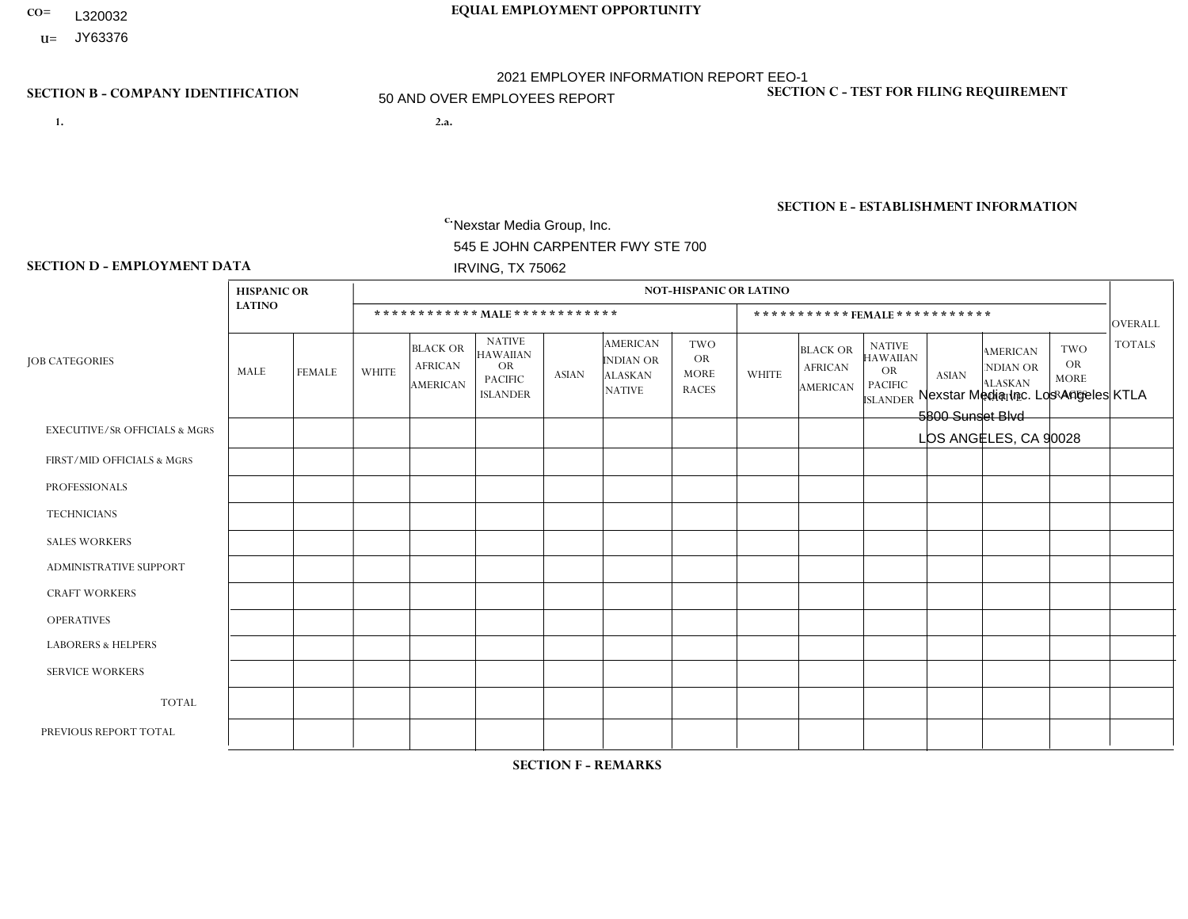- **CO= EQUAL EMPLOYMENT OPPORTUNITY** L320032
- **U=** JY63376

- **1. 2.a.** Nexstar Media Group, Inc. 545 E JOHN CARPENTER FWY STE 700 IRVING, TX 75062
- 2.a. Nexstar Media Inc. Los Angeles KTLA 5800 Sunset Blvd LOS ANGELES, CA 90028

EIN= 361880355

# **SECTION B - COMPANY IDENTIFICATION SECTION C - TEST FOR FILING REQUIREMENT**

1- Y 2- N 3- Y DUNS= 058168001

**SECTION E - ESTABLISHMENT INFORMATION c.** NAICS: 515120 - Television Broadcasting

### **SECTION D - EMPLOYMENT DATA**

|                                          | <b>HISPANIC OR</b> |               |                |                                                      |                                                                                    |                |                                                                        | <b>NOT-HISPANIC OR LATINO</b>                          |              |                                                      |                                                                                    |              |                                                                       |                                                        |                |
|------------------------------------------|--------------------|---------------|----------------|------------------------------------------------------|------------------------------------------------------------------------------------|----------------|------------------------------------------------------------------------|--------------------------------------------------------|--------------|------------------------------------------------------|------------------------------------------------------------------------------------|--------------|-----------------------------------------------------------------------|--------------------------------------------------------|----------------|
|                                          | <b>LATINO</b>      |               |                |                                                      | ************ MALE ************                                                     |                |                                                                        |                                                        |              | ***********FEMALE***********                         |                                                                                    |              |                                                                       |                                                        | <b>OVERALL</b> |
| <b>JOB CATEGORIES</b>                    | MALE               | <b>FEMALE</b> | <b>WHITE</b>   | <b>BLACK OR</b><br><b>AFRICAN</b><br><b>AMERICAN</b> | <b>NATIVE</b><br><b>HAWAIIAN</b><br><b>OR</b><br><b>PACIFIC</b><br><b>ISLANDER</b> | <b>ASIAN</b>   | <b>AMERICAN</b><br><b>INDIAN OR</b><br><b>ALASKAN</b><br><b>NATIVE</b> | <b>TWO</b><br><b>OR</b><br><b>MORE</b><br><b>RACES</b> | <b>WHITE</b> | <b>BLACK OR</b><br><b>AFRICAN</b><br><b>AMERICAN</b> | <b>NATIVE</b><br><b>HAWAIIAN</b><br><b>OR</b><br><b>PACIFIC</b><br><b>ISLANDER</b> | <b>ASIAN</b> | <b>AMERICAN</b><br><b>NDIAN OR</b><br><b>ALASKAN</b><br><b>NATIVE</b> | <b>TWO</b><br><b>OR</b><br><b>MORE</b><br><b>RACES</b> | <b>TOTALS</b>  |
| <b>EXECUTIVE/SR OFFICIALS &amp; MGRS</b> | 0                  | 0             | $\Omega$       | $\Omega$                                             | $\Omega$                                                                           | $\Omega$       | $\Omega$                                                               | $\Omega$                                               |              | $\Omega$                                             | $\Omega$                                                                           | $\Omega$     | $\Omega$                                                              | $\Omega$                                               |                |
| FIRST/MID OFFICIALS & MGRS               | 4                  | 4             | 16             | 1                                                    | $\mathbf 0$                                                                        | 1              | $\Omega$                                                               | -1                                                     | 9            | 3                                                    | $\Omega$                                                                           | $\Omega$     | $\Omega$                                                              | $\Omega$                                               | 39             |
| <b>PROFESSIONALS</b>                     | 33                 | 27            | 74             | 18                                                   | $\mathbf 0$                                                                        | 8              | $\Omega$                                                               | 3                                                      | 50           | 8                                                    |                                                                                    | 6            | $\Omega$                                                              | $\overline{4}$                                         | 232            |
| <b>TECHNICIANS</b>                       | 46                 | 9             | 79             | 6                                                    | $\mathbf 0$                                                                        | $\overline{2}$ | 1                                                                      | 3                                                      | 28           | $\mathbf{1}$                                         | $\Omega$                                                                           | 6            | $\Omega$                                                              | $\mathbf{1}$                                           | 182            |
| <b>SALES WORKERS</b>                     | 0                  | $\Omega$      | $\Omega$       | $\mathbf 0$                                          | $\Omega$                                                                           | $\Omega$       | $\Omega$                                                               | $\Omega$                                               | $\Omega$     | $\Omega$                                             | $\Omega$                                                                           | $\Omega$     | $\Omega$                                                              | $\Omega$                                               | $\Omega$       |
| ADMINISTRATIVE SUPPORT                   | 3                  | 4             | $\overline{c}$ | $\mathbf 0$                                          | $\mathbf 0$                                                                        | $\Omega$       | $\Omega$                                                               | 1                                                      | 4            | 1                                                    | $\Omega$                                                                           | $\Omega$     | $\Omega$                                                              | $\Omega$                                               | 15             |
| <b>CRAFT WORKERS</b>                     | 0                  | $\Omega$      | $\mathbf 0$    | $\mathbf 0$                                          | $\mathbf 0$                                                                        | $\Omega$       | $\Omega$                                                               | $\Omega$                                               | $\Omega$     | $\Omega$                                             | $\Omega$                                                                           | $\Omega$     | $\Omega$                                                              | $\Omega$                                               | $\Omega$       |
| <b>OPERATIVES</b>                        | 0                  | $\Omega$      | 0              | $\mathbf 0$                                          | 0                                                                                  | $\Omega$       | $\Omega$                                                               | $\Omega$                                               | 0            | $\Omega$                                             | $\Omega$                                                                           | $\Omega$     | $\Omega$                                                              | $\Omega$                                               | $\mathbf 0$    |
| <b>LABORERS &amp; HELPERS</b>            | 0                  | $\Omega$      | $\Omega$       | $\mathbf 0$                                          | $\Omega$                                                                           | $\Omega$       | $\Omega$                                                               | $\Omega$                                               | $\Omega$     | $\Omega$                                             | $\Omega$                                                                           | $\Omega$     | 0                                                                     | $\Omega$                                               | $\mathbf 0$    |
| <b>SERVICE WORKERS</b>                   | 0                  | 0             | $\mathbf 0$    | $\mathbf 0$                                          | 0                                                                                  | $\Omega$       | $\Omega$                                                               | $\Omega$                                               | 0            | $\Omega$                                             | $\Omega$                                                                           | $\Omega$     | $\Omega$                                                              | $\Omega$                                               | $\mathbf 0$    |
| <b>TOTAL</b>                             | 86                 | 44            | 171            | 25                                                   | 0                                                                                  | 11             |                                                                        | 8                                                      | 92           | 13                                                   | -1                                                                                 | 12           | $\Omega$                                                              | 5                                                      | 469            |
| PREVIOUS REPORT TOTAL                    | 59                 | 41            | 161            | 25                                                   | 0                                                                                  | $\overline{7}$ | $\Omega$                                                               | 9                                                      | 87           | 13                                                   | 1                                                                                  | 14           |                                                                       | 5                                                      | 423            |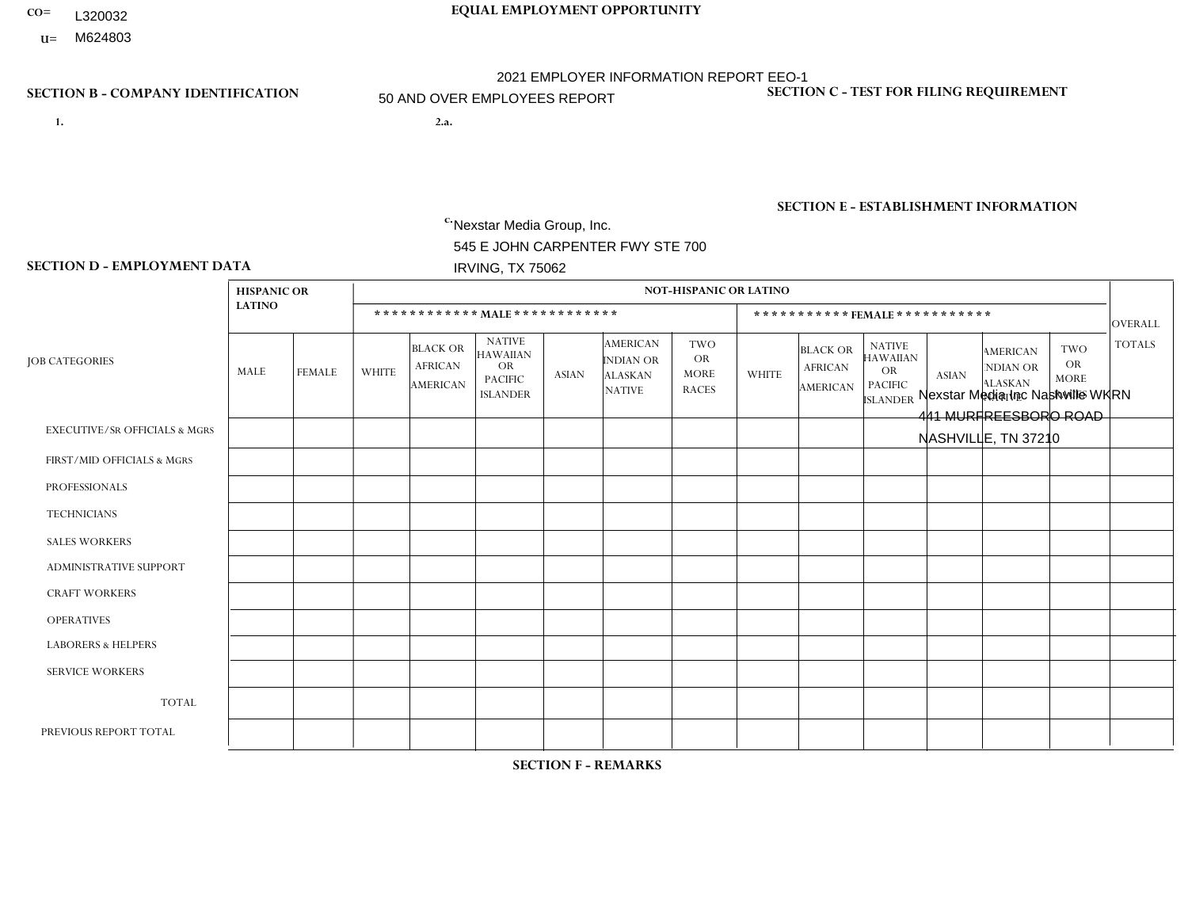- **CO= EQUAL EMPLOYMENT OPPORTUNITY** L320032
- **U=**

- **1. 2.a.** Nexstar Media Group, Inc. 545 E JOHN CARPENTER FWY STE 700 IRVING, TX 75062
- 2.a. Nexstar Media Inc Nashville WKRN 441 MURFREESBORO ROAD NASHVILLE, TN 37210

EIN= 233063152

### **SECTION B - COMPANY IDENTIFICATION SECTION C - TEST FOR FILING REQUIREMENT**

1- Y 2- N 3- Y DUNS= 058168001

# **SECTION E - ESTABLISHMENT INFORMATION c.** NAICS: 515120 - Television Broadcasting

### **SECTION D - EMPLOYMENT DATA**

|                                          | <b>HISPANIC OR</b>      |                |              |                                                      |                                                                             |              |                                                                 | <b>NOT-HISPANIC OR LATINO</b>                          |              |                                                      |                                                                                    |                |                                                                       |                                                        |                |
|------------------------------------------|-------------------------|----------------|--------------|------------------------------------------------------|-----------------------------------------------------------------------------|--------------|-----------------------------------------------------------------|--------------------------------------------------------|--------------|------------------------------------------------------|------------------------------------------------------------------------------------|----------------|-----------------------------------------------------------------------|--------------------------------------------------------|----------------|
|                                          | <b>LATINO</b>           |                |              | ************ MALE ************                       |                                                                             |              |                                                                 |                                                        |              |                                                      | ***********FEMALE***********                                                       |                |                                                                       |                                                        | <b>OVERALL</b> |
| <b>JOB CATEGORIES</b>                    | MALE                    | <b>FEMALE</b>  | <b>WHITE</b> | <b>BLACK OR</b><br><b>AFRICAN</b><br><b>AMERICAN</b> | <b>NATIVE</b><br><b>HAWAIIAN</b><br>OR<br><b>PACIFIC</b><br><b>ISLANDER</b> | <b>ASIAN</b> | <b>AMERICAN</b><br>INDIAN OR<br><b>ALASKAN</b><br><b>NATIVE</b> | <b>TWO</b><br><b>OR</b><br><b>MORE</b><br><b>RACES</b> | <b>WHITE</b> | <b>BLACK OR</b><br><b>AFRICAN</b><br><b>AMERICAN</b> | <b>NATIVE</b><br><b>HAWAIIAN</b><br><b>OR</b><br><b>PACIFIC</b><br><b>ISLANDER</b> | <b>ASIAN</b>   | <b>AMERICAN</b><br><b>NDIAN OR</b><br><b>ALASKAN</b><br><b>NATIVE</b> | <b>TWO</b><br><b>OR</b><br><b>MORE</b><br><b>RACES</b> | <b>TOTALS</b>  |
| <b>EXECUTIVE/SR OFFICIALS &amp; MGRS</b> | $\Omega$                | $\mathbf{0}$   | $\Omega$     | $\Omega$                                             | $\Omega$                                                                    | 0            | $\Omega$                                                        | $\Omega$                                               | $\Omega$     | $\Omega$                                             | $\Omega$                                                                           | $\Omega$       | $\Omega$                                                              | $\Omega$                                               | $\mathbf 0$    |
| FIRST/MID OFFICIALS & MGRS               | $\overline{\mathbf{A}}$ | $\Omega$       | 10           | $\overline{1}$                                       | $\Omega$                                                                    | 1            | $\Omega$                                                        | $\Omega$                                               | 4            | $\Omega$                                             | 0                                                                                  | $\Omega$       | $\Omega$                                                              | $\Omega$                                               | 17             |
| <b>PROFESSIONALS</b>                     | $\mathbf 0$             | $\mathbf{1}$   | 6            | $\mathbf 0$                                          | $\mathbf 0$                                                                 | 0            | $\mathbf{0}$                                                    | $\Omega$                                               | 16           | $\overline{2}$                                       | 0                                                                                  | $\mathbf{1}$   | 0                                                                     | $\mathbf 0$                                            | 26             |
| <b>TECHNICIANS</b>                       | $\overline{2}$          | $\Omega$       | 26           | 9                                                    | $\Omega$                                                                    | 0            | -1                                                              | $\mathbf{0}$                                           | 14           | 5                                                    | 0                                                                                  | $\Omega$       | $\Omega$                                                              | $\Omega$                                               | 57             |
| <b>SALES WORKERS</b>                     | $\Omega$                | $\Omega$       | 3            | $\Omega$                                             | $\Omega$                                                                    | $\Omega$     | $\Omega$                                                        | $\Omega$                                               | 10           | $\Omega$                                             | 0                                                                                  | $\Omega$       | $\Omega$                                                              | $\Omega$                                               | 13             |
| <b>ADMINISTRATIVE SUPPORT</b>            | $\Omega$                |                | 3            | $\mathbf 0$                                          | $\Omega$                                                                    | 0            | $\Omega$                                                        | -1                                                     | 4            |                                                      | $\Omega$                                                                           | 1              | $\Omega$                                                              | $\Omega$                                               | 11             |
| <b>CRAFT WORKERS</b>                     | $\Omega$                | $\Omega$       | $\Omega$     | $\Omega$                                             | $\Omega$                                                                    | 0            | $\mathbf{0}$                                                    | $\Omega$                                               | $\Omega$     | $\Omega$                                             | 0                                                                                  | $\Omega$       | $\Omega$                                                              | $\Omega$                                               | $\overline{0}$ |
| <b>OPERATIVES</b>                        | $\Omega$                | $\Omega$       | 0            | $\Omega$                                             | $\Omega$                                                                    | 0            | $\Omega$                                                        | $\Omega$                                               | $\Omega$     | $\Omega$                                             | $\Omega$                                                                           | $\Omega$       | $\Omega$                                                              | $\Omega$                                               | $\mathbf 0$    |
| <b>LABORERS &amp; HELPERS</b>            | $\Omega$                | $\Omega$       | 0            | $\mathbf 0$                                          | $\Omega$                                                                    | 0            | $\mathbf{0}$                                                    | $\Omega$                                               | $\Omega$     | $\Omega$                                             | 0                                                                                  | $\Omega$       | $\Omega$                                                              | $\Omega$                                               | $\mathbf{0}$   |
| <b>SERVICE WORKERS</b>                   | $\Omega$                | $\mathbf 0$    | 0            | $\mathbf 0$                                          | $\mathbf 0$                                                                 | 0            | $\mathbf{0}$                                                    | $\mathbf{0}$                                           | $\Omega$     | $\Omega$                                             | $\Omega$                                                                           | $\Omega$       | $\Omega$                                                              | $\mathbf 0$                                            | $\mathbf{0}$   |
| <b>TOTAL</b>                             | 3                       | $\overline{2}$ | 48           | 10                                                   | $\mathbf 0$                                                                 | $\mathbf{1}$ | -1                                                              | $\overline{\mathbf{1}}$                                | 48           | 8                                                    | 0                                                                                  | $\overline{2}$ | $\Omega$                                                              | $\Omega$                                               | 124            |
| PREVIOUS REPORT TOTAL                    | 4                       | 2              | 49           | 8                                                    | $\mathbf{0}$                                                                | 0            | -1                                                              |                                                        | 52           | 9                                                    | 0                                                                                  | 2              | $\Omega$                                                              | $\mathbf 0$                                            | 128            |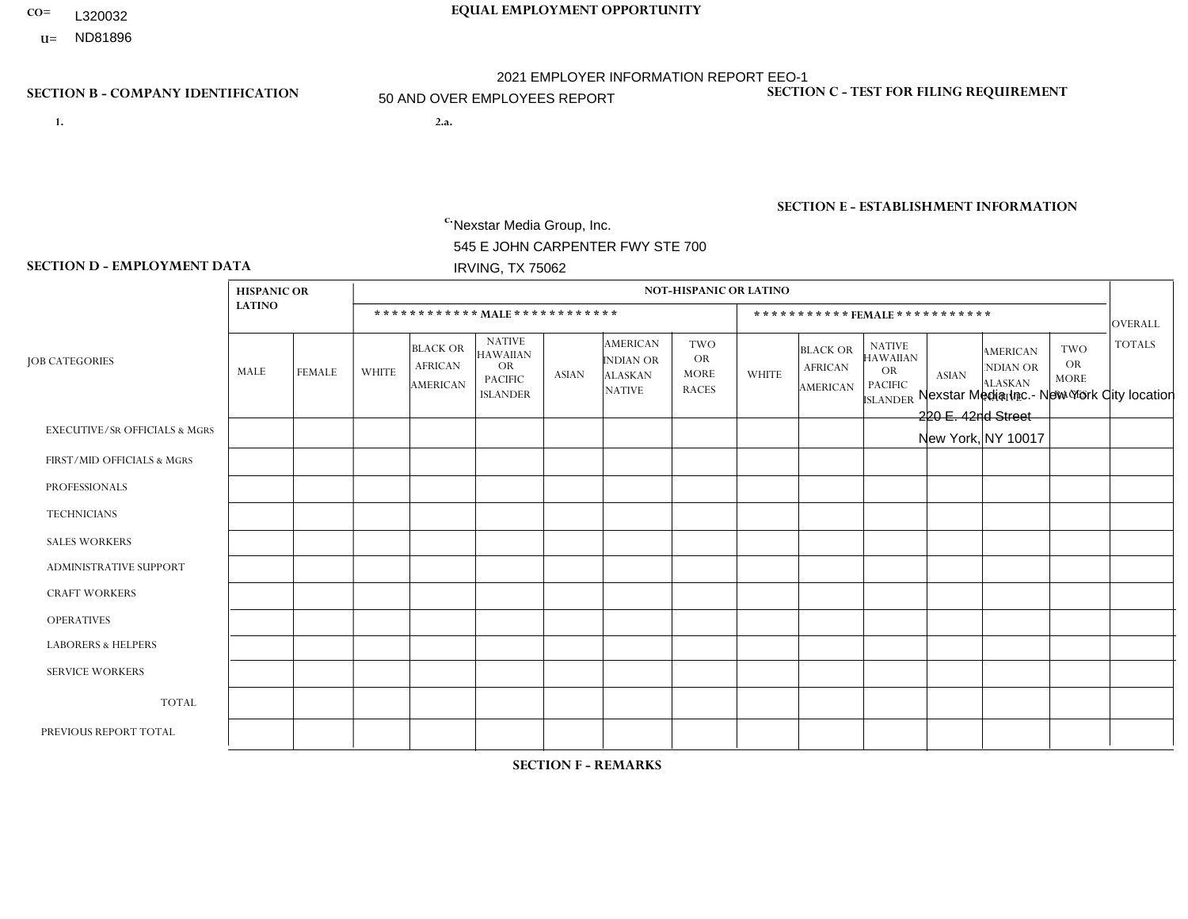- **CO= EQUAL EMPLOYMENT OPPORTUNITY** L320032
	- **U=** ND81896

- **1. 2.a.** Nexstar Media Group, Inc. 545 E JOHN CARPENTER FWY STE 700 IRVING, TX 75062
- 2.a. Nexstar Media Inc.- New York City location 220 E. 42nd Street New York, NY 10017

EIN= 233063152

# **SECTION B - COMPANY IDENTIFICATION SECTION C - TEST FOR FILING REQUIREMENT**

1- Y 2- N 3- Y DUNS= 058168001

**SECTION E - ESTABLISHMENT INFORMATION c.** NAICS: 515120 - Television Broadcasting

### **SECTION D - EMPLOYMENT DATA**

|                                          | <b>HISPANIC OR</b> |                |                |                                                      |                                                                             |                |                                                                 | NOT-HISPANIC OR LATINO                                 |                |                                                      |                                                                                    |                |                                                                       |                                                        |                |
|------------------------------------------|--------------------|----------------|----------------|------------------------------------------------------|-----------------------------------------------------------------------------|----------------|-----------------------------------------------------------------|--------------------------------------------------------|----------------|------------------------------------------------------|------------------------------------------------------------------------------------|----------------|-----------------------------------------------------------------------|--------------------------------------------------------|----------------|
|                                          | <b>LATINO</b>      |                |                |                                                      | ************ MALE ************                                              |                |                                                                 |                                                        |                |                                                      | *********** FEMALE ***********                                                     |                |                                                                       |                                                        | <b>OVERALL</b> |
| <b>JOB CATEGORIES</b>                    | MALE               | <b>FEMALE</b>  | <b>WHITE</b>   | <b>BLACK OR</b><br><b>AFRICAN</b><br><b>AMERICAN</b> | <b>NATIVE</b><br><b>HAWAIIAN</b><br>OR<br><b>PACIFIC</b><br><b>ISLANDER</b> | <b>ASIAN</b>   | <b>AMERICAN</b><br>INDIAN OR<br><b>ALASKAN</b><br><b>NATIVE</b> | <b>TWO</b><br><b>OR</b><br><b>MORE</b><br><b>RACES</b> | <b>WHITE</b>   | <b>BLACK OR</b><br><b>AFRICAN</b><br><b>AMERICAN</b> | <b>NATIVE</b><br><b>HAWAIIAN</b><br><b>OR</b><br><b>PACIFIC</b><br><b>ISLANDER</b> | <b>ASIAN</b>   | <b>AMERICAN</b><br><b>NDIAN OR</b><br><b>ALASKAN</b><br><b>NATIVE</b> | <b>TWO</b><br><b>OR</b><br><b>MORE</b><br><b>RACES</b> | <b>TOTALS</b>  |
| <b>EXECUTIVE/SR OFFICIALS &amp; MGRS</b> | $\mathbf 0$        | $\mathbf 0$    | 1              | $\mathbf 0$                                          | $\mathbf 0$                                                                 | $\mathbf 0$    | $\Omega$                                                        | $\mathbf{0}$                                           | $\mathbf 0$    | $\Omega$                                             | $\mathbf 0$                                                                        | $\mathbf 0$    | $\mathbf 0$                                                           | $\Omega$                                               | $\mathbf{1}$   |
| FIRST/MID OFFICIALS & MGRS               | 1                  | 3              | 11             | $\mathbf 0$                                          | $\mathbf 0$                                                                 | $\Omega$       | $\Omega$                                                        | $\Omega$                                               | 3              | $\Omega$                                             | $\Omega$                                                                           | $\overline{2}$ | $\Omega$                                                              | $\mathbf{0}$                                           | 20             |
| <b>PROFESSIONALS</b>                     | 8                  | $\overline{7}$ | 61             | 12                                                   | $\mathbf 0$                                                                 | 3              | $\mathbf{0}$                                                    | $\Omega$                                               | 28             | 10                                                   | $\Omega$                                                                           | 5              | $\mathbf{0}$                                                          | 1                                                      | 135            |
| <b>TECHNICIANS</b>                       | $\overline{7}$     | $\mathbf{1}$   | 37             | $\overline{7}$                                       | $\mathbf 0$                                                                 | $\overline{2}$ | $\mathbf{0}$                                                    | 1                                                      | $\overline{2}$ | $\overline{2}$                                       | $\mathbf 0$                                                                        | $\mathbf 0$    | $\Omega$                                                              | $\Omega$                                               | 59             |
| <b>SALES WORKERS</b>                     | 0                  | $\mathbf 0$    | $\mathbf{1}$   | $\mathbf{1}$                                         | $\mathbf 0$                                                                 | $\mathbf 0$    | $\mathbf{0}$                                                    | $\Omega$                                               | $\overline{2}$ | $\mathbf 0$                                          | $\mathbf{0}$                                                                       | $\Omega$       | $\Omega$                                                              | $\Omega$                                               | $\overline{4}$ |
| ADMINISTRATIVE SUPPORT                   | 0                  | 3              | $\overline{c}$ | $\mathbf 0$                                          | $\mathbf 0$                                                                 | $\Omega$       | $\Omega$                                                        | $\Omega$                                               | 4              | $\Omega$                                             | $\Omega$                                                                           | $\mathbf{0}$   | $\Omega$                                                              | $\Omega$                                               | 9              |
| <b>CRAFT WORKERS</b>                     | 0                  | $\Omega$       | $\mathbf 0$    | $\mathbf 0$                                          | $\mathbf 0$                                                                 | $\Omega$       | $\Omega$                                                        | $\Omega$                                               | $\Omega$       | $\Omega$                                             | $\Omega$                                                                           | $\mathbf{0}$   | $\Omega$                                                              | $\mathbf{0}$                                           | $\mathbf{0}$   |
| <b>OPERATIVES</b>                        | 0                  | $\Omega$       | $\mathbf 0$    | $\mathbf 0$                                          | $\Omega$                                                                    | $\Omega$       | $\Omega$                                                        | $\Omega$                                               | $\Omega$       | $\Omega$                                             | $\Omega$                                                                           | $\Omega$       | $\Omega$                                                              | $\mathbf{0}$                                           | $\Omega$       |
| <b>LABORERS &amp; HELPERS</b>            | 0                  | $\Omega$       | $\mathbf 0$    | 0                                                    | $\mathbf 0$                                                                 | $\mathbf 0$    | $\Omega$                                                        | $\Omega$                                               | $\Omega$       | $\Omega$                                             | $\Omega$                                                                           | $\Omega$       | $\Omega$                                                              | $\mathbf{0}$                                           | $\mathbf 0$    |
| <b>SERVICE WORKERS</b>                   | 0                  | $\Omega$       | $\mathbf 0$    | $\mathbf 0$                                          | 0                                                                           | $\mathbf 0$    | $\Omega$                                                        | $\Omega$                                               | $\Omega$       | $\Omega$                                             | $\Omega$                                                                           | $\Omega$       | $\mathbf{0}$                                                          | $\Omega$                                               | $\mathbf{0}$   |
| <b>TOTAL</b>                             | 16                 | 14             | 113            | 20                                                   | $\mathbf 0$                                                                 | 5              | $\mathbf 0$                                                     | 1                                                      | 39             | 12                                                   | $\mathbf 0$                                                                        | $\overline{7}$ | 0                                                                     | 1                                                      | 228            |
| PREVIOUS REPORT TOTAL                    |                    |                |                |                                                      |                                                                             |                |                                                                 |                                                        |                |                                                      |                                                                                    |                |                                                                       |                                                        |                |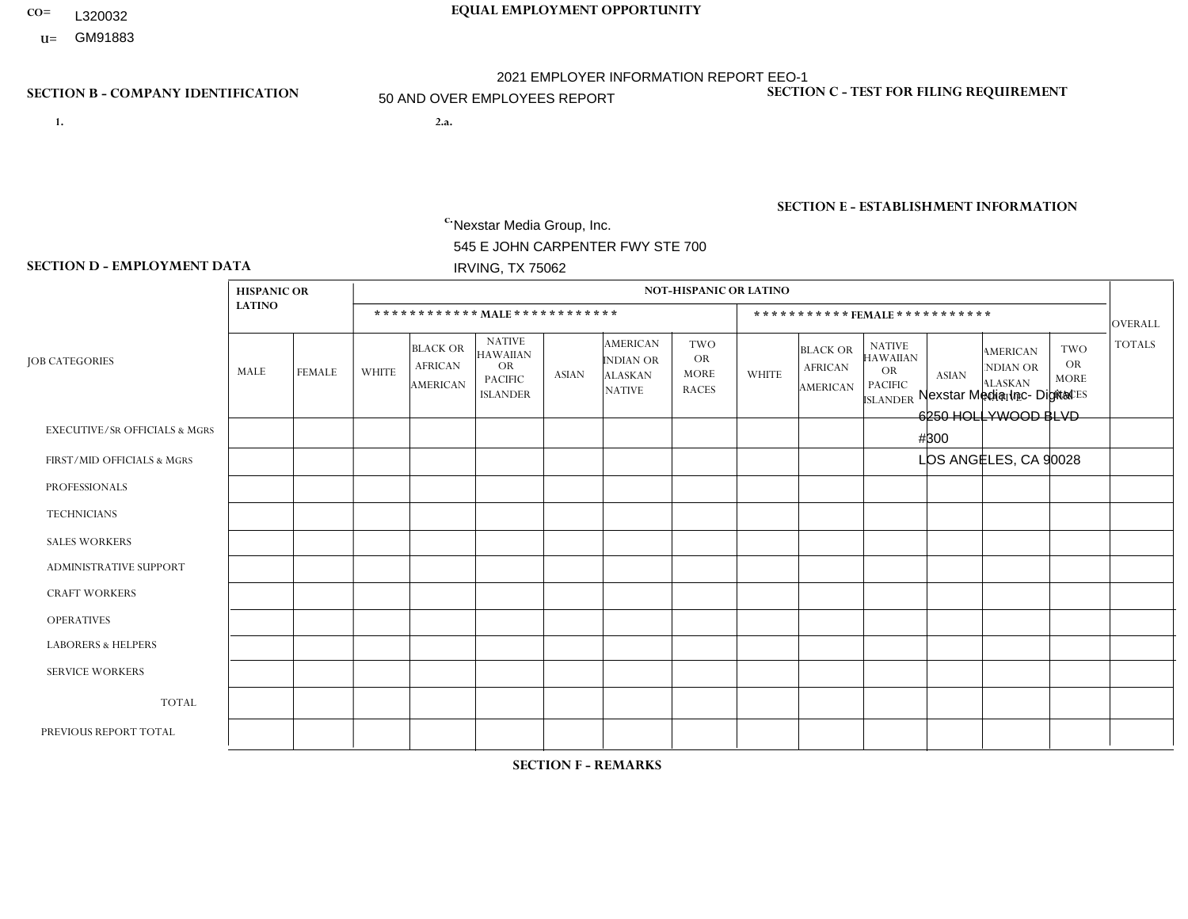- **CO= EQUAL EMPLOYMENT OPPORTUNITY** L320032
- **U=**

- **1. 2.a.** Nexstar Media Group, Inc. 545 E JOHN CARPENTER FWY STE 700 IRVING, TX 75062
- 2.a. Nexstar Media Inc- Digital 6250 HOLLYWOOD BLVD #300 LOS ANGELES, CA 90028

EIN= 233063152

# **SECTION B - COMPANY IDENTIFICATION SECTION C - TEST FOR FILING REQUIREMENT**

1- Y 2- N 3- Y DUNS= 058168001

# **SECTION E - ESTABLISHMENT INFORMATION c.** NAICS: 515120 - Television Broadcasting

### **SECTION D - EMPLOYMENT DATA**

|                                          | <b>HISPANIC OR</b> |                |              |                                                      |                                                                                    |              |                                                                        | <b>NOT-HISPANIC OR LATINO</b>                          |              |                                                      |                                                                             |                |                                                                       |                                                        |                |
|------------------------------------------|--------------------|----------------|--------------|------------------------------------------------------|------------------------------------------------------------------------------------|--------------|------------------------------------------------------------------------|--------------------------------------------------------|--------------|------------------------------------------------------|-----------------------------------------------------------------------------|----------------|-----------------------------------------------------------------------|--------------------------------------------------------|----------------|
|                                          | <b>LATINO</b>      |                |              |                                                      | ************ MALE************                                                      |              |                                                                        |                                                        |              | *********** FEMALE ***********                       |                                                                             |                |                                                                       |                                                        | <b>OVERALL</b> |
| <b>JOB CATEGORIES</b>                    | MALE               | <b>FEMALE</b>  | <b>WHITE</b> | <b>BLACK OR</b><br><b>AFRICAN</b><br><b>AMERICAN</b> | <b>NATIVE</b><br><b>HAWAIIAN</b><br><b>OR</b><br><b>PACIFIC</b><br><b>ISLANDER</b> | <b>ASIAN</b> | <b>AMERICAN</b><br><b>INDIAN OR</b><br><b>ALASKAN</b><br><b>NATIVE</b> | <b>TWO</b><br><b>OR</b><br><b>MORE</b><br><b>RACES</b> | <b>WHITE</b> | <b>BLACK OR</b><br><b>AFRICAN</b><br><b>AMERICAN</b> | <b>NATIVE</b><br><b>HAWAIIAN</b><br>OR<br><b>PACIFIC</b><br><b>ISLANDER</b> | <b>ASIAN</b>   | <b>AMERICAN</b><br><b>NDIAN OR</b><br><b>ALASKAN</b><br><b>NATIVE</b> | <b>TWO</b><br><b>OR</b><br><b>MORE</b><br><b>RACES</b> | <b>TOTALS</b>  |
| <b>EXECUTIVE/SR OFFICIALS &amp; MGRS</b> | 0                  | 3              | 4            | $\mathbf 0$                                          | $\Omega$                                                                           | $\Omega$     | $\Omega$                                                               | $\Omega$                                               | 3            | $\Omega$                                             | $\Omega$                                                                    | $\Omega$       | $\Omega$                                                              | $\Omega$                                               | 10             |
| FIRST/MID OFFICIALS & MGRS               | 4                  | 3              | 42           | 1                                                    | $\Omega$                                                                           | 5            |                                                                        | $\Omega$                                               | 19           | $\overline{2}$                                       | $\Omega$                                                                    | 4              | $\Omega$                                                              | $\Omega$                                               | 81             |
| <b>PROFESSIONALS</b>                     | $\overline{2}$     | 5              | 17           | $\mathbf 0$                                          | $\Omega$                                                                           | 3            | $\Omega$                                                               | $\Omega$                                               | 20           | $\mathbf{1}$                                         | $\Omega$                                                                    | $\overline{2}$ | $\Omega$                                                              | $\Omega$                                               | 50             |
| <b>TECHNICIANS</b>                       | 3                  | $\mathbf{0}$   | 5            | $\mathsf{O}\xspace$                                  | 0                                                                                  | $\mathbf 1$  | $\Omega$                                                               | $\Omega$                                               | 9            | $\mathbf 1$                                          | $\Omega$                                                                    | $\overline{2}$ | $\Omega$                                                              | $\mathbf{1}$                                           | 22             |
| <b>SALES WORKERS</b>                     | 0                  | $\overline{0}$ | 1            | $\mathbf 0$                                          | $\Omega$                                                                           | $\Omega$     | $\Omega$                                                               | $\Omega$                                               | $\Omega$     | $\Omega$                                             | $\Omega$                                                                    | $\Omega$       | $\Omega$                                                              | $\Omega$                                               | $\mathbf{1}$   |
| ADMINISTRATIVE SUPPORT                   | $\Omega$           | $\mathbf{1}$   | 5            | $\mathbf 0$                                          | $\mathbf 0$                                                                        | $\Omega$     | $\Omega$                                                               | $\Omega$                                               | 3            | 3                                                    | $\Omega$                                                                    | -1             | $\Omega$                                                              | -1                                                     | 14             |
| <b>CRAFT WORKERS</b>                     | 0                  | $\Omega$       | $\mathbf 0$  | $\mathbf 0$                                          | $\mathbf 0$                                                                        | $\Omega$     | $\Omega$                                                               | $\Omega$                                               | 0            | $\Omega$                                             | $\Omega$                                                                    | $\Omega$       | $\Omega$                                                              | $\Omega$                                               | $\Omega$       |
| <b>OPERATIVES</b>                        | 0                  | $\Omega$       | $\mathbf 0$  | $\mathbf 0$                                          | 0                                                                                  | $\Omega$     | $\Omega$                                                               | $\Omega$                                               | 0            | $\Omega$                                             | $\Omega$                                                                    | $\Omega$       | $\Omega$                                                              | $\Omega$                                               | $\mathbf 0$    |
| <b>LABORERS &amp; HELPERS</b>            | 0                  | $\Omega$       | $\mathbf 0$  | $\mathbf 0$                                          | 0                                                                                  | $\Omega$     | $\Omega$                                                               | $\Omega$                                               | $\Omega$     | $\Omega$                                             | $\Omega$                                                                    | $\Omega$       | 0                                                                     | $\Omega$                                               | $\mathbf 0$    |
| <b>SERVICE WORKERS</b>                   | 0                  | $\mathbf{0}$   | $\mathbf 0$  | $\mathbf 0$                                          | 0                                                                                  | 0            | $\Omega$                                                               | $\Omega$                                               | 0            | $\Omega$                                             | $\Omega$                                                                    | $\mathbf 0$    | $\mathbf 0$                                                           | 0                                                      | $\mathbf 0$    |
| <b>TOTAL</b>                             | 9                  | 12             | 74           | 1                                                    | $\mathbf 0$                                                                        | 9            |                                                                        | $\Omega$                                               | 54           | $\overline{7}$                                       | $\Omega$                                                                    | 9              | $\Omega$                                                              | 2                                                      | 178            |
| PREVIOUS REPORT TOTAL                    | 8                  | 5              | 29           | $\Omega$                                             | $\Omega$                                                                           | 3            | $\Omega$                                                               | $\Omega$                                               | 16           | 2                                                    | $\Omega$                                                                    | 5              | $\Omega$                                                              | $\overline{1}$                                         | 69             |

**SECTION F - REMARKS**

new office location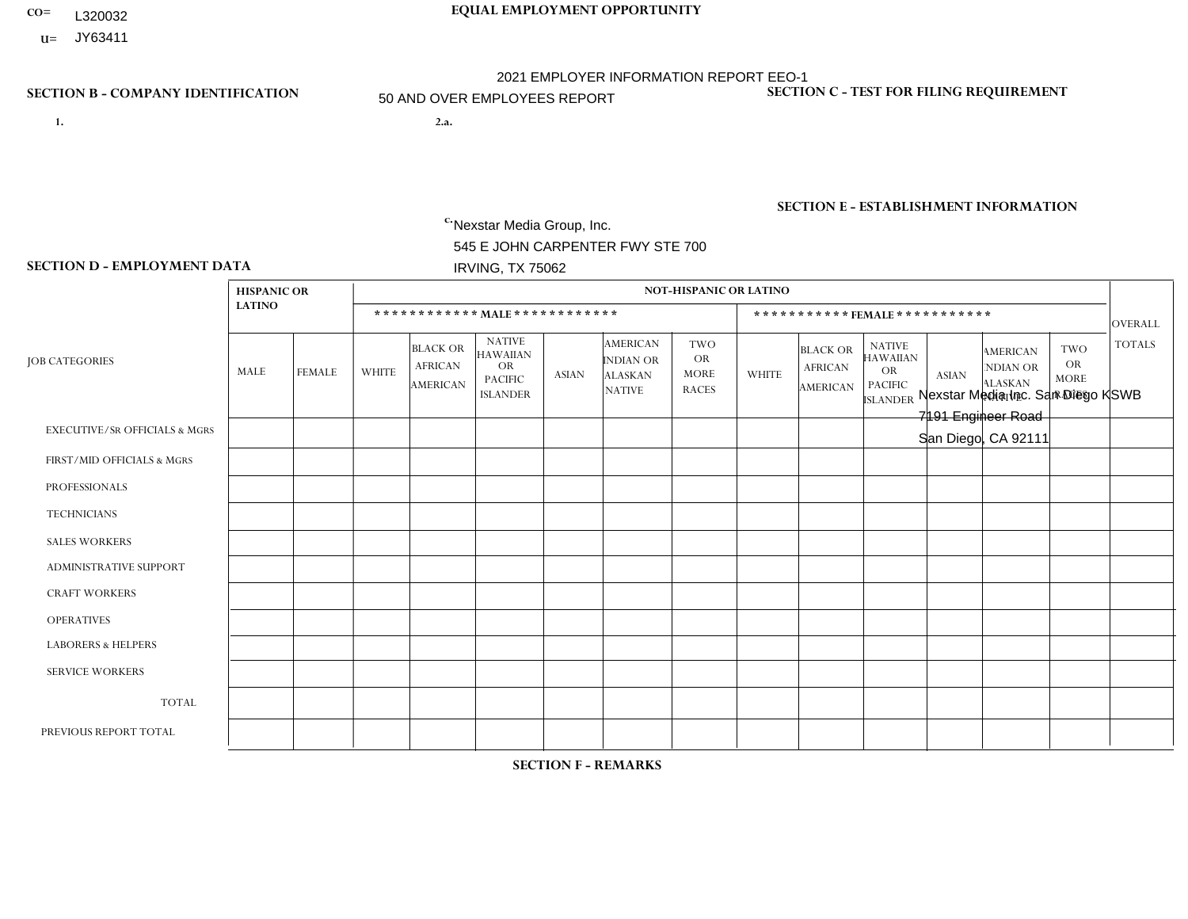- **CO= EQUAL EMPLOYMENT OPPORTUNITY** L320032
- **U=**

- **1. 2.a.** Nexstar Media Group, Inc. 545 E JOHN CARPENTER FWY STE 700 IRVING, TX 75062
- 2.a. Nexstar Media Inc. San Diego KSWB 7191 Engineer Road San Diego, CA 92111

EIN= 361880355

# **SECTION B - COMPANY IDENTIFICATION SECTION C - TEST FOR FILING REQUIREMENT**

1- Y 2- N 3- Y DUNS= 058168001

**SECTION E - ESTABLISHMENT INFORMATION c.** NAICS: 515120 - Television Broadcasting

### **SECTION D - EMPLOYMENT DATA**

|                                          | <b>HISPANIC OR</b> |               |                |                                                      |                                                                                    |              |                                                                 | <b>NOT-HISPANIC OR LATINO</b>                          |                |                                                      |                                                                                    |              |                                                                       |                                                        |                |
|------------------------------------------|--------------------|---------------|----------------|------------------------------------------------------|------------------------------------------------------------------------------------|--------------|-----------------------------------------------------------------|--------------------------------------------------------|----------------|------------------------------------------------------|------------------------------------------------------------------------------------|--------------|-----------------------------------------------------------------------|--------------------------------------------------------|----------------|
|                                          | <b>LATINO</b>      |               |                |                                                      | ************ MALE *************                                                    |              |                                                                 |                                                        |                |                                                      | ***********FEMALE***********                                                       |              |                                                                       |                                                        | OVERALL        |
| <b>JOB CATEGORIES</b>                    | MALE               | <b>FEMALE</b> | <b>WHITE</b>   | <b>BLACK OR</b><br><b>AFRICAN</b><br><b>AMERICAN</b> | <b>NATIVE</b><br><b>HAWAIIAN</b><br><b>OR</b><br><b>PACIFIC</b><br><b>ISLANDER</b> | <b>ASIAN</b> | <b>AMERICAN</b><br>INDIAN OR<br><b>ALASKAN</b><br><b>NATIVE</b> | <b>TWO</b><br><b>OR</b><br><b>MORE</b><br><b>RACES</b> | <b>WHITE</b>   | <b>BLACK OR</b><br><b>AFRICAN</b><br><b>AMERICAN</b> | <b>NATIVE</b><br><b>HAWAIIAN</b><br><b>OR</b><br><b>PACIFIC</b><br><b>ISLANDER</b> | <b>ASIAN</b> | <b>AMERICAN</b><br><b>NDIAN OR</b><br><b>ALASKAN</b><br><b>NATIVE</b> | <b>TWO</b><br><b>OR</b><br><b>MORE</b><br><b>RACES</b> | <b>TOTALS</b>  |
| <b>EXECUTIVE/SR OFFICIALS &amp; MGRS</b> | $\Omega$           | $\Omega$      | 1              | $\mathbf 0$                                          | $\mathbf 0$                                                                        | $\Omega$     | $\Omega$                                                        | $\Omega$                                               | $\Omega$       | $\Omega$                                             | $\mathbf{0}$                                                                       | $\mathbf{0}$ | $\mathbf{0}$                                                          | $\Omega$                                               |                |
| FIRST/MID OFFICIALS & MGRS               | 3                  | $\mathbf{1}$  | 6              | $\mathbf 0$                                          | $\mathbf 0$                                                                        | $\mathbf 0$  | $\Omega$                                                        | $\Omega$                                               | $\overline{2}$ | $\Omega$                                             | $\Omega$                                                                           | 1            | $\mathbf{0}$                                                          | 0                                                      | 13             |
| <b>PROFESSIONALS</b>                     | 14                 | 9             | 34             | $\mathbf{1}$                                         | $\mathbf 1$                                                                        | 3            |                                                                 | 3                                                      | 20             | $\Omega$                                             | $\Omega$                                                                           | 6            | $\Omega$                                                              | 1                                                      | 93             |
| <b>TECHNICIANS</b>                       | 6                  | 3             | 8              | $\overline{2}$                                       | $\mathbf 0$                                                                        | $\Omega$     | $\mathbf{0}$                                                    | 1                                                      | $\overline{2}$ | $\Omega$                                             | $\Omega$                                                                           | $\mathbf{1}$ | $\Omega$                                                              | $\mathbf{0}$                                           | 23             |
| <b>SALES WORKERS</b>                     | 0                  | $\mathbf{1}$  | $\overline{1}$ | $\mathbf 0$                                          | $\Omega$                                                                           | $\Omega$     | $\mathbf{0}$                                                    | $\Omega$                                               | $\overline{2}$ | $\Omega$                                             | $\mathbf{0}$                                                                       | $\Omega$     | $\Omega$                                                              | $\Omega$                                               | $\overline{4}$ |
| <b>ADMINISTRATIVE SUPPORT</b>            | $\Omega$           | $\mathbf{1}$  | $\mathbf 0$    | $\mathbf 0$                                          | $\mathbf 0$                                                                        | $\Omega$     | $\Omega$                                                        | $\Omega$                                               | 3              | 1                                                    | $\Omega$                                                                           | $\Omega$     | $\mathbf{0}$                                                          | 1                                                      | 6              |
| <b>CRAFT WORKERS</b>                     | 0                  | $\Omega$      | $\mathbf 0$    | $\mathbf 0$                                          | $\Omega$                                                                           | $\Omega$     | $\Omega$                                                        | $\Omega$                                               | $\Omega$       | $\Omega$                                             | $\Omega$                                                                           | $\Omega$     | $\Omega$                                                              | $\Omega$                                               | $\mathbf{0}$   |
| <b>OPERATIVES</b>                        | 0                  | $\Omega$      | $\mathbf 0$    | $\mathbf 0$                                          | $\mathbf 0$                                                                        | $\mathbf 0$  | $\Omega$                                                        | $\Omega$                                               | $\Omega$       | $\Omega$                                             | $\Omega$                                                                           | $\mathbf{0}$ | $\Omega$                                                              | $\mathbf{0}$                                           | $\mathbf{0}$   |
| <b>LABORERS &amp; HELPERS</b>            | 0                  | $\Omega$      | $\mathbf 0$    | $\mathbf 0$                                          | $\mathbf 0$                                                                        | $\mathbf 0$  | $\Omega$                                                        | $\Omega$                                               | $\Omega$       | $\Omega$                                             | $\mathbf{0}$                                                                       | $\mathbf{0}$ | $\Omega$                                                              | $\Omega$                                               | $\mathbf{0}$   |
| <b>SERVICE WORKERS</b>                   | 0                  | $\Omega$      | $\mathbf 0$    | $\mathbf 0$                                          | $\mathbf 0$                                                                        | $\mathbf{0}$ | $\Omega$                                                        | $\Omega$                                               | $\Omega$       | $\Omega$                                             | $\Omega$                                                                           | $\Omega$     | $\mathbf{0}$                                                          | $\mathbf{0}$                                           | $\mathbf{0}$   |
| <b>TOTAL</b>                             | 23                 | 15            | 50             | 3                                                    | $\mathbf 1$                                                                        | 3            | -1                                                              | 4                                                      | 29             | $\mathbf{1}$                                         | $\Omega$                                                                           | 8            | $\Omega$                                                              | $\overline{2}$                                         | 140            |
| PREVIOUS REPORT TOTAL                    | 22                 | 8             | 59             | $\sqrt{3}$                                           | $\overline{2}$                                                                     | 2            | $\Omega$                                                        | 3                                                      | 32             | $\overline{1}$                                       | $\mathbf{0}$                                                                       | 9            | $\Omega$                                                              | 1                                                      | 142            |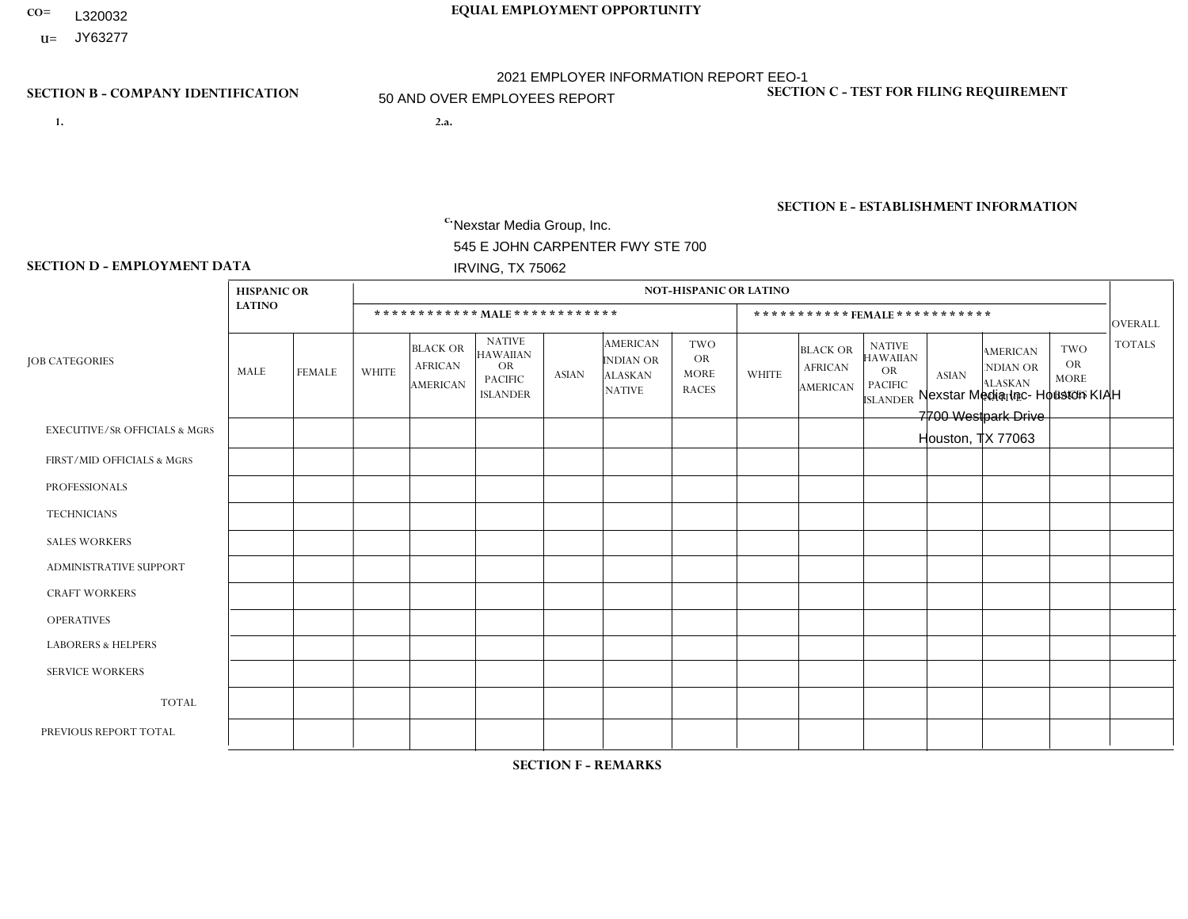- **CO= EQUAL EMPLOYMENT OPPORTUNITY** L320032
- **U=** JY63277

- **1. 2.a.** Nexstar Media Group, Inc. 545 E JOHN CARPENTER FWY STE 700 IRVING, TX 75062
- 2.a. Nexstar Media Inc- Houston KIAH 7700 Westpark Drive Houston, TX 77063

EIN= 361880355

# **SECTION B - COMPANY IDENTIFICATION SECTION C - TEST FOR FILING REQUIREMENT**

1- Y 2- N 3- Y DUNS= 058168001

**SECTION E - ESTABLISHMENT INFORMATION c.** NAICS: 515120 - Television Broadcasting

### **SECTION D - EMPLOYMENT DATA**

|                                          | <b>HISPANIC OR</b> |                |                |                                                      |                                                                                    |                |                                                                        | <b>NOT-HISPANIC OR LATINO</b>                          |                         |                                                      |                                                                                    |              |                                                                |                                                        |                |
|------------------------------------------|--------------------|----------------|----------------|------------------------------------------------------|------------------------------------------------------------------------------------|----------------|------------------------------------------------------------------------|--------------------------------------------------------|-------------------------|------------------------------------------------------|------------------------------------------------------------------------------------|--------------|----------------------------------------------------------------|--------------------------------------------------------|----------------|
|                                          | <b>LATINO</b>      |                |                |                                                      | ************ MALE ************                                                     |                |                                                                        |                                                        |                         |                                                      | ***********FEMALE***********                                                       |              |                                                                |                                                        | <b>OVERALL</b> |
| <b>JOB CATEGORIES</b>                    | MALE               | <b>FEMALE</b>  | <b>WHITE</b>   | <b>BLACK OR</b><br><b>AFRICAN</b><br><b>AMERICAN</b> | <b>NATIVE</b><br><b>HAWAIIAN</b><br><b>OR</b><br><b>PACIFIC</b><br><b>ISLANDER</b> | <b>ASIAN</b>   | <b>AMERICAN</b><br><b>INDIAN OR</b><br><b>ALASKAN</b><br><b>NATIVE</b> | <b>TWO</b><br><b>OR</b><br><b>MORE</b><br><b>RACES</b> | <b>WHITE</b>            | <b>BLACK OR</b><br><b>AFRICAN</b><br><b>AMERICAN</b> | <b>NATIVE</b><br><b>HAWAIIAN</b><br><b>OR</b><br><b>PACIFIC</b><br><b>ISLANDER</b> | <b>ASIAN</b> | <b>AMERICAN</b><br>NDIAN OR<br><b>ALASKAN</b><br><b>NATIVE</b> | <b>TWO</b><br><b>OR</b><br><b>MORE</b><br><b>RACES</b> | <b>TOTALS</b>  |
| <b>EXECUTIVE/SR OFFICIALS &amp; MGRS</b> | $\Omega$           | $\mathbf 0$    | $\mathbf 0$    | $\mathbf 0$                                          | $\mathbf 0$                                                                        |                | $\Omega$                                                               | $\mathbf{0}$                                           | $\mathbf{0}$            | $\Omega$                                             | $\Omega$                                                                           | $\Omega$     | 0                                                              | $\Omega$                                               | $\overline{1}$ |
| FIRST/MID OFFICIALS & MGRS               | 2                  | $\overline{1}$ | $\overline{c}$ | $\Omega$                                             | $\Omega$                                                                           | $\Omega$       | $\Omega$                                                               | -1                                                     | $\mathbf{0}$            | 2                                                    | $\Omega$                                                                           | $\Omega$     | 0                                                              | $\Omega$                                               | 8              |
| <b>PROFESSIONALS</b>                     | 1                  | 2              | $\overline{4}$ | $\mathbf 0$                                          | $\Omega$                                                                           | $\mathbf 0$    | $\mathbf 0$                                                            | $\Omega$                                               | 2                       | $\overline{4}$                                       | $\Omega$                                                                           | $\Omega$     | $\Omega$                                                       | $\Omega$                                               | 13             |
| <b>TECHNICIANS</b>                       | $\overline{c}$     | $\mathbf{1}$   | 8              | 1                                                    | $\mathbf 0$                                                                        | $\mathbf 0$    | $\Omega$                                                               | $\Omega$                                               |                         | 1                                                    | $\Omega$                                                                           | $\Omega$     | 0                                                              | $\Omega$                                               | 14             |
| <b>SALES WORKERS</b>                     | 1                  | $\mathbf 0$    | $\overline{2}$ | $\mathbf{1}$                                         | $\Omega$                                                                           | $\mathbf 0$    | $\Omega$                                                               | $\mathbf{0}$                                           | $\overline{\mathbf{1}}$ | 5                                                    | $\Omega$                                                                           | $\Omega$     | $\Omega$                                                       | $\Omega$                                               | 10             |
| <b>ADMINISTRATIVE SUPPORT</b>            | $\mathbf 0$        | $\mathbf 0$    | $\mathbf 0$    | 1                                                    | $\mathbf 0$                                                                        | 1              | $\mathbf 0$                                                            | $\Omega$                                               | 3                       | 1                                                    | $\Omega$                                                                           | $\Omega$     | $\Omega$                                                       | $\mathbf 0$                                            | 6              |
| <b>CRAFT WORKERS</b>                     | $\Omega$           | $\mathbf 0$    | $\Omega$       | $\mathbf 0$                                          | $\Omega$                                                                           | $\mathbf 0$    | $\Omega$                                                               | $\Omega$                                               | $\Omega$                | $\Omega$                                             | $\Omega$                                                                           | $\Omega$     | $\Omega$                                                       | $\Omega$                                               | $\mathbf 0$    |
| <b>OPERATIVES</b>                        | $\Omega$           | $\Omega$       | $\Omega$       | $\mathbf 0$                                          | $\Omega$                                                                           | $\mathbf 0$    | $\Omega$                                                               | $\Omega$                                               | $\mathbf{0}$            | $\Omega$                                             | $\Omega$                                                                           | $\mathbf{0}$ | 0                                                              | $\Omega$                                               | $\mathbf 0$    |
| <b>LABORERS &amp; HELPERS</b>            | 0                  | $\mathbf 0$    | $\mathbf 0$    | $\mathbf 0$                                          | 0                                                                                  | $\mathbf 0$    | $\Omega$                                                               | $\Omega$                                               | $\Omega$                | $\Omega$                                             | $\Omega$                                                                           | $\Omega$     | $\Omega$                                                       | $\Omega$                                               | $\mathbf 0$    |
| <b>SERVICE WORKERS</b>                   | $\Omega$           | $\mathbf 0$    | $\mathbf 0$    | 0                                                    | 0                                                                                  | 0              | $\mathbf 0$                                                            | $\Omega$                                               | $\Omega$                | $\Omega$                                             | $\Omega$                                                                           | $\Omega$     | 0                                                              | $\Omega$                                               | $\mathbf 0$    |
| <b>TOTAL</b>                             | 6                  | $\overline{4}$ | 16             | 3                                                    | $\Omega$                                                                           | $\overline{2}$ | $\Omega$                                                               | -1                                                     | $\overline{7}$          | 13                                                   | $\Omega$                                                                           | $\Omega$     | 0                                                              | $\Omega$                                               | 52             |
| PREVIOUS REPORT TOTAL                    | 6                  | $\overline{4}$ | 15             | $\overline{\mathbf{4}}$                              | $\mathbf 0$                                                                        | 1              | 0                                                                      | -1                                                     | 11                      | 8                                                    | $\Omega$                                                                           | $\mathbf{0}$ | 0                                                              | 0                                                      | 50             |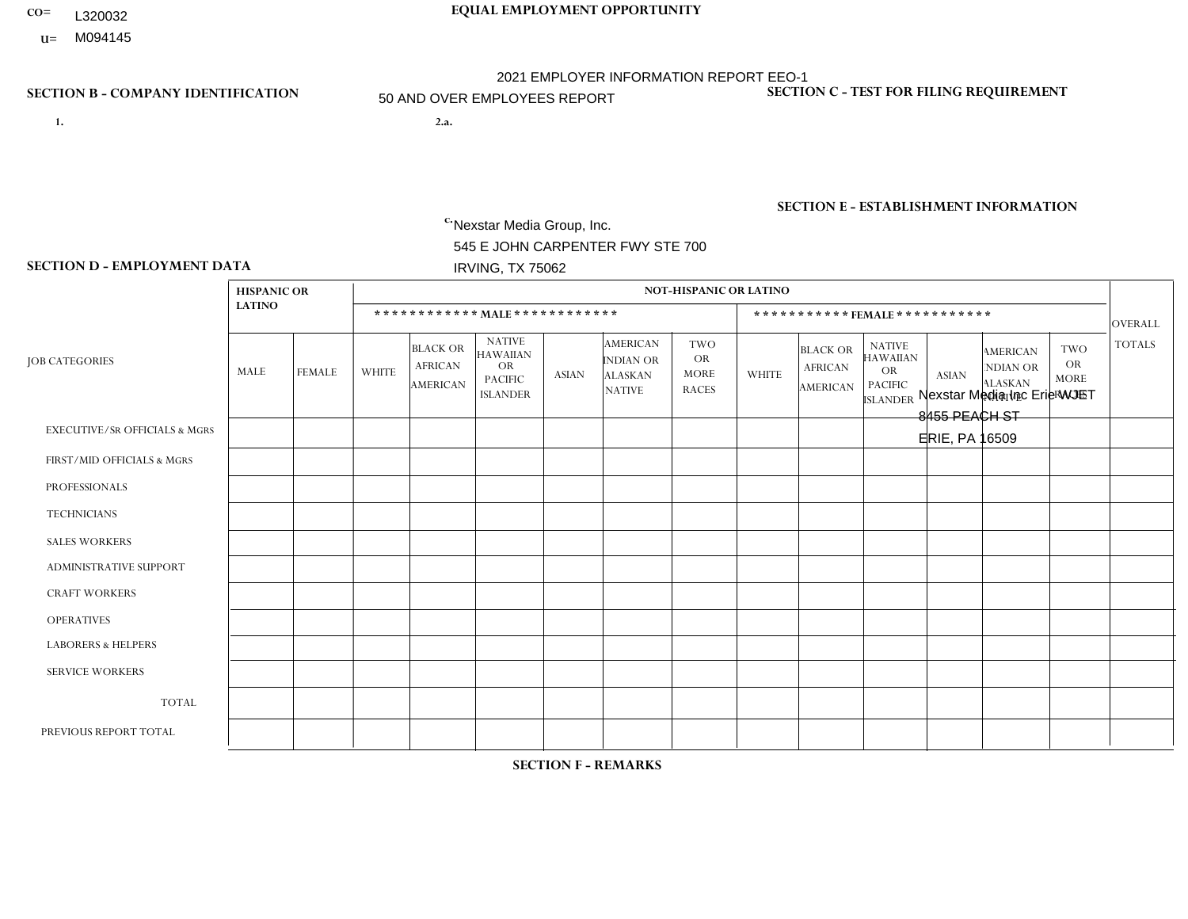- L320032
- **U=**

# **CO= EQUAL EMPLOYMENT OPPORTUNITY** 2021 EMPLOYER INFORMATION REPORT EEO-1 50 AND OVER EMPLOYEES REPORT

**1. 2.a.** Nexstar Media Group, Inc. 545 E JOHN CARPENTER FWY STE 700 IRVING, TX 75062

2.a. Nexstar Media Inc Erie WJET 8455 PEACH ST ERIE, PA 16509

EIN= 233063152

# **SECTION B - COMPANY IDENTIFICATION SECTION C - TEST FOR FILING REQUIREMENT**

1- Y 2- N 3- Y DUNS= 058168001

# **SECTION E - ESTABLISHMENT INFORMATION c.** NAICS: 515120 - Television Broadcasting

### **SECTION D - EMPLOYMENT DATA**

|                                          | <b>HISPANIC OR</b> |               |              |                                                      |                                                                             |              |                                                                        | <b>NOT-HISPANIC OR LATINO</b>                          |                |                                                      |                                                                                    |              |                                                                       |                                                        |                |
|------------------------------------------|--------------------|---------------|--------------|------------------------------------------------------|-----------------------------------------------------------------------------|--------------|------------------------------------------------------------------------|--------------------------------------------------------|----------------|------------------------------------------------------|------------------------------------------------------------------------------------|--------------|-----------------------------------------------------------------------|--------------------------------------------------------|----------------|
|                                          | <b>LATINO</b>      |               |              | ************ MALE ************                       |                                                                             |              |                                                                        |                                                        |                |                                                      | ***********FEMALE***********                                                       |              |                                                                       |                                                        | OVERALL        |
| <b>JOB CATEGORIES</b>                    | MALE               | <b>FEMALE</b> | <b>WHITE</b> | <b>BLACK OR</b><br><b>AFRICAN</b><br><b>AMERICAN</b> | <b>NATIVE</b><br><b>HAWAIIAN</b><br>OR<br><b>PACIFIC</b><br><b>ISLANDER</b> | <b>ASIAN</b> | <b>AMERICAN</b><br><b>INDIAN OR</b><br><b>ALASKAN</b><br><b>NATIVE</b> | <b>TWO</b><br><b>OR</b><br><b>MORE</b><br><b>RACES</b> | <b>WHITE</b>   | <b>BLACK OR</b><br><b>AFRICAN</b><br><b>AMERICAN</b> | <b>NATIVE</b><br><b>HAWAIIAN</b><br><b>OR</b><br><b>PACIFIC</b><br><b>ISLANDER</b> | <b>ASIAN</b> | <b>AMERICAN</b><br><b>NDIAN OR</b><br><b>ALASKAN</b><br><b>NATIVE</b> | <b>TWO</b><br><b>OR</b><br><b>MORE</b><br><b>RACES</b> | <b>TOTALS</b>  |
| <b>EXECUTIVE/SR OFFICIALS &amp; MGRS</b> | $\Omega$           | $\Omega$      | $\Omega$     | $\mathbf 0$                                          | $\Omega$                                                                    | 0            | $\Omega$                                                               | $\mathbf{0}$                                           | $\Omega$       | $\Omega$                                             | 0                                                                                  | $\Omega$     | $\Omega$                                                              | $\Omega$                                               | $\mathbf 0$    |
| FIRST/MID OFFICIALS & MGRS               | $\Omega$           | $\Omega$      | $\mathbf{1}$ | $\Omega$                                             | $\Omega$                                                                    | 0            | $\mathbf{0}$                                                           | $\Omega$                                               | $\overline{2}$ | $\Omega$                                             | 0                                                                                  | $\Omega$     | $\Omega$                                                              | $\Omega$                                               | 3              |
| <b>PROFESSIONALS</b>                     | $\Omega$           | $\mathbf 0$   | 5            | $\mathbf 0$                                          | $\mathbf 0$                                                                 | 0            | $\Omega$                                                               | $\Omega$                                               | 4              | $\Omega$                                             | 0                                                                                  | $\Omega$     | $\Omega$                                                              | $\mathbf 0$                                            | 9              |
| <b>TECHNICIANS</b>                       | 2                  | $\mathbf 0$   | 28           | $\overline{4}$                                       | $\mathbf 0$                                                                 | 0            | $\Omega$                                                               | $\mathbf{1}$                                           | $\overline{7}$ | $\overline{2}$                                       | 0                                                                                  | $\Omega$     | $\Omega$                                                              | $\mathbf 0$                                            | 44             |
| <b>SALES WORKERS</b>                     | $\mathbf 0$        | $\mathbf 0$   | 6            | $\mathbf 0$                                          | $\mathbf 0$                                                                 | 0            | $\Omega$                                                               | $\mathbf{0}$                                           | 6              | $\Omega$                                             | 0                                                                                  | $\Omega$     | $\Omega$                                                              | $\mathbf{0}$                                           | 12             |
| <b>ADMINISTRATIVE SUPPORT</b>            | $\Omega$           | $\Omega$      | 5            | $\Omega$                                             | $\Omega$                                                                    | 0            | $\mathbf{0}$                                                           | $\Omega$                                               | 1              | $\Omega$                                             | 0                                                                                  | $\Omega$     | $\Omega$                                                              | $\Omega$                                               | 6              |
| <b>CRAFT WORKERS</b>                     | $\Omega$           | $\Omega$      | 0            | $\mathbf 0$                                          | $\Omega$                                                                    | 0            | $\Omega$                                                               | $\Omega$                                               | $\Omega$       | $\Omega$                                             | 0                                                                                  | $\Omega$     | $\Omega$                                                              | $\Omega$                                               | $\mathbf 0$    |
| <b>OPERATIVES</b>                        | $\Omega$           | $\Omega$      | 0            | $\Omega$                                             | $\Omega$                                                                    | 0            | $\mathbf{0}$                                                           | $\Omega$                                               | $\Omega$       | $\Omega$                                             | 0                                                                                  | $\Omega$     | $\Omega$                                                              | $\Omega$                                               | $\overline{0}$ |
| <b>LABORERS &amp; HELPERS</b>            | $\Omega$           | $\Omega$      | 0            | $\mathbf 0$                                          | $\Omega$                                                                    | 0            | $\Omega$                                                               | $\Omega$                                               | $\Omega$       | $\Omega$                                             | $\Omega$                                                                           | $\Omega$     | $\Omega$                                                              | $\Omega$                                               | $\mathbf 0$    |
| <b>SERVICE WORKERS</b>                   | $\Omega$           | $\mathbf 0$   | 0            | $\mathbf 0$                                          | $\mathbf 0$                                                                 | 0            | $\Omega$                                                               | $\Omega$                                               | $\Omega$       | $\Omega$                                             | 0                                                                                  | $\Omega$     | $\Omega$                                                              | $\Omega$                                               | $\mathbf{0}$   |
| <b>TOTAL</b>                             | 2                  | $\mathbf 0$   | 45           | 4                                                    | $\mathbf{0}$                                                                | 0            | $\Omega$                                                               | -1                                                     | 20             | $\overline{2}$                                       | 0                                                                                  | $\Omega$     | $\Omega$                                                              | $\mathbf 0$                                            | 74             |
| PREVIOUS REPORT TOTAL                    | 3                  | 1             | 48           | 3                                                    | $\Omega$                                                                    | 0            | $\mathbf{0}$                                                           | 2                                                      | 20             | $\overline{2}$                                       | 0                                                                                  | $\Omega$     | $\Omega$                                                              | $\Omega$                                               | 79             |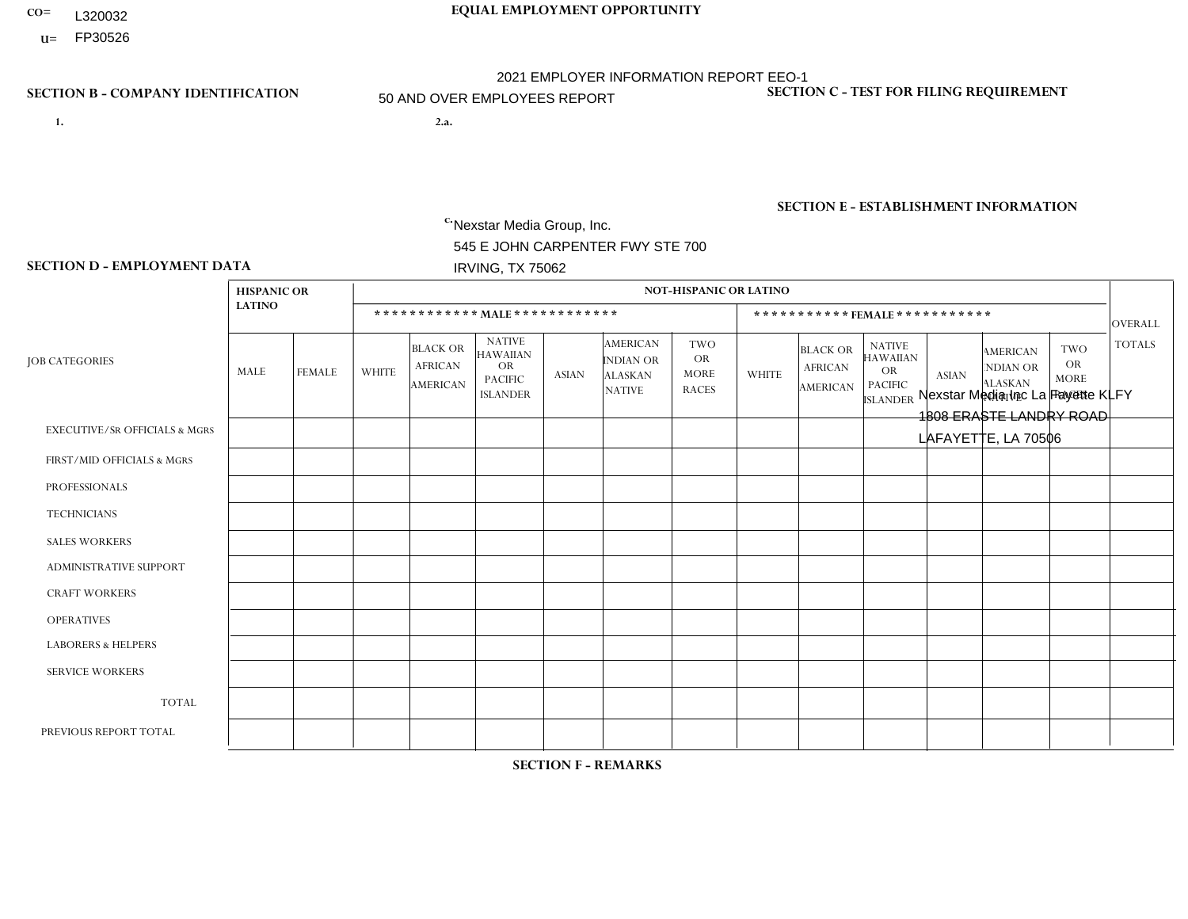- **CO= EQUAL EMPLOYMENT OPPORTUNITY** L320032
- **U=** FP30526

- **1. 2.a.** Nexstar Media Group, Inc. 545 E JOHN CARPENTER FWY STE 700 IRVING, TX 75062
- 2.a. Nexstar Media Inc La Fayette KLFY 1808 ERASTE LANDRY ROAD LAFAYETTE, LA 70506

EIN= 233063152

# **SECTION B - COMPANY IDENTIFICATION SECTION C - TEST FOR FILING REQUIREMENT**

1- Y 2- N 3- Y DUNS= 058168001

**SECTION E - ESTABLISHMENT INFORMATION c.** NAICS: 515120 - Television Broadcasting

### **SECTION D - EMPLOYMENT DATA**

| <b>LATINO</b><br>************ MALE ************<br>*********** FEMALE ***********<br><b>NATIVE</b><br><b>AMERICAN</b><br><b>TWO</b><br><b>NATIVE</b><br><b>BLACK OR</b><br><b>TWO</b><br><b>BLACK OR</b><br><b>AMERICAN</b><br><b>HAWAIIAN</b><br><b>HAWAIIAN</b><br><b>OR</b><br>INDIAN OR<br><b>JOB CATEGORIES</b><br><b>OR</b><br><b>AFRICAN</b><br><b>OR</b><br><b>AFRICAN</b><br><b>NDIAN OR</b><br><b>OR</b><br>MALE<br><b>WHITE</b><br><b>FEMALE</b><br><b>MORE</b><br><b>WHITE</b><br><b>ASIAN</b><br><b>ASIAN</b><br><b>ALASKAN</b><br><b>PACIFIC</b><br><b>MORE</b><br><b>ALASKAN</b><br><b>PACIFIC</b><br><b>AMERICAN</b><br>AMERICAN<br><b>RACES</b><br><b>NATIVE</b><br><b>ISLANDER</b><br><b>RACES</b><br><b>NATIVE</b><br><b>ISLANDER</b><br><b>EXECUTIVE/SR OFFICIALS &amp; MGRS</b><br>$\mathbf 0$<br>$\Omega$<br>$\Omega$<br>$\Omega$<br>$\mathbf{0}$<br>$\Omega$<br>1<br>$\mathbf 0$<br>$\mathbf 0$<br>$\Omega$<br>$\Omega$<br>$\mathbf{0}$<br>$\mathbf{0}$<br>$\Omega$<br>3<br>$\mathbf 0$<br>$\mathbf{1}$<br>$\mathbf 0$<br>$\Omega$<br>0<br>$\mathbf 0$<br>$\Omega$<br>$\Omega$<br>$\Omega$<br>$\Omega$<br>$\mathbf{0}$<br>$\Omega$<br>1<br>FIRST/MID OFFICIALS & MGRS<br>3<br>$\overline{c}$<br>$\Omega$<br>$\Omega$<br>$\overline{2}$<br>$\overline{2}$<br>$\mathbf{0}$<br>0<br>$\mathbf{1}$<br>$\Omega$<br>$\Omega$<br>$\Omega$<br>$\Omega$<br>$\Omega$<br><b>PROFESSIONALS</b><br>8<br>$\overline{2}$<br>19<br>9<br>$\mathbf{0}$<br>$\mathbf 0$<br>$\mathbf 0$<br>$\mathbf 0$<br>$\Omega$<br>$\Omega$<br>$\Omega$<br>$\Omega$<br>$\Omega$<br>$\overline{4}$<br><b>TECHNICIANS</b><br>$\mathbf 0$<br>$\mathbf 0$<br>8<br>$\mathbf{0}$<br>$\Omega$<br>$\Omega$<br>$\Omega$<br>$\Omega$<br>$\Omega$<br>$\Omega$<br>$\Omega$<br>$\Omega$<br>$\mathbf{0}$<br>0<br><b>SALES WORKERS</b> |                 |
|-------------------------------------------------------------------------------------------------------------------------------------------------------------------------------------------------------------------------------------------------------------------------------------------------------------------------------------------------------------------------------------------------------------------------------------------------------------------------------------------------------------------------------------------------------------------------------------------------------------------------------------------------------------------------------------------------------------------------------------------------------------------------------------------------------------------------------------------------------------------------------------------------------------------------------------------------------------------------------------------------------------------------------------------------------------------------------------------------------------------------------------------------------------------------------------------------------------------------------------------------------------------------------------------------------------------------------------------------------------------------------------------------------------------------------------------------------------------------------------------------------------------------------------------------------------------------------------------------------------------------------------------------------------------------------------------------------------------------------------------------------------------------------------------------------------|-----------------|
|                                                                                                                                                                                                                                                                                                                                                                                                                                                                                                                                                                                                                                                                                                                                                                                                                                                                                                                                                                                                                                                                                                                                                                                                                                                                                                                                                                                                                                                                                                                                                                                                                                                                                                                                                                                                             | <b>OVERALL</b>  |
|                                                                                                                                                                                                                                                                                                                                                                                                                                                                                                                                                                                                                                                                                                                                                                                                                                                                                                                                                                                                                                                                                                                                                                                                                                                                                                                                                                                                                                                                                                                                                                                                                                                                                                                                                                                                             | <b>TOTALS</b>   |
|                                                                                                                                                                                                                                                                                                                                                                                                                                                                                                                                                                                                                                                                                                                                                                                                                                                                                                                                                                                                                                                                                                                                                                                                                                                                                                                                                                                                                                                                                                                                                                                                                                                                                                                                                                                                             |                 |
|                                                                                                                                                                                                                                                                                                                                                                                                                                                                                                                                                                                                                                                                                                                                                                                                                                                                                                                                                                                                                                                                                                                                                                                                                                                                                                                                                                                                                                                                                                                                                                                                                                                                                                                                                                                                             | $5\phantom{.0}$ |
|                                                                                                                                                                                                                                                                                                                                                                                                                                                                                                                                                                                                                                                                                                                                                                                                                                                                                                                                                                                                                                                                                                                                                                                                                                                                                                                                                                                                                                                                                                                                                                                                                                                                                                                                                                                                             | 10              |
|                                                                                                                                                                                                                                                                                                                                                                                                                                                                                                                                                                                                                                                                                                                                                                                                                                                                                                                                                                                                                                                                                                                                                                                                                                                                                                                                                                                                                                                                                                                                                                                                                                                                                                                                                                                                             | 42              |
|                                                                                                                                                                                                                                                                                                                                                                                                                                                                                                                                                                                                                                                                                                                                                                                                                                                                                                                                                                                                                                                                                                                                                                                                                                                                                                                                                                                                                                                                                                                                                                                                                                                                                                                                                                                                             | 8               |
| 5<br>$\mathbf 0$<br><b>ADMINISTRATIVE SUPPORT</b><br>3<br>$\mathbf{0}$<br>$\Omega$<br>$\mathbf 0$<br>$\Omega$<br>$\Omega$<br>$\Omega$<br>6<br>$\Omega$<br>$\Omega$<br>$\Omega$<br>$\mathbf{0}$                                                                                                                                                                                                                                                                                                                                                                                                                                                                                                                                                                                                                                                                                                                                                                                                                                                                                                                                                                                                                                                                                                                                                                                                                                                                                                                                                                                                                                                                                                                                                                                                              | 14              |
| <b>CRAFT WORKERS</b><br>$\mathbf 0$<br>$\mathbf 0$<br>$\Omega$<br>$\Omega$<br>$\Omega$<br>$\Omega$<br>$\Omega$<br>$\Omega$<br>$\mathbf{0}$<br>0<br>$\Omega$<br>$\Omega$<br>$\Omega$<br>$\mathbf{0}$                                                                                                                                                                                                                                                                                                                                                                                                                                                                                                                                                                                                                                                                                                                                                                                                                                                                                                                                                                                                                                                                                                                                                                                                                                                                                                                                                                                                                                                                                                                                                                                                         | $\mathbf{0}$    |
| <b>OPERATIVES</b><br>$\Omega$<br>$\mathbf 0$<br>$\Omega$<br>$\Omega$<br>$\Omega$<br>$\Omega$<br>0<br>$\Omega$<br>$\Omega$<br>$\Omega$<br>$\Omega$<br>$\Omega$<br>$\Omega$<br>$\mathbf{0}$                                                                                                                                                                                                                                                                                                                                                                                                                                                                                                                                                                                                                                                                                                                                                                                                                                                                                                                                                                                                                                                                                                                                                                                                                                                                                                                                                                                                                                                                                                                                                                                                                   | $\mathbf{0}$    |
| <b>LABORERS &amp; HELPERS</b><br>$\mathbf 0$<br>$\mathbf 0$<br>$\Omega$<br>$\Omega$<br>$\mathbf{0}$<br>0<br>$\Omega$<br>$\Omega$<br>$\Omega$<br>$\Omega$<br>$\Omega$<br>$\Omega$<br>$\Omega$<br>$\Omega$                                                                                                                                                                                                                                                                                                                                                                                                                                                                                                                                                                                                                                                                                                                                                                                                                                                                                                                                                                                                                                                                                                                                                                                                                                                                                                                                                                                                                                                                                                                                                                                                    | $\mathbf{0}$    |
| <b>SERVICE WORKERS</b><br>$\mathbf 0$<br>$\mathbf{0}$<br>$\mathbf{0}$<br>$\mathbf 0$<br>$\mathbf 0$<br>$\mathbf{0}$<br>$\Omega$<br>$\Omega$<br>$\Omega$<br>$\Omega$<br>$\Omega$<br>0<br>$\Omega$<br>$\Omega$                                                                                                                                                                                                                                                                                                                                                                                                                                                                                                                                                                                                                                                                                                                                                                                                                                                                                                                                                                                                                                                                                                                                                                                                                                                                                                                                                                                                                                                                                                                                                                                                | $\mathbf{0}$    |
| <b>TOTAL</b><br>$\overline{2}$<br>31<br>11<br>$\mathbf{1}$<br>$\mathbf 0$<br>$\mathbf{0}$<br>$\Omega$<br>25<br>10<br>$\Omega$<br>$\mathbf 0$<br>0<br>0<br>$\Omega$                                                                                                                                                                                                                                                                                                                                                                                                                                                                                                                                                                                                                                                                                                                                                                                                                                                                                                                                                                                                                                                                                                                                                                                                                                                                                                                                                                                                                                                                                                                                                                                                                                          | 80              |
| 3<br>29<br>11<br>27<br>8<br>$\mathbf 0$<br>$\mathbf{0}$<br>$\mathbf 0$<br>$\mathbf{0}$<br>$\Omega$<br>$\Omega$<br>$\Omega$<br>$\Omega$<br>0<br>PREVIOUS REPORT TOTAL                                                                                                                                                                                                                                                                                                                                                                                                                                                                                                                                                                                                                                                                                                                                                                                                                                                                                                                                                                                                                                                                                                                                                                                                                                                                                                                                                                                                                                                                                                                                                                                                                                        | 78              |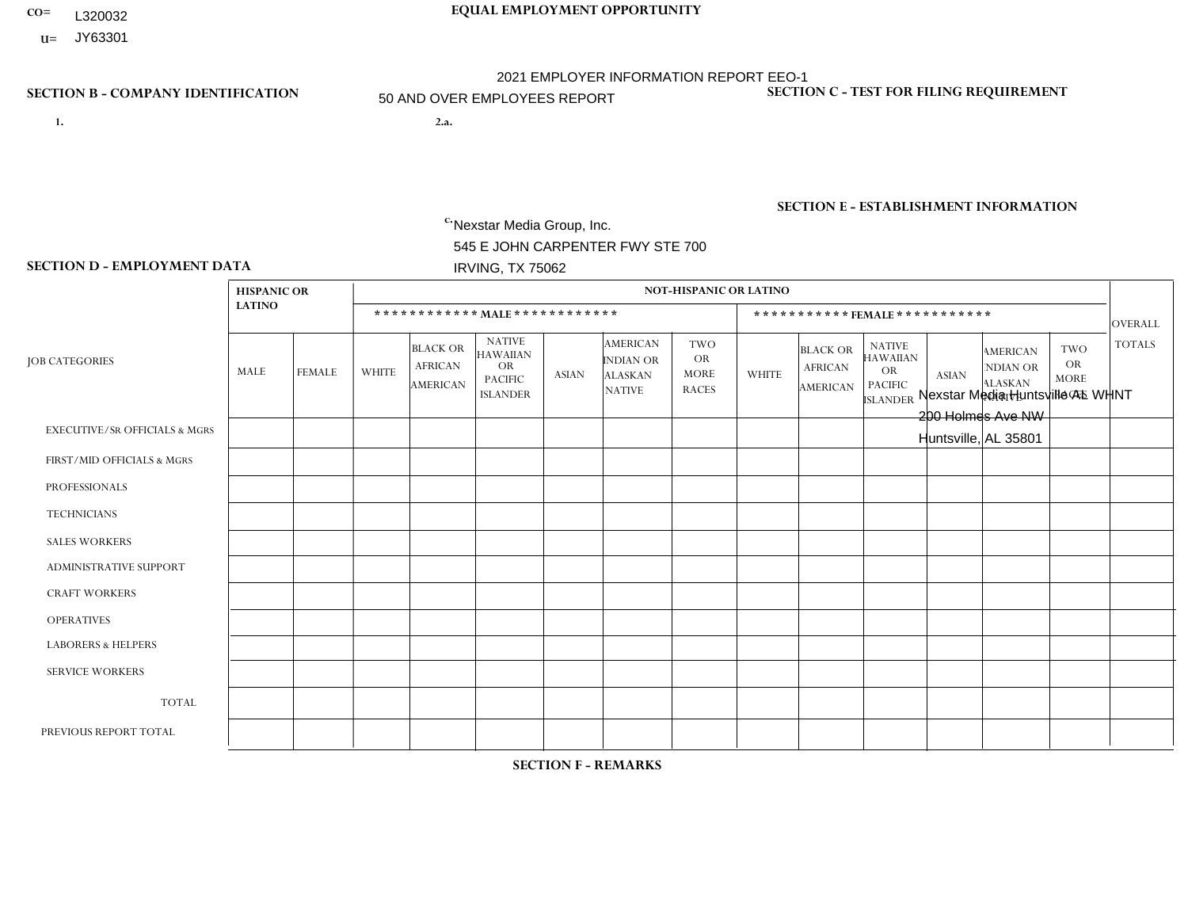- **CO= EQUAL EMPLOYMENT OPPORTUNITY** L320032
- **U=**

- **1. 2.a.** Nexstar Media Group, Inc. 545 E JOHN CARPENTER FWY STE 700 IRVING, TX 75062
- 2.a. Nexstar Media Huntsville AL WHNT 200 Holmes Ave NW Huntsville, AL 35801

EIN= 364766010

# **SECTION B - COMPANY IDENTIFICATION SECTION C - TEST FOR FILING REQUIREMENT**

1- Y 2- N 3- Y DUNS= 058168001

# **SECTION E - ESTABLISHMENT INFORMATION c.** NAICS: 515120 - Television Broadcasting

### **SECTION D - EMPLOYMENT DATA**

|                                          | <b>HISPANIC OR</b> |               |                |                                               |                                                                                    |              |                                                                 | NOT-HISPANIC OR LATINO                                 |                |                                               |                                                                                    |                |                                                                       |                                                        |                |
|------------------------------------------|--------------------|---------------|----------------|-----------------------------------------------|------------------------------------------------------------------------------------|--------------|-----------------------------------------------------------------|--------------------------------------------------------|----------------|-----------------------------------------------|------------------------------------------------------------------------------------|----------------|-----------------------------------------------------------------------|--------------------------------------------------------|----------------|
|                                          | <b>LATINO</b>      |               |                |                                               | ************ MALE ************                                                     |              |                                                                 |                                                        |                |                                               | ***********FEMALE***********                                                       |                |                                                                       |                                                        | <b>OVERALL</b> |
| <b>JOB CATEGORIES</b>                    | MALE               | <b>FEMALE</b> | <b>WHITE</b>   | <b>BLACK OR</b><br><b>AFRICAN</b><br>AMERICAN | <b>NATIVE</b><br><b>HAWAIIAN</b><br><b>OR</b><br><b>PACIFIC</b><br><b>ISLANDER</b> | <b>ASIAN</b> | <b>AMERICAN</b><br>INDIAN OR<br><b>ALASKAN</b><br><b>NATIVE</b> | <b>TWO</b><br><b>OR</b><br><b>MORE</b><br><b>RACES</b> | <b>WHITE</b>   | <b>BLACK OR</b><br><b>AFRICAN</b><br>AMERICAN | <b>NATIVE</b><br><b>HAWAIIAN</b><br><b>OR</b><br><b>PACIFIC</b><br><b>ISLANDER</b> | <b>ASIAN</b>   | <b>AMERICAN</b><br><b>NDIAN OR</b><br><b>ALASKAN</b><br><b>NATIVE</b> | <b>TWO</b><br><b>OR</b><br><b>MORE</b><br><b>RACES</b> | <b>TOTALS</b>  |
| <b>EXECUTIVE/SR OFFICIALS &amp; MGRS</b> | $\Omega$           | $\Omega$      | 1              | $\Omega$                                      | $\Omega$                                                                           | $\Omega$     | $\Omega$                                                        | $\Omega$                                               | $\Omega$       | $\Omega$                                      | $\mathbf{0}$                                                                       | $\mathbf{0}$   | $\Omega$                                                              | $\Omega$                                               |                |
| FIRST/MID OFFICIALS & MGRS               | 0                  | $\mathbf 0$   | 5              | $\mathbf 0$                                   | $\mathbf 0$                                                                        | $\mathbf 0$  | $\mathbf{0}$                                                    | $\Omega$                                               | 6              | $\Omega$                                      | $\Omega$                                                                           | $\Omega$       | $\mathbf{0}$                                                          | $\mathbf 0$                                            | 11             |
| <b>PROFESSIONALS</b>                     | 0                  | $\mathbf{1}$  | 15             | 3                                             | $\Omega$                                                                           | $\Omega$     | $\mathbf{0}$                                                    | 1                                                      | 13             | $\overline{4}$                                | $\Omega$                                                                           | $\Omega$       | $\Omega$                                                              | 1                                                      | 38             |
| <b>TECHNICIANS</b>                       | $\overline{1}$     | $\mathbf 0$   | 9              | $\overline{7}$                                | $\mathbf 0$                                                                        | $\mathbf 0$  | $\mathbf{0}$                                                    | $\Omega$                                               | $\overline{4}$ | $\overline{2}$                                | $\mathbf 0$                                                                        | 1              | $\mathbf 0$                                                           | 1                                                      | 25             |
| <b>SALES WORKERS</b>                     | 0                  | $\Omega$      | 3              | $\mathbf 0$                                   | $\Omega$                                                                           | $\Omega$     | $\Omega$                                                        | $\Omega$                                               | 6              | $\mathbf{1}$                                  | $\Omega$                                                                           | $\mathbf{0}$   | $\Omega$                                                              | $\Omega$                                               | 10             |
| <b>ADMINISTRATIVE SUPPORT</b>            | 0                  | $\Omega$      | $\overline{2}$ | $\mathbf 0$                                   | $\mathbf 0$                                                                        | $\Omega$     | $\mathbf{0}$                                                    | $\Omega$                                               | 8              | $\overline{2}$                                | $\Omega$                                                                           | $\Omega$       | $\mathbf{0}$                                                          | $\mathbf{0}$                                           | 12             |
| <b>CRAFT WORKERS</b>                     | 0                  | $\Omega$      | $\mathbf 0$    | $\mathbf 0$                                   | $\mathbf 0$                                                                        | $\mathbf{0}$ | $\Omega$                                                        | $\Omega$                                               | $\Omega$       | $\Omega$                                      | $\Omega$                                                                           | $\Omega$       | $\Omega$                                                              | $\Omega$                                               | $\Omega$       |
| <b>OPERATIVES</b>                        | 0                  | $\Omega$      | $\Omega$       | $\Omega$                                      | $\Omega$                                                                           | $\Omega$     | $\Omega$                                                        | $\Omega$                                               | $\Omega$       | $\Omega$                                      | $\Omega$                                                                           | $\Omega$       | $\Omega$                                                              | $\Omega$                                               | $\Omega$       |
| <b>LABORERS &amp; HELPERS</b>            | 0                  | $\mathbf{0}$  | $\mathbf 0$    | $\mathbf 0$                                   | $\mathbf 0$                                                                        | $\mathbf{0}$ | $\Omega$                                                        | $\Omega$                                               | $\Omega$       | $\Omega$                                      | $\Omega$                                                                           | $\Omega$       | $\Omega$                                                              | $\mathbf 0$                                            | $\mathbf 0$    |
| <b>SERVICE WORKERS</b>                   | 0                  | $\mathbf{0}$  | $\mathbf 0$    | 0                                             | 0                                                                                  | $\mathbf{0}$ | $\Omega$                                                        | $\Omega$                                               | $\Omega$       | $\Omega$                                      | $\Omega$                                                                           | $\Omega$       | $\Omega$                                                              | $\mathbf{0}$                                           | $\mathbf 0$    |
| <b>TOTAL</b>                             | 1                  | $\mathbf{1}$  | 35             | 10                                            | $\mathbf 0$                                                                        | $\mathbf{0}$ | $\Omega$                                                        | 1                                                      | 37             | 9                                             | $\mathbf 0$                                                                        | $\overline{1}$ | $\mathbf 0$                                                           | 2                                                      | 97             |
| PREVIOUS REPORT TOTAL                    |                    | $\mathbf{1}$  | 37             | 6                                             | $\mathbf 0$                                                                        | $\Omega$     | $\Omega$                                                        | 1                                                      | 42             | 6                                             | $\Omega$                                                                           | $\overline{ }$ | $\Omega$                                                              | 1                                                      | 96             |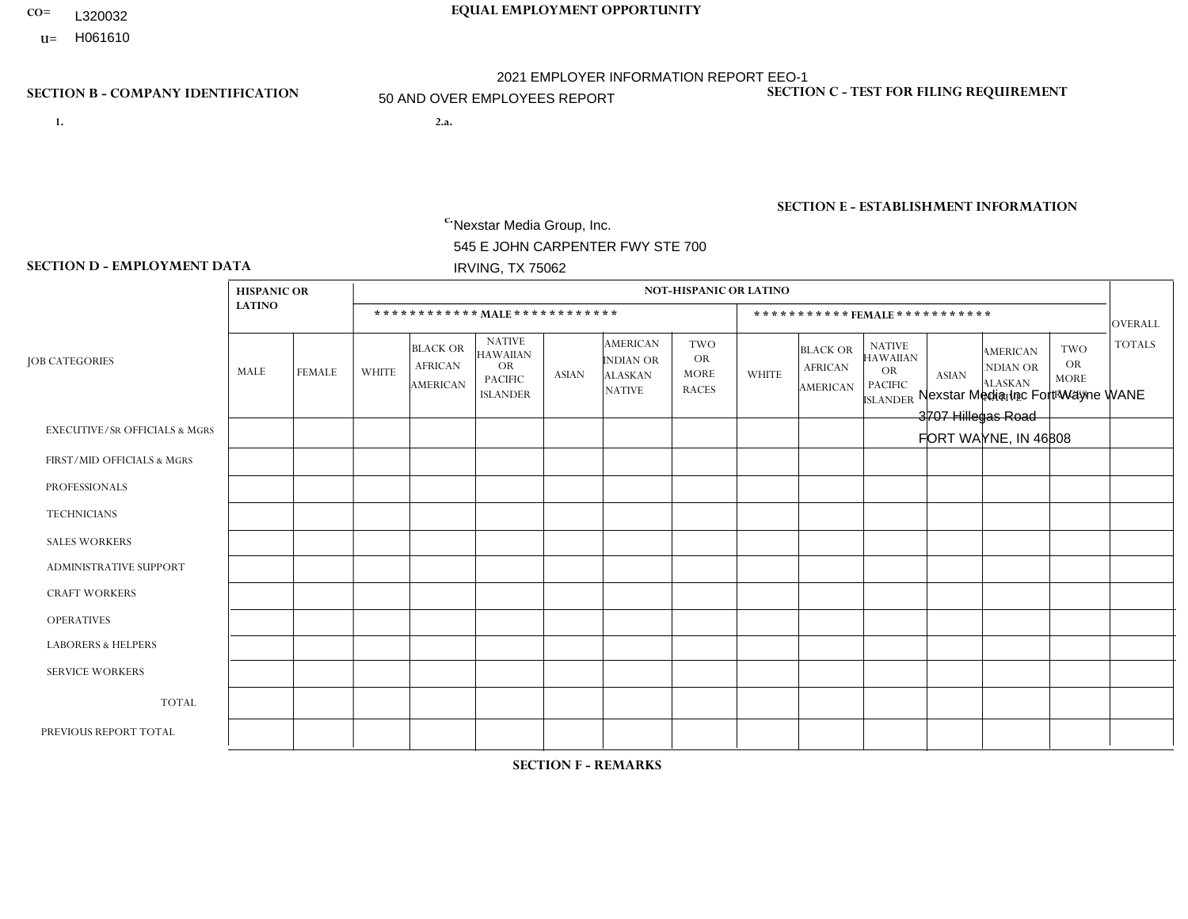- **CO= EQUAL EMPLOYMENT OPPORTUNITY** L320032
- **U=**

- **1. 2.a.** Nexstar Media Group, Inc. 545 E JOHN CARPENTER FWY STE 700 IRVING, TX 75062
- 2.a. Nexstar Media Inc Fort Wayne WANE 3707 Hillegas Road FORT WAYNE, IN 46808

EIN= 233063152

### **SECTION B - COMPANY IDENTIFICATION SECTION C - TEST FOR FILING REQUIREMENT**

1- Y 2- N 3- Y DUNS= 058168001

**SECTION E - ESTABLISHMENT INFORMATION c.** NAICS: 515120 - Television Broadcasting

### **SECTION D - EMPLOYMENT DATA**

|                                          | <b>HISPANIC OR</b> |               |                |                                                      |                                                                                    |              |                                                                 | <b>NOT-HISPANIC OR LATINO</b>                          |                |                                                      |                                                                                    |              |                                                                       |                                                        |               |
|------------------------------------------|--------------------|---------------|----------------|------------------------------------------------------|------------------------------------------------------------------------------------|--------------|-----------------------------------------------------------------|--------------------------------------------------------|----------------|------------------------------------------------------|------------------------------------------------------------------------------------|--------------|-----------------------------------------------------------------------|--------------------------------------------------------|---------------|
|                                          | <b>LATINO</b>      |               |                |                                                      | ************ MALE ************                                                     |              |                                                                 |                                                        |                |                                                      | ***********FEMALE***********                                                       |              |                                                                       |                                                        | OVERALL       |
| <b>JOB CATEGORIES</b>                    | MALE               | <b>FEMALE</b> | <b>WHITE</b>   | <b>BLACK OR</b><br><b>AFRICAN</b><br><b>AMERICAN</b> | <b>NATIVE</b><br><b>HAWAIIAN</b><br><b>OR</b><br><b>PACIFIC</b><br><b>ISLANDER</b> | <b>ASIAN</b> | <b>AMERICAN</b><br>INDIAN OR<br><b>ALASKAN</b><br><b>NATIVE</b> | <b>TWO</b><br><b>OR</b><br><b>MORE</b><br><b>RACES</b> | <b>WHITE</b>   | <b>BLACK OR</b><br><b>AFRICAN</b><br><b>AMERICAN</b> | <b>NATIVE</b><br><b>HAWAIIAN</b><br><b>OR</b><br><b>PACIFIC</b><br><b>ISLANDER</b> | <b>ASIAN</b> | <b>AMERICAN</b><br><b>NDIAN OR</b><br><b>ALASKAN</b><br><b>NATIVE</b> | <b>TWO</b><br><b>OR</b><br><b>MORE</b><br><b>RACES</b> | <b>TOTALS</b> |
| <b>EXECUTIVE/SR OFFICIALS &amp; MGRS</b> | $\Omega$           | $\Omega$      | $\Omega$       | $\Omega$                                             | $\Omega$                                                                           | $\Omega$     | $\Omega$                                                        | $\Omega$                                               | $\Omega$       | $\Omega$                                             | $\mathbf{0}$                                                                       | $\Omega$     | $\Omega$                                                              | $\Omega$                                               | $\Omega$      |
| FIRST/MID OFFICIALS & MGRS               | 0                  | $\Omega$      | $\overline{4}$ | $\mathbf 0$                                          | $\mathbf 0$                                                                        | $\Omega$     | $\Omega$                                                        | $\Omega$                                               | $\overline{2}$ | $\Omega$                                             | $\mathbf{0}$                                                                       | $\mathbf{0}$ | $\mathbf{0}$                                                          | $\Omega$                                               | 6             |
| <b>PROFESSIONALS</b>                     | 0                  | $\mathbf 0$   | $\overline{7}$ | $\mathbf 0$                                          | $\mathbf 0$                                                                        | $\Omega$     | $\Omega$                                                        | $\Omega$                                               | $\overline{2}$ | $\Omega$                                             | $\Omega$                                                                           | $\mathbf{0}$ | $\Omega$                                                              | $\Omega$                                               | 9             |
| <b>TECHNICIANS</b>                       | 1                  | $\mathbf 0$   | 27             | $\overline{2}$                                       | $\mathbf 0$                                                                        | $\mathbf 0$  | $\mathbf{0}$                                                    | 1                                                      | 10             | 5                                                    | $\mathbf 0$                                                                        | $\mathbf 0$  | $\Omega$                                                              | $\Omega$                                               | 46            |
| <b>SALES WORKERS</b>                     | 0                  | $\Omega$      | $\overline{4}$ | $\Omega$                                             | $\Omega$                                                                           | $\Omega$     | $\Omega$                                                        | $\Omega$                                               | 5              | $\Omega$                                             | $\Omega$                                                                           | $\Omega$     | $\Omega$                                                              | $\Omega$                                               | 9             |
| <b>ADMINISTRATIVE SUPPORT</b>            | 0                  | $\mathbf{0}$  | $\overline{c}$ | $\mathbf 0$                                          | $\mathbf 0$                                                                        | $\Omega$     | $\Omega$                                                        | $\Omega$                                               | 6              | $\Omega$                                             | $\Omega$                                                                           | $\Omega$     | $\mathbf{0}$                                                          | $\Omega$                                               | 8             |
| <b>CRAFT WORKERS</b>                     | 0                  | $\Omega$      | $\mathbf 0$    | $\mathbf 0$                                          | $\mathbf 0$                                                                        | $\Omega$     | $\Omega$                                                        | $\Omega$                                               | $\Omega$       | $\Omega$                                             | $\Omega$                                                                           | $\Omega$     | $\Omega$                                                              | $\Omega$                                               | $\mathbf 0$   |
| <b>OPERATIVES</b>                        | 0                  | $\mathbf 0$   | $\mathbf 0$    | $\mathbf 0$                                          | $\mathbf 0$                                                                        | $\mathbf 0$  | $\Omega$                                                        | $\Omega$                                               | $\Omega$       | $\Omega$                                             | $\Omega$                                                                           | $\Omega$     | $\mathbf{0}$                                                          | $\Omega$                                               | $\mathbf 0$   |
| <b>LABORERS &amp; HELPERS</b>            | 0                  | $\Omega$      | $\Omega$       | $\Omega$                                             | $\Omega$                                                                           | $\Omega$     | $\Omega$                                                        | $\Omega$                                               | $\Omega$       | $\Omega$                                             | $\Omega$                                                                           | $\Omega$     | $\Omega$                                                              | $\Omega$                                               | $\mathbf 0$   |
| <b>SERVICE WORKERS</b>                   | 0                  | $\mathbf 0$   | $\mathbf 0$    | $\mathbf 0$                                          | $\mathbf 0$                                                                        | $\mathbf 0$  | $\mathbf{0}$                                                    | $\Omega$                                               | $\Omega$       | $\Omega$                                             | $\Omega$                                                                           | $\Omega$     | $\mathbf{0}$                                                          | $\Omega$                                               | $\mathbf{0}$  |
| <b>TOTAL</b>                             | 1                  | $\mathbf 0$   | 44             | $\overline{c}$                                       | $\mathbf 0$                                                                        | $\mathbf 0$  | $\Omega$                                                        | 1                                                      | 25             | 5                                                    | $\Omega$                                                                           | $\mathbf 0$  | $\Omega$                                                              | $\mathbf{0}$                                           | 78            |
| PREVIOUS REPORT TOTAL                    | 0                  | $\mathbf 0$   | 44             | 3                                                    | $\mathbf 0$                                                                        | $\Omega$     | $\Omega$                                                        | 1                                                      | 26             | $\overline{4}$                                       | $\mathbf{0}$                                                                       | $\Omega$     | $\mathbf{0}$                                                          | $\Omega$                                               | 78            |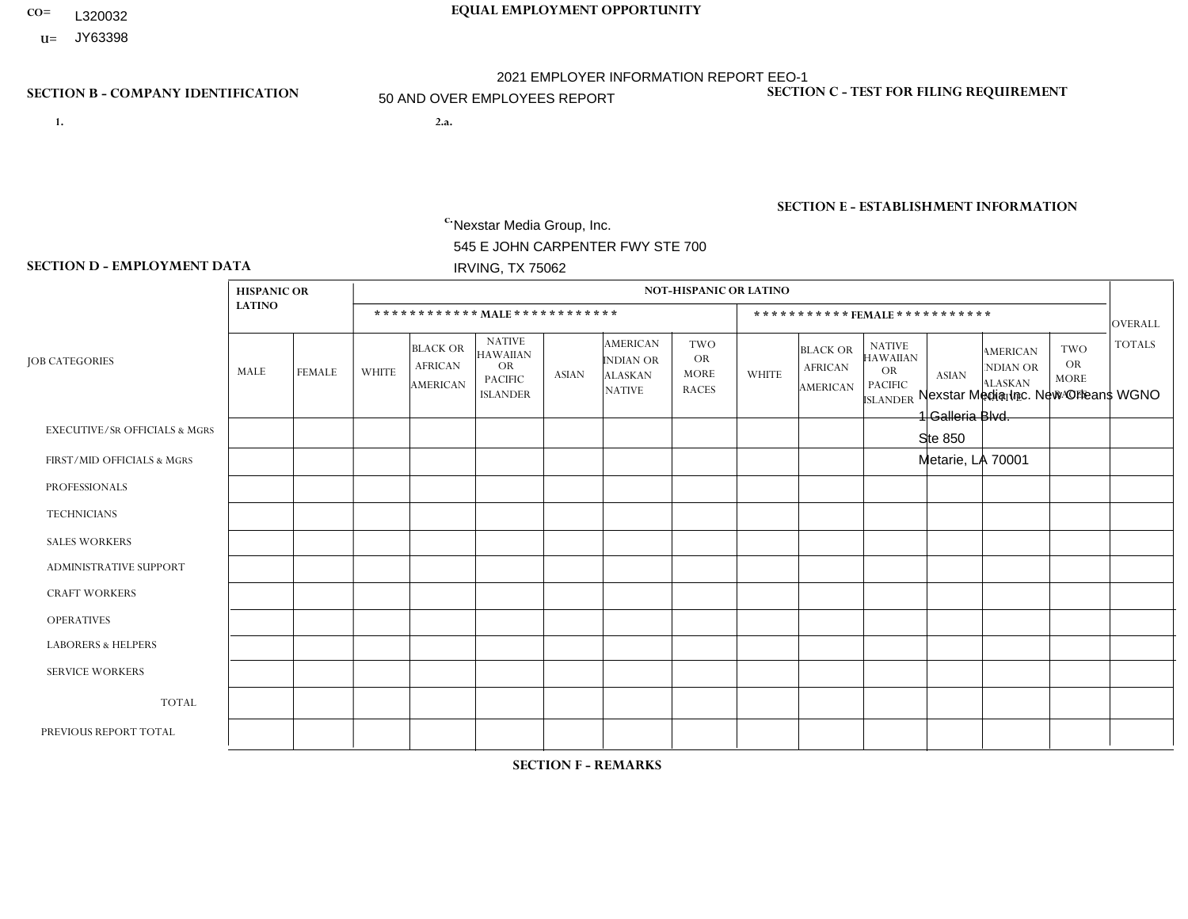- **CO= EQUAL EMPLOYMENT OPPORTUNITY** L320032
	- **U=** JY63398

- **1. 2.a.** Nexstar Media Group, Inc. 545 E JOHN CARPENTER FWY STE 700 IRVING, TX 75062
- 2.a. Nexstar Media Inc. New Orleans WGNO 1 Galleria Blvd. Ste 850 Metarie, LA 70001

EIN= 363234055

# **SECTION B - COMPANY IDENTIFICATION SECTION C - TEST FOR FILING REQUIREMENT**

1- Y 2- N 3- Y DUNS= 058168001

# **SECTION E - ESTABLISHMENT INFORMATION c.** NAICS: 515120 - Television Broadcasting

### **SECTION D - EMPLOYMENT DATA**

|                                          | <b>HISPANIC OR</b> |                |                |                                                      |                                                                                    |              |                                                                        | <b>NOT-HISPANIC OR LATINO</b>                          |                |                                               |                                                                                    |              |                                                                       |                                                        |                |
|------------------------------------------|--------------------|----------------|----------------|------------------------------------------------------|------------------------------------------------------------------------------------|--------------|------------------------------------------------------------------------|--------------------------------------------------------|----------------|-----------------------------------------------|------------------------------------------------------------------------------------|--------------|-----------------------------------------------------------------------|--------------------------------------------------------|----------------|
|                                          | <b>LATINO</b>      |                |                |                                                      | ************ MALE ************                                                     |              |                                                                        |                                                        |                |                                               | ***********FEMALE***********                                                       |              |                                                                       |                                                        | <b>OVERALL</b> |
| <b>JOB CATEGORIES</b>                    | MALE               | <b>FEMALE</b>  | <b>WHITE</b>   | <b>BLACK OR</b><br><b>AFRICAN</b><br><b>AMERICAN</b> | <b>NATIVE</b><br><b>HAWAIIAN</b><br><b>OR</b><br><b>PACIFIC</b><br><b>ISLANDER</b> | <b>ASIAN</b> | <b>AMERICAN</b><br><b>INDIAN OR</b><br><b>ALASKAN</b><br><b>NATIVE</b> | <b>TWO</b><br><b>OR</b><br><b>MORE</b><br><b>RACES</b> | <b>WHITE</b>   | <b>BLACK OR</b><br><b>AFRICAN</b><br>AMERICAN | <b>NATIVE</b><br><b>HAWAIIAN</b><br><b>OR</b><br><b>PACIFIC</b><br><b>ISLANDER</b> | <b>ASIAN</b> | <b>AMERICAN</b><br><b>NDIAN OR</b><br><b>ALASKAN</b><br><b>NATIVE</b> | <b>TWO</b><br><b>OR</b><br><b>MORE</b><br><b>RACES</b> | <b>TOTALS</b>  |
| <b>EXECUTIVE/SR OFFICIALS &amp; MGRS</b> | $\mathbf 0$        | $\mathbf 0$    | $\mathbf{1}$   | $\mathbf 0$                                          | $\mathbf 0$                                                                        | $\Omega$     | $\Omega$                                                               | $\Omega$                                               | $\Omega$       | $\mathbf 0$                                   | $\mathbf 0$                                                                        | $\mathbf 0$  | $\Omega$                                                              | $\mathbf 0$                                            | $\mathbf{1}$   |
| FIRST/MID OFFICIALS & MGRS               | $\mathbf{0}$       | $\Omega$       | $\overline{7}$ | 0                                                    | $\Omega$                                                                           |              | $\Omega$                                                               | $\Omega$                                               | 3              | $\Omega$                                      | $\Omega$                                                                           | $\Omega$     | $\Omega$                                                              | $\Omega$                                               | 11             |
| <b>PROFESSIONALS</b>                     | $\overline{2}$     | 1              | 23             | 5                                                    | $\Omega$                                                                           | $\Omega$     | $\Omega$                                                               | $\Omega$                                               | 10             | 4                                             | $\Omega$                                                                           | $\Omega$     | $\Omega$                                                              | $\Omega$                                               | 45             |
| <b>TECHNICIANS</b>                       | $\mathbf 0$        | $\overline{0}$ | $\overline{7}$ | $\mathbf{1}$                                         | $\Omega$                                                                           | $\Omega$     | $\Omega$                                                               | $\Omega$                                               | $\overline{4}$ | $\Omega$                                      | $\Omega$                                                                           | $\Omega$     | $\Omega$                                                              | $\mathbf 0$                                            | 12             |
| <b>SALES WORKERS</b>                     | $\mathbf{0}$       | $\overline{0}$ | $\overline{4}$ | $\Omega$                                             | $\Omega$                                                                           | $\Omega$     | $\Omega$                                                               | $\Omega$                                               | $\mathbf 1$    | $\Omega$                                      | $\Omega$                                                                           | $\Omega$     | $\Omega$                                                              | $\Omega$                                               | 5              |
| ADMINISTRATIVE SUPPORT                   | $\mathbf{0}$       | $\mathbf 0$    | $\mathbf 0$    | $\mathbf 0$                                          | $\Omega$                                                                           | $\Omega$     | $\Omega$                                                               | $\Omega$                                               | 1              | 2                                             | $\Omega$                                                                           | $\Omega$     | $\Omega$                                                              | $\Omega$                                               | 3              |
| <b>CRAFT WORKERS</b>                     | 0                  | $\mathbf 0$    | $\mathbf 0$    | $\mathbf 0$                                          | $\Omega$                                                                           | $\Omega$     | $\Omega$                                                               | $\Omega$                                               | $\Omega$       | $\Omega$                                      | $\Omega$                                                                           | $\Omega$     | $\Omega$                                                              | $\Omega$                                               | $\mathbf 0$    |
| <b>OPERATIVES</b>                        | $\Omega$           | $\Omega$       | $\Omega$       | $\mathbf 0$                                          | $\Omega$                                                                           | $\Omega$     | $\Omega$                                                               | $\Omega$                                               | $\Omega$       | $\Omega$                                      | $\Omega$                                                                           | $\Omega$     | $\Omega$                                                              | $\Omega$                                               | $\mathbf 0$    |
| <b>LABORERS &amp; HELPERS</b>            | $\mathbf{0}$       | $\Omega$       | $\Omega$       | 0                                                    | $\Omega$                                                                           | $\Omega$     | $\Omega$                                                               | $\Omega$                                               | $\Omega$       | $\Omega$                                      | $\Omega$                                                                           | $\Omega$     | $\Omega$                                                              | $\Omega$                                               | 0              |
| <b>SERVICE WORKERS</b>                   | $\mathbf 0$        | $\overline{0}$ | $\mathbf 0$    | $\mathbf 0$                                          | $\Omega$                                                                           | $\Omega$     | $\Omega$                                                               | $\Omega$                                               | $\Omega$       | $\Omega$                                      | $\Omega$                                                                           | $\Omega$     | $\Omega$                                                              | $\Omega$                                               | $\mathbf 0$    |
| <b>TOTAL</b>                             | 2                  | $\mathbf{1}$   | 42             | 6                                                    | $\Omega$                                                                           |              | $\Omega$                                                               | $\Omega$                                               | 19             | 6                                             | $\Omega$                                                                           | $\mathbf{0}$ | $\Omega$                                                              | $\Omega$                                               | 77             |
| PREVIOUS REPORT TOTAL                    | $\overline{c}$     | $\mathbf 0$    | 42             | 5                                                    | $\Omega$                                                                           |              | 0                                                                      | $\Omega$                                               | 23             | 6                                             | $\Omega$                                                                           | $\Omega$     | $\Omega$                                                              | $\Omega$                                               | 79             |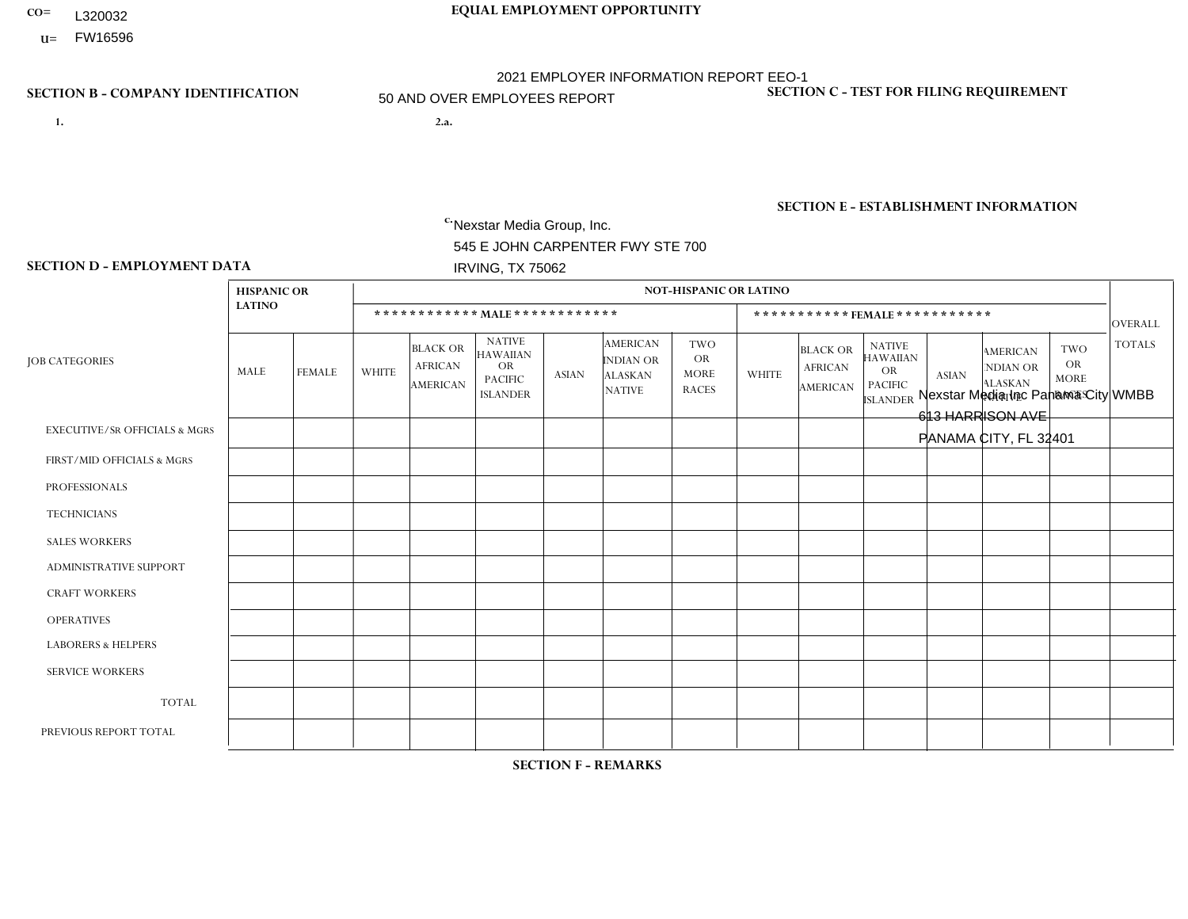- **CO= EQUAL EMPLOYMENT OPPORTUNITY** L320032
- **U=**

- **1. 2.a.** Nexstar Media Group, Inc. 545 E JOHN CARPENTER FWY STE 700 IRVING, TX 75062
- 2.a. Nexstar Media Inc Panama City WMBB 613 HARRISON AVE PANAMA CITY, FL 32401

EIN= 233063152

### **SECTION B - COMPANY IDENTIFICATION SECTION C - TEST FOR FILING REQUIREMENT**

1- Y 2- N 3- Y DUNS= 058168001

# **SECTION E - ESTABLISHMENT INFORMATION c.** NAICS: 515120 - Television Broadcasting

### **SECTION D - EMPLOYMENT DATA**

|                                          | <b>HISPANIC OR</b> |               |                |                                                      |                                                                             |              |                                                                 | <b>NOT-HISPANIC OR LATINO</b>                          |                |                                               |                                                                                    |                |                                                                       |                                                        |                |
|------------------------------------------|--------------------|---------------|----------------|------------------------------------------------------|-----------------------------------------------------------------------------|--------------|-----------------------------------------------------------------|--------------------------------------------------------|----------------|-----------------------------------------------|------------------------------------------------------------------------------------|----------------|-----------------------------------------------------------------------|--------------------------------------------------------|----------------|
|                                          | <b>LATINO</b>      |               |                |                                                      | ************ MALE************                                               |              |                                                                 |                                                        |                |                                               | *********** FEMALE ***********                                                     |                |                                                                       |                                                        | <b>OVERALL</b> |
| <b>JOB CATEGORIES</b>                    | MALE               | <b>FEMALE</b> | <b>WHITE</b>   | <b>BLACK OR</b><br><b>AFRICAN</b><br><b>AMERICAN</b> | <b>NATIVE</b><br><b>HAWAIIAN</b><br>OR<br><b>PACIFIC</b><br><b>ISLANDER</b> | <b>ASIAN</b> | <b>AMERICAN</b><br>INDIAN OR<br><b>ALASKAN</b><br><b>NATIVE</b> | <b>TWO</b><br><b>OR</b><br><b>MORE</b><br><b>RACES</b> | <b>WHITE</b>   | <b>BLACK OR</b><br><b>AFRICAN</b><br>AMERICAN | <b>NATIVE</b><br><b>HAWAIIAN</b><br><b>OR</b><br><b>PACIFIC</b><br><b>ISLANDER</b> | <b>ASIAN</b>   | <b>AMERICAN</b><br><b>NDIAN OR</b><br><b>ALASKAN</b><br><b>NATIVE</b> | <b>TWO</b><br><b>OR</b><br><b>MORE</b><br><b>RACES</b> | <b>TOTALS</b>  |
| <b>EXECUTIVE/SR OFFICIALS &amp; MGRS</b> | $\Omega$           | $\Omega$      | $\mathbf 0$    | $\mathbf 0$                                          | $\mathbf 0$                                                                 | $\Omega$     | $\Omega$                                                        | $\Omega$                                               | $\Omega$       | $\Omega$                                      | $\Omega$                                                                           | $\Omega$       | $\Omega$                                                              | $\Omega$                                               | $\mathbf 0$    |
| FIRST/MID OFFICIALS & MGRS               | 0                  | $\Omega$      | $\overline{4}$ | $\mathbf 0$                                          | $\mathbf 0$                                                                 | $\Omega$     | $\Omega$                                                        | $\Omega$                                               | $\overline{2}$ | $\Omega$                                      | $\mathbf{0}$                                                                       | $\mathbf{0}$   | $\Omega$                                                              | $\Omega$                                               | 6              |
| <b>PROFESSIONALS</b>                     | 0                  | $\Omega$      | 3              | $\mathbf 0$                                          | $\mathbf 0$                                                                 | $\Omega$     | $\Omega$                                                        | $\Omega$                                               | 5              | $\Omega$                                      | $\Omega$                                                                           | $\Omega$       | $\Omega$                                                              | $\mathbf{0}$                                           | 8              |
| <b>TECHNICIANS</b>                       | $\overline{1}$     | $\mathbf 0$   | 8              | $\mathbf{1}$                                         | $\mathbf 0$                                                                 | $\mathbf{1}$ | $\mathbf{0}$                                                    | $\Omega$                                               | 11             | $\overline{2}$                                | $\mathbf 0$                                                                        | $\mathbf 0$    | $\mathbf 0$                                                           | $\mathbf 0$                                            | 24             |
| <b>SALES WORKERS</b>                     | 0                  | $\Omega$      | $\mathbf{1}$   | $\mathbf 0$                                          | $\Omega$                                                                    | $\Omega$     | $\mathbf{0}$                                                    | $\Omega$                                               | 4              | $\Omega$                                      | $\mathbf{0}$                                                                       | $\mathbf{0}$   | $\Omega$                                                              | $\Omega$                                               | 5              |
| <b>ADMINISTRATIVE SUPPORT</b>            | 0                  | $\mathbf 0$   | 5              | $\mathbf 0$                                          | $\mathbf 0$                                                                 | $\mathbf 0$  |                                                                 | $\Omega$                                               | 3              | $\overline{2}$                                | $\Omega$                                                                           | $\overline{1}$ | $\Omega$                                                              | $\mathbf{0}$                                           | 12             |
| <b>CRAFT WORKERS</b>                     | 0                  | $\Omega$      | $\mathbf 0$    | $\mathbf 0$                                          | $\Omega$                                                                    | $\Omega$     | $\Omega$                                                        | $\Omega$                                               | $\Omega$       | $\Omega$                                      | $\Omega$                                                                           | $\Omega$       | $\Omega$                                                              | $\Omega$                                               | $\Omega$       |
| <b>OPERATIVES</b>                        | 0                  | $\mathbf 0$   | $\mathbf 0$    | $\mathbf 0$                                          | $\mathbf 0$                                                                 | $\mathbf 0$  | $\Omega$                                                        | $\Omega$                                               | $\Omega$       | $\Omega$                                      | $\Omega$                                                                           | $\Omega$       | $\Omega$                                                              | $\Omega$                                               | $\mathbf 0$    |
| <b>LABORERS &amp; HELPERS</b>            | 0                  | $\Omega$      | $\mathbf 0$    | $\mathbf 0$                                          | $\mathbf 0$                                                                 | $\mathbf 0$  | $\Omega$                                                        | $\Omega$                                               | $\Omega$       | $\Omega$                                      | $\Omega$                                                                           | $\Omega$       | $\Omega$                                                              | $\Omega$                                               | $\mathbf{0}$   |
| <b>SERVICE WORKERS</b>                   | 0                  | $\Omega$      | $\mathbf 0$    | 0                                                    | $\mathbf 0$                                                                 | $\mathbf 0$  | $\Omega$                                                        | $\Omega$                                               | $\Omega$       | $\Omega$                                      | $\Omega$                                                                           | $\Omega$       | $\Omega$                                                              | $\mathbf{0}$                                           | $\mathbf 0$    |
| <b>TOTAL</b>                             | 1                  | $\mathbf 0$   | 21             | $\mathbf{1}$                                         | $\mathbf 0$                                                                 | $\mathbf{1}$ |                                                                 | $\Omega$                                               | 25             | $\overline{4}$                                | $\mathbf 0$                                                                        | 1              | $\mathbf 0$                                                           | $\mathbf 0$                                            | 55             |
| PREVIOUS REPORT TOTAL                    | $\overline{c}$     | $\Omega$      | 21             | $\Omega$                                             | $\mathbf{0}$                                                                | 1            | $\Omega$                                                        | $\Omega$                                               | 28             | 3                                             | $\Omega$                                                                           | $\overline{2}$ | $\Omega$                                                              | $\Omega$                                               | 57             |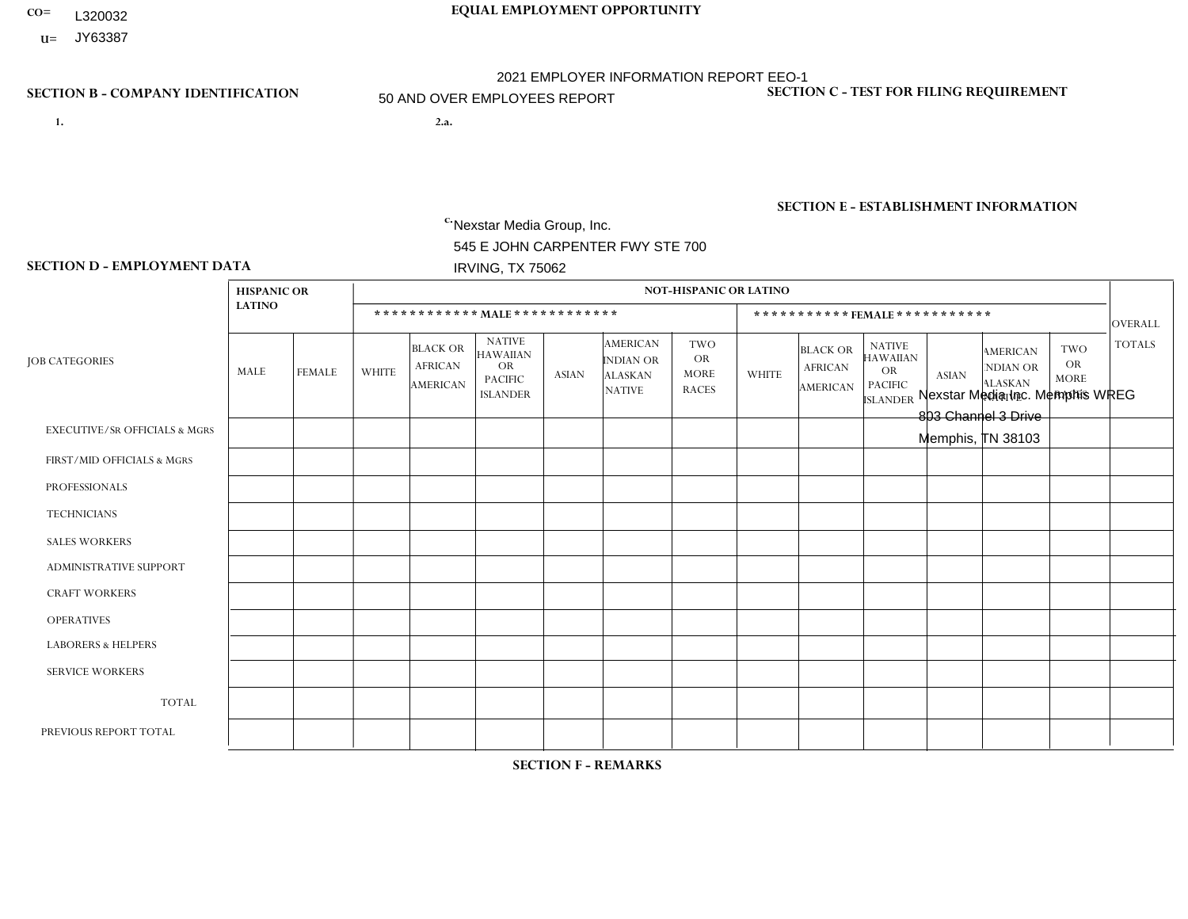- **CO= EQUAL EMPLOYMENT OPPORTUNITY** L320032
- **U=** JY63387

- **1. 2.a.** Nexstar Media Group, Inc. 545 E JOHN CARPENTER FWY STE 700 IRVING, TX 75062
- 2.a. Nexstar Media Inc. Memphis WREG 803 Channel 3 Drive Memphis, TN 38103

EIN= 364766010

# **SECTION B - COMPANY IDENTIFICATION SECTION C - TEST FOR FILING REQUIREMENT**

1- Y 2- N 3- Y DUNS= 058168001

**SECTION E - ESTABLISHMENT INFORMATION c.** NAICS: 515120 - Television Broadcasting

### **SECTION D - EMPLOYMENT DATA**

|                                          | <b>HISPANIC OR</b> |               |              |                                                      |                                                                                    |              |                                                                        | <b>NOT-HISPANIC OR LATINO</b>                          |                         |                                                      |                                                                                    |              |                                                                       |                                                        |               |
|------------------------------------------|--------------------|---------------|--------------|------------------------------------------------------|------------------------------------------------------------------------------------|--------------|------------------------------------------------------------------------|--------------------------------------------------------|-------------------------|------------------------------------------------------|------------------------------------------------------------------------------------|--------------|-----------------------------------------------------------------------|--------------------------------------------------------|---------------|
|                                          | <b>LATINO</b>      |               |              | ************ MALE ************                       |                                                                                    |              |                                                                        |                                                        |                         | ***********FEMALE***********                         |                                                                                    |              |                                                                       |                                                        | OVERALL       |
| <b>JOB CATEGORIES</b>                    | MALE               | <b>FEMALE</b> | <b>WHITE</b> | <b>BLACK OR</b><br><b>AFRICAN</b><br><b>AMERICAN</b> | <b>NATIVE</b><br><b>HAWAIIAN</b><br><b>OR</b><br><b>PACIFIC</b><br><b>ISLANDER</b> | <b>ASIAN</b> | <b>AMERICAN</b><br><b>INDIAN OR</b><br><b>ALASKAN</b><br><b>NATIVE</b> | <b>TWO</b><br><b>OR</b><br><b>MORE</b><br><b>RACES</b> | <b>WHITE</b>            | <b>BLACK OR</b><br><b>AFRICAN</b><br><b>AMERICAN</b> | <b>NATIVE</b><br><b>HAWAIIAN</b><br><b>OR</b><br><b>PACIFIC</b><br><b>ISLANDER</b> | <b>ASIAN</b> | <b>AMERICAN</b><br><b>NDIAN OR</b><br><b>ALASKAN</b><br><b>NATIVE</b> | <b>TWO</b><br><b>OR</b><br><b>MORE</b><br><b>RACES</b> | <b>TOTALS</b> |
| <b>EXECUTIVE/SR OFFICIALS &amp; MGRS</b> | $\Omega$           | $\mathbf 0$   | $\Omega$     | $\mathbf 0$                                          | $\mathbf 0$                                                                        | 0            | $\Omega$                                                               | $\Omega$                                               | $\overline{ }$          | $\mathbf{0}$                                         | $\Omega$                                                                           | $\Omega$     | $\Omega$                                                              | $\mathbf 0$                                            |               |
| FIRST/MID OFFICIALS & MGRS               | $\Omega$           | 0             | 10           | $\mathbf{1}$                                         | $\mathbf 0$                                                                        | 0            | $\Omega$                                                               | $\Omega$                                               | $\overline{\mathbf{1}}$ | $\overline{2}$                                       | $\Omega$                                                                           | $\Omega$     | $\Omega$                                                              | $\Omega$                                               | 14            |
| <b>PROFESSIONALS</b>                     | 3                  | $\mathbf 0$   | 24           | 11                                                   | $\mathbf 0$                                                                        | 1            | $\Omega$                                                               | $\Omega$                                               | 15                      | 18                                                   | $\Omega$                                                                           | $\Omega$     | $\Omega$                                                              | $\mathbf 1$                                            | 73            |
| <b>TECHNICIANS</b>                       | $\mathbf 0$        | $\mathbf 0$   | 9            | $\boldsymbol{9}$                                     | $\mathbf 0$                                                                        | 0            | $\Omega$                                                               | $\mathbf 0$                                            | $\overline{7}$          | -1                                                   | $\mathbf 0$                                                                        | $\Omega$     | 0                                                                     | $\mathbf 0$                                            | 26            |
| <b>SALES WORKERS</b>                     | $\mathbf 0$        | $\mathbf{1}$  | 0            | $\mathbf 0$                                          | $\mathbf 0$                                                                        | $\mathbf 0$  | $\Omega$                                                               | $\mathbf 0$                                            | $\overline{1}$          | $\Omega$                                             | $\mathbf 0$                                                                        | $\Omega$     | $\Omega$                                                              | $\mathbf 0$                                            | 2             |
| <b>ADMINISTRATIVE SUPPORT</b>            | $\mathbf 0$        | $\mathbf 0$   | $\mathbf 0$  | $\mathbf 0$                                          | $\mathbf 0$                                                                        | 0            | $\Omega$                                                               | $\mathbf 0$                                            | -1                      | $\overline{2}$                                       | $\Omega$                                                                           | $\Omega$     | $\Omega$                                                              | $\Omega$                                               | 3             |
| <b>CRAFT WORKERS</b>                     | $\mathbf 0$        | $\mathbf 0$   | $\mathbf 0$  | $\mathbf 0$                                          | $\mathbf 0$                                                                        | 0            | $\Omega$                                                               | $\mathbf 0$                                            | $\Omega$                | $\Omega$                                             | $\Omega$                                                                           | $\Omega$     | $\Omega$                                                              | $\mathbf 0$                                            | $\mathbf 0$   |
| <b>OPERATIVES</b>                        | $\mathbf 0$        | 0             | $\mathbf 0$  | $\mathbf 0$                                          | 0                                                                                  | 0            | $\Omega$                                                               | $\Omega$                                               | $\Omega$                | $\Omega$                                             | $\Omega$                                                                           | $\Omega$     | $\Omega$                                                              | $\Omega$                                               | $\mathbf 0$   |
| <b>LABORERS &amp; HELPERS</b>            | $\Omega$           | $\mathbf 0$   | $\Omega$     | $\mathbf 0$                                          | $\mathbf 0$                                                                        | $\mathbf 0$  | $\Omega$                                                               | $\Omega$                                               | $\Omega$                | $\Omega$                                             | $\Omega$                                                                           | $\Omega$     | $\Omega$                                                              | $\Omega$                                               | $\mathbf 0$   |
| <b>SERVICE WORKERS</b>                   | $\Omega$           | $\mathbf 0$   | $\mathbf 0$  | $\mathbf 0$                                          | $\mathbf 0$                                                                        | 0            | $\Omega$                                                               | $\Omega$                                               | $\Omega$                | $\Omega$                                             | $\Omega$                                                                           | $\Omega$     | $\Omega$                                                              | $\Omega$                                               | $\Omega$      |
| <b>TOTAL</b>                             | 3                  | $\mathbf{1}$  | 43           | 21                                                   | 0                                                                                  |              | $\mathbf 0$                                                            | 0                                                      | 26                      | 23                                                   | $\mathbf 0$                                                                        | $\Omega$     | $\Omega$                                                              | $\mathbf{1}$                                           | 119           |
| PREVIOUS REPORT TOTAL                    | $\overline{2}$     | $\mathbf 1$   | 44           | 24                                                   | 0                                                                                  | 1            | $\Omega$                                                               | $\mathbf 0$                                            | 24                      | 25                                                   | $\Omega$                                                                           | $\Omega$     | $\Omega$                                                              | $\mathbf 0$                                            | 121           |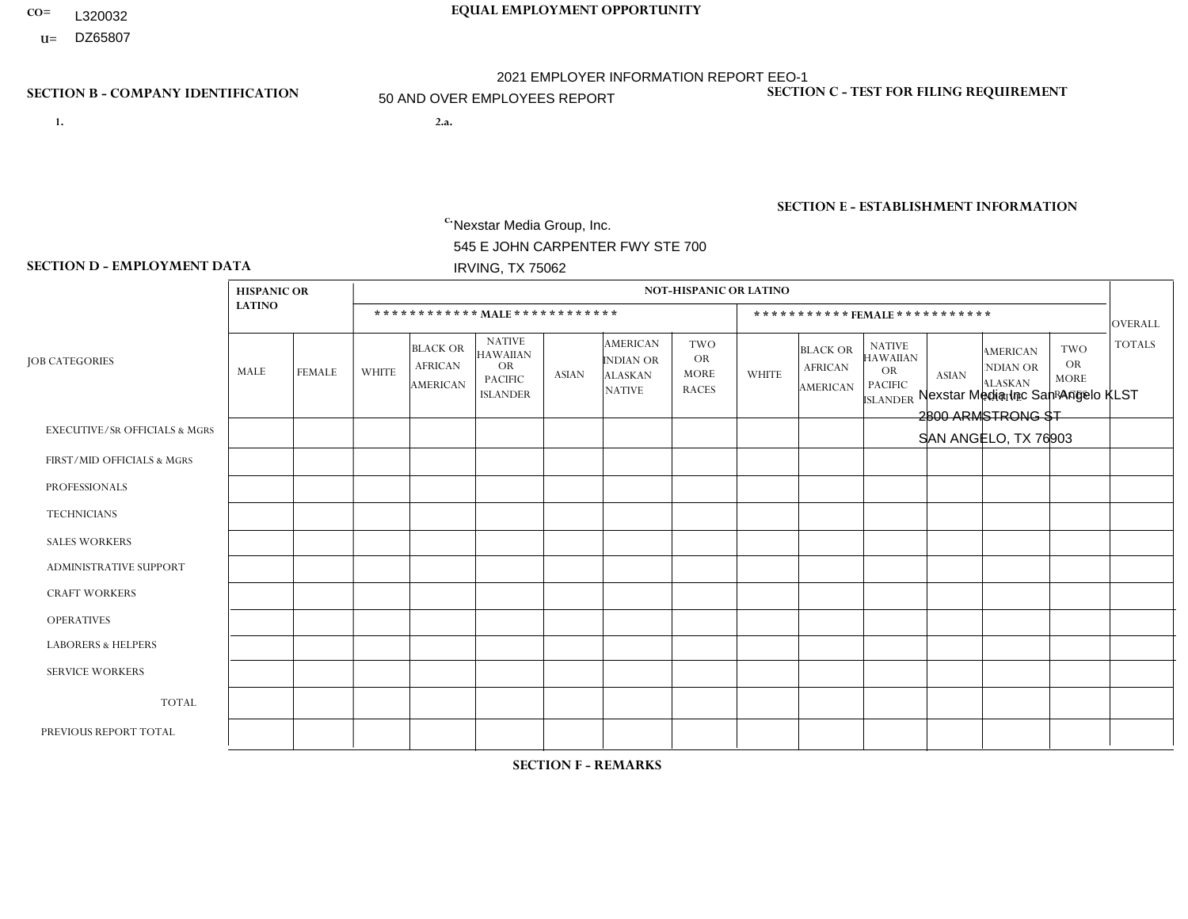- **CO= EQUAL EMPLOYMENT OPPORTUNITY** L320032
- **U=**

- **1. 2.a.** Nexstar Media Group, Inc. 545 E JOHN CARPENTER FWY STE 700 IRVING, TX 75062
- 2.a. Nexstar Media Inc San Angelo KLST 2800 ARMSTRONG ST SAN ANGELO, TX 76903

EIN= 233063152

### **SECTION B - COMPANY IDENTIFICATION SECTION C - TEST FOR FILING REQUIREMENT**

1- Y 2- N 3- Y DUNS= 058168001

# **SECTION E - ESTABLISHMENT INFORMATION c.** NAICS: 515120 - Television Broadcasting

### **SECTION D - EMPLOYMENT DATA**

|                                          | <b>HISPANIC OR</b> |                |                |                                                      |                                                                                    |              |                                                                        | <b>NOT-HISPANIC OR LATINO</b>                          |                |                                                      |                                                                                    |              |                                                                       |                                                        |                |
|------------------------------------------|--------------------|----------------|----------------|------------------------------------------------------|------------------------------------------------------------------------------------|--------------|------------------------------------------------------------------------|--------------------------------------------------------|----------------|------------------------------------------------------|------------------------------------------------------------------------------------|--------------|-----------------------------------------------------------------------|--------------------------------------------------------|----------------|
|                                          | <b>LATINO</b>      |                |                |                                                      | ************ MALE ************                                                     |              |                                                                        |                                                        |                |                                                      | *********** FEMALE ***********                                                     |              |                                                                       |                                                        | <b>OVERALL</b> |
| <b>JOB CATEGORIES</b>                    | MALE               | <b>FEMALE</b>  | <b>WHITE</b>   | <b>BLACK OR</b><br><b>AFRICAN</b><br><b>AMERICAN</b> | <b>NATIVE</b><br><b>HAWAIIAN</b><br><b>OR</b><br><b>PACIFIC</b><br><b>ISLANDER</b> | <b>ASIAN</b> | <b>AMERICAN</b><br><b>INDIAN OR</b><br><b>ALASKAN</b><br><b>NATIVE</b> | <b>TWO</b><br><b>OR</b><br><b>MORE</b><br><b>RACES</b> | <b>WHITE</b>   | <b>BLACK OR</b><br><b>AFRICAN</b><br><b>AMERICAN</b> | <b>NATIVE</b><br><b>HAWAIIAN</b><br><b>OR</b><br><b>PACIFIC</b><br><b>ISLANDER</b> | <b>ASIAN</b> | <b>AMERICAN</b><br><b>NDIAN OR</b><br><b>ALASKAN</b><br><b>NATIVE</b> | <b>TWO</b><br><b>OR</b><br><b>MORE</b><br><b>RACES</b> | <b>TOTALS</b>  |
| <b>EXECUTIVE/SR OFFICIALS &amp; MGRS</b> | $\mathbf{0}$       | $\Omega$       | $\Omega$       | 0                                                    | $\Omega$                                                                           | $\Omega$     | $\Omega$                                                               | $\Omega$                                               | $\Omega$       | $\Omega$                                             | $\Omega$                                                                           | $\Omega$     | $\Omega$                                                              | $\mathbf{0}$                                           | $\Omega$       |
| FIRST/MID OFFICIALS & MGRS               | $\mathbf{0}$       | 1              | $\overline{4}$ | 0                                                    | $\Omega$                                                                           | $\mathbf{0}$ | $\Omega$                                                               | 0                                                      | 1              | $\Omega$                                             | $\Omega$                                                                           | $\mathbf 0$  | $\Omega$                                                              | $\Omega$                                               | 6              |
| <b>PROFESSIONALS</b>                     |                    | $\mathbf 0$    | 6              | 0                                                    | $\Omega$                                                                           | $\Omega$     | $\Omega$                                                               | 0                                                      | $\overline{2}$ | $\Omega$                                             | 0                                                                                  | $\mathbf 0$  | 0                                                                     | $\mathbf 0$                                            | 9              |
| <b>TECHNICIANS</b>                       | 8                  | 3              | 12             | $\overline{c}$                                       | $\Omega$                                                                           | $\Omega$     |                                                                        | 0                                                      | 6              | 2                                                    | $\Omega$                                                                           | $\Omega$     | $\Omega$                                                              | $\overline{1}$                                         | 35             |
| <b>SALES WORKERS</b>                     | $\mathbf{0}$       | 1              | 1              | $\Omega$                                             | $\mathbf{0}$                                                                       | $\Omega$     |                                                                        | 0                                                      | 3              | $\mathbf{0}$                                         | $\Omega$                                                                           | $\Omega$     | $\Omega$                                                              | $\Omega$                                               | 6              |
| <b>ADMINISTRATIVE SUPPORT</b>            | $\mathbf{0}$       | $\overline{2}$ | $\Omega$       | 0                                                    | $\Omega$                                                                           | $\Omega$     | $\Omega$                                                               | $\Omega$                                               | $\Omega$       | $\Omega$                                             | $\Omega$                                                                           | $\Omega$     | $\Omega$                                                              | $\Omega$                                               | $\overline{2}$ |
| <b>CRAFT WORKERS</b>                     | $\Omega$           | $\Omega$       | $\Omega$       | 0                                                    | $\Omega$                                                                           | $\Omega$     | $\Omega$                                                               | 0                                                      | $\Omega$       | $\mathbf{0}$                                         | $\Omega$                                                                           | $\Omega$     | $\Omega$                                                              | $\Omega$                                               | $\Omega$       |
| <b>OPERATIVES</b>                        | $\mathbf{0}$       | $\Omega$       | $\Omega$       | 0                                                    | $\Omega$                                                                           | $\Omega$     | $\Omega$                                                               | $\Omega$                                               | $\Omega$       | $\Omega$                                             | $\Omega$                                                                           | $\Omega$     | $\Omega$                                                              | $\Omega$                                               | $\Omega$       |
| <b>LABORERS &amp; HELPERS</b>            | $\mathbf{0}$       | $\mathbf 0$    | $\mathbf 0$    | 0                                                    | $\Omega$                                                                           | $\Omega$     | $\Omega$                                                               | 0                                                      | $\Omega$       | $\mathbf{0}$                                         | $\Omega$                                                                           | $\mathbf 0$  | $\Omega$                                                              | $\Omega$                                               | 0              |
| <b>SERVICE WORKERS</b>                   | $\mathbf 0$        | $\overline{1}$ | $\mathbf 0$    | 0                                                    | $\mathbf 0$                                                                        | $\Omega$     | $\Omega$                                                               | 0                                                      | $\Omega$       | $\Omega$                                             | $\Omega$                                                                           | $\mathbf 0$  | 0                                                                     | $\mathbf 0$                                            | -1             |
| <b>TOTAL</b>                             | 9                  | 8              | 23             | $\overline{2}$                                       | $\Omega$                                                                           | $\Omega$     | $\overline{2}$                                                         | 0                                                      | 12             | 2                                                    | $\Omega$                                                                           | $\mathbf 0$  | $\mathbf 0$                                                           | $\mathbf{1}$                                           | 59             |
| PREVIOUS REPORT TOTAL                    | 10                 | 8              | 29             | $\mathbf{1}$                                         | $\Omega$                                                                           | $\Omega$     |                                                                        |                                                        | 12             |                                                      | $\Omega$                                                                           | $\mathbf 0$  | 0                                                                     | $\mathbf 0$                                            | 63             |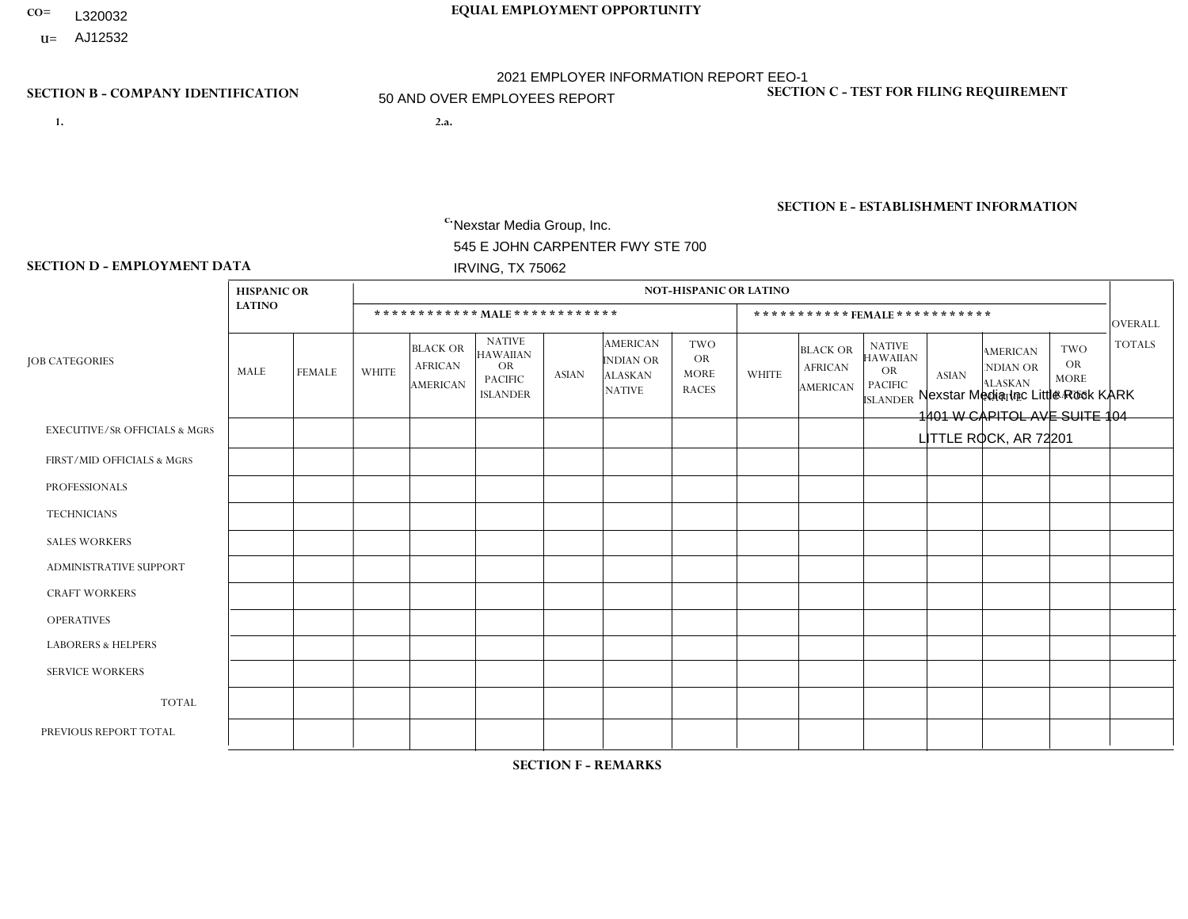- **CO= EQUAL EMPLOYMENT OPPORTUNITY** L320032
- **U=**

- **1. 2.a.** Nexstar Media Group, Inc. 545 E JOHN CARPENTER FWY STE 700 IRVING, TX 75062
- 2.a. Nexstar Media Inc Little Rock KARK 1401 W CAPITOL AVE SUITE 104 LITTLE ROCK, AR 72201

EIN= 233063152

### **SECTION B - COMPANY IDENTIFICATION SECTION C - TEST FOR FILING REQUIREMENT**

1- Y 2- N 3- Y DUNS= 058168001

# **SECTION E - ESTABLISHMENT INFORMATION c.** NAICS: 515120 - Television Broadcasting

### **SECTION D - EMPLOYMENT DATA**

|                                          | <b>HISPANIC OR</b> |               |              |                                                      |                                                                             |              |                                                                 | <b>NOT-HISPANIC OR LATINO</b>                          |                |                                                      |                                                                                    |              |                                                                       |                                                  |                 |
|------------------------------------------|--------------------|---------------|--------------|------------------------------------------------------|-----------------------------------------------------------------------------|--------------|-----------------------------------------------------------------|--------------------------------------------------------|----------------|------------------------------------------------------|------------------------------------------------------------------------------------|--------------|-----------------------------------------------------------------------|--------------------------------------------------|-----------------|
|                                          | <b>LATINO</b>      |               |              | ************ MAIE************                        |                                                                             |              |                                                                 |                                                        |                |                                                      | ***********FEMALE***********                                                       |              |                                                                       |                                                  | OVERALL         |
| <b>JOB CATEGORIES</b>                    | MALE               | <b>FEMALE</b> | <b>WHITE</b> | <b>BLACK OR</b><br><b>AFRICAN</b><br><b>AMERICAN</b> | <b>NATIVE</b><br><b>HAWAIIAN</b><br>OR<br><b>PACIFIC</b><br><b>ISLANDER</b> | <b>ASIAN</b> | <b>AMERICAN</b><br>INDIAN OR<br><b>ALASKAN</b><br><b>NATIVE</b> | <b>TWO</b><br><b>OR</b><br><b>MORE</b><br><b>RACES</b> | <b>WHITE</b>   | <b>BLACK OR</b><br><b>AFRICAN</b><br><b>AMERICAN</b> | <b>NATIVE</b><br><b>HAWAIIAN</b><br><b>OR</b><br><b>PACIFIC</b><br><b>ISLANDER</b> | <b>ASIAN</b> | <b>AMERICAN</b><br><b>NDIAN OR</b><br><b>ALASKAN</b><br><b>NATIVE</b> | <b>TWO</b><br>OR.<br><b>MORE</b><br><b>RACES</b> | <b>TOTALS</b>   |
| <b>EXECUTIVE/SR OFFICIALS &amp; MGRS</b> | $\Omega$           | $\mathbf{0}$  | 0            | $\Omega$                                             | $\Omega$                                                                    | 0            | $\Omega$                                                        | $\mathbf{0}$                                           | $\Omega$       | $\Omega$                                             | 0                                                                                  | $\Omega$     | $\Omega$                                                              | $\Omega$                                         | $\mathbf 0$     |
| FIRST/MID OFFICIALS & MGRS               | $\Omega$           | $\Omega$      | 5            | $\mathbf 0$                                          | $\mathbf 0$                                                                 | 0            | $\Omega$                                                        | $\Omega$                                               | 4              |                                                      | 0                                                                                  | $\Omega$     | $\Omega$                                                              | $\Omega$                                         | 10 <sup>°</sup> |
| <b>PROFESSIONALS</b>                     | $\Omega$           | $\mathbf{1}$  | 13           | $\mathbf 0$                                          | $\mathbf 0$                                                                 | 0            | $\mathbf{0}$                                                    | -1                                                     | 6              | $\overline{2}$                                       | 0                                                                                  | $\Omega$     | $\Omega$                                                              | 0                                                | 23              |
| <b>TECHNICIANS</b>                       | $\mathbf{1}$       | $\mathbf{1}$  | 32           | 12                                                   | $\mathbf 0$                                                                 | 0            | $\overline{1}$                                                  | $\overline{1}$                                         | 14             | $\overline{4}$                                       | 0                                                                                  | $\Omega$     | $\Omega$                                                              | $\Omega$                                         | 66              |
| <b>SALES WORKERS</b>                     | $\Omega$           | $\Omega$      | 5            | $\overline{1}$                                       | $\Omega$                                                                    | $\mathbf{1}$ | $\Omega$                                                        | $\Omega$                                               | $\overline{7}$ | $\overline{2}$                                       | 0                                                                                  | $\Omega$     | $\Omega$                                                              | $\Omega$                                         | 16              |
| <b>ADMINISTRATIVE SUPPORT</b>            | $\Omega$           | $\mathbf 0$   | 3            | $\mathbf 0$                                          | $\mathbf 0$                                                                 | 0            | $\Omega$                                                        | $\mathbf{0}$                                           | 4              | $\overline{2}$                                       | 0                                                                                  | $\Omega$     | $\Omega$                                                              | $\Omega$                                         | 9               |
| <b>CRAFT WORKERS</b>                     | $\Omega$           | $\Omega$      | 0            | $\mathbf 0$                                          | $\Omega$                                                                    | 0            | $\Omega$                                                        | $\Omega$                                               | $\Omega$       | $\Omega$                                             | 0                                                                                  | $\Omega$     | $\Omega$                                                              | $\Omega$                                         | $\mathbf{0}$    |
| <b>OPERATIVES</b>                        | $\Omega$           | $\Omega$      | $\Omega$     | $\mathbf 0$                                          | $\mathbf 0$                                                                 | 0            | $\Omega$                                                        | $\Omega$                                               | $\Omega$       | $\Omega$                                             | 0                                                                                  | $\Omega$     | $\Omega$                                                              | $\Omega$                                         | $\mathbf{0}$    |
| <b>LABORERS &amp; HELPERS</b>            | $\Omega$           | $\Omega$      | 0            | $\mathbf 0$                                          | $\Omega$                                                                    | 0            | $\Omega$                                                        | $\Omega$                                               | $\Omega$       | $\Omega$                                             | $\Omega$                                                                           | $\Omega$     | $\Omega$                                                              | $\Omega$                                         | $\mathbf 0$     |
| <b>SERVICE WORKERS</b>                   | $\Omega$           | $\Omega$      | 0            | $\mathbf 0$                                          | $\mathbf 0$                                                                 | 0            | $\mathbf{0}$                                                    | $\Omega$                                               | $\Omega$       | $\Omega$                                             | 0                                                                                  | $\Omega$     | $\Omega$                                                              | $\Omega$                                         | $\mathbf{0}$    |
| <b>TOTAL</b>                             | -1                 | 2             | 58           | 13                                                   | $\mathbf 0$                                                                 | $\mathbf{1}$ | -1                                                              | 2                                                      | 35             | 11                                                   | 0                                                                                  | $\Omega$     | $\Omega$                                                              | $\Omega$                                         | 124             |
| PREVIOUS REPORT TOTAL                    | $\mathbf 0$        | $\mathbf{1}$  | 61           | 18                                                   | $\mathbf 0$                                                                 | 0            |                                                                 | 3                                                      | 38             | 14                                                   |                                                                                    | $\Omega$     | $\Omega$                                                              | $\overline{2}$                                   | 139             |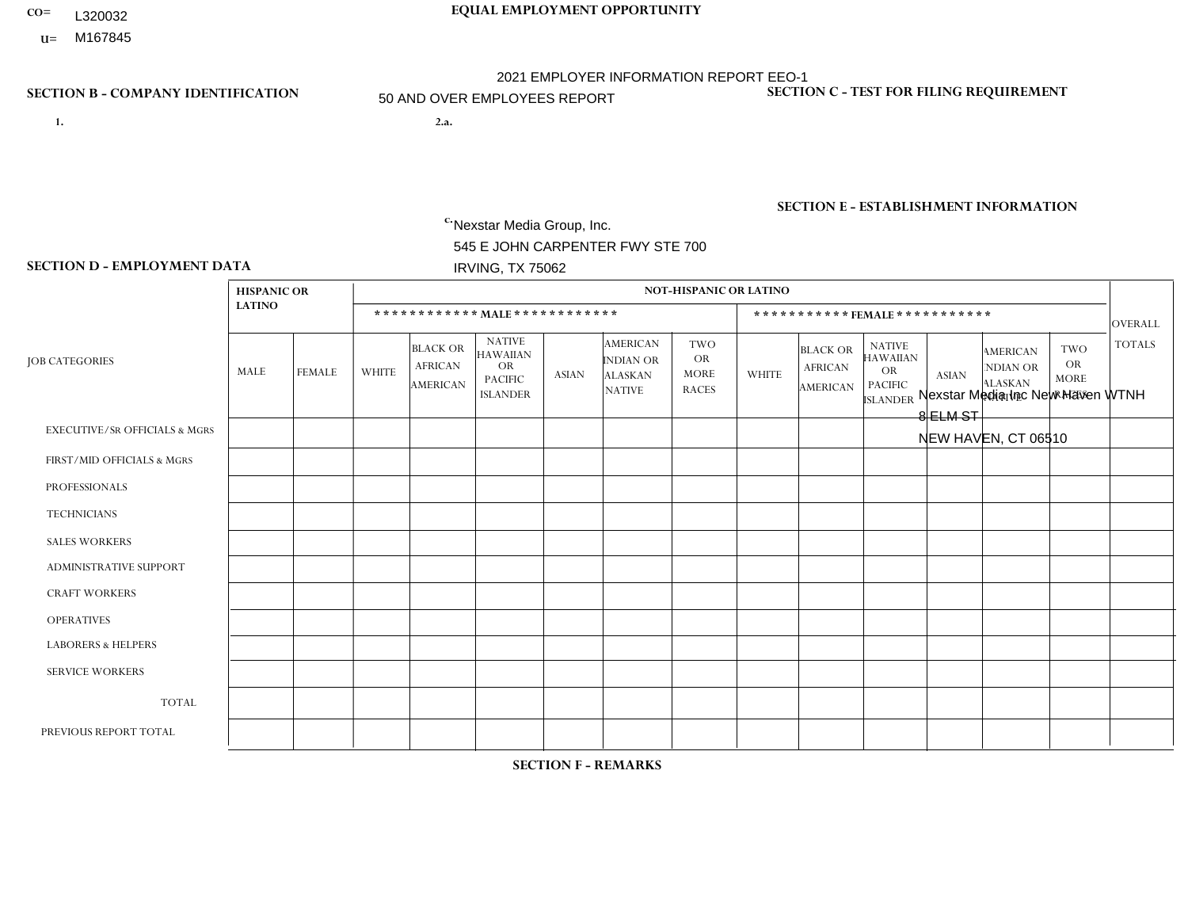- **CO= EQUAL EMPLOYMENT OPPORTUNITY** L320032
- **U=**

- **1. 2.a.** Nexstar Media Group, Inc. 545 E JOHN CARPENTER FWY STE 700 IRVING, TX 75062
- 2.a. Nexstar Media Inc New Haven WTNH 8 ELM ST NEW HAVEN, CT 06510

EIN= 233063152

# **SECTION B - COMPANY IDENTIFICATION SECTION C - TEST FOR FILING REQUIREMENT**

1- Y 2- N 3- Y DUNS= 058168001

**SECTION E - ESTABLISHMENT INFORMATION c.** NAICS: 515120 - Television Broadcasting

### **SECTION D - EMPLOYMENT DATA**

|                                          | <b>HISPANIC OR</b> |                |              |                                                      |                                                                                    |                |                                                                        | <b>NOT-HISPANIC OR LATINO</b>                          |                |                                                      |                                                                                    |                |                                                                       |                                                        |                |
|------------------------------------------|--------------------|----------------|--------------|------------------------------------------------------|------------------------------------------------------------------------------------|----------------|------------------------------------------------------------------------|--------------------------------------------------------|----------------|------------------------------------------------------|------------------------------------------------------------------------------------|----------------|-----------------------------------------------------------------------|--------------------------------------------------------|----------------|
|                                          | <b>LATINO</b>      |                |              |                                                      | ************ MALE ************                                                     |                |                                                                        |                                                        |                | ***********FEMALE***********                         |                                                                                    |                |                                                                       |                                                        | <b>OVERALL</b> |
| <b>JOB CATEGORIES</b>                    | MALE               | <b>FEMALE</b>  | <b>WHITE</b> | <b>BLACK OR</b><br><b>AFRICAN</b><br><b>AMERICAN</b> | <b>NATIVE</b><br><b>HAWAIIAN</b><br><b>OR</b><br><b>PACIFIC</b><br><b>ISLANDER</b> | <b>ASIAN</b>   | <b>AMERICAN</b><br><b>INDIAN OR</b><br><b>ALASKAN</b><br><b>NATIVE</b> | <b>TWO</b><br><b>OR</b><br><b>MORE</b><br><b>RACES</b> | <b>WHITE</b>   | <b>BLACK OR</b><br><b>AFRICAN</b><br><b>AMERICAN</b> | <b>NATIVE</b><br><b>HAWAIIAN</b><br><b>OR</b><br><b>PACIFIC</b><br><b>ISLANDER</b> | <b>ASIAN</b>   | <b>AMERICAN</b><br><b>NDIAN OR</b><br><b>ALASKAN</b><br><b>NATIVE</b> | <b>TWO</b><br><b>OR</b><br><b>MORE</b><br><b>RACES</b> | <b>TOTALS</b>  |
| <b>EXECUTIVE/SR OFFICIALS &amp; MGRS</b> | 0                  | 0              | $\Omega$     | $\Omega$                                             | $\Omega$                                                                           | $\Omega$       | $\Omega$                                                               | $\Omega$                                               | 0              | $\Omega$                                             | $\Omega$                                                                           | $\Omega$       | $\Omega$                                                              | $\Omega$                                               | $\Omega$       |
| FIRST/MID OFFICIALS & MGRS               | 0                  | $\Omega$       | 6            | 1                                                    | $\Omega$                                                                           | $\Omega$       | $\Omega$                                                               | $\Omega$                                               | $\overline{2}$ | $\overline{ }$                                       | $\Omega$                                                                           | $\Omega$       | $\Omega$                                                              | $\Omega$                                               | 10             |
| <b>PROFESSIONALS</b>                     | $\Omega$           | $\overline{0}$ | 13           | $\mathbf 0$                                          | $\mathbf 0$                                                                        | 3              | $\Omega$                                                               | $\Omega$                                               | 5              | $\Omega$                                             | $\Omega$                                                                           | $\overline{2}$ | $\Omega$                                                              | $\mathbf 1$                                            | 24             |
| <b>TECHNICIANS</b>                       | 5                  | $\mathbf{1}$   | 33           | 8                                                    | $\mathbf 0$                                                                        | 3              | $\Omega$                                                               | $\Omega$                                               | 17             | 2                                                    | $\Omega$                                                                           | 5              | $\Omega$                                                              | $\Omega$                                               | 74             |
| <b>SALES WORKERS</b>                     | 0                  | $\Omega$       | 4            | $\Omega$                                             | $\Omega$                                                                           | $\Omega$       | $\Omega$                                                               | $\Omega$                                               | 3              | $\mathbf{1}$                                         | $\Omega$                                                                           | $\Omega$       | $\Omega$                                                              | $\Omega$                                               | 8              |
| ADMINISTRATIVE SUPPORT                   | 0                  | $\mathbf{1}$   | 3            | $\mathbf 0$                                          | $\mathbf 0$                                                                        | $\mathbf{1}$   | $\Omega$                                                               | $\Omega$                                               | 8              | $\mathbf{1}$                                         | $\Omega$                                                                           | 1              | $\Omega$                                                              | $\Omega$                                               | 15             |
| <b>CRAFT WORKERS</b>                     | 0                  | $\Omega$       | $\mathbf 0$  | $\mathbf 0$                                          | $\mathbf 0$                                                                        | $\Omega$       | $\Omega$                                                               | $\Omega$                                               | $\Omega$       | $\Omega$                                             | $\Omega$                                                                           | $\Omega$       | $\Omega$                                                              | $\Omega$                                               | $\Omega$       |
| <b>OPERATIVES</b>                        | 0                  | $\Omega$       | 0            | $\mathbf 0$                                          | 0                                                                                  | $\Omega$       | $\Omega$                                                               | $\Omega$                                               | $\Omega$       | $\Omega$                                             | $\Omega$                                                                           | $\Omega$       | $\Omega$                                                              | $\Omega$                                               | $\mathbf 0$    |
| <b>LABORERS &amp; HELPERS</b>            | 0                  | $\Omega$       | $\Omega$     | $\mathbf 0$                                          | $\Omega$                                                                           | $\Omega$       | $\Omega$                                                               | $\Omega$                                               | $\Omega$       | $\Omega$                                             | $\Omega$                                                                           | $\Omega$       | 0                                                                     | $\Omega$                                               | $\mathbf 0$    |
| <b>SERVICE WORKERS</b>                   | 0                  | $\Omega$       | $\mathbf 0$  | $\mathbf 0$                                          | 0                                                                                  | 0              | $\Omega$                                                               | $\Omega$                                               | 0              | $\Omega$                                             | $\Omega$                                                                           | $\Omega$       | $\Omega$                                                              | $\Omega$                                               | $\mathbf 0$    |
| <b>TOTAL</b>                             | 5                  | $\overline{2}$ | 59           | 9                                                    | 0                                                                                  | $\overline{7}$ | $\Omega$                                                               | $\Omega$                                               | 35             | 5                                                    | $\Omega$                                                                           | 8              | $\Omega$                                                              | $\blacktriangleleft$                                   | 131            |
| PREVIOUS REPORT TOTAL                    | 4                  | 8              | 61           | 9                                                    | $\mathbf 0$                                                                        | $\Omega$       | $\Omega$                                                               | $\Omega$                                               | 40             | 5                                                    | $\Omega$                                                                           | 4              | $\Omega$                                                              | $\mathbf{1}$                                           | 132            |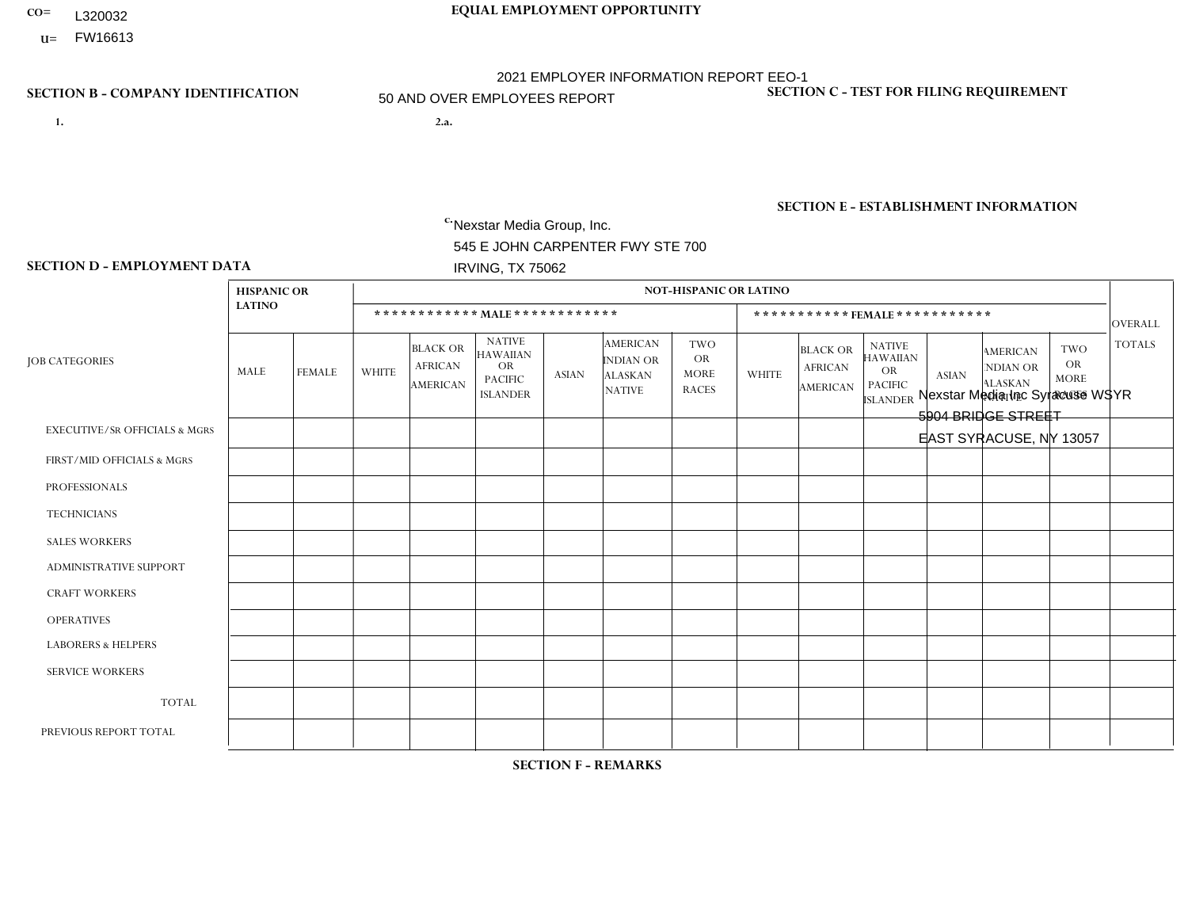- **CO= EQUAL EMPLOYMENT OPPORTUNITY** L320032
	- **U=**

- **1. 2.a.** Nexstar Media Group, Inc. 545 E JOHN CARPENTER FWY STE 700 IRVING, TX 75062
- 2.a. Nexstar Media Inc Syracuse WSYR 5904 BRIDGE STREET EAST SYRACUSE, NY 13057

EIN= 233063152

# **SECTION B - COMPANY IDENTIFICATION SECTION C - TEST FOR FILING REQUIREMENT**

1- Y 2- N 3- Y DUNS= 058168001

**SECTION E - ESTABLISHMENT INFORMATION c.** NAICS: 515120 - Television Broadcasting

### **SECTION D - EMPLOYMENT DATA**

|                                          | <b>HISPANIC OR</b> |               |                |                                                      |                                                                             |              |                                                                 | <b>NOT-HISPANIC OR LATINO</b>                          |                |                                                      |                                                                                    |                      |                                                                       |                                                        |                |
|------------------------------------------|--------------------|---------------|----------------|------------------------------------------------------|-----------------------------------------------------------------------------|--------------|-----------------------------------------------------------------|--------------------------------------------------------|----------------|------------------------------------------------------|------------------------------------------------------------------------------------|----------------------|-----------------------------------------------------------------------|--------------------------------------------------------|----------------|
|                                          | <b>LATINO</b>      |               |                |                                                      | ************ MALE************                                               |              |                                                                 |                                                        |                |                                                      | *********** FEMALE ***********                                                     |                      |                                                                       |                                                        | <b>OVERALL</b> |
| <b>JOB CATEGORIES</b>                    | MALE               | <b>FEMALE</b> | <b>WHITE</b>   | <b>BLACK OR</b><br><b>AFRICAN</b><br><b>AMERICAN</b> | <b>NATIVE</b><br><b>HAWAIIAN</b><br>OR<br><b>PACIFIC</b><br><b>ISLANDER</b> | <b>ASIAN</b> | <b>AMERICAN</b><br>INDIAN OR<br><b>ALASKAN</b><br><b>NATIVE</b> | <b>TWO</b><br><b>OR</b><br><b>MORE</b><br><b>RACES</b> | <b>WHITE</b>   | <b>BLACK OR</b><br><b>AFRICAN</b><br><b>AMERICAN</b> | <b>NATIVE</b><br><b>HAWAIIAN</b><br><b>OR</b><br><b>PACIFIC</b><br><b>ISLANDER</b> | <b>ASIAN</b>         | <b>AMERICAN</b><br><b>NDIAN OR</b><br><b>ALASKAN</b><br><b>NATIVE</b> | <b>TWO</b><br><b>OR</b><br><b>MORE</b><br><b>RACES</b> | <b>TOTALS</b>  |
| <b>EXECUTIVE/SR OFFICIALS &amp; MGRS</b> | $\mathbf 0$        | $\mathbf 0$   | $\mathbf 0$    | $\mathbf 0$                                          | $\mathbf 0$                                                                 | $\mathbf 0$  | $\Omega$                                                        | $\Omega$                                               | $\Omega$       | $\Omega$                                             | $\Omega$                                                                           | $\mathbf 0$          | $\Omega$                                                              | $\Omega$                                               | $\mathbf 0$    |
| FIRST/MID OFFICIALS & MGRS               | 0                  | $\mathbf 0$   | 5              | $\mathbf 0$                                          | $\mathbf 0$                                                                 | $\mathbf 0$  | $\Omega$                                                        | $\Omega$                                               | $\Omega$       | $\Omega$                                             | $\Omega$                                                                           | $\Omega$             | $\mathbf{0}$                                                          | $\Omega$                                               | 5              |
| <b>PROFESSIONALS</b>                     | 0                  | $\Omega$      | $\overline{7}$ | $\mathbf 0$                                          | $\Omega$                                                                    | $\Omega$     | $\Omega$                                                        | $\Omega$                                               |                | $\mathbf 1$                                          | $\Omega$                                                                           | $\Omega$             | $\Omega$                                                              | $\mathbf{0}$                                           | 9              |
| <b>TECHNICIANS</b>                       | 1                  | $\mathbf 0$   | 24             | $\mathbf{1}$                                         | $\mathbf 0$                                                                 | $\mathbf 0$  | $\Omega$                                                        | $\Omega$                                               | 23             | 0                                                    | $\mathbf 0$                                                                        | $\mathbf{1}$         | $\mathbf 0$                                                           | $\Omega$                                               | 50             |
| <b>SALES WORKERS</b>                     | $\Omega$           | $\mathbf 0$   | 3              | $\mathbf 0$                                          | $\mathbf 0$                                                                 | $\Omega$     | $\Omega$                                                        | $\Omega$                                               | $\overline{4}$ | $\Omega$                                             | $\mathbf{0}$                                                                       | $\Omega$             | $\mathbf{0}$                                                          | $\Omega$                                               | $\overline{7}$ |
| <b>ADMINISTRATIVE SUPPORT</b>            | 0                  | $\mathbf 0$   | 13             | $\mathbf 0$                                          | $\mathbf 0$                                                                 | $\mathbf 0$  | $\Omega$                                                        | $\Omega$                                               | $\overline{7}$ | 1                                                    | $\Omega$                                                                           | $\mathbf{0}$         | $\Omega$                                                              | 0                                                      | 21             |
| <b>CRAFT WORKERS</b>                     | 0                  | $\Omega$      | $\mathbf 0$    | $\mathbf 0$                                          | $\Omega$                                                                    | $\Omega$     | $\Omega$                                                        | $\Omega$                                               | $\Omega$       | $\Omega$                                             | $\Omega$                                                                           | $\Omega$             | $\Omega$                                                              | $\mathbf{0}$                                           | $\mathbf{0}$   |
| <b>OPERATIVES</b>                        | 0                  | $\Omega$      | $\mathbf 0$    | $\mathbf 0$                                          | $\mathbf 0$                                                                 | $\mathbf 0$  | $\Omega$                                                        | $\Omega$                                               | $\Omega$       | $\Omega$                                             | $\Omega$                                                                           | $\Omega$             | $\Omega$                                                              | $\Omega$                                               | $\mathbf{0}$   |
| <b>LABORERS &amp; HELPERS</b>            | 0                  | $\Omega$      | $\mathbf 0$    | $\mathbf 0$                                          | $\mathbf 0$                                                                 | $\Omega$     | $\Omega$                                                        | $\Omega$                                               | $\Omega$       | $\Omega$                                             | $\mathbf{0}$                                                                       | $\mathbf{0}$         | $\Omega$                                                              | $\Omega$                                               | $\mathbf 0$    |
| <b>SERVICE WORKERS</b>                   | 0                  | $\mathbf 0$   | $\mathbf 0$    | $\mathbf{1}$                                         | $\mathbf 0$                                                                 | $\mathbf 0$  | $\Omega$                                                        | $\Omega$                                               | $\Omega$       | $\Omega$                                             | $\Omega$                                                                           | $\Omega$             | $\mathbf{0}$                                                          | $\mathbf 0$                                            | $\mathbf{1}$   |
| <b>TOTAL</b>                             | 1                  | $\mathbf 0$   | 52             | $\overline{2}$                                       | $\mathbf 0$                                                                 | $\mathbf 0$  | $\Omega$                                                        | $\Omega$                                               | 35             | $\overline{2}$                                       | $\Omega$                                                                           | $\mathbf{1}$         | $\Omega$                                                              | $\mathbf{0}$                                           | 93             |
| PREVIOUS REPORT TOTAL                    | 0                  | $\mathbf 0$   | 73             | $\sqrt{3}$                                           | $\overline{0}$                                                              | $\Omega$     | $\Omega$                                                        | $\Omega$                                               | 40             | $\Omega$                                             | $\Omega$                                                                           | $\blacktriangleleft$ | $\mathbf{0}$                                                          | $\Omega$                                               | 117            |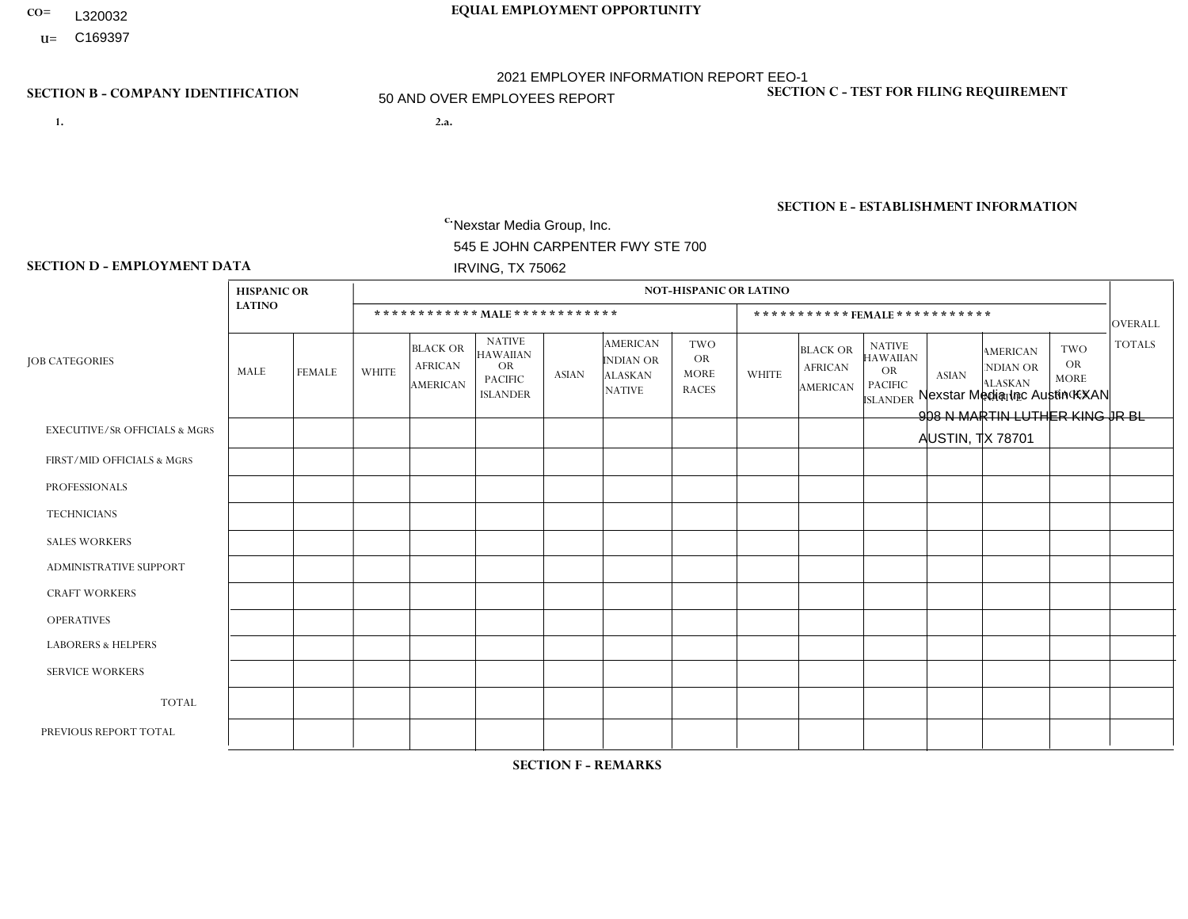- **CO= EQUAL EMPLOYMENT OPPORTUNITY** L320032
	- **U=**

- **1. 2.a.** Nexstar Media Group, Inc. 545 E JOHN CARPENTER FWY STE 700 IRVING, TX 75062
- 2.a. Nexstar Media Inc Austin KXAN 908 N MARTIN LUTHER KING JR BL AUSTIN, TX 78701

EIN= 233063152

# **SECTION B - COMPANY IDENTIFICATION SECTION C - TEST FOR FILING REQUIREMENT**

1- Y 2- N 3- Y DUNS= 058168001

# **SECTION E - ESTABLISHMENT INFORMATION c.** NAICS: 515120 - Television Broadcasting

### **SECTION D - EMPLOYMENT DATA**

|                                          | <b>HISPANIC OR</b> |                |                |                                                      |                                                                                    |                |                                                                        | <b>NOT-HISPANIC OR LATINO</b>                          |                |                                                      |                                                                             |                |                                                                       |                                                        |                |
|------------------------------------------|--------------------|----------------|----------------|------------------------------------------------------|------------------------------------------------------------------------------------|----------------|------------------------------------------------------------------------|--------------------------------------------------------|----------------|------------------------------------------------------|-----------------------------------------------------------------------------|----------------|-----------------------------------------------------------------------|--------------------------------------------------------|----------------|
|                                          | <b>LATINO</b>      |                |                |                                                      | ************ MAIE************                                                      |                |                                                                        |                                                        |                |                                                      | *********** FEMALE ***********                                              |                |                                                                       |                                                        | <b>OVERALL</b> |
| <b>JOB CATEGORIES</b>                    | MALE               | <b>FEMALE</b>  | <b>WHITE</b>   | <b>BLACK OR</b><br><b>AFRICAN</b><br><b>AMERICAN</b> | <b>NATIVE</b><br><b>HAWAIIAN</b><br><b>OR</b><br><b>PACIFIC</b><br><b>ISLANDER</b> | <b>ASIAN</b>   | <b>AMERICAN</b><br><b>INDIAN OR</b><br><b>ALASKAN</b><br><b>NATIVE</b> | <b>TWO</b><br><b>OR</b><br><b>MORE</b><br><b>RACES</b> | <b>WHITE</b>   | <b>BLACK OR</b><br><b>AFRICAN</b><br><b>AMERICAN</b> | <b>NATIVE</b><br><b>HAWAIIAN</b><br>OR<br><b>PACIFIC</b><br><b>ISLANDER</b> | <b>ASIAN</b>   | <b>AMERICAN</b><br><b>NDIAN OR</b><br><b>ALASKAN</b><br><b>NATIVE</b> | <b>TWO</b><br><b>OR</b><br><b>MORE</b><br><b>RACES</b> | <b>TOTALS</b>  |
| <b>EXECUTIVE/SR OFFICIALS &amp; MGRS</b> | $\Omega$           | $\mathbf 0$    | $\mathbf 0$    | 0                                                    | $\Omega$                                                                           | $\Omega$       | $\Omega$                                                               | $\Omega$                                               | $\Omega$       | $\Omega$                                             | $\Omega$                                                                    | $\Omega$       | $\Omega$                                                              | $\Omega$                                               | $\mathbf 0$    |
| FIRST/MID OFFICIALS & MGRS               | $\mathbf 0$        | $\mathbf 0$    | 4              | $\mathbf 0$                                          | $\mathbf{0}$                                                                       | 2              | $\Omega$                                                               | $\Omega$                                               | 4              | $\Omega$                                             | $\Omega$                                                                    | $\Omega$       | $\Omega$                                                              | $\Omega$                                               | 10             |
| <b>PROFESSIONALS</b>                     | -1                 | $\overline{2}$ | $\overline{7}$ | 0                                                    | $\Omega$                                                                           | $\Omega$       | $\Omega$                                                               | $\Omega$                                               | 8              | 3                                                    | $\Omega$                                                                    | $\mathbf{1}$   | $\Omega$                                                              | $\mathbf 0$                                            | 22             |
| <b>TECHNICIANS</b>                       | 8                  | $\overline{2}$ | 23             | $\overline{c}$                                       | $\Omega$                                                                           | 15             | $\Omega$                                                               | $\Omega$                                               | 13             | 2                                                    | $\mathbf 0$                                                                 | $\overline{4}$ | $\Omega$                                                              | $\mathbf{1}$                                           | 70             |
| <b>SALES WORKERS</b>                     | $\mathbf 0$        | $\overline{1}$ | $\overline{7}$ | 0                                                    | $\Omega$                                                                           | $\overline{2}$ | $\Omega$                                                               | $\Omega$                                               | $\overline{2}$ | $\Omega$                                             | $\Omega$                                                                    | $\overline{2}$ | -1                                                                    | $\Omega$                                               | 15             |
| ADMINISTRATIVE SUPPORT                   | 2                  | 3              | 8              | $\mathbf 0$                                          | $\Omega$                                                                           | $\Omega$       | $\Omega$                                                               | $\Omega$                                               | $\overline{4}$ | $\Omega$                                             | $\Omega$                                                                    | $\overline{1}$ | $\Omega$                                                              | $\Omega$                                               | 18             |
| <b>CRAFT WORKERS</b>                     | $\mathbf 0$        | $\mathbf 0$    | 0              | 0                                                    | $\Omega$                                                                           | $\Omega$       | $\Omega$                                                               | $\Omega$                                               | $\Omega$       | $\Omega$                                             | $\Omega$                                                                    | $\Omega$       | $\Omega$                                                              | $\Omega$                                               | $\mathbf 0$    |
| <b>OPERATIVES</b>                        | $\mathbf 0$        | $\mathbf 0$    | $\mathbf 0$    | $\mathbf 0$                                          | $\Omega$                                                                           | $\Omega$       | $\Omega$                                                               | $\Omega$                                               | $\Omega$       | $\Omega$                                             | $\Omega$                                                                    | $\Omega$       | $\Omega$                                                              | $\Omega$                                               | $\mathbf 0$    |
| <b>LABORERS &amp; HELPERS</b>            | $\mathbf{0}$       | $\Omega$       | $\mathbf 0$    | 0                                                    | $\Omega$                                                                           | $\Omega$       | $\Omega$                                                               | $\Omega$                                               | $\Omega$       | $\Omega$                                             | $\Omega$                                                                    | $\Omega$       | $\Omega$                                                              | $\Omega$                                               | $\mathbf 0$    |
| <b>SERVICE WORKERS</b>                   | $\mathbf{0}$       | $\mathbf 0$    | 0              | 0                                                    | $\Omega$                                                                           | $\Omega$       | $\Omega$                                                               | $\Omega$                                               | $\Omega$       | $\Omega$                                             | $\Omega$                                                                    | $\Omega$       | $\Omega$                                                              | $\Omega$                                               | 0              |
| <b>TOTAL</b>                             | 11                 | 8              | 49             | $\overline{c}$                                       | $\mathbf 0$                                                                        | 19             | $\Omega$                                                               | $\Omega$                                               | 31             | 5                                                    | $\mathbf 0$                                                                 | 8              |                                                                       | $\mathbf{1}$                                           | 135            |
| PREVIOUS REPORT TOTAL                    | 16                 | 11             | 74             | $\overline{7}$                                       | $\Omega$                                                                           | 8              | $\overline{2}$                                                         |                                                        | 48             | $\overline{4}$                                       | $\Omega$                                                                    | 8              | $\Omega$                                                              | $\mathbf{1}$                                           | 180            |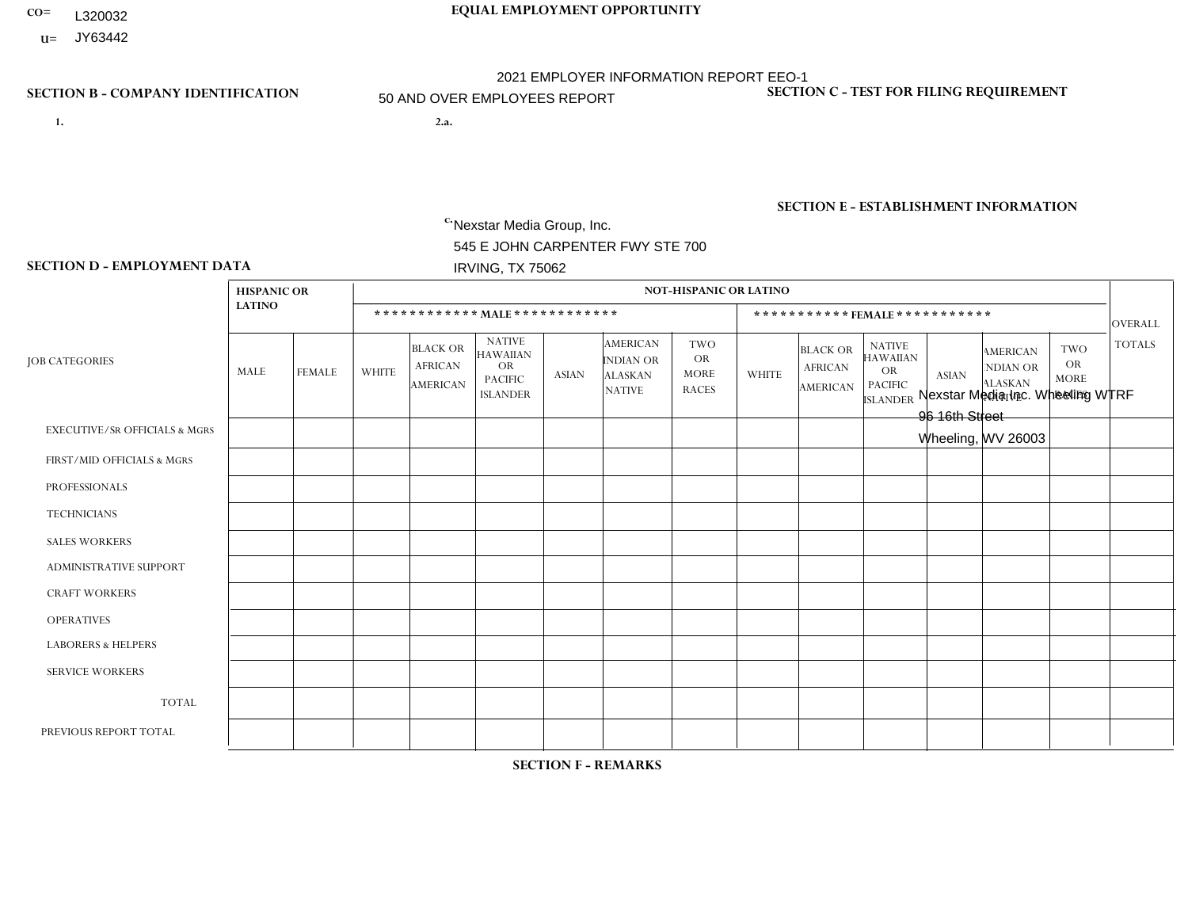- **CO= EQUAL EMPLOYMENT OPPORTUNITY** L320032
- **U=**

- **1. 2.a.** Nexstar Media Group, Inc. 545 E JOHN CARPENTER FWY STE 700 IRVING, TX 75062
- 2.a. Nexstar Media Inc. Wheeling WTRF 96 16th Street Wheeling, WV 26003

EIN= 233063152

### **SECTION B - COMPANY IDENTIFICATION SECTION C - TEST FOR FILING REQUIREMENT**

1- Y 2- N 3- Y DUNS= 058168001

# **SECTION E - ESTABLISHMENT INFORMATION c.** NAICS: 515120 - Television Broadcasting

### **SECTION D - EMPLOYMENT DATA**

|                                          | <b>HISPANIC OR</b> |               |                |                                                      |                                                                                    |              |                                                                 | <b>NOT-HISPANIC OR LATINO</b>                          |                |                                                      |                                                                                    |                |                                                                       |                                                        |                |
|------------------------------------------|--------------------|---------------|----------------|------------------------------------------------------|------------------------------------------------------------------------------------|--------------|-----------------------------------------------------------------|--------------------------------------------------------|----------------|------------------------------------------------------|------------------------------------------------------------------------------------|----------------|-----------------------------------------------------------------------|--------------------------------------------------------|----------------|
|                                          | <b>LATINO</b>      |               |                |                                                      | ************ MALE ************                                                     |              |                                                                 |                                                        |                |                                                      | ***********FEMALE***********                                                       |                |                                                                       |                                                        | <b>OVERALL</b> |
| <b>JOB CATEGORIES</b>                    | MALE               | <b>FEMALE</b> | <b>WHITE</b>   | <b>BLACK OR</b><br><b>AFRICAN</b><br><b>AMERICAN</b> | <b>NATIVE</b><br><b>HAWAIIAN</b><br><b>OR</b><br><b>PACIFIC</b><br><b>ISLANDER</b> | <b>ASIAN</b> | <b>AMERICAN</b><br>INDIAN OR<br><b>ALASKAN</b><br><b>NATIVE</b> | <b>TWO</b><br><b>OR</b><br><b>MORE</b><br><b>RACES</b> | <b>WHITE</b>   | <b>BLACK OR</b><br><b>AFRICAN</b><br><b>AMERICAN</b> | <b>NATIVE</b><br><b>HAWAIIAN</b><br><b>OR</b><br><b>PACIFIC</b><br><b>ISLANDER</b> | <b>ASIAN</b>   | <b>AMERICAN</b><br><b>NDIAN OR</b><br><b>ALASKAN</b><br><b>NATIVE</b> | <b>TWO</b><br><b>OR</b><br><b>MORE</b><br><b>RACES</b> | <b>TOTALS</b>  |
| <b>EXECUTIVE/SR OFFICIALS &amp; MGRS</b> | $\Omega$           | $\Omega$      | $\mathbf 0$    | $\mathbf 0$                                          | $\mathbf 0$                                                                        | $\mathbf{0}$ | $\mathbf{0}$                                                    | $\Omega$                                               | $\Omega$       | $\Omega$                                             | $\mathbf{0}$                                                                       | $\mathbf{0}$   | $\mathbf{0}$                                                          | $\Omega$                                               | $\mathbf{0}$   |
| FIRST/MID OFFICIALS & MGRS               | 0                  | $\mathbf 0$   | $\overline{1}$ | $\mathbf 0$                                          | $\mathbf 0$                                                                        | $\Omega$     | $\Omega$                                                        | $\Omega$                                               | 3              | $\Omega$                                             | $\mathbf{0}$                                                                       | $\mathbf{0}$   | $\Omega$                                                              | $\Omega$                                               | $\overline{4}$ |
| <b>PROFESSIONALS</b>                     | 0                  | $\mathbf 0$   | 3              | $\mathbf 0$                                          | $\mathbf 0$                                                                        | $\Omega$     | $\mathbf{0}$                                                    | $\Omega$                                               |                | $\Omega$                                             | $\Omega$                                                                           | $\mathbf{0}$   | $\mathbf{0}$                                                          | $\mathbf{0}$                                           | $\overline{4}$ |
| <b>TECHNICIANS</b>                       | 0                  | $\mathbf 0$   | 18             | $\mathbf{1}$                                         | $\mathbf 0$                                                                        | $\mathbf 0$  | $\Omega$                                                        | $\Omega$                                               | 12             | 0                                                    | $\Omega$                                                                           | $\overline{2}$ | $\Omega$                                                              | $\mathbf{0}$                                           | 33             |
| <b>SALES WORKERS</b>                     | 0                  | $\Omega$      | 6              | $\mathbf 0$                                          | $\Omega$                                                                           | $\Omega$     | $\Omega$                                                        | $\Omega$                                               | $\mathbf{1}$   | $\Omega$                                             | $\Omega$                                                                           | $\Omega$       | $\Omega$                                                              | $\mathbf{0}$                                           | $\overline{7}$ |
| <b>ADMINISTRATIVE SUPPORT</b>            | $\mathbf 0$        | $\mathbf 0$   | $\overline{c}$ | $\mathbf 0$                                          | $\mathbf 0$                                                                        | $\mathbf 0$  | $\Omega$                                                        | $\Omega$                                               | $\overline{2}$ | $\Omega$                                             | $\Omega$                                                                           | $\Omega$       | $\Omega$                                                              | $\mathbf{0}$                                           | $\overline{4}$ |
| <b>CRAFT WORKERS</b>                     | 0                  | $\Omega$      | $\mathbf 0$    | $\mathbf 0$                                          | $\Omega$                                                                           | $\Omega$     | $\Omega$                                                        | $\Omega$                                               | $\Omega$       | $\Omega$                                             | $\Omega$                                                                           | $\Omega$       | $\Omega$                                                              | $\mathbf{0}$                                           | $\Omega$       |
| <b>OPERATIVES</b>                        | 0                  | $\Omega$      | $\mathbf 0$    | $\mathbf 0$                                          | $\mathbf 0$                                                                        | $\Omega$     | $\Omega$                                                        | $\Omega$                                               | $\Omega$       | $\Omega$                                             | $\Omega$                                                                           | $\mathbf{0}$   | $\Omega$                                                              | $\Omega$                                               | $\mathbf{0}$   |
| <b>LABORERS &amp; HELPERS</b>            | 0                  | $\Omega$      | $\mathbf 0$    | $\mathbf 0$                                          | $\Omega$                                                                           | $\Omega$     | $\Omega$                                                        | $\Omega$                                               | $\Omega$       | $\Omega$                                             | $\Omega$                                                                           | $\Omega$       | $\Omega$                                                              | $\Omega$                                               | $\mathbf 0$    |
| <b>SERVICE WORKERS</b>                   | 0                  | $\mathbf 0$   | $\mathbf 0$    | $\mathbf 0$                                          | $\mathbf 0$                                                                        | $\mathbf 0$  | $\mathbf{0}$                                                    | $\Omega$                                               | $\Omega$       | $\Omega$                                             | $\mathbf{0}$                                                                       | $\mathbf{0}$   | $\mathbf{0}$                                                          | $\Omega$                                               | $\mathbf 0$    |
| <b>TOTAL</b>                             | $\Omega$           | $\mathbf{0}$  | 30             | $\mathbf{1}$                                         | $\mathbf 0$                                                                        | $\mathbf{0}$ | $\Omega$                                                        | $\Omega$                                               | 19             | $\Omega$                                             | $\Omega$                                                                           | 2              | $\Omega$                                                              | $\Omega$                                               | 52             |
| PREVIOUS REPORT TOTAL                    | 0                  | $\mathbf 0$   | 28             | $\mathbf{1}$                                         | $\mathbf 0$                                                                        | $\Omega$     | $\Omega$                                                        | $\Omega$                                               | 20             | $\Omega$                                             | $\Omega$                                                                           | 1              |                                                                       | 1                                                      | 52             |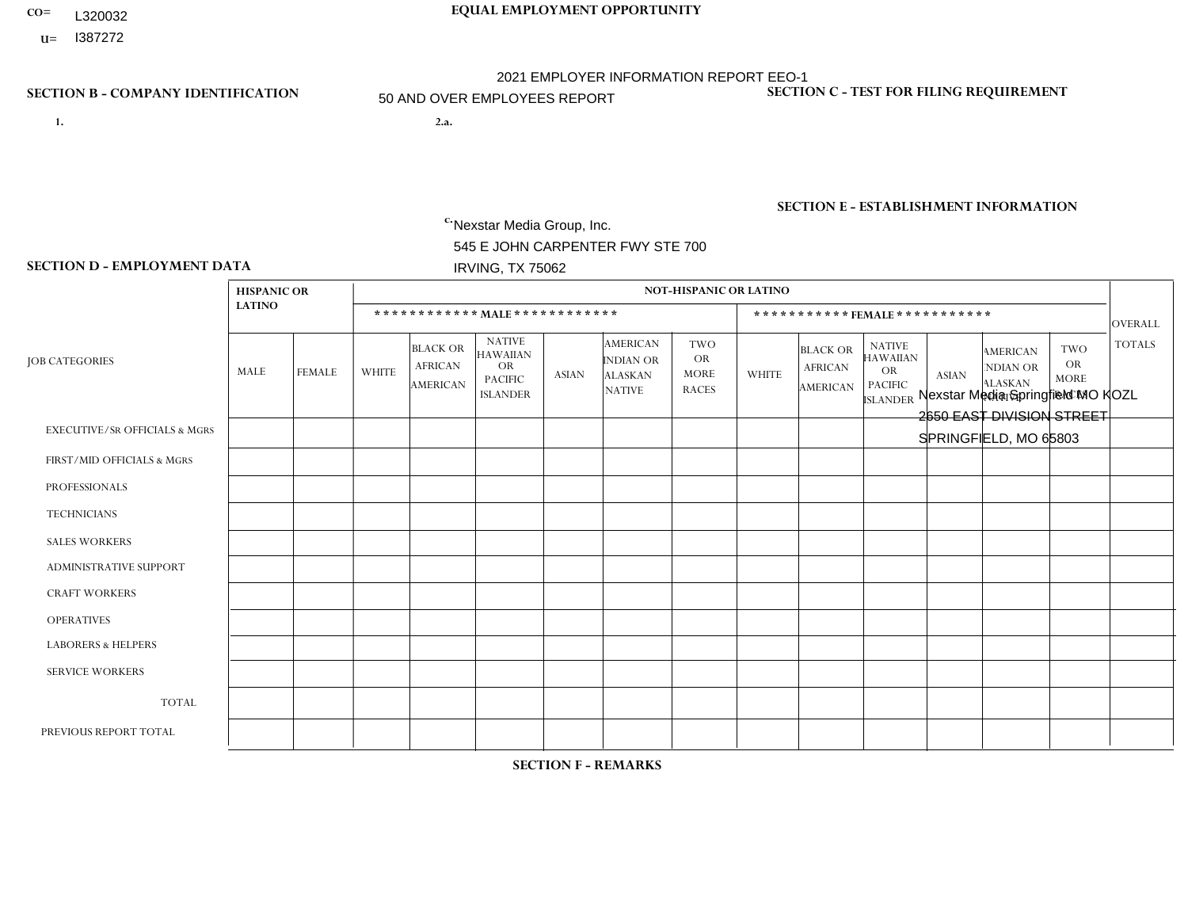- **CO= EQUAL EMPLOYMENT OPPORTUNITY** L320032
- **U=**

- **1. 2.a.** Nexstar Media Group, Inc. 545 E JOHN CARPENTER FWY STE 700 IRVING, TX 75062
- 2.a. Nexstar Media Springfield MO KOZL 2650 EAST DIVISION STREET SPRINGFIELD, MO 65803

EIN= 233063152

### **SECTION B - COMPANY IDENTIFICATION SECTION C - TEST FOR FILING REQUIREMENT**

1- Y 2- N 3- Y DUNS= 058168001

**SECTION E - ESTABLISHMENT INFORMATION c.** NAICS: 515120 - Television Broadcasting

### **SECTION D - EMPLOYMENT DATA**

|                                          | <b>HISPANIC OR</b> |                |              |                                                      |                                                                                    |              |                                                                        | <b>NOT-HISPANIC OR LATINO</b>                          |                |                                                      |                                                                             |              |                                                                       |                                                        |                |
|------------------------------------------|--------------------|----------------|--------------|------------------------------------------------------|------------------------------------------------------------------------------------|--------------|------------------------------------------------------------------------|--------------------------------------------------------|----------------|------------------------------------------------------|-----------------------------------------------------------------------------|--------------|-----------------------------------------------------------------------|--------------------------------------------------------|----------------|
|                                          | <b>LATINO</b>      |                |              |                                                      | ************ MALE************                                                      |              |                                                                        |                                                        |                | *********** FEMALE ***********                       |                                                                             |              |                                                                       |                                                        | <b>OVERALL</b> |
| <b>JOB CATEGORIES</b>                    | MALE               | <b>FEMALE</b>  | <b>WHITE</b> | <b>BLACK OR</b><br><b>AFRICAN</b><br><b>AMERICAN</b> | <b>NATIVE</b><br><b>HAWAIIAN</b><br><b>OR</b><br><b>PACIFIC</b><br><b>ISLANDER</b> | <b>ASIAN</b> | <b>AMERICAN</b><br><b>INDIAN OR</b><br><b>ALASKAN</b><br><b>NATIVE</b> | <b>TWO</b><br><b>OR</b><br><b>MORE</b><br><b>RACES</b> | <b>WHITE</b>   | <b>BLACK OR</b><br><b>AFRICAN</b><br><b>AMERICAN</b> | <b>NATIVE</b><br><b>HAWAIIAN</b><br>OR<br><b>PACIFIC</b><br><b>ISLANDER</b> | <b>ASIAN</b> | <b>AMERICAN</b><br><b>NDIAN OR</b><br><b>ALASKAN</b><br><b>NATIVE</b> | <b>TWO</b><br><b>OR</b><br><b>MORE</b><br><b>RACES</b> | <b>TOTALS</b>  |
| <b>EXECUTIVE/SR OFFICIALS &amp; MGRS</b> | $\Omega$           | $\mathbf 0$    | 1            | $\mathbf 0$                                          | $\mathbf 0$                                                                        | $\mathbf 0$  | $\Omega$                                                               | $\Omega$                                               | $\Omega$       | $\Omega$                                             | $\Omega$                                                                    | $\mathbf 0$  | $\Omega$                                                              | $\Omega$                                               | $\overline{1}$ |
| FIRST/MID OFFICIALS & MGRS               | 0                  | $\Omega$       | 3            | $\mathbf 0$                                          | $\mathbf 0$                                                                        | $\Omega$     | $\Omega$                                                               | $\Omega$                                               | $\overline{2}$ | $\Omega$                                             | $\Omega$                                                                    | $\Omega$     | $\Omega$                                                              | $\Omega$                                               | 5              |
| <b>PROFESSIONALS</b>                     | 0                  | $\mathbf{1}$   | 12           | $\mathbf{1}$                                         | $\mathbf 0$                                                                        | $\mathbf{1}$ | $\Omega$                                                               | $\Omega$                                               | 6              | $\Omega$                                             | $\Omega$                                                                    | $\Omega$     | $\Omega$                                                              | $\Omega$                                               | 21             |
| <b>TECHNICIANS</b>                       | 0                  | $\mathbf{0}$   | 30           | $\mathbf{1}$                                         | 0                                                                                  | $\Omega$     | $\Omega$                                                               | $\Omega$                                               | 20             | $\Omega$                                             | $\Omega$                                                                    | 0            |                                                                       | $\Omega$                                               | 52             |
| <b>SALES WORKERS</b>                     | 0                  | $\Omega$       | 6            | $\mathbf 0$                                          | $\mathbf 0$                                                                        | $\Omega$     | $\Omega$                                                               | $\Omega$                                               | 4              | $\Omega$                                             | $\Omega$                                                                    | $\Omega$     | $\Omega$                                                              | $\Omega$                                               | 10             |
| <b>ADMINISTRATIVE SUPPORT</b>            | 0                  | $\mathbf{1}$   | 6            | $\mathbf 0$                                          | $\mathbf 0$                                                                        | $\Omega$     | $\Omega$                                                               | 1                                                      | 5              | $\Omega$                                             | $\Omega$                                                                    | $\Omega$     | $\Omega$                                                              | $\Omega$                                               | 13             |
| <b>CRAFT WORKERS</b>                     | 0                  | $\Omega$       | $\mathbf 0$  | $\mathbf 0$                                          | $\mathbf 0$                                                                        | $\Omega$     | $\Omega$                                                               | $\Omega$                                               | 0              | $\Omega$                                             | $\Omega$                                                                    | $\Omega$     | $\Omega$                                                              | $\Omega$                                               | $\mathbf 0$    |
| <b>OPERATIVES</b>                        | 0                  | $\Omega$       | $\mathbf 0$  | $\mathbf 0$                                          | $\Omega$                                                                           | $\Omega$     | $\Omega$                                                               | $\Omega$                                               | 0              | $\Omega$                                             | $\Omega$                                                                    | $\Omega$     | $\Omega$                                                              | $\Omega$                                               | $\Omega$       |
| <b>LABORERS &amp; HELPERS</b>            | 0                  | $\Omega$       | 0            | $\mathbf 0$                                          | $\mathbf 0$                                                                        | $\mathbf 0$  | $\Omega$                                                               | $\Omega$                                               | $\Omega$       | $\Omega$                                             | $\Omega$                                                                    | $\Omega$     | $\Omega$                                                              | $\Omega$                                               | $\mathbf 0$    |
| <b>SERVICE WORKERS</b>                   | 0                  | $\Omega$       | $\mathbf 0$  | 0                                                    | 0                                                                                  | $\Omega$     | $\Omega$                                                               | $\Omega$                                               | 0              | 0                                                    | $\Omega$                                                                    | $\Omega$     | 0                                                                     | $\Omega$                                               | $\Omega$       |
| <b>TOTAL</b>                             | 0                  | $\overline{2}$ | 58           | $\overline{2}$                                       | $\mathbf 0$                                                                        | 1            | $\Omega$                                                               | 1                                                      | 37             | $\Omega$                                             | $\Omega$                                                                    | $\Omega$     |                                                                       | $\Omega$                                               | 102            |
| PREVIOUS REPORT TOTAL                    | $\overline{2}$     | 6              | 121          | 3                                                    | 0                                                                                  | $\mathbf 1$  | $\Omega$                                                               | 2                                                      | 68             | 4                                                    | $\Omega$                                                                    | 1            | $\Omega$                                                              | 2                                                      | 210            |

**SECTION F - REMARKS**

business needs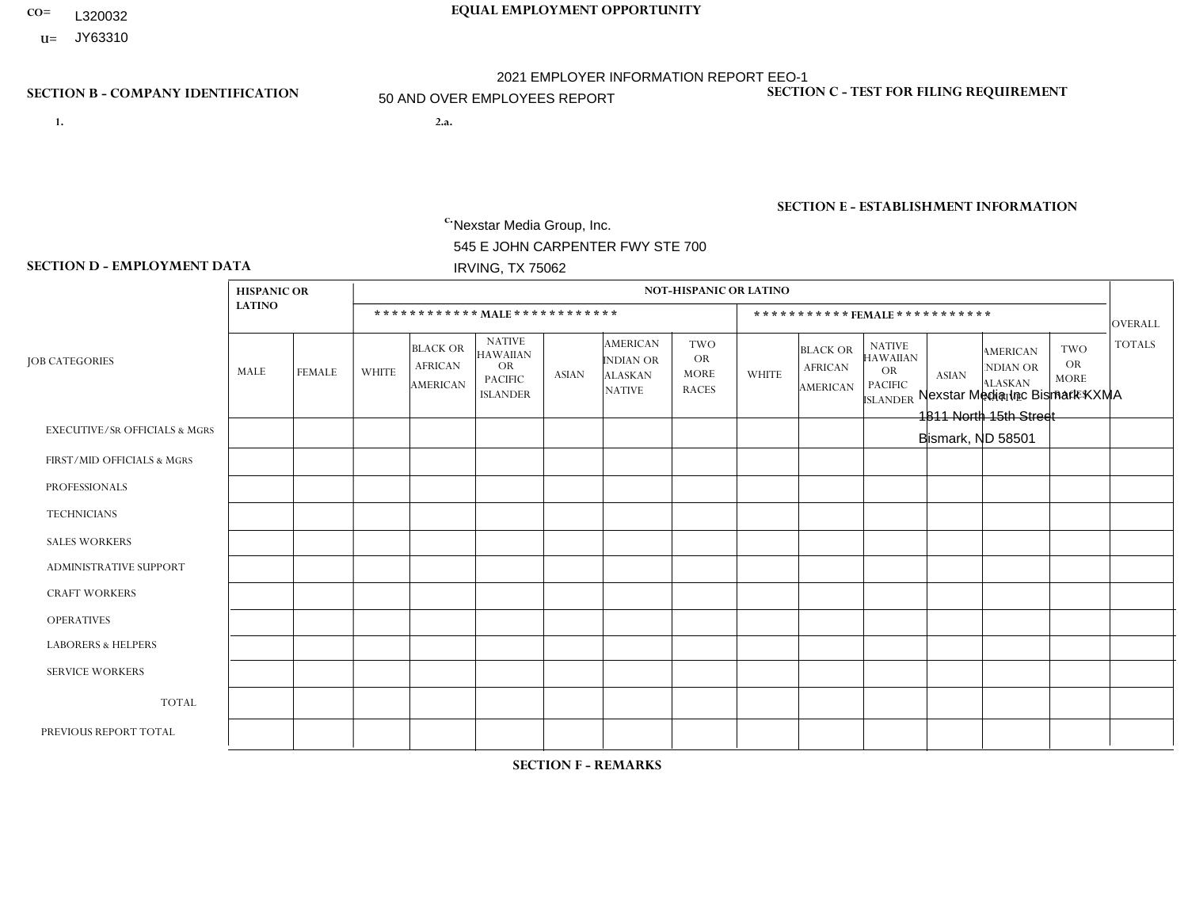- **CO= EQUAL EMPLOYMENT OPPORTUNITY** L320032
- **U=**

- **1. 2.a.** Nexstar Media Group, Inc. 545 E JOHN CARPENTER FWY STE 700 IRVING, TX 75062
- 2.a. Nexstar Media Inc Bismark KXMA 1811 North 15th Street Bismark, ND 58501

EIN= 233063152

# **SECTION B - COMPANY IDENTIFICATION SECTION C - TEST FOR FILING REQUIREMENT**

1- Y 2- N 3- Y DUNS= 058168001

# **SECTION E - ESTABLISHMENT INFORMATION c.** NAICS: 515120 - Television Broadcasting

### **SECTION D - EMPLOYMENT DATA**

|                                          | <b>HISPANIC OR</b>      |                |                |                                                      |                                                                                    |              |                                                                        | <b>NOT-HISPANIC OR LATINO</b>                          |              |                                                      |                                                                                    |                |                                                                       |                                                  |                |
|------------------------------------------|-------------------------|----------------|----------------|------------------------------------------------------|------------------------------------------------------------------------------------|--------------|------------------------------------------------------------------------|--------------------------------------------------------|--------------|------------------------------------------------------|------------------------------------------------------------------------------------|----------------|-----------------------------------------------------------------------|--------------------------------------------------|----------------|
|                                          | <b>LATINO</b>           |                |                | ************ MALE ************                       |                                                                                    |              |                                                                        |                                                        |              |                                                      | ***********FEMALE***********                                                       |                |                                                                       |                                                  | OVERALL        |
| <b>JOB CATEGORIES</b>                    | MALE                    | <b>FEMALE</b>  | <b>WHITE</b>   | <b>BLACK OR</b><br><b>AFRICAN</b><br><b>AMERICAN</b> | <b>NATIVE</b><br><b>HAWAIIAN</b><br><b>OR</b><br><b>PACIFIC</b><br><b>ISLANDER</b> | <b>ASIAN</b> | <b>AMERICAN</b><br><b>INDIAN OR</b><br><b>ALASKAN</b><br><b>NATIVE</b> | <b>TWO</b><br><b>OR</b><br><b>MORE</b><br><b>RACES</b> | <b>WHITE</b> | <b>BLACK OR</b><br><b>AFRICAN</b><br><b>AMERICAN</b> | <b>NATIVE</b><br><b>HAWAIIAN</b><br><b>OR</b><br><b>PACIFIC</b><br><b>ISLANDER</b> | <b>ASIAN</b>   | <b>AMERICAN</b><br><b>NDIAN OR</b><br><b>ALASKAN</b><br><b>NATIVE</b> | <b>TWO</b><br>OR.<br><b>MORE</b><br><b>RACES</b> | <b>TOTALS</b>  |
| <b>EXECUTIVE/SR OFFICIALS &amp; MGRS</b> | $\Omega$                | $\Omega$       | $\Omega$       | $\mathbf 0$                                          | 0                                                                                  | 0            | $\Omega$                                                               | $\Omega$                                               | $\Omega$     | $\Omega$                                             | 0                                                                                  | $\Omega$       | $\Omega$                                                              | $\mathbf 0$                                      | $\mathbf 0$    |
| FIRST/MID OFFICIALS & MGRS               | $\Omega$                | $\mathbf 0$    | 0              | $\mathbf 0$                                          | $\mathbf 0$                                                                        | 0            | $\Omega$                                                               | $\Omega$                                               | 3            | $\Omega$                                             | 0                                                                                  | 1              | $\Omega$                                                              | $\mathbf 0$                                      | 4              |
| <b>PROFESSIONALS</b>                     | $\Omega$                | $\mathbf{1}$   | 11             | $\mathbf 0$                                          | $\Omega$                                                                           | $\Omega$     | $\Omega$                                                               |                                                        | 9            |                                                      | 0                                                                                  | $\Omega$       | $\Omega$                                                              | $\Omega$                                         | 23             |
| <b>TECHNICIANS</b>                       | $\overline{\mathbf{A}}$ |                | 20             | 3                                                    | $\mathbf 0$                                                                        | $\mathbf{1}$ | $\Omega$                                                               | $\Omega$                                               | 10           | 3                                                    | 0                                                                                  | $\Omega$       | $\Omega$                                                              | 1                                                | 40             |
| <b>SALES WORKERS</b>                     | $\Omega$                | $\Omega$       | $\overline{c}$ | $\Omega$                                             | $\Omega$                                                                           | $\Omega$     | $\Omega$                                                               | $\Omega$                                               | 4            | $\Omega$                                             | 0                                                                                  | 1              | $\Omega$                                                              | $\Omega$                                         | $\overline{7}$ |
| <b>ADMINISTRATIVE SUPPORT</b>            | $\Omega$                | $\mathbf 0$    | 1              | 0                                                    | $\mathbf 0$                                                                        | 0            | $\Omega$                                                               | $\Omega$                                               | 5            | $\Omega$                                             | 0                                                                                  | $\Omega$       | $\Omega$                                                              | $\Omega$                                         | 6              |
| <b>CRAFT WORKERS</b>                     | $\Omega$                | $\mathbf 0$    | 0              | $\mathbf 0$                                          | $\mathbf 0$                                                                        | 0            | $\Omega$                                                               | $\Omega$                                               | $\Omega$     | $\Omega$                                             | 0                                                                                  | $\Omega$       | $\Omega$                                                              | $\Omega$                                         | $\mathbf{0}$   |
| <b>OPERATIVES</b>                        | $\mathbf 0$             | $\mathbf 0$    | 0              | $\mathbf 0$                                          | $\mathbf 0$                                                                        | 0            | $\Omega$                                                               | $\Omega$                                               | $\Omega$     | $\Omega$                                             | 0                                                                                  | $\Omega$       | $\Omega$                                                              | $\Omega$                                         | $\mathbf{0}$   |
| <b>LABORERS &amp; HELPERS</b>            | $\Omega$                | $\mathbf 0$    | 0              | $\mathbf 0$                                          | $\mathbf 0$                                                                        | 0            | $\Omega$                                                               | $\Omega$                                               | $\Omega$     | $\Omega$                                             | 0                                                                                  | $\Omega$       | $\Omega$                                                              | $\Omega$                                         | $\mathsf{O}$   |
| <b>SERVICE WORKERS</b>                   | $\Omega$                | $\mathbf 0$    | 0              | $\mathbf 0$                                          | $\mathbf 0$                                                                        | 0            | $\Omega$                                                               | $\Omega$                                               | $\Omega$     | $\Omega$                                             | 0                                                                                  | $\Omega$       | $\Omega$                                                              | $\Omega$                                         | $\mathbf{0}$   |
| <b>TOTAL</b>                             | -1                      | $\overline{2}$ | 34             | 3                                                    | $\mathbf 0$                                                                        | $\mathbf{1}$ | $\mathbf{0}$                                                           | $\overline{\mathbf{1}}$                                | 31           | 4                                                    | 0                                                                                  | $\overline{2}$ | 0                                                                     |                                                  | 80             |
| PREVIOUS REPORT TOTAL                    |                         | 3              | 35             | 6                                                    | $\mathbf 0$                                                                        | $\mathbf{1}$ | $\Omega$                                                               | $\Omega$                                               | 42           | $\Omega$                                             | 0                                                                                  | $\Omega$       | $\Omega$                                                              | 0                                                | 88             |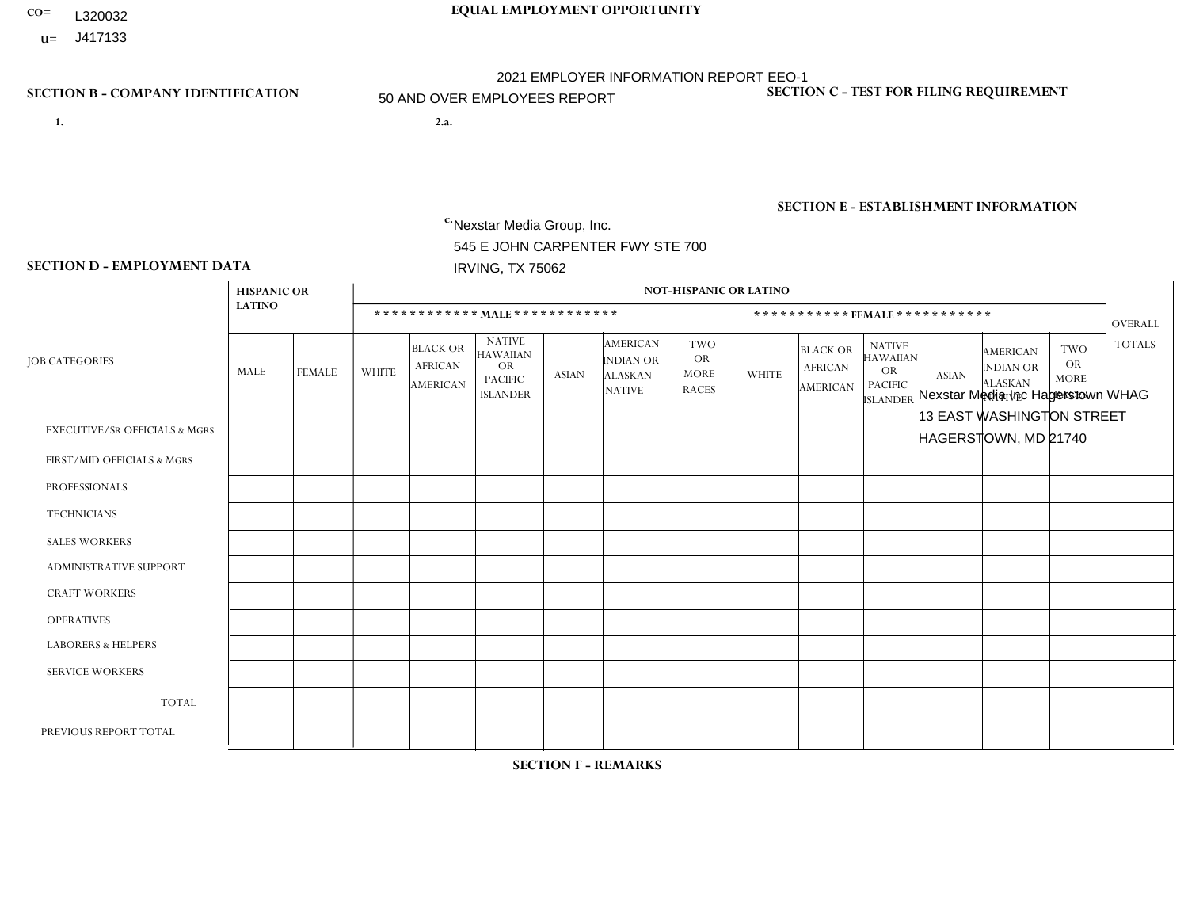- **CO= EQUAL EMPLOYMENT OPPORTUNITY** L320032
- **U=**

- **1. 2.a.** Nexstar Media Group, Inc. 545 E JOHN CARPENTER FWY STE 700 IRVING, TX 75062
- 2.a. Nexstar Media Inc Hagerstown WHAG 13 EAST WASHINGTON STREET HAGERSTOWN, MD 21740

EIN= 233063152

### **SECTION B - COMPANY IDENTIFICATION SECTION C - TEST FOR FILING REQUIREMENT**

1- Y 2- N 3- Y DUNS= 058168001

**SECTION E - ESTABLISHMENT INFORMATION c.** NAICS: 515120 - Television Broadcasting

### **SECTION D - EMPLOYMENT DATA**

|                                          | <b>HISPANIC OR</b> |                |                |                                                      |                                                                                    |                |                                                                 | <b>NOT-HISPANIC OR LATINO</b>                          |              |                                                      |                                                                                    |                      |                                                                       |                                                        |                |
|------------------------------------------|--------------------|----------------|----------------|------------------------------------------------------|------------------------------------------------------------------------------------|----------------|-----------------------------------------------------------------|--------------------------------------------------------|--------------|------------------------------------------------------|------------------------------------------------------------------------------------|----------------------|-----------------------------------------------------------------------|--------------------------------------------------------|----------------|
|                                          | <b>LATINO</b>      |                |                |                                                      | ************ MALE************                                                      |                |                                                                 |                                                        |              |                                                      | *********** FEMALE ***********                                                     |                      |                                                                       |                                                        | <b>OVERALL</b> |
| <b>JOB CATEGORIES</b>                    | MALE               | <b>FEMALE</b>  | <b>WHITE</b>   | <b>BLACK OR</b><br><b>AFRICAN</b><br><b>AMERICAN</b> | <b>NATIVE</b><br><b>HAWAIIAN</b><br><b>OR</b><br><b>PACIFIC</b><br><b>ISLANDER</b> | <b>ASIAN</b>   | <b>AMERICAN</b><br>INDIAN OR<br><b>ALASKAN</b><br><b>NATIVE</b> | <b>TWO</b><br><b>OR</b><br><b>MORE</b><br><b>RACES</b> | <b>WHITE</b> | <b>BLACK OR</b><br><b>AFRICAN</b><br><b>AMERICAN</b> | <b>NATIVE</b><br><b>HAWAIIAN</b><br><b>OR</b><br><b>PACIFIC</b><br><b>ISLANDER</b> | <b>ASIAN</b>         | <b>AMERICAN</b><br><b>NDIAN OR</b><br><b>ALASKAN</b><br><b>NATIVE</b> | <b>TWO</b><br><b>OR</b><br><b>MORE</b><br><b>RACES</b> | <b>TOTALS</b>  |
| <b>EXECUTIVE/SR OFFICIALS &amp; MGRS</b> | $\Omega$           | $\Omega$       | $\Omega$       | $\mathbf 0$                                          | $\Omega$                                                                           | $\Omega$       | $\mathbf{0}$                                                    | $\Omega$                                               | $\Omega$     | $\Omega$                                             | $\mathbf{0}$                                                                       | $\Omega$             | $\mathbf{0}$                                                          | $\Omega$                                               | $\Omega$       |
| FIRST/MID OFFICIALS & MGRS               | 0                  | $\mathbf{0}$   | 1              | 1                                                    | $\mathbf 0$                                                                        | $\mathbf 0$    | $\Omega$                                                        | $\Omega$                                               | $\Omega$     | $\Omega$                                             | $\Omega$                                                                           | $\mathbf{0}$         | $\mathbf{0}$                                                          | $\Omega$                                               | $\overline{2}$ |
| <b>PROFESSIONALS</b>                     | 0                  | $\mathbf{0}$   | 6              | $\overline{2}$                                       | $\mathbf 0$                                                                        | $\mathbf{1}$   | $\Omega$                                                        | $\Omega$                                               |              | $\Omega$                                             | $\mathbf 0$                                                                        | $\mathbf{1}$         | $\Omega$                                                              | $\mathbf{0}$                                           | 11             |
| <b>TECHNICIANS</b>                       |                    | $\overline{2}$ | 21             | $\overline{4}$                                       | $\mathbf 0$                                                                        | $\mathbf{1}$   | $\mathbf{0}$                                                    | 1                                                      | 11           | 6                                                    | $\mathbf{0}$                                                                       | $\overline{2}$       | $\mathbf 0$                                                           | 1                                                      | 50             |
| <b>SALES WORKERS</b>                     | 1                  | $\Omega$       | $\overline{c}$ | $\mathbf{1}$                                         | $\Omega$                                                                           | $\Omega$       | $\Omega$                                                        | $\Omega$                                               | 3            | $\Omega$                                             | $\Omega$                                                                           | $\blacktriangleleft$ | $\Omega$                                                              | 1                                                      | 9              |
| <b>ADMINISTRATIVE SUPPORT</b>            | 0                  | $\mathbf{0}$   | $\overline{1}$ | $\mathbf 0$                                          | $\mathbf 0$                                                                        | $\mathbf{0}$   | $\Omega$                                                        | 1                                                      | 4            | 1                                                    | $\Omega$                                                                           | $\mathbf{0}$         | $\Omega$                                                              | $\Omega$                                               | $\overline{7}$ |
| <b>CRAFT WORKERS</b>                     | 0                  | $\Omega$       | $\mathbf 0$    | $\mathbf 0$                                          | $\Omega$                                                                           | $\Omega$       | $\Omega$                                                        | $\Omega$                                               | $\Omega$     | $\Omega$                                             | $\Omega$                                                                           | $\Omega$             | $\Omega$                                                              | $\Omega$                                               | $\Omega$       |
| <b>OPERATIVES</b>                        | 0                  | $\Omega$       | $\mathbf 0$    | $\mathbf 0$                                          | $\mathbf 0$                                                                        | $\mathbf 0$    | $\Omega$                                                        | $\Omega$                                               | $\Omega$     | $\Omega$                                             | $\Omega$                                                                           | $\Omega$             | $\mathbf{0}$                                                          | $\Omega$                                               | $\mathbf{0}$   |
| <b>LABORERS &amp; HELPERS</b>            | 0                  | $\Omega$       | $\mathbf 0$    | $\mathbf 0$                                          | $\mathbf 0$                                                                        | $\mathbf 0$    | $\Omega$                                                        | $\Omega$                                               | $\Omega$     | $\Omega$                                             | $\mathbf{0}$                                                                       | $\mathbf{0}$         | $\Omega$                                                              | $\Omega$                                               | $\mathbf{0}$   |
| <b>SERVICE WORKERS</b>                   | 0                  | $\mathbf 0$    | $\mathbf 0$    | $\mathbf 0$                                          | $\mathbf 0$                                                                        | $\mathbf 0$    | $\Omega$                                                        | $\Omega$                                               | $\Omega$     | $\Omega$                                             | $\Omega$                                                                           | $\Omega$             | $\mathbf{0}$                                                          | $\Omega$                                               | $\mathbf{0}$   |
| <b>TOTAL</b>                             | $\overline{2}$     | $\overline{2}$ | 31             | 8                                                    | $\mathbf 0$                                                                        | $\overline{2}$ | $\Omega$                                                        | $\overline{2}$                                         | 19           | $\overline{7}$                                       | $\mathbf 0$                                                                        | $\overline{4}$       | $\mathbf 0$                                                           | 2                                                      | 79             |
| PREVIOUS REPORT TOTAL                    | 0                  | $\mathbf 0$    | 34             | 8                                                    | $\mathbf 0$                                                                        | 3              | $\Omega$                                                        | $\Omega$                                               | 24           | 9                                                    | $\Omega$                                                                           | $\overline{2}$       | $\mathbf{0}$                                                          | 1                                                      | 81             |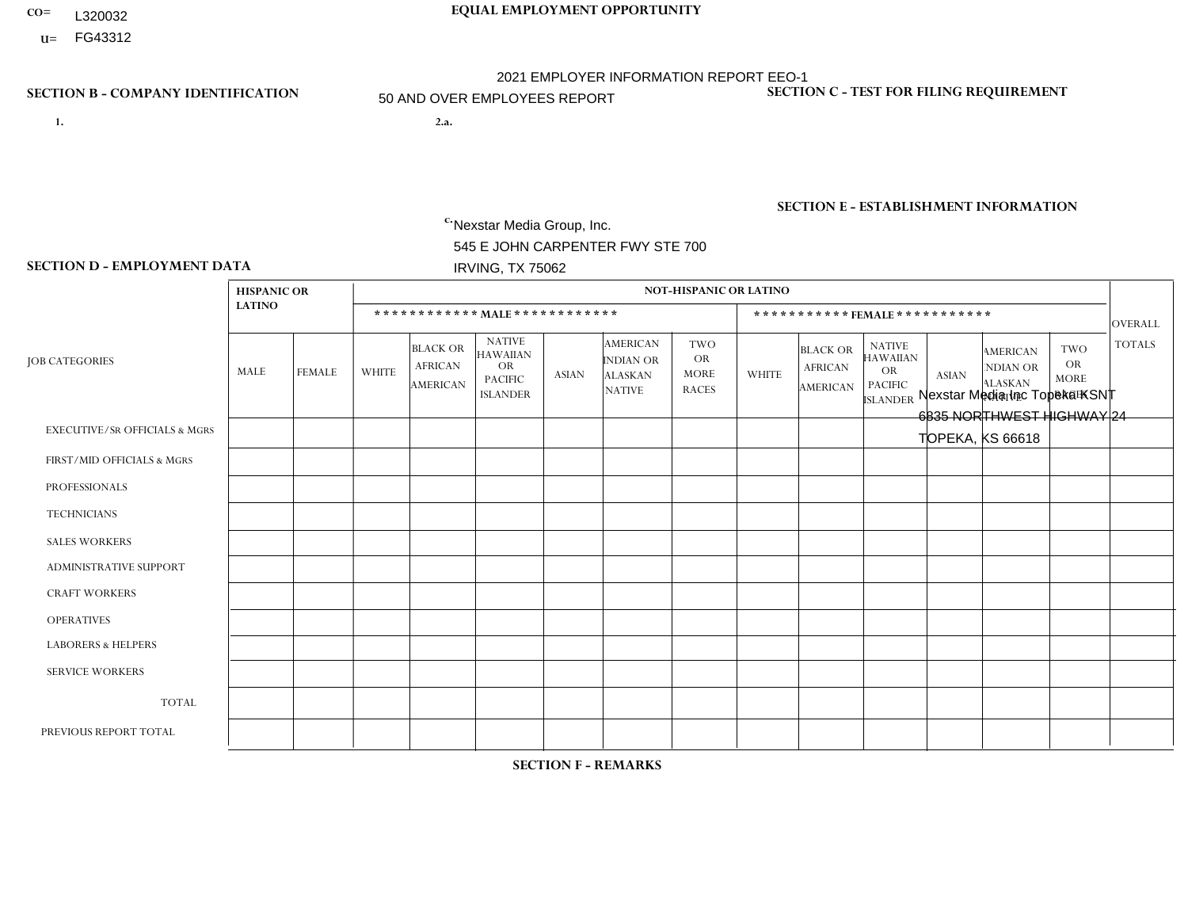- **CO= EQUAL EMPLOYMENT OPPORTUNITY** L320032
- **U=**

- **1. 2.a.** Nexstar Media Group, Inc. 545 E JOHN CARPENTER FWY STE 700 IRVING, TX 75062
- 2.a. Nexstar Media Inc Topeka KSNT 6835 NORTHWEST HIGHWAY 24 TOPEKA, KS 66618

EIN= 233063152

### **SECTION B - COMPANY IDENTIFICATION SECTION C - TEST FOR FILING REQUIREMENT**

1- Y 2- N 3- Y DUNS= 058168001

**SECTION E - ESTABLISHMENT INFORMATION c.** NAICS: 515120 - Television Broadcasting

### **SECTION D - EMPLOYMENT DATA**

|                                          | <b>HISPANIC OR</b> |                |              |                                                      |                                                                             |              |                                                                        | <b>NOT-HISPANIC OR LATINO</b>                          |                |                                                      |                                                                                    |              |                                                                       |                                                  |                |
|------------------------------------------|--------------------|----------------|--------------|------------------------------------------------------|-----------------------------------------------------------------------------|--------------|------------------------------------------------------------------------|--------------------------------------------------------|----------------|------------------------------------------------------|------------------------------------------------------------------------------------|--------------|-----------------------------------------------------------------------|--------------------------------------------------|----------------|
|                                          | <b>LATINO</b>      |                |              | ************ MAIE************                        |                                                                             |              |                                                                        |                                                        |                | ***********FEMALE***********                         |                                                                                    |              |                                                                       |                                                  | OVERALL        |
| <b>JOB CATEGORIES</b>                    | MALE               | <b>FEMALE</b>  | <b>WHITE</b> | <b>BLACK OR</b><br><b>AFRICAN</b><br><b>AMERICAN</b> | <b>NATIVE</b><br><b>HAWAIIAN</b><br>OR<br><b>PACIFIC</b><br><b>ISLANDER</b> | <b>ASIAN</b> | <b>AMERICAN</b><br><b>INDIAN OR</b><br><b>ALASKAN</b><br><b>NATIVE</b> | <b>TWO</b><br><b>OR</b><br><b>MORE</b><br><b>RACES</b> | <b>WHITE</b>   | <b>BLACK OR</b><br><b>AFRICAN</b><br><b>AMERICAN</b> | <b>NATIVE</b><br><b>HAWAIIAN</b><br><b>OR</b><br><b>PACIFIC</b><br><b>ISLANDER</b> | <b>ASIAN</b> | <b>AMERICAN</b><br><b>NDIAN OR</b><br><b>ALASKAN</b><br><b>NATIVE</b> | <b>TWO</b><br>OR.<br><b>MORE</b><br><b>RACES</b> | <b>TOTALS</b>  |
| <b>EXECUTIVE/SR OFFICIALS &amp; MGRS</b> | $\Omega$           | $\Omega$       | 0            | $\mathbf 0$                                          | 0                                                                           | 0            | $\Omega$                                                               | $\Omega$                                               | $\Omega$       | $\Omega$                                             | 0                                                                                  | $\Omega$     | $\Omega$                                                              | $\mathbf 0$                                      | $\mathbf 0$    |
| FIRST/MID OFFICIALS & MGRS               | $\mathbf 0$        | $\mathbf 0$    | 5            | $\mathbf 0$                                          | $\mathbf 0$                                                                 | 0            | $\mathbf{0}$                                                           | $\Omega$                                               | 1              | $\Omega$                                             | 0                                                                                  | $\Omega$     | $\Omega$                                                              | $\Omega$                                         | 6              |
| <b>PROFESSIONALS</b>                     | $\Omega$           | $\Omega$       | 5            | $\mathbf 0$                                          | $\Omega$                                                                    | $\Omega$     | $\Omega$                                                               | $\Omega$                                               | $\overline{2}$ |                                                      | 0                                                                                  | $\Omega$     | $\Omega$                                                              |                                                  | 9              |
| <b>TECHNICIANS</b>                       | 3                  | $\overline{4}$ | 17           | 1                                                    | $\mathbf 0$                                                                 | 0            | $\Omega$                                                               | $\Omega$                                               | $\overline{7}$ |                                                      | 0                                                                                  | $\Omega$     | $\Omega$                                                              | $\Omega$                                         | 33             |
| <b>SALES WORKERS</b>                     | $\Omega$           | $\mathbf 0$    | 1            | $\mathbf 0$                                          | $\mathbf 0$                                                                 | 0            | $\Omega$                                                               | $\Omega$                                               | 5              | $\Omega$                                             | $\Omega$                                                                           | $\Omega$     | $\Omega$                                                              | $\Omega$                                         | 6              |
| <b>ADMINISTRATIVE SUPPORT</b>            | $\Omega$           |                | 3            | $\mathbf 0$                                          | $\mathbf 0$                                                                 | 0            | $\Omega$                                                               | $\Omega$                                               | 3              | $\Omega$                                             | 0                                                                                  | $\Omega$     | $\Omega$                                                              | $\Omega$                                         | $\overline{7}$ |
| <b>CRAFT WORKERS</b>                     | $\Omega$           | $\Omega$       | $\Omega$     | $\mathbf 0$                                          | $\Omega$                                                                    | 0            | $\Omega$                                                               | $\Omega$                                               | $\Omega$       | $\Omega$                                             | 0                                                                                  | $\Omega$     | $\Omega$                                                              | $\Omega$                                         | $\mathbf{0}$   |
| <b>OPERATIVES</b>                        | $\Omega$           | $\Omega$       | 0            | $\mathbf 0$                                          | $\mathbf 0$                                                                 | 0            | $\Omega$                                                               | $\Omega$                                               | $\Omega$       | $\Omega$                                             | 0                                                                                  | $\Omega$     | $\Omega$                                                              | $\Omega$                                         | $\mathbf{0}$   |
| <b>LABORERS &amp; HELPERS</b>            | $\Omega$           | $\Omega$       | 0            | $\mathbf 0$                                          | $\mathbf 0$                                                                 | 0            | $\Omega$                                                               | $\Omega$                                               | $\Omega$       | $\Omega$                                             | $\Omega$                                                                           | $\Omega$     | $\Omega$                                                              | $\Omega$                                         | $\mathbf{0}$   |
| <b>SERVICE WORKERS</b>                   | $\Omega$           | $\mathbf 0$    | 0            | $\mathbf 0$                                          | $\mathbf 0$                                                                 | 0            | $\Omega$                                                               | $\mathbf{0}$                                           | $\Omega$       | $\Omega$                                             | 0                                                                                  | $\Omega$     | $\Omega$                                                              | $\mathbf 0$                                      | $\mathbf{0}$   |
| <b>TOTAL</b>                             | 3                  | 5              | 31           | $\mathbf{1}$                                         | $\mathbf 0$                                                                 | 0            | $\mathbf{0}$                                                           | $\Omega$                                               | 18             | $\overline{2}$                                       | 0                                                                                  | $\Omega$     | $\Omega$                                                              |                                                  | 61             |
| PREVIOUS REPORT TOTAL                    | 2                  | 3              | 38           | $\overline{A}$                                       | $\Omega$                                                                    | 0            | $\Omega$                                                               | $\Omega$                                               | 20             | $\overline{2}$                                       | 0                                                                                  | $\Omega$     | $\Omega$                                                              | $\overline{2}$                                   | 68             |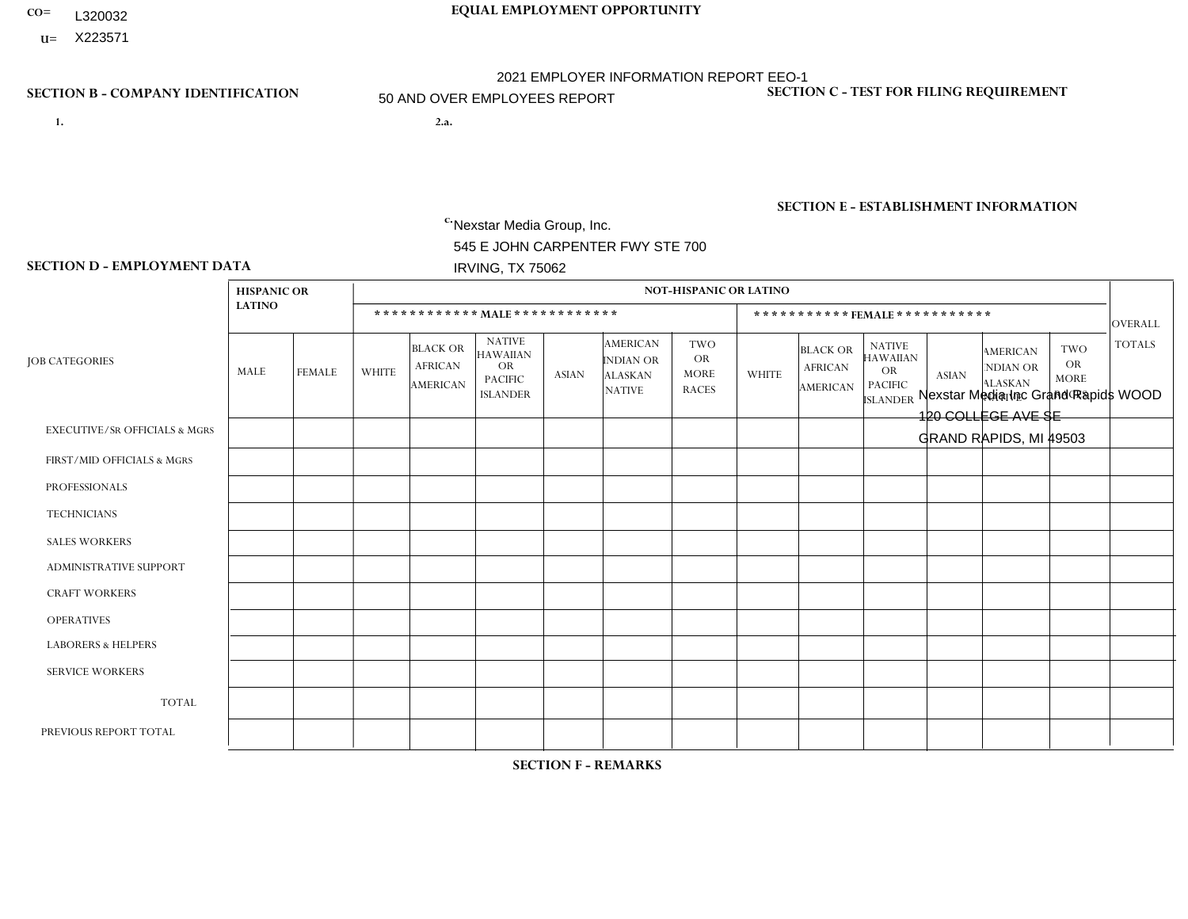- **CO= EQUAL EMPLOYMENT OPPORTUNITY** L320032
- **U=**

- **1. 2.a.** Nexstar Media Group, Inc. 545 E JOHN CARPENTER FWY STE 700 IRVING, TX 75062
- 2.a. Nexstar Media Inc Grand Rapids WOOD 120 COLLEGE AVE SE GRAND RAPIDS, MI 49503

c. EIN= 233063152

# **SECTION B - COMPANY IDENTIFICATION SECTION C - TEST FOR FILING REQUIREMENT**

1- Y 2- N 3- Y DUNS= 058168001

**SECTION E - ESTABLISHMENT INFORMATION c.** NAICS: 515120 - Television Broadcasting

### **SECTION D - EMPLOYMENT DATA**

|                                          | <b>HISPANIC OR</b> |                |              |                                                      |                                                                             |              |                                                                 | <b>NOT-HISPANIC OR LATINO</b>                          |                |                                                      |                                                                                    |                      |                                                                       |                                                        |                |
|------------------------------------------|--------------------|----------------|--------------|------------------------------------------------------|-----------------------------------------------------------------------------|--------------|-----------------------------------------------------------------|--------------------------------------------------------|----------------|------------------------------------------------------|------------------------------------------------------------------------------------|----------------------|-----------------------------------------------------------------------|--------------------------------------------------------|----------------|
|                                          | <b>LATINO</b>      |                |              |                                                      | ************ MALE************                                               |              |                                                                 |                                                        |                |                                                      | *********** FEMALE ***********                                                     |                      |                                                                       |                                                        | <b>OVERALL</b> |
| <b>JOB CATEGORIES</b>                    | MALE               | <b>FEMALE</b>  | <b>WHITE</b> | <b>BLACK OR</b><br><b>AFRICAN</b><br><b>AMERICAN</b> | <b>NATIVE</b><br><b>HAWAIIAN</b><br>OR<br><b>PACIFIC</b><br><b>ISLANDER</b> | <b>ASIAN</b> | <b>AMERICAN</b><br>INDIAN OR<br><b>ALASKAN</b><br><b>NATIVE</b> | <b>TWO</b><br><b>OR</b><br><b>MORE</b><br><b>RACES</b> | <b>WHITE</b>   | <b>BLACK OR</b><br><b>AFRICAN</b><br><b>AMERICAN</b> | <b>NATIVE</b><br><b>HAWAIIAN</b><br><b>OR</b><br><b>PACIFIC</b><br><b>ISLANDER</b> | <b>ASIAN</b>         | <b>AMERICAN</b><br><b>NDIAN OR</b><br><b>ALASKAN</b><br><b>NATIVE</b> | <b>TWO</b><br><b>OR</b><br><b>MORE</b><br><b>RACES</b> | <b>TOTALS</b>  |
| <b>EXECUTIVE/SR OFFICIALS &amp; MGRS</b> | $\Omega$           | $\mathbf 0$    | $\mathbf 0$  | $\mathbf 0$                                          | $\mathbf 0$                                                                 | $\mathbf 0$  | $\Omega$                                                        | $\Omega$                                               | $\Omega$       | $\Omega$                                             | $\Omega$                                                                           | $\mathbf 0$          | $\Omega$                                                              | $\Omega$                                               | $\mathbf 0$    |
| FIRST/MID OFFICIALS & MGRS               | 0                  | $\mathbf{0}$   | 6            | $\mathbf 0$                                          | $\mathbf 0$                                                                 | $\mathbf 0$  | $\Omega$                                                        | $\Omega$                                               | 6              | $\Omega$                                             | $\Omega$                                                                           | $\Omega$             | $\mathbf{0}$                                                          | $\Omega$                                               | 12             |
| <b>PROFESSIONALS</b>                     | 0                  | $\mathbf{1}$   | 6            | $\mathbf{1}$                                         | $\Omega$                                                                    | $\Omega$     | $\Omega$                                                        | $\Omega$                                               | 6              | $\Omega$                                             | $\Omega$                                                                           | $\Omega$             | $\Omega$                                                              | 2                                                      | 16             |
| <b>TECHNICIANS</b>                       | $\overline{2}$     | $\mathbf{1}$   | 42           | $\mathbf{1}$                                         | $\mathbf 0$                                                                 | $\mathbf{0}$ | $\Omega$                                                        | $\Omega$                                               | 20             | $\overline{4}$                                       | $\Omega$                                                                           | $\mathbf 0$          | $\Omega$                                                              | 2                                                      | 72             |
| <b>SALES WORKERS</b>                     | $\Omega$           | $\mathbf 0$    | 3            | $\mathbf 0$                                          | $\mathbf 0$                                                                 | $\mathbf{1}$ | $\Omega$                                                        | $\Omega$                                               | $\overline{7}$ | $\Omega$                                             | $\Omega$                                                                           | $\Omega$             | $\Omega$                                                              | $\Omega$                                               | 11             |
| <b>ADMINISTRATIVE SUPPORT</b>            | 0                  | $\mathbf{0}$   | 6            | $\overline{c}$                                       | $\mathbf 0$                                                                 | $\mathbf 0$  | $\Omega$                                                        | $\Omega$                                               | 6              | $\Omega$                                             | $\Omega$                                                                           | 1                    | $\Omega$                                                              | 0                                                      | 15             |
| <b>CRAFT WORKERS</b>                     | 0                  | $\Omega$       | $\mathbf 0$  | $\mathbf 0$                                          | $\Omega$                                                                    | $\Omega$     | $\Omega$                                                        | $\Omega$                                               | $\Omega$       | $\Omega$                                             | $\Omega$                                                                           | $\Omega$             | $\Omega$                                                              | $\mathbf{0}$                                           | $\mathbf{0}$   |
| <b>OPERATIVES</b>                        | 0                  | $\Omega$       | $\mathbf 0$  | $\mathbf 0$                                          | $\mathbf 0$                                                                 | $\Omega$     | $\Omega$                                                        | $\Omega$                                               | $\Omega$       | $\Omega$                                             | $\Omega$                                                                           | $\Omega$             | $\Omega$                                                              | $\Omega$                                               | $\mathbf{0}$   |
| <b>LABORERS &amp; HELPERS</b>            | 0                  | $\Omega$       | $\mathbf 0$  | $\mathbf 0$                                          | $\mathbf 0$                                                                 | $\Omega$     | $\Omega$                                                        | $\Omega$                                               | $\Omega$       | $\Omega$                                             | $\Omega$                                                                           | $\Omega$             | $\Omega$                                                              | $\Omega$                                               | $\mathbf 0$    |
| <b>SERVICE WORKERS</b>                   | 0                  | $\mathbf{0}$   | $\mathbf 0$  | $\mathbf 0$                                          | $\mathbf 0$                                                                 | $\mathbf{0}$ | $\Omega$                                                        | $\Omega$                                               | $\Omega$       | $\Omega$                                             | $\Omega$                                                                           | $\Omega$             | $\mathbf{0}$                                                          | $\mathbf 0$                                            | $\mathbf{0}$   |
| <b>TOTAL</b>                             | $\overline{2}$     | $\overline{2}$ | 63           | $\overline{4}$                                       | $\mathbf 0$                                                                 | $\mathbf{1}$ | $\Omega$                                                        | $\Omega$                                               | 45             | $\overline{4}$                                       | $\mathbf 0$                                                                        | $\mathbf{1}$         | $\Omega$                                                              | $\overline{4}$                                         | 126            |
| PREVIOUS REPORT TOTAL                    | 5                  | $\overline{2}$ | 74           | $\sqrt{3}$                                           | $\mathbf 0$                                                                 | $\Omega$     | $\Omega$                                                        | $\Omega$                                               | 48             | $\overline{4}$                                       | $\Omega$                                                                           | $\blacktriangleleft$ | $\mathbf{0}$                                                          | 3                                                      | 140            |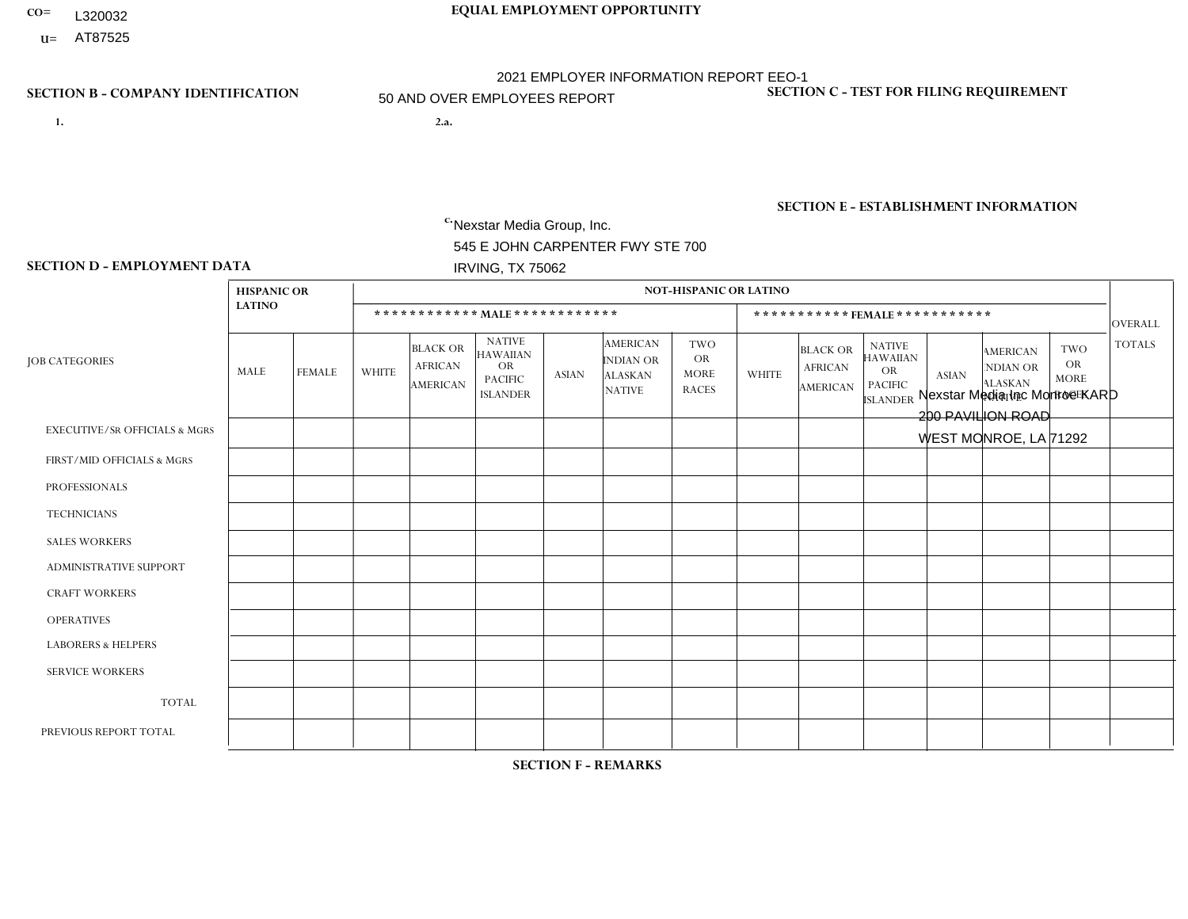- **CO= EQUAL EMPLOYMENT OPPORTUNITY** L320032
- **U=**

- **1. 2.a.** Nexstar Media Group, Inc. 545 E JOHN CARPENTER FWY STE 700 IRVING, TX 75062
- 2.a. Nexstar Media Inc Monroe KARD 200 PAVILION ROAD WEST MONROE, LA 71292

EIN= 233063152

# **SECTION B - COMPANY IDENTIFICATION SECTION C - TEST FOR FILING REQUIREMENT**

1- Y 2- N 3- Y DUNS= 058168001

**SECTION E - ESTABLISHMENT INFORMATION c.** NAICS: 515120 - Television Broadcasting

### **SECTION D - EMPLOYMENT DATA**

|                                          | <b>HISPANIC OR</b> |               |                |                                                      |                                                                                    |              |                                                                 | <b>NOT-HISPANIC OR LATINO</b>                          |                |                                                      |                                                                                    |              |                                                                       |                                                        |                |
|------------------------------------------|--------------------|---------------|----------------|------------------------------------------------------|------------------------------------------------------------------------------------|--------------|-----------------------------------------------------------------|--------------------------------------------------------|----------------|------------------------------------------------------|------------------------------------------------------------------------------------|--------------|-----------------------------------------------------------------------|--------------------------------------------------------|----------------|
|                                          | <b>LATINO</b>      |               |                |                                                      | ************ MALE************                                                      |              |                                                                 |                                                        |                |                                                      | *********** FEMALE ***********                                                     |              |                                                                       |                                                        | <b>OVERALL</b> |
| <b>JOB CATEGORIES</b>                    | MALE               | <b>FEMALE</b> | <b>WHITE</b>   | <b>BLACK OR</b><br><b>AFRICAN</b><br><b>AMERICAN</b> | <b>NATIVE</b><br><b>HAWAIIAN</b><br><b>OR</b><br><b>PACIFIC</b><br><b>ISLANDER</b> | <b>ASIAN</b> | <b>AMERICAN</b><br>INDIAN OR<br><b>ALASKAN</b><br><b>NATIVE</b> | <b>TWO</b><br><b>OR</b><br><b>MORE</b><br><b>RACES</b> | <b>WHITE</b>   | <b>BLACK OR</b><br><b>AFRICAN</b><br><b>AMERICAN</b> | <b>NATIVE</b><br><b>HAWAIIAN</b><br><b>OR</b><br><b>PACIFIC</b><br><b>ISLANDER</b> | <b>ASIAN</b> | <b>AMERICAN</b><br><b>NDIAN OR</b><br><b>ALASKAN</b><br><b>NATIVE</b> | <b>TWO</b><br><b>OR</b><br><b>MORE</b><br><b>RACES</b> | <b>TOTALS</b>  |
| <b>EXECUTIVE/SR OFFICIALS &amp; MGRS</b> | $\Omega$           | $\Omega$      | $\Omega$       | $\mathbf 0$                                          | $\Omega$                                                                           | $\Omega$     | $\mathbf{0}$                                                    | $\Omega$                                               | $\Omega$       | $\Omega$                                             | $\mathbf{0}$                                                                       | $\Omega$     | $\mathbf{0}$                                                          | $\Omega$                                               | $\Omega$       |
| FIRST/MID OFFICIALS & MGRS               |                    | $\mathbf{0}$  | 1              | 1                                                    | $\mathbf 0$                                                                        | $\mathbf 0$  | $\Omega$                                                        | $\Omega$                                               |                | $\Omega$                                             | $\Omega$                                                                           | $\mathbf{0}$ | $\mathbf{0}$                                                          | $\Omega$                                               | $\overline{4}$ |
| <b>PROFESSIONALS</b>                     | 0                  | $\mathbf{1}$  | $\overline{4}$ | $\mathbf{1}$                                         | $\mathbf 0$                                                                        | $\mathbf 0$  | $\Omega$                                                        | $\Omega$                                               | $\overline{2}$ | $\overline{2}$                                       | $\Omega$                                                                           | $\mathbf 0$  | $\Omega$                                                              | $\Omega$                                               | 10             |
| <b>TECHNICIANS</b>                       | $\overline{2}$     | 3             | 15             | $\overline{4}$                                       | $\mathbf 0$                                                                        | $\Omega$     | $\mathbf{0}$                                                    | $\Omega$                                               | 8              | $\mathbf{1}$                                         | $\Omega$                                                                           | $\Omega$     | $\Omega$                                                              | $\mathbf{0}$                                           | 33             |
| <b>SALES WORKERS</b>                     | 0                  | $\Omega$      | $\overline{c}$ | $\mathbf 0$                                          | $\Omega$                                                                           | $\Omega$     | $\Omega$                                                        | $\Omega$                                               | 6              | $\Omega$                                             | $\Omega$                                                                           | $\mathbf{0}$ | $\Omega$                                                              | $\Omega$                                               | 8              |
| <b>ADMINISTRATIVE SUPPORT</b>            | 0                  | $\mathbf 0$   | $\overline{2}$ | 3                                                    | $\mathbf 0$                                                                        | $\mathbf 0$  | $\Omega$                                                        | $\Omega$                                               | 5              | $\Omega$                                             | $\Omega$                                                                           | $\mathbf{0}$ | $\Omega$                                                              | $\Omega$                                               | 10             |
| <b>CRAFT WORKERS</b>                     | 0                  | $\Omega$      | $\mathbf 0$    | $\mathbf 0$                                          | $\Omega$                                                                           | $\Omega$     | $\Omega$                                                        | $\Omega$                                               | $\Omega$       | $\Omega$                                             | $\Omega$                                                                           | $\Omega$     | $\Omega$                                                              | $\Omega$                                               | $\Omega$       |
| <b>OPERATIVES</b>                        | 0                  | $\Omega$      | $\mathbf 0$    | $\mathbf 0$                                          | $\mathbf 0$                                                                        | $\mathbf 0$  | $\Omega$                                                        | $\Omega$                                               | $\Omega$       | $\Omega$                                             | $\Omega$                                                                           | $\Omega$     | $\mathbf{0}$                                                          | $\Omega$                                               | $\mathbf{0}$   |
| <b>LABORERS &amp; HELPERS</b>            | 0                  | $\Omega$      | $\mathbf 0$    | $\mathbf 0$                                          | $\mathbf 0$                                                                        | $\mathbf 0$  | $\Omega$                                                        | $\Omega$                                               | $\Omega$       | $\Omega$                                             | $\Omega$                                                                           | $\Omega$     | $\Omega$                                                              | $\Omega$                                               | $\mathbf{0}$   |
| <b>SERVICE WORKERS</b>                   | 0                  | $\mathbf 0$   | $\mathbf 0$    | $\mathbf 0$                                          | $\mathbf 0$                                                                        | $\mathbf 0$  | $\Omega$                                                        | $\Omega$                                               | $\Omega$       | $\Omega$                                             | $\Omega$                                                                           | $\Omega$     | $\mathbf{0}$                                                          | $\Omega$                                               | $\mathbf{0}$   |
| <b>TOTAL</b>                             | 3                  | 4             | 24             | 9                                                    | $\mathbf 0$                                                                        | $\mathbf 0$  | $\Omega$                                                        | $\mathbf 0$                                            | 22             | 3                                                    | $\mathbf 0$                                                                        | $\mathbf 0$  | $\Omega$                                                              | $\mathbf{0}$                                           | 65             |
| PREVIOUS REPORT TOTAL                    |                    | 3             | 28             | $\overline{7}$                                       | $\mathbf 0$                                                                        | $\Omega$     | $\Omega$                                                        | $\Omega$                                               | 21             | 3                                                    | $\mathbf{0}$                                                                       | $\Omega$     | $\mathbf{0}$                                                          | $\Omega$                                               | 63             |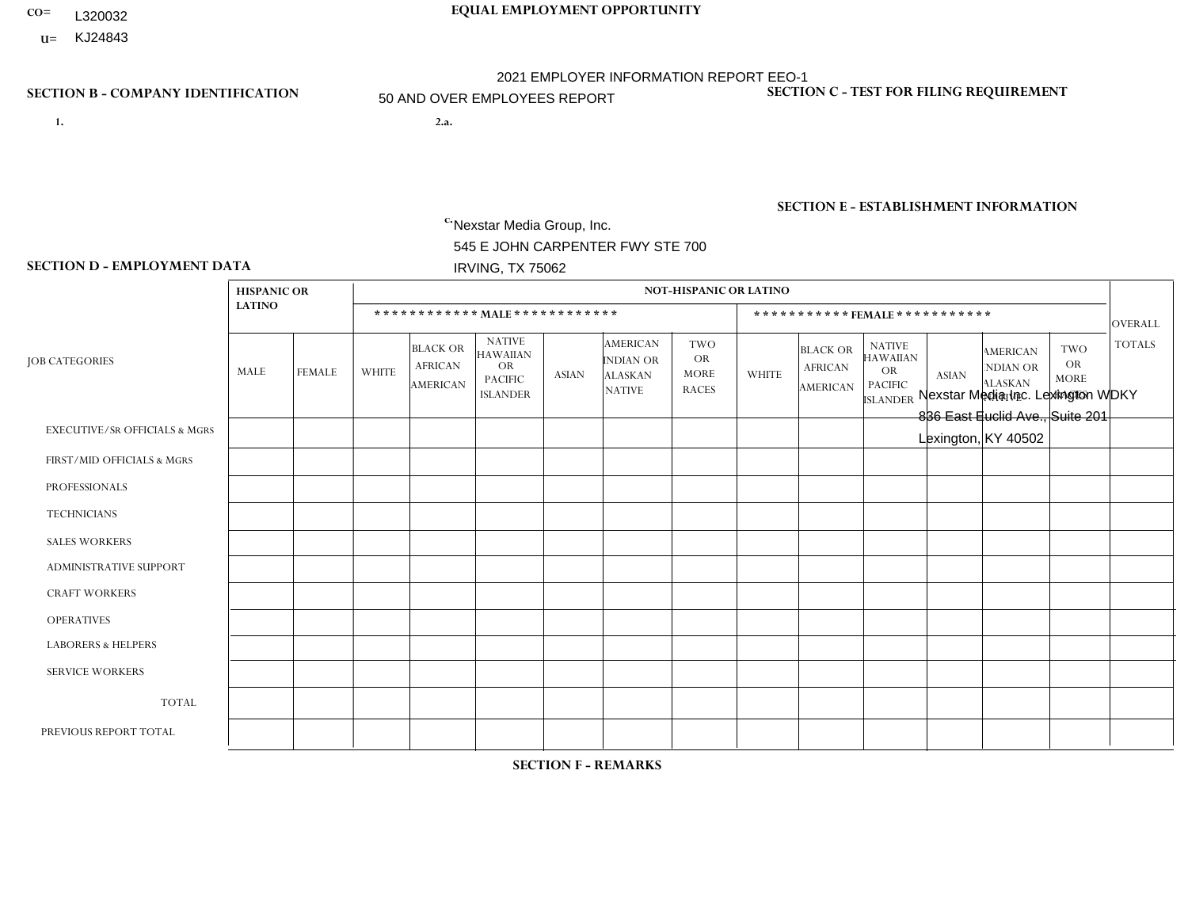- **CO= EQUAL EMPLOYMENT OPPORTUNITY** L320032
- **U=**

- **1. 2.a.** Nexstar Media Group, Inc. 545 E JOHN CARPENTER FWY STE 700 IRVING, TX 75062
- 2.a. Nexstar Media Inc. Lexington WDKY 836 East Euclid Ave., Suite 201 Lexington, KY 40502

EIN= 361880355

# **SECTION B - COMPANY IDENTIFICATION SECTION C - TEST FOR FILING REQUIREMENT**

1- Y 2- N 3- Y DUNS= 058168001

# **SECTION E - ESTABLISHMENT INFORMATION c.** NAICS: 515120 - Television Broadcasting

### **SECTION D - EMPLOYMENT DATA**

|                                          | <b>HISPANIC OR</b> |                |                |                                                      |                                                                             |              |                                                                 | <b>NOT-HISPANIC OR LATINO</b>                          |                |                                                      |                                                                                    |              |                                                                       |                                                        |                |
|------------------------------------------|--------------------|----------------|----------------|------------------------------------------------------|-----------------------------------------------------------------------------|--------------|-----------------------------------------------------------------|--------------------------------------------------------|----------------|------------------------------------------------------|------------------------------------------------------------------------------------|--------------|-----------------------------------------------------------------------|--------------------------------------------------------|----------------|
|                                          | <b>LATINO</b>      |                |                |                                                      | ************ MALE ************                                              |              |                                                                 |                                                        |                |                                                      | *********** FEMALE ***********                                                     |              |                                                                       |                                                        | <b>OVERALL</b> |
| <b>JOB CATEGORIES</b>                    | MALE               | <b>FEMALE</b>  | <b>WHITE</b>   | <b>BLACK OR</b><br><b>AFRICAN</b><br><b>AMERICAN</b> | <b>NATIVE</b><br><b>HAWAIIAN</b><br>OR<br><b>PACIFIC</b><br><b>ISLANDER</b> | <b>ASIAN</b> | <b>AMERICAN</b><br>INDIAN OR<br><b>ALASKAN</b><br><b>NATIVE</b> | <b>TWO</b><br><b>OR</b><br><b>MORE</b><br><b>RACES</b> | <b>WHITE</b>   | <b>BLACK OR</b><br><b>AFRICAN</b><br><b>AMERICAN</b> | <b>NATIVE</b><br><b>HAWAIIAN</b><br><b>OR</b><br><b>PACIFIC</b><br><b>ISLANDER</b> | <b>ASIAN</b> | <b>AMERICAN</b><br><b>NDIAN OR</b><br><b>ALASKAN</b><br><b>NATIVE</b> | <b>TWO</b><br><b>OR</b><br><b>MORE</b><br><b>RACES</b> | <b>TOTALS</b>  |
| <b>EXECUTIVE/SR OFFICIALS &amp; MGRS</b> | $\mathbf 0$        | $\mathbf 0$    | $\mathbf 0$    | $\mathbf 0$                                          | 1                                                                           | $\mathbf 0$  | $\Omega$                                                        | $\Omega$                                               | $\Omega$       | $\Omega$                                             | $\Omega$                                                                           | $\mathbf 0$  | $\Omega$                                                              | $\Omega$                                               | 1              |
| FIRST/MID OFFICIALS & MGRS               | 0                  | $\mathbf 0$    | 3              | $\mathbf 0$                                          | $\mathbf 0$                                                                 | $\mathbf 0$  | $\Omega$                                                        | $\Omega$                                               |                | $\Omega$                                             | $\Omega$                                                                           | $\Omega$     | $\Omega$                                                              | $\Omega$                                               | $\overline{4}$ |
| <b>PROFESSIONALS</b>                     | 0                  | $\mathbf 0$    | 12             | $\overline{2}$                                       | $\mathbf 0$                                                                 | $\mathbf 0$  | $\Omega$                                                        | $\Omega$                                               | 5              | $\overline{2}$                                       | $\Omega$                                                                           | $\mathbf 0$  | $\Omega$                                                              | $\mathbf{0}$                                           | 21             |
| <b>TECHNICIANS</b>                       | 0                  | $\overline{0}$ | 11             | $\overline{2}$                                       | $\mathbf 0$                                                                 | $\mathbf{1}$ | $\Omega$                                                        | $\Omega$                                               | $\overline{7}$ | $\overline{2}$                                       | $\Omega$                                                                           | $\Omega$     | $\Omega$                                                              | $\mathbf{1}$                                           | 24             |
| <b>SALES WORKERS</b>                     | $\Omega$           | $\mathbf 0$    | $\overline{c}$ | $\mathbf 0$                                          | $\mathbf 0$                                                                 | $\Omega$     | $\Omega$                                                        | $\Omega$                                               | 5              | $\Omega$                                             | $\Omega$                                                                           | $\Omega$     | $\Omega$                                                              | $\Omega$                                               | $\overline{7}$ |
| <b>ADMINISTRATIVE SUPPORT</b>            | $\Omega$           | $\Omega$       | $\overline{c}$ | $\Omega$                                             | $\Omega$                                                                    | $\Omega$     | $\Omega$                                                        | $\Omega$                                               | $\overline{2}$ | $\Omega$                                             | $\Omega$                                                                           | $\Omega$     | $\Omega$                                                              | $\mathbf{0}$                                           | $\overline{4}$ |
| <b>CRAFT WORKERS</b>                     | 0                  | $\Omega$       | $\mathbf 0$    | $\mathbf 0$                                          | $\mathbf 0$                                                                 | $\Omega$     | $\Omega$                                                        | $\Omega$                                               | $\Omega$       | $\Omega$                                             | $\Omega$                                                                           | $\Omega$     | $\mathbf{0}$                                                          | $\mathbf{0}$                                           | $\Omega$       |
| <b>OPERATIVES</b>                        | 0                  | $\mathbf{0}$   | $\overline{4}$ | $\mathbf{1}$                                         | $\Omega$                                                                    | $\Omega$     | $\Omega$                                                        | $\Omega$                                               | 1              | $\Omega$                                             | $\Omega$                                                                           | 1            | $\Omega$                                                              | $\Omega$                                               | $\overline{7}$ |
| <b>LABORERS &amp; HELPERS</b>            | 0                  | $\Omega$       | $\mathbf 0$    | $\mathbf 0$                                          | $\mathbf{0}$                                                                | $\mathbf 0$  | $\Omega$                                                        | $\Omega$                                               | $\Omega$       | $\Omega$                                             | $\Omega$                                                                           | $\Omega$     | $\Omega$                                                              | $\Omega$                                               | $\mathbf{0}$   |
| <b>SERVICE WORKERS</b>                   | 0                  | $\Omega$       | $\mathbf 0$    | $\mathbf 0$                                          | $\mathbf 0$                                                                 | $\mathbf{0}$ | $\Omega$                                                        | $\Omega$                                               | $\Omega$       | $\Omega$                                             | $\Omega$                                                                           | $\Omega$     | $\Omega$                                                              | $\Omega$                                               | $\mathbf{0}$   |
| <b>TOTAL</b>                             | 0                  | $\mathbf 0$    | 34             | 5                                                    | 1                                                                           | $\mathbf{1}$ | $\Omega$                                                        | $\Omega$                                               | 21             | $\overline{4}$                                       | $\mathbf 0$                                                                        | 1            | $\mathbf{0}$                                                          | 1                                                      | 68             |
| PREVIOUS REPORT TOTAL                    | 0                  | $\mathbf{0}$   | 8              | $\mathbf{1}$                                         | $\overline{1}$                                                              | $\mathbf{0}$ | $\Omega$                                                        | $\Omega$                                               | 11             | $\Omega$                                             | $\mathbf 0$                                                                        | $\mathbf 0$  | $\Omega$                                                              | 0                                                      | 21             |

**SECTION F - REMARKS**

acquisition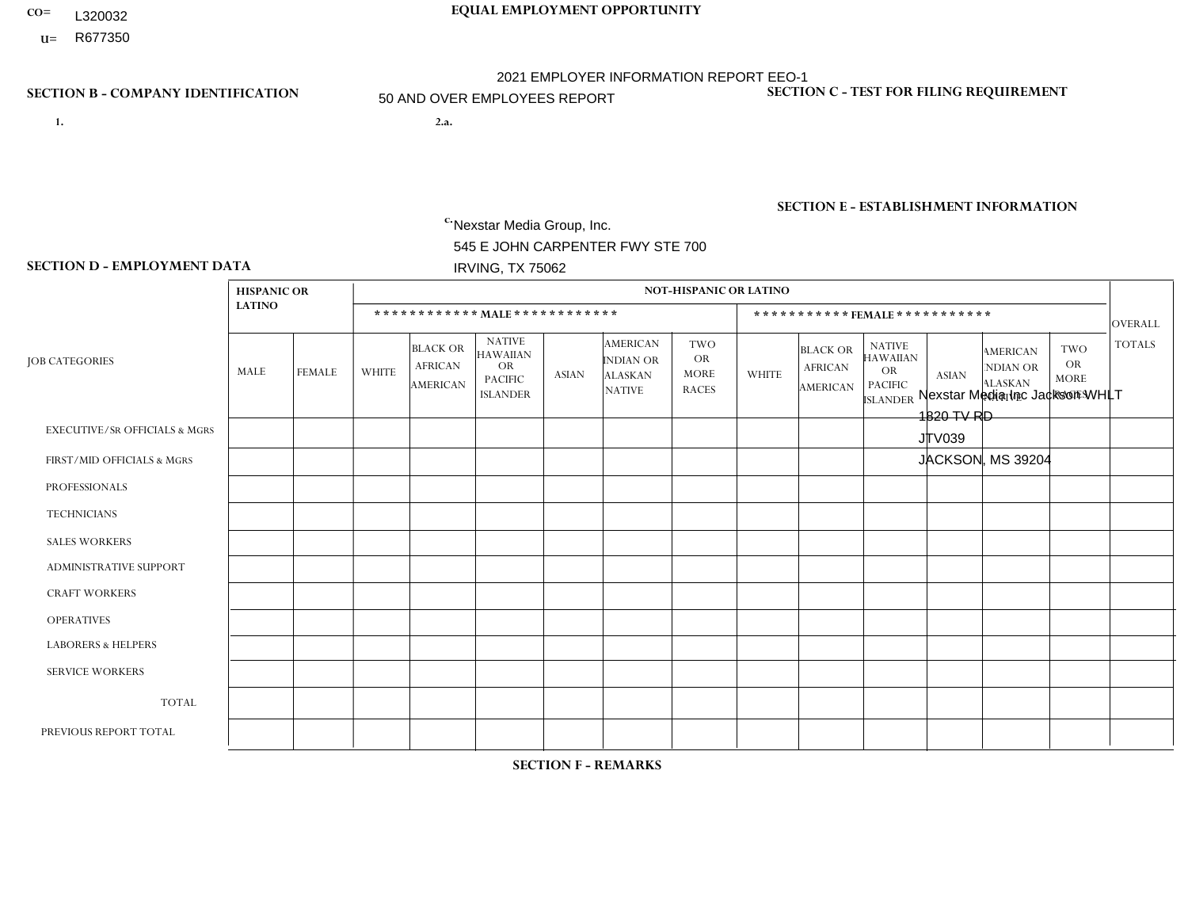- **CO= EQUAL EMPLOYMENT OPPORTUNITY** L320032
- **U=**

- **1. 2.a.** Nexstar Media Group, Inc. 545 E JOHN CARPENTER FWY STE 700 IRVING, TX 75062
- 2.a. Nexstar Media Inc Jackson WHLT 1820 TV RD JTV039 JACKSON, MS 39204

c. EIN= 233063152

# **SECTION B - COMPANY IDENTIFICATION SECTION C - TEST FOR FILING REQUIREMENT**

1- Y 2- N 3- Y DUNS= 058168001

# **SECTION E - ESTABLISHMENT INFORMATION c.** NAICS: 515120 - Television Broadcasting

### **SECTION D - EMPLOYMENT DATA**

|                                          | <b>HISPANIC OR</b> |                |              |                                                      |                                                                             |              |                                                                 | <b>NOT-HISPANIC OR LATINO</b>                          |                |                                                      |                                                                                    |                      |                                                                       |                                                        |                |
|------------------------------------------|--------------------|----------------|--------------|------------------------------------------------------|-----------------------------------------------------------------------------|--------------|-----------------------------------------------------------------|--------------------------------------------------------|----------------|------------------------------------------------------|------------------------------------------------------------------------------------|----------------------|-----------------------------------------------------------------------|--------------------------------------------------------|----------------|
|                                          | <b>LATINO</b>      |                |              |                                                      | ************ MALE************                                               |              |                                                                 |                                                        |                |                                                      | ***********FEMALE ***********                                                      |                      |                                                                       |                                                        | <b>OVERALL</b> |
| <b>JOB CATEGORIES</b>                    | MALE               | <b>FEMALE</b>  | <b>WHITE</b> | <b>BLACK OR</b><br><b>AFRICAN</b><br><b>AMERICAN</b> | <b>NATIVE</b><br><b>HAWAIIAN</b><br>OR<br><b>PACIFIC</b><br><b>ISLANDER</b> | <b>ASIAN</b> | <b>AMERICAN</b><br>INDIAN OR<br><b>ALASKAN</b><br><b>NATIVE</b> | <b>TWO</b><br><b>OR</b><br><b>MORE</b><br><b>RACES</b> | <b>WHITE</b>   | <b>BLACK OR</b><br><b>AFRICAN</b><br><b>AMERICAN</b> | <b>NATIVE</b><br><b>HAWAIIAN</b><br><b>OR</b><br><b>PACIFIC</b><br><b>ISLANDER</b> | <b>ASIAN</b>         | <b>AMERICAN</b><br><b>NDIAN OR</b><br><b>ALASKAN</b><br><b>NATIVE</b> | <b>TWO</b><br><b>OR</b><br><b>MORE</b><br><b>RACES</b> | <b>TOTALS</b>  |
| <b>EXECUTIVE/SR OFFICIALS &amp; MGRS</b> | $\Omega$           | $\mathbf 0$    | $\mathbf 0$  | $\mathbf 0$                                          | $\mathbf 0$                                                                 | $\mathbf 0$  | $\Omega$                                                        | $\Omega$                                               | $\Omega$       | $\Omega$                                             | $\Omega$                                                                           | $\mathbf 0$          | $\Omega$                                                              | $\Omega$                                               | $\mathbf 0$    |
| FIRST/MID OFFICIALS & MGRS               | 0                  | $\mathbf{0}$   | 3            | $\mathbf{1}$                                         | 1                                                                           | $\mathbf 1$  | $\Omega$                                                        | $\Omega$                                               | $\overline{2}$ | $\Omega$                                             | $\Omega$                                                                           | $\Omega$             | $\mathbf{0}$                                                          | $\Omega$                                               | 8              |
| <b>PROFESSIONALS</b>                     | 0                  | $\mathbf{1}$   | 3            | $\overline{2}$                                       | $\Omega$                                                                    | $\Omega$     | $\Omega$                                                        | $\Omega$                                               | 3              | $\Omega$                                             | $\Omega$                                                                           | $\Omega$             | $\Omega$                                                              | $\mathbf{0}$                                           | 9              |
| <b>TECHNICIANS</b>                       | 0                  | $\mathbf{1}$   | 20           | 8                                                    | $\mathbf 0$                                                                 | $\mathbf{0}$ | $\Omega$                                                        | $\Omega$                                               | 3              | 9                                                    | $\Omega$                                                                           | $\mathbf{1}$         | $\mathbf 0$                                                           | $\Omega$                                               | 42             |
| <b>SALES WORKERS</b>                     | $\Omega$           | $\mathbf 0$    | 5            | $\mathbf 0$                                          | $\mathbf 0$                                                                 | $\Omega$     | $\Omega$                                                        | $\Omega$                                               | $\overline{4}$ | 3                                                    | $\mathbf{0}$                                                                       | $\Omega$             | $\mathbf{0}$                                                          | $\Omega$                                               | 12             |
| <b>ADMINISTRATIVE SUPPORT</b>            | 0                  | $\mathbf 0$    | 1            | 1                                                    | $\mathbf 0$                                                                 | $\mathbf 0$  | $\Omega$                                                        | $\Omega$                                               | 3              | 5                                                    | $\Omega$                                                                           | $\mathbf{0}$         | $\Omega$                                                              | 0                                                      | 10             |
| <b>CRAFT WORKERS</b>                     | 0                  | $\Omega$       | $\mathbf 0$  | $\mathbf 0$                                          | $\Omega$                                                                    | $\Omega$     | $\Omega$                                                        | $\Omega$                                               | $\Omega$       | $\Omega$                                             | $\Omega$                                                                           | $\Omega$             | $\Omega$                                                              | $\mathbf{0}$                                           | $\mathbf{0}$   |
| <b>OPERATIVES</b>                        | 0                  | $\Omega$       | $\mathbf 0$  | $\mathbf 0$                                          | $\mathbf 0$                                                                 | $\Omega$     | $\Omega$                                                        | $\Omega$                                               | $\Omega$       | $\Omega$                                             | $\Omega$                                                                           | $\Omega$             | $\Omega$                                                              | $\Omega$                                               | $\overline{0}$ |
| <b>LABORERS &amp; HELPERS</b>            | 0                  | $\Omega$       | $\mathbf 0$  | $\mathbf 0$                                          | $\mathbf 0$                                                                 | $\Omega$     | $\Omega$                                                        | $\Omega$                                               | $\Omega$       | $\Omega$                                             | $\Omega$                                                                           | $\Omega$             | $\Omega$                                                              | $\Omega$                                               | $\mathbf 0$    |
| <b>SERVICE WORKERS</b>                   | 0                  | $\mathbf 0$    | $\mathbf 0$  | $\mathbf 0$                                          | $\mathbf 0$                                                                 | $\mathbf 0$  | $\Omega$                                                        | $\Omega$                                               | $\Omega$       | $\Omega$                                             | $\Omega$                                                                           | $\Omega$             | $\mathbf{0}$                                                          | $\mathbf 0$                                            | $\overline{0}$ |
| <b>TOTAL</b>                             | $\mathbf 0$        | $\overline{2}$ | 32           | 12                                                   | $\mathbf{1}$                                                                | $\mathbf{1}$ | $\Omega$                                                        | $\Omega$                                               | 15             | 17                                                   | $\Omega$                                                                           | $\mathbf{1}$         | $\Omega$                                                              | $\Omega$                                               | 81             |
| PREVIOUS REPORT TOTAL                    | 0                  | $\mathbf{1}$   | 37           | 13                                                   | $\mathbf{1}$                                                                | $\mathbf{1}$ | $\Omega$                                                        | $\Omega$                                               | 13             | 14                                                   | $\Omega$                                                                           | $\blacktriangleleft$ | $\mathbf{0}$                                                          | $\Omega$                                               | 81             |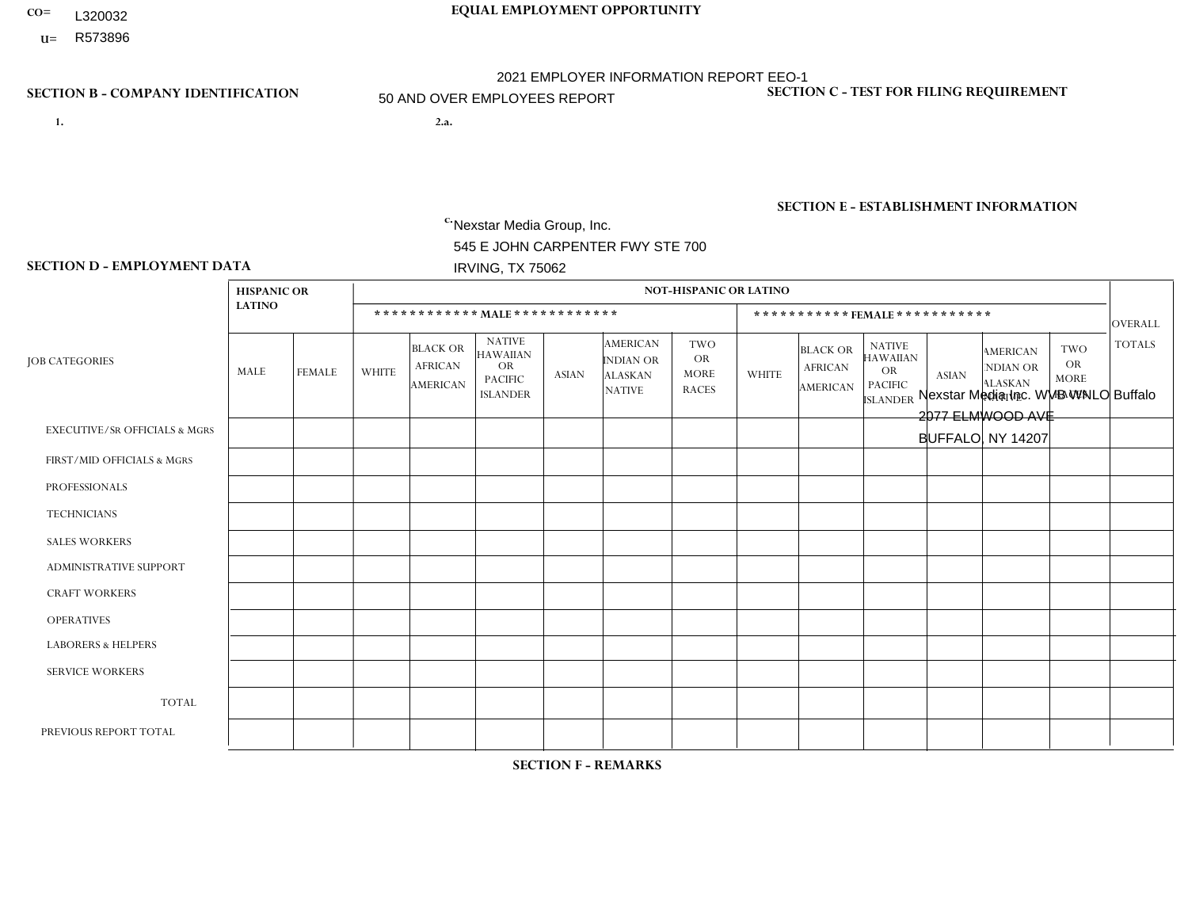- **CO= EQUAL EMPLOYMENT OPPORTUNITY** L320032
	- **U=**

- **1. 2.a.** Nexstar Media Group, Inc. 545 E JOHN CARPENTER FWY STE 700 IRVING, TX 75062
- 2.a. Nexstar Media Inc. WVB WNLO Buffalo 2077 ELMWOOD AVE BUFFALO, NY 14207

EIN= 233063152

# **SECTION B - COMPANY IDENTIFICATION SECTION C - TEST FOR FILING REQUIREMENT**

1- Y 2- N 3- Y DUNS= 058168001

**SECTION E - ESTABLISHMENT INFORMATION c.** NAICS: 515120 - Television Broadcasting

### **SECTION D - EMPLOYMENT DATA**

|                                          | <b>HISPANIC OR</b> |                |              |                                                      |                                                                                    |              |                                                                        | <b>NOT-HISPANIC OR LATINO</b>                          |                |                                                      |                                                                                    |              |                                                                       |                                                        |               |
|------------------------------------------|--------------------|----------------|--------------|------------------------------------------------------|------------------------------------------------------------------------------------|--------------|------------------------------------------------------------------------|--------------------------------------------------------|----------------|------------------------------------------------------|------------------------------------------------------------------------------------|--------------|-----------------------------------------------------------------------|--------------------------------------------------------|---------------|
|                                          | <b>LATINO</b>      |                |              | ************ MAIE************                        |                                                                                    |              |                                                                        |                                                        |                |                                                      | ***********FEMALE***********                                                       |              |                                                                       |                                                        | OVERALL       |
| <b>JOB CATEGORIES</b>                    | MALE               | <b>FEMALE</b>  | <b>WHITE</b> | <b>BLACK OR</b><br><b>AFRICAN</b><br><b>AMERICAN</b> | <b>NATIVE</b><br><b>HAWAIIAN</b><br><b>OR</b><br><b>PACIFIC</b><br><b>ISLANDER</b> | <b>ASIAN</b> | <b>AMERICAN</b><br><b>INDIAN OR</b><br><b>ALASKAN</b><br><b>NATIVE</b> | <b>TWO</b><br><b>OR</b><br><b>MORE</b><br><b>RACES</b> | <b>WHITE</b>   | <b>BLACK OR</b><br><b>AFRICAN</b><br><b>AMERICAN</b> | <b>NATIVE</b><br><b>HAWAIIAN</b><br><b>OR</b><br><b>PACIFIC</b><br><b>ISLANDER</b> | <b>ASIAN</b> | <b>AMERICAN</b><br><b>NDIAN OR</b><br><b>ALASKAN</b><br><b>NATIVE</b> | <b>TWO</b><br><b>OR</b><br><b>MORE</b><br><b>RACES</b> | <b>TOTALS</b> |
| <b>EXECUTIVE/SR OFFICIALS &amp; MGRS</b> | $\Omega$           | $\Omega$       | $\Omega$     | $\mathbf 0$                                          | 0                                                                                  | $\Omega$     | $\Omega$                                                               | $\Omega$                                               | $\Omega$       | $\Omega$                                             | 0                                                                                  | $\Omega$     | $\Omega$                                                              | $\Omega$                                               | $\mathbf 0$   |
| FIRST/MID OFFICIALS & MGRS               | -1                 | $\mathbf 0$    | 5            | $\mathbf 0$                                          | $\mathbf 0$                                                                        | 0            | $\Omega$                                                               | $\Omega$                                               | $\overline{2}$ | $\Omega$                                             | 0                                                                                  | $\Omega$     | $\Omega$                                                              | $\Omega$                                               | 8             |
| <b>PROFESSIONALS</b>                     | $\Omega$           | $\mathbf 0$    | 9            | $\mathbf 0$                                          | $\Omega$                                                                           | 0            | $\Omega$                                                               | $\Omega$                                               | 3              | $\Omega$                                             | 0                                                                                  | $\Omega$     | $\Omega$                                                              | $\Omega$                                               | 12            |
| <b>TECHNICIANS</b>                       | $\mathbf 0$        | $\overline{2}$ | 44           | $\overline{4}$                                       | $\mathbf 0$                                                                        | 0            | -1                                                                     | $\overline{1}$                                         | 20             | $\overline{\mathbf{A}}$                              | 0                                                                                  | $\Omega$     | $\Omega$                                                              | 1                                                      | 74            |
| <b>SALES WORKERS</b>                     | $\Omega$           | $\Omega$       | 5            | $\mathbf 0$                                          | $\Omega$                                                                           | $\Omega$     | $\Omega$                                                               | $\mathbf{0}$                                           | 4              | $\Omega$                                             | 0                                                                                  | $\Omega$     | $\Omega$                                                              | $\Omega$                                               | 9             |
| <b>ADMINISTRATIVE SUPPORT</b>            | $\Omega$           | 1              | 5            | $\Omega$                                             | $\mathbf 0$                                                                        | 0            | $\mathbf{0}$                                                           | $\Omega$                                               | $\overline{4}$ |                                                      | 0                                                                                  | $\Omega$     | $\Omega$                                                              | $\Omega$                                               | 11            |
| <b>CRAFT WORKERS</b>                     | $\Omega$           | $\mathbf{0}$   | 0            | $\mathbf 0$                                          | $\Omega$                                                                           | 0            | $\Omega$                                                               | $\Omega$                                               | $\Omega$       | $\Omega$                                             | 0                                                                                  | $\Omega$     | $\Omega$                                                              | $\Omega$                                               | $\mathbf 0$   |
| <b>OPERATIVES</b>                        | $\Omega$           | $\Omega$       | 0            | $\mathbf 0$                                          | $\Omega$                                                                           | 0            | $\mathbf{0}$                                                           | $\Omega$                                               | $\Omega$       | $\Omega$                                             | 0                                                                                  | $\Omega$     | $\Omega$                                                              | $\Omega$                                               | $\mathbf{0}$  |
| <b>LABORERS &amp; HELPERS</b>            | $\Omega$           | $\Omega$       | $\Omega$     | $\mathbf 0$                                          | $\Omega$                                                                           | 0            | $\Omega$                                                               | $\Omega$                                               | $\Omega$       | $\Omega$                                             | 0                                                                                  | $\Omega$     | $\Omega$                                                              | $\Omega$                                               | $\mathbf{0}$  |
| <b>SERVICE WORKERS</b>                   | $\Omega$           | $\mathbf 0$    | 0            | $\mathbf 0$                                          | $\mathbf 0$                                                                        | 0            | $\mathbf{0}$                                                           | $\Omega$                                               | $\Omega$       | $\Omega$                                             | 0                                                                                  | $\Omega$     | $\Omega$                                                              | $\Omega$                                               | $\mathbf{0}$  |
| <b>TOTAL</b>                             |                    | 3              | 68           | 4                                                    | 0                                                                                  | 0            | -1                                                                     |                                                        | 33             | $\overline{2}$                                       | 0                                                                                  | $\Omega$     | $\Omega$                                                              | $\mathbf{1}$                                           | 114           |
| PREVIOUS REPORT TOTAL                    | -1                 | $\mathbf{1}$   | 70           | $\overline{7}$                                       | $\mathbf 0$                                                                        | 0            | -1                                                                     | $\Omega$                                               | 33             | 3                                                    | 0                                                                                  | $\Omega$     | 0                                                                     | $\overline{1}$                                         | 117           |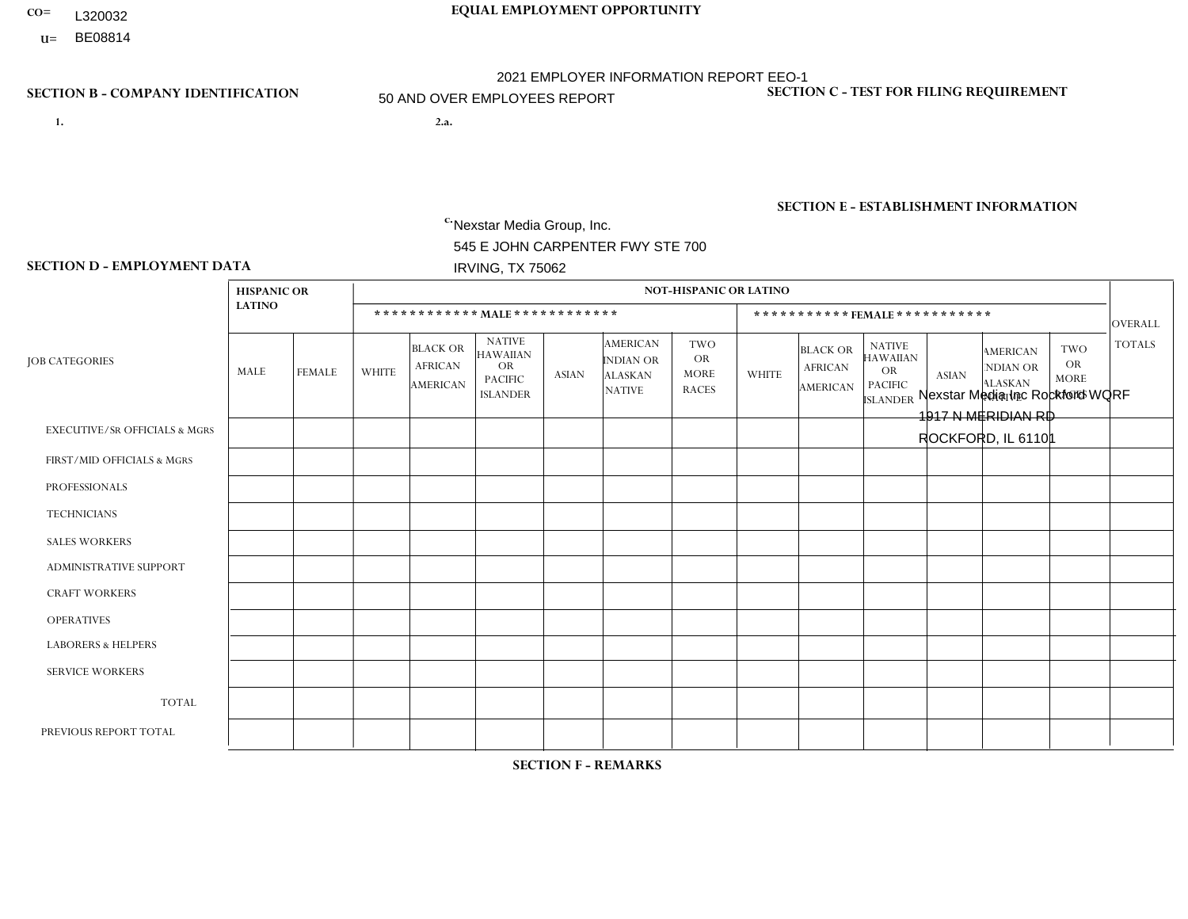- **CO= EQUAL EMPLOYMENT OPPORTUNITY** L320032
	- **U=**

- **1. 2.a.** Nexstar Media Group, Inc. 545 E JOHN CARPENTER FWY STE 700 IRVING, TX 75062
- 2.a. Nexstar Media Inc Rockford WQRF 1917 N MERIDIAN RD ROCKFORD, IL 61101

EIN= 233063152

### **SECTION B - COMPANY IDENTIFICATION SECTION C - TEST FOR FILING REQUIREMENT**

1- Y 2- N 3- Y DUNS= 058168001

**SECTION E - ESTABLISHMENT INFORMATION c.** NAICS: 515120 - Television Broadcasting

### **SECTION D - EMPLOYMENT DATA**

|                                          | <b>HISPANIC OR</b> |                |                |                                                      |                                                                                    |              |                                                                 | <b>NOT-HISPANIC OR LATINO</b>                          |                |                                                      |                                                                                    |              |                                                                       |                                                        |                |
|------------------------------------------|--------------------|----------------|----------------|------------------------------------------------------|------------------------------------------------------------------------------------|--------------|-----------------------------------------------------------------|--------------------------------------------------------|----------------|------------------------------------------------------|------------------------------------------------------------------------------------|--------------|-----------------------------------------------------------------------|--------------------------------------------------------|----------------|
|                                          | <b>LATINO</b>      |                |                |                                                      | ************ MALE ************                                                     |              |                                                                 |                                                        |                |                                                      | ***********FEMALE***********                                                       |              |                                                                       |                                                        | OVERALL        |
| <b>JOB CATEGORIES</b>                    | MALE               | <b>FEMALE</b>  | <b>WHITE</b>   | <b>BLACK OR</b><br><b>AFRICAN</b><br><b>AMERICAN</b> | <b>NATIVE</b><br><b>HAWAIIAN</b><br><b>OR</b><br><b>PACIFIC</b><br><b>ISLANDER</b> | <b>ASIAN</b> | <b>AMERICAN</b><br>INDIAN OR<br><b>ALASKAN</b><br><b>NATIVE</b> | <b>TWO</b><br><b>OR</b><br><b>MORE</b><br><b>RACES</b> | <b>WHITE</b>   | <b>BLACK OR</b><br><b>AFRICAN</b><br><b>AMERICAN</b> | <b>NATIVE</b><br><b>HAWAIIAN</b><br><b>OR</b><br><b>PACIFIC</b><br><b>ISLANDER</b> | <b>ASIAN</b> | <b>AMERICAN</b><br><b>NDIAN OR</b><br><b>ALASKAN</b><br><b>NATIVE</b> | <b>TWO</b><br><b>OR</b><br><b>MORE</b><br><b>RACES</b> | <b>TOTALS</b>  |
| <b>EXECUTIVE/SR OFFICIALS &amp; MGRS</b> | $\Omega$           | $\Omega$       | $\overline{1}$ | $\Omega$                                             | $\Omega$                                                                           | $\Omega$     | $\Omega$                                                        | $\Omega$                                               | $\Omega$       | $\Omega$                                             | $\mathbf{0}$                                                                       | $\Omega$     | $\Omega$                                                              | $\Omega$                                               | $\mathbf 1$    |
| FIRST/MID OFFICIALS & MGRS               | 0                  | $\Omega$       | 3              | $\mathbf 0$                                          | $\mathbf 0$                                                                        | $\Omega$     | $\Omega$                                                        | $\Omega$                                               | $\Omega$       | $\Omega$                                             | $\mathbf{0}$                                                                       | $\Omega$     | $\mathbf{0}$                                                          | $\Omega$                                               | 3              |
| <b>PROFESSIONALS</b>                     | 0                  | $\mathbf 0$    | 5              | $\mathbf 0$                                          | $\mathbf 0$                                                                        | $\Omega$     | $\Omega$                                                        | $\Omega$                                               | $\overline{7}$ | $\Omega$                                             | $\Omega$                                                                           | $\mathbf{0}$ | $\Omega$                                                              | $\Omega$                                               | 12             |
| <b>TECHNICIANS</b>                       | 1                  | $\overline{2}$ | 15             | $\mathbf 0$                                          | $\mathbf 0$                                                                        | $\mathbf{1}$ | $\mathbf{0}$                                                    | $\overline{1}$                                         | 6              | $\mathbf 0$                                          | $\mathbf 0$                                                                        | $\mathbf 0$  | $\Omega$                                                              | $\Omega$                                               | 26             |
| <b>SALES WORKERS</b>                     | 0                  | $\Omega$       | $\overline{2}$ | $\Omega$                                             | $\Omega$                                                                           | $\Omega$     | $\mathbf{0}$                                                    | $\Omega$                                               | 4              | $\Omega$                                             | $\Omega$                                                                           | $\mathbf{0}$ | $\Omega$                                                              | $\Omega$                                               | 6              |
| <b>ADMINISTRATIVE SUPPORT</b>            | 0                  | $\mathbf{1}$   | 6              | $\mathbf 0$                                          | $\mathbf 0$                                                                        | $\Omega$     | $\Omega$                                                        | $\Omega$                                               | $\overline{7}$ | $\Omega$                                             | $\Omega$                                                                           | $\Omega$     | $\mathbf{0}$                                                          | $\mathbf{0}$                                           | 14             |
| <b>CRAFT WORKERS</b>                     | 0                  | $\Omega$       | $\mathbf 0$    | $\mathbf 0$                                          | $\mathbf 0$                                                                        | $\Omega$     | $\Omega$                                                        | $\Omega$                                               | $\Omega$       | $\Omega$                                             | $\Omega$                                                                           | $\mathbf{0}$ | $\Omega$                                                              | $\Omega$                                               | $\mathbf 0$    |
| <b>OPERATIVES</b>                        | 0                  | $\mathbf 0$    | $\mathbf 0$    | $\mathbf 0$                                          | $\mathbf 0$                                                                        | $\mathbf 0$  | $\Omega$                                                        | $\Omega$                                               | $\Omega$       | $\Omega$                                             | $\mathbf{0}$                                                                       | $\Omega$     | $\mathbf{0}$                                                          | $\Omega$                                               | $\mathbf 0$    |
| <b>LABORERS &amp; HELPERS</b>            | 0                  | $\Omega$       | $\mathbf{0}$   | $\Omega$                                             | $\Omega$                                                                           | $\Omega$     | $\Omega$                                                        | $\Omega$                                               | $\Omega$       | $\Omega$                                             | $\Omega$                                                                           | $\mathbf{0}$ | $\Omega$                                                              | $\Omega$                                               | $\mathbf 0$    |
| <b>SERVICE WORKERS</b>                   | 0                  | $\mathbf{0}$   | $\mathbf 0$    | $\mathbf 0$                                          | $\mathbf{0}$                                                                       | $\mathbf{0}$ | $\mathbf{0}$                                                    | $\Omega$                                               | $\Omega$       | $\Omega$                                             | $\Omega$                                                                           | $\Omega$     | $\mathbf{0}$                                                          | $\Omega$                                               | $\overline{0}$ |
| <b>TOTAL</b>                             | 1                  | 3              | 32             | $\mathbf 0$                                          | $\mathbf 0$                                                                        | $\mathbf{1}$ | $\Omega$                                                        | 1                                                      | 24             | $\Omega$                                             | $\Omega$                                                                           | $\mathbf 0$  | $\Omega$                                                              | $\mathbf{0}$                                           | 62             |
| PREVIOUS REPORT TOTAL                    | 1                  | $\mathbf{1}$   | 32             | $\mathbf 0$                                          | $\mathbf 0$                                                                        | $\Omega$     | $\Omega$                                                        | 1                                                      | 28             | $\mathbf{1}$                                         | $\mathbf{0}$                                                                       | $\Omega$     | $\mathbf{0}$                                                          | 1                                                      | 65             |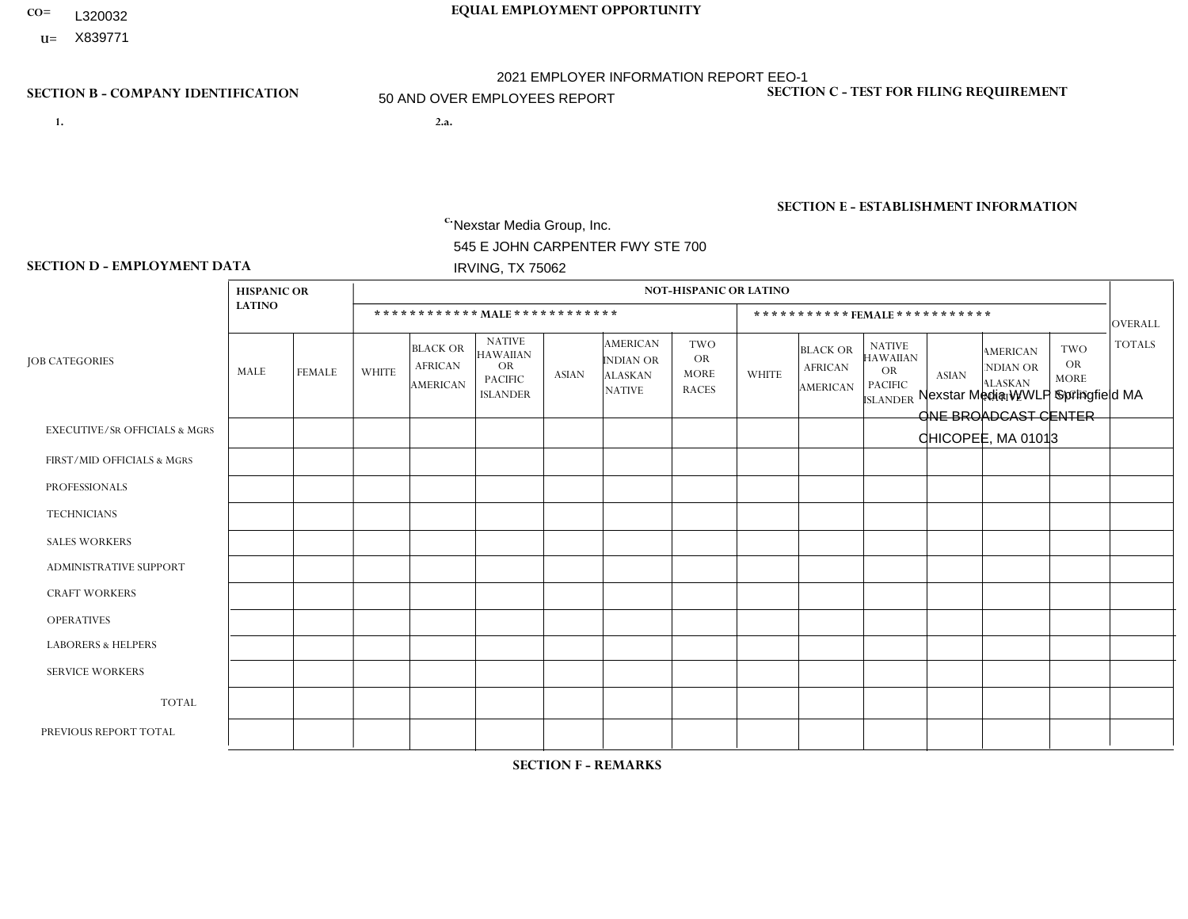- **CO= EQUAL EMPLOYMENT OPPORTUNITY** L320032
- **U=**

- **1. 2.a.** Nexstar Media Group, Inc. 545 E JOHN CARPENTER FWY STE 700 IRVING, TX 75062
- 2.a. Nexstar Media WWLP Springfield MA ONE BROADCAST CENTER CHICOPEE, MA 01013

EIN= 233063152

### **SECTION B - COMPANY IDENTIFICATION SECTION C - TEST FOR FILING REQUIREMENT**

1- Y 2- N 3- Y DUNS= 058168001

**SECTION E - ESTABLISHMENT INFORMATION c.** NAICS: 515120 - Television Broadcasting

### **SECTION D - EMPLOYMENT DATA**

|                                          | <b>HISPANIC OR</b> |                |                |                                                      |                                                                                    |                |                                                                 | <b>NOT-HISPANIC OR LATINO</b>                          |                |                                               |                                                                                    |                |                                                                       |                                                        |                |
|------------------------------------------|--------------------|----------------|----------------|------------------------------------------------------|------------------------------------------------------------------------------------|----------------|-----------------------------------------------------------------|--------------------------------------------------------|----------------|-----------------------------------------------|------------------------------------------------------------------------------------|----------------|-----------------------------------------------------------------------|--------------------------------------------------------|----------------|
|                                          | <b>LATINO</b>      |                |                |                                                      | ************ MAIE************                                                      |                |                                                                 |                                                        |                |                                               | ***********FEMALE***********                                                       |                |                                                                       |                                                        | <b>OVERALL</b> |
| <b>JOB CATEGORIES</b>                    | MALE               | <b>FEMALE</b>  | <b>WHITE</b>   | <b>BLACK OR</b><br><b>AFRICAN</b><br><b>AMERICAN</b> | <b>NATIVE</b><br><b>HAWAIIAN</b><br><b>OR</b><br><b>PACIFIC</b><br><b>ISLANDER</b> | <b>ASIAN</b>   | <b>AMERICAN</b><br>INDIAN OR<br><b>ALASKAN</b><br><b>NATIVE</b> | <b>TWO</b><br><b>OR</b><br><b>MORE</b><br><b>RACES</b> | <b>WHITE</b>   | <b>BLACK OR</b><br><b>AFRICAN</b><br>AMERICAN | <b>NATIVE</b><br><b>HAWAIIAN</b><br><b>OR</b><br><b>PACIFIC</b><br><b>ISLANDER</b> | <b>ASIAN</b>   | <b>AMERICAN</b><br><b>NDIAN OR</b><br><b>ALASKAN</b><br><b>NATIVE</b> | <b>TWO</b><br><b>OR</b><br><b>MORE</b><br><b>RACES</b> | <b>TOTALS</b>  |
| <b>EXECUTIVE/SR OFFICIALS &amp; MGRS</b> | $\Omega$           | $\mathbf 0$    | $\mathbf 0$    | $\mathbf 0$                                          | $\mathbf 0$                                                                        | $\mathbf 0$    | $\Omega$                                                        | $\Omega$                                               | $\Omega$       | $\Omega$                                      | $\Omega$                                                                           | $\mathbf 0$    | $\mathbf{0}$                                                          | $\Omega$                                               | $\mathbf 0$    |
| FIRST/MID OFFICIALS & MGRS               | 0                  | $\Omega$       | $\mathbf{1}$   | $\mathbf 0$                                          | $\Omega$                                                                           | $\mathbf{1}$   | $\Omega$                                                        | $\Omega$                                               |                | $\Omega$                                      | $\Omega$                                                                           | $\overline{2}$ | $\mathbf{0}$                                                          | $\Omega$                                               | 5              |
| <b>PROFESSIONALS</b>                     | 0                  | $\mathbf 0$    | 8              | $\pmb{0}$                                            | $\mathbf 0$                                                                        | 3              | $\Omega$                                                        | $\Omega$                                               | 3              | $\Omega$                                      | $\Omega$                                                                           | 1              | $\Omega$                                                              | 1                                                      | 16             |
| <b>TECHNICIANS</b>                       | $\overline{2}$     | $\overline{4}$ | 63             | 5                                                    | $\mathbf 0$                                                                        | $\mathbf 0$    | $\Omega$                                                        | 1                                                      | 21             | $\overline{2}$                                | $\mathbf 0$                                                                        | $\mathbf 0$    | $\mathbf 0$                                                           | $\mathbf{0}$                                           | 98             |
| <b>SALES WORKERS</b>                     | 0                  | $\mathbf 0$    | $\mathbf{1}$   | $\mathbf 0$                                          | $\mathbf 0$                                                                        | $\mathbf 0$    | $\Omega$                                                        | $\Omega$                                               |                | $\Omega$                                      | $\Omega$                                                                           | $\overline{2}$ | $\Omega$                                                              | $\Omega$                                               | $\overline{4}$ |
| <b>ADMINISTRATIVE SUPPORT</b>            | 0                  | $\mathbf 0$    | $\overline{c}$ | $\mathbf 0$                                          | $\mathbf 0$                                                                        | $\Omega$       | $\Omega$                                                        | $\Omega$                                               | $\overline{2}$ | $\Omega$                                      | $\Omega$                                                                           | $\overline{4}$ | $\Omega$                                                              | $\Omega$                                               | 8              |
| <b>CRAFT WORKERS</b>                     | 0                  | $\Omega$       | $\mathbf 0$    | $\mathbf 0$                                          | $\mathbf 0$                                                                        | $\Omega$       | $\Omega$                                                        | $\Omega$                                               | $\Omega$       | $\Omega$                                      | $\Omega$                                                                           | $\Omega$       | $\mathbf{0}$                                                          | $\mathbf{0}$                                           | $\mathbf 0$    |
| <b>OPERATIVES</b>                        | 0                  | $\mathbf 0$    | $\mathbf 0$    | $\mathbf 0$                                          | $\mathbf 0$                                                                        | $\mathbf 0$    | $\Omega$                                                        | $\Omega$                                               | $\Omega$       | $\Omega$                                      | $\Omega$                                                                           | $\Omega$       | $\Omega$                                                              | $\Omega$                                               | $\mathbf 0$    |
| <b>LABORERS &amp; HELPERS</b>            | 0                  | $\Omega$       | $\mathbf 0$    | $\mathbf 0$                                          | $\mathbf 0$                                                                        | $\mathbf 0$    | $\Omega$                                                        | $\Omega$                                               | $\Omega$       | $\Omega$                                      | $\Omega$                                                                           | $\Omega$       | $\mathbf{0}$                                                          | $\mathbf{0}$                                           | $\overline{0}$ |
| <b>SERVICE WORKERS</b>                   | 0                  | $\Omega$       | $\mathbf 0$    | $\mathbf 0$                                          | 0                                                                                  | $\mathbf 0$    | $\Omega$                                                        | $\Omega$                                               | $\Omega$       | $\Omega$                                      | $\Omega$                                                                           | $\Omega$       | $\Omega$                                                              | $\Omega$                                               | $\mathbf 0$    |
| <b>TOTAL</b>                             | $\overline{2}$     | 4              | 75             | $5\phantom{.0}$                                      | $\mathbf 0$                                                                        | $\overline{4}$ | $\mathbf{0}$                                                    | 1                                                      | 28             | $\overline{2}$                                | $\mathbf{0}$                                                                       | 9              | $\mathbf 0$                                                           | 1                                                      | 131            |
| PREVIOUS REPORT TOTAL                    | 1                  | $\mathbf{1}$   | 24             | $\mathbf{1}$                                         | $\mathbf 0$                                                                        | $\Omega$       | $\Omega$                                                        | $\Omega$                                               | 5              | $\Omega$                                      | $\mathbf{0}$                                                                       | $\Omega$       | $\Omega$                                                              | $\Omega$                                               | 32             |

**SECTION F - REMARKS**

business needs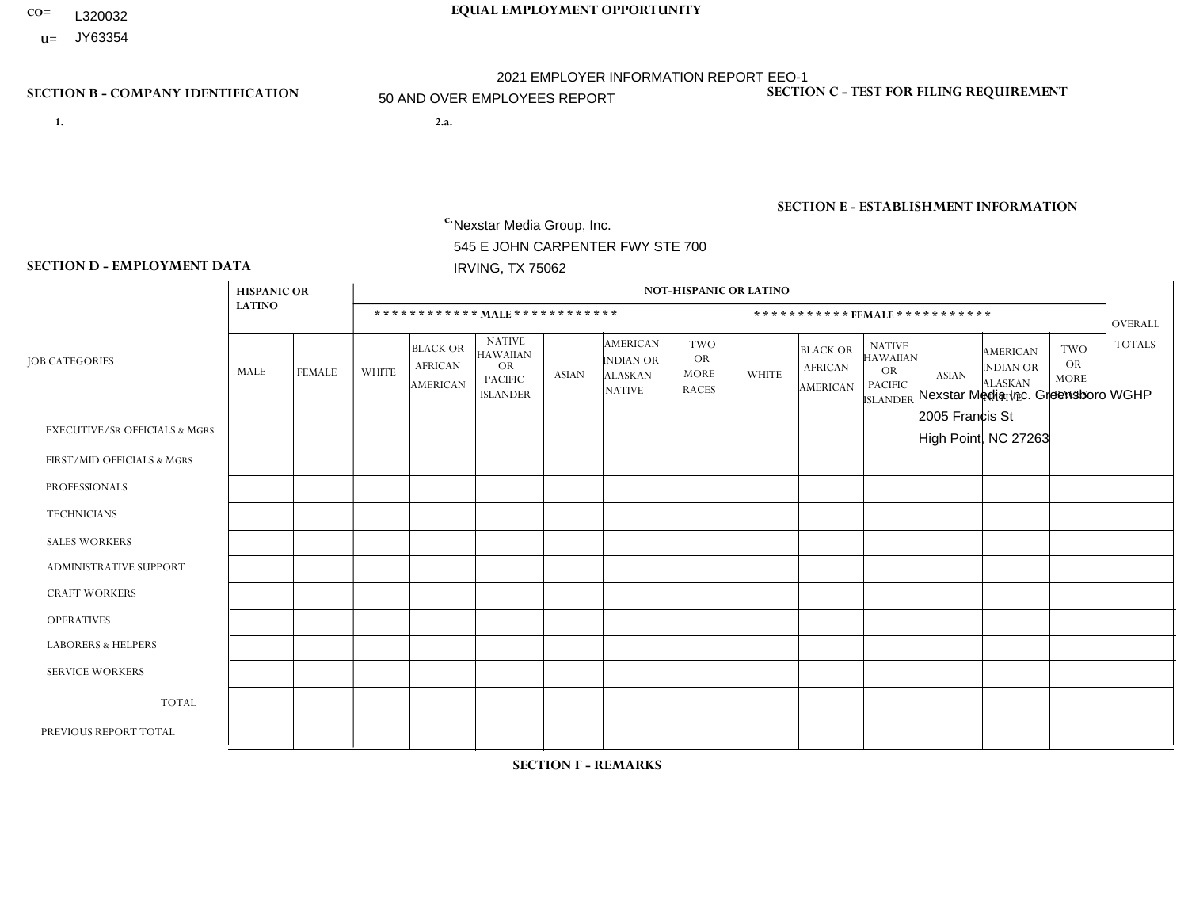- **CO= EQUAL EMPLOYMENT OPPORTUNITY** L320032
- **U=** JY63354

- **1. 2.a.** Nexstar Media Group, Inc. 545 E JOHN CARPENTER FWY STE 700 IRVING, TX 75062
- 2.a. Nexstar Media Inc. Greensboro WGHP 2005 Francis St High Point, NC 27263

EIN= 364766010

# **SECTION B - COMPANY IDENTIFICATION SECTION C - TEST FOR FILING REQUIREMENT**

1- Y 2- N 3- Y DUNS= 058168001

**SECTION E - ESTABLISHMENT INFORMATION c.** NAICS: 515120 - Television Broadcasting

### **SECTION D - EMPLOYMENT DATA**

|                                          | <b>HISPANIC OR</b> |               |                |                                                      |                                                                             |              |                                                                 | <b>NOT-HISPANIC OR LATINO</b>                          |                |                                                      |                                                                                    |              |                                                                       |                                                        |                |
|------------------------------------------|--------------------|---------------|----------------|------------------------------------------------------|-----------------------------------------------------------------------------|--------------|-----------------------------------------------------------------|--------------------------------------------------------|----------------|------------------------------------------------------|------------------------------------------------------------------------------------|--------------|-----------------------------------------------------------------------|--------------------------------------------------------|----------------|
|                                          | <b>LATINO</b>      |               |                |                                                      | ************ MALE************                                               |              |                                                                 |                                                        |                |                                                      | ***********FEMALE ***********                                                      |              |                                                                       |                                                        | <b>OVERALL</b> |
| <b>JOB CATEGORIES</b>                    | MALE               | <b>FEMALE</b> | <b>WHITE</b>   | <b>BLACK OR</b><br><b>AFRICAN</b><br><b>AMERICAN</b> | <b>NATIVE</b><br><b>HAWAIIAN</b><br>OR<br><b>PACIFIC</b><br><b>ISLANDER</b> | <b>ASIAN</b> | <b>AMERICAN</b><br>INDIAN OR<br><b>ALASKAN</b><br><b>NATIVE</b> | <b>TWO</b><br><b>OR</b><br><b>MORE</b><br><b>RACES</b> | <b>WHITE</b>   | <b>BLACK OR</b><br><b>AFRICAN</b><br><b>AMERICAN</b> | <b>NATIVE</b><br><b>HAWAIIAN</b><br><b>OR</b><br><b>PACIFIC</b><br><b>ISLANDER</b> | <b>ASIAN</b> | <b>AMERICAN</b><br><b>NDIAN OR</b><br><b>ALASKAN</b><br><b>NATIVE</b> | <b>TWO</b><br><b>OR</b><br><b>MORE</b><br><b>RACES</b> | <b>TOTALS</b>  |
| <b>EXECUTIVE/SR OFFICIALS &amp; MGRS</b> | $\mathbf 0$        | $\mathbf 0$   | 1              | $\mathbf 0$                                          | $\mathbf 0$                                                                 | $\mathbf 0$  | $\Omega$                                                        | $\Omega$                                               | $\Omega$       | $\Omega$                                             | $\Omega$                                                                           | $\mathbf 0$  | $\Omega$                                                              | $\Omega$                                               |                |
| FIRST/MID OFFICIALS & MGRS               |                    | $\mathbf 0$   | 10             | $\mathbf 0$                                          | $\mathbf 0$                                                                 | $\mathbf 0$  | $\Omega$                                                        | $\Omega$                                               | 3              | 1                                                    | $\Omega$                                                                           | $\Omega$     | $\mathbf{0}$                                                          | $\Omega$                                               | 15             |
| <b>PROFESSIONALS</b>                     | 0                  | $\mathbf{1}$  | 35             | $\overline{7}$                                       | $\Omega$                                                                    | $\Omega$     | $\Omega$                                                        | 1                                                      | 22             | 6                                                    | $\Omega$                                                                           | $\Omega$     |                                                                       | $\mathbf{0}$                                           | 73             |
| <b>TECHNICIANS</b>                       | 1                  | $\mathbf 0$   | 16             | $\overline{2}$                                       | $\mathbf 0$                                                                 | $\mathbf 0$  | $\Omega$                                                        | $\Omega$                                               | $\overline{2}$ | 3                                                    | $\Omega$                                                                           | $\mathbf 0$  | $\Omega$                                                              | $\Omega$                                               | 24             |
| <b>SALES WORKERS</b>                     | $\Omega$           | $\mathbf 0$   | $\overline{1}$ | $\mathbf{1}$                                         | $\mathbf 0$                                                                 | $\Omega$     | $\Omega$                                                        | $\Omega$                                               | 5              | $\mathbf{1}$                                         | $\mathbf{0}$                                                                       | $\Omega$     | $\mathbf{0}$                                                          | $\Omega$                                               | 8              |
| <b>ADMINISTRATIVE SUPPORT</b>            | 0                  | $\mathbf 0$   | $\mathbf 0$    | $\mathbf 0$                                          | $\mathbf 0$                                                                 | $\mathbf 0$  | $\Omega$                                                        | $\Omega$                                               |                | 3                                                    | $\Omega$                                                                           | $\mathbf{0}$ | $\Omega$                                                              | 0                                                      | $\overline{4}$ |
| <b>CRAFT WORKERS</b>                     | 0                  | $\Omega$      | $\mathbf 0$    | $\mathbf 0$                                          | $\Omega$                                                                    | $\Omega$     | $\Omega$                                                        | $\Omega$                                               | $\Omega$       | $\Omega$                                             | $\Omega$                                                                           | $\Omega$     | $\Omega$                                                              | $\mathbf{0}$                                           | $\Omega$       |
| <b>OPERATIVES</b>                        | 0                  | $\Omega$      | $\mathbf 0$    | $\mathbf 0$                                          | $\mathbf 0$                                                                 | $\mathbf{0}$ | $\Omega$                                                        | $\Omega$                                               | $\Omega$       | $\Omega$                                             | $\Omega$                                                                           | $\Omega$     | $\Omega$                                                              | $\Omega$                                               | $\overline{0}$ |
| <b>LABORERS &amp; HELPERS</b>            | 0                  | $\Omega$      | $\mathbf 0$    | $\mathbf 0$                                          | $\mathbf 0$                                                                 | $\Omega$     | $\Omega$                                                        | $\Omega$                                               | $\Omega$       | $\Omega$                                             | $\Omega$                                                                           | $\Omega$     | $\Omega$                                                              | $\Omega$                                               | $\mathbf 0$    |
| <b>SERVICE WORKERS</b>                   | 0                  | $\mathbf{0}$  | $\mathbf 0$    | $\mathbf 0$                                          | $\mathbf 0$                                                                 | $\mathbf{0}$ | $\Omega$                                                        | $\Omega$                                               | $\Omega$       | $\Omega$                                             | $\Omega$                                                                           | $\Omega$     | $\mathbf 0$                                                           | $\mathbf 0$                                            | $\mathbf 0$    |
| <b>TOTAL</b>                             | $\overline{2}$     | $\mathbf{1}$  | 63             | 10                                                   | 0                                                                           | $\mathbf{0}$ | $\Omega$                                                        | 1                                                      | 33             | 14                                                   | $\Omega$                                                                           | $\mathbf 0$  |                                                                       | $\Omega$                                               | 125            |
| PREVIOUS REPORT TOTAL                    |                    | $\Omega$      | 68             | 12                                                   | $\mathbf 0$                                                                 | $\Omega$     | $\Omega$                                                        | 1                                                      | 38             | 10                                                   | $\Omega$                                                                           | $\Omega$     | 2                                                                     | $\Omega$                                               | 132            |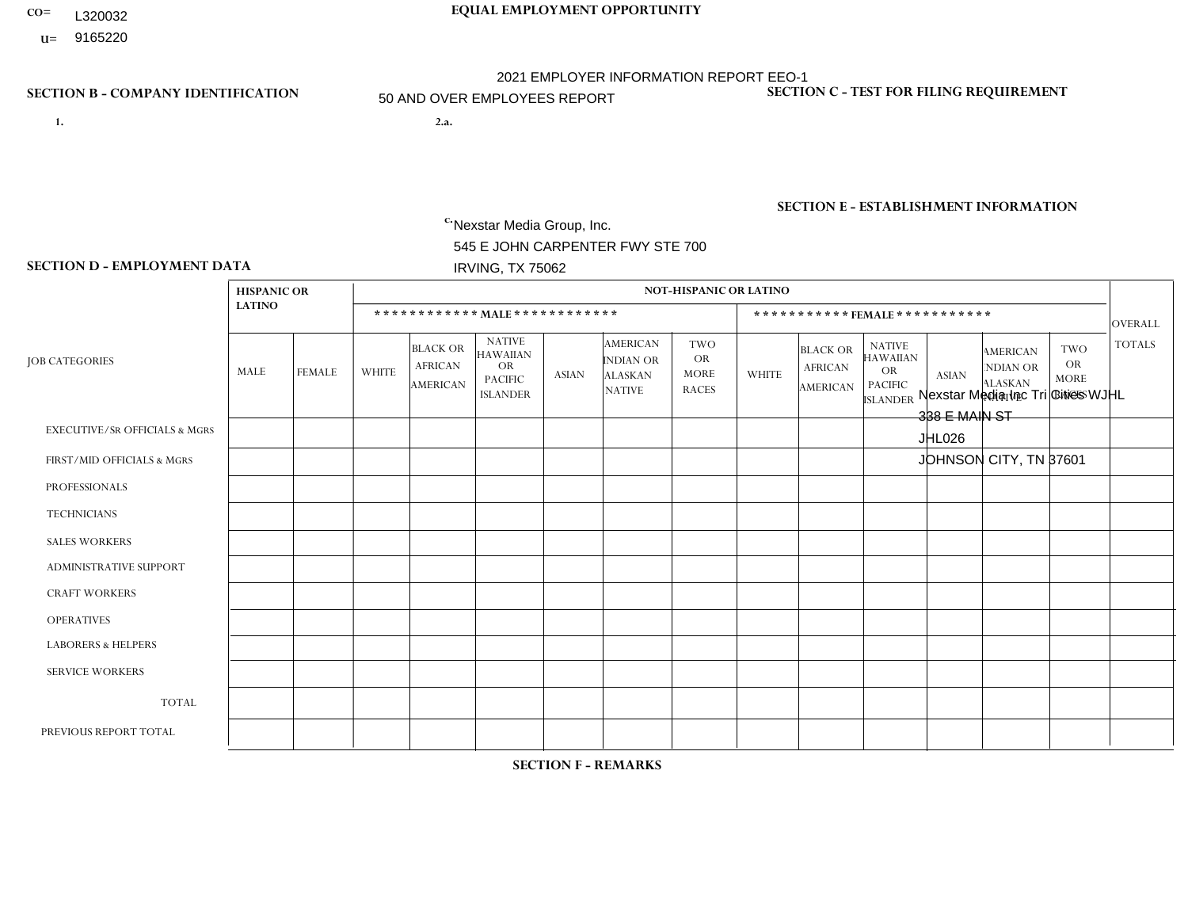- **CO= EQUAL EMPLOYMENT OPPORTUNITY** L320032
- **U=**

- **1. 2.a.** Nexstar Media Group, Inc. 545 E JOHN CARPENTER FWY STE 700 IRVING, TX 75062
- 2.a. Nexstar Media Inc Tri Cities WJHL 338 E MAIN ST JHL026 JOHNSON CITY, TN 37601

c. EIN= 233063152

# **SECTION B - COMPANY IDENTIFICATION SECTION C - TEST FOR FILING REQUIREMENT**

1- Y 2- N 3- Y DUNS= 058168001

# **SECTION E - ESTABLISHMENT INFORMATION c.** NAICS: 515120 - Television Broadcasting

### **SECTION D - EMPLOYMENT DATA**

|                                          | <b>HISPANIC OR</b> |                |                |                                                      |                                                                                    |              |                                                                        | <b>NOT-HISPANIC OR LATINO</b>                          |              |                                                      |                                                                                    |                |                                                                       |                                                        |                |
|------------------------------------------|--------------------|----------------|----------------|------------------------------------------------------|------------------------------------------------------------------------------------|--------------|------------------------------------------------------------------------|--------------------------------------------------------|--------------|------------------------------------------------------|------------------------------------------------------------------------------------|----------------|-----------------------------------------------------------------------|--------------------------------------------------------|----------------|
|                                          | <b>LATINO</b>      |                |                |                                                      | ************ MALE *************                                                    |              |                                                                        |                                                        |              | ***********FEMALE***********                         |                                                                                    |                |                                                                       |                                                        | <b>OVERALL</b> |
| <b>JOB CATEGORIES</b>                    | MALE               | <b>FEMALE</b>  | <b>WHITE</b>   | <b>BLACK OR</b><br><b>AFRICAN</b><br><b>AMERICAN</b> | <b>NATIVE</b><br><b>HAWAIIAN</b><br><b>OR</b><br><b>PACIFIC</b><br><b>ISLANDER</b> | <b>ASIAN</b> | <b>AMERICAN</b><br><b>INDIAN OR</b><br><b>ALASKAN</b><br><b>NATIVE</b> | <b>TWO</b><br><b>OR</b><br><b>MORE</b><br><b>RACES</b> | <b>WHITE</b> | <b>BLACK OR</b><br><b>AFRICAN</b><br><b>AMERICAN</b> | <b>NATIVE</b><br><b>HAWAIIAN</b><br><b>OR</b><br><b>PACIFIC</b><br><b>ISLANDER</b> | <b>ASIAN</b>   | <b>AMERICAN</b><br><b>NDIAN OR</b><br><b>ALASKAN</b><br><b>NATIVE</b> | <b>TWO</b><br><b>OR</b><br><b>MORE</b><br><b>RACES</b> | <b>TOTALS</b>  |
| <b>EXECUTIVE/SR OFFICIALS &amp; MGRS</b> | 0                  | $\Omega$       | $\Omega$       | $\mathbf 0$                                          | $\Omega$                                                                           | $\Omega$     | $\Omega$                                                               | $\Omega$                                               | 0            | $\Omega$                                             | $\Omega$                                                                           | $\Omega$       | $\Omega$                                                              | $\Omega$                                               | $\Omega$       |
| FIRST/MID OFFICIALS & MGRS               | 0                  | $\Omega$       | $\overline{c}$ | $\mathbf 0$                                          |                                                                                    | $\Omega$     | $\Omega$                                                               | $\Omega$                                               | 3            | $\Omega$                                             | $\Omega$                                                                           | $\Omega$       | $\Omega$                                                              | $\Omega$                                               | 6              |
| <b>PROFESSIONALS</b>                     | 0                  | $\mathbf{0}$   | 8              | $\mathbf{1}$                                         | $\mathbf 0$                                                                        | $\Omega$     | $\Omega$                                                               | $\Omega$                                               | 8            | $\Omega$                                             | $\Omega$                                                                           | $\mathbf 0$    | $\Omega$                                                              | $\Omega$                                               | 17             |
| <b>TECHNICIANS</b>                       | 0                  | $\Omega$       | 20             | $\mathbf{1}$                                         | $\mathbf 0$                                                                        | $\Omega$     | $\Omega$                                                               | $\Omega$                                               | 13           | $\mathbf{1}$                                         | $\Omega$                                                                           | $\overline{ }$ | $\Omega$                                                              | $\Omega$                                               | 36             |
| <b>SALES WORKERS</b>                     | 0                  | 0              | 5              | $\mathbf 0$                                          | $\Omega$                                                                           | $\Omega$     | $\Omega$                                                               | $\Omega$                                               | 5            | $\Omega$                                             | $\Omega$                                                                           | $\Omega$       | $\Omega$                                                              | $\Omega$                                               | 10             |
| <b>ADMINISTRATIVE SUPPORT</b>            | 0                  | 0              | $\overline{4}$ | $\mathbf 0$                                          | $\mathbf 0$                                                                        | 0            | $\Omega$                                                               | $\Omega$                                               | 6            | 1                                                    | $\Omega$                                                                           | $\Omega$       | $\Omega$                                                              | $\Omega$                                               | 11             |
| <b>CRAFT WORKERS</b>                     | 0                  | $\Omega$       | $\mathbf 0$    | $\mathbf 0$                                          | 0                                                                                  | $\Omega$     | $\Omega$                                                               | $\Omega$                                               | $\Omega$     | $\Omega$                                             | $\Omega$                                                                           | $\Omega$       | $\Omega$                                                              | $\Omega$                                               | $\Omega$       |
| <b>OPERATIVES</b>                        | 0                  | $\Omega$       | $\mathbf 0$    | $\mathbf 0$                                          | 0                                                                                  | $\Omega$     | $\Omega$                                                               | $\Omega$                                               | $\Omega$     | $\Omega$                                             | $\Omega$                                                                           | $\Omega$       | $\Omega$                                                              | $\Omega$                                               | $\mathbf 0$    |
| <b>LABORERS &amp; HELPERS</b>            | 0                  | $\Omega$       | $\mathbf 0$    | $\mathbf 0$                                          | 0                                                                                  | $\Omega$     | $\Omega$                                                               | $\Omega$                                               | $\Omega$     | $\Omega$                                             | $\Omega$                                                                           | $\Omega$       | 0                                                                     | $\Omega$                                               | $\mathbf 0$    |
| <b>SERVICE WORKERS</b>                   | 0                  | $\Omega$       | $\mathbf 0$    | $\mathbf 0$                                          | 0                                                                                  | $\Omega$     | $\Omega$                                                               | $\Omega$                                               | 0            | $\Omega$                                             | $\Omega$                                                                           | $\Omega$       | $\Omega$                                                              | $\Omega$                                               | $\mathbf 0$    |
| <b>TOTAL</b>                             | 0                  | 0              | 39             | $\overline{c}$                                       |                                                                                    | 0            | $\Omega$                                                               | $\Omega$                                               | 35           | $\overline{2}$                                       | $\mathbf 0$                                                                        |                | $\Omega$                                                              | 0                                                      | 80             |
| PREVIOUS REPORT TOTAL                    | 0                  | $\overline{2}$ | 42             | $\overline{2}$                                       | $\mathbf 0$                                                                        | $\Omega$     | $\Omega$                                                               | $\Omega$                                               | 38           | $\mathbf{1}$                                         | $\Omega$                                                                           | $\Omega$       | $\Omega$                                                              | $\mathbf 0$                                            | 85             |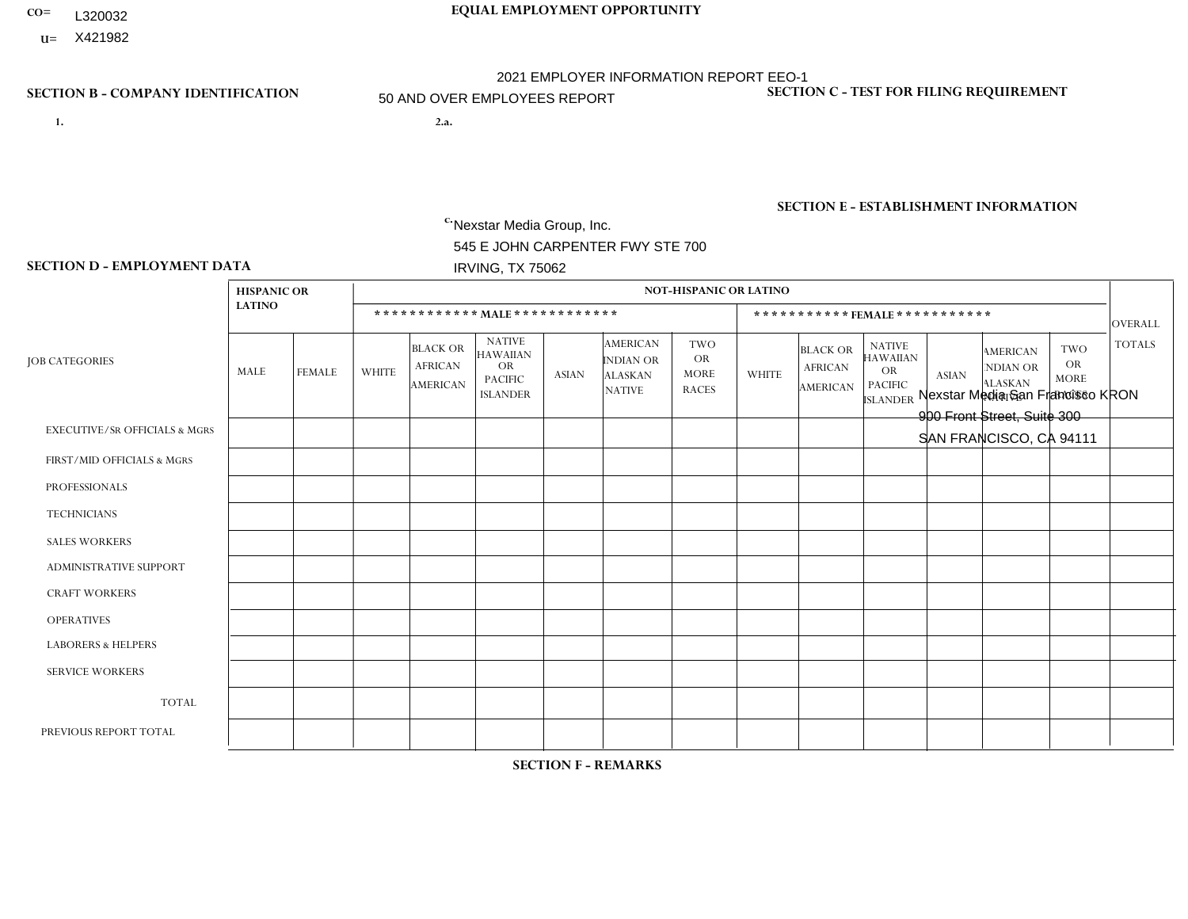- **CO= EQUAL EMPLOYMENT OPPORTUNITY** L320032
- **U=**

- **1. 2.a.** Nexstar Media Group, Inc. 545 E JOHN CARPENTER FWY STE 700 IRVING, TX 75062
- 2.a. Nexstar Media San Francisco KRON 900 Front Street, Suite 300 SAN FRANCISCO, CA 94111

EIN= 233063152

### **SECTION B - COMPANY IDENTIFICATION SECTION C - TEST FOR FILING REQUIREMENT**

1- Y 2- N 3- Y DUNS= 058168001

**SECTION E - ESTABLISHMENT INFORMATION c.** NAICS: 515120 - Television Broadcasting

### **SECTION D - EMPLOYMENT DATA**

|                                          | <b>HISPANIC OR</b> |                |                 |                                                      |                                                                                    |                 |                                                                 | <b>NOT-HISPANIC OR LATINO</b>                          |              |                                                      |                                                                                    |                |                                                                       |                                                        |                |
|------------------------------------------|--------------------|----------------|-----------------|------------------------------------------------------|------------------------------------------------------------------------------------|-----------------|-----------------------------------------------------------------|--------------------------------------------------------|--------------|------------------------------------------------------|------------------------------------------------------------------------------------|----------------|-----------------------------------------------------------------------|--------------------------------------------------------|----------------|
|                                          | <b>LATINO</b>      |                |                 |                                                      | ************ MALE ************                                                     |                 |                                                                 |                                                        |              |                                                      | ***********FEMALE***********                                                       |                |                                                                       |                                                        | OVERALL        |
| <b>JOB CATEGORIES</b>                    | MALE               | <b>FEMALE</b>  | <b>WHITE</b>    | <b>BLACK OR</b><br><b>AFRICAN</b><br><b>AMERICAN</b> | <b>NATIVE</b><br><b>HAWAIIAN</b><br><b>OR</b><br><b>PACIFIC</b><br><b>ISLANDER</b> | <b>ASIAN</b>    | <b>AMERICAN</b><br>INDIAN OR<br><b>ALASKAN</b><br><b>NATIVE</b> | <b>TWO</b><br><b>OR</b><br><b>MORE</b><br><b>RACES</b> | <b>WHITE</b> | <b>BLACK OR</b><br><b>AFRICAN</b><br><b>AMERICAN</b> | <b>NATIVE</b><br><b>HAWAIIAN</b><br><b>OR</b><br><b>PACIFIC</b><br><b>ISLANDER</b> | <b>ASIAN</b>   | <b>AMERICAN</b><br><b>NDIAN OR</b><br><b>ALASKAN</b><br><b>NATIVE</b> | <b>TWO</b><br><b>OR</b><br><b>MORE</b><br><b>RACES</b> | <b>TOTALS</b>  |
| <b>EXECUTIVE/SR OFFICIALS &amp; MGRS</b> | $\Omega$           | $\Omega$       | $\Omega$        | $\Omega$                                             | $\Omega$                                                                           | $\Omega$        | $\Omega$                                                        | $\Omega$                                               | $\Omega$     | $\Omega$                                             | $\mathbf{0}$                                                                       | $\Omega$       | $\Omega$                                                              | $\Omega$                                               | $\Omega$       |
| FIRST/MID OFFICIALS & MGRS               | $\overline{2}$     | $\mathbf{1}$   | $5\phantom{.0}$ | 1                                                    | $\mathbf 0$                                                                        | $\mathbf{1}$    | $\Omega$                                                        | $\Omega$                                               |              | $\overline{1}$                                       | $\mathbf{0}$                                                                       | 1              | $\mathbf{0}$                                                          | $\mathbf{0}$                                           | 13             |
| <b>PROFESSIONALS</b>                     | $\Omega$           | $\overline{2}$ | $\overline{7}$  | $\mathbf{1}$                                         | 1                                                                                  | $\mathbf{1}$    | $\Omega$                                                        | $\Omega$                                               | 5            | 3                                                    | $\mathbf{0}$                                                                       | $\mathbf{0}$   | $\Omega$                                                              | $\Omega$                                               | 20             |
| <b>TECHNICIANS</b>                       | 4                  | 8              | 22              | $\overline{4}$                                       | $\mathbf 0$                                                                        | 8               | $\mathbf{0}$                                                    | 1                                                      | 10           | $\overline{2}$                                       | $\mathbf{0}$                                                                       | 5 <sup>5</sup> | $\Omega$                                                              | $\Omega$                                               | 64             |
| <b>SALES WORKERS</b>                     | 0                  | $\mathbf{1}$   | 3               | $\mathbf{1}$                                         | $\Omega$                                                                           | $\Omega$        | $\Omega$                                                        | $\Omega$                                               | $\mathbf{1}$ | $\Omega$                                             | $\Omega$                                                                           | 1              | $\Omega$                                                              | 1                                                      | 8              |
| <b>ADMINISTRATIVE SUPPORT</b>            | $\overline{2}$     | 5              | 3               | $\mathbf 0$                                          | $\mathbf 0$                                                                        | $\Omega$        | $\Omega$                                                        | 1                                                      | 5            | $\overline{2}$                                       | $\Omega$                                                                           | $\overline{2}$ | $\mathbf{0}$                                                          | $\mathbf{0}$                                           | 20             |
| <b>CRAFT WORKERS</b>                     | 0                  | $\Omega$       | $\mathbf 0$     | $\mathbf 0$                                          | $\mathbf 0$                                                                        | $\Omega$        | $\Omega$                                                        | $\Omega$                                               | $\Omega$     | $\Omega$                                             | $\Omega$                                                                           | $\Omega$       | $\Omega$                                                              | $\Omega$                                               | $\mathbf 0$    |
| <b>OPERATIVES</b>                        | 0                  | $\mathbf 0$    | $\mathbf 0$     | $\mathbf 0$                                          | $\mathbf 0$                                                                        | $\mathbf 0$     | $\Omega$                                                        | $\Omega$                                               | $\Omega$     | $\Omega$                                             | $\Omega$                                                                           | $\Omega$       | $\mathbf{0}$                                                          | $\Omega$                                               | $\mathbf 0$    |
| <b>LABORERS &amp; HELPERS</b>            | 0                  | $\Omega$       | $\Omega$        | $\Omega$                                             | $\Omega$                                                                           | $\Omega$        | $\Omega$                                                        | $\Omega$                                               | $\Omega$     | $\Omega$                                             | $\Omega$                                                                           | $\Omega$       | $\Omega$                                                              | $\Omega$                                               | $\overline{0}$ |
| <b>SERVICE WORKERS</b>                   | 0                  | $\Omega$       | $\mathbf 0$     | $\mathbf 0$                                          | 0                                                                                  | $\Omega$        | $\Omega$                                                        | $\Omega$                                               | $\Omega$     | $\Omega$                                             | $\Omega$                                                                           | $\Omega$       | $\mathbf{0}$                                                          | $\Omega$                                               | $\overline{0}$ |
| <b>TOTAL</b>                             | 8                  | 17             | 40              | $\overline{7}$                                       | 1                                                                                  | 10 <sup>°</sup> | $\Omega$                                                        | $\overline{2}$                                         | 22           | 8                                                    | $\Omega$                                                                           | 9              | $\Omega$                                                              | $\overline{1}$                                         | 125            |
| PREVIOUS REPORT TOTAL                    | 9                  | 12             | 46              | 6                                                    | 2                                                                                  | 10              | $\Omega$                                                        | $\overline{2}$                                         | 24           | $\overline{7}$                                       | $\mathbf{0}$                                                                       | 8              | $\mathbf{0}$                                                          | $\overline{c}$                                         | 128            |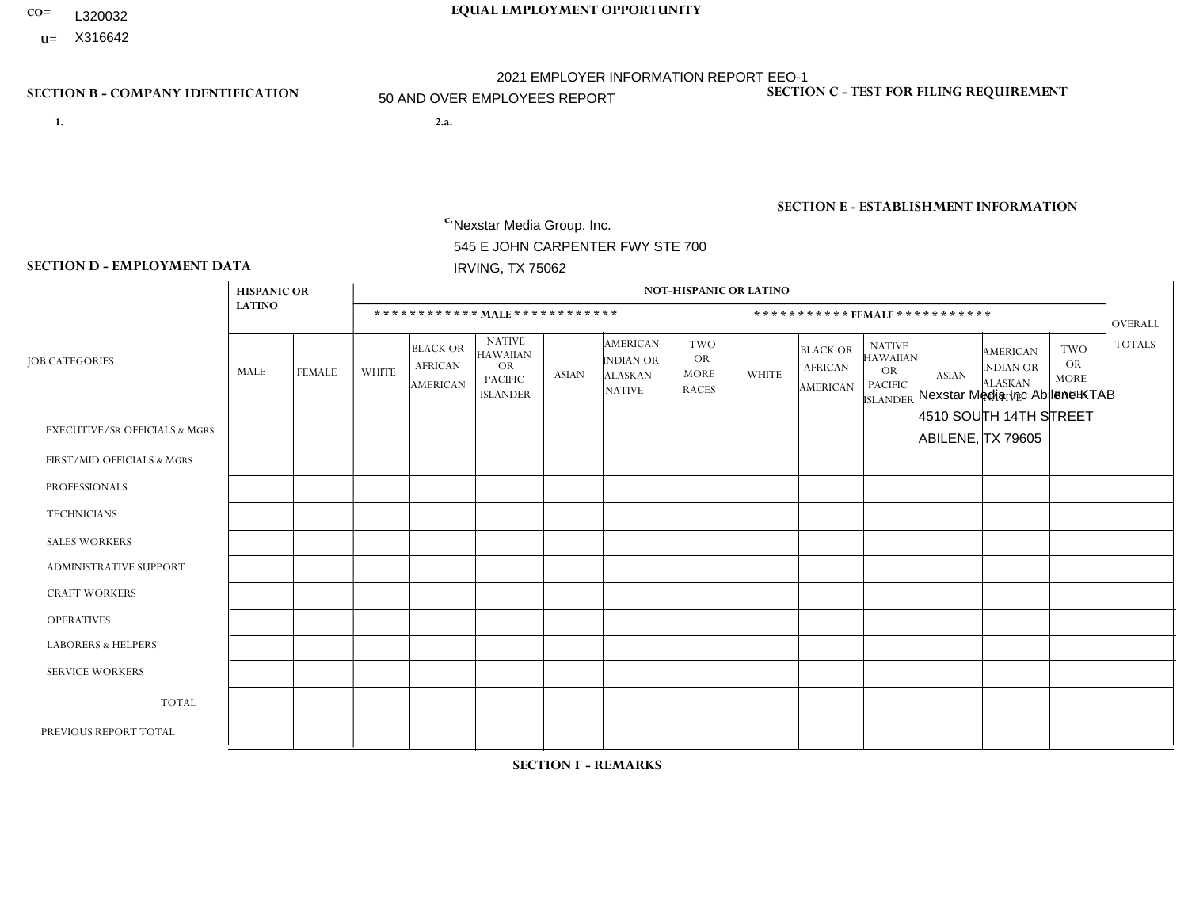- **CO= EQUAL EMPLOYMENT OPPORTUNITY** L320032
	- **U=**

- **1. 2.a.** Nexstar Media Group, Inc. 545 E JOHN CARPENTER FWY STE 700 IRVING, TX 75062
- 2.a. Nexstar Media Inc Abilene KTAB 4510 SOUTH 14TH STREET ABILENE, TX 79605

EIN= 233063152

# **SECTION B - COMPANY IDENTIFICATION SECTION C - TEST FOR FILING REQUIREMENT**

1- Y 2- N 3- Y DUNS= 058168001

**SECTION E - ESTABLISHMENT INFORMATION c.** NAICS: 515120 - Television Broadcasting

### **SECTION D - EMPLOYMENT DATA**

|                                          | <b>HISPANIC OR</b> |                |                |                                                      |                                                                             |              |                                                                 | <b>NOT-HISPANIC OR LATINO</b>                          |                |                                                      |                                                                                    |              |                                                                       |                                                  |                |
|------------------------------------------|--------------------|----------------|----------------|------------------------------------------------------|-----------------------------------------------------------------------------|--------------|-----------------------------------------------------------------|--------------------------------------------------------|----------------|------------------------------------------------------|------------------------------------------------------------------------------------|--------------|-----------------------------------------------------------------------|--------------------------------------------------|----------------|
|                                          | <b>LATINO</b>      |                |                | ************ MAIE************                        |                                                                             |              |                                                                 |                                                        |                | ***********FEMALE***********                         |                                                                                    |              |                                                                       |                                                  | OVERALL        |
| <b>JOB CATEGORIES</b>                    | MALE               | <b>FEMALE</b>  | <b>WHITE</b>   | <b>BLACK OR</b><br><b>AFRICAN</b><br><b>AMERICAN</b> | <b>NATIVE</b><br><b>HAWAIIAN</b><br>OR<br><b>PACIFIC</b><br><b>ISLANDER</b> | <b>ASIAN</b> | <b>AMERICAN</b><br>INDIAN OR<br><b>ALASKAN</b><br><b>NATIVE</b> | <b>TWO</b><br><b>OR</b><br><b>MORE</b><br><b>RACES</b> | <b>WHITE</b>   | <b>BLACK OR</b><br><b>AFRICAN</b><br><b>AMERICAN</b> | <b>NATIVE</b><br><b>HAWAIIAN</b><br><b>OR</b><br><b>PACIFIC</b><br><b>ISLANDER</b> | <b>ASIAN</b> | <b>AMERICAN</b><br><b>NDIAN OR</b><br><b>ALASKAN</b><br><b>NATIVE</b> | <b>TWO</b><br>OR.<br><b>MORE</b><br><b>RACES</b> | <b>TOTALS</b>  |
| <b>EXECUTIVE/SR OFFICIALS &amp; MGRS</b> | $\Omega$           | $\Omega$       | 0              | $\mathbf 0$                                          | 0                                                                           | 0            | $\Omega$                                                        | $\Omega$                                               | $\Omega$       | $\Omega$                                             | 0                                                                                  | $\Omega$     | $\Omega$                                                              | $\mathbf 0$                                      | $\mathbf 0$    |
| FIRST/MID OFFICIALS & MGRS               | -1                 | $\mathbf 0$    | 1              | $\mathbf 0$                                          | $\mathbf 0$                                                                 | $\mathbf{1}$ | $\mathbf{0}$                                                    | $\Omega$                                               | $\overline{2}$ | $\Omega$                                             | 0                                                                                  | $\Omega$     | $\Omega$                                                              | $\mathbf 0$                                      | 5              |
| <b>PROFESSIONALS</b>                     | -1                 | $\mathbf{1}$   | $\overline{7}$ | $\mathbf 0$                                          | $\Omega$                                                                    | $\Omega$     | $\Omega$                                                        | $\Omega$                                               | 3              | $\Omega$                                             | 0                                                                                  | $\Omega$     | $\Omega$                                                              | $\Omega$                                         | 12             |
| <b>TECHNICIANS</b>                       | 5                  | $\overline{7}$ | 18             | 1                                                    | $\mathbf 0$                                                                 | 3            | $\Omega$                                                        | $\Omega$                                               | 11             | $\overline{2}$                                       | 0                                                                                  | $\Omega$     | $\mathbf{1}$                                                          | 1                                                | 49             |
| <b>SALES WORKERS</b>                     | $\Omega$           | $\mathbf{1}$   | 1              | $\mathbf 0$                                          | $\mathbf 0$                                                                 | 0            | $\Omega$                                                        | $\Omega$                                               | 5              | $\Omega$                                             | $\Omega$                                                                           | $\Omega$     | $\Omega$                                                              | $\Omega$                                         | $\overline{7}$ |
| <b>ADMINISTRATIVE SUPPORT</b>            | 2                  | $\overline{2}$ | 5              | $\mathbf 0$                                          | $\mathbf 0$                                                                 | 0            | $\Omega$                                                        | $\Omega$                                               | 3              | $\Omega$                                             | 0                                                                                  | $\Omega$     | $\Omega$                                                              | $\Omega$                                         | 12             |
| <b>CRAFT WORKERS</b>                     | $\Omega$           | $\Omega$       | 0              | $\mathbf 0$                                          | $\Omega$                                                                    | 0            | $\Omega$                                                        | $\Omega$                                               | $\Omega$       | $\Omega$                                             | 0                                                                                  | $\Omega$     | $\Omega$                                                              | $\Omega$                                         | $\mathbf 0$    |
| <b>OPERATIVES</b>                        | $\Omega$           | $\Omega$       | 0              | $\mathbf 0$                                          | $\mathbf 0$                                                                 | 0            | $\Omega$                                                        | $\Omega$                                               | $\Omega$       | $\Omega$                                             | 0                                                                                  | $\Omega$     | $\Omega$                                                              | $\Omega$                                         | $\mathbf{0}$   |
| <b>LABORERS &amp; HELPERS</b>            | $\Omega$           | $\Omega$       | 0              | $\mathbf 0$                                          | $\mathbf 0$                                                                 | 0            | $\Omega$                                                        | $\Omega$                                               | $\Omega$       | $\Omega$                                             | $\Omega$                                                                           | $\Omega$     | $\Omega$                                                              | $\Omega$                                         | $\mathbf 0$    |
| <b>SERVICE WORKERS</b>                   | $\Omega$           |                | 0              | $\mathbf 0$                                          | $\mathbf 0$                                                                 | 0            | $\Omega$                                                        | $\mathbf{0}$                                           | $\Omega$       | $\Omega$                                             | 0                                                                                  | $\Omega$     | $\Omega$                                                              | $\mathbf 0$                                      | 1              |
| <b>TOTAL</b>                             | 9                  | 12             | 32             | 1                                                    | $\mathbf 0$                                                                 | 4            | $\mathbf{0}$                                                    | $\Omega$                                               | 24             | $\overline{2}$                                       | 0                                                                                  | $\Omega$     | 1                                                                     |                                                  | 86             |
| PREVIOUS REPORT TOTAL                    | 10                 | 14             | 37             | $\Omega$                                             | $\mathbf 0$                                                                 | $\mathbf{1}$ |                                                                 |                                                        | 20             | $\Omega$                                             | 0                                                                                  | $\Omega$     | $\Omega$                                                              |                                                  | 85             |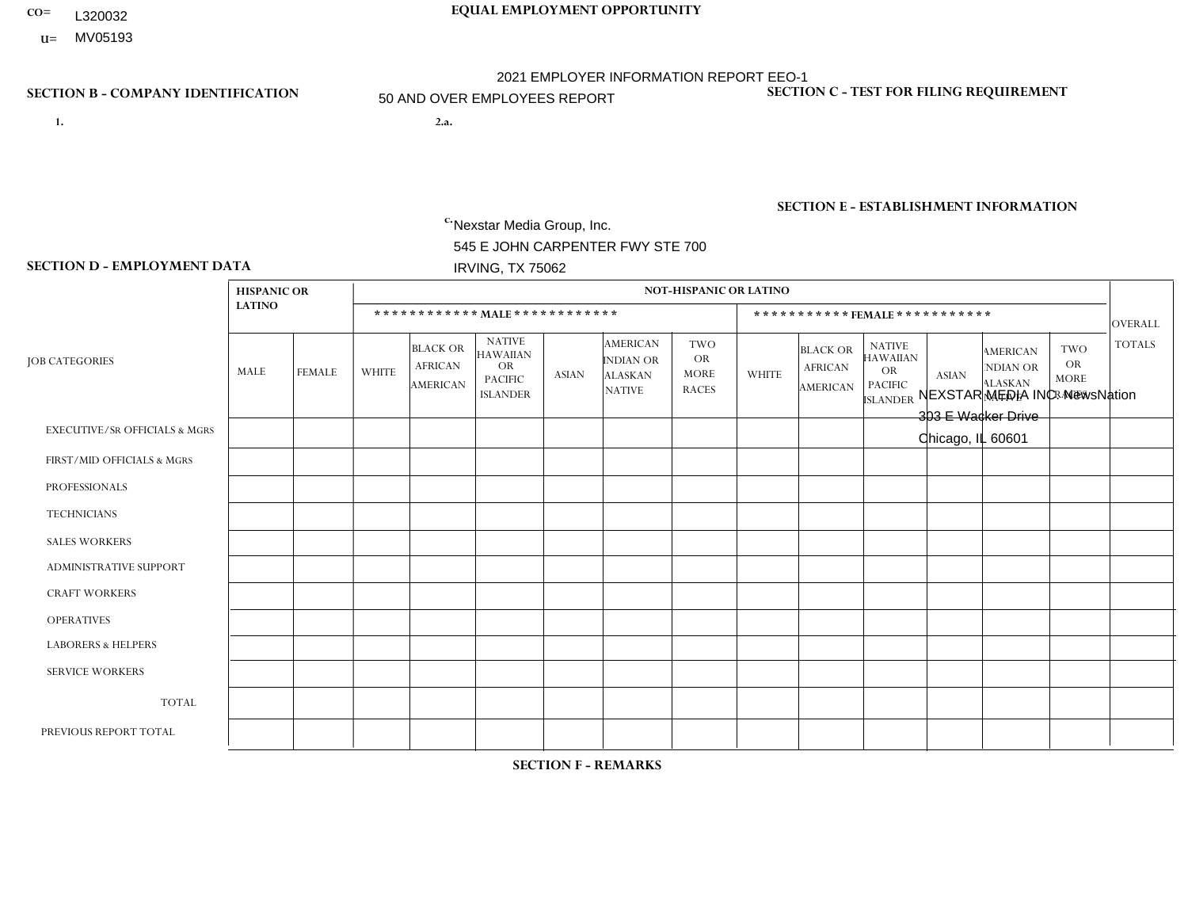- **CO= EQUAL EMPLOYMENT OPPORTUNITY** L320032
- **U=** MV05193

- **1. 2.a.** Nexstar Media Group, Inc. 545 E JOHN CARPENTER FWY STE 700 IRVING, TX 75062
- 2.a. NEXSTAR MEDIA INC. NewsNation 303 E Wacker Drive Chicago, IL 60601

EIN= 361880355

# **SECTION B - COMPANY IDENTIFICATION SECTION C - TEST FOR FILING REQUIREMENT**

1- Y 2- N 3- Y DUNS= 058168001

**SECTION E - ESTABLISHMENT INFORMATION c.** NAICS: 515120 - Television Broadcasting

### **SECTION D - EMPLOYMENT DATA**

|                                          | <b>HISPANIC OR</b> |                |                |                                                      |                                                                                    |              |                                                                 | <b>NOT-HISPANIC OR LATINO</b>                          |              |                                               |                                                                                    |                |                                                                       |                                                        |                |
|------------------------------------------|--------------------|----------------|----------------|------------------------------------------------------|------------------------------------------------------------------------------------|--------------|-----------------------------------------------------------------|--------------------------------------------------------|--------------|-----------------------------------------------|------------------------------------------------------------------------------------|----------------|-----------------------------------------------------------------------|--------------------------------------------------------|----------------|
|                                          | <b>LATINO</b>      |                |                |                                                      | ************ MAIE************                                                      |              |                                                                 |                                                        |              |                                               | ***********FEMALE ***********                                                      |                |                                                                       |                                                        | <b>OVERALL</b> |
| <b>JOB CATEGORIES</b>                    | MALE               | <b>FEMALE</b>  | <b>WHITE</b>   | <b>BLACK OR</b><br><b>AFRICAN</b><br><b>AMERICAN</b> | <b>NATIVE</b><br><b>HAWAIIAN</b><br><b>OR</b><br><b>PACIFIC</b><br><b>ISLANDER</b> | <b>ASIAN</b> | <b>AMERICAN</b><br>INDIAN OR<br><b>ALASKAN</b><br><b>NATIVE</b> | <b>TWO</b><br><b>OR</b><br><b>MORE</b><br><b>RACES</b> | <b>WHITE</b> | <b>BLACK OR</b><br><b>AFRICAN</b><br>AMERICAN | <b>NATIVE</b><br><b>HAWAIIAN</b><br><b>OR</b><br><b>PACIFIC</b><br><b>ISLANDER</b> | <b>ASIAN</b>   | <b>AMERICAN</b><br><b>NDIAN OR</b><br><b>ALASKAN</b><br><b>NATIVE</b> | <b>TWO</b><br><b>OR</b><br><b>MORE</b><br><b>RACES</b> | <b>TOTALS</b>  |
| <b>EXECUTIVE/SR OFFICIALS &amp; MGRS</b> | $\Omega$           | $\mathbf 0$    | $\overline{4}$ | $\mathbf 0$                                          | $\mathbf 0$                                                                        | $\mathbf 0$  | $\Omega$                                                        | $\mathbf{0}$                                           |              | $\Omega$                                      | $\mathbf{0}$                                                                       | $\Omega$       | $\mathbf{0}$                                                          | $\Omega$                                               | 5              |
| FIRST/MID OFFICIALS & MGRS               |                    | $\mathbf{1}$   | 15             | $\mathbf{1}$                                         | $\mathbf 0$                                                                        | $\mathbf 1$  | $\mathbf{0}$                                                    | 1                                                      | 12           | 1                                             | $\Omega$                                                                           | $\overline{2}$ | $\Omega$                                                              | 1                                                      | 36             |
| <b>PROFESSIONALS</b>                     | $\overline{7}$     | 8              | 83             | 8                                                    | $\mathbf 0$                                                                        | $\mathbf{1}$ | $\mathbf{0}$                                                    | $\overline{1}$                                         | 44           | 8                                             | $\Omega$                                                                           | 1              | $\Omega$                                                              | $\overline{4}$                                         | 165            |
| <b>TECHNICIANS</b>                       | 0                  | $\mathbf{1}$   | 12             | $\mathbf{1}$                                         | $\mathbf 0$                                                                        | $\mathbf{1}$ | $\Omega$                                                        | $\Omega$                                               | $\Omega$     | $\Omega$                                      | $\Omega$                                                                           | $\Omega$       | $\Omega$                                                              | $\Omega$                                               | 15             |
| <b>SALES WORKERS</b>                     | 0                  | $\mathbf 0$    | $\mathbf 0$    | $\mathbf 0$                                          | $\mathbf 0$                                                                        | $\mathbf 0$  | $\mathbf{0}$                                                    | $\Omega$                                               | $\mathbf 0$  | $\mathbf 0$                                   | $\mathbf 0$                                                                        | $\mathbf 0$    | $\mathbf 0$                                                           | $\mathbf 0$                                            | $\mathbf 0$    |
| ADMINISTRATIVE SUPPORT                   | 1                  | $\overline{4}$ | 3              | $\mathbf 0$                                          | $\mathbf 0$                                                                        | $\Omega$     | $\mathbf{0}$                                                    | $\Omega$                                               | 6            | $\mathbf{1}$                                  | $\Omega$                                                                           | 1              | $\Omega$                                                              | $\Omega$                                               | 16             |
| <b>CRAFT WORKERS</b>                     | 0                  | $\Omega$       | $\mathbf 0$    | $\mathbf 0$                                          | $\mathbf 0$                                                                        | $\Omega$     | $\Omega$                                                        | $\Omega$                                               | $\Omega$     | $\Omega$                                      | $\Omega$                                                                           | $\mathbf{0}$   | $\Omega$                                                              | $\mathbf{0}$                                           | $\overline{0}$ |
| <b>OPERATIVES</b>                        | 0                  | $\mathbf{0}$   | $\mathbf 0$    | $\mathbf 0$                                          | $\mathbf 0$                                                                        | $\mathbf 0$  | $\Omega$                                                        | $\Omega$                                               | $\Omega$     | $\Omega$                                      | $\Omega$                                                                           | $\Omega$       | $\Omega$                                                              | $\Omega$                                               | $\overline{0}$ |
| <b>LABORERS &amp; HELPERS</b>            | 0                  | $\mathbf{0}$   | $\mathbf 0$    | $\mathbf 0$                                          | $\mathbf 0$                                                                        | $\mathbf{0}$ | $\Omega$                                                        | $\Omega$                                               | $\Omega$     | $\Omega$                                      | $\Omega$                                                                           | $\Omega$       | $\Omega$                                                              | $\mathbf{0}$                                           | $\overline{0}$ |
| <b>SERVICE WORKERS</b>                   | 0                  | $\Omega$       | $\mathbf 0$    | $\mathbf 0$                                          | $\mathbf 0$                                                                        | $\mathbf{0}$ | $\Omega$                                                        | $\Omega$                                               | $\Omega$     | $\Omega$                                      | $\Omega$                                                                           | $\Omega$       | $\Omega$                                                              | $\Omega$                                               | $\overline{0}$ |
| <b>TOTAL</b>                             | 9                  | 14             | 117            | 10                                                   | $\mathbf 0$                                                                        | 3            | $\Omega$                                                        | $\overline{2}$                                         | 63           | 10                                            | $\Omega$                                                                           | 4              | $\mathbf{0}$                                                          | 5                                                      | 237            |
| PREVIOUS REPORT TOTAL                    |                    |                |                |                                                      |                                                                                    |              |                                                                 |                                                        |              |                                               |                                                                                    |                |                                                                       |                                                        |                |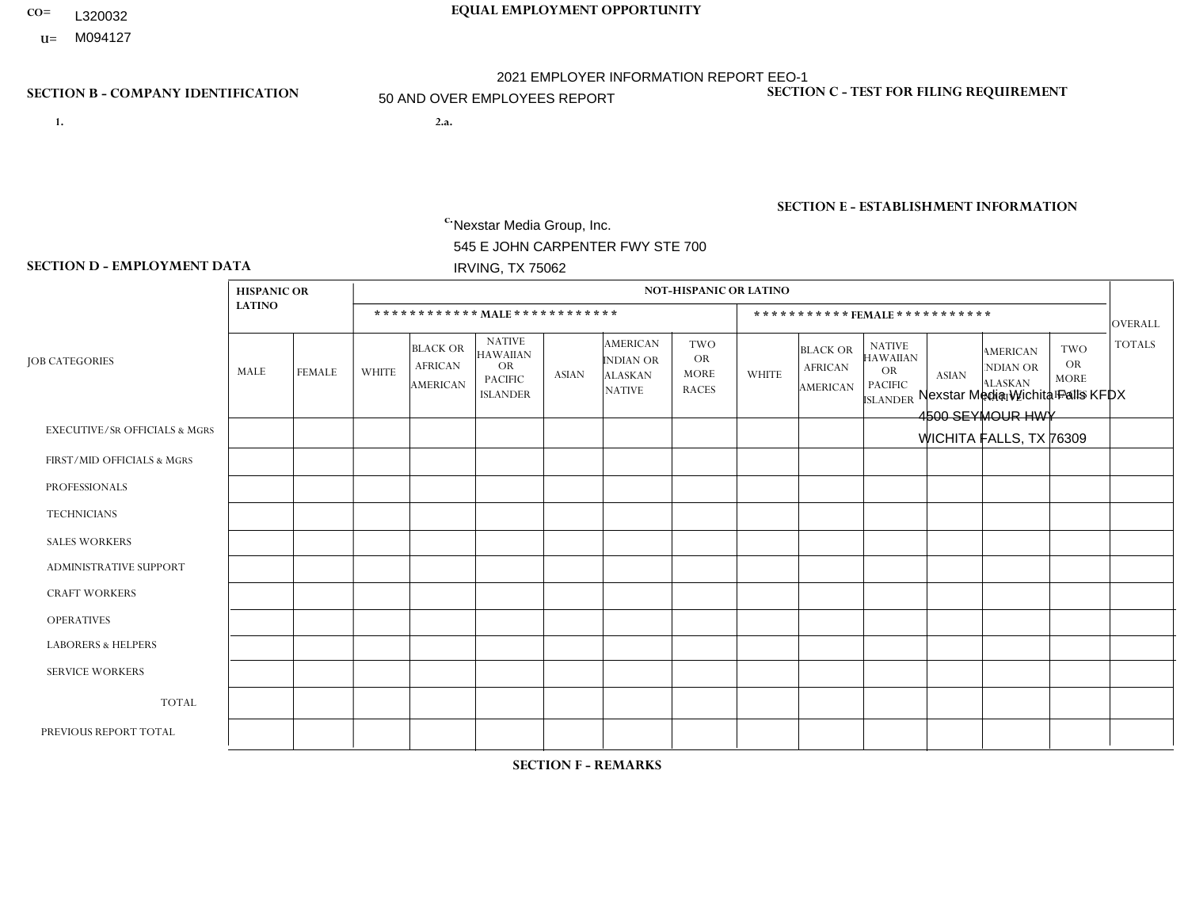- **CO= EQUAL EMPLOYMENT OPPORTUNITY** L320032
- **U=**

- **1. 2.a.** Nexstar Media Group, Inc. 545 E JOHN CARPENTER FWY STE 700 IRVING, TX 75062
- 2.a. Nexstar Media Wichita Falls KFDX 4500 SEYMOUR HWY WICHITA FALLS, TX 76309

EIN= 233063152

### **SECTION B - COMPANY IDENTIFICATION SECTION C - TEST FOR FILING REQUIREMENT**

1- Y 2- N 3- Y DUNS= 058168001

**SECTION E - ESTABLISHMENT INFORMATION c.** NAICS: 515120 - Television Broadcasting

### **SECTION D - EMPLOYMENT DATA**

|                                          | <b>HISPANIC OR</b> |                |                |                                                      |                                                                                    |              |                                                                 | <b>NOT-HISPANIC OR LATINO</b>                          |                |                                                      |                                                                                    |                |                                                                       |                                                        |                |
|------------------------------------------|--------------------|----------------|----------------|------------------------------------------------------|------------------------------------------------------------------------------------|--------------|-----------------------------------------------------------------|--------------------------------------------------------|----------------|------------------------------------------------------|------------------------------------------------------------------------------------|----------------|-----------------------------------------------------------------------|--------------------------------------------------------|----------------|
|                                          | <b>LATINO</b>      |                |                |                                                      | ************ MALE ************                                                     |              |                                                                 |                                                        |                |                                                      | ***********FEMALE***********                                                       |                |                                                                       |                                                        | OVERALL        |
| <b>JOB CATEGORIES</b>                    | MALE               | <b>FEMALE</b>  | <b>WHITE</b>   | <b>BLACK OR</b><br><b>AFRICAN</b><br><b>AMERICAN</b> | <b>NATIVE</b><br><b>HAWAIIAN</b><br><b>OR</b><br><b>PACIFIC</b><br><b>ISLANDER</b> | <b>ASIAN</b> | <b>AMERICAN</b><br>INDIAN OR<br><b>ALASKAN</b><br><b>NATIVE</b> | <b>TWO</b><br><b>OR</b><br><b>MORE</b><br><b>RACES</b> | <b>WHITE</b>   | <b>BLACK OR</b><br><b>AFRICAN</b><br><b>AMERICAN</b> | <b>NATIVE</b><br><b>HAWAIIAN</b><br><b>OR</b><br><b>PACIFIC</b><br><b>ISLANDER</b> | <b>ASIAN</b>   | <b>AMERICAN</b><br><b>NDIAN OR</b><br><b>ALASKAN</b><br><b>NATIVE</b> | <b>TWO</b><br><b>OR</b><br><b>MORE</b><br><b>RACES</b> | <b>TOTALS</b>  |
| <b>EXECUTIVE/SR OFFICIALS &amp; MGRS</b> | $\Omega$           | $\Omega$       | $\mathbf 0$    | $\mathbf 0$                                          | $\mathbf 0$                                                                        | $\Omega$     | $\Omega$                                                        | $\Omega$                                               | $\Omega$       | $\Omega$                                             | $\mathbf{0}$                                                                       | $\Omega$       | $\mathbf{0}$                                                          | $\Omega$                                               | $\mathbf 0$    |
| FIRST/MID OFFICIALS & MGRS               | 0                  | $\mathbf 0$    | 6              | $\mathbf 0$                                          | $\mathbf 0$                                                                        | $\mathbf 0$  | $\Omega$                                                        | $\Omega$                                               | $\Omega$       | $\Omega$                                             | $\Omega$                                                                           | $\Omega$       | $\mathbf{0}$                                                          | $\Omega$                                               | 6              |
| <b>PROFESSIONALS</b>                     | 1                  | $\Omega$       | 3              | $\mathbf{1}$                                         | $\Omega$                                                                           | $\mathbf{1}$ | $\mathbf{0}$                                                    | $\Omega$                                               | $\overline{7}$ | $\Omega$                                             | $\Omega$                                                                           | $\mathbf{0}$   | $\Omega$                                                              | $\mathbf{0}$                                           | 13             |
| <b>TECHNICIANS</b>                       | 6                  | $\mathbf{1}$   | 10             | $\overline{2}$                                       | $\mathbf{1}$                                                                       | $\Omega$     | $\overline{1}$                                                  | $\Omega$                                               | 8              | $\overline{2}$                                       | $\Omega$                                                                           | $\mathbf{1}$   | $\Omega$                                                              | $\mathbf{0}$                                           | 32             |
| <b>SALES WORKERS</b>                     | $\Omega$           | $\mathbf{1}$   | $\overline{4}$ | $\mathbf 0$                                          | $\Omega$                                                                           | $\Omega$     | $\mathbf{0}$                                                    | $\Omega$                                               | 5              | $\Omega$                                             | $\mathbf{0}$                                                                       | $\Omega$       | $\Omega$                                                              | $\Omega$                                               | 10             |
| <b>ADMINISTRATIVE SUPPORT</b>            |                    | $\mathbf{1}$   | 5              | 1                                                    | $\mathbf 0$                                                                        | $\Omega$     | $\Omega$                                                        | $\overline{ }$                                         | 6              | $\Omega$                                             | $\Omega$                                                                           | $\Omega$       | $\mathbf{0}$                                                          | $\mathbf{0}$                                           | 15             |
| <b>CRAFT WORKERS</b>                     | 0                  | $\Omega$       | $\mathbf 0$    | $\mathbf 0$                                          | $\Omega$                                                                           | $\Omega$     | $\Omega$                                                        | $\Omega$                                               | $\Omega$       | $\Omega$                                             | $\Omega$                                                                           | $\Omega$       | $\Omega$                                                              | $\Omega$                                               | $\overline{0}$ |
| <b>OPERATIVES</b>                        | 0                  | $\Omega$       | $\mathbf 0$    | $\mathbf 0$                                          | $\mathbf 0$                                                                        | $\mathbf 0$  | $\Omega$                                                        | $\Omega$                                               | $\Omega$       | $\Omega$                                             | $\mathbf{0}$                                                                       | $\mathbf{0}$   | $\Omega$                                                              | $\mathbf{0}$                                           | $\overline{0}$ |
| <b>LABORERS &amp; HELPERS</b>            | 0                  | $\Omega$       | $\mathbf 0$    | $\mathbf 0$                                          | $\mathbf 0$                                                                        | $\mathbf 0$  | $\Omega$                                                        | $\Omega$                                               | $\Omega$       | $\Omega$                                             | $\Omega$                                                                           | $\Omega$       | $\Omega$                                                              | $\Omega$                                               | $\mathbf 0$    |
| <b>SERVICE WORKERS</b>                   | 0                  | $\mathbf{1}$   | $\mathbf 0$    | $\mathbf 0$                                          | $\mathbf 0$                                                                        | $\mathbf{0}$ | $\Omega$                                                        | $\Omega$                                               | $\Omega$       | $\Omega$                                             | $\Omega$                                                                           | $\Omega$       | $\mathbf{0}$                                                          | $\mathbf{0}$                                           | $\mathbf{1}$   |
| <b>TOTAL</b>                             | 8                  | $\overline{4}$ | 28             | 4                                                    | $\mathbf{1}$                                                                       | $\mathbf{1}$ | $\overline{\mathbf{1}}$                                         | 1                                                      | 26             | $\overline{2}$                                       | $\Omega$                                                                           | $\mathbf{1}$   | $\Omega$                                                              | $\Omega$                                               | 77             |
| PREVIOUS REPORT TOTAL                    | $\overline{7}$     | $\mathbf{1}$   | 31             | 6                                                    | $\mathbf{1}$                                                                       | $\mathbf{1}$ |                                                                 | $\overline{2}$                                         | 28             | 3                                                    | $\Omega$                                                                           | $\overline{2}$ | $\mathbf{0}$                                                          | $\Omega$                                               | 83             |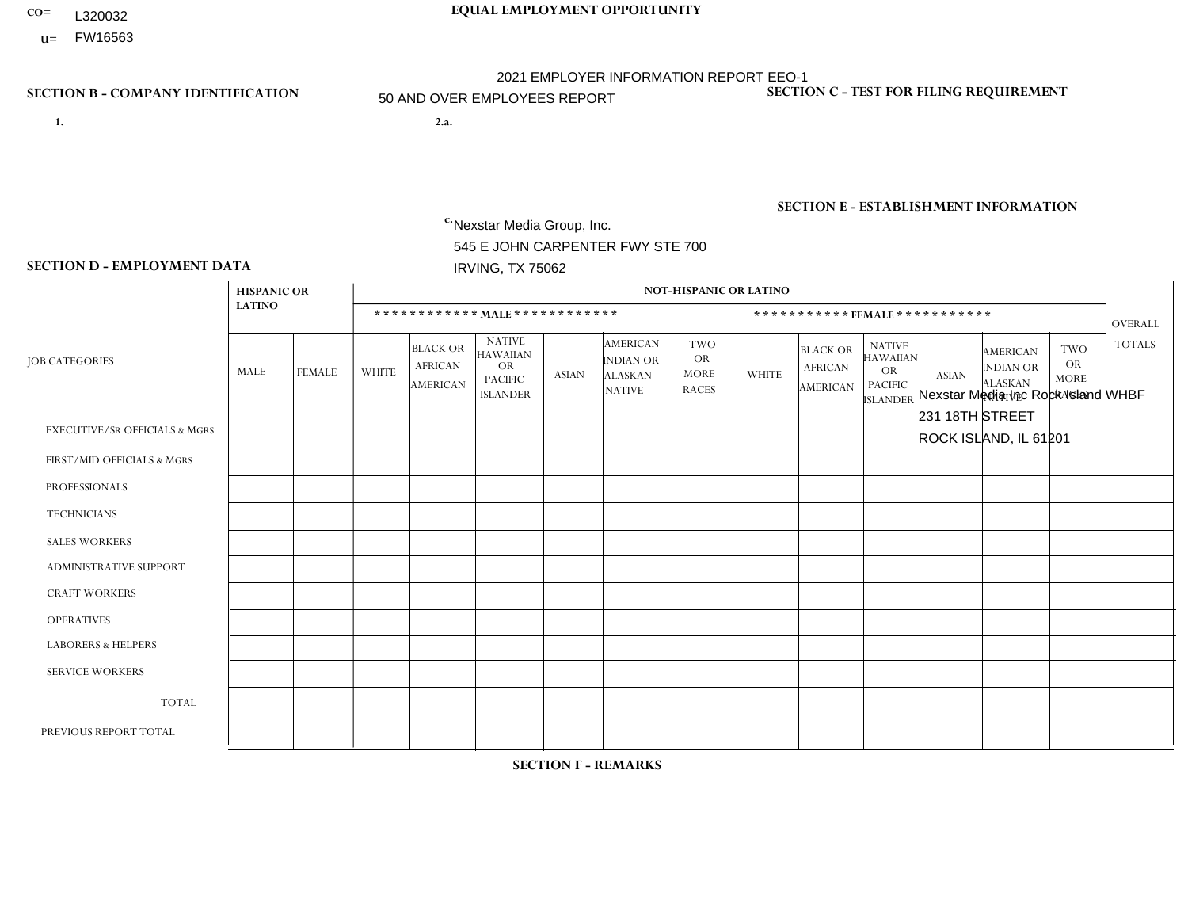- **CO= EQUAL EMPLOYMENT OPPORTUNITY** L320032
	- **U=**

- **1. 2.a.** Nexstar Media Group, Inc. 545 E JOHN CARPENTER FWY STE 700 IRVING, TX 75062
- 2.a. Nexstar Media Inc Rock Island WHBF 231 18TH STREET ROCK ISLAND, IL 61201

EIN= 233063152

### **SECTION B - COMPANY IDENTIFICATION SECTION C - TEST FOR FILING REQUIREMENT**

1- Y 2- N 3- Y DUNS= 058168001

# **SECTION E - ESTABLISHMENT INFORMATION c.** NAICS: 515120 - Television Broadcasting

### **SECTION D - EMPLOYMENT DATA**

|                                          | <b>HISPANIC OR</b> |               |                |                                                      |                                                                                    |              |                                                                        | <b>NOT-HISPANIC OR LATINO</b>                          |                |                                                      |                                                                                    |              |                                                                |                                                        |                |
|------------------------------------------|--------------------|---------------|----------------|------------------------------------------------------|------------------------------------------------------------------------------------|--------------|------------------------------------------------------------------------|--------------------------------------------------------|----------------|------------------------------------------------------|------------------------------------------------------------------------------------|--------------|----------------------------------------------------------------|--------------------------------------------------------|----------------|
|                                          | <b>LATINO</b>      |               |                |                                                      | ************ MAIE************                                                      |              |                                                                        |                                                        |                |                                                      | *********** FEMALE ***********                                                     |              |                                                                |                                                        | <b>OVERALL</b> |
| <b>JOB CATEGORIES</b>                    | MALE               | <b>FEMALE</b> | <b>WHITE</b>   | <b>BLACK OR</b><br><b>AFRICAN</b><br><b>AMERICAN</b> | <b>NATIVE</b><br><b>HAWAIIAN</b><br><b>OR</b><br><b>PACIFIC</b><br><b>ISLANDER</b> | <b>ASIAN</b> | <b>AMERICAN</b><br><b>INDIAN OR</b><br><b>ALASKAN</b><br><b>NATIVE</b> | <b>TWO</b><br><b>OR</b><br><b>MORE</b><br><b>RACES</b> | <b>WHITE</b>   | <b>BLACK OR</b><br><b>AFRICAN</b><br><b>AMERICAN</b> | <b>NATIVE</b><br><b>HAWAIIAN</b><br><b>OR</b><br><b>PACIFIC</b><br><b>ISLANDER</b> | <b>ASIAN</b> | <b>AMERICAN</b><br>NDIAN OR<br><b>ALASKAN</b><br><b>NATIVE</b> | <b>TWO</b><br><b>OR</b><br><b>MORE</b><br><b>RACES</b> | <b>TOTALS</b>  |
| <b>EXECUTIVE/SR OFFICIALS &amp; MGRS</b> | $\mathbf{0}$       | $\Omega$      | 1              | 0                                                    | $\Omega$                                                                           | $\Omega$     | $\Omega$                                                               | 0                                                      | $\Omega$       | $\mathbf{0}$                                         | $\Omega$                                                                           | $\Omega$     | $\Omega$                                                       | $\mathbf{0}$                                           | -1             |
| FIRST/MID OFFICIALS & MGRS               | $\mathbf{0}$       | $\mathbf 0$   | $\overline{2}$ | 0                                                    | $\Omega$                                                                           | $\Omega$     | $\Omega$                                                               | 0                                                      | $\overline{2}$ | $\mathbf{0}$                                         | $\Omega$                                                                           | $\mathbf 0$  | $\Omega$                                                       | $\Omega$                                               | $\overline{4}$ |
| <b>PROFESSIONALS</b>                     | $\mathbf 0$        | 1             | 5              | 0                                                    | $\mathbf{0}$                                                                       | $\Omega$     | $\Omega$                                                               | 0                                                      | $\overline{1}$ |                                                      | $\Omega$                                                                           | $\mathbf 0$  | $\Omega$                                                       | $\overline{2}$                                         | 10             |
| <b>TECHNICIANS</b>                       | 3                  | 1             | 20             | 3                                                    | $\Omega$                                                                           | $\Omega$     | $\Omega$                                                               | 0                                                      | 10             |                                                      | $\Omega$                                                                           | $\Omega$     | $\Omega$                                                       | $\mathbf{1}$                                           | 39             |
| <b>SALES WORKERS</b>                     | $\mathbf{0}$       | 1             | 5              | 0                                                    | $\Omega$                                                                           | $\mathbf{0}$ | $\Omega$                                                               | 0                                                      | 3              | $\mathbf{0}$                                         | $\Omega$                                                                           | $\Omega$     | $\Omega$                                                       | $\Omega$                                               | 9              |
| <b>ADMINISTRATIVE SUPPORT</b>            | $\mathbf{0}$       | $\mathbf 0$   | 3              | 0                                                    | $\Omega$                                                                           | $\Omega$     | $\Omega$                                                               | 0                                                      | 10             | $\mathbf{0}$                                         | $\Omega$                                                                           | $\Omega$     | $\Omega$                                                       | $\Omega$                                               | 13             |
| <b>CRAFT WORKERS</b>                     | $\Omega$           | $\mathbf{0}$  | $\Omega$       | 0                                                    | $\Omega$                                                                           | $\Omega$     | $\Omega$                                                               | 0                                                      | $\Omega$       | $\Omega$                                             | $\Omega$                                                                           | $\Omega$     | $\Omega$                                                       | $\Omega$                                               | $\Omega$       |
| <b>OPERATIVES</b>                        | $\mathbf{0}$       | $\Omega$      | $\Omega$       | $\Omega$                                             | $\Omega$                                                                           | $\Omega$     | $\Omega$                                                               | 0                                                      | $\Omega$       | $\mathbf{0}$                                         | $\Omega$                                                                           | $\Omega$     | $\Omega$                                                       | $\Omega$                                               | $\Omega$       |
| <b>LABORERS &amp; HELPERS</b>            | $\mathbf{0}$       | $\mathbf{0}$  | $\mathbf 0$    | 0                                                    | $\mathbf{0}$                                                                       | $\Omega$     | $\Omega$                                                               | 0                                                      | $\Omega$       | $\Omega$                                             | $\Omega$                                                                           | $\mathbf 0$  | $\Omega$                                                       | $\Omega$                                               | $\mathbf 0$    |
| <b>SERVICE WORKERS</b>                   | $\Omega$           | $\mathbf{0}$  | $\mathbf{1}$   | 0                                                    | $\Omega$                                                                           | $\mathbf{0}$ | $\Omega$                                                               | $\Omega$                                               | $\Omega$       | $\Omega$                                             | $\Omega$                                                                           | 0            | 0                                                              | $\Omega$                                               | -1             |
| <b>TOTAL</b>                             | 3                  | 3             | 37             | 3                                                    | $\Omega$                                                                           | $\Omega$     | $\Omega$                                                               | 0                                                      | 26             | 2                                                    | $\Omega$                                                                           | $\mathbf 0$  | $\Omega$                                                       | 3                                                      | 77             |
| PREVIOUS REPORT TOTAL                    | 2                  | 3             | 43             | $\overline{4}$                                       | $\Omega$                                                                           | $\Omega$     | $\Omega$                                                               | 0                                                      | 29             |                                                      | $\Omega$                                                                           | $\mathbf 0$  | 0                                                              | 2                                                      | 84             |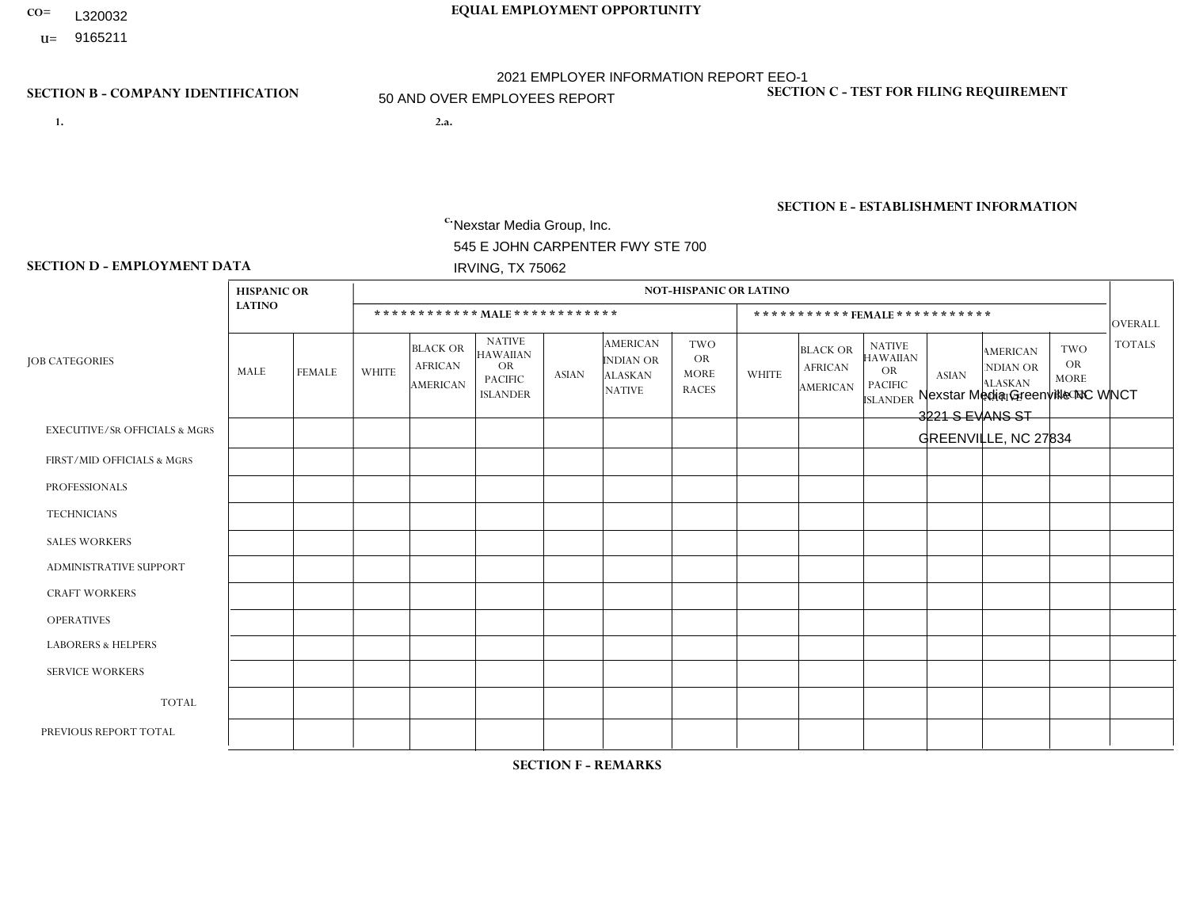- **CO= EQUAL EMPLOYMENT OPPORTUNITY** L320032
- **U=**

- **1. 2.a.** Nexstar Media Group, Inc. 545 E JOHN CARPENTER FWY STE 700 IRVING, TX 75062
- 2.a. Nexstar Media Greenville NC WNCT 3221 S EVANS ST GREENVILLE, NC 27834

EIN= 233063152

## **SECTION B - COMPANY IDENTIFICATION SECTION C - TEST FOR FILING REQUIREMENT**

1- Y 2- N 3- Y DUNS= 058168001

## **SECTION E - ESTABLISHMENT INFORMATION c.** NAICS: 515120 - Television Broadcasting

### **SECTION D - EMPLOYMENT DATA**

|                                          | <b>HISPANIC OR</b> |               |                |                                                      |                                                                                    |              |                                                                 | <b>NOT-HISPANIC OR LATINO</b>                          |                |                                                      |                                                                                    |              |                                                                       |                                                        |                |
|------------------------------------------|--------------------|---------------|----------------|------------------------------------------------------|------------------------------------------------------------------------------------|--------------|-----------------------------------------------------------------|--------------------------------------------------------|----------------|------------------------------------------------------|------------------------------------------------------------------------------------|--------------|-----------------------------------------------------------------------|--------------------------------------------------------|----------------|
|                                          | <b>LATINO</b>      |               |                |                                                      | ************ MALE *************                                                    |              |                                                                 |                                                        |                |                                                      | *********** FEMALE ***********                                                     |              |                                                                       |                                                        | <b>OVERALL</b> |
| <b>JOB CATEGORIES</b>                    | MALE               | <b>FEMALE</b> | <b>WHITE</b>   | <b>BLACK OR</b><br><b>AFRICAN</b><br><b>AMERICAN</b> | <b>NATIVE</b><br><b>HAWAIIAN</b><br><b>OR</b><br><b>PACIFIC</b><br><b>ISLANDER</b> | <b>ASIAN</b> | <b>AMERICAN</b><br>INDIAN OR<br><b>ALASKAN</b><br><b>NATIVE</b> | <b>TWO</b><br><b>OR</b><br><b>MORE</b><br><b>RACES</b> | <b>WHITE</b>   | <b>BLACK OR</b><br><b>AFRICAN</b><br><b>AMERICAN</b> | <b>NATIVE</b><br><b>HAWAIIAN</b><br><b>OR</b><br><b>PACIFIC</b><br><b>ISLANDER</b> | <b>ASIAN</b> | <b>AMERICAN</b><br><b>NDIAN OR</b><br><b>ALASKAN</b><br><b>NATIVE</b> | <b>TWO</b><br><b>OR</b><br><b>MORE</b><br><b>RACES</b> | <b>TOTALS</b>  |
| <b>EXECUTIVE/SR OFFICIALS &amp; MGRS</b> | $\Omega$           | $\Omega$      | $\mathbf 0$    | $\Omega$                                             | $\Omega$                                                                           | $\Omega$     | $\mathbf{0}$                                                    | $\Omega$                                               | $\Omega$       | $\Omega$                                             | $\mathbf{0}$                                                                       | $\Omega$     | $\Omega$                                                              | $\Omega$                                               | $\Omega$       |
| FIRST/MID OFFICIALS & MGRS               | 0                  | $\mathbf{1}$  | $\mathbf{1}$   | $\mathbf{1}$                                         | $\mathbf 0$                                                                        | $\Omega$     | $\mathbf{0}$                                                    | $\Omega$                                               | $\overline{2}$ | $\Omega$                                             | $\mathbf{0}$                                                                       | $\Omega$     | $\mathbf{0}$                                                          | $\Omega$                                               | 5              |
| <b>PROFESSIONALS</b>                     | $\Omega$           | $\mathbf{1}$  | 8              | $\mathbf 0$                                          | $\mathbf 0$                                                                        | $\Omega$     | $\Omega$                                                        | $\Omega$                                               | 6              | 1                                                    | $\Omega$                                                                           | $\Omega$     | $\Omega$                                                              | $\Omega$                                               | 16             |
| <b>TECHNICIANS</b>                       | 3                  | 3             | 9              | 4                                                    | $\mathbf 0$                                                                        | $\mathbf 0$  | $\mathbf{0}$                                                    | $\Omega$                                               | 9              | 3                                                    | $\mathbf{0}$                                                                       | $\mathbf 0$  | $\mathbf{0}$                                                          | $\mathbf{0}$                                           | 31             |
| <b>SALES WORKERS</b>                     | 0                  | $\Omega$      | $\overline{c}$ | $\mathbf 0$                                          | $\Omega$                                                                           | $\Omega$     | $\mathbf{0}$                                                    | $\Omega$                                               | $\overline{2}$ | $\mathbf{1}$                                         | $\Omega$                                                                           | $\Omega$     | $\Omega$                                                              | $\Omega$                                               | 5              |
| <b>ADMINISTRATIVE SUPPORT</b>            | 0                  | $\mathbf{1}$  | 1              | $\mathbf 0$                                          | $\mathbf 0$                                                                        | $\mathbf 0$  | $\Omega$                                                        | $\Omega$                                               | 3              | $\overline{2}$                                       | $\Omega$                                                                           | $\Omega$     | $\mathbf{0}$                                                          | $\Omega$                                               | $\overline{7}$ |
| <b>CRAFT WORKERS</b>                     | 0                  | $\Omega$      | $\mathbf{0}$   | $\mathbf 0$                                          | $\Omega$                                                                           | $\Omega$     | $\Omega$                                                        | $\Omega$                                               | $\Omega$       | $\Omega$                                             | $\Omega$                                                                           | $\Omega$     | $\Omega$                                                              | $\Omega$                                               | $\Omega$       |
| <b>OPERATIVES</b>                        | 0                  | $\Omega$      | $\mathbf 0$    | $\Omega$                                             | $\Omega$                                                                           | $\Omega$     | $\Omega$                                                        | $\Omega$                                               | $\Omega$       | $\Omega$                                             | $\Omega$                                                                           | $\mathbf{0}$ | $\Omega$                                                              | $\Omega$                                               | $\overline{0}$ |
| <b>LABORERS &amp; HELPERS</b>            | 0                  | $\Omega$      | $\mathbf 0$    | $\mathbf 0$                                          | $\mathbf 0$                                                                        | $\mathbf 0$  | $\Omega$                                                        | $\Omega$                                               | $\Omega$       | $\Omega$                                             | $\Omega$                                                                           | $\Omega$     | $\Omega$                                                              | $\mathbf{0}$                                           | $\mathbf 0$    |
| <b>SERVICE WORKERS</b>                   | 0                  | $\mathbf 0$   | $\mathbf 0$    | $\mathbf 0$                                          | $\mathbf 0$                                                                        | $\mathbf 0$  | $\Omega$                                                        | $\Omega$                                               | $\Omega$       | $\Omega$                                             | $\Omega$                                                                           | $\Omega$     | $\Omega$                                                              | $\mathbf{0}$                                           | $\overline{0}$ |
| <b>TOTAL</b>                             | 3                  | 6             | 21             | 5                                                    | $\mathbf 0$                                                                        | $\mathbf 0$  | $\Omega$                                                        | $\Omega$                                               | 22             | $\overline{7}$                                       | $\Omega$                                                                           | $\Omega$     | $\mathbf{0}$                                                          | $\mathbf{0}$                                           | 64             |
| PREVIOUS REPORT TOTAL                    |                    | 5             | 24             | 6                                                    | $\mathbf 0$                                                                        | $\Omega$     | $\Omega$                                                        | $\Omega$                                               | 26             | $\overline{7}$                                       | $\mathbf{0}$                                                                       | $\Omega$     | $\Omega$                                                              | 1                                                      | 70             |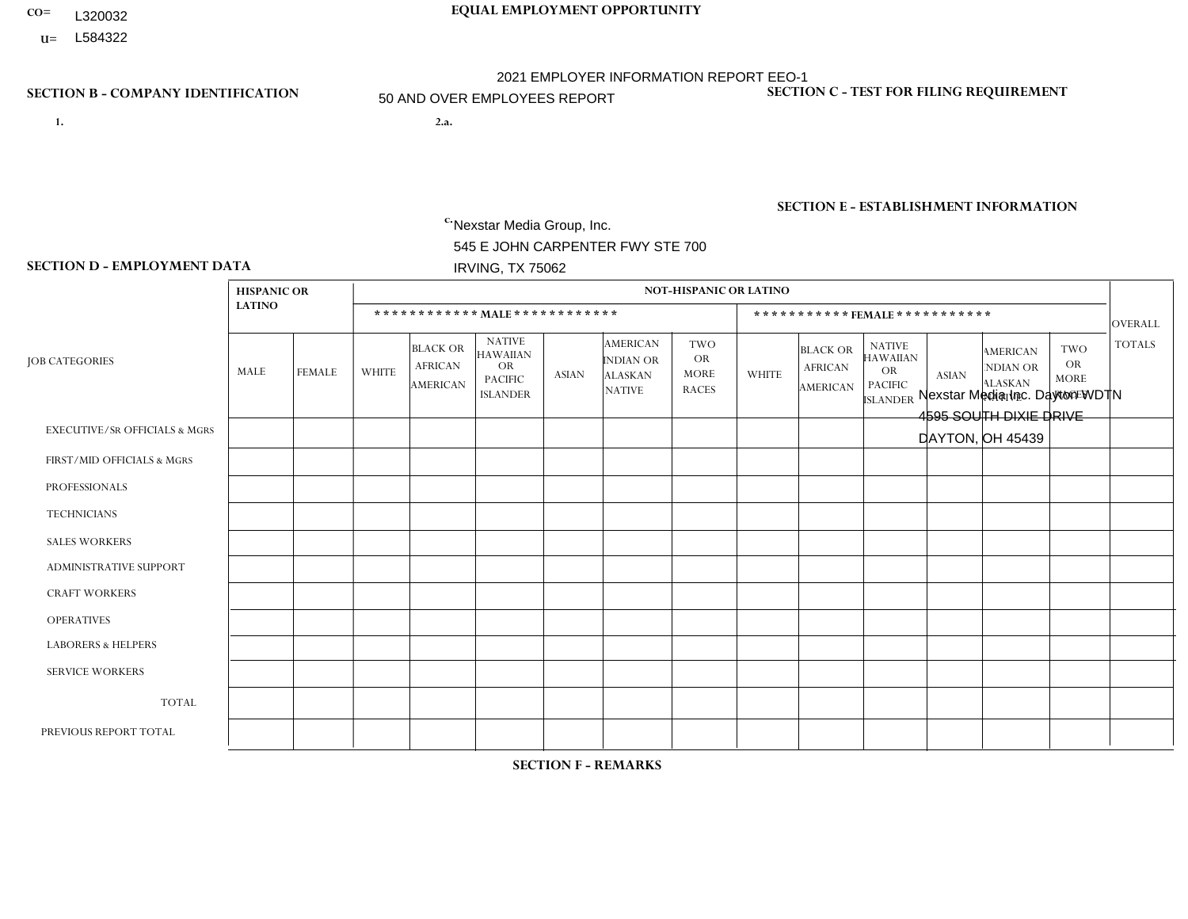- **CO= EQUAL EMPLOYMENT OPPORTUNITY** L320032
- **U=**

- **1. 2.a.** Nexstar Media Group, Inc. 545 E JOHN CARPENTER FWY STE 700 IRVING, TX 75062
- 2.a. Nexstar Media Inc. Dayton WDTN 4595 SOUTH DIXIE DRIVE DAYTON, OH 45439

EIN= 233063152

## **SECTION B - COMPANY IDENTIFICATION SECTION C - TEST FOR FILING REQUIREMENT**

1- Y 2- N 3- Y DUNS= 058168001

**SECTION E - ESTABLISHMENT INFORMATION c.** NAICS: 515120 - Television Broadcasting

### **SECTION D - EMPLOYMENT DATA**

|                                          | <b>HISPANIC OR</b> |               |                |                                                      |                                                                                    |              |                                                                        | <b>NOT-HISPANIC OR LATINO</b>                          |              |                                               |                                                                             |                |                                                                       |                                                        |                |
|------------------------------------------|--------------------|---------------|----------------|------------------------------------------------------|------------------------------------------------------------------------------------|--------------|------------------------------------------------------------------------|--------------------------------------------------------|--------------|-----------------------------------------------|-----------------------------------------------------------------------------|----------------|-----------------------------------------------------------------------|--------------------------------------------------------|----------------|
|                                          | <b>LATINO</b>      |               |                |                                                      | ************ MALE ************                                                     |              |                                                                        |                                                        |              |                                               | *********** FEMALE ***********                                              |                |                                                                       |                                                        | <b>OVERALL</b> |
| <b>JOB CATEGORIES</b>                    | MALE               | <b>FEMALE</b> | <b>WHITE</b>   | <b>BLACK OR</b><br><b>AFRICAN</b><br><b>AMERICAN</b> | <b>NATIVE</b><br><b>HAWAIIAN</b><br><b>OR</b><br><b>PACIFIC</b><br><b>ISLANDER</b> | <b>ASIAN</b> | <b>AMERICAN</b><br><b>INDIAN OR</b><br><b>ALASKAN</b><br><b>NATIVE</b> | <b>TWO</b><br><b>OR</b><br><b>MORE</b><br><b>RACES</b> | <b>WHITE</b> | <b>BLACK OR</b><br><b>AFRICAN</b><br>AMERICAN | <b>NATIVE</b><br><b>HAWAIIAN</b><br>OR<br><b>PACIFIC</b><br><b>ISLANDER</b> | <b>ASIAN</b>   | <b>AMERICAN</b><br><b>NDIAN OR</b><br><b>ALASKAN</b><br><b>NATIVE</b> | <b>TWO</b><br><b>OR</b><br><b>MORE</b><br><b>RACES</b> | <b>TOTALS</b>  |
| <b>EXECUTIVE/SR OFFICIALS &amp; MGRS</b> | $\Omega$           | $\mathbf 0$   | $\mathbf 0$    | 0                                                    | $\mathbf{0}$                                                                       | $\Omega$     | $\Omega$                                                               | $\Omega$                                               | $\Omega$     | $\Omega$                                      | $\Omega$                                                                    | $\Omega$       | $\Omega$                                                              | $\Omega$                                               | $\mathbf 0$    |
| FIRST/MID OFFICIALS & MGRS               | $\mathbf 0$        | $\mathbf 0$   | 5              | $\mathbf 0$                                          | $\Omega$                                                                           |              | $\Omega$                                                               |                                                        | 4            | $\Omega$                                      | $\Omega$                                                                    | $\Omega$       | $\Omega$                                                              | $\Omega$                                               | 11             |
| <b>PROFESSIONALS</b>                     | $\mathbf{0}$       | $\mathbf 0$   | $\overline{4}$ | $\mathbf 0$                                          | -1                                                                                 | $\Omega$     | $\Omega$                                                               | $\Omega$                                               | 3            | $\Omega$                                      | $\Omega$                                                                    | $\Omega$       | $\Omega$                                                              | 1                                                      | 9              |
| <b>TECHNICIANS</b>                       | $\mathbf 0$        | $\mathbf{1}$  | 17             | 4                                                    | -1                                                                                 | 4            | $\Omega$                                                               | $\Omega$                                               | 18           | 3                                             | $\Omega$                                                                    | $\overline{ }$ | $\Omega$                                                              | 1                                                      | 50             |
| <b>SALES WORKERS</b>                     | $\mathbf{0}$       | $\mathbf 0$   | 5              | 0                                                    | $\Omega$                                                                           | $\Omega$     | $\Omega$                                                               |                                                        | $\mathbf{1}$ | $\Omega$                                      | $\Omega$                                                                    | $\Omega$       | $\Omega$                                                              | $\Omega$                                               | $\overline{7}$ |
| ADMINISTRATIVE SUPPORT                   | $\mathbf{0}$       | 0             | 3              | $\mathbf 0$                                          | $\Omega$                                                                           | $\Omega$     | $\Omega$                                                               | $\Omega$                                               | 4            | $\overline{1}$                                | $\Omega$                                                                    | $\overline{ }$ | $\Omega$                                                              | $\Omega$                                               | 9              |
| <b>CRAFT WORKERS</b>                     | $\mathbf{0}$       | 0             | $\mathbf 0$    | $\mathbf 0$                                          | $\Omega$                                                                           | $\Omega$     | $\Omega$                                                               | $\Omega$                                               | $\Omega$     | $\Omega$                                      | $\Omega$                                                                    | $\Omega$       | $\Omega$                                                              | $\Omega$                                               | $\Omega$       |
| <b>OPERATIVES</b>                        | $\mathbf{0}$       | $\mathbf{0}$  | $\mathbf 0$    | $\mathbf 0$                                          | $\Omega$                                                                           | $\Omega$     | $\Omega$                                                               | $\Omega$                                               | $\Omega$     | $\Omega$                                      | $\Omega$                                                                    | $\Omega$       | $\Omega$                                                              | $\Omega$                                               | $\mathbf 0$    |
| <b>LABORERS &amp; HELPERS</b>            | $\mathbf{0}$       | $\Omega$      | $\Omega$       | $\mathbf 0$                                          | $\Omega$                                                                           | $\Omega$     | $\Omega$                                                               | $\Omega$                                               | $\Omega$     | $\Omega$                                      | $\Omega$                                                                    | $\Omega$       | $\Omega$                                                              | $\Omega$                                               | $\mathbf 0$    |
| <b>SERVICE WORKERS</b>                   | $\mathbf{0}$       | $\mathbf{0}$  | $\mathbf 0$    | $\mathbf 0$                                          | $\Omega$                                                                           | $\Omega$     | $\Omega$                                                               | $\Omega$                                               | $\Omega$     | $\Omega$                                      | $\Omega$                                                                    | $\Omega$       | $\Omega$                                                              | $\Omega$                                               | $\mathbf 0$    |
| <b>TOTAL</b>                             | 0                  | $\mathbf{1}$  | 34             | 4                                                    | 2                                                                                  | 5            | $\Omega$                                                               | $\overline{2}$                                         | 30           | 4                                             | 0                                                                           | $\overline{2}$ | $\Omega$                                                              | 2                                                      | 86             |
| PREVIOUS REPORT TOTAL                    | 0                  | $\mathbf 0$   | 42             | $\overline{7}$                                       | -1                                                                                 | $\Omega$     | $\Omega$                                                               | 2                                                      | 29           | 6                                             | $\mathbf 0$                                                                 | $\Omega$       | $\Omega$                                                              | 3                                                      | 90             |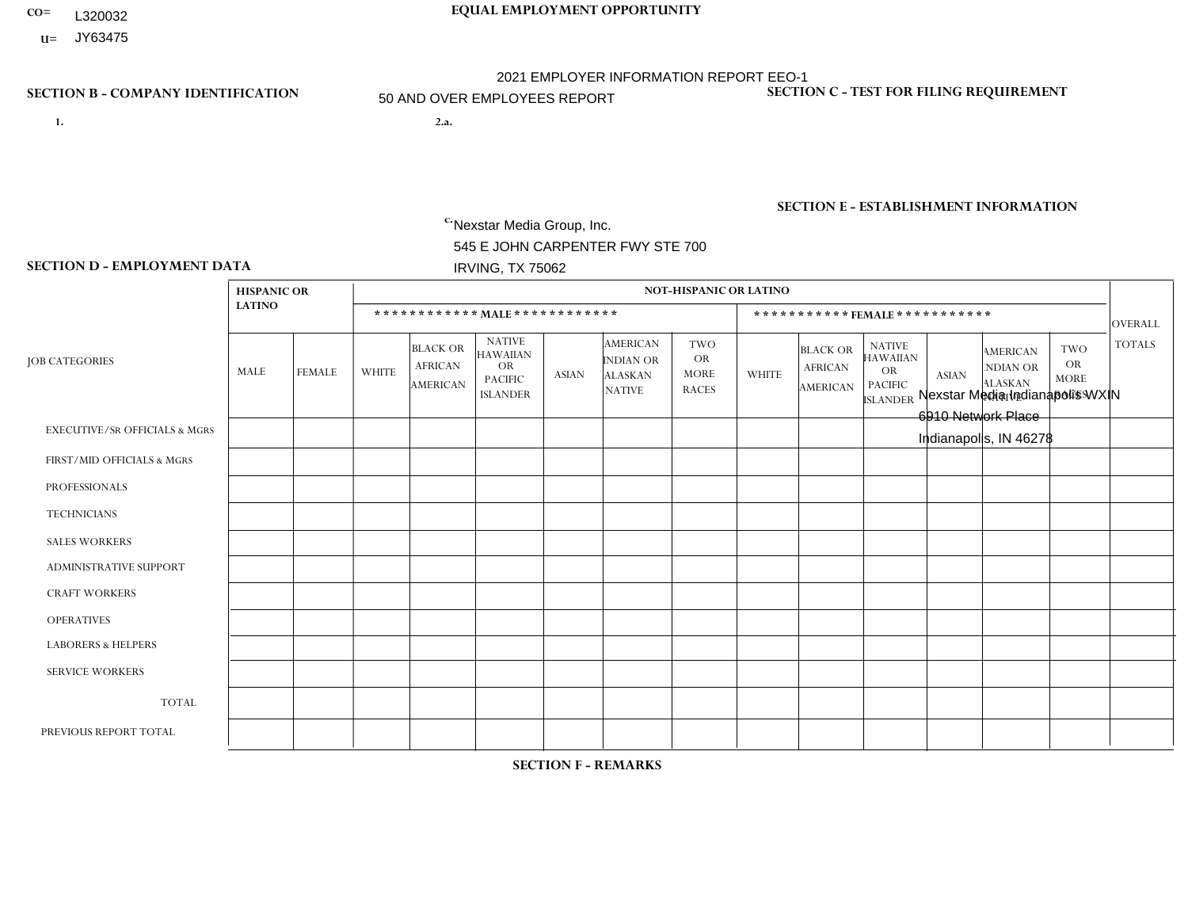- **CO= EQUAL EMPLOYMENT OPPORTUNITY** L320032
- **U=**

- **1. 2.a.** Nexstar Media Group, Inc. 545 E JOHN CARPENTER FWY STE 700 IRVING, TX 75062
- 2.a. Nexstar Media Indianapolis WXIN 6910 Network Place Indianapolis, IN 46278

EIN= 361880355

## **SECTION B - COMPANY IDENTIFICATION SECTION C - TEST FOR FILING REQUIREMENT**

1- Y 2- N 3- Y DUNS= 058168001

**SECTION E - ESTABLISHMENT INFORMATION c.** NAICS: 515120 - Television Broadcasting

### **SECTION D - EMPLOYMENT DATA**

|                                          | <b>HISPANIC OR</b> |                |              |                                                      |                                                                                    |              |                                                                        | <b>NOT-HISPANIC OR LATINO</b>                          |              |                                               |                                                                                    |                |                                                                       |                                                        |                |
|------------------------------------------|--------------------|----------------|--------------|------------------------------------------------------|------------------------------------------------------------------------------------|--------------|------------------------------------------------------------------------|--------------------------------------------------------|--------------|-----------------------------------------------|------------------------------------------------------------------------------------|----------------|-----------------------------------------------------------------------|--------------------------------------------------------|----------------|
|                                          | <b>LATINO</b>      |                |              | ************ MALE************                        |                                                                                    |              |                                                                        |                                                        |              | ***********FEMALE***********                  |                                                                                    |                |                                                                       |                                                        | <b>OVERALL</b> |
| <b>JOB CATEGORIES</b>                    | MALE               | <b>FEMALE</b>  | <b>WHITE</b> | <b>BLACK OR</b><br><b>AFRICAN</b><br><b>AMERICAN</b> | <b>NATIVE</b><br><b>HAWAIIAN</b><br><b>OR</b><br><b>PACIFIC</b><br><b>ISLANDER</b> | ASIAN        | <b>AMERICAN</b><br><b>INDIAN OR</b><br><b>ALASKAN</b><br><b>NATIVE</b> | <b>TWO</b><br><b>OR</b><br><b>MORE</b><br><b>RACES</b> | <b>WHITE</b> | <b>BLACK OR</b><br><b>AFRICAN</b><br>AMERICAN | <b>NATIVE</b><br><b>HAWAIIAN</b><br><b>OR</b><br><b>PACIFIC</b><br><b>ISLANDER</b> | <b>ASIAN</b>   | <b>AMERICAN</b><br><b>NDIAN OR</b><br><b>ALASKAN</b><br><b>NATIVE</b> | <b>TWO</b><br><b>OR</b><br><b>MORE</b><br><b>RACES</b> | <b>TOTALS</b>  |
| <b>EXECUTIVE/SR OFFICIALS &amp; MGRS</b> | $\Omega$           | $\Omega$       | 1            | $\mathbf 0$                                          | $\Omega$                                                                           | $\mathbf{0}$ | $\Omega$                                                               | $\Omega$                                               | 0            | $\Omega$                                      | $\Omega$                                                                           | $\Omega$       | $\Omega$                                                              | $\mathbf{0}$                                           | $\mathbf{1}$   |
| FIRST/MID OFFICIALS & MGRS               | 0                  | $\Omega$       | 12           | $\Omega$                                             | $\Omega$                                                                           | $\Omega$     | $\Omega$                                                               | $\Omega$                                               | 11           | $\overline{1}$                                | $\Omega$                                                                           | $\Omega$       | $\Omega$                                                              | $\mathbf{0}$                                           | 24             |
| <b>PROFESSIONALS</b>                     |                    | $\mathbf{1}$   | 53           | 10                                                   |                                                                                    | $\Omega$     | $\Omega$                                                               | $\overline{2}$                                         | 37           | 6                                             | $\Omega$                                                                           | $\Omega$       | $\Omega$                                                              | $\mathbf{0}$                                           | 111            |
| <b>TECHNICIANS</b>                       | 4                  | $\mathbf{1}$   | 73           | 11                                                   | $\mathbf 0$                                                                        | $\Omega$     | $\Omega$                                                               | -1                                                     | 32           | $\overline{7}$                                | $\mathbf 0$                                                                        | $\mathbf{1}$   | 0                                                                     | $\mathbf{1}$                                           | 131            |
| <b>SALES WORKERS</b>                     |                    | $\mathbf 0$    | 3            | $\mathbf 0$                                          | $\mathbf 0$                                                                        | $\Omega$     | $\Omega$                                                               | $\Omega$                                               | 3            | $\Omega$                                      | $\Omega$                                                                           | $\mathbf 0$    | $\mathbf 0$                                                           | $\mathbf 0$                                            | $\overline{7}$ |
| <b>ADMINISTRATIVE SUPPORT</b>            | $\Omega$           | $\overline{4}$ | 23           | $\overline{2}$                                       | $\Omega$                                                                           | $\Omega$     | $\Omega$                                                               |                                                        | 32           | 10                                            | $\Omega$                                                                           | $\overline{1}$ | $\mathbf 0$                                                           | $\mathbf{1}$                                           | 74             |
| <b>CRAFT WORKERS</b>                     | 0                  | $\mathbf 0$    | $\mathbf 0$  | $\mathbf 0$                                          | $\Omega$                                                                           | $\mathbf{0}$ | $\Omega$                                                               | $\Omega$                                               | $\Omega$     | $\Omega$                                      | $\Omega$                                                                           | $\mathbf{0}$   | $\mathbf{0}$                                                          | $\mathbf 0$                                            | $\mathbf 0$    |
| <b>OPERATIVES</b>                        | 0                  | $\mathbf 0$    | $\mathbf 0$  | $\mathbf 0$                                          | $\mathbf 0$                                                                        | $\Omega$     | $\Omega$                                                               | $\Omega$                                               | 0            | $\Omega$                                      | $\Omega$                                                                           | $\mathbf 0$    | $\Omega$                                                              | $\mathbf 0$                                            | $\mathbf 0$    |
| <b>LABORERS &amp; HELPERS</b>            | $\Omega$           | $\Omega$       | $\mathbf 0$  | $\mathbf 0$                                          | $\mathbf 0$                                                                        | $\Omega$     | $\Omega$                                                               | $\Omega$                                               | $\Omega$     | $\Omega$                                      | $\Omega$                                                                           | $\mathbf{0}$   | $\Omega$                                                              | $\mathbf{0}$                                           | $\mathbf 0$    |
| <b>SERVICE WORKERS</b>                   | 0                  | $\Omega$       | $\Omega$     | $\mathbf 0$                                          | $\mathbf 0$                                                                        | $\Omega$     | $\Omega$                                                               | $\Omega$                                               | $\Omega$     | $\Omega$                                      | $\Omega$                                                                           | $\mathbf{0}$   | $\Omega$                                                              | $\mathbf 0$                                            | $\mathbf 0$    |
| <b>TOTAL</b>                             | 6                  | 6              | 165          | 23                                                   |                                                                                    | $\mathbf 0$  | $\Omega$                                                               | 4                                                      | 115          | 24                                            | $\Omega$                                                                           | $\overline{2}$ | $\Omega$                                                              | 2                                                      | 348            |
| PREVIOUS REPORT TOTAL                    |                    | 3              | 109          | 18                                                   | 1                                                                                  | $\Omega$     | $\Omega$                                                               | 4                                                      | 85           | 6                                             | $\Omega$                                                                           | $\mathbf{1}$   | $\mathbf 1$                                                           | $\mathbf{1}$                                           | 230            |

**SECTION F - REMARKS**

acquisition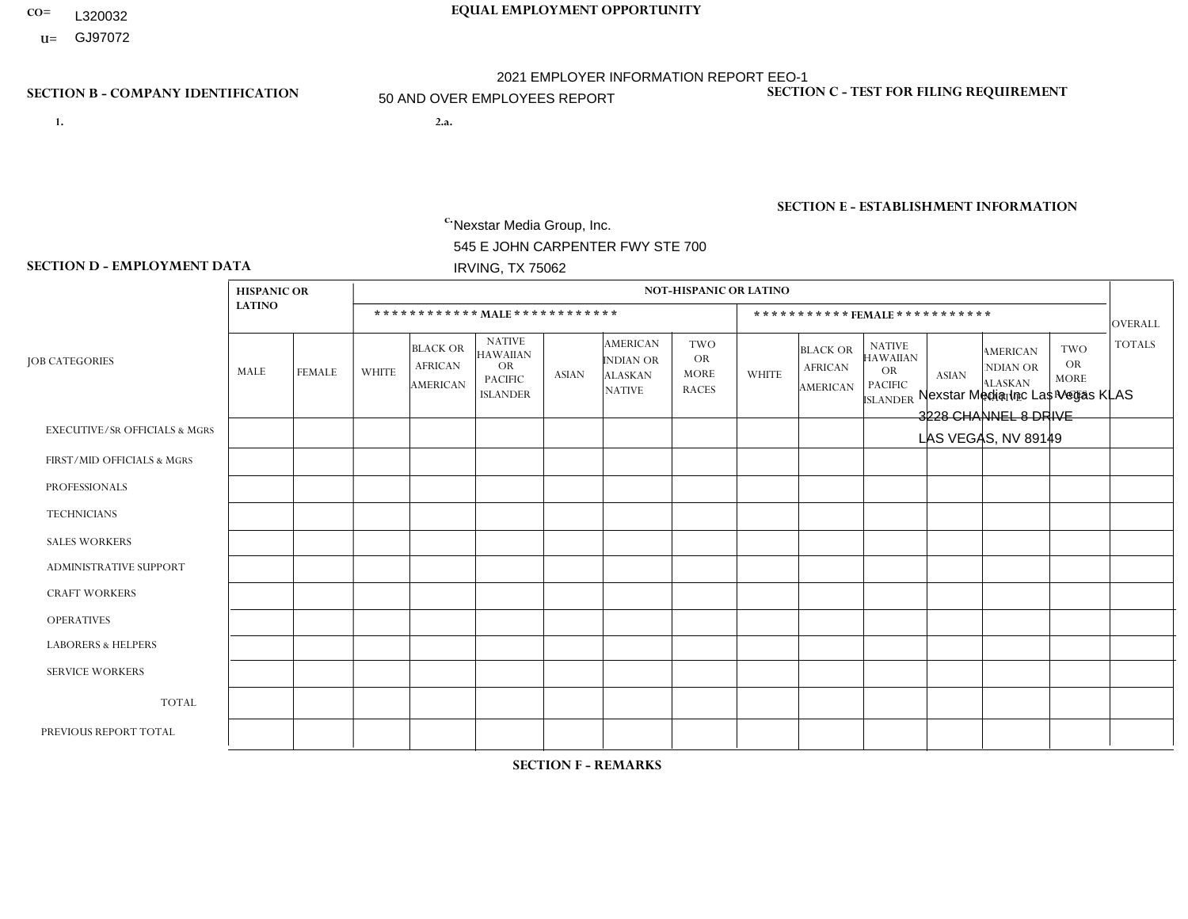- **CO= EQUAL EMPLOYMENT OPPORTUNITY** L320032
- **U=**

- **1. 2.a.** Nexstar Media Group, Inc. 545 E JOHN CARPENTER FWY STE 700 IRVING, TX 75062
- 2.a. Nexstar Media Inc Las Vegas KLAS 3228 CHANNEL 8 DRIVE LAS VEGAS, NV 89149

EIN= 233063152

## **SECTION B - COMPANY IDENTIFICATION SECTION C - TEST FOR FILING REQUIREMENT**

1- Y 2- N 3- Y DUNS= 058168001

**SECTION E - ESTABLISHMENT INFORMATION c.** NAICS: 515120 - Television Broadcasting

### **SECTION D - EMPLOYMENT DATA**

|                                          | <b>HISPANIC OR</b> |                |                |                                                      |                                                                                    |                |                                                                 | <b>NOT-HISPANIC OR LATINO</b>                          |                |                                                      |                                                                                    |                      |                                                                       |                                                        |                |
|------------------------------------------|--------------------|----------------|----------------|------------------------------------------------------|------------------------------------------------------------------------------------|----------------|-----------------------------------------------------------------|--------------------------------------------------------|----------------|------------------------------------------------------|------------------------------------------------------------------------------------|----------------------|-----------------------------------------------------------------------|--------------------------------------------------------|----------------|
|                                          | <b>LATINO</b>      |                |                |                                                      | ************ MALE *************                                                    |                |                                                                 |                                                        |                |                                                      | ***********FEMALE***********                                                       |                      |                                                                       |                                                        | OVERALL        |
| <b>JOB CATEGORIES</b>                    | MALE               | <b>FEMALE</b>  | <b>WHITE</b>   | <b>BLACK OR</b><br><b>AFRICAN</b><br><b>AMERICAN</b> | <b>NATIVE</b><br><b>HAWAIIAN</b><br><b>OR</b><br><b>PACIFIC</b><br><b>ISLANDER</b> | <b>ASIAN</b>   | <b>AMERICAN</b><br>INDIAN OR<br><b>ALASKAN</b><br><b>NATIVE</b> | <b>TWO</b><br><b>OR</b><br><b>MORE</b><br><b>RACES</b> | <b>WHITE</b>   | <b>BLACK OR</b><br><b>AFRICAN</b><br><b>AMERICAN</b> | <b>NATIVE</b><br><b>HAWAIIAN</b><br><b>OR</b><br><b>PACIFIC</b><br><b>ISLANDER</b> | <b>ASIAN</b>         | <b>AMERICAN</b><br><b>NDIAN OR</b><br><b>ALASKAN</b><br><b>NATIVE</b> | <b>TWO</b><br><b>OR</b><br><b>MORE</b><br><b>RACES</b> | <b>TOTALS</b>  |
| <b>EXECUTIVE/SR OFFICIALS &amp; MGRS</b> | $\Omega$           | $\Omega$       | $\mathbf 0$    | $\mathbf 0$                                          | $\mathbf 0$                                                                        | $\Omega$       | $\Omega$                                                        | $\Omega$                                               | $\Omega$       | $\Omega$                                             | $\mathbf{0}$                                                                       | $\mathbf{0}$         | $\mathbf{0}$                                                          | $\Omega$                                               | $\mathbf 0$    |
| FIRST/MID OFFICIALS & MGRS               | 0                  | $\mathbf{1}$   | 5              | $\mathbf 0$                                          | $\mathbf 0$                                                                        | $\mathbf 0$    | $\Omega$                                                        | $\Omega$                                               | 3              | $\Omega$                                             | $\Omega$                                                                           | $\overline{2}$       | $\mathbf{0}$                                                          | $\mathbf{0}$                                           | 11             |
| <b>PROFESSIONALS</b>                     | 0                  | 3              | 11             | $\mathbf 0$                                          | $\Omega$                                                                           | $\mathbf{1}$   | $\mathbf{0}$                                                    | $\Omega$                                               | 6              | $\Omega$                                             | $\Omega$                                                                           | $\mathbf{0}$         | $\Omega$                                                              | $\mathbf{0}$                                           | 21             |
| <b>TECHNICIANS</b>                       | 11                 | $\overline{7}$ | 23             | $\mathbf{1}$                                         | $\mathbf 0$                                                                        | 3              | $\overline{1}$                                                  | $\overline{2}$                                         | 11             | 4                                                    | $\Omega$                                                                           | 3                    | $\Omega$                                                              | $\overline{2}$                                         | 68             |
| <b>SALES WORKERS</b>                     | $\Omega$           | $\overline{2}$ | $\overline{4}$ | $\mathbf 0$                                          | $\Omega$                                                                           | $\Omega$       | $\Omega$                                                        | $\Omega$                                               | 3              | $\mathbf{1}$                                         | $\Omega$                                                                           | $\Omega$             | $\Omega$                                                              | $\Omega$                                               | 10             |
| <b>ADMINISTRATIVE SUPPORT</b>            | 0                  | $\overline{4}$ | 5              | $\mathbf 0$                                          | $\mathbf 0$                                                                        | $\Omega$       | $\Omega$                                                        | 1                                                      | $\overline{4}$ | 3                                                    | $\Omega$                                                                           | $\blacktriangleleft$ | $\mathbf{0}$                                                          | 1                                                      | 19             |
| <b>CRAFT WORKERS</b>                     | 0                  | $\Omega$       | $\mathbf 0$    | $\mathbf 0$                                          | $\Omega$                                                                           | $\Omega$       | $\Omega$                                                        | $\Omega$                                               | $\Omega$       | $\Omega$                                             | $\Omega$                                                                           | $\Omega$             | $\Omega$                                                              | $\Omega$                                               | $\overline{0}$ |
| <b>OPERATIVES</b>                        | 0                  | $\Omega$       | $\mathbf 0$    | $\mathbf 0$                                          | $\mathbf 0$                                                                        | $\mathbf 0$    | $\Omega$                                                        | $\Omega$                                               | $\Omega$       | $\Omega$                                             | $\Omega$                                                                           | $\Omega$             | $\Omega$                                                              | $\mathbf{0}$                                           | $\overline{0}$ |
| <b>LABORERS &amp; HELPERS</b>            | 0                  | $\Omega$       | $\mathbf 0$    | $\mathbf 0$                                          | $\mathbf 0$                                                                        | $\mathbf 0$    | $\Omega$                                                        | $\Omega$                                               | $\Omega$       | $\Omega$                                             | $\mathbf{0}$                                                                       | $\mathbf{0}$         | $\Omega$                                                              | $\Omega$                                               | $\mathbf 0$    |
| <b>SERVICE WORKERS</b>                   | 0                  | $\Omega$       | $\mathbf 0$    | $\mathbf 0$                                          | $\mathbf 0$                                                                        | $\mathbf 0$    | $\Omega$                                                        | $\Omega$                                               | $\Omega$       | $\Omega$                                             | $\Omega$                                                                           | $\mathbf{0}$         | $\mathbf{0}$                                                          | $\mathbf{0}$                                           | $\overline{0}$ |
| <b>TOTAL</b>                             | 11                 | 17             | 48             | $\mathbf{1}$                                         | $\mathbf 0$                                                                        | $\overline{4}$ | -1                                                              | 3                                                      | 27             | 8                                                    | $\Omega$                                                                           | 6                    | $\Omega$                                                              | 3                                                      | 129            |
| PREVIOUS REPORT TOTAL                    | 16                 | 13             | 53             | 3                                                    | $\mathbf 0$                                                                        | 5              |                                                                 | $\overline{2}$                                         | 35             | 9                                                    | $\Omega$                                                                           | 4                    | $\mathbf{0}$                                                          | 3                                                      | 144            |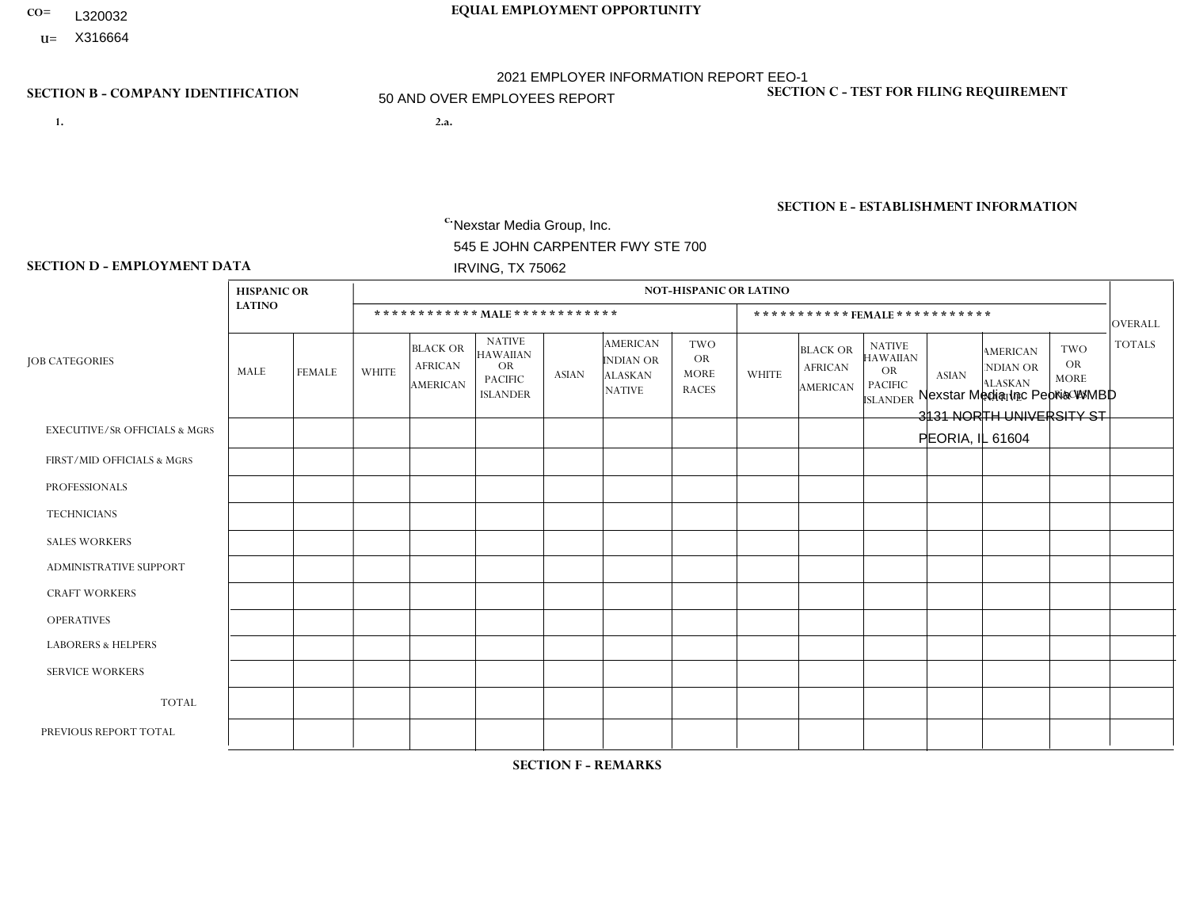- **CO= EQUAL EMPLOYMENT OPPORTUNITY** L320032
	- **U=**

- **1. 2.a.** Nexstar Media Group, Inc. 545 E JOHN CARPENTER FWY STE 700 IRVING, TX 75062
- 2.a. Nexstar Media Inc Peoria WMBD 3131 NORTH UNIVERSITY ST PEORIA, IL 61604

EIN= 233063152

## **SECTION B - COMPANY IDENTIFICATION SECTION C - TEST FOR FILING REQUIREMENT**

1- Y 2- N 3- Y DUNS= 058168001

## **SECTION E - ESTABLISHMENT INFORMATION c.** NAICS: 515120 - Television Broadcasting

### **SECTION D - EMPLOYMENT DATA**

|                                          | <b>HISPANIC OR</b> |                |              |                                               |                                                                                    |              |                                                                 | <b>NOT-HISPANIC OR LATINO</b>                          |              |                                                      |                                                                                    |              |                                                                       |                                                  |                |
|------------------------------------------|--------------------|----------------|--------------|-----------------------------------------------|------------------------------------------------------------------------------------|--------------|-----------------------------------------------------------------|--------------------------------------------------------|--------------|------------------------------------------------------|------------------------------------------------------------------------------------|--------------|-----------------------------------------------------------------------|--------------------------------------------------|----------------|
|                                          | <b>LATINO</b>      |                |              | ************ MALE ************                |                                                                                    |              |                                                                 |                                                        |              | *********** FEMALE ***********                       |                                                                                    |              |                                                                       |                                                  | <b>OVERALL</b> |
| <b>JOB CATEGORIES</b>                    | MALE               | <b>FEMALE</b>  | <b>WHITE</b> | <b>BLACK OR</b><br><b>AFRICAN</b><br>AMERICAN | <b>NATIVE</b><br><b>HAWAIIAN</b><br><b>OR</b><br><b>PACIFIC</b><br><b>ISLANDER</b> | <b>ASIAN</b> | <b>AMERICAN</b><br>INDIAN OR<br><b>ALASKAN</b><br><b>NATIVE</b> | <b>TWO</b><br><b>OR</b><br><b>MORE</b><br><b>RACES</b> | <b>WHITE</b> | <b>BLACK OR</b><br><b>AFRICAN</b><br><b>AMERICAN</b> | <b>NATIVE</b><br><b>HAWAIIAN</b><br><b>OR</b><br><b>PACIFIC</b><br><b>ISLANDER</b> | <b>ASIAN</b> | <b>AMERICAN</b><br><b>NDIAN OR</b><br><b>ALASKAN</b><br><b>NATIVE</b> | <b>TWO</b><br>OR.<br><b>MORE</b><br><b>RACES</b> | <b>TOTALS</b>  |
| <b>EXECUTIVE/SR OFFICIALS &amp; MGRS</b> | $\mathbf 0$        | $\mathbf 0$    | 0            | $\mathbf 0$                                   | $\mathbf 0$                                                                        | 0            | $\Omega$                                                        | $\Omega$                                               | $\Omega$     | $\Omega$                                             | 0                                                                                  | $\mathbf 0$  | $\mathbf 0$                                                           | $\mathbf 0$                                      | $\mathbf 0$    |
| FIRST/MID OFFICIALS & MGRS               | $\Omega$           | $\Omega$       | 4            | $\Omega$                                      | $\Omega$                                                                           | 0            | $\Omega$                                                        | $\mathbf{0}$                                           | $\Omega$     | $\Omega$                                             | 0                                                                                  | $\Omega$     | $\Omega$                                                              | $\Omega$                                         | $\overline{4}$ |
| <b>PROFESSIONALS</b>                     |                    | $\mathbf 0$    | 9            | $\overline{1}$                                | $\mathbf 0$                                                                        | 0            | $\Omega$                                                        | $\Omega$                                               | 3            | $\overline{2}$                                       | 0                                                                                  | $\Omega$     | $\Omega$                                                              | $\mathbf 0$                                      | 16             |
| <b>TECHNICIANS</b>                       | 2                  | $\overline{2}$ | 24           | $\overline{1}$                                | $\mathbf 0$                                                                        | 0            | $\Omega$                                                        | $\mathbf{0}$                                           | 15           | 3                                                    | 0                                                                                  | $\mathbf 0$  | $\mathbf 0$                                                           |                                                  | 48             |
| <b>SALES WORKERS</b>                     | $\Omega$           | $\Omega$       | 6            | $\Omega$                                      | $\Omega$                                                                           | $\Omega$     | $\Omega$                                                        | $\Omega$                                               | 3            | $\Omega$                                             | $\Omega$                                                                           | $\Omega$     | $\Omega$                                                              | $\Omega$                                         | 9              |
| <b>ADMINISTRATIVE SUPPORT</b>            | $\Omega$           | $\mathbf 0$    | 1            | -1                                            | $\mathbf 0$                                                                        | 0            | $\Omega$                                                        | $\Omega$                                               | 5            | $\Omega$                                             | 0                                                                                  | $\Omega$     | $\Omega$                                                              | $\Omega$                                         | $\overline{7}$ |
| <b>CRAFT WORKERS</b>                     | $\Omega$           | $\mathbf 0$    | 0            | $\mathbf 0$                                   | $\mathbf 0$                                                                        | 0            | $\Omega$                                                        | $\Omega$                                               | $\Omega$     | $\Omega$                                             | 0                                                                                  | $\Omega$     | $\Omega$                                                              | $\Omega$                                         | $\mathbf 0$    |
| <b>OPERATIVES</b>                        | $\Omega$           | $\Omega$       | $\Omega$     | $\Omega$                                      | $\Omega$                                                                           | 0            | $\mathbf{0}$                                                    | $\Omega$                                               | $\Omega$     | $\Omega$                                             | 0                                                                                  | $\Omega$     | $\Omega$                                                              | $\Omega$                                         | $\mathbf{0}$   |
| <b>LABORERS &amp; HELPERS</b>            | $\Omega$           | $\Omega$       | 0            | 0                                             | $\mathbf 0$                                                                        | 0            | $\Omega$                                                        | $\Omega$                                               | $\Omega$     | $\Omega$                                             | $\Omega$                                                                           | $\Omega$     | $\Omega$                                                              | $\Omega$                                         | $\mathbf 0$    |
| <b>SERVICE WORKERS</b>                   | $\Omega$           | $\mathbf 0$    | 1            | $\mathbf 0$                                   | $\mathbf 0$                                                                        | 0            | $\Omega$                                                        | $\Omega$                                               | $\Omega$     | $\Omega$                                             | 0                                                                                  | $\Omega$     | $\Omega$                                                              | $\mathbf 0$                                      | 1              |
| <b>TOTAL</b>                             | 3                  | $\overline{2}$ | 45           | 3                                             | $\mathbf{0}$                                                                       | 0            | $\Omega$                                                        | $\Omega$                                               | 26           | 5                                                    | 0                                                                                  | $\Omega$     | $\Omega$                                                              |                                                  | 85             |
| PREVIOUS REPORT TOTAL                    | $\overline{c}$     |                | 47           | $\overline{c}$                                | $\mathbf 0$                                                                        | 0            | $\Omega$                                                        | $\Omega$                                               | 27           | 4                                                    | 0                                                                                  | $\Omega$     | $\Omega$                                                              |                                                  | 84             |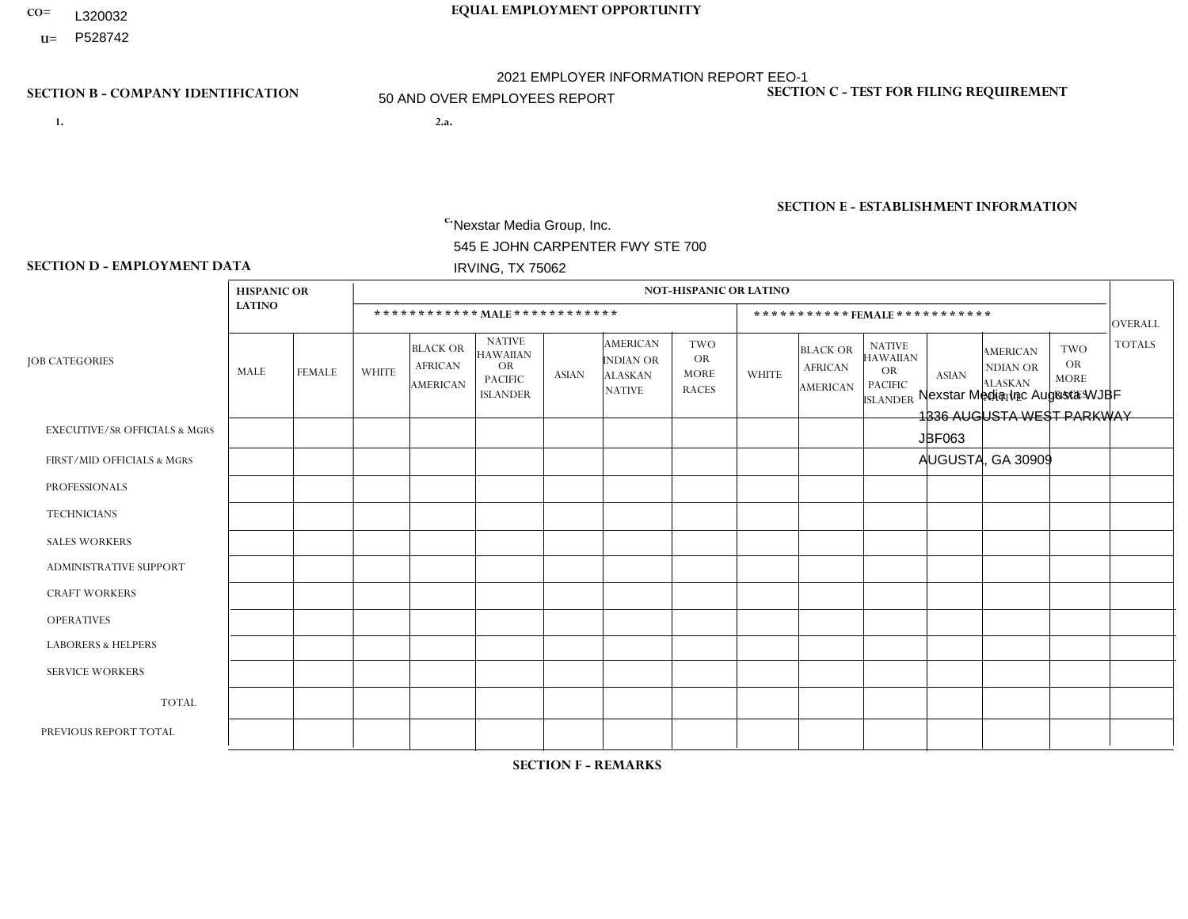- **CO= EQUAL EMPLOYMENT OPPORTUNITY** L320032
- **U=**

- **1. 2.a.** Nexstar Media Group, Inc. 545 E JOHN CARPENTER FWY STE 700 IRVING, TX 75062
- 2.a. Nexstar Media Inc Augusta WJBF 1336 AUGUSTA WEST PARKWAY JBF063 AUGUSTA, GA 30909

EIN= 233063152

## **SECTION B - COMPANY IDENTIFICATION SECTION C - TEST FOR FILING REQUIREMENT**

1- Y 2- N 3- Y DUNS= 058168001

## **SECTION E - ESTABLISHMENT INFORMATION c.** NAICS: 515120 - Television Broadcasting

### **SECTION D - EMPLOYMENT DATA**

|                                          | <b>HISPANIC OR</b> |                |                |                                                      |                                                                                    |              |                                                                        | <b>NOT-HISPANIC OR LATINO</b>                          |              |                                               |                                                                             |              |                                                                       |                                                        |                |
|------------------------------------------|--------------------|----------------|----------------|------------------------------------------------------|------------------------------------------------------------------------------------|--------------|------------------------------------------------------------------------|--------------------------------------------------------|--------------|-----------------------------------------------|-----------------------------------------------------------------------------|--------------|-----------------------------------------------------------------------|--------------------------------------------------------|----------------|
|                                          | <b>LATINO</b>      |                |                |                                                      | ************ MALE ************                                                     |              |                                                                        |                                                        |              |                                               | *********** FEMALE ***********                                              |              |                                                                       |                                                        | <b>OVERALL</b> |
| <b>JOB CATEGORIES</b>                    | MALE               | <b>FEMALE</b>  | <b>WHITE</b>   | <b>BLACK OR</b><br><b>AFRICAN</b><br><b>AMERICAN</b> | <b>NATIVE</b><br><b>HAWAIIAN</b><br><b>OR</b><br><b>PACIFIC</b><br><b>ISLANDER</b> | <b>ASIAN</b> | <b>AMERICAN</b><br><b>INDIAN OR</b><br><b>ALASKAN</b><br><b>NATIVE</b> | <b>TWO</b><br><b>OR</b><br><b>MORE</b><br><b>RACES</b> | <b>WHITE</b> | <b>BLACK OR</b><br><b>AFRICAN</b><br>AMERICAN | <b>NATIVE</b><br><b>HAWAIIAN</b><br>OR<br><b>PACIFIC</b><br><b>ISLANDER</b> | <b>ASIAN</b> | <b>AMERICAN</b><br><b>NDIAN OR</b><br><b>ALASKAN</b><br><b>NATIVE</b> | <b>TWO</b><br><b>OR</b><br><b>MORE</b><br><b>RACES</b> | <b>TOTALS</b>  |
| <b>EXECUTIVE/SR OFFICIALS &amp; MGRS</b> | $\Omega$           | $\Omega$       | $\Omega$       | $\Omega$                                             | $\Omega$                                                                           | $\Omega$     | $\Omega$                                                               | $\Omega$                                               | $\Omega$     | $\Omega$                                      | $\Omega$                                                                    | $\Omega$     | $\Omega$                                                              | $\Omega$                                               | $\Omega$       |
| FIRST/MID OFFICIALS & MGRS               | $\mathbf{0}$       | 0              | 6              | $\mathbf 0$                                          | $\Omega$                                                                           | $\Omega$     | $\Omega$                                                               | $\Omega$                                               | 1            | $\overline{1}$                                | $\Omega$                                                                    | $\Omega$     | $\Omega$                                                              | $\Omega$                                               | 8              |
| <b>PROFESSIONALS</b>                     | $\mathbf 0$        | $\overline{0}$ | $\overline{7}$ | 0                                                    | $\Omega$                                                                           |              | $\Omega$                                                               | $\Omega$                                               | 4            | 2                                             | 0                                                                           | $\Omega$     | $\Omega$                                                              | $\Omega$                                               | 14             |
| <b>TECHNICIANS</b>                       | $\mathbf 0$        | $\mathbf{1}$   | 14             | 10                                                   | $\Omega$                                                                           |              | $\Omega$                                                               | $\Omega$                                               | 11           | 6                                             | $\Omega$                                                                    | $\Omega$     | $\Omega$                                                              | $\mathbf{1}$                                           | 44             |
| <b>SALES WORKERS</b>                     | $\mathbf 0$        | $\mathbf 0$    | 3              | $\Omega$                                             | $\Omega$                                                                           |              | $\Omega$                                                               | $\Omega$                                               | 3            | $\overline{2}$                                | $\Omega$                                                                    | $\Omega$     | $\Omega$                                                              | $\Omega$                                               | 9              |
| <b>ADMINISTRATIVE SUPPORT</b>            | 0                  | 0              | $\overline{4}$ | $\mathbf 0$                                          | $\mathbf{0}$                                                                       |              | $\Omega$                                                               | $\Omega$                                               | 5            | 4                                             | $\Omega$                                                                    | $\Omega$     | $\Omega$                                                              | $\Omega$                                               | 14             |
| <b>CRAFT WORKERS</b>                     | $\Omega$           | 0              | $\mathbf 0$    | 0                                                    | $\Omega$                                                                           | $\Omega$     | $\Omega$                                                               | $\Omega$                                               | $\Omega$     | $\Omega$                                      | $\Omega$                                                                    | $\Omega$     | $\Omega$                                                              | $\Omega$                                               | $\Omega$       |
| <b>OPERATIVES</b>                        | $\mathbf 0$        | $\mathbf{0}$   | $\mathbf 0$    | $\mathbf 0$                                          | $\Omega$                                                                           | $\Omega$     | $\Omega$                                                               | $\Omega$                                               | $\Omega$     | $\Omega$                                      | $\Omega$                                                                    | $\Omega$     | $\Omega$                                                              | $\Omega$                                               | $\mathbf 0$    |
| <b>LABORERS &amp; HELPERS</b>            | $\mathbf 0$        | $\overline{0}$ | $\mathbf 0$    | 0                                                    | $\Omega$                                                                           | $\Omega$     | $\Omega$                                                               | $\Omega$                                               | $\Omega$     | $\Omega$                                      | $\Omega$                                                                    | $\Omega$     | $\Omega$                                                              | $\Omega$                                               | $\mathbf 0$    |
| <b>SERVICE WORKERS</b>                   | $\mathbf{0}$       | $\overline{0}$ | $\mathbf 0$    | $\mathbf 0$                                          | $\Omega$                                                                           | $\Omega$     | $\Omega$                                                               | $\Omega$                                               | $\Omega$     | $\Omega$                                      | $\Omega$                                                                    | $\Omega$     | $\Omega$                                                              | $\Omega$                                               | $\mathbf 0$    |
| <b>TOTAL</b>                             | $\mathbf 0$        | $\mathbf{1}$   | 34             | 10                                                   | $\mathbf 0$                                                                        | 4            | $\Omega$                                                               | $\Omega$                                               | 24           | 15                                            | $\Omega$                                                                    | $\mathbf 0$  | $\Omega$                                                              | $\mathbf{1}$                                           | 89             |
| PREVIOUS REPORT TOTAL                    | $\mathbf 0$        | 1              | 33             | 12                                                   | $\Omega$                                                                           | 4            | $\Omega$                                                               | $\Omega$                                               | 22           | 19                                            | $\mathbf 0$                                                                 | $\Omega$     | $\Omega$                                                              | 1                                                      | 92             |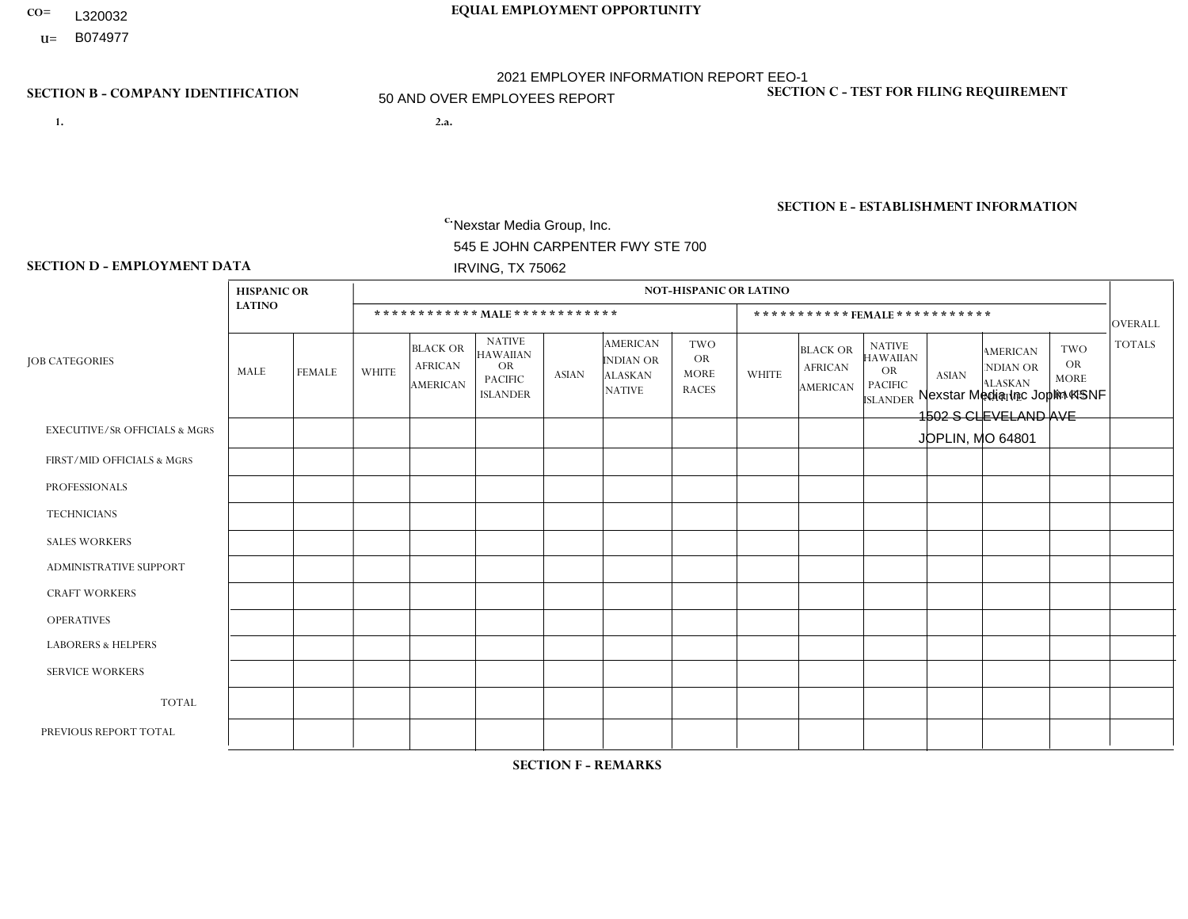- **CO= EQUAL EMPLOYMENT OPPORTUNITY** L320032
	- **U=**

## **SECTION B - COMPANY IDENTIFICATION SECTION C - TEST FOR FILING REQUIREMENT**

- **1. 2.a.** Nexstar Media Group, Inc. 545 E JOHN CARPENTER FWY STE 700 IRVING, TX 75062
- 2.a. Nexstar Media Inc Joplin KSNF 1502 S CLEVELAND AVE JOPLIN, MO 64801

2021 EMPLOYER INFORMATION REPORT EEO-1 50 AND OVER EMPLOYEES REPORT

EIN= 233063152

1- Y 2- N 3- Y DUNS= 058168001

## **SECTION E - ESTABLISHMENT INFORMATION c.** NAICS: 515120 - Television Broadcasting

### **SECTION D - EMPLOYMENT DATA**

|                                          | <b>HISPANIC OR</b> |                |                |                                                      |                                                                             |              |                                                                        | <b>NOT-HISPANIC OR LATINO</b>                          |              |                                                      |                                                                                    |              |                                                                       |                                                  |                |
|------------------------------------------|--------------------|----------------|----------------|------------------------------------------------------|-----------------------------------------------------------------------------|--------------|------------------------------------------------------------------------|--------------------------------------------------------|--------------|------------------------------------------------------|------------------------------------------------------------------------------------|--------------|-----------------------------------------------------------------------|--------------------------------------------------|----------------|
|                                          | <b>LATINO</b>      |                |                | ************ MAIE************                        |                                                                             |              |                                                                        |                                                        |              | ***********FEMALE***********                         |                                                                                    |              |                                                                       |                                                  | OVERALL        |
| <b>JOB CATEGORIES</b>                    | MALE               | <b>FEMALE</b>  | <b>WHITE</b>   | <b>BLACK OR</b><br><b>AFRICAN</b><br><b>AMERICAN</b> | <b>NATIVE</b><br><b>HAWAIIAN</b><br>OR<br><b>PACIFIC</b><br><b>ISLANDER</b> | <b>ASIAN</b> | <b>AMERICAN</b><br><b>INDIAN OR</b><br><b>ALASKAN</b><br><b>NATIVE</b> | <b>TWO</b><br><b>OR</b><br><b>MORE</b><br><b>RACES</b> | <b>WHITE</b> | <b>BLACK OR</b><br><b>AFRICAN</b><br><b>AMERICAN</b> | <b>NATIVE</b><br><b>HAWAIIAN</b><br><b>OR</b><br><b>PACIFIC</b><br><b>ISLANDER</b> | <b>ASIAN</b> | <b>AMERICAN</b><br><b>NDIAN OR</b><br><b>ALASKAN</b><br><b>NATIVE</b> | <b>TWO</b><br>OR.<br><b>MORE</b><br><b>RACES</b> | <b>TOTALS</b>  |
| <b>EXECUTIVE/SR OFFICIALS &amp; MGRS</b> | $\Omega$           | $\Omega$       | $\Omega$       | $\mathbf 0$                                          | $\Omega$                                                                    | 0            | $\Omega$                                                               | $\mathbf{0}$                                           | $\Omega$     | $\Omega$                                             | 0                                                                                  | $\Omega$     | $\Omega$                                                              | $\Omega$                                         | $\mathbf 0$    |
| FIRST/MID OFFICIALS & MGRS               | $\Omega$           | $\Omega$       | 5              | $\Omega$                                             | $\Omega$                                                                    | 0            | $\mathbf{0}$                                                           | $\Omega$                                               | -1           |                                                      | 0                                                                                  | $\Omega$     | $\Omega$                                                              | $\Omega$                                         | $\overline{7}$ |
| <b>PROFESSIONALS</b>                     | $\Omega$           | $\mathbf{1}$   | $\overline{7}$ | $\mathbf 0$                                          | $\mathbf 0$                                                                 | 0            | $\Omega$                                                               | -1                                                     | 3            | $\Omega$                                             | 0                                                                                  | $\Omega$     | $\Omega$                                                              | $\mathbf 0$                                      | 12             |
| <b>TECHNICIANS</b>                       | 1                  | $\mathbf{1}$   | 32             | $\mathbf{1}$                                         | $\mathbf 0$                                                                 | 0            | 2                                                                      | $\Omega$                                               | 17           | $\overline{\mathbf{A}}$                              | 1                                                                                  | $\mathbf{0}$ | 1                                                                     | $\mathbf 0$                                      | 57             |
| <b>SALES WORKERS</b>                     | $\mathbf 0$        | $\mathbf 0$    | 4              | $\mathbf 0$                                          | $\mathbf 0$                                                                 | 0            | $\Omega$                                                               | $\Omega$                                               | 6            | $\Omega$                                             | $\Omega$                                                                           | $\Omega$     | $\Omega$                                                              | $\mathbf 0$                                      | 10             |
| <b>ADMINISTRATIVE SUPPORT</b>            | $\Omega$           | $\Omega$       | 6              | $\Omega$                                             | $\Omega$                                                                    | 0            | -1                                                                     | $\Omega$                                               | 9            | $\Omega$                                             | 0                                                                                  | 1            | $\Omega$                                                              | $\Omega$                                         | 17             |
| <b>CRAFT WORKERS</b>                     | $\Omega$           | $\Omega$       | 0              | $\mathbf 0$                                          | $\Omega$                                                                    | 0            | $\Omega$                                                               | $\Omega$                                               | $\Omega$     | $\Omega$                                             | 0                                                                                  | $\Omega$     | $\Omega$                                                              | $\Omega$                                         | $\mathbf 0$    |
| <b>OPERATIVES</b>                        | $\Omega$           | $\Omega$       | 0              | $\Omega$                                             | $\Omega$                                                                    | 0            | $\mathbf{0}$                                                           | $\Omega$                                               | $\Omega$     | $\Omega$                                             | 0                                                                                  | $\Omega$     | $\Omega$                                                              | $\Omega$                                         | $\overline{0}$ |
| <b>LABORERS &amp; HELPERS</b>            | $\Omega$           | $\Omega$       | 0              | $\mathbf 0$                                          | $\Omega$                                                                    | 0            | $\Omega$                                                               | $\Omega$                                               | $\Omega$     | $\Omega$                                             | $\Omega$                                                                           | $\Omega$     | $\Omega$                                                              | $\Omega$                                         | $\mathbf 0$    |
| <b>SERVICE WORKERS</b>                   | $\Omega$           | $\mathbf 0$    | 0              | $\mathbf 0$                                          | $\mathbf 0$                                                                 | 0            | $\Omega$                                                               | $\Omega$                                               | $\Omega$     | $\Omega$                                             | 0                                                                                  | $\Omega$     | $\Omega$                                                              | $\Omega$                                         | $\mathbf{0}$   |
| <b>TOTAL</b>                             | -1                 | $\overline{2}$ | 54             | $\mathbf{1}$                                         | $\mathbf{0}$                                                                | 0            | 3                                                                      | $\overline{1}$                                         | 36           | $\overline{2}$                                       |                                                                                    | 1            | 1                                                                     | $\mathbf 0$                                      | 103            |
| PREVIOUS REPORT TOTAL                    | $\Omega$           | 3              | 57             | $\overline{c}$                                       | $\Omega$                                                                    | 0            | 2                                                                      | $\overline{1}$                                         | 34           | 3                                                    |                                                                                    | $\Omega$     | $\Omega$                                                              | $\Omega$                                         | 103            |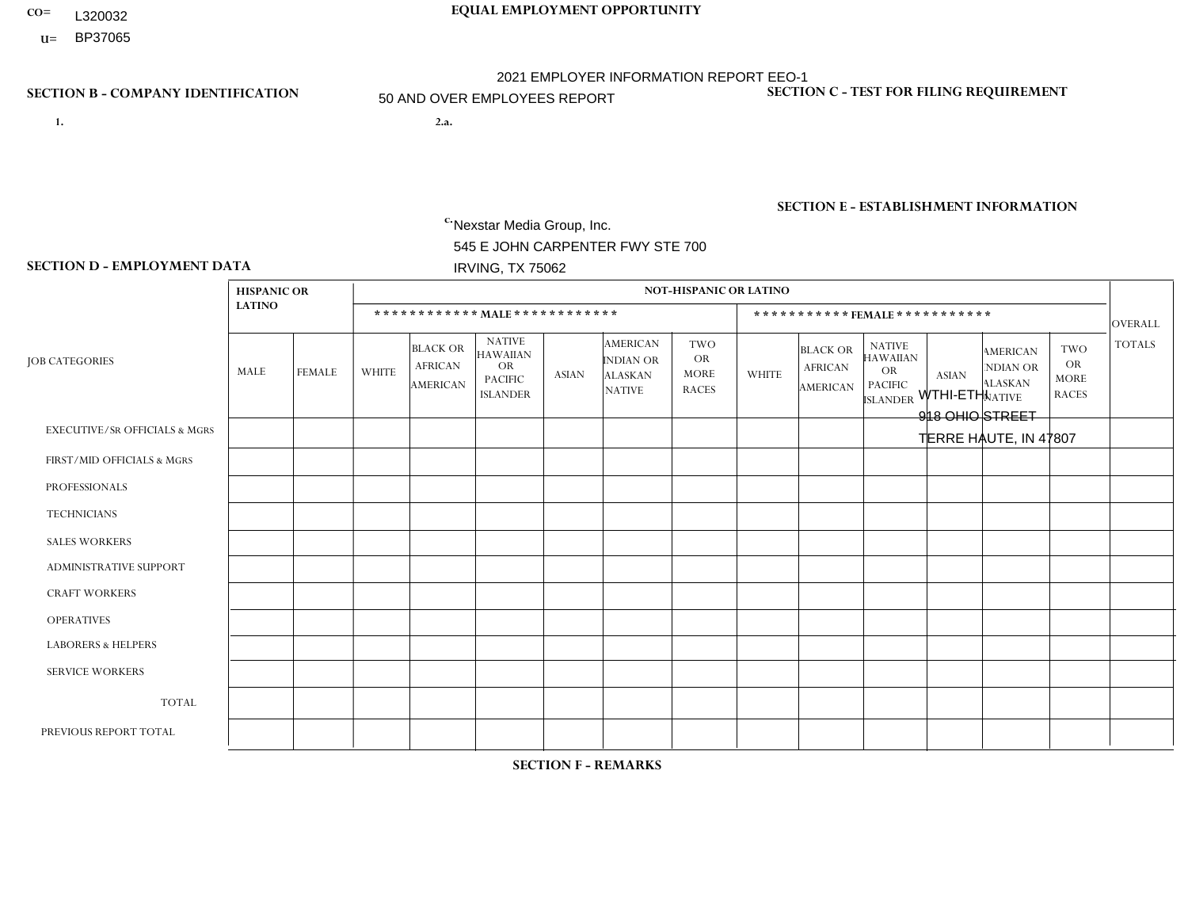- L320032
- **U=**

# **CO= EQUAL EMPLOYMENT OPPORTUNITY** 2021 EMPLOYER INFORMATION REPORT EEO-1 50 AND OVER EMPLOYEES REPORT

- **1. 2.a.** Nexstar Media Group, Inc. 545 E JOHN CARPENTER FWY STE 700 IRVING, TX 75062
- WTHI-ETHI 918 OHIO STREET TERRE HAUTE, IN 47807

EIN= 233063152

## **SECTION B - COMPANY IDENTIFICATION SECTION C - TEST FOR FILING REQUIREMENT**

1- Y 2- N 3- Y DUNS= 058168001

## **SECTION E - ESTABLISHMENT INFORMATION c.** NAICS: 515120 - Television Broadcasting

### **SECTION D - EMPLOYMENT DATA**

|                                          | <b>HISPANIC OR</b> |                |                |                                               |                                                                                    |              |                                                                        | <b>NOT-HISPANIC OR LATINO</b>                          |                |                                               |                                                                             |              |                                                                       |                                                        |                |
|------------------------------------------|--------------------|----------------|----------------|-----------------------------------------------|------------------------------------------------------------------------------------|--------------|------------------------------------------------------------------------|--------------------------------------------------------|----------------|-----------------------------------------------|-----------------------------------------------------------------------------|--------------|-----------------------------------------------------------------------|--------------------------------------------------------|----------------|
|                                          | <b>LATINO</b>      |                |                |                                               | ************ MALE ************                                                     |              |                                                                        |                                                        |                | ***********FEMALE***********                  |                                                                             |              |                                                                       |                                                        | <b>OVERALL</b> |
| <b>JOB CATEGORIES</b>                    | MALE               | <b>FEMALE</b>  | <b>WHITE</b>   | <b>BLACK OR</b><br><b>AFRICAN</b><br>AMERICAN | <b>NATIVE</b><br><b>HAWAIIAN</b><br><b>OR</b><br><b>PACIFIC</b><br><b>ISLANDER</b> | ASIAN        | <b>AMERICAN</b><br><b>INDIAN OR</b><br><b>ALASKAN</b><br><b>NATIVE</b> | <b>TWO</b><br><b>OR</b><br><b>MORE</b><br><b>RACES</b> | <b>WHITE</b>   | <b>BLACK OR</b><br><b>AFRICAN</b><br>AMERICAN | <b>NATIVE</b><br><b>HAWAIIAN</b><br>OR<br><b>PACIFIC</b><br><b>ISLANDER</b> | <b>ASIAN</b> | <b>AMERICAN</b><br><b>NDIAN OR</b><br><b>ALASKAN</b><br><b>NATIVE</b> | <b>TWO</b><br><b>OR</b><br><b>MORE</b><br><b>RACES</b> | <b>TOTALS</b>  |
| <b>EXECUTIVE/SR OFFICIALS &amp; MGRS</b> | $\Omega$           | $\Omega$       | $\Omega$       | $\Omega$                                      | $\Omega$                                                                           | $\mathbf{0}$ | $\Omega$                                                               | $\Omega$                                               | 0              | $\Omega$                                      | $\Omega$                                                                    | $\Omega$     | $\Omega$                                                              | $\Omega$                                               | $\mathbf{0}$   |
| FIRST/MID OFFICIALS & MGRS               | 0                  | $\mathbf 0$    | 4              | $\mathbf 0$                                   | $\Omega$                                                                           | $\Omega$     | $\Omega$                                                               | $\Omega$                                               |                | $\Omega$                                      | $\Omega$                                                                    | $\mathbf{0}$ | $\Omega$                                                              | $\mathbf{0}$                                           | 5              |
| <b>PROFESSIONALS</b>                     | 0                  | $\Omega$       | 4              | $\mathbf 0$                                   | $\Omega$                                                                           | $\mathbf{1}$ | $\Omega$                                                               | $\Omega$                                               | $\overline{2}$ | $\Omega$                                      | $\Omega$                                                                    | $\Omega$     | 0                                                                     | $\Omega$                                               | $\overline{7}$ |
| <b>TECHNICIANS</b>                       | 1                  | $\overline{0}$ | 20             | $\overline{2}$                                | $\mathbf 0$                                                                        | $\Omega$     | $\Omega$                                                               | $\Omega$                                               | 9              |                                               | $\Omega$                                                                    | $\mathbf 0$  | $\mathbf 0$                                                           | $\mathbf{1}$                                           | 34             |
| <b>SALES WORKERS</b>                     | $\Omega$           | $\Omega$       | $\overline{2}$ | $\mathbf 0$                                   | $\Omega$                                                                           | $\Omega$     | $\Omega$                                                               | $\Omega$                                               | 5              | $\Omega$                                      | $\Omega$                                                                    | $\Omega$     | $\Omega$                                                              | $\Omega$                                               | $\overline{7}$ |
| <b>ADMINISTRATIVE SUPPORT</b>            | 0                  | $\mathbf{1}$   | $\Omega$       | $\mathbf 0$                                   | $\Omega$                                                                           | $\Omega$     | $\Omega$                                                               | $\Omega$                                               | 3              |                                               | $\Omega$                                                                    | $\Omega$     | $\Omega$                                                              | $\mathbf{0}$                                           | 5              |
| <b>CRAFT WORKERS</b>                     | 0                  | $\Omega$       | $\Omega$       | $\mathbf 0$                                   | $\Omega$                                                                           | $\Omega$     | $\Omega$                                                               | $\Omega$                                               | 0              | $\Omega$                                      | $\Omega$                                                                    | $\Omega$     | $\Omega$                                                              | $\Omega$                                               | $\overline{0}$ |
| <b>OPERATIVES</b>                        | 0                  | $\Omega$       | $\Omega$       | $\Omega$                                      | $\Omega$                                                                           | $\Omega$     | $\Omega$                                                               | $\Omega$                                               | $\overline{0}$ | $\Omega$                                      | $\Omega$                                                                    | $\Omega$     | $\Omega$                                                              | $\Omega$                                               | $\mathbf{0}$   |
| <b>LABORERS &amp; HELPERS</b>            | 0                  | $\Omega$       | $\Omega$       | $\mathbf 0$                                   | $\mathbf{0}$                                                                       | $\Omega$     | $\Omega$                                                               | $\Omega$                                               | $\Omega$       | $\Omega$                                      | $\Omega$                                                                    | $\Omega$     | $\Omega$                                                              | $\mathbf 0$                                            | $\overline{0}$ |
| <b>SERVICE WORKERS</b>                   | 0                  | $\Omega$       |                | 0                                             | 0                                                                                  | $\Omega$     | $\Omega$                                                               | $\Omega$                                               | $\Omega$       | $\Omega$                                      | $\Omega$                                                                    | $\Omega$     | $\Omega$                                                              | $\mathbf 0$                                            | $\mathbf{1}$   |
| <b>TOTAL</b>                             |                    | $\mathbf{1}$   | 31             | $\overline{c}$                                | 0                                                                                  | -1           | $\Omega$                                                               | $\Omega$                                               | 20             | $\overline{2}$                                | $\mathbf 0$                                                                 | $\mathbf 0$  | 0                                                                     | $\mathbf{1}$                                           | 59             |
| PREVIOUS REPORT TOTAL                    | 0                  | $\Omega$       | 29             | $\overline{2}$                                | $\Omega$                                                                           | -1           | $\Omega$                                                               | $\Omega$                                               | 24             | 5                                             | $\Omega$                                                                    | $\mathbf{0}$ | $\Omega$                                                              | $\mathbf 0$                                            | 61             |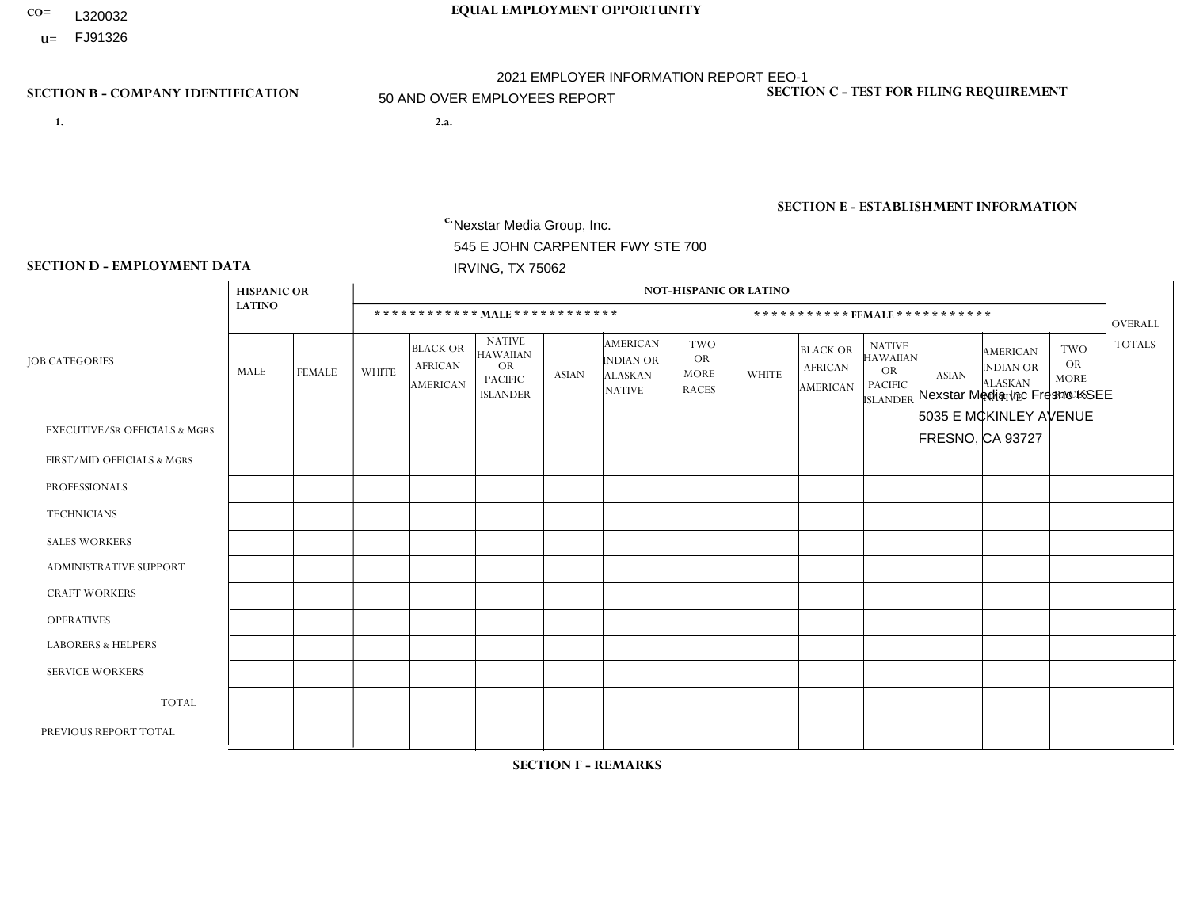- **CO= EQUAL EMPLOYMENT OPPORTUNITY** L320032
	- **U=** FJ91326

- **1. 2.a.** Nexstar Media Group, Inc. 545 E JOHN CARPENTER FWY STE 700 IRVING, TX 75062
- 2.a. Nexstar Media Inc Fresno KSEE 5035 E MCKINLEY AVENUE FRESNO, CA 93727

EIN= 233063152

## **SECTION B - COMPANY IDENTIFICATION SECTION C - TEST FOR FILING REQUIREMENT**

1- Y 2- N 3- Y DUNS= 058168001

## **SECTION E - ESTABLISHMENT INFORMATION c.** NAICS: 515120 - Television Broadcasting

### **SECTION D - EMPLOYMENT DATA**

|                                          | <b>HISPANIC OR</b> |                |                |                                                      |                                                                                    |                |                                                                        | <b>NOT-HISPANIC OR LATINO</b>                          |                |                                               |                                                                             |                |                                                                       |                                                        |                |
|------------------------------------------|--------------------|----------------|----------------|------------------------------------------------------|------------------------------------------------------------------------------------|----------------|------------------------------------------------------------------------|--------------------------------------------------------|----------------|-----------------------------------------------|-----------------------------------------------------------------------------|----------------|-----------------------------------------------------------------------|--------------------------------------------------------|----------------|
|                                          | <b>LATINO</b>      |                |                |                                                      | ************ MAIE************                                                      |                |                                                                        |                                                        |                |                                               | *********** FEMALE ***********                                              |                |                                                                       |                                                        | <b>OVERALL</b> |
| <b>JOB CATEGORIES</b>                    | MALE               | <b>FEMALE</b>  | <b>WHITE</b>   | <b>BLACK OR</b><br><b>AFRICAN</b><br><b>AMERICAN</b> | <b>NATIVE</b><br><b>HAWAIIAN</b><br><b>OR</b><br><b>PACIFIC</b><br><b>ISLANDER</b> | <b>ASIAN</b>   | <b>AMERICAN</b><br><b>INDIAN OR</b><br><b>ALASKAN</b><br><b>NATIVE</b> | <b>TWO</b><br><b>OR</b><br><b>MORE</b><br><b>RACES</b> | <b>WHITE</b>   | <b>BLACK OR</b><br><b>AFRICAN</b><br>AMERICAN | <b>NATIVE</b><br><b>HAWAIIAN</b><br>OR<br><b>PACIFIC</b><br><b>ISLANDER</b> | <b>ASIAN</b>   | <b>AMERICAN</b><br><b>NDIAN OR</b><br><b>ALASKAN</b><br><b>NATIVE</b> | <b>TWO</b><br><b>OR</b><br><b>MORE</b><br><b>RACES</b> | <b>TOTALS</b>  |
| <b>EXECUTIVE/SR OFFICIALS &amp; MGRS</b> | $\mathbf{0}$       | $\Omega$       | 1              | $\Omega$                                             | $\mathbf{0}$                                                                       | $\Omega$       | $\Omega$                                                               | $\Omega$                                               | $\Omega$       | $\Omega$                                      | $\Omega$                                                                    | $\Omega$       | $\Omega$                                                              | $\Omega$                                               | $\mathbf 1$    |
| FIRST/MID OFFICIALS & MGRS               |                    | 1              | $\mathbf{3}$   | $\mathbf 0$                                          | $\mathbf{0}$                                                                       | $\Omega$       | $\Omega$                                                               | $\Omega$                                               | $\overline{2}$ | $\Omega$                                      | $\Omega$                                                                    | $\Omega$       | $\Omega$                                                              | $\Omega$                                               | $\overline{7}$ |
| <b>PROFESSIONALS</b>                     |                    | $\overline{0}$ | $\overline{7}$ | $\mathbf{1}$                                         | $\Omega$                                                                           | $\Omega$       | $\Omega$                                                               | $\Omega$                                               | 5              | $\Omega$                                      | $\Omega$                                                                    | $\Omega$       | $\Omega$                                                              | $\Omega$                                               | 14             |
| <b>TECHNICIANS</b>                       | 13                 | 12             | 32             | 4                                                    | $\Omega$                                                                           | $\overline{4}$ | $\Omega$                                                               |                                                        | 15             | 3                                             | $\Omega$                                                                    | $\overline{2}$ | $\Omega$                                                              | $\Omega$                                               | 86             |
| <b>SALES WORKERS</b>                     | $\overline{4}$     | $\overline{2}$ | 5              | 0                                                    | $\Omega$                                                                           | $\Omega$       | $\Omega$                                                               | $\Omega$                                               | 3              | $\Omega$                                      | $\Omega$                                                                    | $\Omega$       | $\Omega$                                                              | $\Omega$                                               | 14             |
| <b>ADMINISTRATIVE SUPPORT</b>            | $\mathbf 0$        | 3              | 3              | $\mathbf 0$                                          | $\mathbf{0}$                                                                       | $\Omega$       | $\Omega$                                                               | $\Omega$                                               | 5              | $\Omega$                                      | $\Omega$                                                                    | 3              | $\Omega$                                                              | $\Omega$                                               | 14             |
| <b>CRAFT WORKERS</b>                     | $\Omega$           | 0              | $\mathbf 0$    | 0                                                    | $\Omega$                                                                           | $\Omega$       | $\Omega$                                                               | $\Omega$                                               | $\Omega$       | $\Omega$                                      | $\Omega$                                                                    | $\Omega$       | $\Omega$                                                              | $\Omega$                                               | $\Omega$       |
| <b>OPERATIVES</b>                        | $\mathbf{0}$       | $\overline{0}$ | $\mathbf 0$    | 0                                                    | $\Omega$                                                                           | $\Omega$       | 0                                                                      | $\Omega$                                               | $\Omega$       | $\Omega$                                      | $\Omega$                                                                    | $\Omega$       | $\Omega$                                                              | $\Omega$                                               | $\mathbf 0$    |
| <b>LABORERS &amp; HELPERS</b>            | $\mathbf{0}$       | $\Omega$       | $\mathbf 0$    | 0                                                    | $\Omega$                                                                           | $\Omega$       | $\Omega$                                                               | $\Omega$                                               | $\Omega$       | $\Omega$                                      | $\Omega$                                                                    | $\Omega$       | $\Omega$                                                              | $\Omega$                                               | 0              |
| <b>SERVICE WORKERS</b>                   | $\mathbf{0}$       | $\mathbf 0$    | $\mathbf 0$    | $\mathbf 0$                                          | $\Omega$                                                                           | $\Omega$       | $\Omega$                                                               | $\Omega$                                               | $\Omega$       | $\Omega$                                      | $\Omega$                                                                    | $\Omega$       | $\Omega$                                                              | $\Omega$                                               | $\mathbf 0$    |
| <b>TOTAL</b>                             | 19                 | 18             | 51             | 5                                                    | $\mathbf{0}$                                                                       | 4              | $\Omega$                                                               |                                                        | 30             | 3                                             | $\mathbf 0$                                                                 | 5              | 0                                                                     | $\mathbf 0$                                            | 136            |
| PREVIOUS REPORT TOTAL                    | 20                 | 18             | 55             | 5                                                    | $\Omega$                                                                           | 2              | $\Omega$                                                               | 4                                                      | 25             | 3                                             | 0                                                                           | 5              |                                                                       | 1                                                      | 139            |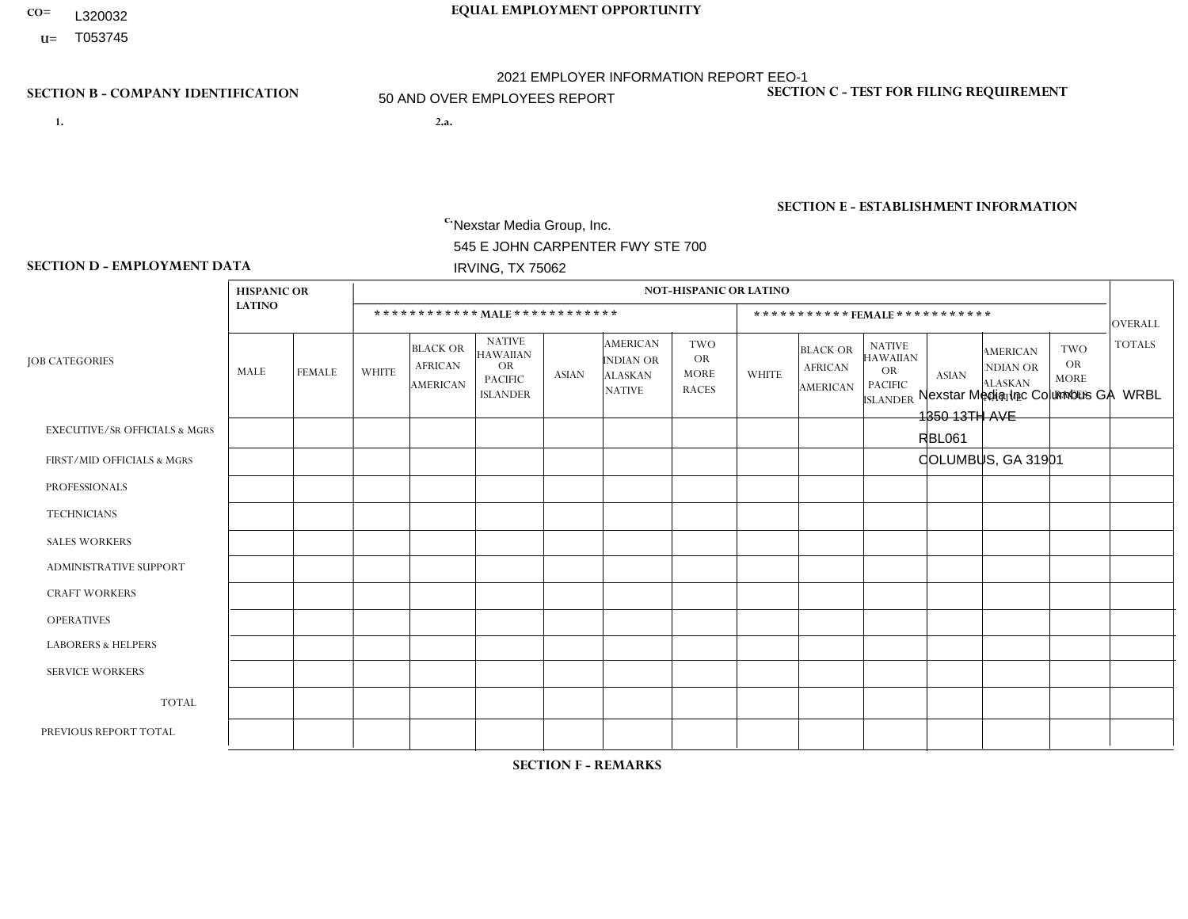- **CO= EQUAL EMPLOYMENT OPPORTUNITY** L320032
- **U=**

- **1. 2.a.** Nexstar Media Group, Inc. 545 E JOHN CARPENTER FWY STE 700 IRVING, TX 75062
- 2.a. Nexstar Media Inc Columbus GA WRBL 1350 13TH AVE RBL061 COLUMBUS, GA 31901

c. EIN= 233063152

## **SECTION B - COMPANY IDENTIFICATION SECTION C - TEST FOR FILING REQUIREMENT**

1- Y 2- N 3- Y DUNS= 058168001

## **SECTION E - ESTABLISHMENT INFORMATION c.** NAICS: 515120 - Television Broadcasting

### **SECTION D - EMPLOYMENT DATA**

|                                          | <b>HISPANIC OR</b> |                |                |                                                      |                                                                                    |              |                                                                        | <b>NOT-HISPANIC OR LATINO</b>                          |              |                                                      |                                                                             |                |                                                                       |                                                        |                |
|------------------------------------------|--------------------|----------------|----------------|------------------------------------------------------|------------------------------------------------------------------------------------|--------------|------------------------------------------------------------------------|--------------------------------------------------------|--------------|------------------------------------------------------|-----------------------------------------------------------------------------|----------------|-----------------------------------------------------------------------|--------------------------------------------------------|----------------|
|                                          | <b>LATINO</b>      |                |                |                                                      | ************ MALE *************                                                    |              |                                                                        |                                                        |              |                                                      | *********** FEMALE ***********                                              |                |                                                                       |                                                        | <b>OVERALL</b> |
| <b>JOB CATEGORIES</b>                    | MALE               | <b>FEMALE</b>  | <b>WHITE</b>   | <b>BLACK OR</b><br><b>AFRICAN</b><br><b>AMERICAN</b> | <b>NATIVE</b><br><b>HAWAIIAN</b><br><b>OR</b><br><b>PACIFIC</b><br><b>ISLANDER</b> | <b>ASIAN</b> | <b>AMERICAN</b><br><b>INDIAN OR</b><br><b>ALASKAN</b><br><b>NATIVE</b> | <b>TWO</b><br><b>OR</b><br><b>MORE</b><br><b>RACES</b> | <b>WHITE</b> | <b>BLACK OR</b><br><b>AFRICAN</b><br><b>AMERICAN</b> | <b>NATIVE</b><br><b>HAWAIIAN</b><br>OR<br><b>PACIFIC</b><br><b>ISLANDER</b> | <b>ASIAN</b>   | <b>AMERICAN</b><br><b>NDIAN OR</b><br><b>ALASKAN</b><br><b>NATIVE</b> | <b>TWO</b><br><b>OR</b><br><b>MORE</b><br><b>RACES</b> | <b>TOTALS</b>  |
| <b>EXECUTIVE/SR OFFICIALS &amp; MGRS</b> | $\Omega$           | $\mathbf 0$    | $\mathbf 0$    | 0                                                    | $\Omega$                                                                           | $\Omega$     | $\Omega$                                                               | $\Omega$                                               | $\Omega$     | $\Omega$                                             | $\Omega$                                                                    | $\Omega$       | $\Omega$                                                              | $\Omega$                                               | $\mathbf 0$    |
| FIRST/MID OFFICIALS & MGRS               | $\Omega$           | $\mathbf 0$    | $\overline{2}$ | $\mathbf 0$                                          | $\Omega$                                                                           | $\Omega$     | $\Omega$                                                               | $\Omega$                                               | $\Omega$     | $\overline{1}$                                       | $\Omega$                                                                    | $\Omega$       | $\Omega$                                                              | $\Omega$                                               | 3              |
| <b>PROFESSIONALS</b>                     | $\mathbf 0$        | $\mathbf{0}$   | $\overline{4}$ | $\overline{c}$                                       | $\Omega$                                                                           |              | $\Omega$                                                               | $\Omega$                                               | 3            | 2                                                    | $\Omega$                                                                    | $\Omega$       | $\Omega$                                                              | $\Omega$                                               | 12             |
| <b>TECHNICIANS</b>                       |                    | $\mathbf{1}$   | 6              | $\overline{7}$                                       | $\Omega$                                                                           | $\Omega$     | $\Omega$                                                               | $\mathbf 0$                                            | 6            | 5                                                    | $\mathbf 0$                                                                 | $\overline{2}$ | $\Omega$                                                              | $\Omega$                                               | 28             |
| <b>SALES WORKERS</b>                     | $\mathbf 0$        | $\overline{1}$ | $\overline{2}$ | 0                                                    | $\Omega$                                                                           | $\Omega$     | $\Omega$                                                               | $\Omega$                                               | 1            | $\overline{2}$                                       | $\Omega$                                                                    | $\Omega$       | $\Omega$                                                              | $\Omega$                                               | 6              |
| <b>ADMINISTRATIVE SUPPORT</b>            | $\mathbf 0$        | 1              | $\overline{2}$ | $\mathbf{1}$                                         | $\mathbf{0}$                                                                       | $\Omega$     | $\Omega$                                                               | $\mathbf{0}$                                           | 4            | 3                                                    | $\Omega$                                                                    | $\Omega$       | $\Omega$                                                              | 1                                                      | 12             |
| <b>CRAFT WORKERS</b>                     | $\Omega$           | $\Omega$       | $\mathbf 0$    | $\mathbf 0$                                          | $\Omega$                                                                           | $\Omega$     | $\Omega$                                                               | $\Omega$                                               | $\Omega$     | $\Omega$                                             | $\Omega$                                                                    | $\Omega$       | $\Omega$                                                              | $\Omega$                                               | $\Omega$       |
| <b>OPERATIVES</b>                        | $\mathbf{0}$       | $\overline{0}$ | $\mathbf 0$    | 0                                                    | $\Omega$                                                                           | $\Omega$     | $\Omega$                                                               | $\Omega$                                               | $\Omega$     | $\Omega$                                             | $\Omega$                                                                    | $\Omega$       | $\Omega$                                                              | $\Omega$                                               | $\mathbf 0$    |
| <b>LABORERS &amp; HELPERS</b>            | $\mathbf{0}$       | $\mathbf{0}$   | $\mathbf 0$    | $\mathbf 0$                                          | $\Omega$                                                                           | $\Omega$     | $\Omega$                                                               | $\Omega$                                               | $\Omega$     | $\Omega$                                             | $\Omega$                                                                    | $\Omega$       | $\Omega$                                                              | $\Omega$                                               | 0              |
| <b>SERVICE WORKERS</b>                   | $\mathbf{0}$       | 0              | $\mathbf 0$    | $\mathbf 0$                                          | $\Omega$                                                                           | $\Omega$     | $\Omega$                                                               | $\Omega$                                               | $\Omega$     | $\Omega$                                             | $\Omega$                                                                    | $\Omega$       | $\Omega$                                                              | $\Omega$                                               | 0              |
| <b>TOTAL</b>                             |                    | 3              | 16             | 10                                                   | $\mathbf 0$                                                                        |              | $\Omega$                                                               | $\Omega$                                               | 14           | 13                                                   | $\mathbf{0}$                                                                | $\overline{2}$ | $\mathbf 0$                                                           | 1                                                      | 61             |
| PREVIOUS REPORT TOTAL                    |                    | 1              | 21             | 9                                                    | $\Omega$                                                                           |              | $\Omega$                                                               | $\Omega$                                               | 13           | 13                                                   | $\Omega$                                                                    |                | $\Omega$                                                              | 1                                                      | 61             |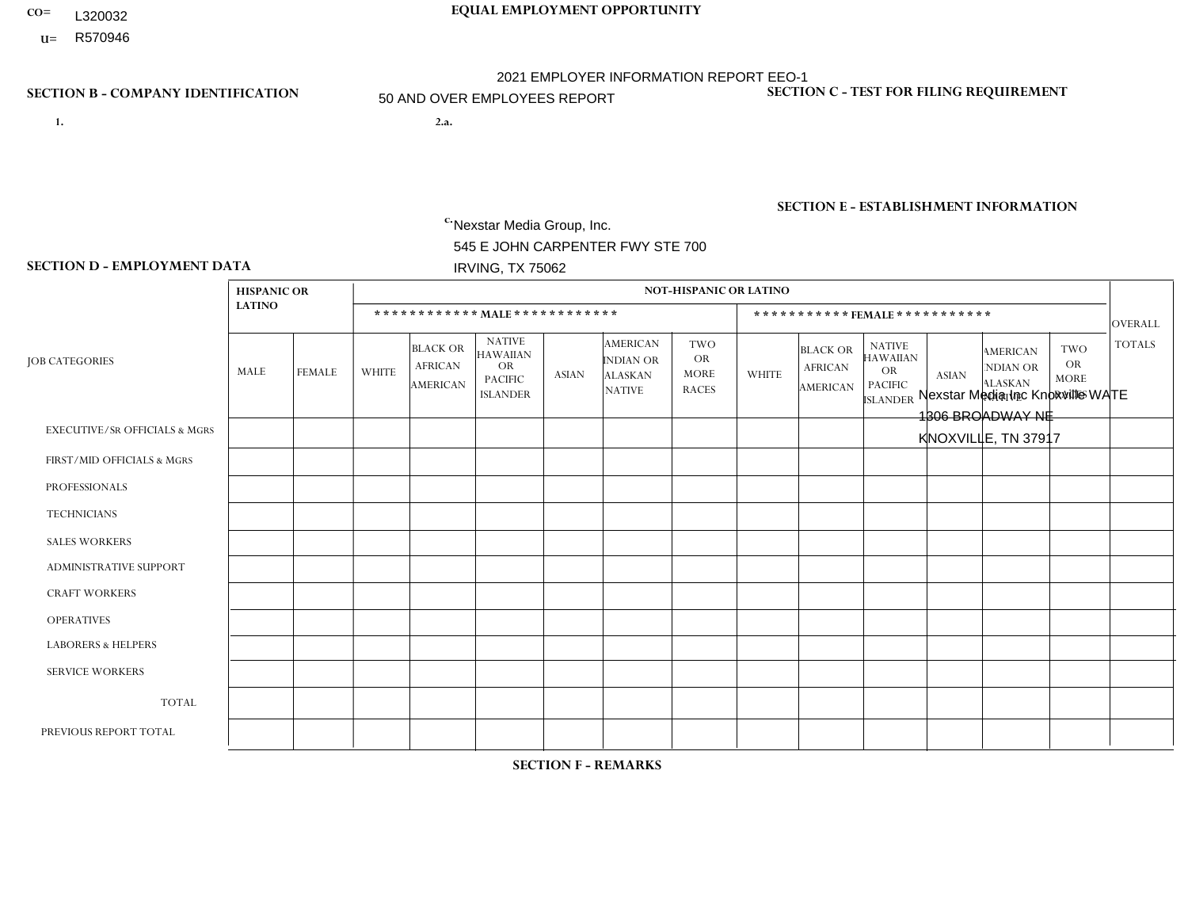- **CO= EQUAL EMPLOYMENT OPPORTUNITY** L320032
	- **U=**

- **1. 2.a.** Nexstar Media Group, Inc. 545 E JOHN CARPENTER FWY STE 700 IRVING, TX 75062
- 2.a. Nexstar Media Inc Knoxville WATE 1306 BROADWAY NE KNOXVILLE, TN 37917

EIN= 233063152

## **SECTION B - COMPANY IDENTIFICATION SECTION C - TEST FOR FILING REQUIREMENT**

1- Y 2- N 3- Y DUNS= 058168001

**SECTION E - ESTABLISHMENT INFORMATION c.** NAICS: 515120 - Television Broadcasting

### **SECTION D - EMPLOYMENT DATA**

|                                          | <b>HISPANIC OR</b> |                |                |                                                      |                                                                                    |              |                                                                 | <b>NOT-HISPANIC OR LATINO</b>                          |              |                                                      |                                                                                    |              |                                                                       |                                                        |                |
|------------------------------------------|--------------------|----------------|----------------|------------------------------------------------------|------------------------------------------------------------------------------------|--------------|-----------------------------------------------------------------|--------------------------------------------------------|--------------|------------------------------------------------------|------------------------------------------------------------------------------------|--------------|-----------------------------------------------------------------------|--------------------------------------------------------|----------------|
|                                          | <b>LATINO</b>      |                |                |                                                      | ************ MALE************                                                      |              |                                                                 |                                                        |              |                                                      | *********** FEMALE ***********                                                     |              |                                                                       |                                                        | <b>OVERALL</b> |
| <b>JOB CATEGORIES</b>                    | MALE               | <b>FEMALE</b>  | <b>WHITE</b>   | <b>BLACK OR</b><br><b>AFRICAN</b><br><b>AMERICAN</b> | <b>NATIVE</b><br><b>HAWAIIAN</b><br><b>OR</b><br><b>PACIFIC</b><br><b>ISLANDER</b> | <b>ASIAN</b> | <b>AMERICAN</b><br>INDIAN OR<br><b>ALASKAN</b><br><b>NATIVE</b> | <b>TWO</b><br><b>OR</b><br><b>MORE</b><br><b>RACES</b> | <b>WHITE</b> | <b>BLACK OR</b><br><b>AFRICAN</b><br><b>AMERICAN</b> | <b>NATIVE</b><br><b>HAWAIIAN</b><br><b>OR</b><br><b>PACIFIC</b><br><b>ISLANDER</b> | <b>ASIAN</b> | <b>AMERICAN</b><br><b>NDIAN OR</b><br><b>ALASKAN</b><br><b>NATIVE</b> | <b>TWO</b><br><b>OR</b><br><b>MORE</b><br><b>RACES</b> | <b>TOTALS</b>  |
| <b>EXECUTIVE/SR OFFICIALS &amp; MGRS</b> | 0                  | $\Omega$       | $\Omega$       | $\mathbf 0$                                          | $\Omega$                                                                           | $\Omega$     | $\mathbf{0}$                                                    | $\Omega$                                               | $\Omega$     | $\Omega$                                             | $\mathbf{0}$                                                                       | $\Omega$     | $\mathbf{0}$                                                          | $\Omega$                                               | $\Omega$       |
| FIRST/MID OFFICIALS & MGRS               | 0                  | $\mathbf{0}$   | $\overline{4}$ | $\mathbf 0$                                          | $\mathbf 0$                                                                        | $\mathbf{0}$ | $\Omega$                                                        | $\Omega$                                               | 5            | $\Omega$                                             | $\Omega$                                                                           | $\mathbf{0}$ | $\mathbf{0}$                                                          | $\Omega$                                               | 9              |
| <b>PROFESSIONALS</b>                     | 0                  | $\mathbf{1}$   | 11             | $\mathbf{1}$                                         | $\mathbf 0$                                                                        | $\mathbf 0$  | $\Omega$                                                        | $\Omega$                                               | 6            | 1                                                    | $\Omega$                                                                           | 1            | $\Omega$                                                              | $\Omega$                                               | 21             |
| <b>TECHNICIANS</b>                       | 0                  | $\overline{2}$ | 27             | 3                                                    | $\mathbf 0$                                                                        | $\Omega$     | $\mathbf{0}$                                                    | $\Omega$                                               | 11           | $\Omega$                                             | $\Omega$                                                                           | $\Omega$     |                                                                       | $\mathbf{0}$                                           | 44             |
| <b>SALES WORKERS</b>                     | 0                  | $\Omega$       | $\overline{c}$ | $\mathbf 0$                                          | $\Omega$                                                                           | $\Omega$     | $\Omega$                                                        | $\Omega$                                               | 6            | $\Omega$                                             | $\Omega$                                                                           | $\mathbf{0}$ | $\Omega$                                                              | $\Omega$                                               | 8              |
| <b>ADMINISTRATIVE SUPPORT</b>            | 0                  | $\mathbf 0$    | $\overline{4}$ | $\mathbf 0$                                          | $\mathbf 0$                                                                        | $\mathbf 0$  | $\Omega$                                                        | $\Omega$                                               | 4            | $\Omega$                                             | $\Omega$                                                                           | $\mathbf{0}$ | $\Omega$                                                              | $\mathbf{0}$                                           | 8              |
| <b>CRAFT WORKERS</b>                     | 0                  | $\Omega$       | $\mathbf 0$    | $\mathbf 0$                                          | $\Omega$                                                                           | $\Omega$     | $\Omega$                                                        | $\Omega$                                               | $\Omega$     | $\Omega$                                             | $\Omega$                                                                           | $\Omega$     | $\Omega$                                                              | $\Omega$                                               | $\Omega$       |
| <b>OPERATIVES</b>                        | 0                  | $\Omega$       | $\mathbf 0$    | $\mathbf 0$                                          | $\mathbf 0$                                                                        | $\Omega$     | $\Omega$                                                        | $\Omega$                                               | $\Omega$     | $\Omega$                                             | $\Omega$                                                                           | $\Omega$     | $\mathbf{0}$                                                          | $\Omega$                                               | $\overline{0}$ |
| <b>LABORERS &amp; HELPERS</b>            | 0                  | $\Omega$       | $\mathbf 0$    | $\mathbf 0$                                          | $\mathbf 0$                                                                        | $\mathbf 0$  | $\Omega$                                                        | $\Omega$                                               | $\Omega$     | $\Omega$                                             | $\mathbf{0}$                                                                       | $\mathbf{0}$ | $\Omega$                                                              | $\Omega$                                               | $\overline{0}$ |
| <b>SERVICE WORKERS</b>                   | 0                  | $\mathbf 0$    | $\mathbf 0$    | $\mathbf 0$                                          | $\mathbf 0$                                                                        | $\mathbf 0$  | $\Omega$                                                        | $\Omega$                                               | $\Omega$     | $\Omega$                                             | $\Omega$                                                                           | $\Omega$     | $\mathbf{0}$                                                          | $\Omega$                                               | $\overline{0}$ |
| <b>TOTAL</b>                             | $\mathbf 0$        | 3              | 48             | 4                                                    | $\mathbf 0$                                                                        | $\mathbf 0$  | $\Omega$                                                        | $\Omega$                                               | 32           | $\mathbf{1}$                                         | $\mathbf 0$                                                                        | 1            |                                                                       | $\Omega$                                               | 90             |
| PREVIOUS REPORT TOTAL                    | 0                  | $\overline{2}$ | 48             | 3                                                    | $\mathbf 0$                                                                        | $\Omega$     | $\Omega$                                                        | $\Omega$                                               | 37           | 3                                                    | $\mathbf{0}$                                                                       | $\Omega$     | $\mathbf{0}$                                                          | $\Omega$                                               | 93             |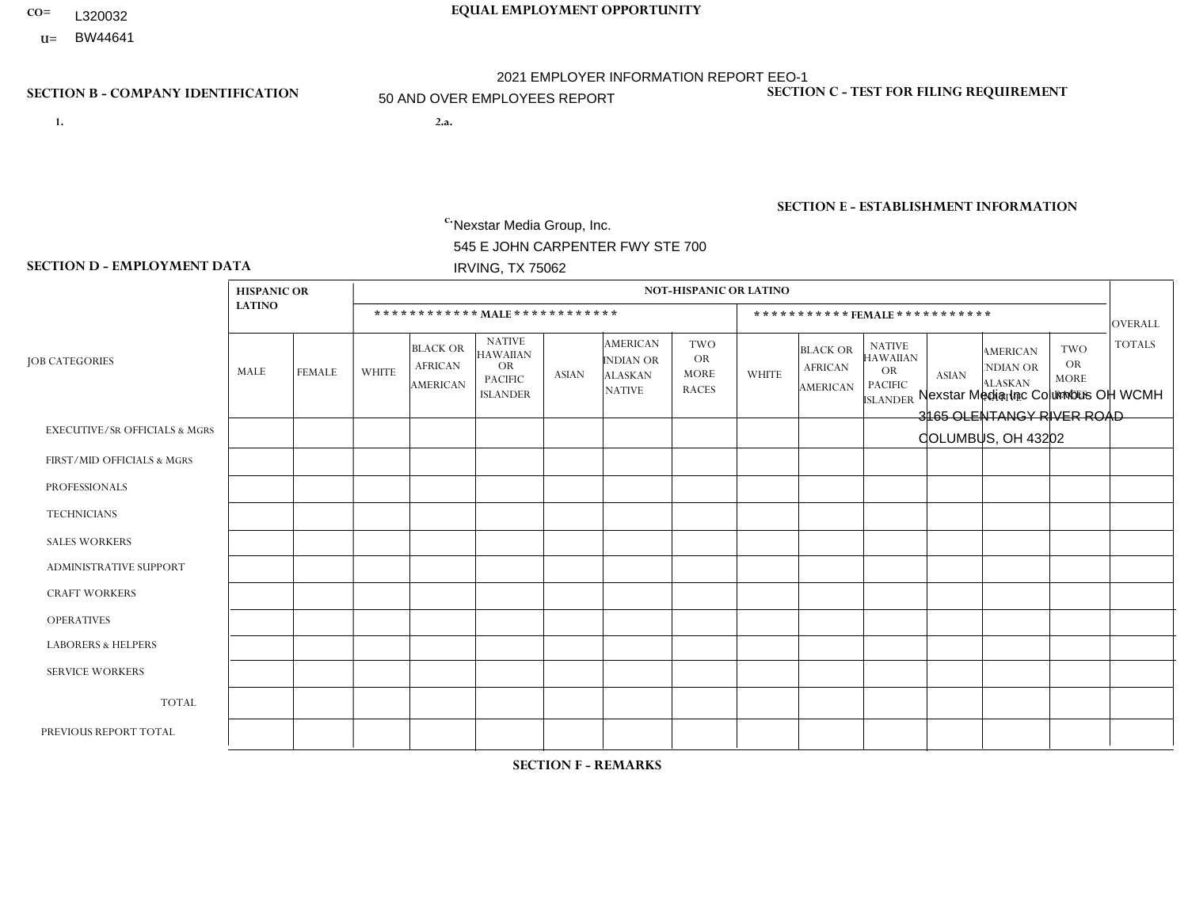- **CO= EQUAL EMPLOYMENT OPPORTUNITY** L320032
- **U=**

- **1. 2.a.** Nexstar Media Group, Inc. 545 E JOHN CARPENTER FWY STE 700 IRVING, TX 75062
- 2.a. Nexstar Media Inc Columbus OH WCMH 3165 OLENTANGY RIVER ROAD COLUMBUS, OH 43202

EIN= 233063152

## **SECTION B - COMPANY IDENTIFICATION SECTION C - TEST FOR FILING REQUIREMENT**

1- Y 2- N 3- Y DUNS= 058168001

**SECTION E - ESTABLISHMENT INFORMATION c.** NAICS: 515120 - Television Broadcasting

### **SECTION D - EMPLOYMENT DATA**

|                                          | <b>HISPANIC OR</b> |               |                 |                                                      |                                                                                    |                |                                                                 | <b>NOT-HISPANIC OR LATINO</b>                          |              |                                                      |                                                                                    |                |                                                                       |                                                        |                |
|------------------------------------------|--------------------|---------------|-----------------|------------------------------------------------------|------------------------------------------------------------------------------------|----------------|-----------------------------------------------------------------|--------------------------------------------------------|--------------|------------------------------------------------------|------------------------------------------------------------------------------------|----------------|-----------------------------------------------------------------------|--------------------------------------------------------|----------------|
|                                          | <b>LATINO</b>      |               |                 |                                                      | ************ MALE ************                                                     |                |                                                                 |                                                        |              |                                                      | ***********FEMALE***********                                                       |                |                                                                       |                                                        | OVERALL        |
| <b>JOB CATEGORIES</b>                    | MALE               | <b>FEMALE</b> | <b>WHITE</b>    | <b>BLACK OR</b><br><b>AFRICAN</b><br><b>AMERICAN</b> | <b>NATIVE</b><br><b>HAWAIIAN</b><br><b>OR</b><br><b>PACIFIC</b><br><b>ISLANDER</b> | <b>ASIAN</b>   | <b>AMERICAN</b><br>INDIAN OR<br><b>ALASKAN</b><br><b>NATIVE</b> | <b>TWO</b><br><b>OR</b><br><b>MORE</b><br><b>RACES</b> | <b>WHITE</b> | <b>BLACK OR</b><br><b>AFRICAN</b><br><b>AMERICAN</b> | <b>NATIVE</b><br><b>HAWAIIAN</b><br><b>OR</b><br><b>PACIFIC</b><br><b>ISLANDER</b> | <b>ASIAN</b>   | <b>AMERICAN</b><br><b>NDIAN OR</b><br><b>ALASKAN</b><br><b>NATIVE</b> | <b>TWO</b><br><b>OR</b><br><b>MORE</b><br><b>RACES</b> | <b>TOTALS</b>  |
| <b>EXECUTIVE/SR OFFICIALS &amp; MGRS</b> | $\Omega$           | $\Omega$      | $\mathbf 0$     | $\Omega$                                             | $\Omega$                                                                           | $\Omega$       | $\Omega$                                                        | $\Omega$                                               | $\Omega$     | $\Omega$                                             | $\mathbf{0}$                                                                       | $\Omega$       | $\Omega$                                                              | $\Omega$                                               | $\Omega$       |
| FIRST/MID OFFICIALS & MGRS               |                    | $\Omega$      | $5\phantom{.0}$ | $\mathbf 0$                                          | $\mathbf 0$                                                                        | $\Omega$       | $\Omega$                                                        | $\Omega$                                               |              | $\Omega$                                             | $\mathbf{0}$                                                                       | $\Omega$       | $\mathbf{0}$                                                          | $\Omega$                                               | $\overline{7}$ |
| <b>PROFESSIONALS</b>                     | $\Omega$           | $\mathbf 0$   | 8               | $\overline{2}$                                       | $\mathbf 0$                                                                        | $\Omega$       | $\Omega$                                                        | $\Omega$                                               | 10           | $\overline{2}$                                       | $\mathbf{0}$                                                                       | $\mathbf{0}$   | $\Omega$                                                              | $\mathbf{0}$                                           | 22             |
| <b>TECHNICIANS</b>                       | $\overline{1}$     | $\mathbf{1}$  | 38              | $\overline{7}$                                       | $\mathbf 0$                                                                        | $\mathbf{1}$   | $\Omega$                                                        | $\Omega$                                               | 17           | $\Omega$                                             | $\mathbf 0$                                                                        | 1              | $\mathbf 0$                                                           | $\Omega$                                               | 66             |
| <b>SALES WORKERS</b>                     | 0                  | $\Omega$      | $\overline{c}$  | 3                                                    | $\Omega$                                                                           | $\Omega$       | $\mathbf{0}$                                                    | $\Omega$                                               | 5            | $\Omega$                                             | $\Omega$                                                                           | $\mathbf{0}$   | $\Omega$                                                              | $\Omega$                                               | 10             |
| <b>ADMINISTRATIVE SUPPORT</b>            | 0                  | $\mathbf 0$   | $\overline{7}$  | $\mathbf 0$                                          | $\mathbf 0$                                                                        | $\Omega$       | $\Omega$                                                        | $\Omega$                                               | 8            | $\mathbf{1}$                                         | $\Omega$                                                                           | $\Omega$       | $\mathbf{0}$                                                          | $\mathbf{0}$                                           | 16             |
| <b>CRAFT WORKERS</b>                     | 0                  | $\Omega$      | $\mathbf 0$     | $\mathbf 0$                                          | $\mathbf 0$                                                                        | $\Omega$       | $\Omega$                                                        | $\Omega$                                               | $\Omega$     | $\Omega$                                             | $\Omega$                                                                           | $\mathbf{0}$   | $\Omega$                                                              | $\Omega$                                               | $\mathbf 0$    |
| <b>OPERATIVES</b>                        | 0                  | $\mathbf 0$   | $\mathbf 0$     | $\mathbf 0$                                          | $\mathbf 0$                                                                        | $\mathbf 0$    | $\Omega$                                                        | $\Omega$                                               | $\Omega$     | $\Omega$                                             | $\mathbf{0}$                                                                       | $\Omega$       | $\mathbf{0}$                                                          | $\Omega$                                               | $\mathbf 0$    |
| <b>LABORERS &amp; HELPERS</b>            | 0                  | $\Omega$      | $\mathbf{0}$    | $\Omega$                                             | $\Omega$                                                                           | $\Omega$       | $\Omega$                                                        | $\Omega$                                               | $\Omega$     | $\Omega$                                             | $\Omega$                                                                           | $\mathbf{0}$   | $\Omega$                                                              | $\Omega$                                               | $\overline{0}$ |
| <b>SERVICE WORKERS</b>                   | 0                  | $\mathbf{0}$  | $\mathbf 0$     | $\mathbf 0$                                          | $\mathbf{0}$                                                                       | $\mathbf{0}$   | $\Omega$                                                        | $\Omega$                                               | $\Omega$     | $\Omega$                                             | $\Omega$                                                                           | $\Omega$       | $\mathbf{0}$                                                          | $\Omega$                                               | $\overline{0}$ |
| <b>TOTAL</b>                             | 2                  | $\mathbf{1}$  | 60              | 12                                                   | $\mathbf 0$                                                                        | $\mathbf{1}$   | $\Omega$                                                        | $\Omega$                                               | 41           | 3                                                    | $\mathbf 0$                                                                        | 1              | $\Omega$                                                              | $\mathbf 0$                                            | 121            |
| PREVIOUS REPORT TOTAL                    | $\overline{2}$     | $\mathbf{1}$  | 59              | 11                                                   | $\mathbf 0$                                                                        | $\overline{2}$ | $\Omega$                                                        | $\Omega$                                               | 41           | $\overline{7}$                                       | $\mathbf{0}$                                                                       | $\overline{2}$ | $\Omega$                                                              | 1                                                      | 126            |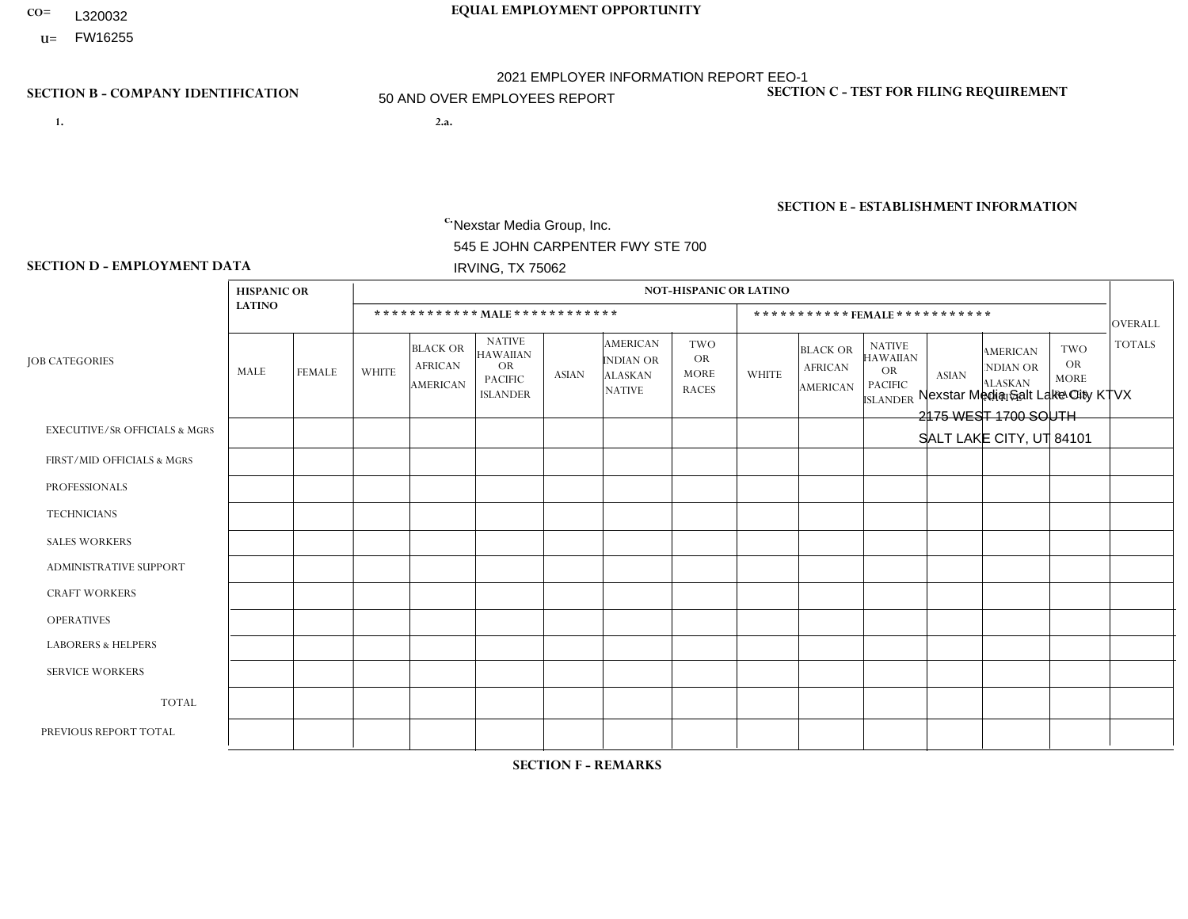- **CO= EQUAL EMPLOYMENT OPPORTUNITY** L320032
- **U=**

- **1. 2.a.** Nexstar Media Group, Inc. 545 E JOHN CARPENTER FWY STE 700 IRVING, TX 75062
- 2.a. Nexstar Media Salt Lake City KTVX 2175 WEST 1700 SOUTH SALT LAKE CITY, UT 84101

EIN= 233063152

## **SECTION B - COMPANY IDENTIFICATION SECTION C - TEST FOR FILING REQUIREMENT**

1- Y 2- N 3- Y DUNS= 058168001

## **SECTION E - ESTABLISHMENT INFORMATION c.** NAICS: 515120 - Television Broadcasting

### **SECTION D - EMPLOYMENT DATA**

|                                          | <b>HISPANIC OR</b> |                |                |                                                      |                                                                                    |              |                                                                        | <b>NOT-HISPANIC OR LATINO</b>                          |                      |                                               |                                                                                    |              |                                                                |                                                        |                |
|------------------------------------------|--------------------|----------------|----------------|------------------------------------------------------|------------------------------------------------------------------------------------|--------------|------------------------------------------------------------------------|--------------------------------------------------------|----------------------|-----------------------------------------------|------------------------------------------------------------------------------------|--------------|----------------------------------------------------------------|--------------------------------------------------------|----------------|
|                                          | <b>LATINO</b>      |                |                |                                                      | ************ MAIE************                                                      |              |                                                                        |                                                        |                      |                                               | *********** FEMALE ***********                                                     |              |                                                                |                                                        | <b>OVERALL</b> |
| <b>JOB CATEGORIES</b>                    | MALE               | <b>FEMALE</b>  | <b>WHITE</b>   | <b>BLACK OR</b><br><b>AFRICAN</b><br><b>AMERICAN</b> | <b>NATIVE</b><br><b>HAWAIIAN</b><br><b>OR</b><br><b>PACIFIC</b><br><b>ISLANDER</b> | <b>ASIAN</b> | <b>AMERICAN</b><br><b>INDIAN OR</b><br><b>ALASKAN</b><br><b>NATIVE</b> | <b>TWO</b><br><b>OR</b><br><b>MORE</b><br><b>RACES</b> | <b>WHITE</b>         | <b>BLACK OR</b><br><b>AFRICAN</b><br>AMERICAN | <b>NATIVE</b><br><b>HAWAIIAN</b><br><b>OR</b><br><b>PACIFIC</b><br><b>ISLANDER</b> | <b>ASIAN</b> | <b>AMERICAN</b><br>NDIAN OR<br><b>ALASKAN</b><br><b>NATIVE</b> | <b>TWO</b><br><b>OR</b><br><b>MORE</b><br><b>RACES</b> | <b>TOTALS</b>  |
| <b>EXECUTIVE/SR OFFICIALS &amp; MGRS</b> | $\mathbf{0}$       | $\Omega$       | $\Omega$       | $\Omega$                                             | $\Omega$                                                                           | $\Omega$     | $\Omega$                                                               | 0                                                      | $\Omega$             | $\mathbf{0}$                                  | $\Omega$                                                                           | $\Omega$     | $\Omega$                                                       | $\mathbf{0}$                                           | $\Omega$       |
| FIRST/MID OFFICIALS & MGRS               | $\mathbf{0}$       | $\mathbf 0$    | $\overline{7}$ | $\overline{2}$                                       | $\Omega$                                                                           | $\mathbf{0}$ | $\Omega$                                                               | 0                                                      | $\blacktriangleleft$ | $\mathbf{0}$                                  | 1                                                                                  | $\mathbf 0$  | $\Omega$                                                       | $\Omega$                                               | 11             |
| <b>PROFESSIONALS</b>                     |                    | $\mathbf 0$    | 9              | $\mathbf{1}$                                         | $\Omega$                                                                           | $\Omega$     | $\Omega$                                                               | 0                                                      | 9                    |                                               | $\Omega$                                                                           | $\mathbf 0$  | $\Omega$                                                       | $\Omega$                                               | 21             |
| <b>TECHNICIANS</b>                       | 9                  | $\overline{4}$ | 30             | 4                                                    | $\Omega$                                                                           | $\Omega$     | $\Omega$                                                               | $\Omega$                                               | 11                   |                                               | $\mathbf 0$                                                                        | 1            | $\mathbf 0$                                                    | $\overline{2}$                                         | 62             |
| <b>SALES WORKERS</b>                     | $\mathbf 0$        | $\mathbf 0$    | $\overline{7}$ | 0                                                    | $\mathbf{0}$                                                                       | $\Omega$     | $\Omega$                                                               | 0                                                      | 4                    | $\mathbf{0}$                                  | $\Omega$                                                                           | $\Omega$     | $\Omega$                                                       | $\Omega$                                               | 11             |
| <b>ADMINISTRATIVE SUPPORT</b>            | 3                  | 3              | 25             | $\overline{2}$                                       | 0                                                                                  | $\Omega$     | $\Omega$                                                               | 0                                                      | 29                   |                                               | $\Omega$                                                                           |              | 0                                                              | -1                                                     | 65             |
| <b>CRAFT WORKERS</b>                     | $\Omega$           | $\mathbf 0$    | $\Omega$       | 0                                                    | $\Omega$                                                                           | $\Omega$     | $\Omega$                                                               | 0                                                      | $\Omega$             | $\Omega$                                      | $\Omega$                                                                           | $\Omega$     | 0                                                              | $\Omega$                                               | $\Omega$       |
| <b>OPERATIVES</b>                        | $\mathbf{0}$       | $\mathbf 0$    | $\mathbf 0$    | 0                                                    | $\Omega$                                                                           | $\Omega$     | $\Omega$                                                               | 0                                                      | $\Omega$             | $\Omega$                                      | $\Omega$                                                                           | $\Omega$     | $\Omega$                                                       | $\Omega$                                               | $\mathbf 0$    |
| <b>LABORERS &amp; HELPERS</b>            | $\mathbf{0}$       | $\Omega$       | $\mathbf 0$    | 0                                                    | $\Omega$                                                                           | $\Omega$     | $\Omega$                                                               | 0                                                      | $\Omega$             | $\mathbf{0}$                                  | $\Omega$                                                                           | $\Omega$     | $\Omega$                                                       | $\Omega$                                               | $\mathbf 0$    |
| <b>SERVICE WORKERS</b>                   | $\mathbf{0}$       | $\mathbf{0}$   | $\mathbf 0$    | 0                                                    | $\mathbf{0}$                                                                       | $\Omega$     | $\Omega$                                                               | 0                                                      | $\Omega$             | $\Omega$                                      | $\Omega$                                                                           | $\mathbf 0$  | $\Omega$                                                       | $\Omega$                                               | $\mathbf 0$    |
| <b>TOTAL</b>                             | 13                 | $\overline{7}$ | 78             | 9                                                    | $\mathbf 0$                                                                        | $\Omega$     | $\Omega$                                                               | 0                                                      | 54                   | 3                                             | 1                                                                                  | 2            | 0                                                              | 3                                                      | 170            |
| PREVIOUS REPORT TOTAL                    | 13                 | $\overline{7}$ | 83             | 13                                                   | $\Omega$                                                                           | -1           | $\Omega$                                                               |                                                        | 62                   | 3                                             | 1                                                                                  | 3            | 0                                                              | $\overline{4}$                                         | 191            |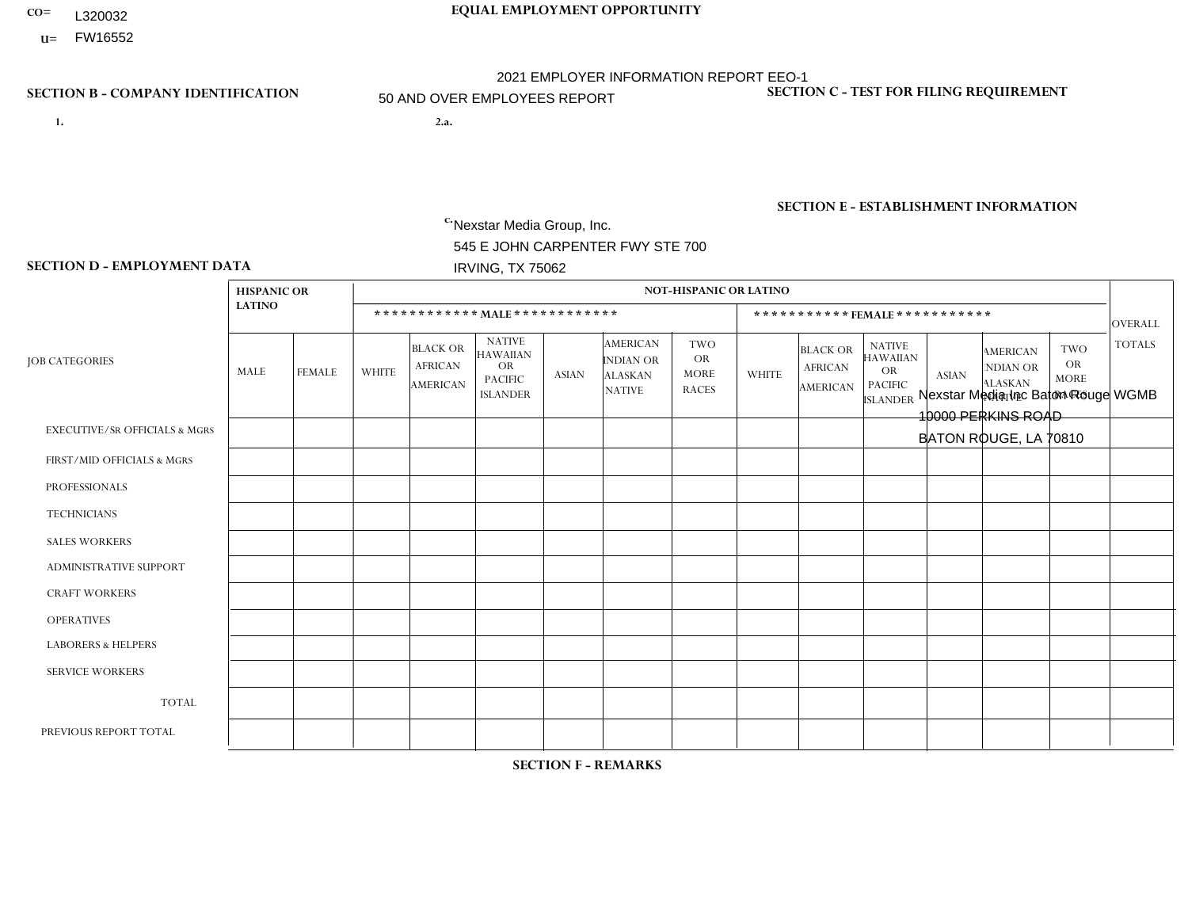- **CO= EQUAL EMPLOYMENT OPPORTUNITY** L320032
- **U=**

- **1. 2.a.** Nexstar Media Group, Inc. 545 E JOHN CARPENTER FWY STE 700 IRVING, TX 75062
- 2.a. Nexstar Media Inc Baton Rouge WGMB 10000 PERKINS ROAD BATON ROUGE, LA 70810

EIN= 233063152

## **SECTION B - COMPANY IDENTIFICATION SECTION C - TEST FOR FILING REQUIREMENT**

1- Y 2- N 3- Y DUNS= 058168001

**SECTION E - ESTABLISHMENT INFORMATION c.** NAICS: 515120 - Television Broadcasting

### **SECTION D - EMPLOYMENT DATA**

|                                          | <b>HISPANIC OR</b> |                |                |                                                      |                                                                                    |              |                                                                        | <b>NOT-HISPANIC OR LATINO</b>                          |                |                                               |                                                                                    |                |                                                                |                                                        |                |
|------------------------------------------|--------------------|----------------|----------------|------------------------------------------------------|------------------------------------------------------------------------------------|--------------|------------------------------------------------------------------------|--------------------------------------------------------|----------------|-----------------------------------------------|------------------------------------------------------------------------------------|----------------|----------------------------------------------------------------|--------------------------------------------------------|----------------|
|                                          | <b>LATINO</b>      |                |                | ************ MAIE************                        |                                                                                    |              |                                                                        |                                                        |                | ***********FEMALE***********                  |                                                                                    |                |                                                                |                                                        | <b>OVERALL</b> |
| <b>JOB CATEGORIES</b>                    | MALE               | FEMALE         | <b>WHITE</b>   | <b>BLACK OR</b><br><b>AFRICAN</b><br><b>AMERICAN</b> | <b>NATIVE</b><br><b>HAWAIIAN</b><br><b>OR</b><br><b>PACIFIC</b><br><b>ISLANDER</b> | <b>ASIAN</b> | <b>AMERICAN</b><br><b>INDIAN OR</b><br><b>ALASKAN</b><br><b>NATIVE</b> | <b>TWO</b><br><b>OR</b><br><b>MORE</b><br><b>RACES</b> | <b>WHITE</b>   | <b>BLACK OR</b><br><b>AFRICAN</b><br>AMERICAN | <b>NATIVE</b><br><b>HAWAIIAN</b><br><b>OR</b><br><b>PACIFIC</b><br><b>ISLANDER</b> | <b>ASIAN</b>   | <b>AMERICAN</b><br>NDIAN OR<br><b>ALASKAN</b><br><b>NATIVE</b> | <b>TWO</b><br><b>OR</b><br><b>MORE</b><br><b>RACES</b> | <b>TOTALS</b>  |
| <b>EXECUTIVE/SR OFFICIALS &amp; MGRS</b> | $\Omega$           | $\Omega$       | $\Omega$       | $\mathbf 0$                                          | $\Omega$                                                                           | $\mathbf{0}$ | $\Omega$                                                               | $\Omega$                                               | $\Omega$       | $\Omega$                                      | $\Omega$                                                                           | $\Omega$       | $\Omega$                                                       | $\mathbf{0}$                                           | $\Omega$       |
| FIRST/MID OFFICIALS & MGRS               | 0                  | $\mathbf 0$    | $\overline{2}$ | $\overline{2}$                                       | $\Omega$                                                                           | $\Omega$     | $\Omega$                                                               | $\Omega$                                               | $\overline{2}$ | $\Omega$                                      | $\Omega$                                                                           | $\mathbf{0}$   | $\Omega$                                                       | $\mathbf 0$                                            | 6              |
| <b>PROFESSIONALS</b>                     | $\Omega$           | $\mathbf{1}$   | 5              | $\mathbf{1}$                                         | $\mathbf 0$                                                                        | $\Omega$     | $\Omega$                                                               | $\Omega$                                               | $\overline{2}$ | 5                                             | $\Omega$                                                                           | $\mathbf 0$    | 0                                                              | $\Omega$                                               | 14             |
| <b>TECHNICIANS</b>                       | 0                  | $\mathbf 0$    | 10             | 9                                                    | $\mathbf 0$                                                                        | $\Omega$     | $\Omega$                                                               | $\Omega$                                               | 6              | $\overline{4}$                                | $\Omega$                                                                           | $\overline{1}$ | 0                                                              | $\Omega$                                               | 30             |
| <b>SALES WORKERS</b>                     | $\Omega$           | $\mathbf 0$    | 4              | $\overline{2}$                                       | $\Omega$                                                                           | $\Omega$     | $\Omega$                                                               | $\Omega$                                               | 6              | $\mathbf{1}$                                  | $\Omega$                                                                           | $\mathbf{1}$   | $\Omega$                                                       | $\mathbf{0}$                                           | 14             |
| <b>ADMINISTRATIVE SUPPORT</b>            | 0                  | $\overline{2}$ | $\overline{7}$ | $\overline{4}$                                       | $\Omega$                                                                           | $\Omega$     | $\Omega$                                                               |                                                        | 4              | $\overline{7}$                                | $\Omega$                                                                           | $\mathbf{0}$   | $\mathbf{0}$                                                   | $\Omega$                                               | 25             |
| <b>CRAFT WORKERS</b>                     | 0                  | $\Omega$       | $\Omega$       | $\mathbf 0$                                          | $\Omega$                                                                           | $\Omega$     | $\Omega$                                                               | $\Omega$                                               | 0              | $\Omega$                                      | $\Omega$                                                                           | $\Omega$       | $\Omega$                                                       | $\Omega$                                               | $\Omega$       |
| <b>OPERATIVES</b>                        | 0                  | $\Omega$       | $\Omega$       | $\mathbf 0$                                          | $\Omega$                                                                           | $\Omega$     | $\Omega$                                                               | $\Omega$                                               | $\Omega$       | $\Omega$                                      | $\Omega$                                                                           | $\Omega$       | $\Omega$                                                       | $\Omega$                                               | $\mathbf 0$    |
| <b>LABORERS &amp; HELPERS</b>            | 0                  | $\Omega$       | $\Omega$       | $\mathbf 0$                                          | $\Omega$                                                                           | $\Omega$     | $\Omega$                                                               | $\Omega$                                               | 0              | $\Omega$                                      | $\Omega$                                                                           | $\Omega$       | $\Omega$                                                       | $\Omega$                                               | 0              |
| <b>SERVICE WORKERS</b>                   | 0                  | $\Omega$       | $\Omega$       | $\mathbf 0$                                          | $\mathbf{0}$                                                                       | $\Omega$     | $\Omega$                                                               | $\Omega$                                               | $\Omega$       | $\Omega$                                      | $\Omega$                                                                           | $\Omega$       | $\Omega$                                                       | $\Omega$                                               | 0              |
| <b>TOTAL</b>                             | $\Omega$           | 3              | 28             | 18                                                   | $\mathbf{0}$                                                                       | $\mathbf{0}$ | $\Omega$                                                               | -1                                                     | 20             | 17                                            | $\Omega$                                                                           | $\overline{2}$ | 0                                                              | $\mathbf 0$                                            | 89             |
| PREVIOUS REPORT TOTAL                    | $\Omega$           | 3              | 34             | 16                                                   | $\mathbf 0$                                                                        | $\Omega$     | $\Omega$                                                               | $\overline{2}$                                         | 18             | 16                                            | $\Omega$                                                                           | $\overline{1}$ | $\mathbf 0$                                                    | $\mathbf{1}$                                           | 91             |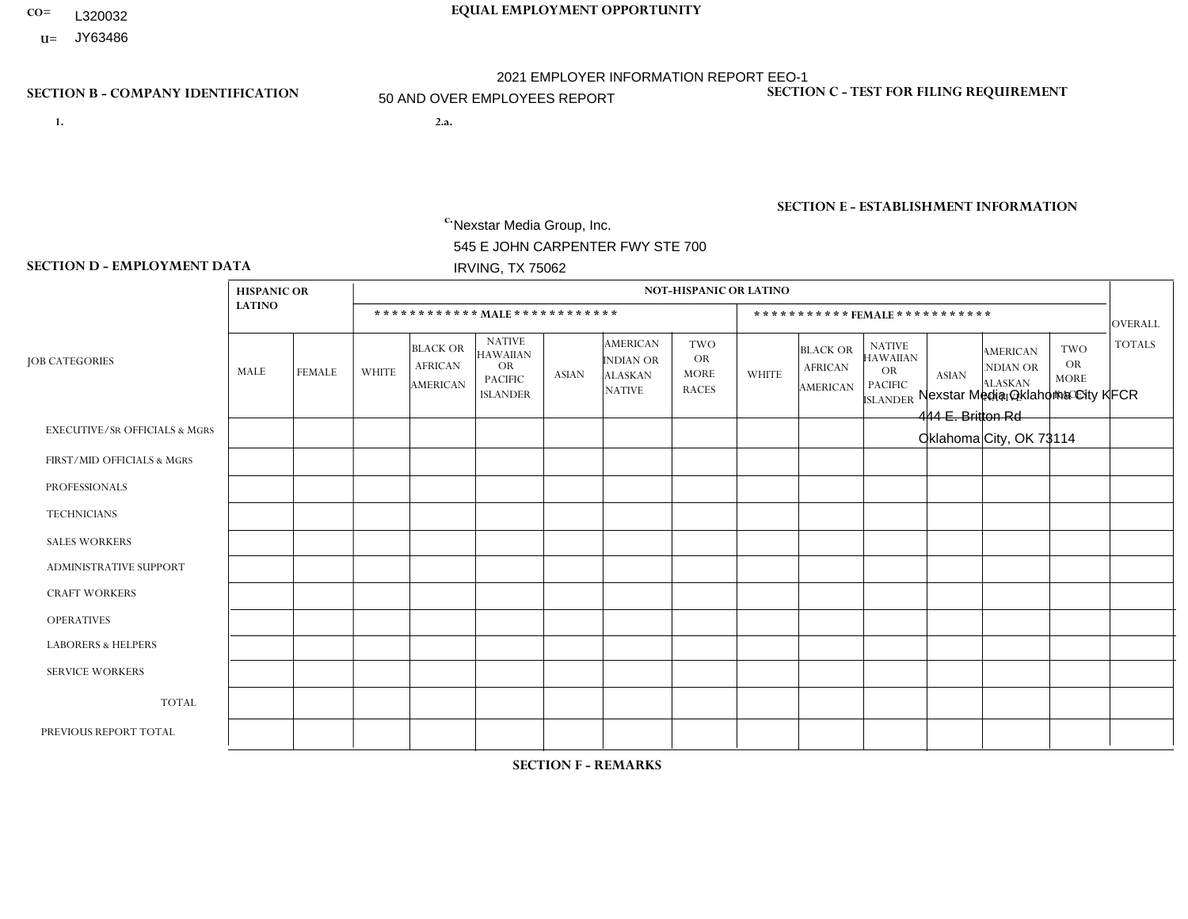- **CO= EQUAL EMPLOYMENT OPPORTUNITY** L320032
- **U=** JY63486

- **1. 2.a.** Nexstar Media Group, Inc. 545 E JOHN CARPENTER FWY STE 700 IRVING, TX 75062
- 2.a. Nexstar Media Oklahoma City KFCR 444 E. Britton Rd Oklahoma City, OK 73114

EIN= 364766010

## **SECTION B - COMPANY IDENTIFICATION SECTION C - TEST FOR FILING REQUIREMENT**

1- Y 2- N 3- Y DUNS= 058168001

## **SECTION E - ESTABLISHMENT INFORMATION c.** NAICS: 515120 - Television Broadcasting

### **SECTION D - EMPLOYMENT DATA**

|                                          | <b>HISPANIC OR</b> |                |                |                                                      |                                                                                    |              |                                                                 | <b>NOT-HISPANIC OR LATINO</b>                          |          |                                                      |                                                                                    |              |                                                                       |                                                        |                |
|------------------------------------------|--------------------|----------------|----------------|------------------------------------------------------|------------------------------------------------------------------------------------|--------------|-----------------------------------------------------------------|--------------------------------------------------------|----------|------------------------------------------------------|------------------------------------------------------------------------------------|--------------|-----------------------------------------------------------------------|--------------------------------------------------------|----------------|
|                                          | <b>LATINO</b>      |                |                |                                                      | ************ MALE ************                                                     |              |                                                                 |                                                        |          |                                                      | ***********FEMALE ***********                                                      |              |                                                                       |                                                        | <b>OVERALL</b> |
| <b>JOB CATEGORIES</b>                    | MALE               | <b>FEMALE</b>  | <b>WHITE</b>   | <b>BLACK OR</b><br><b>AFRICAN</b><br><b>AMERICAN</b> | <b>NATIVE</b><br><b>HAWAIIAN</b><br><b>OR</b><br><b>PACIFIC</b><br><b>ISLANDER</b> | <b>ASIAN</b> | <b>AMERICAN</b><br>INDIAN OR<br><b>ALASKAN</b><br><b>NATIVE</b> | <b>TWO</b><br><b>OR</b><br><b>MORE</b><br><b>RACES</b> | WHITE    | <b>BLACK OR</b><br><b>AFRICAN</b><br><b>AMERICAN</b> | <b>NATIVE</b><br><b>HAWAIIAN</b><br><b>OR</b><br><b>PACIFIC</b><br><b>ISLANDER</b> | <b>ASIAN</b> | <b>AMERICAN</b><br><b>NDIAN OR</b><br><b>ALASKAN</b><br><b>NATIVE</b> | <b>TWO</b><br><b>OR</b><br><b>MORE</b><br><b>RACES</b> | <b>TOTALS</b>  |
| <b>EXECUTIVE/SR OFFICIALS &amp; MGRS</b> | $\Omega$           | $\Omega$       | $\overline{1}$ | $\Omega$                                             | $\Omega$                                                                           | $\Omega$     | $\Omega$                                                        | $\Omega$                                               | $\Omega$ | $\Omega$                                             | $\mathbf{0}$                                                                       | $\Omega$     | $\Omega$                                                              | $\Omega$                                               |                |
| FIRST/MID OFFICIALS & MGRS               | 0                  | $\mathbf 0$    | 10             | $\mathbf 0$                                          | $\mathbf 0$                                                                        | $\Omega$     | $\mathbf{0}$                                                    | $\Omega$                                               | 4        | $\Omega$                                             | $\Omega$                                                                           | $\mathbf{0}$ | $\Omega$                                                              | $\Omega$                                               | 14             |
| <b>PROFESSIONALS</b>                     | 1                  | 2              | 44             | 6                                                    | $\mathbf 0$                                                                        | $\mathbf{1}$ | 2                                                               | 1                                                      | 26       | $\overline{2}$                                       | $\Omega$                                                                           | $\mathbf 0$  | 3                                                                     | 2                                                      | 90             |
| <b>TECHNICIANS</b>                       | $\Omega$           | $\mathbf 0$    | 13             | 4                                                    | $\Omega$                                                                           | $\Omega$     | $\Omega$                                                        | $\Omega$                                               |          | $\Omega$                                             | $\Omega$                                                                           | $\Omega$     | $\Omega$                                                              | $\Omega$                                               | 18             |
| <b>SALES WORKERS</b>                     | $\Omega$           | $\mathbf{1}$   | $\overline{c}$ | $\Omega$                                             | $\Omega$                                                                           | $\Omega$     | $\Omega$                                                        | $\Omega$                                               | 2        | $\Omega$                                             | $\Omega$                                                                           | $\Omega$     | $\Omega$                                                              | $\Omega$                                               | 5              |
| <b>ADMINISTRATIVE SUPPORT</b>            | 0                  | $\Omega$       | 1              | $\mathbf 0$                                          | $\Omega$                                                                           | $\Omega$     | $\Omega$                                                        | $\Omega$                                               | 3        | 1                                                    | $\Omega$                                                                           | $\Omega$     | $\Omega$                                                              | $\Omega$                                               | 5              |
| <b>CRAFT WORKERS</b>                     | 0                  | $\Omega$       | $\mathbf 0$    | $\mathbf 0$                                          | $\mathbf 0$                                                                        | $\Omega$     | $\Omega$                                                        | $\Omega$                                               | $\Omega$ | $\Omega$                                             | $\Omega$                                                                           | $\mathbf{0}$ | $\mathbf{0}$                                                          | $\Omega$                                               | $\mathbf{0}$   |
| <b>OPERATIVES</b>                        | 0                  | $\Omega$       | $\mathbf 0$    | $\Omega$                                             | $\Omega$                                                                           | $\Omega$     | $\Omega$                                                        | $\Omega$                                               | $\Omega$ | $\Omega$                                             | $\Omega$                                                                           | $\Omega$     | $\Omega$                                                              | $\Omega$                                               | $\mathbf{0}$   |
| <b>LABORERS &amp; HELPERS</b>            | 0                  | $\Omega$       | $\Omega$       | $\mathbf 0$                                          | $\mathbf 0$                                                                        | $\Omega$     | $\Omega$                                                        | $\Omega$                                               | $\Omega$ | $\Omega$                                             | $\Omega$                                                                           | $\Omega$     | $\Omega$                                                              | $\Omega$                                               | $\mathbf 0$    |
| <b>SERVICE WORKERS</b>                   | $\Omega$           | $\mathbf 0$    | $\mathbf 0$    | $\mathbf 0$                                          | $\mathbf 0$                                                                        | $\mathbf 0$  | $\mathbf{0}$                                                    | $\Omega$                                               | $\Omega$ | $\Omega$                                             | $\Omega$                                                                           | $\Omega$     | $\Omega$                                                              | $\mathbf 0$                                            | $\mathbf{0}$   |
| <b>TOTAL</b>                             |                    | 3              | 71             | 10                                                   | $\mathbf 0$                                                                        | $\mathbf{1}$ | 2                                                               | 1                                                      | 36       | 3                                                    | $\Omega$                                                                           | $\Omega$     | 3                                                                     | $\overline{2}$                                         | 133            |
| PREVIOUS REPORT TOTAL                    | 2                  | $\overline{2}$ | 75             | 9                                                    | 0                                                                                  | $\Omega$     | 3                                                               | 2                                                      | 37       | 3                                                    | $\mathbf{0}$                                                                       | -1           | 5                                                                     | $\overline{c}$                                         | 141            |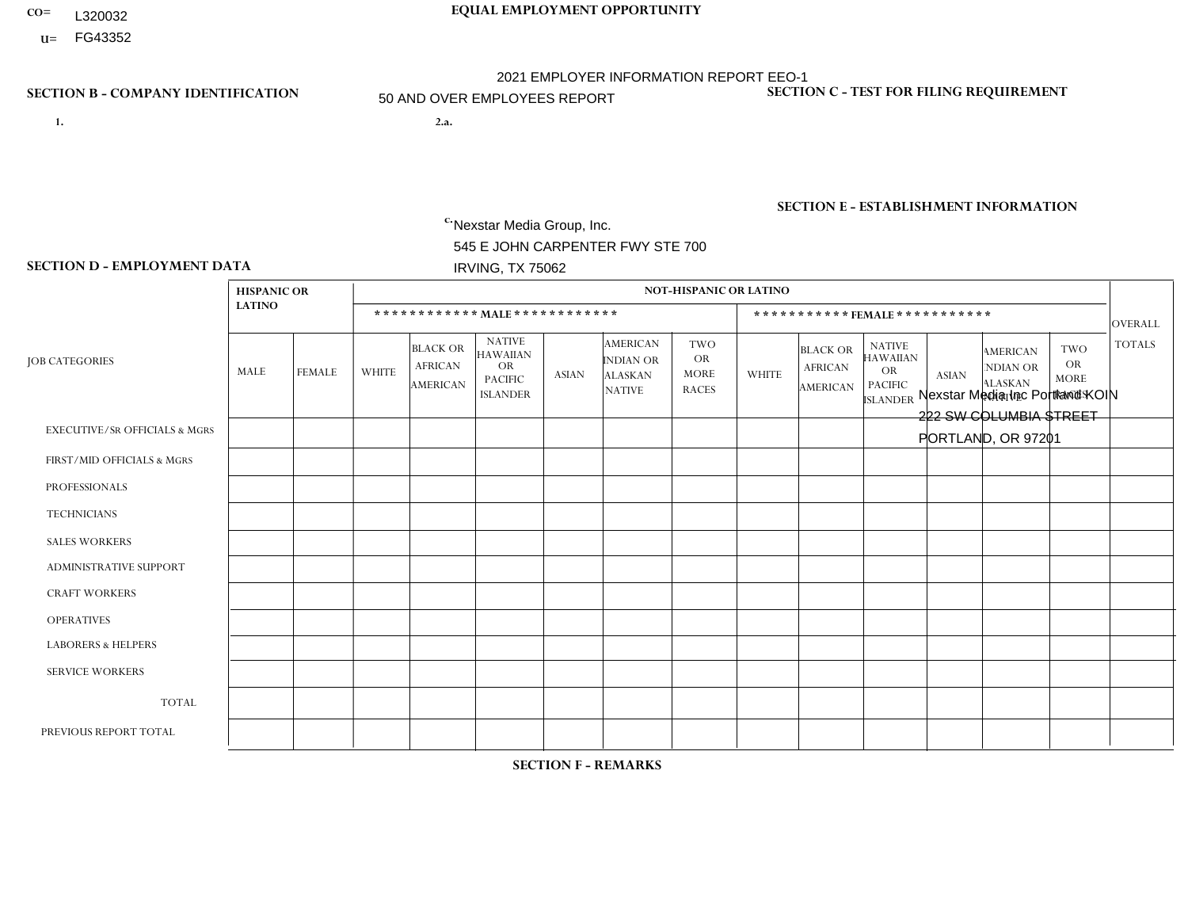- **CO= EQUAL EMPLOYMENT OPPORTUNITY** L320032
- **U=**

- **1. 2.a.** Nexstar Media Group, Inc. 545 E JOHN CARPENTER FWY STE 700 IRVING, TX 75062
- 2.a. Nexstar Media Inc Portland KOIN 222 SW COLUMBIA STREET PORTLAND, OR 97201

EIN= 233063152

## **SECTION B - COMPANY IDENTIFICATION SECTION C - TEST FOR FILING REQUIREMENT**

1- Y 2- N 3- Y DUNS= 058168001

**SECTION E - ESTABLISHMENT INFORMATION c.** NAICS: 515120 - Television Broadcasting

### **SECTION D - EMPLOYMENT DATA**

|                                          | <b>HISPANIC OR</b> |                |                 |                                                      |                                                                                    |                |                                                                 | <b>NOT-HISPANIC OR LATINO</b>                          |                |                                                      |                                                                                    |                |                                                                       |                                                        |               |
|------------------------------------------|--------------------|----------------|-----------------|------------------------------------------------------|------------------------------------------------------------------------------------|----------------|-----------------------------------------------------------------|--------------------------------------------------------|----------------|------------------------------------------------------|------------------------------------------------------------------------------------|----------------|-----------------------------------------------------------------------|--------------------------------------------------------|---------------|
|                                          | <b>LATINO</b>      |                |                 |                                                      | ************ MALE ************                                                     |                |                                                                 |                                                        |                |                                                      | ***********FEMALE***********                                                       |                |                                                                       |                                                        | OVERALL       |
| <b>JOB CATEGORIES</b>                    | MALE               | <b>FEMALE</b>  | <b>WHITE</b>    | <b>BLACK OR</b><br><b>AFRICAN</b><br><b>AMERICAN</b> | <b>NATIVE</b><br><b>HAWAIIAN</b><br><b>OR</b><br><b>PACIFIC</b><br><b>ISLANDER</b> | <b>ASIAN</b>   | <b>AMERICAN</b><br>INDIAN OR<br><b>ALASKAN</b><br><b>NATIVE</b> | <b>TWO</b><br><b>OR</b><br><b>MORE</b><br><b>RACES</b> | <b>WHITE</b>   | <b>BLACK OR</b><br><b>AFRICAN</b><br><b>AMERICAN</b> | <b>NATIVE</b><br><b>HAWAIIAN</b><br><b>OR</b><br><b>PACIFIC</b><br><b>ISLANDER</b> | <b>ASIAN</b>   | <b>AMERICAN</b><br><b>NDIAN OR</b><br><b>ALASKAN</b><br><b>NATIVE</b> | <b>TWO</b><br><b>OR</b><br><b>MORE</b><br><b>RACES</b> | <b>TOTALS</b> |
| <b>EXECUTIVE/SR OFFICIALS &amp; MGRS</b> | $\Omega$           | $\Omega$       | $\mathbf 0$     | $\mathbf 0$                                          | $\mathbf 0$                                                                        | $\Omega$       | $\Omega$                                                        | $\Omega$                                               | $\Omega$       | $\Omega$                                             | $\mathbf{0}$                                                                       | $\Omega$       | $\mathbf{0}$                                                          | $\Omega$                                               | $\mathbf 0$   |
| FIRST/MID OFFICIALS & MGRS               | 0                  | $\mathbf 0$    | 8               | $\mathbf 0$                                          | $\mathbf 0$                                                                        | $\mathbf 0$    | $\Omega$                                                        | $\Omega$                                               | 3              | $\Omega$                                             | $\Omega$                                                                           | $\Omega$       | $\mathbf{0}$                                                          | $\mathbf{0}$                                           | 11            |
| <b>PROFESSIONALS</b>                     | 0                  | $\Omega$       | 12              | $\mathbf{1}$                                         | $\Omega$                                                                           | $\mathbf{1}$   | $\Omega$                                                        | $\Omega$                                               | $\overline{7}$ | 1                                                    | $\Omega$                                                                           | 1              | $\Omega$                                                              | $\mathbf{0}$                                           | 23            |
| <b>TECHNICIANS</b>                       | 3                  | $\overline{2}$ | 25              | $\overline{2}$                                       | $\mathbf 0$                                                                        | $\overline{2}$ | $\Omega$                                                        | $\Omega$                                               | 23             | $\overline{2}$                                       | $\Omega$                                                                           | $\Omega$       | $\Omega$                                                              | 1                                                      | 60            |
| <b>SALES WORKERS</b>                     | $\Omega$           | $\mathbf{1}$   | 5               | $\mathbf 0$                                          | $\Omega$                                                                           | $\mathbf{1}$   | $\Omega$                                                        | $\Omega$                                               | $\overline{7}$ | $\Omega$                                             | $\Omega$                                                                           | $\Omega$       | $\Omega$                                                              | $\mathbf{0}$                                           | 14            |
| <b>ADMINISTRATIVE SUPPORT</b>            | $\Omega$           | $\mathbf{1}$   | $5\phantom{.0}$ | $\overline{c}$                                       | $\mathbf 0$                                                                        | $\Omega$       | $\Omega$                                                        | 1                                                      | $\overline{7}$ | $\Omega$                                             | $\Omega$                                                                           | $\overline{1}$ | $\mathbf{0}$                                                          | 1                                                      | 18            |
| <b>CRAFT WORKERS</b>                     | 0                  | $\Omega$       | $\mathbf 0$     | $\mathbf 0$                                          | $\Omega$                                                                           | $\Omega$       | $\Omega$                                                        | $\Omega$                                               | $\Omega$       | $\Omega$                                             | $\Omega$                                                                           | $\Omega$       | $\Omega$                                                              | $\Omega$                                               | $\mathbf{0}$  |
| <b>OPERATIVES</b>                        | 0                  | $\Omega$       | $\mathbf 0$     | $\mathbf 0$                                          | $\mathbf 0$                                                                        | $\mathbf 0$    | $\Omega$                                                        | $\Omega$                                               | $\Omega$       | $\Omega$                                             | $\Omega$                                                                           | $\Omega$       | $\Omega$                                                              | $\mathbf{0}$                                           | $\mathbf{0}$  |
| <b>LABORERS &amp; HELPERS</b>            | 0                  | $\Omega$       | $\mathbf 0$     | $\mathbf 0$                                          | $\mathbf 0$                                                                        | $\mathbf 0$    | $\Omega$                                                        | $\Omega$                                               | $\Omega$       | $\Omega$                                             | $\Omega$                                                                           | $\Omega$       | $\Omega$                                                              | $\Omega$                                               | $\mathbf{0}$  |
| <b>SERVICE WORKERS</b>                   | 0                  | $\Omega$       | $\mathbf 0$     | $\mathbf 0$                                          | $\mathbf 0$                                                                        | $\mathbf 0$    | $\Omega$                                                        | $\Omega$                                               | $\Omega$       | $\Omega$                                             | $\Omega$                                                                           | $\Omega$       | $\mathbf{0}$                                                          | $\mathbf{0}$                                           | $\mathbf{0}$  |
| <b>TOTAL</b>                             | 3                  | $\overline{4}$ | 55              | $5\phantom{.0}$                                      | $\mathbf 0$                                                                        | $\overline{4}$ | $\Omega$                                                        | $\mathbf{1}$                                           | 47             | 3                                                    | $\Omega$                                                                           | $\overline{2}$ | $\Omega$                                                              | $\overline{2}$                                         | 126           |
| PREVIOUS REPORT TOTAL                    |                    | 3              | 54              | $\overline{7}$                                       | $\mathbf 0$                                                                        | 5              | $\Omega$                                                        | 1                                                      | 45             | $\mathbf{1}$                                         | $\mathbf{0}$                                                                       | 3              | $\Omega$                                                              | 1                                                      | 121           |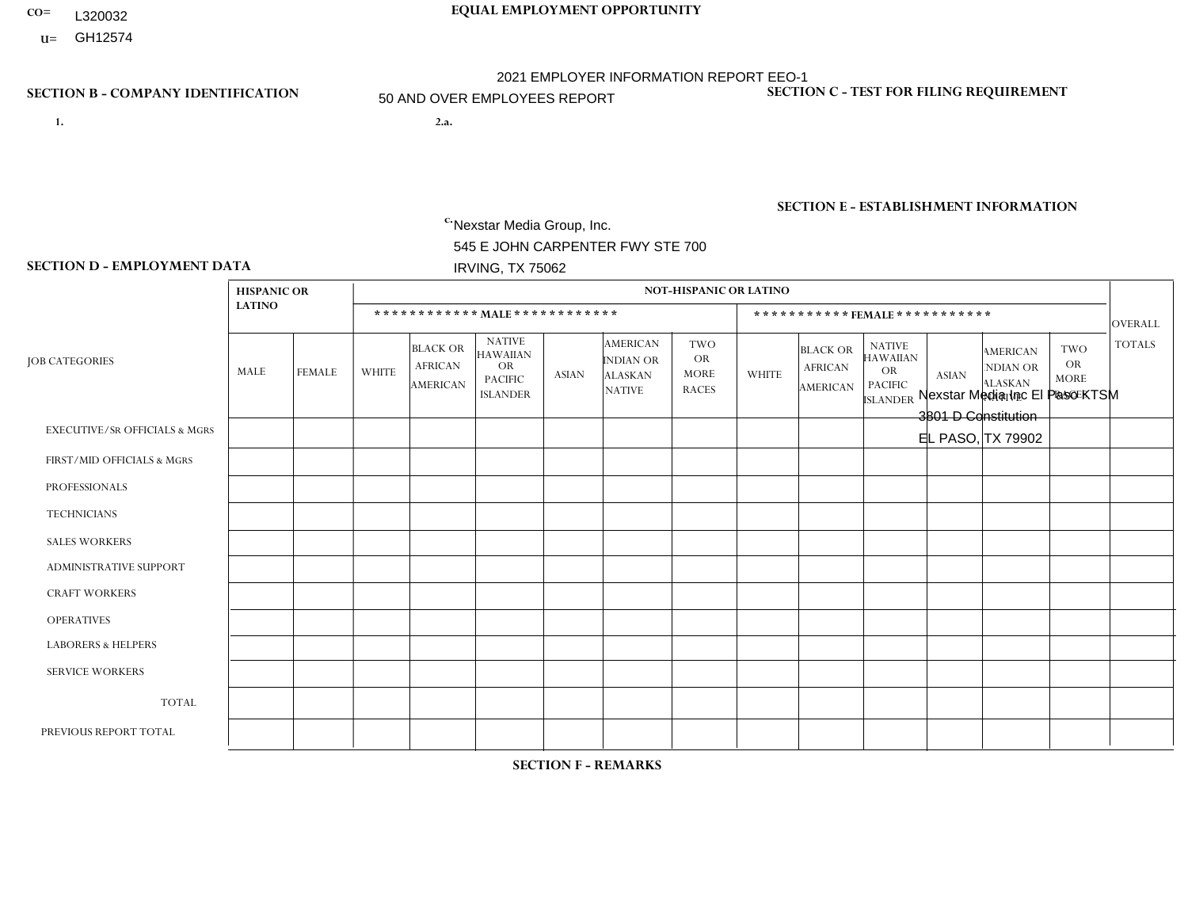- **CO= EQUAL EMPLOYMENT OPPORTUNITY** L320032
	- **U=**

- **1. 2.a.** Nexstar Media Group, Inc. 545 E JOHN CARPENTER FWY STE 700 IRVING, TX 75062
- 2.a. Nexstar Media Inc El Paso KTSM 3801 D Constitution EL PASO, TX 79902

EIN= 233063152

## **SECTION B - COMPANY IDENTIFICATION SECTION C - TEST FOR FILING REQUIREMENT**

1- Y 2- N 3- Y DUNS= 058168001

## **SECTION E - ESTABLISHMENT INFORMATION c.** NAICS: 515120 - Television Broadcasting

### **SECTION D - EMPLOYMENT DATA**

|                                          | <b>HISPANIC OR</b> |                |                |                                                      |                                                                                    |              |                                                                        | <b>NOT-HISPANIC OR LATINO</b>                          |              |                                                      |                                                                             |              |                                                                |                                                        |                |
|------------------------------------------|--------------------|----------------|----------------|------------------------------------------------------|------------------------------------------------------------------------------------|--------------|------------------------------------------------------------------------|--------------------------------------------------------|--------------|------------------------------------------------------|-----------------------------------------------------------------------------|--------------|----------------------------------------------------------------|--------------------------------------------------------|----------------|
|                                          | <b>LATINO</b>      |                |                |                                                      | ************ MALE ************                                                     |              |                                                                        |                                                        |              |                                                      | ***********FEMALE***********                                                |              |                                                                |                                                        | <b>OVERALL</b> |
| <b>JOB CATEGORIES</b>                    | MALE               | <b>FEMALE</b>  | <b>WHITE</b>   | <b>BLACK OR</b><br><b>AFRICAN</b><br><b>AMERICAN</b> | <b>NATIVE</b><br><b>HAWAIIAN</b><br><b>OR</b><br><b>PACIFIC</b><br><b>ISLANDER</b> | <b>ASIAN</b> | <b>AMERICAN</b><br><b>INDIAN OR</b><br><b>ALASKAN</b><br><b>NATIVE</b> | <b>TWO</b><br><b>OR</b><br><b>MORE</b><br><b>RACES</b> | <b>WHITE</b> | <b>BLACK OR</b><br><b>AFRICAN</b><br><b>AMERICAN</b> | <b>NATIVE</b><br><b>HAWAIIAN</b><br>OR<br><b>PACIFIC</b><br><b>ISLANDER</b> | <b>ASIAN</b> | <b>AMERICAN</b><br>NDIAN OR<br><b>ALASKAN</b><br><b>NATIVE</b> | <b>TWO</b><br><b>OR</b><br><b>MORE</b><br><b>RACES</b> | <b>TOTALS</b>  |
| <b>EXECUTIVE/SR OFFICIALS &amp; MGRS</b> | $\mathbf{0}$       | $\mathbf 0$    | $\mathbf 0$    | $\Omega$                                             | $\Omega$                                                                           | $\Omega$     | $\Omega$                                                               | $\Omega$                                               | $\Omega$     | $\Omega$                                             | $\Omega$                                                                    | $\Omega$     | $\Omega$                                                       | $\Omega$                                               | $\mathbf{0}$   |
| FIRST/MID OFFICIALS & MGRS               | $\overline{4}$     | $\mathbf 0$    | $\mathbf 0$    | $\mathbf 0$                                          | $\Omega$                                                                           |              | $\Omega$                                                               | $\Omega$                                               | $\Omega$     | $\Omega$                                             | $\Omega$                                                                    | $\Omega$     | $\Omega$                                                       | $\Omega$                                               | 5              |
| <b>PROFESSIONALS</b>                     | $\overline{4}$     | 5              | $\overline{2}$ | $\Omega$                                             | $\Omega$                                                                           | $\Omega$     | $\Omega$                                                               | $\Omega$                                               | $\Omega$     | $\Omega$                                             | $\Omega$                                                                    | $\Omega$     | $\Omega$                                                       | $\Omega$                                               | 11             |
| <b>TECHNICIANS</b>                       | 19                 | 11             | $\overline{4}$ | $\mathbf 0$                                          | $\Omega$                                                                           | $\Omega$     | $\Omega$                                                               | $\Omega$                                               | 3            | $\Omega$                                             | $\Omega$                                                                    | $\Omega$     | $\Omega$                                                       | $\mathbf{1}$                                           | 38             |
| <b>SALES WORKERS</b>                     | $\overline{2}$     | $\mathbf{1}$   | $\overline{2}$ | 0                                                    | $\Omega$                                                                           | $\Omega$     | $\Omega$                                                               |                                                        | $\Omega$     | $\Omega$                                             | $\Omega$                                                                    | $\Omega$     | $\Omega$                                                       | $\Omega$                                               | 6              |
| ADMINISTRATIVE SUPPORT                   |                    | 6              | $\mathbf 0$    | $\mathbf 0$                                          | $\Omega$                                                                           | $\Omega$     | $\Omega$                                                               | $\Omega$                                               | $\Omega$     | $\Omega$                                             | $\Omega$                                                                    | $\Omega$     | $\Omega$                                                       | $\Omega$                                               | $\overline{7}$ |
| <b>CRAFT WORKERS</b>                     | $\Omega$           | $\mathbf 0$    | $\mathbf 0$    | $\mathbf 0$                                          | $\Omega$                                                                           | $\Omega$     | $\Omega$                                                               | $\Omega$                                               | $\Omega$     | $\Omega$                                             | $\Omega$                                                                    | $\Omega$     | $\Omega$                                                       | $\Omega$                                               | $\mathbf 0$    |
| <b>OPERATIVES</b>                        | $\mathbf 0$        | $\mathbf{0}$   | $\mathbf 0$    | $\mathbf 0$                                          | $\Omega$                                                                           | $\Omega$     | $\Omega$                                                               | $\Omega$                                               | $\Omega$     | $\Omega$                                             | $\Omega$                                                                    | $\Omega$     | $\Omega$                                                       | $\Omega$                                               | $\mathbf 0$    |
| <b>LABORERS &amp; HELPERS</b>            | $\mathbf 0$        | $\overline{0}$ | $\mathbf 0$    | 0                                                    | $\Omega$                                                                           | $\Omega$     | $\Omega$                                                               | $\Omega$                                               | $\Omega$     | $\Omega$                                             | $\Omega$                                                                    | $\Omega$     | $\Omega$                                                       | $\Omega$                                               | $\mathbf 0$    |
| <b>SERVICE WORKERS</b>                   | $\mathbf 0$        | $\mathbf{0}$   | $\mathbf 0$    | $\mathbf 0$                                          | $\Omega$                                                                           | $\Omega$     | $\Omega$                                                               | $\Omega$                                               | $\Omega$     | $\Omega$                                             | $\Omega$                                                                    | $\Omega$     | $\Omega$                                                       | $\mathbf 0$                                            | $\mathbf 0$    |
| <b>TOTAL</b>                             | 30                 | 23             | 8              | 0                                                    | $\Omega$                                                                           |              | $\Omega$                                                               |                                                        | 3            | $\Omega$                                             | $\Omega$                                                                    | $\Omega$     | $\Omega$                                                       | 1                                                      | 67             |
| PREVIOUS REPORT TOTAL                    | 31                 | 26             | 9              | 1                                                    | $\Omega$                                                                           | $\Omega$     | $\Omega$                                                               |                                                        | 4            | $\Omega$                                             | $\Omega$                                                                    | $\Omega$     | $\Omega$                                                       | $\mathbf{1}$                                           | 73             |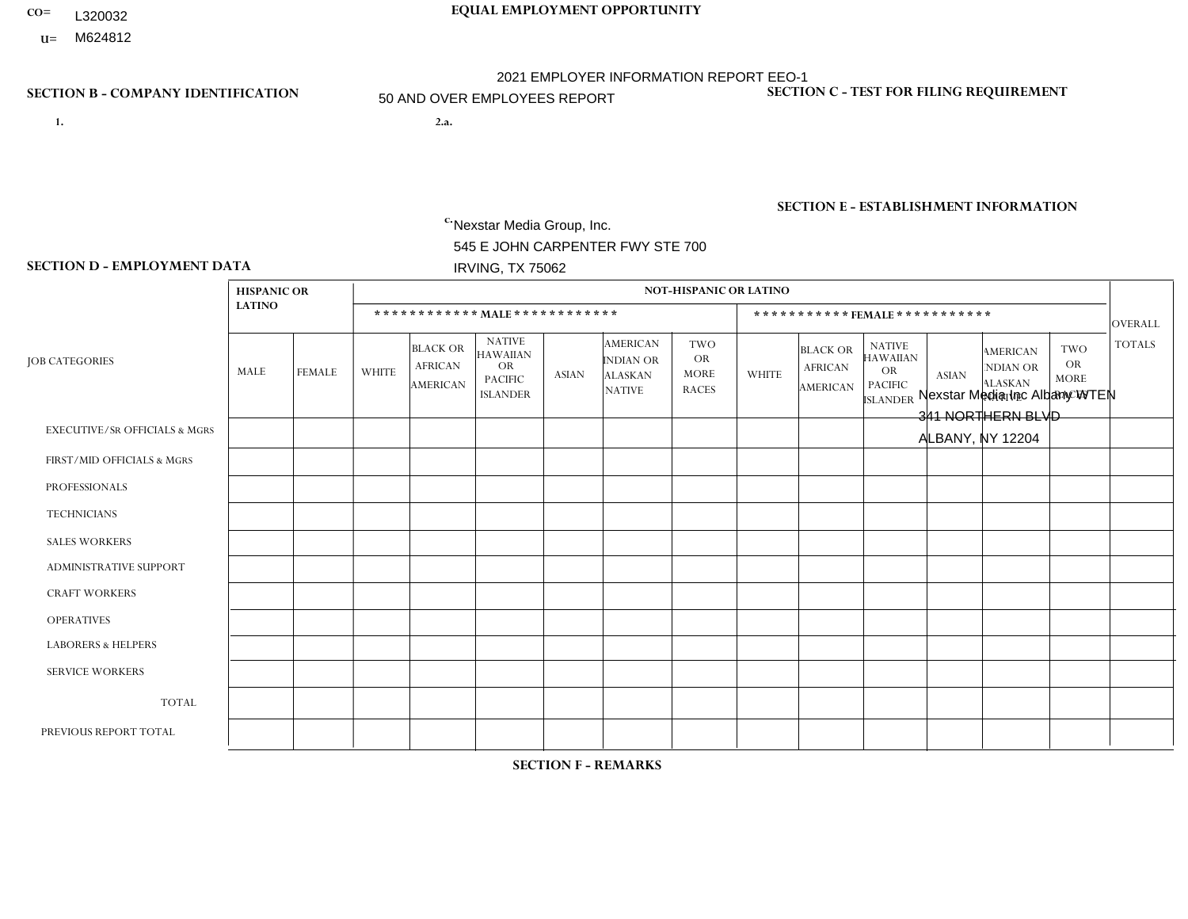- **CO= EQUAL EMPLOYMENT OPPORTUNITY** L320032
- **U=**

- **1. 2.a.** Nexstar Media Group, Inc. 545 E JOHN CARPENTER FWY STE 700 IRVING, TX 75062
- 2.a. Nexstar Media Inc Albany WTEN 341 NORTHERN BLVD ALBANY, NY 12204

EIN= 233063152

## **SECTION B - COMPANY IDENTIFICATION SECTION C - TEST FOR FILING REQUIREMENT**

1- Y 2- N 3- Y DUNS= 058168001

**SECTION E - ESTABLISHMENT INFORMATION c.** NAICS: 515120 - Television Broadcasting

### **SECTION D - EMPLOYMENT DATA**

|                                          | <b>HISPANIC OR</b> |                |                |                                                      |                                                                                    |              |                                                                        | <b>NOT-HISPANIC OR LATINO</b>                          |              |                                               |                                                                             |                         |                                                                       |                                                        |                |
|------------------------------------------|--------------------|----------------|----------------|------------------------------------------------------|------------------------------------------------------------------------------------|--------------|------------------------------------------------------------------------|--------------------------------------------------------|--------------|-----------------------------------------------|-----------------------------------------------------------------------------|-------------------------|-----------------------------------------------------------------------|--------------------------------------------------------|----------------|
|                                          | <b>LATINO</b>      |                |                |                                                      | ************ MALE ************                                                     |              |                                                                        |                                                        |              |                                               | *********** FEMALE ***********                                              |                         |                                                                       |                                                        | <b>OVERALL</b> |
| <b>JOB CATEGORIES</b>                    | MALE               | <b>FEMALE</b>  | <b>WHITE</b>   | <b>BLACK OR</b><br><b>AFRICAN</b><br><b>AMERICAN</b> | <b>NATIVE</b><br><b>HAWAIIAN</b><br><b>OR</b><br><b>PACIFIC</b><br><b>ISLANDER</b> | <b>ASIAN</b> | <b>AMERICAN</b><br><b>INDIAN OR</b><br><b>ALASKAN</b><br><b>NATIVE</b> | <b>TWO</b><br><b>OR</b><br><b>MORE</b><br><b>RACES</b> | <b>WHITE</b> | <b>BLACK OR</b><br><b>AFRICAN</b><br>AMERICAN | <b>NATIVE</b><br><b>HAWAIIAN</b><br>OR<br><b>PACIFIC</b><br><b>ISLANDER</b> | <b>ASIAN</b>            | <b>AMERICAN</b><br><b>NDIAN OR</b><br><b>ALASKAN</b><br><b>NATIVE</b> | <b>TWO</b><br><b>OR</b><br><b>MORE</b><br><b>RACES</b> | <b>TOTALS</b>  |
| <b>EXECUTIVE/SR OFFICIALS &amp; MGRS</b> | $\Omega$           | $\mathbf 0$    | $\mathbf{1}$   | 0                                                    | $\mathbf{0}$                                                                       | $\Omega$     | $\Omega$                                                               | $\Omega$                                               | $\Omega$     | $\Omega$                                      | $\Omega$                                                                    | $\Omega$                | $\Omega$                                                              | $\Omega$                                               | $\mathbf{1}$   |
| FIRST/MID OFFICIALS & MGRS               | $\mathbf 0$        | $\mathbf 0$    | 5              | $\mathbf 0$                                          | $\Omega$                                                                           | $\Omega$     | $\Omega$                                                               | $\Omega$                                               | 3            | $\Omega$                                      | $\Omega$                                                                    | $\Omega$                | $\Omega$                                                              | $\Omega$                                               | 8              |
| <b>PROFESSIONALS</b>                     | $\mathbf{0}$       | $\mathbf 0$    | 9              | $\Omega$                                             | $\Omega$                                                                           | $\Omega$     | $\Omega$                                                               | $\Omega$                                               | 8            | $\Omega$                                      | $\Omega$                                                                    | $\overline{1}$          | $\Omega$                                                              | $\Omega$                                               | 18             |
| <b>TECHNICIANS</b>                       |                    | 3              | 44             | $\overline{c}$                                       | $\Omega$                                                                           | $\Omega$     | $\Omega$                                                               | $\Omega$                                               | 14           | $\blacktriangleleft$                          | $\Omega$                                                                    | $\Omega$                | $\Omega$                                                              | $\Omega$                                               | 65             |
| <b>SALES WORKERS</b>                     | $\mathbf{0}$       | $\mathbf 0$    | 3              | $\Omega$                                             | $\Omega$                                                                           | $\Omega$     | $\Omega$                                                               | $\Omega$                                               | 10           | $\Omega$                                      | $\Omega$                                                                    | $\Omega$                | $\Omega$                                                              | $\Omega$                                               | 13             |
| ADMINISTRATIVE SUPPORT                   | $\mathbf{0}$       | 1              | $\overline{2}$ | $\mathbf 0$                                          | $\Omega$                                                                           | $\Omega$     | $\Omega$                                                               | $\Omega$                                               | 5            | $\Omega$                                      | $\Omega$                                                                    | $\Omega$                | $\Omega$                                                              | 1                                                      | 9              |
| <b>CRAFT WORKERS</b>                     | $\mathbf{0}$       | $\mathbf 0$    | $\mathbf 0$    | $\mathbf 0$                                          | $\Omega$                                                                           | $\Omega$     | $\Omega$                                                               | $\Omega$                                               | $\Omega$     | $\Omega$                                      | $\Omega$                                                                    | $\Omega$                | $\Omega$                                                              | $\Omega$                                               | $\Omega$       |
| <b>OPERATIVES</b>                        | $\mathbf{0}$       | $\mathbf{0}$   | $\mathbf 0$    | $\mathbf 0$                                          | $\Omega$                                                                           | $\Omega$     | $\Omega$                                                               | $\Omega$                                               | $\Omega$     | $\Omega$                                      | $\Omega$                                                                    | $\Omega$                | $\Omega$                                                              | $\Omega$                                               | $\mathbf 0$    |
| <b>LABORERS &amp; HELPERS</b>            | $\mathbf{0}$       | $\Omega$       | $\Omega$       | $\mathbf 0$                                          | $\Omega$                                                                           | $\Omega$     | $\Omega$                                                               | $\Omega$                                               | $\Omega$     | $\Omega$                                      | $\Omega$                                                                    | $\Omega$                | $\Omega$                                                              | $\Omega$                                               | $\mathbf 0$    |
| <b>SERVICE WORKERS</b>                   | $\mathbf 0$        | $\mathbf{0}$   | $\mathbf 0$    | $\mathbf 0$                                          | $\mathbf 0$                                                                        | $\Omega$     | $\Omega$                                                               | $\Omega$                                               | $\Omega$     | $\Omega$                                      | $\Omega$                                                                    | $\Omega$                | $\Omega$                                                              | $\mathbf 0$                                            | $\mathbf 0$    |
| <b>TOTAL</b>                             |                    | $\overline{4}$ | 64             | 2                                                    | $\mathbf 0$                                                                        | $\Omega$     | $\Omega$                                                               | $\Omega$                                               | 40           | $\blacktriangleleft$                          | 0                                                                           | -1                      | $\Omega$                                                              | 1                                                      | 114            |
| PREVIOUS REPORT TOTAL                    | 0                  | $\overline{4}$ | 64             | 4                                                    | $\Omega$                                                                           | -1           | $\Omega$                                                               | $\Omega$                                               | 48           | 2                                             | $\mathbf 0$                                                                 | $\overline{\mathbf{A}}$ | $\mathbf 0$                                                           | $\mathbf{1}$                                           | 125            |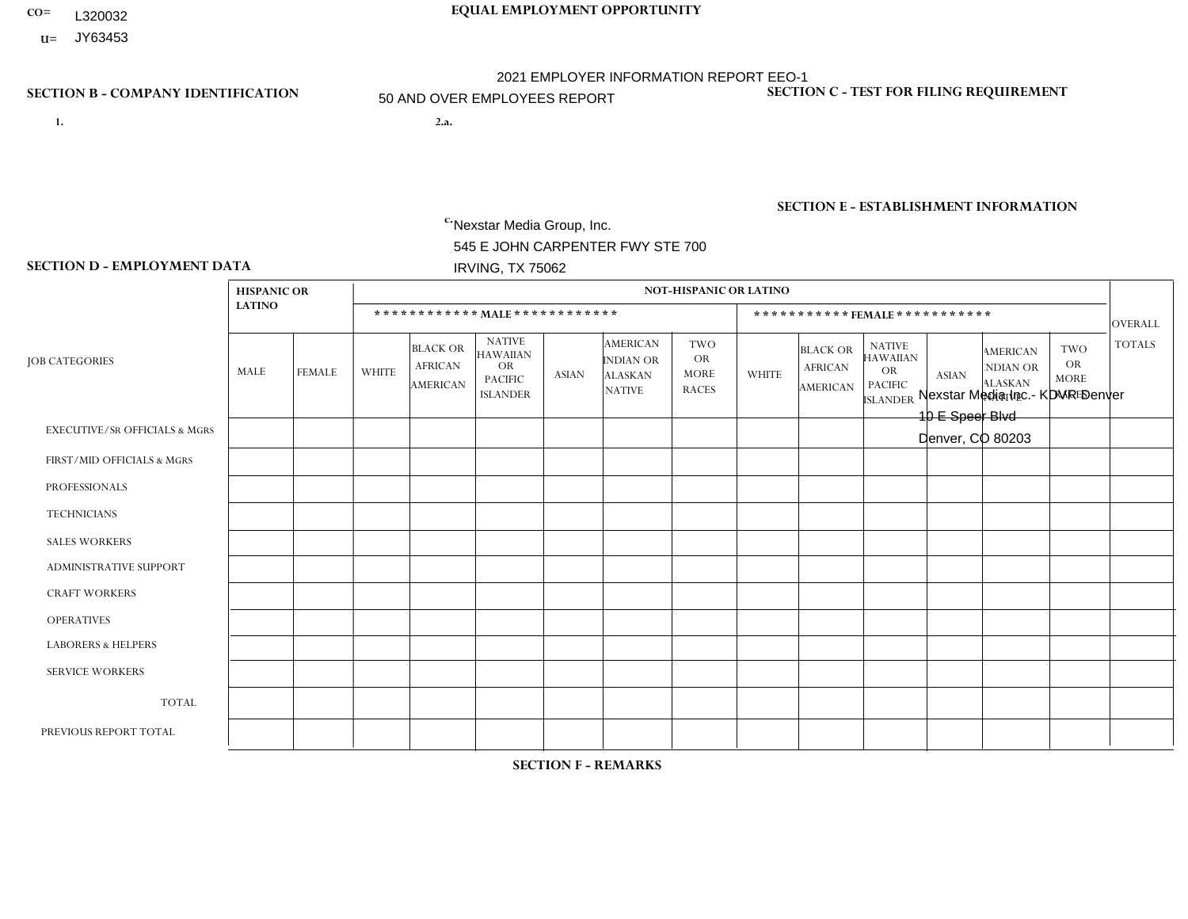- **CO= EQUAL EMPLOYMENT OPPORTUNITY** L320032
- **U=** JY63453

- **1. 2.a.** Nexstar Media Group, Inc. 545 E JOHN CARPENTER FWY STE 700 IRVING, TX 75062
- 2.a. Nexstar Media Inc.- KDVR Denver 10 E Speer Blvd Denver, CO 80203

EIN= 364766010

## **SECTION B - COMPANY IDENTIFICATION SECTION C - TEST FOR FILING REQUIREMENT**

1- Y 2- N 3- Y DUNS= 058168001

## **SECTION E - ESTABLISHMENT INFORMATION c.** NAICS: 515120 - Television Broadcasting

### **SECTION D - EMPLOYMENT DATA**

|                                          | <b>HISPANIC OR</b> |                |                |                                                      |                                                                                    |                |                                                                        | NOT-HISPANIC OR LATINO                                 |                         |                                                      |                                                                                    |                |                                                                       |                                           |                |
|------------------------------------------|--------------------|----------------|----------------|------------------------------------------------------|------------------------------------------------------------------------------------|----------------|------------------------------------------------------------------------|--------------------------------------------------------|-------------------------|------------------------------------------------------|------------------------------------------------------------------------------------|----------------|-----------------------------------------------------------------------|-------------------------------------------|----------------|
|                                          | <b>LATINO</b>      |                |                |                                                      | ************ MAIE************                                                      |                |                                                                        |                                                        |                         |                                                      | ***********FEMALE ***********                                                      |                |                                                                       |                                           | OVERALL        |
| <b>JOB CATEGORIES</b>                    | MALE               | <b>FEMALE</b>  | <b>WHITE</b>   | <b>BLACK OR</b><br><b>AFRICAN</b><br><b>AMERICAN</b> | <b>NATIVE</b><br><b>HAWAIIAN</b><br><b>OR</b><br><b>PACIFIC</b><br><b>ISLANDER</b> | <b>ASIAN</b>   | <b>AMERICAN</b><br><b>INDIAN OR</b><br><b>ALASKAN</b><br><b>NATIVE</b> | <b>TWO</b><br><b>OR</b><br><b>MORE</b><br><b>RACES</b> | <b>WHITE</b>            | <b>BLACK OR</b><br><b>AFRICAN</b><br><b>AMERICAN</b> | <b>NATIVE</b><br><b>HAWAIIAN</b><br><b>OR</b><br><b>PACIFIC</b><br><b>ISLANDER</b> | <b>ASIAN</b>   | <b>AMERICAN</b><br><b>NDIAN OR</b><br><b>ALASKAN</b><br><b>NATIVE</b> | TWO<br>OR.<br><b>MORE</b><br><b>RACES</b> | <b>TOTALS</b>  |
| <b>EXECUTIVE/SR OFFICIALS &amp; MGRS</b> | $\Omega$           | $\Omega$       | $\overline{1}$ | $\Omega$                                             | 0                                                                                  | $\Omega$       | $\Omega$                                                               | $\Omega$                                               | $\Omega$                | $\Omega$                                             | $\Omega$                                                                           | $\Omega$       | $\Omega$                                                              | $\Omega$                                  | 1              |
| FIRST/MID OFFICIALS & MGRS               | $\Omega$           | 0              | 14             | $\mathbf{1}$                                         | 0                                                                                  | $\mathbf 0$    | $\mathbf 0$                                                            | $\Omega$                                               | 6                       | $\Omega$                                             | $\Omega$                                                                           | 0              | $\Omega$                                                              | $\mathbf 0$                               | 21             |
| <b>PROFESSIONALS</b>                     | 10                 | $\overline{7}$ | 49             | $\mathbf{1}$                                         | $\mathbf{1}$                                                                       | $\overline{2}$ | $\Omega$                                                               | 2                                                      | 34                      | $\overline{2}$                                       | $\Omega$                                                                           | $\overline{2}$ | $\Omega$                                                              | $\overline{2}$                            | 112            |
| <b>TECHNICIANS</b>                       | 14                 | 3              | 46             | $\overline{4}$                                       | 0                                                                                  | $\mathbf 0$    | $\Omega$                                                               | $\overline{2}$                                         | 16                      | $\mathbf{1}$                                         | $\mathbf{1}$                                                                       | $\Omega$       | $\Omega$                                                              | $\Omega$                                  | 87             |
| <b>SALES WORKERS</b>                     |                    |                | 2              | $\mathbf 0$                                          | 0                                                                                  | $\Omega$       | $\Omega$                                                               | $\Omega$                                               | $\overline{\mathbf{1}}$ | 1                                                    | $\Omega$                                                                           | $\Omega$       | $\Omega$                                                              | $\Omega$                                  | 6              |
| <b>ADMINISTRATIVE SUPPORT</b>            |                    | 0              | $\mathbf{1}$   | $\mathbf 0$                                          | 0                                                                                  | $\Omega$       | $\Omega$                                                               | $\Omega$                                               | 5                       | $\Omega$                                             | $\Omega$                                                                           | 0              | $\Omega$                                                              | $\Omega$                                  | $\overline{7}$ |
| <b>CRAFT WORKERS</b>                     | $\Omega$           | $\Omega$       | $\mathbf 0$    | $\mathbf 0$                                          | 0                                                                                  | $\mathbf 0$    | $\Omega$                                                               | $\Omega$                                               | $\Omega$                | $\Omega$                                             | $\Omega$                                                                           | $\Omega$       | $\Omega$                                                              | $\Omega$                                  | $\overline{0}$ |
| <b>OPERATIVES</b>                        | $\Omega$           | $\Omega$       | $\mathbf 0$    | $\mathbf 0$                                          | 0                                                                                  | $\mathbf 0$    | $\Omega$                                                               | $\Omega$                                               | $\Omega$                | $\overline{0}$                                       | $\Omega$                                                                           | 0              | $\Omega$                                                              | $\Omega$                                  | $\mathbf 0$    |
| <b>LABORERS &amp; HELPERS</b>            | $\Omega$           | $\Omega$       | $\mathbf 0$    | $\mathbf{0}$                                         | 0                                                                                  | $\Omega$       | $\Omega$                                                               | $\Omega$                                               | $\mathbf{0}$            | $\Omega$                                             | $\Omega$                                                                           | 0              | $\Omega$                                                              | $\Omega$                                  | $\mathbf 0$    |
| <b>SERVICE WORKERS</b>                   | $\Omega$           | $\Omega$       | $\mathbf 0$    | $\mathbf 0$                                          | 0                                                                                  | $\mathbf 0$    | $\mathbf 0$                                                            | $\Omega$                                               | $\Omega$                | $\Omega$                                             | $\Omega$                                                                           | 0              | $\Omega$                                                              | $\mathbf 0$                               | $\overline{0}$ |
| <b>TOTAL</b>                             | 26                 | 11             | 113            | 6                                                    | $\mathbf{1}$                                                                       | $\overline{2}$ | $\mathbf 0$                                                            | $\overline{4}$                                         | 62                      | 4                                                    |                                                                                    | $\overline{2}$ | $\mathbf 0$                                                           | $\overline{2}$                            | 234            |
| PREVIOUS REPORT TOTAL                    | 22                 | 9              | 121            | 5                                                    | 1                                                                                  | $\overline{2}$ | $\Omega$                                                               | 3                                                      | 67                      | $\overline{2}$                                       | $\Omega$                                                                           | $\overline{2}$ | $\Omega$                                                              | 3                                         | 237            |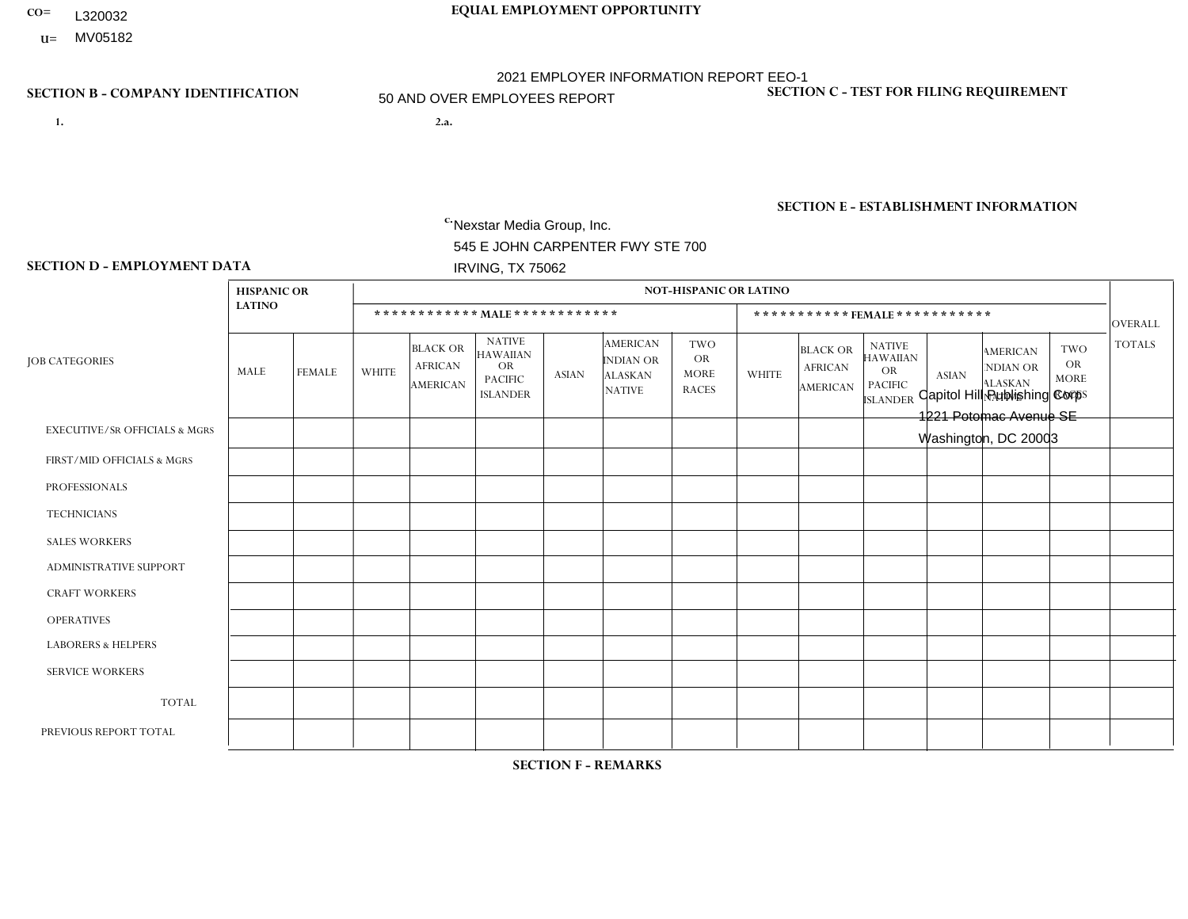- **CO= EQUAL EMPLOYMENT OPPORTUNITY** L320032
- **U=** MV05182

- **1. 2.a.** Nexstar Media Group, Inc. 545 E JOHN CARPENTER FWY STE 700 IRVING, TX 75062
- 2.a. Capitol Hill Publishing Corp 1221 Potomac Avenue SE Washington, DC 20003

EIN= 113217916

## **SECTION B - COMPANY IDENTIFICATION SECTION C - TEST FOR FILING REQUIREMENT**

1- Y 2- N 3- Y DUNS= 058168001

**SECTION E - ESTABLISHMENT INFORMATION c.** NAICS: 515120 - Television Broadcasting

### **SECTION D - EMPLOYMENT DATA**

|                                          | <b>HISPANIC OR</b> |                |                |                                                      |                                                                             |              |                                                                 | <b>NOT-HISPANIC OR LATINO</b>                          |                |                                                      |                                                                                    |                |                                                                       |                                                        |                |
|------------------------------------------|--------------------|----------------|----------------|------------------------------------------------------|-----------------------------------------------------------------------------|--------------|-----------------------------------------------------------------|--------------------------------------------------------|----------------|------------------------------------------------------|------------------------------------------------------------------------------------|----------------|-----------------------------------------------------------------------|--------------------------------------------------------|----------------|
|                                          | <b>LATINO</b>      |                |                |                                                      | ************ MALE ************                                              |              |                                                                 |                                                        |                |                                                      | ***********FEMALE ***********                                                      |                |                                                                       |                                                        | <b>OVERALL</b> |
| <b>JOB CATEGORIES</b>                    | MALE               | <b>FEMALE</b>  | <b>WHITE</b>   | <b>BLACK OR</b><br><b>AFRICAN</b><br><b>AMERICAN</b> | <b>NATIVE</b><br><b>HAWAIIAN</b><br>OR<br><b>PACIFIC</b><br><b>ISLANDER</b> | <b>ASIAN</b> | <b>AMERICAN</b><br>INDIAN OR<br><b>ALASKAN</b><br><b>NATIVE</b> | <b>TWO</b><br><b>OR</b><br><b>MORE</b><br><b>RACES</b> | <b>WHITE</b>   | <b>BLACK OR</b><br><b>AFRICAN</b><br><b>AMERICAN</b> | <b>NATIVE</b><br><b>HAWAIIAN</b><br><b>OR</b><br><b>PACIFIC</b><br><b>ISLANDER</b> | <b>ASIAN</b>   | <b>AMERICAN</b><br><b>NDIAN OR</b><br><b>ALASKAN</b><br><b>NATIVE</b> | <b>TWO</b><br><b>OR</b><br><b>MORE</b><br><b>RACES</b> | <b>TOTALS</b>  |
| <b>EXECUTIVE/SR OFFICIALS &amp; MGRS</b> | $\mathbf 0$        | $\mathbf{0}$   | $\overline{4}$ | $\mathbf 0$                                          | $\mathbf 0$                                                                 | $\mathbf{0}$ | $\Omega$                                                        | $\Omega$                                               |                | $\Omega$                                             | $\mathbf{0}$                                                                       | $\Omega$       | $\mathbf{0}$                                                          | $\Omega$                                               | 5              |
| FIRST/MID OFFICIALS & MGRS               | 0                  | $\mathbf{1}$   | 12             | $\mathbf 0$                                          | $\Omega$                                                                    | $\Omega$     | $\Omega$                                                        | $\Omega$                                               | 14             | $\Omega$                                             | $\Omega$                                                                           | 1              | $\Omega$                                                              | $\Omega$                                               | 28             |
| <b>PROFESSIONALS</b>                     | 3                  | 3              | 39             | $\mathbf{1}$                                         | $\mathbf 0$                                                                 | $\mathbf{1}$ | $\Omega$                                                        | $\Omega$                                               | 40             | $\overline{2}$                                       | $\mathbf 0$                                                                        | $\overline{4}$ | $\mathbf 0$                                                           | 1                                                      | 94             |
| <b>TECHNICIANS</b>                       | 0                  | $\mathbf{0}$   | $\overline{7}$ | $\overline{2}$                                       | $\mathbf 0$                                                                 | $\mathbf{1}$ | $\Omega$                                                        | $\Omega$                                               | 9              | 0                                                    | $\mathbf 0$                                                                        | $\mathbf{1}$   | $\mathbf 0$                                                           | $\Omega$                                               | 20             |
| <b>SALES WORKERS</b>                     | 0                  | $\mathbf 0$    | $\overline{4}$ | $\mathbf 0$                                          | $\mathbf 0$                                                                 | $\mathbf 0$  | $\mathbf{0}$                                                    | $\Omega$                                               | $\overline{2}$ | $\mathbf 0$                                          | $\mathbf 0$                                                                        | $\mathbf 0$    | $\mathbf 0$                                                           | $\mathbf{0}$                                           | 6              |
| ADMINISTRATIVE SUPPORT                   | 0                  | $\mathbf 0$    | $\overline{c}$ | $\mathbf 0$                                          | $\mathbf 0$                                                                 | $\mathbf 0$  | $\mathbf{0}$                                                    | $\Omega$                                               | 4              | 1                                                    | $\Omega$                                                                           | $\mathbf{0}$   | $\Omega$                                                              | $\mathbf{0}$                                           | $\overline{7}$ |
| <b>CRAFT WORKERS</b>                     | 0                  | $\Omega$       | $\mathbf 0$    | $\mathbf 0$                                          | $\mathbf 0$                                                                 | $\mathbf{0}$ | $\Omega$                                                        | $\Omega$                                               | $\Omega$       | $\Omega$                                             | $\Omega$                                                                           | $\Omega$       | $\Omega$                                                              | $\mathbf{0}$                                           | $\mathbf{0}$   |
| <b>OPERATIVES</b>                        | 0                  | $\Omega$       | $\mathbf 0$    | $\mathbf 0$                                          | $\mathbf 0$                                                                 | $\mathbf{0}$ | $\Omega$                                                        | $\Omega$                                               | $\Omega$       | $\Omega$                                             | $\Omega$                                                                           | $\Omega$       | $\Omega$                                                              | $\mathbf{0}$                                           | $\mathbf{0}$   |
| <b>LABORERS &amp; HELPERS</b>            | 0                  | $\Omega$       | $\mathbf 0$    | $\mathbf 0$                                          | $\mathbf 0$                                                                 | $\mathbf{0}$ | $\Omega$                                                        | $\Omega$                                               | $\Omega$       | $\Omega$                                             | $\Omega$                                                                           | $\Omega$       | $\Omega$                                                              | $\mathbf{0}$                                           | $\mathbf{0}$   |
| <b>SERVICE WORKERS</b>                   | 0                  | $\mathbf 0$    | $\mathbf 0$    | $\mathbf 0$                                          | $\mathbf 0$                                                                 | $\mathbf{0}$ | $\Omega$                                                        | $\Omega$                                               | $\Omega$       | $\Omega$                                             | $\Omega$                                                                           | $\mathbf 0$    | $\Omega$                                                              | $\Omega$                                               | $\mathbf 0$    |
| <b>TOTAL</b>                             | 3                  | $\overline{4}$ | 68             | 3                                                    | $\mathbf 0$                                                                 | 2            | $\Omega$                                                        | $\Omega$                                               | 70             | 3                                                    | $\Omega$                                                                           | 6              | 0                                                                     | $\overline{1}$                                         | 160            |
| PREVIOUS REPORT TOTAL                    |                    |                |                |                                                      |                                                                             |              |                                                                 |                                                        |                |                                                      |                                                                                    |                |                                                                       |                                                        |                |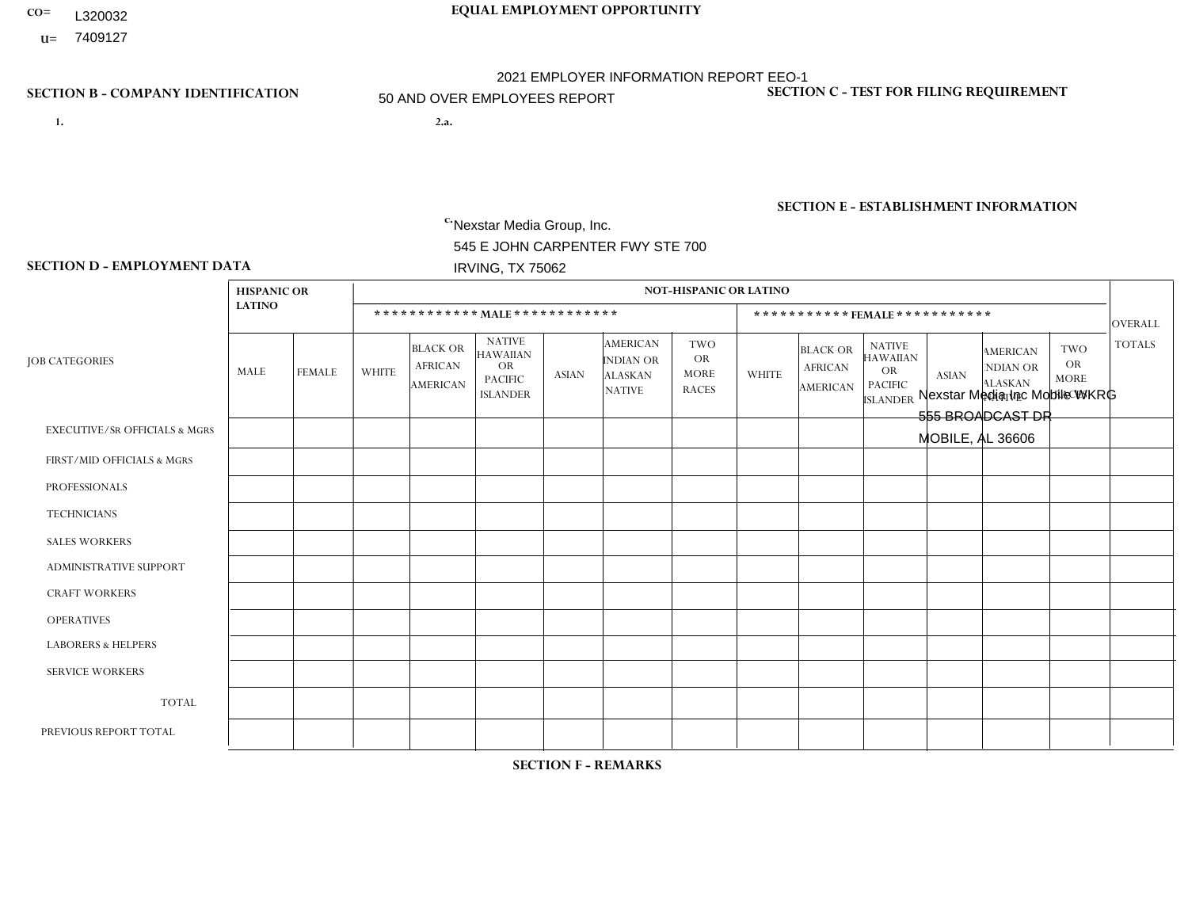- L320032
- **U=**

# **CO= EQUAL EMPLOYMENT OPPORTUNITY** 2021 EMPLOYER INFORMATION REPORT EEO-1 50 AND OVER EMPLOYEES REPORT

- **1. 2.a.** Nexstar Media Group, Inc. 545 E JOHN CARPENTER FWY STE 700 IRVING, TX 75062
- 2.a. Nexstar Media Inc Mobile WKRG 555 BROADCAST DR MOBILE, AL 36606

EIN= 233063152

## **SECTION B - COMPANY IDENTIFICATION SECTION C - TEST FOR FILING REQUIREMENT**

1- Y 2- N 3- Y DUNS= 058168001

**SECTION E - ESTABLISHMENT INFORMATION c.** NAICS: 515120 - Television Broadcasting

### **SECTION D - EMPLOYMENT DATA**

|                                          | <b>HISPANIC OR</b> |                |                |                                                      |                                                                                    |              |                                                                        | <b>NOT-HISPANIC OR LATINO</b>                          |                |                                                      |                                                                                    |              |                                                                       |                                                        |                 |
|------------------------------------------|--------------------|----------------|----------------|------------------------------------------------------|------------------------------------------------------------------------------------|--------------|------------------------------------------------------------------------|--------------------------------------------------------|----------------|------------------------------------------------------|------------------------------------------------------------------------------------|--------------|-----------------------------------------------------------------------|--------------------------------------------------------|-----------------|
|                                          | <b>LATINO</b>      |                |                | ************ MALE ************                       |                                                                                    |              |                                                                        |                                                        |                |                                                      | *********** FEMALE ***********                                                     |              |                                                                       |                                                        | OVERALL         |
| <b>JOB CATEGORIES</b>                    | MALE               | <b>FEMALE</b>  | <b>WHITE</b>   | <b>BLACK OR</b><br><b>AFRICAN</b><br><b>AMERICAN</b> | <b>NATIVE</b><br><b>HAWAIIAN</b><br><b>OR</b><br><b>PACIFIC</b><br><b>ISLANDER</b> | <b>ASIAN</b> | <b>AMERICAN</b><br><b>INDIAN OR</b><br><b>ALASKAN</b><br><b>NATIVE</b> | <b>TWO</b><br><b>OR</b><br><b>MORE</b><br><b>RACES</b> | <b>WHITE</b>   | <b>BLACK OR</b><br><b>AFRICAN</b><br><b>AMERICAN</b> | <b>NATIVE</b><br><b>HAWAIIAN</b><br><b>OR</b><br><b>PACIFIC</b><br><b>ISLANDER</b> | <b>ASIAN</b> | <b>AMERICAN</b><br><b>NDIAN OR</b><br><b>ALASKAN</b><br><b>NATIVE</b> | <b>TWO</b><br><b>OR</b><br><b>MORE</b><br><b>RACES</b> | <b>TOTALS</b>   |
| <b>EXECUTIVE/SR OFFICIALS &amp; MGRS</b> | $\mathbf 0$        | $\mathbf 0$    | 0              | $\mathbf 0$                                          | $\mathbf 0$                                                                        | 0            | $\Omega$                                                               | $\Omega$                                               | $\Omega$       | $\Omega$                                             | 0                                                                                  | $\mathbf{0}$ | $\Omega$                                                              | $\mathbf 0$                                            | $\mathbf 0$     |
| FIRST/MID OFFICIALS & MGRS               | 1                  | $\Omega$       | 3              | $\Omega$                                             | $\Omega$                                                                           | 0            | $\Omega$                                                               | $\Omega$                                               | 3              |                                                      | 0                                                                                  | $\Omega$     | $\Omega$                                                              | $\Omega$                                               | 8               |
| <b>PROFESSIONALS</b>                     | $\Omega$           |                | 8              | $\mathbf 0$                                          | $\mathbf 0$                                                                        | $\mathbf{1}$ | $\mathbf{0}$                                                           | $\Omega$                                               | 5              | $\Omega$                                             | 0                                                                                  | $\Omega$     | $\Omega$                                                              | $\Omega$                                               | 15              |
| <b>TECHNICIANS</b>                       | 2                  | $\mathbf{1}$   | 21             | $\overline{4}$                                       | $\mathbf 0$                                                                        | 0            | $\mathbf{0}$                                                           | $\Omega$                                               | 11             | 3                                                    | 0                                                                                  | $\Omega$     | $\Omega$                                                              | $\mathbf{0}$                                           | 42              |
| <b>SALES WORKERS</b>                     | $\mathbf 0$        | $\mathbf 0$    | $\overline{2}$ | $\mathbf 0$                                          | $\mathbf 0$                                                                        | 0            | $\Omega$                                                               | $\Omega$                                               | $\overline{7}$ | $\Omega$                                             | 0                                                                                  | $\mathbf 0$  | $\mathbf 0$                                                           | $\mathbf 0$                                            | 9               |
| <b>ADMINISTRATIVE SUPPORT</b>            | $\Omega$           | $\Omega$       | $\overline{2}$ | $\Omega$                                             | $\Omega$                                                                           | 0            | $\Omega$                                                               | $\Omega$                                               | 6              |                                                      | 0                                                                                  | $\Omega$     | $\Omega$                                                              | $\overline{1}$                                         | 10 <sup>°</sup> |
| <b>CRAFT WORKERS</b>                     | $\Omega$           | $\mathbf 0$    | 0              | $\mathbf 0$                                          | $\mathbf 0$                                                                        | 0            | $\Omega$                                                               | $\Omega$                                               | $\Omega$       | $\Omega$                                             | 0                                                                                  | $\Omega$     | $\Omega$                                                              | $\Omega$                                               | $\mathbf{0}$    |
| <b>OPERATIVES</b>                        | $\mathbf 0$        | $\mathbf 0$    | 0              | $\mathbf 0$                                          | $\mathbf 0$                                                                        | 0            | $\mathbf{0}$                                                           | $\Omega$                                               | $\Omega$       | $\Omega$                                             | $\Omega$                                                                           | $\Omega$     | $\Omega$                                                              | $\Omega$                                               | $\mathbf{0}$    |
| <b>LABORERS &amp; HELPERS</b>            | $\Omega$           | $\mathbf 0$    | 0              | $\mathbf 0$                                          | $\mathbf 0$                                                                        | 0            | $\Omega$                                                               | $\Omega$                                               | $\Omega$       | $\Omega$                                             | $\Omega$                                                                           | $\Omega$     | $\Omega$                                                              | $\Omega$                                               | $\mathbf{0}$    |
| <b>SERVICE WORKERS</b>                   | $\Omega$           | $\Omega$       | 0              | $\mathbf 0$                                          | $\mathbf 0$                                                                        | 0            | $\Omega$                                                               | $\Omega$                                               | $\Omega$       | $\Omega$                                             | 0                                                                                  | $\Omega$     | $\Omega$                                                              | $\Omega$                                               | $\mathbf{0}$    |
| <b>TOTAL</b>                             | 3                  | $\overline{2}$ | 36             | 4                                                    | 0                                                                                  | $\mathbf{1}$ | $\Omega$                                                               | $\mathbf{0}$                                           | 32             | 5                                                    | 0                                                                                  | $\Omega$     | $\Omega$                                                              | $\overline{1}$                                         | 84              |
| PREVIOUS REPORT TOTAL                    | -1                 | $\mathbf{1}$   | 43             | $\overline{2}$                                       | $\mathbf 0$                                                                        | 0            | $\mathbf{0}$                                                           | $\Omega$                                               | 30             | 8                                                    | 0                                                                                  | $\Omega$     | 0                                                                     |                                                        | 86              |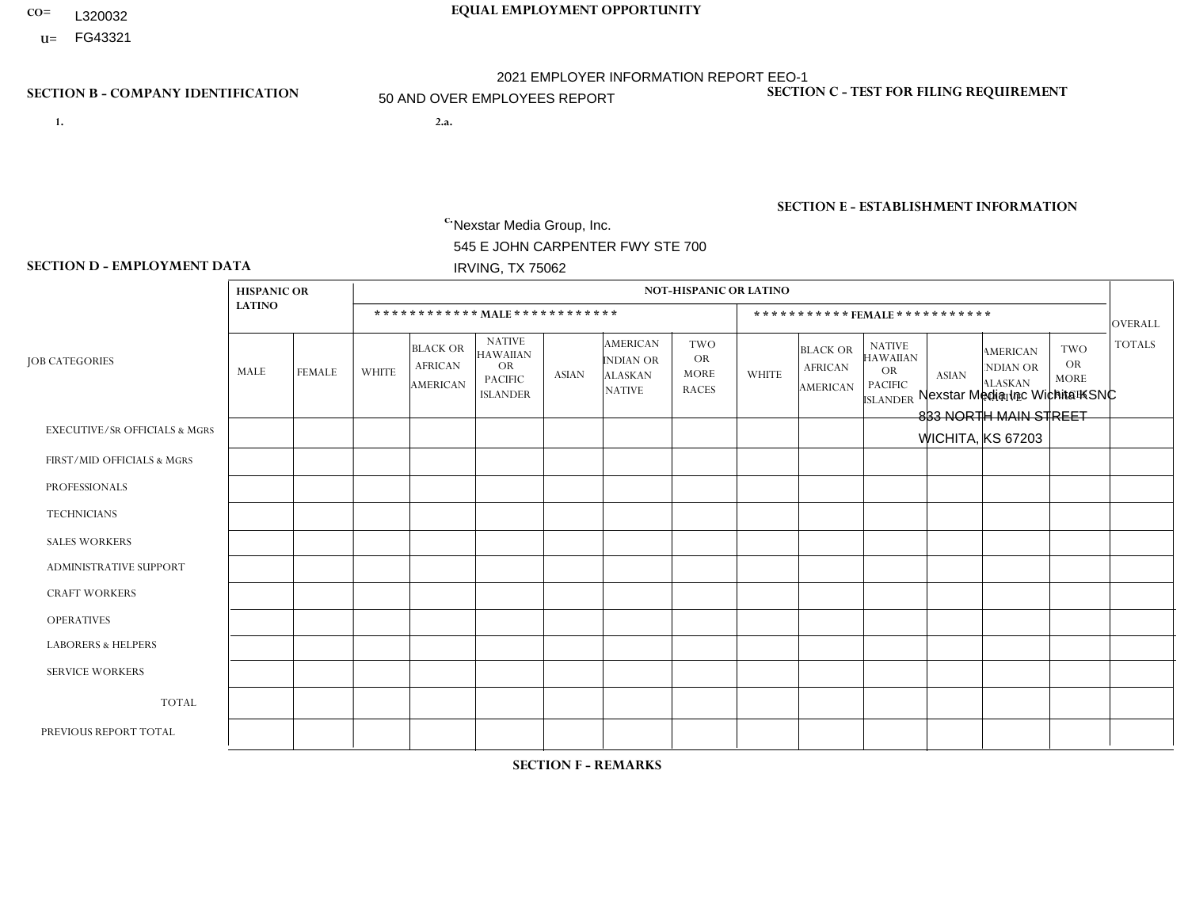- **CO= EQUAL EMPLOYMENT OPPORTUNITY** L320032
- **U=**

- **1. 2.a.** Nexstar Media Group, Inc. 545 E JOHN CARPENTER FWY STE 700 IRVING, TX 75062
- 2.a. Nexstar Media Inc Wichita KSNC 833 NORTH MAIN STREET WICHITA, KS 67203

EIN= 233063152

## **SECTION B - COMPANY IDENTIFICATION SECTION C - TEST FOR FILING REQUIREMENT**

1- Y 2- N 3- Y DUNS= 058168001

**SECTION E - ESTABLISHMENT INFORMATION c.** NAICS: 515120 - Television Broadcasting

### **SECTION D - EMPLOYMENT DATA**

|                                          | <b>HISPANIC OR</b> |                |                |                                                      |                                                                                    |              |                                                                        | <b>NOT-HISPANIC OR LATINO</b>                          |                |                                               |                                                                             |              |                                                                |                                                        |                |
|------------------------------------------|--------------------|----------------|----------------|------------------------------------------------------|------------------------------------------------------------------------------------|--------------|------------------------------------------------------------------------|--------------------------------------------------------|----------------|-----------------------------------------------|-----------------------------------------------------------------------------|--------------|----------------------------------------------------------------|--------------------------------------------------------|----------------|
|                                          | <b>LATINO</b>      |                |                |                                                      | ************ MAIE************                                                      |              |                                                                        |                                                        |                |                                               | ***********FEMALE***********                                                |              |                                                                |                                                        | <b>OVERALL</b> |
| <b>JOB CATEGORIES</b>                    | MALE               | <b>FEMALE</b>  | <b>WHITE</b>   | <b>BLACK OR</b><br><b>AFRICAN</b><br><b>AMERICAN</b> | <b>NATIVE</b><br><b>HAWAIIAN</b><br><b>OR</b><br><b>PACIFIC</b><br><b>ISLANDER</b> | <b>ASIAN</b> | <b>AMERICAN</b><br><b>INDIAN OR</b><br><b>ALASKAN</b><br><b>NATIVE</b> | <b>TWO</b><br><b>OR</b><br><b>MORE</b><br><b>RACES</b> | <b>WHITE</b>   | <b>BLACK OR</b><br><b>AFRICAN</b><br>AMERICAN | <b>NATIVE</b><br><b>HAWAIIAN</b><br>OR<br><b>PACIFIC</b><br><b>ISLANDER</b> | <b>ASIAN</b> | <b>AMERICAN</b><br>NDIAN OR<br><b>ALASKAN</b><br><b>NATIVE</b> | <b>TWO</b><br><b>OR</b><br><b>MORE</b><br><b>RACES</b> | <b>TOTALS</b>  |
| <b>EXECUTIVE/SR OFFICIALS &amp; MGRS</b> | $\Omega$           | $\mathbf 0$    | $\mathbf 0$    | 0                                                    | $\Omega$                                                                           | $\Omega$     | $\Omega$                                                               | $\Omega$                                               | $\Omega$       | $\Omega$                                      | $\Omega$                                                                    | $\Omega$     | $\Omega$                                                       | $\Omega$                                               | $\mathbf 0$    |
| FIRST/MID OFFICIALS & MGRS               | $\mathbf 0$        | $\mathbf 0$    | 3              | $\mathbf 0$                                          | $\Omega$                                                                           | $\Omega$     | 1                                                                      | $\Omega$                                               | $\overline{2}$ | $\Omega$                                      | $\Omega$                                                                    | $\Omega$     | $\Omega$                                                       | $\Omega$                                               | 6              |
| <b>PROFESSIONALS</b>                     | 0                  | $\mathbf{0}$   | $\overline{4}$ | $\mathbf{1}$                                         | $\Omega$                                                                           | $\Omega$     | $\Omega$                                                               | $\Omega$                                               | 6              | $\mathbf 0$                                   | $\Omega$                                                                    | $\mathbf 0$  | $\Omega$                                                       | $\Omega$                                               | 11             |
| <b>TECHNICIANS</b>                       |                    | 8              | 21             | 3                                                    | $\Omega$                                                                           | $\Omega$     | $\Omega$                                                               | $\mathbf 0$                                            | 5              | $\blacktriangleleft$                          | $\mathbf 0$                                                                 | $\mathbf 0$  | $\Omega$                                                       | $\mathbf 0$                                            | 39             |
| <b>SALES WORKERS</b>                     | $\mathbf 0$        | $\overline{1}$ | $\overline{2}$ | 0                                                    | $\Omega$                                                                           | $\Omega$     | $\Omega$                                                               | $\Omega$                                               | $\overline{7}$ | $\Omega$                                      | $\Omega$                                                                    | $\Omega$     | $\Omega$                                                       | $\Omega$                                               | 10             |
| <b>ADMINISTRATIVE SUPPORT</b>            | $\Omega$           | 1              | $\overline{7}$ | $\mathbf 0$                                          | $\mathbf{0}$                                                                       | $\Omega$     | $\Omega$                                                               | $\mathbf{0}$                                           | $\overline{7}$ | $\Omega$                                      | $\Omega$                                                                    | $\Omega$     | $\Omega$                                                       | $\Omega$                                               | 15             |
| <b>CRAFT WORKERS</b>                     | $\Omega$           | 0              | $\mathbf 0$    | 0                                                    | $\Omega$                                                                           | $\Omega$     | $\Omega$                                                               | $\Omega$                                               | $\Omega$       | $\Omega$                                      | $\Omega$                                                                    | $\Omega$     | $\Omega$                                                       | $\Omega$                                               | $\mathbf 0$    |
| <b>OPERATIVES</b>                        | $\mathbf{0}$       | $\mathbf{0}$   | $\mathbf 0$    | $\mathbf 0$                                          | $\Omega$                                                                           | $\Omega$     | $\Omega$                                                               | $\Omega$                                               | $\Omega$       | $\Omega$                                      | $\Omega$                                                                    | $\Omega$     | $\Omega$                                                       | $\Omega$                                               | $\mathbf 0$    |
| <b>LABORERS &amp; HELPERS</b>            | $\mathbf{0}$       | $\Omega$       | $\mathbf 0$    | 0                                                    | $\Omega$                                                                           | $\Omega$     | $\Omega$                                                               | $\Omega$                                               | $\Omega$       | $\Omega$                                      | $\Omega$                                                                    | $\Omega$     | $\Omega$                                                       | $\Omega$                                               | $\mathbf 0$    |
| <b>SERVICE WORKERS</b>                   | $\mathbf{0}$       | $\mathbf{0}$   | 0              | 0                                                    | $\Omega$                                                                           | $\Omega$     | $\Omega$                                                               | $\Omega$                                               | $\Omega$       | $\Omega$                                      | $\Omega$                                                                    | $\Omega$     | $\Omega$                                                       | $\Omega$                                               | 0              |
| <b>TOTAL</b>                             | $\overline{1}$     | 10             | 37             | 4                                                    | $\mathbf 0$                                                                        | $\Omega$     | 1                                                                      | $\Omega$                                               | 27             | $\blacktriangleleft$                          | $\mathbf 0$                                                                 | $\mathbf 0$  | $\Omega$                                                       | $\mathbf 0$                                            | 81             |
| PREVIOUS REPORT TOTAL                    | 3                  | 11             | 40             | 4                                                    | $\Omega$                                                                           | $\Omega$     | 1                                                                      |                                                        | 26             | 3                                             | $\Omega$                                                                    |              | $\Omega$                                                       | $\mathbf{1}$                                           | 91             |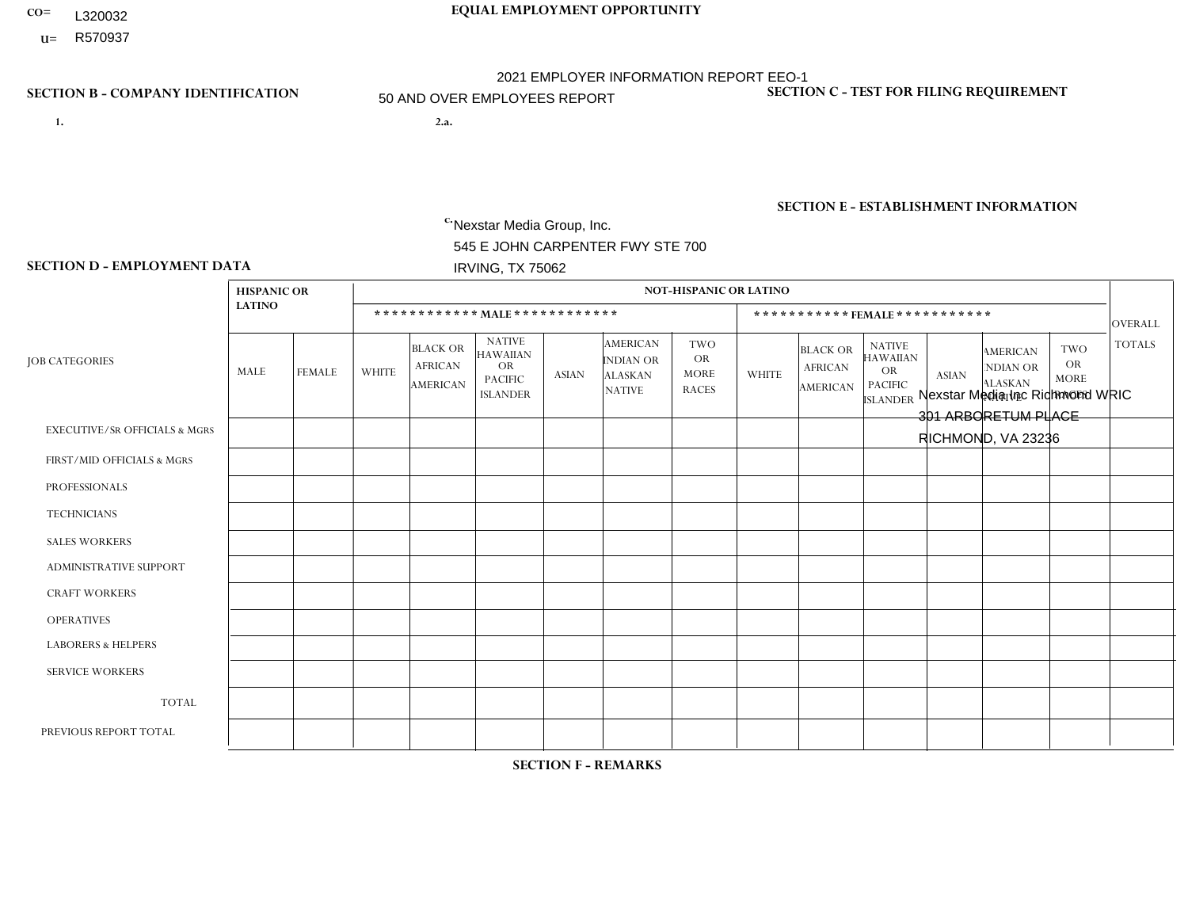- **CO= EQUAL EMPLOYMENT OPPORTUNITY** L320032
- **U=**

- **1. 2.a.** Nexstar Media Group, Inc. 545 E JOHN CARPENTER FWY STE 700 IRVING, TX 75062
- 2.a. Nexstar Media Inc Richmond WRIC 301 ARBORETUM PLACE RICHMOND, VA 23236

EIN= 233063152

## **SECTION B - COMPANY IDENTIFICATION SECTION C - TEST FOR FILING REQUIREMENT**

1- Y 2- N 3- Y DUNS= 058168001

**SECTION E - ESTABLISHMENT INFORMATION c.** NAICS: 515120 - Television Broadcasting

### **SECTION D - EMPLOYMENT DATA**

|                                          | <b>HISPANIC OR</b> |                |                |                                                      |                                                                                    |              |                                                                 | <b>NOT-HISPANIC OR LATINO</b>                          |              |                                                      |                                                                                    |              |                                                                       |                                                        |                |
|------------------------------------------|--------------------|----------------|----------------|------------------------------------------------------|------------------------------------------------------------------------------------|--------------|-----------------------------------------------------------------|--------------------------------------------------------|--------------|------------------------------------------------------|------------------------------------------------------------------------------------|--------------|-----------------------------------------------------------------------|--------------------------------------------------------|----------------|
|                                          | <b>LATINO</b>      |                |                |                                                      | ************ MALE************                                                      |              |                                                                 |                                                        |              |                                                      | ***********FEMALE ***********                                                      |              |                                                                       |                                                        | <b>OVERALL</b> |
| <b>JOB CATEGORIES</b>                    | MALE               | FEMALE         | <b>WHITE</b>   | <b>BLACK OR</b><br><b>AFRICAN</b><br><b>AMERICAN</b> | <b>NATIVE</b><br><b>HAWAIIAN</b><br><b>OR</b><br><b>PACIFIC</b><br><b>ISLANDER</b> | <b>ASIAN</b> | <b>AMERICAN</b><br>INDIAN OR<br><b>ALASKAN</b><br><b>NATIVE</b> | <b>TWO</b><br><b>OR</b><br><b>MORE</b><br><b>RACES</b> | <b>WHITE</b> | <b>BLACK OR</b><br><b>AFRICAN</b><br><b>AMERICAN</b> | <b>NATIVE</b><br><b>HAWAIIAN</b><br><b>OR</b><br><b>PACIFIC</b><br><b>ISLANDER</b> | <b>ASIAN</b> | <b>AMERICAN</b><br><b>NDIAN OR</b><br><b>ALASKAN</b><br><b>NATIVE</b> | <b>TWO</b><br><b>OR</b><br><b>MORE</b><br><b>RACES</b> | <b>TOTALS</b>  |
| <b>EXECUTIVE/SR OFFICIALS &amp; MGRS</b> | $\Omega$           | $\Omega$       | $\mathbf 0$    | $\mathbf 0$                                          | $\Omega$                                                                           | $\Omega$     | $\mathbf{0}$                                                    | $\Omega$                                               | $\Omega$     | $\Omega$                                             | $\mathbf{0}$                                                                       | $\Omega$     | $\mathbf{0}$                                                          | $\Omega$                                               | $\Omega$       |
| FIRST/MID OFFICIALS & MGRS               | 0                  | $\mathbf{0}$   | $\overline{4}$ | $\mathbf 0$                                          | $\mathbf 0$                                                                        | $\mathbf{0}$ | $\Omega$                                                        | $\Omega$                                               | 3            | $\Omega$                                             | $\Omega$                                                                           | $\mathbf{0}$ | $\mathbf{0}$                                                          | $\Omega$                                               | $\overline{7}$ |
| <b>PROFESSIONALS</b>                     | 1                  | $\mathbf{0}$   | $\overline{4}$ | $\overline{2}$                                       | $\mathbf 0$                                                                        | $\mathbf 0$  | $\Omega$                                                        | $\Omega$                                               |              | 1                                                    | $\Omega$                                                                           | $\mathbf 0$  | $\Omega$                                                              | $\Omega$                                               | 9              |
| <b>TECHNICIANS</b>                       | 0                  | $\overline{2}$ | 28             | $\overline{4}$                                       | $\mathbf 0$                                                                        | $\mathbf{1}$ | $\mathbf{0}$                                                    | $\Omega$                                               | 9            | 5                                                    |                                                                                    | $\Omega$     | $\mathbf 0$                                                           | 1                                                      | 51             |
| <b>SALES WORKERS</b>                     | 0                  | $\Omega$       | $\overline{c}$ | $\mathbf 0$                                          | $\Omega$                                                                           | $\Omega$     | $\Omega$                                                        | $\Omega$                                               | 5            | $\Omega$                                             | $\Omega$                                                                           | $\Omega$     | $\Omega$                                                              | 1                                                      | 8              |
| <b>ADMINISTRATIVE SUPPORT</b>            |                    | $\mathbf{1}$   | $\overline{2}$ | $\mathbf{1}$                                         | $\mathbf 0$                                                                        | $\mathbf 0$  | $\Omega$                                                        | $\Omega$                                               | 3            | $\overline{2}$                                       | $\Omega$                                                                           | $\mathbf{0}$ | $\Omega$                                                              | $\mathbf{0}$                                           | 10             |
| <b>CRAFT WORKERS</b>                     | 0                  | $\Omega$       | $\mathbf 0$    | $\mathbf 0$                                          | $\Omega$                                                                           | $\Omega$     | $\Omega$                                                        | $\Omega$                                               | $\Omega$     | $\Omega$                                             | $\Omega$                                                                           | $\Omega$     | $\Omega$                                                              | $\Omega$                                               | $\Omega$       |
| <b>OPERATIVES</b>                        | 0                  | $\Omega$       | $\mathbf 0$    | $\mathbf 0$                                          | $\mathbf 0$                                                                        | $\mathbf 0$  | $\Omega$                                                        | $\Omega$                                               | $\Omega$     | $\Omega$                                             | $\Omega$                                                                           | $\Omega$     | $\mathbf{0}$                                                          | $\Omega$                                               | $\mathbf{0}$   |
| <b>LABORERS &amp; HELPERS</b>            | 0                  | $\Omega$       | $\mathbf 0$    | $\mathbf 0$                                          | $\mathbf 0$                                                                        | $\mathbf 0$  | $\Omega$                                                        | $\Omega$                                               | $\Omega$     | $\Omega$                                             | $\Omega$                                                                           | $\Omega$     | $\Omega$                                                              | $\Omega$                                               | $\mathbf{0}$   |
| <b>SERVICE WORKERS</b>                   | 0                  | $\mathbf 0$    | $\mathbf 0$    | $\mathbf 0$                                          | $\mathbf 0$                                                                        | $\mathbf 0$  | $\Omega$                                                        | $\Omega$                                               | $\Omega$     | $\Omega$                                             | $\Omega$                                                                           | $\Omega$     | $\mathbf{0}$                                                          | $\Omega$                                               | $\mathbf{0}$   |
| <b>TOTAL</b>                             | $\overline{2}$     | 3              | 40             | $\overline{7}$                                       | $\mathbf 0$                                                                        | $\mathbf{1}$ | $\Omega$                                                        | $\Omega$                                               | 21           | 8                                                    |                                                                                    | $\mathbf 0$  | $\mathbf 0$                                                           | 2                                                      | 85             |
| PREVIOUS REPORT TOTAL                    | $\overline{2}$     | 3              | 42             | 8                                                    | $\mathbf 0$                                                                        | $\Omega$     | $\Omega$                                                        | $\Omega$                                               | 21           | 11                                                   |                                                                                    | $\Omega$     | $\mathbf{0}$                                                          | $\overline{4}$                                         | 92             |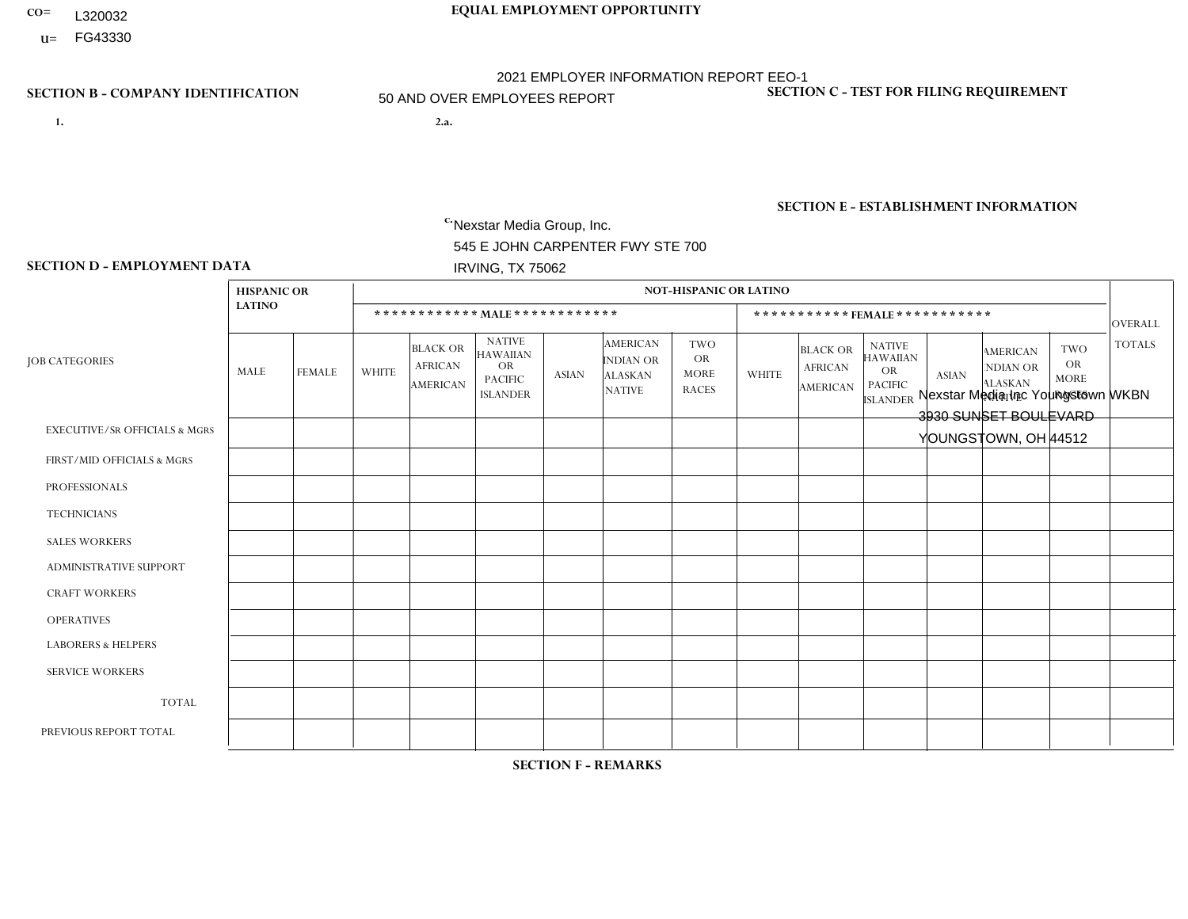- **CO= EQUAL EMPLOYMENT OPPORTUNITY** L320032
- **U=**

- **1. 2.a.** Nexstar Media Group, Inc. 545 E JOHN CARPENTER FWY STE 700 IRVING, TX 75062
- 2.a. Nexstar Media Inc Youngstown WKBN 3930 SUNSET BOULEVARD YOUNGSTOWN, OH 44512

EIN= 233063152

## **SECTION B - COMPANY IDENTIFICATION SECTION C - TEST FOR FILING REQUIREMENT**

1- Y 2- N 3- Y DUNS= 058168001

**SECTION E - ESTABLISHMENT INFORMATION c.** NAICS: 515120 - Television Broadcasting

### **SECTION D - EMPLOYMENT DATA**

|                                          | <b>HISPANIC OR</b> |               |              |                                                      |                                                                                    |                |                                                                        | <b>NOT-HISPANIC OR LATINO</b>                          |              |                                               |                                                                                    |                |                                                                       |                                                        |                |
|------------------------------------------|--------------------|---------------|--------------|------------------------------------------------------|------------------------------------------------------------------------------------|----------------|------------------------------------------------------------------------|--------------------------------------------------------|--------------|-----------------------------------------------|------------------------------------------------------------------------------------|----------------|-----------------------------------------------------------------------|--------------------------------------------------------|----------------|
|                                          | <b>LATINO</b>      |               |              | ************ MALE ************                       |                                                                                    |                |                                                                        |                                                        |              | ***********FEMALE***********                  |                                                                                    |                |                                                                       |                                                        | <b>OVERALL</b> |
| <b>JOB CATEGORIES</b>                    | MALE               | <b>FEMALE</b> | <b>WHITE</b> | <b>BLACK OR</b><br><b>AFRICAN</b><br><b>AMERICAN</b> | <b>NATIVE</b><br><b>HAWAIIAN</b><br><b>OR</b><br><b>PACIFIC</b><br><b>ISLANDER</b> | ASIAN          | <b>AMERICAN</b><br><b>INDIAN OR</b><br><b>ALASKAN</b><br><b>NATIVE</b> | <b>TWO</b><br><b>OR</b><br><b>MORE</b><br><b>RACES</b> | <b>WHITE</b> | <b>BLACK OR</b><br><b>AFRICAN</b><br>AMERICAN | <b>NATIVE</b><br><b>HAWAIIAN</b><br><b>OR</b><br><b>PACIFIC</b><br><b>ISLANDER</b> | <b>ASIAN</b>   | <b>AMERICAN</b><br><b>NDIAN OR</b><br><b>ALASKAN</b><br><b>NATIVE</b> | <b>TWO</b><br><b>OR</b><br><b>MORE</b><br><b>RACES</b> | <b>TOTALS</b>  |
| <b>EXECUTIVE/SR OFFICIALS &amp; MGRS</b> | $\Omega$           | $\Omega$      | $\Omega$     | $\mathbf 0$                                          | $\Omega$                                                                           | $\mathbf{0}$   | $\mathbf{0}$                                                           | $\Omega$                                               | 0            | $\Omega$                                      | $\Omega$                                                                           | $\Omega$       | $\Omega$                                                              | $\Omega$                                               | $\mathbf 0$    |
| FIRST/MID OFFICIALS & MGRS               | 0                  | $\Omega$      | 10           | $\mathbf 0$                                          | $\Omega$                                                                           | $\Omega$       | -1                                                                     | $\Omega$                                               | 5            | $\Omega$                                      | $\Omega$                                                                           | $\Omega$       | $\Omega$                                                              | $\Omega$                                               | 16             |
| <b>PROFESSIONALS</b>                     | 0                  | $\mathbf{1}$  | 11           | $\mathbf 0$                                          | $\Omega$                                                                           | $\Omega$       | $\Omega$                                                               | $\Omega$                                               | 3            | $\Omega$                                      | $\Omega$                                                                           | $\Omega$       | $\Omega$                                                              | $\Omega$                                               | 15             |
| <b>TECHNICIANS</b>                       |                    | $\Omega$      | 31           | $\overline{1}$                                       | $\Omega$                                                                           | $\Omega$       | $\Omega$                                                               | $\Omega$                                               | 22           |                                               | $\Omega$                                                                           | $\mathbf{1}$   | $\Omega$                                                              | $\Omega$                                               | 57             |
| <b>SALES WORKERS</b>                     | 0                  | $\Omega$      | 8            | $\Omega$                                             | $\Omega$                                                                           | $\Omega$       | $\Omega$                                                               | $\Omega$                                               | 5            | $\Omega$                                      | $\Omega$                                                                           | $\Omega$       | $\Omega$                                                              | $\Omega$                                               | 13             |
| <b>ADMINISTRATIVE SUPPORT</b>            | 0                  | 0             | 4            | $\mathbf 0$                                          | 0                                                                                  | $\Omega$       | $\Omega$                                                               | $\Omega$                                               | 5            | $\Omega$                                      | $\Omega$                                                                           | $\mathbf{0}$   | $\mathbf{0}$                                                          | $\mathbf 0$                                            | 9              |
| <b>CRAFT WORKERS</b>                     | 0                  | $\Omega$      | $\Omega$     | $\mathbf 0$                                          | $\Omega$                                                                           | $\Omega$       | $\Omega$                                                               | $\Omega$                                               | 0            | $\Omega$                                      | $\Omega$                                                                           | $\Omega$       | $\Omega$                                                              | $\Omega$                                               | $\mathbf 0$    |
| <b>OPERATIVES</b>                        | 0                  | $\Omega$      | $\Omega$     | $\mathbf 0$                                          | $\Omega$                                                                           | $\Omega$       | $\Omega$                                                               | $\Omega$                                               | $\Omega$     | $\Omega$                                      | $\Omega$                                                                           | $\Omega$       | $\Omega$                                                              | $\Omega$                                               | $\mathbf 0$    |
| <b>LABORERS &amp; HELPERS</b>            | 0                  | $\Omega$      | $\Omega$     | $\mathbf 0$                                          | $\Omega$                                                                           | $\Omega$       | $\Omega$                                                               | $\Omega$                                               | $\Omega$     | $\Omega$                                      | $\Omega$                                                                           | $\mathbf{0}$   | $\Omega$                                                              | $\mathbf{0}$                                           | $\mathbf 0$    |
| <b>SERVICE WORKERS</b>                   | 0                  | $\Omega$      | $\Omega$     | 0                                                    | 0                                                                                  | $\Omega$       | $\Omega$                                                               | $\Omega$                                               | $\Omega$     | $\Omega$                                      | $\Omega$                                                                           | $\Omega$       | $\Omega$                                                              | $\mathbf 0$                                            | 0              |
| <b>TOTAL</b>                             | 1                  | $\mathbf{1}$  | 64           | 1                                                    | 0                                                                                  | $\mathbf 0$    | -1                                                                     | $\Omega$                                               | 40           | 1                                             | $\Omega$                                                                           |                | 0                                                                     | $\mathbf 0$                                            | 110            |
| PREVIOUS REPORT TOTAL                    |                    | $\mathbf{1}$  | 64           | $\overline{1}$                                       | 0                                                                                  | $\overline{1}$ | $\overline{1}$                                                         | $\Omega$                                               | 39           | $\Omega$                                      | $\Omega$                                                                           | $\overline{1}$ | 0                                                                     | $\mathbf{1}$                                           | 110            |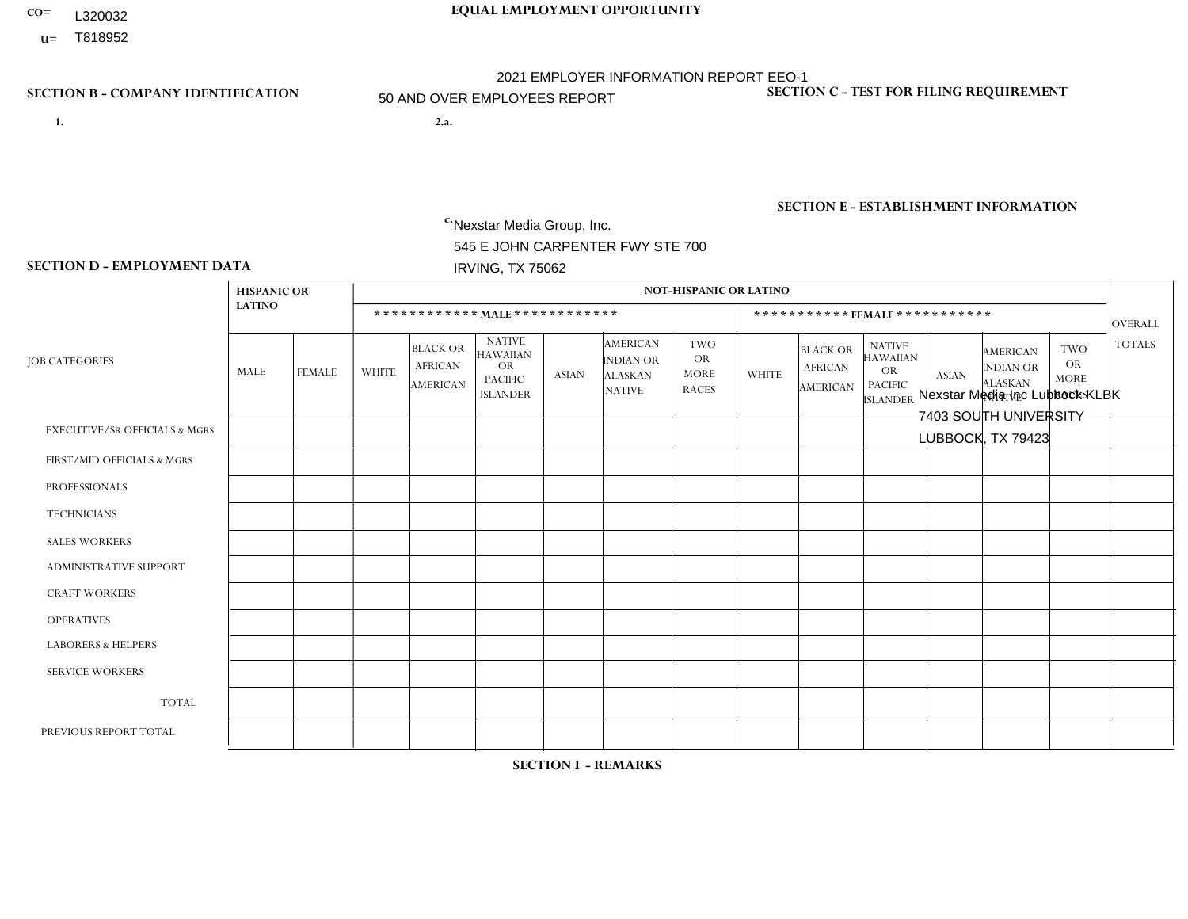- **CO= EQUAL EMPLOYMENT OPPORTUNITY** L320032
- **U=**

- **1. 2.a.** Nexstar Media Group, Inc. 545 E JOHN CARPENTER FWY STE 700 IRVING, TX 75062
- 2.a. Nexstar Media Inc Lubbock KLBK 7403 SOUTH UNIVERSITY LUBBOCK, TX 79423

EIN= 233063152

## **SECTION B - COMPANY IDENTIFICATION SECTION C - TEST FOR FILING REQUIREMENT**

1- Y 2- N 3- Y DUNS= 058168001

**SECTION E - ESTABLISHMENT INFORMATION c.** NAICS: 515120 - Television Broadcasting

### **SECTION D - EMPLOYMENT DATA**

|                                          | <b>HISPANIC OR</b> |                |                |                                                      |                                                                                    |              |                                                                        | <b>NOT-HISPANIC OR LATINO</b>                          |                |                                               |                                                                             |                         |                                                                       |                                                        |                |
|------------------------------------------|--------------------|----------------|----------------|------------------------------------------------------|------------------------------------------------------------------------------------|--------------|------------------------------------------------------------------------|--------------------------------------------------------|----------------|-----------------------------------------------|-----------------------------------------------------------------------------|-------------------------|-----------------------------------------------------------------------|--------------------------------------------------------|----------------|
|                                          | <b>LATINO</b>      |                |                |                                                      | ************ MALE ************                                                     |              |                                                                        |                                                        |                |                                               | *********** FEMALE ***********                                              |                         |                                                                       |                                                        | <b>OVERALL</b> |
| <b>JOB CATEGORIES</b>                    | MALE               | <b>FEMALE</b>  | <b>WHITE</b>   | <b>BLACK OR</b><br><b>AFRICAN</b><br><b>AMERICAN</b> | <b>NATIVE</b><br><b>HAWAIIAN</b><br><b>OR</b><br><b>PACIFIC</b><br><b>ISLANDER</b> | <b>ASIAN</b> | <b>AMERICAN</b><br><b>INDIAN OR</b><br><b>ALASKAN</b><br><b>NATIVE</b> | <b>TWO</b><br><b>OR</b><br><b>MORE</b><br><b>RACES</b> | <b>WHITE</b>   | <b>BLACK OR</b><br><b>AFRICAN</b><br>AMERICAN | <b>NATIVE</b><br><b>HAWAIIAN</b><br>OR<br><b>PACIFIC</b><br><b>ISLANDER</b> | <b>ASIAN</b>            | <b>AMERICAN</b><br><b>NDIAN OR</b><br><b>ALASKAN</b><br><b>NATIVE</b> | <b>TWO</b><br><b>OR</b><br><b>MORE</b><br><b>RACES</b> | <b>TOTALS</b>  |
| <b>EXECUTIVE/SR OFFICIALS &amp; MGRS</b> | $\Omega$           | $\mathbf 0$    | $\mathbf 0$    | 0                                                    | $\Omega$                                                                           | $\Omega$     | $\Omega$                                                               | $\Omega$                                               | $\Omega$       | $\Omega$                                      | $\Omega$                                                                    | $\Omega$                | $\Omega$                                                              | $\Omega$                                               | $\mathbf 0$    |
| FIRST/MID OFFICIALS & MGRS               | $\mathbf{0}$       | $\mathbf 0$    | $\overline{c}$ | $\overline{c}$                                       | $\Omega$                                                                           | $\Omega$     | $\Omega$                                                               |                                                        | 1              | $\Omega$                                      | $\Omega$                                                                    | $\overline{\mathbf{A}}$ | $\Omega$                                                              | $\Omega$                                               | $\overline{7}$ |
| <b>PROFESSIONALS</b>                     | $\mathbf{0}$       | 1              | $\overline{7}$ | $\overline{c}$                                       | $\Omega$                                                                           | $\Omega$     | $\Omega$                                                               | $\Omega$                                               | $\overline{2}$ | $\Omega$                                      | $\Omega$                                                                    | $\Omega$                | $\Omega$                                                              | $\Omega$                                               | 12             |
| <b>TECHNICIANS</b>                       | 12                 | 10             | 17             | 3                                                    | $\Omega$                                                                           | $\Omega$     | $\overline{2}$                                                         |                                                        | 14             | $\Omega$                                      | $\Omega$                                                                    | $\Omega$                | $\Omega$                                                              | 1                                                      | 60             |
| <b>SALES WORKERS</b>                     | 1                  | $\overline{0}$ | $\mathbf{1}$   | 0                                                    | $\Omega$                                                                           | $\Omega$     | $\Omega$                                                               | $\Omega$                                               | 5              | $\Omega$                                      | $\Omega$                                                                    | $\Omega$                | $\Omega$                                                              | $\Omega$                                               | $\overline{7}$ |
| ADMINISTRATIVE SUPPORT                   | $\mathbf{0}$       | 1              | 6              | $\mathbf 0$                                          | $\Omega$                                                                           | $\Omega$     | $\Omega$                                                               | $\Omega$                                               | 4              | $\overline{1}$                                | $\Omega$                                                                    | $\Omega$                | $\Omega$                                                              | $\Omega$                                               | 12             |
| <b>CRAFT WORKERS</b>                     | $\mathbf{0}$       | $\mathbf 0$    | $\mathbf 0$    | $\mathbf 0$                                          | $\Omega$                                                                           | $\Omega$     | $\Omega$                                                               | $\Omega$                                               | $\Omega$       | $\Omega$                                      | $\Omega$                                                                    | $\Omega$                | $\Omega$                                                              | $\Omega$                                               | $\mathbf 0$    |
| <b>OPERATIVES</b>                        | $\mathbf{0}$       | $\mathbf{0}$   | $\mathbf 0$    | $\mathbf 0$                                          | $\Omega$                                                                           | $\Omega$     | $\Omega$                                                               | $\Omega$                                               | $\Omega$       | $\Omega$                                      | $\Omega$                                                                    | $\Omega$                | $\Omega$                                                              | $\Omega$                                               | $\mathbf 0$    |
| <b>LABORERS &amp; HELPERS</b>            | $\mathbf{0}$       | $\Omega$       | $\Omega$       | $\mathbf 0$                                          | $\Omega$                                                                           | $\Omega$     | $\Omega$                                                               | $\Omega$                                               | $\Omega$       | $\Omega$                                      | $\Omega$                                                                    | $\Omega$                | $\Omega$                                                              | $\Omega$                                               | $\mathbf 0$    |
| <b>SERVICE WORKERS</b>                   | $\Omega$           | $\mathbf{0}$   | $\mathbf 0$    | $\mathbf 0$                                          | $\mathbf 0$                                                                        | $\Omega$     | $\Omega$                                                               | $\Omega$                                               | $\Omega$       | $\Omega$                                      | $\Omega$                                                                    | $\Omega$                | $\Omega$                                                              | $\mathbf 0$                                            | $\mathbf 0$    |
| <b>TOTAL</b>                             | 13                 | 12             | 33             | $\overline{7}$                                       | $\mathbf 0$                                                                        | $\Omega$     | $\overline{2}$                                                         | $\overline{2}$                                         | 26             | $\blacktriangleleft$                          | 0                                                                           | -1                      | 0                                                                     | 1                                                      | 98             |
| PREVIOUS REPORT TOTAL                    | 13                 | 9              | 35             | 8                                                    | $\Omega$                                                                           | $\Omega$     | $\overline{2}$                                                         |                                                        | 30             | 3                                             | $\mathbf 0$                                                                 | $\mathbf 0$             | 1                                                                     | 1                                                      | 103            |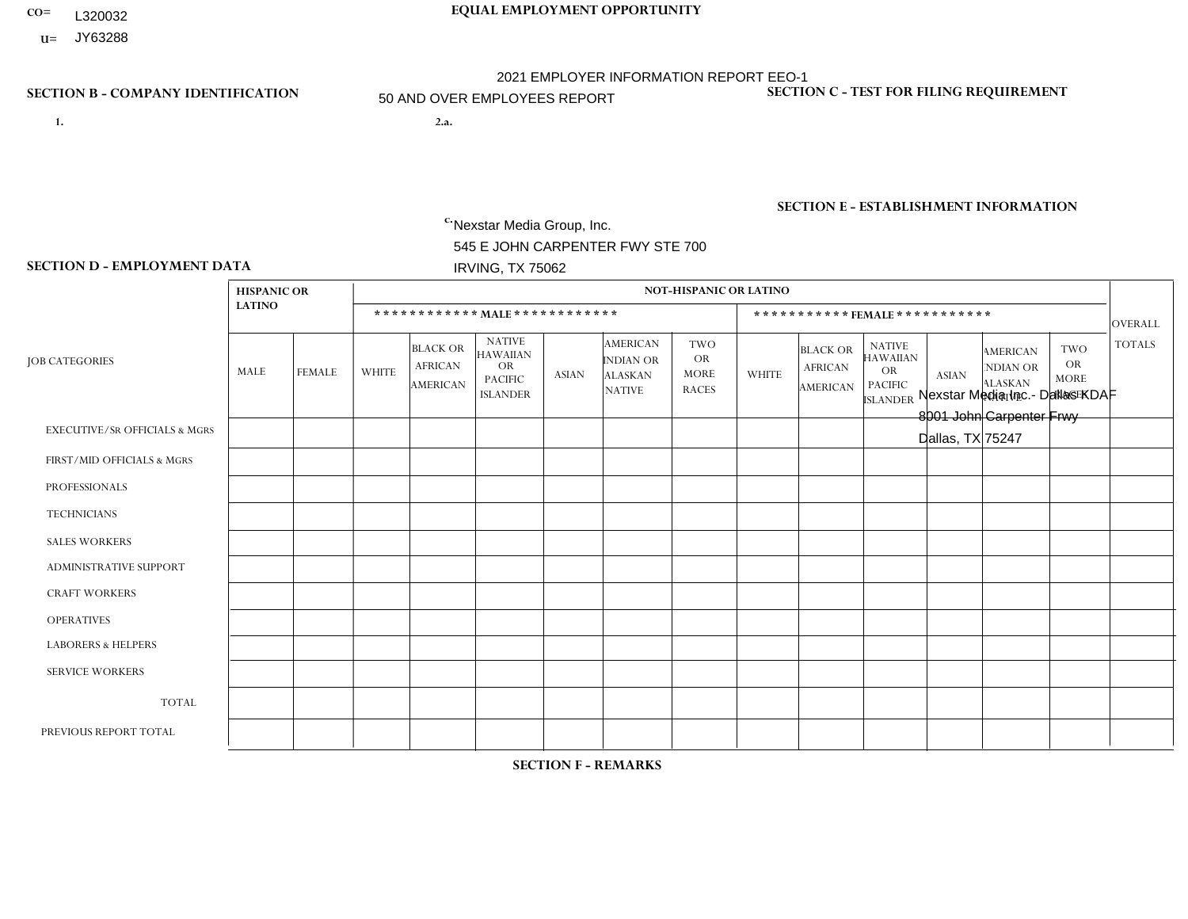- **CO= EQUAL EMPLOYMENT OPPORTUNITY** L320032
- **U=** JY63288

- **1. 2.a.** Nexstar Media Group, Inc. 545 E JOHN CARPENTER FWY STE 700 IRVING, TX 75062
- 2.a. Nexstar Media Inc.- Dallas KDAF 8001 John Carpenter Frwy Dallas, TX 75247

EIN= 361880355

## **SECTION B - COMPANY IDENTIFICATION SECTION C - TEST FOR FILING REQUIREMENT**

1- Y 2- N 3- Y DUNS= 058168001

**SECTION E - ESTABLISHMENT INFORMATION c.** NAICS: 515120 - Television Broadcasting

### **SECTION D - EMPLOYMENT DATA**

|                                          | <b>HISPANIC OR</b> |                |                |                                                      |                                                                                    |              |                                                                        | <b>NOT-HISPANIC OR LATINO</b>                          |                |                                               |                                                                                    |              |                                                                       |                                                        |                |
|------------------------------------------|--------------------|----------------|----------------|------------------------------------------------------|------------------------------------------------------------------------------------|--------------|------------------------------------------------------------------------|--------------------------------------------------------|----------------|-----------------------------------------------|------------------------------------------------------------------------------------|--------------|-----------------------------------------------------------------------|--------------------------------------------------------|----------------|
|                                          | <b>LATINO</b>      |                |                |                                                      | ************ MALE ************                                                     |              |                                                                        |                                                        |                |                                               | *********** FEMALE ***********                                                     |              |                                                                       |                                                        | OVERALL        |
| <b>JOB CATEGORIES</b>                    | MALE               | <b>FEMALE</b>  | <b>WHITE</b>   | <b>BLACK OR</b><br><b>AFRICAN</b><br><b>AMERICAN</b> | <b>NATIVE</b><br><b>HAWAIIAN</b><br><b>OR</b><br><b>PACIFIC</b><br><b>ISLANDER</b> | <b>ASIAN</b> | <b>AMERICAN</b><br><b>INDIAN OR</b><br><b>ALASKAN</b><br><b>NATIVE</b> | <b>TWO</b><br><b>OR</b><br><b>MORE</b><br><b>RACES</b> | <b>WHITE</b>   | <b>BLACK OR</b><br><b>AFRICAN</b><br>AMERICAN | <b>NATIVE</b><br><b>HAWAIIAN</b><br><b>OR</b><br><b>PACIFIC</b><br><b>ISLANDER</b> | <b>ASIAN</b> | <b>AMERICAN</b><br><b>NDIAN OR</b><br><b>ALASKAN</b><br><b>NATIVE</b> | <b>TWO</b><br><b>OR</b><br><b>MORE</b><br><b>RACES</b> | <b>TOTALS</b>  |
| <b>EXECUTIVE/SR OFFICIALS &amp; MGRS</b> | $\mathbf{0}$       | 0              | 1              | 0                                                    | $\Omega$                                                                           | $\Omega$     | $\Omega$                                                               | $\mathbf{0}$                                           | $\Omega$       | $\Omega$                                      | $\Omega$                                                                           | $\Omega$     | $\Omega$                                                              | $\Omega$                                               | $\overline{1}$ |
| FIRST/MID OFFICIALS & MGRS               | $\mathbf 0$        | $\overline{2}$ | 6              | 0                                                    | $\Omega$                                                                           | $\Omega$     | $\Omega$                                                               | $\Omega$                                               | 3              | $\Omega$                                      | $\Omega$                                                                           | $\Omega$     |                                                                       | $\Omega$                                               | 12             |
| <b>PROFESSIONALS</b>                     | $\mathbf 0$        | $\overline{4}$ | $\mathbf{1}$   | $\overline{2}$                                       | $\Omega$                                                                           |              | $\Omega$                                                               | $\Omega$                                               | $\overline{2}$ | $\mathbf{1}$                                  | $\Omega$                                                                           | $\Omega$     | $\Omega$                                                              | $\Omega$                                               | 11             |
| <b>TECHNICIANS</b>                       | 8                  | $\overline{0}$ | 14             | $\overline{7}$                                       | $\Omega$                                                                           | $\Omega$     | $\mathbf 1$                                                            | $\Omega$                                               | $\overline{2}$ | 5                                             | $\Omega$                                                                           | $\Omega$     | $\Omega$                                                              | $\Omega$                                               | 37             |
| <b>SALES WORKERS</b>                     | $\mathbf 0$        | $\mathbf 0$    | $\mathbf{1}$   | $\mathbf{1}$                                         | $\Omega$                                                                           | $\Omega$     | $\Omega$                                                               | $\Omega$                                               | 3              | $\Omega$                                      | $\Omega$                                                                           | $\Omega$     | $\Omega$                                                              | $\Omega$                                               | 5              |
| <b>ADMINISTRATIVE SUPPORT</b>            | $\mathbf{0}$       | $\mathbf 0$    | $\overline{c}$ | $\Omega$                                             | $\Omega$                                                                           | $\Omega$     | $\Omega$                                                               | $\Omega$                                               | $\mathbf{1}$   | 2                                             | $\Omega$                                                                           | $\Omega$     | $\Omega$                                                              | $\Omega$                                               | 5              |
| <b>CRAFT WORKERS</b>                     | $\mathbf 0$        | $\mathbf 0$    | $\mathbf 0$    | $\mathbf 0$                                          | $\Omega$                                                                           | $\Omega$     | $\Omega$                                                               | $\Omega$                                               | $\Omega$       | $\Omega$                                      | $\Omega$                                                                           | $\Omega$     | $\Omega$                                                              | $\Omega$                                               | $\mathbf 0$    |
| <b>OPERATIVES</b>                        | $\Omega$           | $\Omega$       | $\mathbf 0$    | $\Omega$                                             | $\Omega$                                                                           | $\Omega$     | $\Omega$                                                               | $\Omega$                                               | $\Omega$       | $\Omega$                                      | $\Omega$                                                                           | $\Omega$     | $\Omega$                                                              | $\Omega$                                               | $\mathbf 0$    |
| <b>LABORERS &amp; HELPERS</b>            | $\mathbf{0}$       | $\mathbf{0}$   | $\mathbf 0$    | 0                                                    | $\Omega$                                                                           | $\Omega$     | $\Omega$                                                               | $\Omega$                                               | $\Omega$       | $\Omega$                                      | $\Omega$                                                                           | $\Omega$     | $\Omega$                                                              | $\Omega$                                               | 0              |
| <b>SERVICE WORKERS</b>                   | $\mathbf{0}$       | $\Omega$       | $\Omega$       | $\mathbf 0$                                          | $\Omega$                                                                           | $\Omega$     | $\Omega$                                                               | $\Omega$                                               | $\Omega$       | $\Omega$                                      | $\Omega$                                                                           | $\Omega$     | $\Omega$                                                              | $\Omega$                                               | $\mathbf 0$    |
| <b>TOTAL</b>                             | 8                  | 6              | 25             | 10                                                   | $\mathbf 0$                                                                        | 1            | -1                                                                     | $\Omega$                                               | 11             | 8                                             | $\Omega$                                                                           | $\mathbf 0$  |                                                                       | $\Omega$                                               | 71             |
| PREVIOUS REPORT TOTAL                    | 5                  | $\overline{7}$ | 11             | 3                                                    | $\mathbf 0$                                                                        |              | $\Omega$                                                               | $\Omega$                                               | 9              | 2                                             | 0                                                                                  | $\mathbf 0$  |                                                                       | 1                                                      | 40             |

**SECTION F - REMARKS**

added business unit; MCO HUB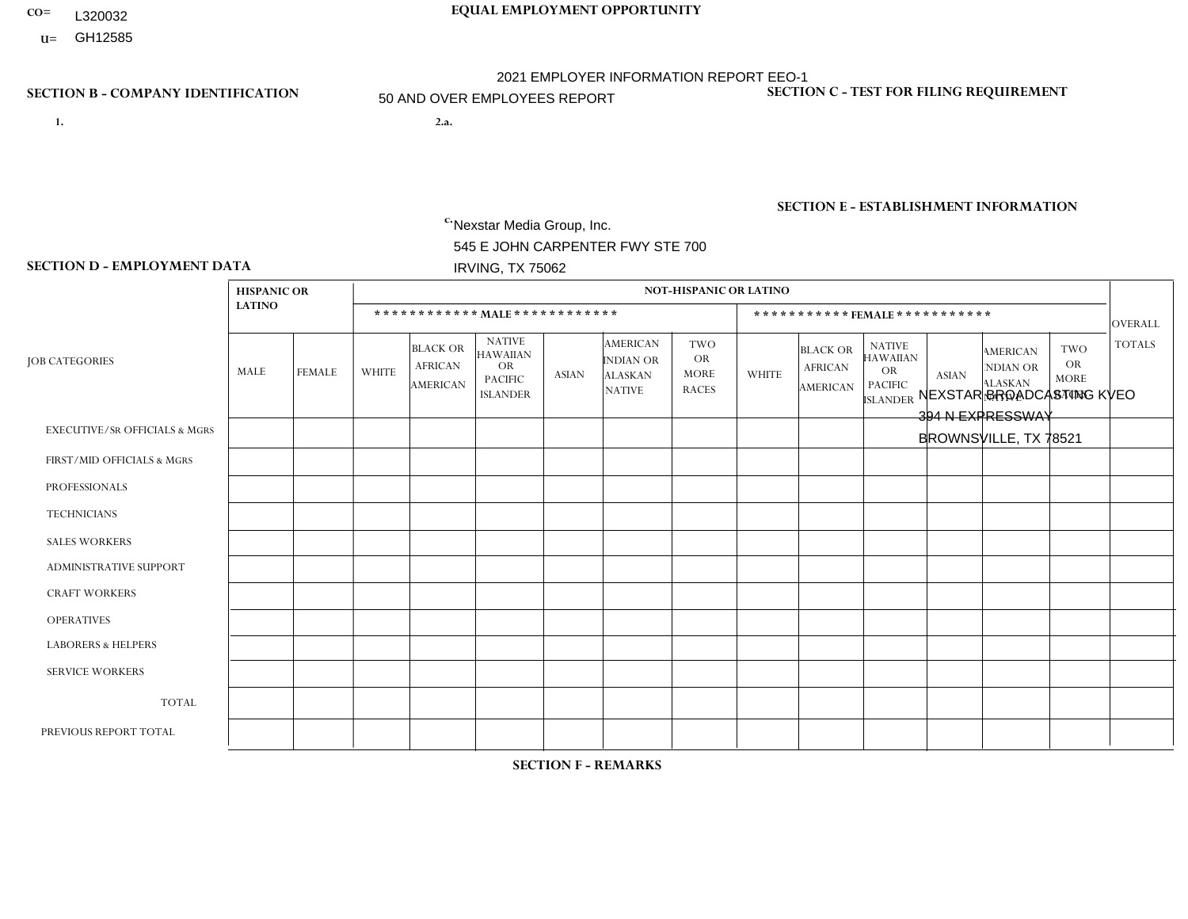- **CO= EQUAL EMPLOYMENT OPPORTUNITY** L320032
- **U=**

- **1. 2.a.** Nexstar Media Group, Inc. 545 E JOHN CARPENTER FWY STE 700 IRVING, TX 75062
- 2.a. NEXSTAR BROADCASTING KVEO 394 N EXPRESSWAY BROWNSVILLE, TX 78521

EIN= 233063152

## **SECTION B - COMPANY IDENTIFICATION SECTION C - TEST FOR FILING REQUIREMENT**

1- Y 2- N 3- Y DUNS= 058168001

**SECTION E - ESTABLISHMENT INFORMATION c.** NAICS: 515120 - Television Broadcasting

### **SECTION D - EMPLOYMENT DATA**

|                                          | <b>HISPANIC OR</b> |                |              |                                                      |                                                                                    |              |                                                                        | <b>NOT-HISPANIC OR LATINO</b>                   |                |                                               |                                                                             |              |                                                                       |                                                        |                |
|------------------------------------------|--------------------|----------------|--------------|------------------------------------------------------|------------------------------------------------------------------------------------|--------------|------------------------------------------------------------------------|-------------------------------------------------|----------------|-----------------------------------------------|-----------------------------------------------------------------------------|--------------|-----------------------------------------------------------------------|--------------------------------------------------------|----------------|
|                                          | <b>LATINO</b>      |                |              | ************ MALE *************                      |                                                                                    |              |                                                                        |                                                 |                | ***********FEMALE***********                  |                                                                             |              |                                                                       |                                                        | <b>OVERALL</b> |
| <b>JOB CATEGORIES</b>                    | MALE               | <b>FEMALE</b>  | <b>WHITE</b> | <b>BLACK OR</b><br><b>AFRICAN</b><br><b>AMERICAN</b> | <b>NATIVE</b><br><b>HAWAIIAN</b><br><b>OR</b><br><b>PACIFIC</b><br><b>ISLANDER</b> | <b>ASIAN</b> | <b>AMERICAN</b><br><b>INDIAN OR</b><br><b>ALASKAN</b><br><b>NATIVE</b> | TWO<br><b>OR</b><br><b>MORE</b><br><b>RACES</b> | <b>WHITE</b>   | <b>BLACK OR</b><br><b>AFRICAN</b><br>AMERICAN | <b>NATIVE</b><br><b>HAWAIIAN</b><br>OR<br><b>PACIFIC</b><br><b>ISLANDER</b> | <b>ASIAN</b> | <b>AMERICAN</b><br><b>NDIAN OR</b><br><b>ALASKAN</b><br><b>NATIVE</b> | <b>TWO</b><br><b>OR</b><br><b>MORE</b><br><b>RACES</b> | <b>TOTALS</b>  |
| <b>EXECUTIVE/SR OFFICIALS &amp; MGRS</b> | $\Omega$           | $\Omega$       | $\Omega$     | $\mathbf 0$                                          | $\Omega$                                                                           | $\Omega$     | $\Omega$                                                               | $\Omega$                                        | $\Omega$       | $\Omega$                                      | $\Omega$                                                                    | $\Omega$     | $\Omega$                                                              | $\mathbf{0}$                                           | $\mathbf 0$    |
| FIRST/MID OFFICIALS & MGRS               | 3                  | $\overline{2}$ | 1            | $\overline{ }$                                       | $\Omega$                                                                           | $\Omega$     | $\Omega$                                                               | $\Omega$                                        | $\overline{2}$ | $\Omega$                                      | $\Omega$                                                                    | $\mathbf{0}$ | $\Omega$                                                              | $\mathbf{0}$                                           | 9              |
| <b>PROFESSIONALS</b>                     | $\overline{7}$     | 3              | 1            | $\overline{1}$                                       | $\Omega$                                                                           | $\Omega$     | $\Omega$                                                               | $\Omega$                                        |                | $\overline{2}$                                | $\Omega$                                                                    | $\Omega$     | $\Omega$                                                              | $\mathbf{0}$                                           | 15             |
| <b>TECHNICIANS</b>                       | 22                 | 10             | 10           | $\mathbf{1}$                                         | $\Omega$                                                                           | $\Omega$     | $\Omega$                                                               | $\Omega$                                        | $\overline{2}$ | $\mathbf{1}$                                  | $\Omega$                                                                    | $\mathbf{1}$ | $\Omega$                                                              | $\Omega$                                               | 47             |
| <b>SALES WORKERS</b>                     | 3                  | 4              | 1            | $\Omega$                                             | $\Omega$                                                                           | $\Omega$     | $\Omega$                                                               | $\Omega$                                        | $\overline{2}$ | $\Omega$                                      | $\Omega$                                                                    | $\Omega$     | $\Omega$                                                              | $\Omega$                                               | 10             |
| ADMINISTRATIVE SUPPORT                   | 4                  | 5              |              | $\mathbf 0$                                          | $\Omega$                                                                           | $\Omega$     | $\Omega$                                                               | $\Omega$                                        |                | $\Omega$                                      | $\Omega$                                                                    | $\Omega$     | $\Omega$                                                              | $\Omega$                                               | 11             |
| <b>CRAFT WORKERS</b>                     | 0                  | $\Omega$       | $\Omega$     | $\mathbf 0$                                          | $\Omega$                                                                           | $\Omega$     | $\Omega$                                                               | $\Omega$                                        | 0              | $\Omega$                                      | $\Omega$                                                                    | $\Omega$     | $\Omega$                                                              | $\mathbf{0}$                                           | $\mathbf 0$    |
| <b>OPERATIVES</b>                        | 0                  | $\Omega$       | $\mathbf 0$  | $\mathbf 0$                                          | $\Omega$                                                                           | $\Omega$     | $\Omega$                                                               | $\Omega$                                        | $\Omega$       | $\Omega$                                      | $\Omega$                                                                    | $\mathbf{0}$ | $\Omega$                                                              | $\mathbf{0}$                                           | $\mathbf 0$    |
| <b>LABORERS &amp; HELPERS</b>            | 0                  | $\Omega$       | $\mathbf 0$  | $\mathbf 0$                                          | $\mathbf 0$                                                                        | $\Omega$     | $\Omega$                                                               | $\Omega$                                        | $\Omega$       | $\Omega$                                      | $\Omega$                                                                    | $\mathbf{0}$ | $\Omega$                                                              | $\Omega$                                               | 0              |
| <b>SERVICE WORKERS</b>                   | 0                  | $\Omega$       | $\Omega$     | $\mathbf 0$                                          | $\mathbf{0}$                                                                       | $\Omega$     | $\Omega$                                                               | $\Omega$                                        | $\Omega$       | $\Omega$                                      | $\Omega$                                                                    | $\Omega$     | $\Omega$                                                              | $\Omega$                                               | $\overline{0}$ |
| <b>TOTAL</b>                             | 39                 | 24             | 14           | 3                                                    | 0                                                                                  | $\Omega$     | $\Omega$                                                               | $\Omega$                                        | 8              | 3                                             | $\Omega$                                                                    | $\mathbf 1$  | 0                                                                     | $\mathbf 0$                                            | 92             |
| PREVIOUS REPORT TOTAL                    | 36                 | 29             | 17           | $\overline{1}$                                       | $\Omega$                                                                           | $\Omega$     | $\Omega$                                                               | $\Omega$                                        | 10             | 4                                             | $\Omega$                                                                    | $\Omega$     | $\Omega$                                                              | $\mathbf{1}$                                           | 98             |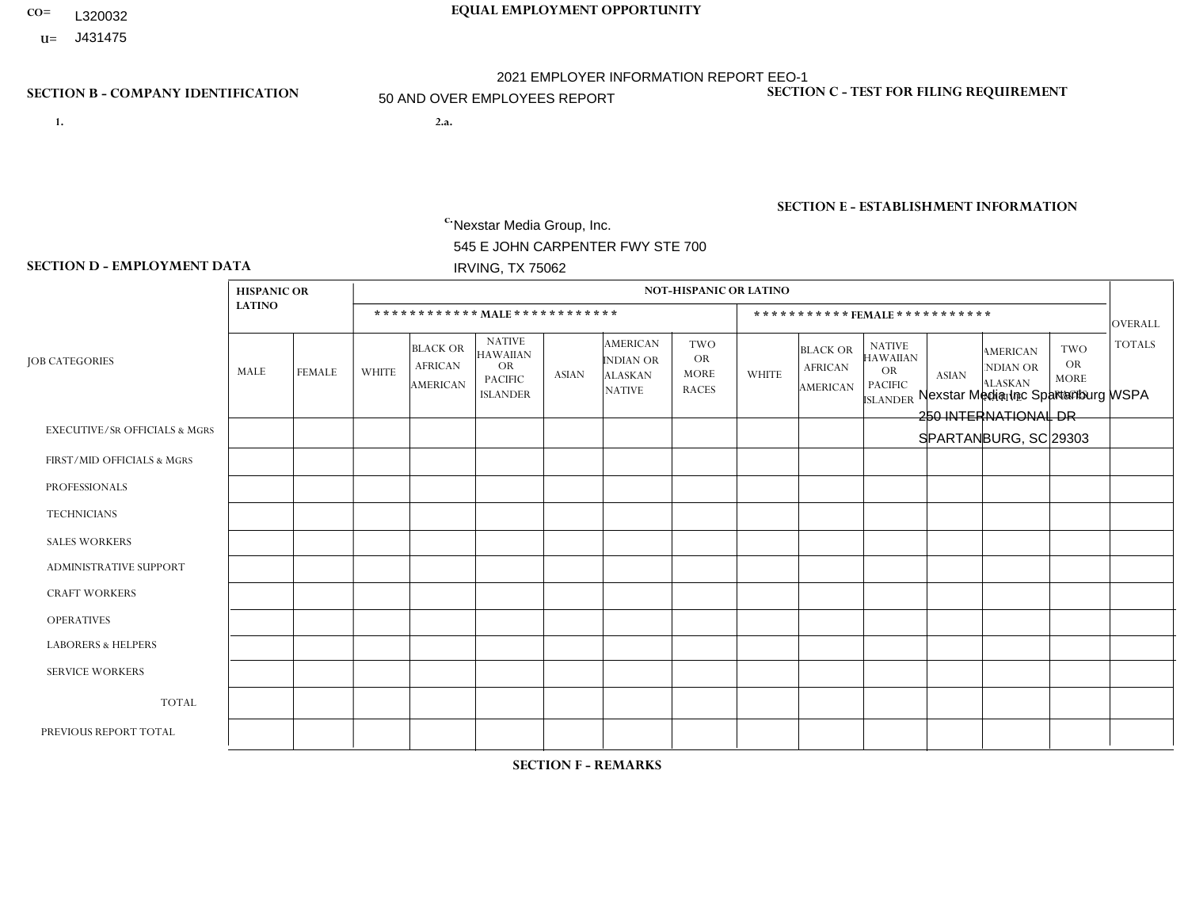- **CO= EQUAL EMPLOYMENT OPPORTUNITY** L320032
- **U=**

- **1. 2.a.** Nexstar Media Group, Inc. 545 E JOHN CARPENTER FWY STE 700 IRVING, TX 75062
- 2.a. Nexstar Media Inc Spartanburg WSPA 250 INTERNATIONAL DR SPARTANBURG, SC 29303

EIN= 233063152

## **SECTION B - COMPANY IDENTIFICATION SECTION C - TEST FOR FILING REQUIREMENT**

1- Y 2- N 3- Y DUNS= 058168001

**SECTION E - ESTABLISHMENT INFORMATION c.** NAICS: 515120 - Television Broadcasting

### **SECTION D - EMPLOYMENT DATA**

|                                          | <b>HISPANIC OR</b> |                |                |                                                      |                                                                                    |              |                                                                 | <b>NOT-HISPANIC OR LATINO</b>                          |                |                                                      |                                                                                    |                |                                                                |                                                        |                |
|------------------------------------------|--------------------|----------------|----------------|------------------------------------------------------|------------------------------------------------------------------------------------|--------------|-----------------------------------------------------------------|--------------------------------------------------------|----------------|------------------------------------------------------|------------------------------------------------------------------------------------|----------------|----------------------------------------------------------------|--------------------------------------------------------|----------------|
|                                          | <b>LATINO</b>      |                |                | ************ MALE ************                       |                                                                                    |              |                                                                 |                                                        |                | ***********FEMALE***********                         |                                                                                    |                |                                                                |                                                        | <b>OVERALL</b> |
| <b>JOB CATEGORIES</b>                    | MALE               | <b>FEMALE</b>  | <b>WHITE</b>   | <b>BLACK OR</b><br><b>AFRICAN</b><br><b>AMERICAN</b> | <b>NATIVE</b><br><b>HAWAIIAN</b><br><b>OR</b><br><b>PACIFIC</b><br><b>ISLANDER</b> | <b>ASIAN</b> | <b>AMERICAN</b><br>INDIAN OR<br><b>ALASKAN</b><br><b>NATIVE</b> | <b>TWO</b><br><b>OR</b><br><b>MORE</b><br><b>RACES</b> | <b>WHITE</b>   | <b>BLACK OR</b><br><b>AFRICAN</b><br><b>AMERICAN</b> | <b>NATIVE</b><br><b>HAWAIIAN</b><br><b>OR</b><br><b>PACIFIC</b><br><b>ISLANDER</b> | <b>ASIAN</b>   | <b>AMERICAN</b><br>NDIAN OR<br><b>ALASKAN</b><br><b>NATIVE</b> | <b>TWO</b><br><b>OR</b><br><b>MORE</b><br><b>RACES</b> | <b>TOTALS</b>  |
| <b>EXECUTIVE/SR OFFICIALS &amp; MGRS</b> | $\Omega$           | $\Omega$       |                | $\Omega$                                             | $\Omega$                                                                           | $\mathbf{0}$ | $\Omega$                                                        | $\Omega$                                               | 0              | $\Omega$                                             | $\Omega$                                                                           | $\mathbf{0}$   | $\Omega$                                                       | $\Omega$                                               | 1              |
| FIRST/MID OFFICIALS & MGRS               |                    | $\Omega$       | 5              | $\mathbf 0$                                          | $\Omega$                                                                           | -1           | $\mathbf{0}$                                                    | $\Omega$                                               | 5              | $\Omega$                                             | $\Omega$                                                                           | $\Omega$       | $\Omega$                                                       | $\Omega$                                               | 12             |
| <b>PROFESSIONALS</b>                     | 0                  | $\mathbf{1}$   | 10             | $\overline{2}$                                       | $\Omega$                                                                           | $\Omega$     | $\Omega$                                                        | $\Omega$                                               | $\overline{7}$ | $\overline{2}$                                       | $\Omega$                                                                           | $\Omega$       | $\Omega$                                                       | $\Omega$                                               | 22             |
| <b>TECHNICIANS</b>                       | 3                  | 5              | 54             | 9                                                    | $\overline{0}$                                                                     | $\Omega$     | $\Omega$                                                        |                                                        | 25             | 5                                                    | $\Omega$                                                                           | $\mathbf 0$    | 1                                                              | $\overline{2}$                                         | 105            |
| <b>SALES WORKERS</b>                     |                    | $\Omega$       | $\overline{7}$ | $\Omega$                                             | $\Omega$                                                                           | $\Omega$     | $\Omega$                                                        | $\Omega$                                               | 5              | $\Omega$                                             | $\Omega$                                                                           | $\Omega$       | $\Omega$                                                       | $\Omega$                                               | 13             |
| <b>ADMINISTRATIVE SUPPORT</b>            | 0                  | $\Omega$       | 3              | $\mathbf 0$                                          | $\Omega$                                                                           | $\mathbf{0}$ | $\Omega$                                                        | $\Omega$                                               | 8              | $\overline{2}$                                       | $\Omega$                                                                           | $\mathbf{1}$   | $\Omega$                                                       | $\Omega$                                               | 14             |
| <b>CRAFT WORKERS</b>                     | 0                  | $\Omega$       | $\mathbf 0$    | $\mathbf 0$                                          | $\Omega$                                                                           | $\Omega$     | $\Omega$                                                        | $\Omega$                                               | 0              | $\Omega$                                             | $\Omega$                                                                           | $\mathbf{0}$   | $\Omega$                                                       | $\mathbf{0}$                                           | $\mathbf 0$    |
| <b>OPERATIVES</b>                        | 0                  | $\Omega$       | $\Omega$       | $\mathbf 0$                                          | $\mathbf 0$                                                                        | $\Omega$     | $\Omega$                                                        | $\Omega$                                               | $\overline{0}$ | $\Omega$                                             | $\Omega$                                                                           | $\mathbf 0$    | $\mathbf 0$                                                    | $\mathbf 0$                                            | $\mathbf 0$    |
| <b>LABORERS &amp; HELPERS</b>            | 0                  | $\Omega$       | $\Omega$       | $\Omega$                                             | $\Omega$                                                                           | $\Omega$     | $\Omega$                                                        | $\Omega$                                               | 0              | $\Omega$                                             | $\Omega$                                                                           | $\Omega$       | $\Omega$                                                       | $\Omega$                                               | $\mathbf 0$    |
| <b>SERVICE WORKERS</b>                   | 0                  | $\Omega$       | $\mathbf 0$    | 0                                                    | 0                                                                                  | $\Omega$     | $\mathbf{0}$                                                    | $\Omega$                                               | $\Omega$       | $\Omega$                                             | $\Omega$                                                                           | 0              | $\Omega$                                                       | $\mathbf 0$                                            | 0              |
| <b>TOTAL</b>                             | 5                  | 6              | 80             | 11                                                   | 0                                                                                  | -1           | $\Omega$                                                        |                                                        | 50             | 9                                                    | $\Omega$                                                                           |                | 1                                                              | 2                                                      | 167            |
| PREVIOUS REPORT TOTAL                    | 4                  | $\overline{4}$ | 78             | 10                                                   | 0                                                                                  | $\Omega$     | $\Omega$                                                        | $\overline{2}$                                         | 52             | 13                                                   | $\Omega$                                                                           | $\overline{1}$ | 1                                                              | $\overline{2}$                                         | 167            |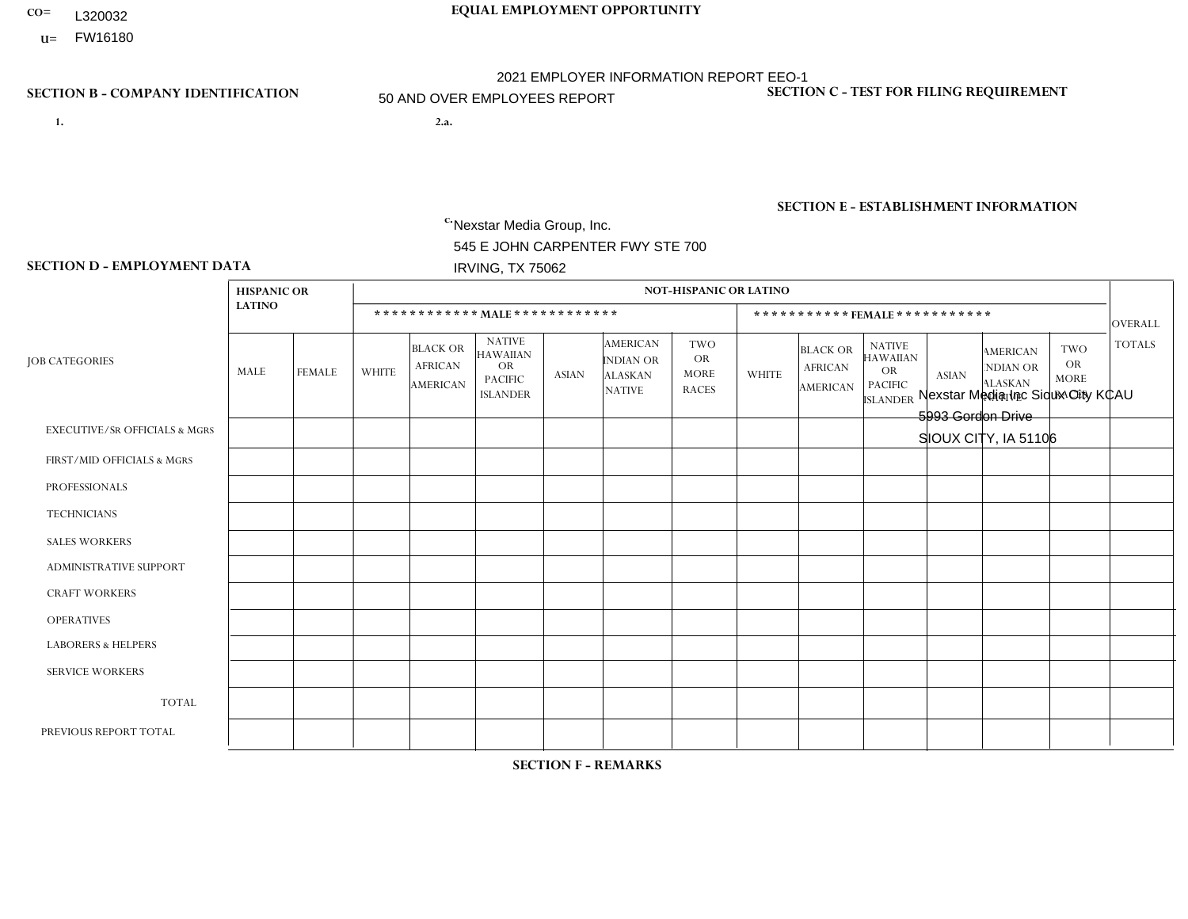- **CO= EQUAL EMPLOYMENT OPPORTUNITY** L320032
- **U=**

- **1. 2.a.** Nexstar Media Group, Inc. 545 E JOHN CARPENTER FWY STE 700 IRVING, TX 75062
- 2.a. Nexstar Media Inc Sioux City KCAU 5993 Gordon Drive SIOUX CITY, IA 51106

EIN= 233063152

## **SECTION B - COMPANY IDENTIFICATION SECTION C - TEST FOR FILING REQUIREMENT**

1- Y 2- N 3- Y DUNS= 058168001

## **SECTION E - ESTABLISHMENT INFORMATION c.** NAICS: 515120 - Television Broadcasting

### **SECTION D - EMPLOYMENT DATA**

|                                          | <b>HISPANIC OR</b> |                |                |                                                      |                                                                                    |              |                                                                        | <b>NOT-HISPANIC OR LATINO</b>                          |                |                                               |                                                                             |              |                                                                       |                                                        |                |
|------------------------------------------|--------------------|----------------|----------------|------------------------------------------------------|------------------------------------------------------------------------------------|--------------|------------------------------------------------------------------------|--------------------------------------------------------|----------------|-----------------------------------------------|-----------------------------------------------------------------------------|--------------|-----------------------------------------------------------------------|--------------------------------------------------------|----------------|
|                                          | <b>LATINO</b>      |                |                |                                                      | ************ MAIE************                                                      |              |                                                                        |                                                        |                |                                               | *********** FEMALE ***********                                              |              |                                                                       |                                                        | <b>OVERALL</b> |
| <b>JOB CATEGORIES</b>                    | MALE               | <b>FEMALE</b>  | <b>WHITE</b>   | <b>BLACK OR</b><br><b>AFRICAN</b><br><b>AMERICAN</b> | <b>NATIVE</b><br><b>HAWAIIAN</b><br><b>OR</b><br><b>PACIFIC</b><br><b>ISLANDER</b> | <b>ASIAN</b> | <b>AMERICAN</b><br><b>INDIAN OR</b><br><b>ALASKAN</b><br><b>NATIVE</b> | <b>TWO</b><br><b>OR</b><br><b>MORE</b><br><b>RACES</b> | <b>WHITE</b>   | <b>BLACK OR</b><br><b>AFRICAN</b><br>AMERICAN | <b>NATIVE</b><br><b>HAWAIIAN</b><br>OR<br><b>PACIFIC</b><br><b>ISLANDER</b> | <b>ASIAN</b> | <b>AMERICAN</b><br><b>NDIAN OR</b><br><b>ALASKAN</b><br><b>NATIVE</b> | <b>TWO</b><br><b>OR</b><br><b>MORE</b><br><b>RACES</b> | <b>TOTALS</b>  |
| <b>EXECUTIVE/SR OFFICIALS &amp; MGRS</b> | $\mathbf{0}$       | $\Omega$       | $\Omega$       | $\Omega$                                             | $\Omega$                                                                           | $\Omega$     | $\Omega$                                                               | $\Omega$                                               | $\Omega$       | $\Omega$                                      | $\Omega$                                                                    | $\Omega$     | $\Omega$                                                              | $\Omega$                                               | $\Omega$       |
| FIRST/MID OFFICIALS & MGRS               |                    | $\mathbf 0$    | 3              | $\mathbf 0$                                          | $\Omega$                                                                           | $\Omega$     | $\Omega$                                                               | $\Omega$                                               | 1              | $\Omega$                                      | $\Omega$                                                                    | $\Omega$     | $\Omega$                                                              | $\Omega$                                               | 5              |
| <b>PROFESSIONALS</b>                     | $\mathbf 0$        | $\mathbf 0$    | $\overline{4}$ | $\mathbf 0$                                          | $\Omega$                                                                           | $\Omega$     | $\Omega$                                                               | $\Omega$                                               | $\overline{2}$ | $\Omega$                                      | $\Omega$                                                                    | $\Omega$     | $\Omega$                                                              | $\mathbf 0$                                            | 6              |
| <b>TECHNICIANS</b>                       | $\overline{2}$     | $\overline{2}$ | 22             | $\Omega$                                             | $\Omega$                                                                           | $\Omega$     | $\Omega$                                                               |                                                        | $\overline{7}$ | $\Omega$                                      | $\Omega$                                                                    | $\Omega$     | $\Omega$                                                              | $\Omega$                                               | 34             |
| <b>SALES WORKERS</b>                     | $\mathbf{0}$       | $\Omega$       | 5              | $\Omega$                                             | $\Omega$                                                                           | $\Omega$     | $\Omega$                                                               | $\Omega$                                               | $\overline{2}$ | $\Omega$                                      | $\Omega$                                                                    | $\Omega$     | $\Omega$                                                              | $\Omega$                                               | $\overline{7}$ |
| <b>ADMINISTRATIVE SUPPORT</b>            |                    | $\mathbf 0$    | 3              | $\mathbf 0$                                          | $\mathbf{0}$                                                                       | $\Omega$     | $\Omega$                                                               | $\Omega$                                               | 5              | $\Omega$                                      | $\Omega$                                                                    | $\Omega$     | $\Omega$                                                              | $\Omega$                                               | 9              |
| <b>CRAFT WORKERS</b>                     | $\Omega$           | $\mathbf{0}$   | $\mathbf 0$    | $\mathbf 0$                                          | $\Omega$                                                                           | $\Omega$     | $\Omega$                                                               | $\Omega$                                               | $\Omega$       | $\Omega$                                      | $\Omega$                                                                    | $\Omega$     | $\Omega$                                                              | $\Omega$                                               | $\mathbf 0$    |
| <b>OPERATIVES</b>                        | $\mathbf{0}$       | $\Omega$       | $\Omega$       | $\Omega$                                             | $\Omega$                                                                           | $\Omega$     | $\Omega$                                                               | $\Omega$                                               | $\Omega$       | $\Omega$                                      | $\Omega$                                                                    | $\Omega$     | $\Omega$                                                              | $\Omega$                                               | $\mathbf 0$    |
| <b>LABORERS &amp; HELPERS</b>            | $\mathbf{0}$       | $\mathbf{0}$   | $\mathbf 0$    | $\mathbf 0$                                          | $\Omega$                                                                           | $\Omega$     | $\Omega$                                                               | $\Omega$                                               | $\Omega$       | $\Omega$                                      | $\Omega$                                                                    | $\Omega$     | $\Omega$                                                              | $\Omega$                                               | 0              |
| <b>SERVICE WORKERS</b>                   | $\Omega$           | 0              | $\mathbf 0$    | $\mathbf 0$                                          | $\Omega$                                                                           | $\Omega$     | $\Omega$                                                               | $\Omega$                                               | $\Omega$       | $\Omega$                                      | $\Omega$                                                                    | $\Omega$     | $\Omega$                                                              | $\Omega$                                               | $\mathbf 0$    |
| <b>TOTAL</b>                             | $\overline{4}$     | $\overline{2}$ | 37             | 0                                                    | $\Omega$                                                                           | $\Omega$     | $\Omega$                                                               |                                                        | 17             | $\Omega$                                      | $\Omega$                                                                    | $\Omega$     | $\Omega$                                                              | $\Omega$                                               | 61             |
| PREVIOUS REPORT TOTAL                    | 5                  | 3              | 31             | 0                                                    | $\mathbf{0}$                                                                       | $\Omega$     | $\Omega$                                                               | 4                                                      | 18             | $\Omega$                                      | $\Omega$                                                                    | $\Omega$     | $\Omega$                                                              | $\mathbf 0$                                            | 61             |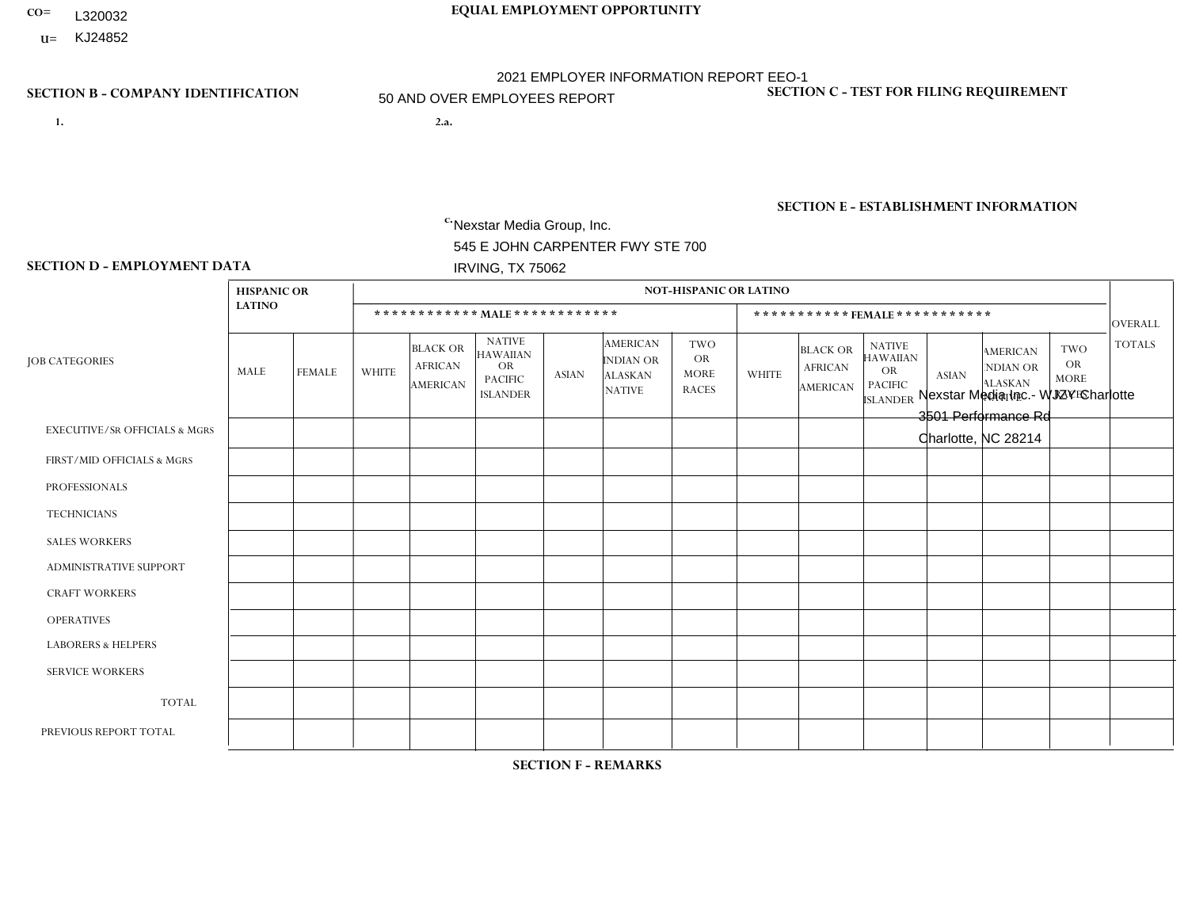- **CO= EQUAL EMPLOYMENT OPPORTUNITY** L320032
	- **U=** KJ24852

- **1. 2.a.** Nexstar Media Group, Inc. 545 E JOHN CARPENTER FWY STE 700 IRVING, TX 75062
- 2.a. Nexstar Media Inc.- WJZY Charlotte 3501 Performance Rd Charlotte, NC 28214

EIN= 361880355

## **SECTION B - COMPANY IDENTIFICATION SECTION C - TEST FOR FILING REQUIREMENT**

1- Y 2- N 3- Y DUNS= 058168001

**SECTION E - ESTABLISHMENT INFORMATION c.** NAICS: 515120 - Television Broadcasting

### **SECTION D - EMPLOYMENT DATA**

|                                          | <b>HISPANIC OR</b> |                |              |                                                      |                                                                                    |              |                                                                        | <b>NOT-HISPANIC OR LATINO</b>                          |              |                                                      |                                                                             |                |                                                                       |                                                        |                |
|------------------------------------------|--------------------|----------------|--------------|------------------------------------------------------|------------------------------------------------------------------------------------|--------------|------------------------------------------------------------------------|--------------------------------------------------------|--------------|------------------------------------------------------|-----------------------------------------------------------------------------|----------------|-----------------------------------------------------------------------|--------------------------------------------------------|----------------|
|                                          | <b>LATINO</b>      |                |              |                                                      | ************ MALE************                                                      |              |                                                                        |                                                        |              | ***********FEMALE***********                         |                                                                             |                |                                                                       |                                                        | <b>OVERALL</b> |
| <b>JOB CATEGORIES</b>                    | MALE               | <b>FEMALE</b>  | <b>WHITE</b> | <b>BLACK OR</b><br><b>AFRICAN</b><br><b>AMERICAN</b> | <b>NATIVE</b><br><b>HAWAIIAN</b><br><b>OR</b><br><b>PACIFIC</b><br><b>ISLANDER</b> | <b>ASIAN</b> | <b>AMERICAN</b><br><b>INDIAN OR</b><br><b>ALASKAN</b><br><b>NATIVE</b> | <b>TWO</b><br><b>OR</b><br><b>MORE</b><br><b>RACES</b> | <b>WHITE</b> | <b>BLACK OR</b><br><b>AFRICAN</b><br><b>AMERICAN</b> | <b>NATIVE</b><br><b>HAWAIIAN</b><br>OR<br><b>PACIFIC</b><br><b>ISLANDER</b> | <b>ASIAN</b>   | <b>AMERICAN</b><br><b>NDIAN OR</b><br><b>ALASKAN</b><br><b>NATIVE</b> | <b>TWO</b><br><b>OR</b><br><b>MORE</b><br><b>RACES</b> | <b>TOTALS</b>  |
| <b>EXECUTIVE/SR OFFICIALS &amp; MGRS</b> | $\Omega$           | $\mathbf 0$    | 1            | $\mathbf 0$                                          | $\mathbf 0$                                                                        | $\mathbf 0$  | $\Omega$                                                               | $\Omega$                                               | $\Omega$     | $\Omega$                                             | $\Omega$                                                                    | $\mathbf 0$    | $\Omega$                                                              | $\Omega$                                               |                |
| FIRST/MID OFFICIALS & MGRS               |                    | 0              | 8            | $\mathbf 0$                                          | 0                                                                                  | 0            | $\Omega$                                                               | $\Omega$                                               | 6            | 1                                                    | $\Omega$                                                                    | $\Omega$       | $\Omega$                                                              | -1                                                     | 17             |
| <b>PROFESSIONALS</b>                     | $\overline{2}$     | $\Omega$       | 23           | $\overline{2}$                                       | $\Omega$                                                                           | $\mathbf{1}$ | $\Omega$                                                               | 1                                                      | 19           | 4                                                    | $\Omega$                                                                    | $\overline{2}$ | $\Omega$                                                              | $\Omega$                                               | 54             |
| <b>TECHNICIANS</b>                       | $\overline{2}$     | $\mathbf{1}$   | 19           | 5                                                    | 0                                                                                  | 0            | $\Omega$                                                               | $\Omega$                                               | 5            | 3                                                    | $\Omega$                                                                    | $\mathbf 0$    | $\Omega$                                                              | $\Omega$                                               | 35             |
| <b>SALES WORKERS</b>                     | $\Omega$           | $\overline{0}$ | 4            | $\mathbf 0$                                          | $\mathbf 0$                                                                        | $\Omega$     | $\Omega$                                                               | $\Omega$                                               | 5            | $\mathbf{1}$                                         | $\Omega$                                                                    | $\Omega$       | $\Omega$                                                              | $\Omega$                                               | 10             |
| ADMINISTRATIVE SUPPORT                   | 0                  | 0              | 1            | $\mathbf 0$                                          | $\mathbf 0$                                                                        | 0            | $\Omega$                                                               | $\Omega$                                               | $\Omega$     | 4                                                    | $\Omega$                                                                    | $\Omega$       | $\Omega$                                                              | $\Omega$                                               | 5              |
| <b>CRAFT WORKERS</b>                     | 0                  | $\Omega$       | $\mathbf 0$  | $\mathbf 0$                                          | $\Omega$                                                                           | $\Omega$     | $\Omega$                                                               | $\Omega$                                               | $\Omega$     | $\Omega$                                             | $\Omega$                                                                    | $\Omega$       | $\Omega$                                                              | $\Omega$                                               | $\Omega$       |
| <b>OPERATIVES</b>                        | 0                  | $\Omega$       | $\mathbf 0$  | $\mathbf 0$                                          | 0                                                                                  | $\Omega$     | $\Omega$                                                               | $\Omega$                                               | 0            | $\Omega$                                             | $\Omega$                                                                    | $\Omega$       | $\Omega$                                                              | $\Omega$                                               | $\mathbf 0$    |
| <b>LABORERS &amp; HELPERS</b>            | 0                  | $\Omega$       | $\mathbf 0$  | $\mathbf 0$                                          | $\mathbf 0$                                                                        | $\Omega$     | $\Omega$                                                               | $\Omega$                                               | $\Omega$     | $\Omega$                                             | $\Omega$                                                                    | $\Omega$       | $\Omega$                                                              | $\Omega$                                               | $\mathbf 0$    |
| <b>SERVICE WORKERS</b>                   | 0                  | $\mathbf{0}$   | $\mathbf 0$  | $\mathbf 0$                                          | 0                                                                                  | 0            | $\Omega$                                                               | $\Omega$                                               | 0            | $\Omega$                                             | $\Omega$                                                                    | $\mathbf 0$    | $\Omega$                                                              | 0                                                      | $\mathbf 0$    |
| <b>TOTAL</b>                             | 5                  | $\mathbf{1}$   | 56           | $\overline{7}$                                       | 0                                                                                  | $\mathbf 1$  | $\Omega$                                                               | 1                                                      | 35           | 13                                                   | $\Omega$                                                                    | $\overline{2}$ | $\Omega$                                                              | $\mathbf{1}$                                           | 122            |
| PREVIOUS REPORT TOTAL                    | 3                  | $\mathbf{1}$   | 52           | $\overline{7}$                                       | 0                                                                                  | $\Omega$     | $\Omega$                                                               | $\Omega$                                               | 29           | 17                                                   | $\Omega$                                                                    |                | $\mathbf 0$                                                           | $\overline{1}$                                         | 111            |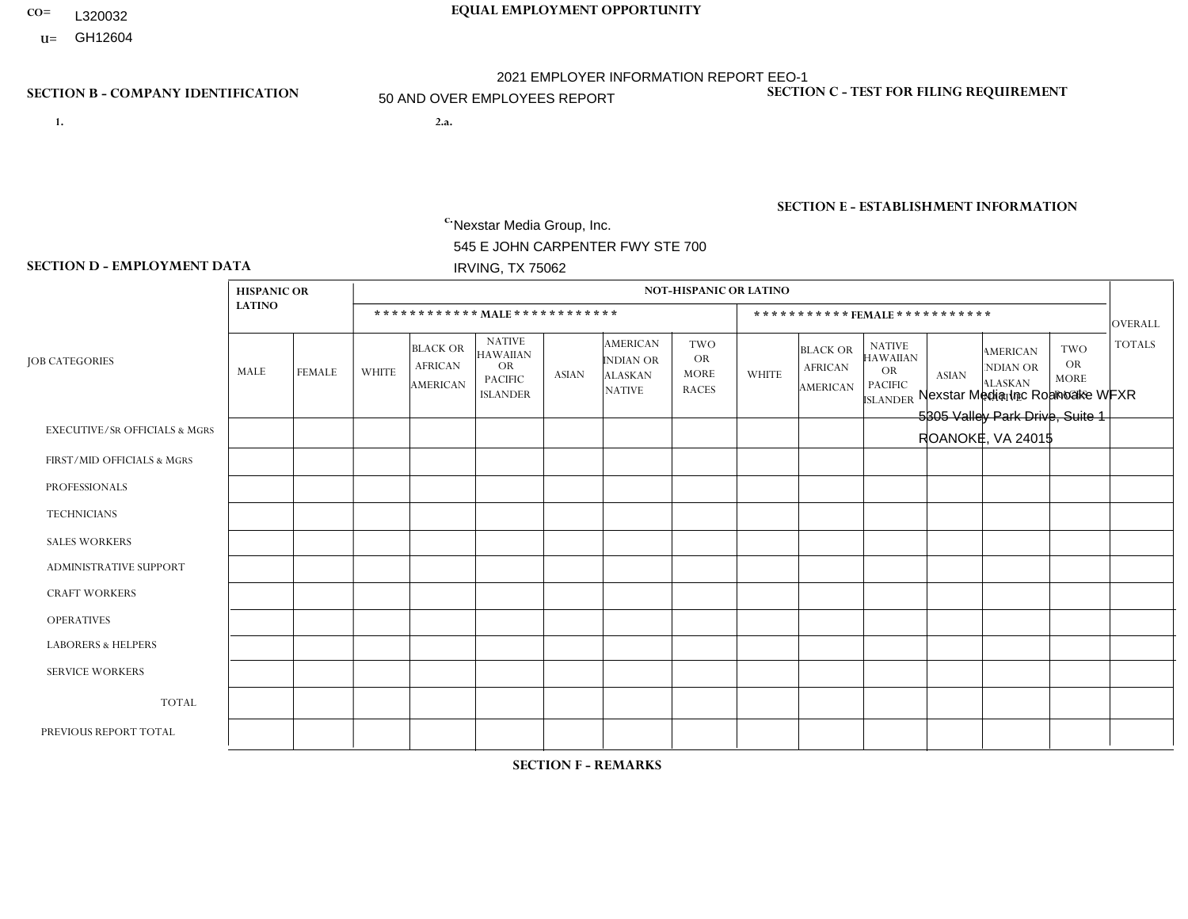- **CO= EQUAL EMPLOYMENT OPPORTUNITY** L320032
- **U=**

- **1. 2.a.** Nexstar Media Group, Inc. 545 E JOHN CARPENTER FWY STE 700 IRVING, TX 75062
- 2.a. Nexstar Media Inc Roanoake WFXR 5305 Valley Park Drive, Suite 1 ROANOKE, VA 24015

EIN= 233063152

## **SECTION B - COMPANY IDENTIFICATION SECTION C - TEST FOR FILING REQUIREMENT**

1- Y 2- N 3- Y DUNS= 058168001

## **SECTION E - ESTABLISHMENT INFORMATION c.** NAICS: 515120 - Television Broadcasting

### **SECTION D - EMPLOYMENT DATA**

|                                          | <b>HISPANIC OR</b> |                |                |                                                      |                                                                                    |              |                                                                        | <b>NOT-HISPANIC OR LATINO</b>                          |              |                                               |                                                                             |              |                                                                       |                                                        |                |
|------------------------------------------|--------------------|----------------|----------------|------------------------------------------------------|------------------------------------------------------------------------------------|--------------|------------------------------------------------------------------------|--------------------------------------------------------|--------------|-----------------------------------------------|-----------------------------------------------------------------------------|--------------|-----------------------------------------------------------------------|--------------------------------------------------------|----------------|
|                                          | <b>LATINO</b>      |                |                |                                                      | ************ MAIE************                                                      |              |                                                                        |                                                        |              |                                               | *********** FEMALE ***********                                              |              |                                                                       |                                                        | <b>OVERALL</b> |
| <b>JOB CATEGORIES</b>                    | MALE               | <b>FEMALE</b>  | <b>WHITE</b>   | <b>BLACK OR</b><br><b>AFRICAN</b><br><b>AMERICAN</b> | <b>NATIVE</b><br><b>HAWAIIAN</b><br><b>OR</b><br><b>PACIFIC</b><br><b>ISLANDER</b> | <b>ASIAN</b> | <b>AMERICAN</b><br><b>INDIAN OR</b><br><b>ALASKAN</b><br><b>NATIVE</b> | <b>TWO</b><br><b>OR</b><br><b>MORE</b><br><b>RACES</b> | <b>WHITE</b> | <b>BLACK OR</b><br><b>AFRICAN</b><br>AMERICAN | <b>NATIVE</b><br><b>HAWAIIAN</b><br>OR<br><b>PACIFIC</b><br><b>ISLANDER</b> | <b>ASIAN</b> | <b>AMERICAN</b><br><b>NDIAN OR</b><br><b>ALASKAN</b><br><b>NATIVE</b> | <b>TWO</b><br><b>OR</b><br><b>MORE</b><br><b>RACES</b> | <b>TOTALS</b>  |
| <b>EXECUTIVE/SR OFFICIALS &amp; MGRS</b> | $\mathbf{0}$       | $\Omega$       | $\Omega$       | $\Omega$                                             | $\mathbf{0}$                                                                       | $\Omega$     | $\Omega$                                                               | $\Omega$                                               | $\Omega$     | $\Omega$                                      | $\Omega$                                                                    | $\Omega$     | $\Omega$                                                              | $\Omega$                                               | $\Omega$       |
| FIRST/MID OFFICIALS & MGRS               | 2                  | 0              | $\overline{2}$ | $\mathbf 0$                                          | $\mathbf{0}$                                                                       | $\Omega$     | $\Omega$                                                               | $\Omega$                                               | $\Omega$     | $\Omega$                                      | $\Omega$                                                                    | $\Omega$     | $\Omega$                                                              | $\Omega$                                               | $\overline{4}$ |
| <b>PROFESSIONALS</b>                     |                    | 1              | 3              | 0                                                    | $\Omega$                                                                           | $\Omega$     | $\Omega$                                                               | $\Omega$                                               | 4            | $\overline{2}$                                | $\Omega$                                                                    | $\Omega$     | $\Omega$                                                              | $\Omega$                                               | 11             |
| <b>TECHNICIANS</b>                       |                    | 1              | 15             | 6                                                    | $\Omega$                                                                           |              | $\Omega$                                                               | $\overline{2}$                                         | 6            | $\overline{4}$                                | $\Omega$                                                                    | $\Omega$     | $\Omega$                                                              | $\Omega$                                               | 36             |
| <b>SALES WORKERS</b>                     | $\mathbf 0$        | $\mathbf 0$    | $\overline{2}$ | $\mathbf 1$                                          | $\Omega$                                                                           | $\Omega$     | $\Omega$                                                               | $\Omega$                                               | 5            | $\Omega$                                      | $\Omega$                                                                    | $\Omega$     | $\Omega$                                                              | $\Omega$                                               | 8              |
| <b>ADMINISTRATIVE SUPPORT</b>            | $\mathbf 0$        | $\mathbf 0$    | $\mathbf 0$    | $\mathbf 0$                                          | $\mathbf{0}$                                                                       | $\Omega$     | $\Omega$                                                               | $\Omega$                                               | 4            | 1                                             | $\Omega$                                                                    | $\Omega$     | $\Omega$                                                              | $\Omega$                                               | 5              |
| <b>CRAFT WORKERS</b>                     | $\Omega$           | 0              | $\mathbf 0$    | 0                                                    | $\Omega$                                                                           | $\Omega$     | $\Omega$                                                               | $\Omega$                                               | $\Omega$     | $\Omega$                                      | $\Omega$                                                                    | $\Omega$     | $\Omega$                                                              | $\Omega$                                               | $\Omega$       |
| <b>OPERATIVES</b>                        | $\mathbf{0}$       | $\overline{0}$ | $\mathbf 0$    | $\mathbf 0$                                          | $\Omega$                                                                           | $\Omega$     | 0                                                                      | $\Omega$                                               | $\Omega$     | $\Omega$                                      | $\Omega$                                                                    | $\Omega$     | $\Omega$                                                              | $\Omega$                                               | $\mathbf 0$    |
| <b>LABORERS &amp; HELPERS</b>            | $\mathbf{0}$       | $\Omega$       | $\mathbf 0$    | 0                                                    | $\Omega$                                                                           | $\Omega$     | $\Omega$                                                               | $\Omega$                                               | $\Omega$     | $\Omega$                                      | $\Omega$                                                                    | $\Omega$     | $\Omega$                                                              | $\Omega$                                               | $\mathbf 0$    |
| <b>SERVICE WORKERS</b>                   | $\mathbf{0}$       | $\mathbf 0$    | $\mathbf 0$    | $\mathbf 0$                                          | $\Omega$                                                                           | $\Omega$     | $\Omega$                                                               | $\Omega$                                               | $\Omega$     | $\Omega$                                      | $\Omega$                                                                    | $\Omega$     | $\Omega$                                                              | $\Omega$                                               | $\mathbf 0$    |
| <b>TOTAL</b>                             | 4                  | $\overline{2}$ | 22             | $\overline{7}$                                       | $\mathbf{0}$                                                                       | -1           | $\Omega$                                                               | 2                                                      | 19           | $\overline{7}$                                | 0                                                                           | $\mathbf 0$  | 0                                                                     | 0                                                      | 64             |
| PREVIOUS REPORT TOTAL                    | 4                  | $\overline{2}$ | 27             | 6                                                    | $\Omega$                                                                           |              | $\Omega$                                                               |                                                        | 25           | 6                                             | $\mathbf 0$                                                                 | $\Omega$     | $\Omega$                                                              | $\mathbf 0$                                            | 72             |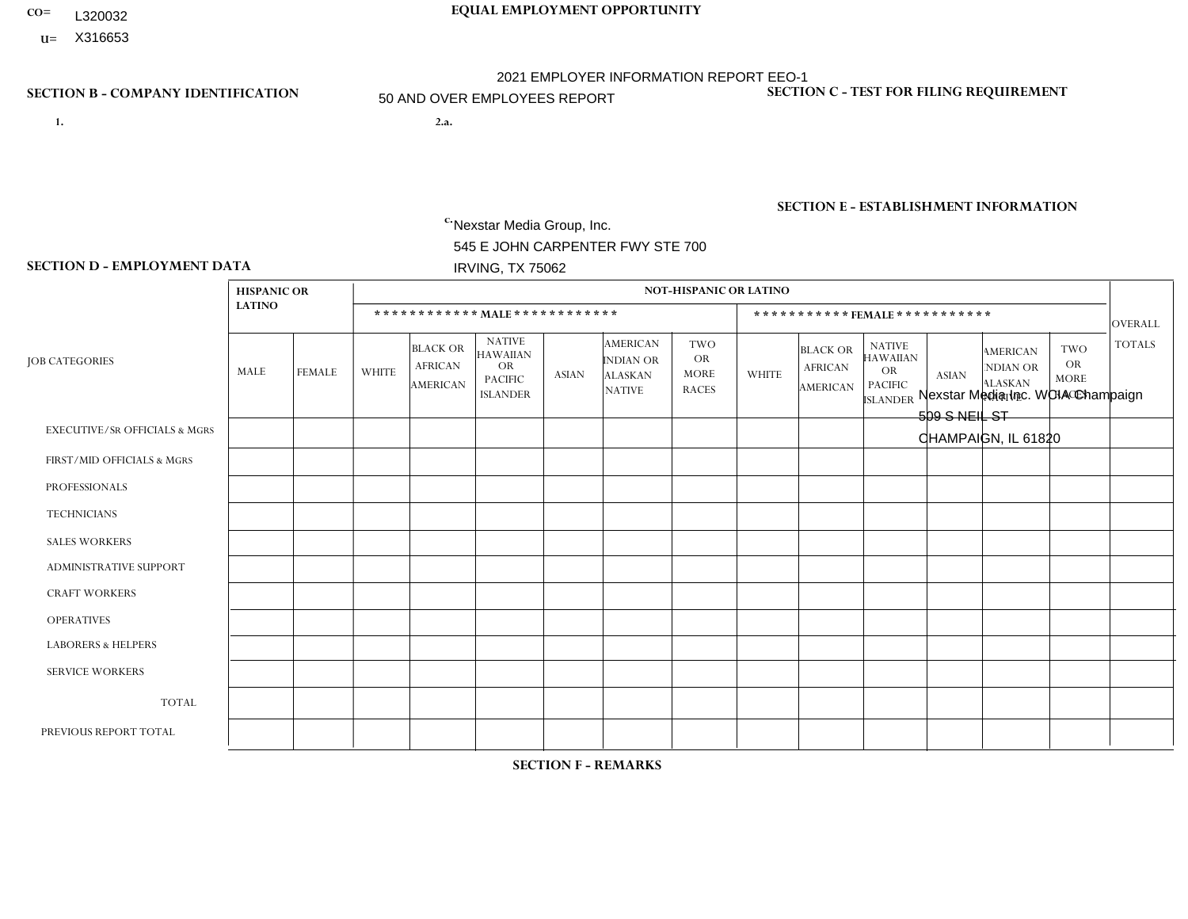- **CO= EQUAL EMPLOYMENT OPPORTUNITY** L320032
- **U=**

- **1. 2.a.** Nexstar Media Group, Inc. 545 E JOHN CARPENTER FWY STE 700 IRVING, TX 75062
- 2.a. Nexstar Media Inc. WCIA Champaign 509 S NEIL ST CHAMPAIGN, IL 61820

EIN= 233063152

## **SECTION B - COMPANY IDENTIFICATION SECTION C - TEST FOR FILING REQUIREMENT**

1- Y 2- N 3- Y DUNS= 058168001

## **SECTION E - ESTABLISHMENT INFORMATION c.** NAICS: 515120 - Television Broadcasting

### **SECTION D - EMPLOYMENT DATA**

|                                          | <b>HISPANIC OR</b> |               |                |                                                      |                                                                                    |              |                                                                        | <b>NOT-HISPANIC OR LATINO</b>                          |                |                                               |                                                                             |              |                                                                       |                                                        |                |
|------------------------------------------|--------------------|---------------|----------------|------------------------------------------------------|------------------------------------------------------------------------------------|--------------|------------------------------------------------------------------------|--------------------------------------------------------|----------------|-----------------------------------------------|-----------------------------------------------------------------------------|--------------|-----------------------------------------------------------------------|--------------------------------------------------------|----------------|
|                                          | <b>LATINO</b>      |               |                |                                                      | ************ MALE ************                                                     |              |                                                                        |                                                        |                | ***********FEMALE***********                  |                                                                             |              |                                                                       |                                                        | <b>OVERALL</b> |
| <b>JOB CATEGORIES</b>                    | MALE               | <b>FEMALE</b> | <b>WHITE</b>   | <b>BLACK OR</b><br><b>AFRICAN</b><br><b>AMERICAN</b> | <b>NATIVE</b><br><b>HAWAIIAN</b><br><b>OR</b><br><b>PACIFIC</b><br><b>ISLANDER</b> | <b>ASIAN</b> | <b>AMERICAN</b><br><b>INDIAN OR</b><br><b>ALASKAN</b><br><b>NATIVE</b> | <b>TWO</b><br><b>OR</b><br><b>MORE</b><br><b>RACES</b> | <b>WHITE</b>   | <b>BLACK OR</b><br><b>AFRICAN</b><br>AMERICAN | <b>NATIVE</b><br><b>HAWAIIAN</b><br>OR<br><b>PACIFIC</b><br><b>ISLANDER</b> | <b>ASIAN</b> | <b>AMERICAN</b><br><b>NDIAN OR</b><br><b>ALASKAN</b><br><b>NATIVE</b> | <b>TWO</b><br><b>OR</b><br><b>MORE</b><br><b>RACES</b> | <b>TOTALS</b>  |
| <b>EXECUTIVE/SR OFFICIALS &amp; MGRS</b> | $\Omega$           | $\Omega$      | $\Omega$       | $\Omega$                                             | $\Omega$                                                                           | $\mathbf{0}$ | $\Omega$                                                               | $\Omega$                                               | 0              | $\Omega$                                      | $\Omega$                                                                    | $\Omega$     | $\Omega$                                                              | $\Omega$                                               | $\Omega$       |
| FIRST/MID OFFICIALS & MGRS               | 0                  | 0             | $\overline{2}$ | $\mathbf 0$                                          | $\Omega$                                                                           | $\Omega$     | $\Omega$                                                               | $\Omega$                                               |                | $\Omega$                                      | $\Omega$                                                                    | $\mathbf{0}$ | $\Omega$                                                              | $\mathbf 0$                                            | 3              |
| <b>PROFESSIONALS</b>                     | $\Omega$           | $\mathbf{1}$  | 9              | $\mathbf 0$                                          | $\Omega$                                                                           | $\Omega$     | $\Omega$                                                               |                                                        | 6              | $\Omega$                                      | $\Omega$                                                                    | $\Omega$     | $\Omega$                                                              | $\Omega$                                               | 17             |
| <b>TECHNICIANS</b>                       |                    | $\mathbf{1}$  | 28             | $\overline{4}$                                       | $\mathbf 0$                                                                        | $\Omega$     | $\Omega$                                                               |                                                        | 13             | $\overline{2}$                                | $\Omega$                                                                    | $\mathbf{1}$ | $\mathbf 0$                                                           | $\Omega$                                               | 51             |
| <b>SALES WORKERS</b>                     | $\Omega$           | $\Omega$      | 5              | $\Omega$                                             | $\Omega$                                                                           | $\Omega$     | $\Omega$                                                               | $\Omega$                                               | 3              | $\Omega$                                      | $\Omega$                                                                    | $\Omega$     | $\Omega$                                                              | $\mathbf{0}$                                           | 8              |
| <b>ADMINISTRATIVE SUPPORT</b>            | 0                  | $\mathbf{1}$  | $\overline{2}$ | $\mathbf 0$                                          | 0                                                                                  | $\Omega$     | $\Omega$                                                               | $\Omega$                                               | $\overline{2}$ |                                               | $\Omega$                                                                    | $\Omega$     | $\Omega$                                                              | 0                                                      | 6              |
| <b>CRAFT WORKERS</b>                     | $\Omega$           | $\Omega$      | $\Omega$       | $\mathbf 0$                                          | $\Omega$                                                                           | $\Omega$     | $\Omega$                                                               | $\Omega$                                               | $\Omega$       | $\Omega$                                      | $\Omega$                                                                    | $\mathbf{0}$ | $\Omega$                                                              | $\Omega$                                               | $\mathbf 0$    |
| <b>OPERATIVES</b>                        | 0                  | $\Omega$      | $\Omega$       | $\Omega$                                             | $\Omega$                                                                           | $\Omega$     | $\Omega$                                                               | $\Omega$                                               | 0              | $\Omega$                                      | $\Omega$                                                                    | $\Omega$     | $\Omega$                                                              | $\Omega$                                               | $\overline{0}$ |
| <b>LABORERS &amp; HELPERS</b>            | 0                  | $\Omega$      | $\Omega$       | $\mathbf 0$                                          | $\Omega$                                                                           | $\Omega$     | $\Omega$                                                               | $\Omega$                                               | $\Omega$       | $\Omega$                                      | $\Omega$                                                                    | $\Omega$     | $\Omega$                                                              | $\Omega$                                               | $\overline{0}$ |
| <b>SERVICE WORKERS</b>                   | 0                  | 0             | $\mathbf 0$    | 0                                                    | 0                                                                                  | $\Omega$     | $\Omega$                                                               | $\Omega$                                               | $\Omega$       | $\Omega$                                      | $\Omega$                                                                    | $\mathbf 0$  | $\Omega$                                                              | $\mathbf 0$                                            | $\mathbf 0$    |
| <b>TOTAL</b>                             |                    | 3             | 46             | 4                                                    | $\Omega$                                                                           | $\Omega$     | $\Omega$                                                               | $\overline{2}$                                         | 25             | 3                                             | $\Omega$                                                                    |              | $\Omega$                                                              | $\mathbf 0$                                            | 85             |
| PREVIOUS REPORT TOTAL                    | $\overline{2}$     | 4             | 45             | 6                                                    | $\Omega$                                                                           | $\Omega$     | $\Omega$                                                               | $\Omega$                                               | 31             | 5                                             | $\mathbf{0}$                                                                |              | 0                                                                     | $\mathbf{1}$                                           | 95             |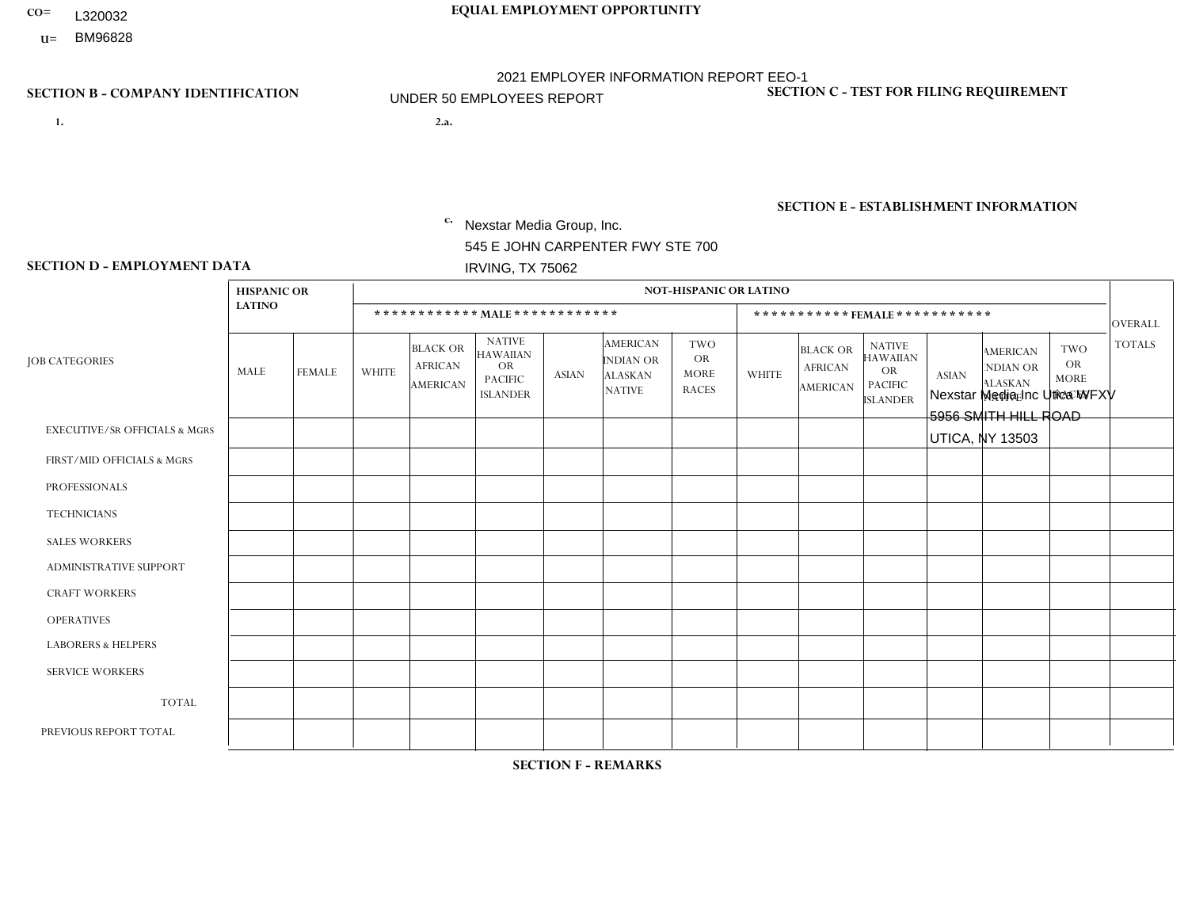- L320032
- **U=**

# **CO= EQUAL EMPLOYMENT OPPORTUNITY** 2021 EMPLOYER INFORMATION REPORT EEO-1 UNDER 50 EMPLOYEES REPORT

- **1. 2.a.** Nexstar Media Group, Inc. 545 E JOHN CARPENTER FWY STE 700 IRVING, TX 75062
- 2.a. Nexstar Media Inc Utica WFXV 5956 SMITH HILL ROAD UTICA, NY 13503

EIN= 233063152

## **SECTION B - COMPANY IDENTIFICATION SECTION C - TEST FOR FILING REQUIREMENT**

1- Y 2- N 3- Y DUNS= 058168001

## **SECTION E - ESTABLISHMENT INFORMATION c.** NAICS: 515120 - Television Broadcasting

### **SECTION D - EMPLOYMENT DATA**

|                                          | <b>HISPANIC OR</b>      |               |                |                                                      |                                                                             |              |                                                                        | <b>NOT-HISPANIC OR LATINO</b>                          |                |                                                      |                                                                                    |              |                                                                       |                                                        |                |
|------------------------------------------|-------------------------|---------------|----------------|------------------------------------------------------|-----------------------------------------------------------------------------|--------------|------------------------------------------------------------------------|--------------------------------------------------------|----------------|------------------------------------------------------|------------------------------------------------------------------------------------|--------------|-----------------------------------------------------------------------|--------------------------------------------------------|----------------|
|                                          | <b>LATINO</b>           |               |                | ************ MALE ************                       |                                                                             |              |                                                                        |                                                        |                | ***********FEMALE***********                         |                                                                                    |              |                                                                       |                                                        | OVERALL        |
| <b>JOB CATEGORIES</b>                    | MALE                    | <b>FEMALE</b> | <b>WHITE</b>   | <b>BLACK OR</b><br><b>AFRICAN</b><br><b>AMERICAN</b> | <b>NATIVE</b><br><b>HAWAIIAN</b><br>OR<br><b>PACIFIC</b><br><b>ISLANDER</b> | <b>ASIAN</b> | <b>AMERICAN</b><br><b>INDIAN OR</b><br><b>ALASKAN</b><br><b>NATIVE</b> | <b>TWO</b><br><b>OR</b><br><b>MORE</b><br><b>RACES</b> | <b>WHITE</b>   | <b>BLACK OR</b><br><b>AFRICAN</b><br><b>AMERICAN</b> | <b>NATIVE</b><br><b>HAWAIIAN</b><br><b>OR</b><br><b>PACIFIC</b><br><b>ISLANDER</b> | <b>ASIAN</b> | <b>AMERICAN</b><br><b>NDIAN OR</b><br><b>ALASKAN</b><br><b>NATIVE</b> | <b>TWO</b><br><b>OR</b><br><b>MORE</b><br><b>RACES</b> | <b>TOTALS</b>  |
| <b>EXECUTIVE/SR OFFICIALS &amp; MGRS</b> | $\Omega$                | $\Omega$      | $\Omega$       | $\mathbf 0$                                          | $\Omega$                                                                    | 0            | $\Omega$                                                               | $\mathbf{0}$                                           | $\Omega$       | $\Omega$                                             | 0                                                                                  | $\Omega$     | $\Omega$                                                              | $\Omega$                                               | $\mathbf 0$    |
| FIRST/MID OFFICIALS & MGRS               | $\Omega$                | $\Omega$      | $\overline{c}$ | $\Omega$                                             | $\Omega$                                                                    | 0            | $\mathbf{0}$                                                           | $\Omega$                                               | $\Omega$       | $\Omega$                                             | 0                                                                                  | $\Omega$     | $\Omega$                                                              | $\Omega$                                               | $\overline{2}$ |
| <b>PROFESSIONALS</b>                     | $\Omega$                | $\mathbf 0$   | $\overline{c}$ | $\mathbf 0$                                          | $\mathbf 0$                                                                 | 0            | $\Omega$                                                               | $\Omega$                                               | 4              | $\Omega$                                             | 0                                                                                  | $\Omega$     | $\Omega$                                                              | $\mathbf 0$                                            | 6              |
| <b>TECHNICIANS</b>                       | $\mathbf 1$             | $\mathbf 0$   | $\overline{7}$ | $\mathbf 0$                                          | $\mathbf 0$                                                                 | 0            | $\Omega$                                                               | $\Omega$                                               | $\overline{2}$ | $\Omega$                                             | $\Omega$                                                                           | $\mathbf{1}$ | $\mathbf 0$                                                           | $\mathbf 0$                                            | 11             |
| <b>SALES WORKERS</b>                     | $\mathbf 0$             | $\mathbf 0$   | 0              | $\mathbf 0$                                          | $\mathbf 0$                                                                 | 0            | $\Omega$                                                               | $\mathbf{0}$                                           | $\overline{2}$ | $\Omega$                                             | 0                                                                                  | $\Omega$     | $\Omega$                                                              | $\mathbf 0$                                            | $\overline{2}$ |
| <b>ADMINISTRATIVE SUPPORT</b>            | $\Omega$                | $\Omega$      | 4              | $\Omega$                                             | $\Omega$                                                                    | 0            | $\mathbf{0}$                                                           | $\Omega$                                               | $\overline{2}$ | $\Omega$                                             | 0                                                                                  | $\Omega$     | $\Omega$                                                              | $\Omega$                                               | 6              |
| <b>CRAFT WORKERS</b>                     | $\Omega$                | $\Omega$      | 0              | $\mathbf 0$                                          | $\Omega$                                                                    | 0            | $\Omega$                                                               | $\Omega$                                               | $\Omega$       | $\Omega$                                             | 0                                                                                  | $\Omega$     | $\Omega$                                                              | $\Omega$                                               | $\mathbf 0$    |
| <b>OPERATIVES</b>                        | $\Omega$                | $\Omega$      | 0              | $\Omega$                                             | $\Omega$                                                                    | 0            | $\mathbf{0}$                                                           | $\Omega$                                               | $\Omega$       | $\Omega$                                             | 0                                                                                  | $\Omega$     | $\Omega$                                                              | $\Omega$                                               | $\mathbf{0}$   |
| <b>LABORERS &amp; HELPERS</b>            | $\Omega$                | $\Omega$      | 0              | $\mathbf 0$                                          | $\Omega$                                                                    | 0            | $\Omega$                                                               | $\Omega$                                               | $\Omega$       | $\Omega$                                             | $\Omega$                                                                           | $\Omega$     | $\Omega$                                                              | $\Omega$                                               | $\mathbf 0$    |
| <b>SERVICE WORKERS</b>                   | $\Omega$                | $\mathbf 0$   | 0              | $\mathbf 0$                                          | $\mathbf 0$                                                                 | 0            | $\Omega$                                                               | $\Omega$                                               | $\Omega$       | $\Omega$                                             | 0                                                                                  | $\Omega$     | $\Omega$                                                              | $\Omega$                                               | $\mathbf{0}$   |
| <b>TOTAL</b>                             | $\mathbf 1$             | $\mathbf{0}$  | 15             | $\mathbf 0$                                          | $\mathbf{0}$                                                                | 0            | $\mathbf{0}$                                                           | $\mathbf 0$                                            | 10             | $\Omega$                                             | 0                                                                                  | 1            | $\Omega$                                                              | $\mathbf 0$                                            | 27             |
| PREVIOUS REPORT TOTAL                    | $\overline{\mathbf{1}}$ | $\mathbf{1}$  | 19             | $\Omega$                                             | $\Omega$                                                                    | $\mathbf{1}$ | $\mathbf{0}$                                                           | $\Omega$                                               | 9              |                                                      | 0                                                                                  | $\Omega$     | $\Omega$                                                              | 1                                                      | 33             |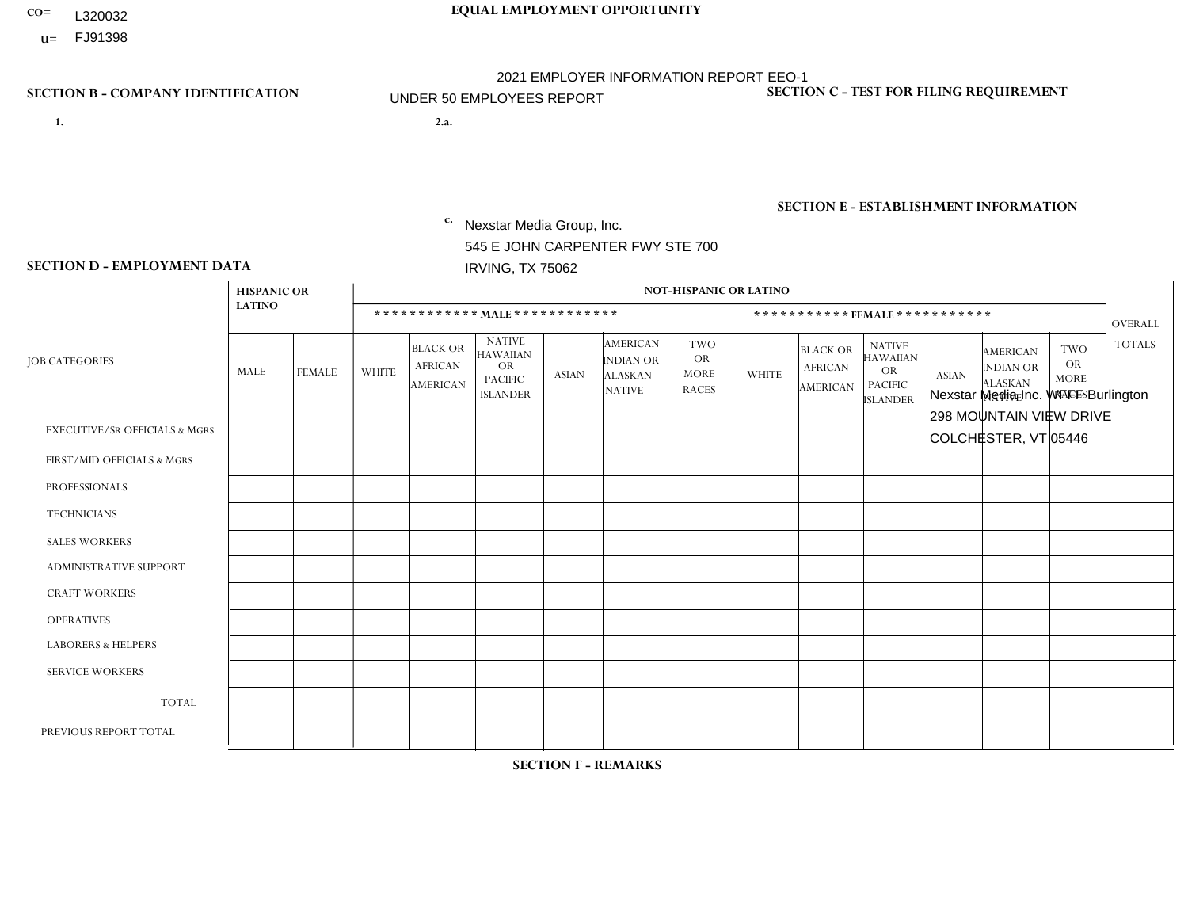- **CO= EQUAL EMPLOYMENT OPPORTUNITY** L320032
- **U=**

## **SECTION B - COMPANY IDENTIFICATION SECTION C - TEST FOR FILING REQUIREMENT**

- **1. 2.a.** Nexstar Media Group, Inc. 545 E JOHN CARPENTER FWY STE 700 IRVING, TX 75062
- 2.a. Nexstar Media Inc. WFFF Burlington 298 MOUNTAIN VIEW DRIVE COLCHESTER, VT 05446

2021 EMPLOYER INFORMATION REPORT EEO-1 UNDER 50 EMPLOYEES REPORT

EIN= 233063152

1- Y 2- N 3- Y DUNS= 058168001

**SECTION E - ESTABLISHMENT INFORMATION c.** NAICS: 515120 - Television Broadcasting

### **SECTION D - EMPLOYMENT DATA**

|                                          | <b>HISPANIC OR</b> |                |                |                                                      |                                                                              |              |                                                                        | <b>NOT-HISPANIC OR LATINO</b>                          |                |                                                      |                                                                                    |              |                                                                       |                                                        |                |
|------------------------------------------|--------------------|----------------|----------------|------------------------------------------------------|------------------------------------------------------------------------------|--------------|------------------------------------------------------------------------|--------------------------------------------------------|----------------|------------------------------------------------------|------------------------------------------------------------------------------------|--------------|-----------------------------------------------------------------------|--------------------------------------------------------|----------------|
|                                          | <b>LATINO</b>      |                |                |                                                      | ************ MALE ************                                               |              |                                                                        |                                                        |                | ***********FEMALE***********                         |                                                                                    |              |                                                                       |                                                        | <b>OVERALL</b> |
| <b>JOB CATEGORIES</b>                    | MALE               | <b>FEMALE</b>  | <b>WHITE</b>   | <b>BLACK OR</b><br><b>AFRICAN</b><br><b>AMERICAN</b> | <b>NATIVE</b><br><b>HAWAIIAN</b><br>OR.<br><b>PACIFIC</b><br><b>ISLANDER</b> | <b>ASIAN</b> | <b>AMERICAN</b><br><b>INDIAN OR</b><br><b>ALASKAN</b><br><b>NATIVE</b> | <b>TWO</b><br><b>OR</b><br><b>MORE</b><br><b>RACES</b> | <b>WHITE</b>   | <b>BLACK OR</b><br><b>AFRICAN</b><br><b>AMERICAN</b> | <b>NATIVE</b><br><b>HAWAIIAN</b><br><b>OR</b><br><b>PACIFIC</b><br><b>ISLANDER</b> | <b>ASIAN</b> | <b>AMERICAN</b><br><b>NDIAN OR</b><br><b>ALASKAN</b><br><b>NATIVE</b> | <b>TWO</b><br><b>OR</b><br><b>MORE</b><br><b>RACES</b> | <b>TOTALS</b>  |
| <b>EXECUTIVE/SR OFFICIALS &amp; MGRS</b> | 0                  | 0              | $\Omega$       | $\Omega$                                             | $\Omega$                                                                     | $\Omega$     | $\Omega$                                                               | $\Omega$                                               | 0              | $\Omega$                                             | $\Omega$                                                                           | $\Omega$     | $\Omega$                                                              | $\Omega$                                               | $\Omega$       |
| FIRST/MID OFFICIALS & MGRS               | 0                  | $\Omega$       | 5              | $\mathbf 0$                                          | $\mathbf 0$                                                                  | $\Omega$     | $\Omega$                                                               | $\Omega$                                               | 0              | $\Omega$                                             | $\Omega$                                                                           | $\Omega$     | $\Omega$                                                              | $\Omega$                                               | 5              |
| <b>PROFESSIONALS</b>                     | $\Omega$           | $\mathbf 0$    | 3              | $\mathbf 0$                                          | $\mathbf 0$                                                                  | $\Omega$     | $\Omega$                                                               | $\Omega$                                               | $\overline{2}$ | $\Omega$                                             | $\Omega$                                                                           | $\Omega$     | $\Omega$                                                              | $\Omega$                                               | 5              |
| <b>TECHNICIANS</b>                       | 0                  | $\overline{2}$ | 14             | $\mathbf 0$                                          | $\mathbf 0$                                                                  | $\mathbf{1}$ | $\Omega$                                                               | $\Omega$                                               | 4              | $\Omega$                                             | $\Omega$                                                                           | $\mathbf 0$  | $\Omega$                                                              | $\Omega$                                               | 21             |
| <b>SALES WORKERS</b>                     | 0                  | $\Omega$       | $\overline{2}$ | $\Omega$                                             | $\Omega$                                                                     | $\Omega$     | $\Omega$                                                               | $\Omega$                                               | 3              | $\Omega$                                             | $\Omega$                                                                           | $\Omega$     | $\Omega$                                                              | $\Omega$                                               | 5              |
| ADMINISTRATIVE SUPPORT                   | 0                  | $\Omega$       | $\mathbf 0$    | $\mathbf 0$                                          | $\mathbf 0$                                                                  | $\Omega$     | $\Omega$                                                               | $\Omega$                                               | 4              | $\Omega$                                             | $\Omega$                                                                           | $\Omega$     | $\Omega$                                                              | $\Omega$                                               | 4              |
| <b>CRAFT WORKERS</b>                     | 0                  | $\Omega$       | $\mathbf 0$    | $\mathbf 0$                                          | $\mathbf 0$                                                                  | $\Omega$     | $\Omega$                                                               | $\Omega$                                               | $\Omega$       | $\Omega$                                             | $\Omega$                                                                           | $\Omega$     | $\Omega$                                                              | $\Omega$                                               | $\Omega$       |
| <b>OPERATIVES</b>                        | 0                  | $\Omega$       | 0              | $\mathbf 0$                                          | 0                                                                            | $\Omega$     | $\Omega$                                                               | $\Omega$                                               | $\Omega$       | $\Omega$                                             | $\Omega$                                                                           | $\Omega$     | $\Omega$                                                              | $\Omega$                                               | $\mathbf 0$    |
| <b>LABORERS &amp; HELPERS</b>            | 0                  | $\Omega$       | $\Omega$       | $\mathbf 0$                                          | $\Omega$                                                                     | $\Omega$     | $\Omega$                                                               | $\Omega$                                               | $\Omega$       | $\Omega$                                             | $\Omega$                                                                           | $\Omega$     | 0                                                                     | $\Omega$                                               | $\mathbf 0$    |
| <b>SERVICE WORKERS</b>                   | 0                  | $\Omega$       | $\mathbf 0$    | $\mathbf 0$                                          | 0                                                                            | 0            | $\Omega$                                                               | $\Omega$                                               | 0              | $\Omega$                                             | $\Omega$                                                                           | $\Omega$     | $\Omega$                                                              | $\Omega$                                               | $\mathbf 0$    |
| <b>TOTAL</b>                             | 0                  | 2              | 24             | $\mathbf 0$                                          | 0                                                                            | 1            | $\Omega$                                                               | $\Omega$                                               | 13             | $\Omega$                                             | $\Omega$                                                                           | $\mathbf 0$  | $\Omega$                                                              | $\Omega$                                               | 40             |
| PREVIOUS REPORT TOTAL                    | 0                  | $\mathbf{1}$   | 31             | 1                                                    | $\mathbf 0$                                                                  | $\Omega$     | $\Omega$                                                               | $\Omega$                                               | 20             | $\Omega$                                             | $\Omega$                                                                           | $\Omega$     | $\Omega$                                                              | $\mathbf 0$                                            | 53             |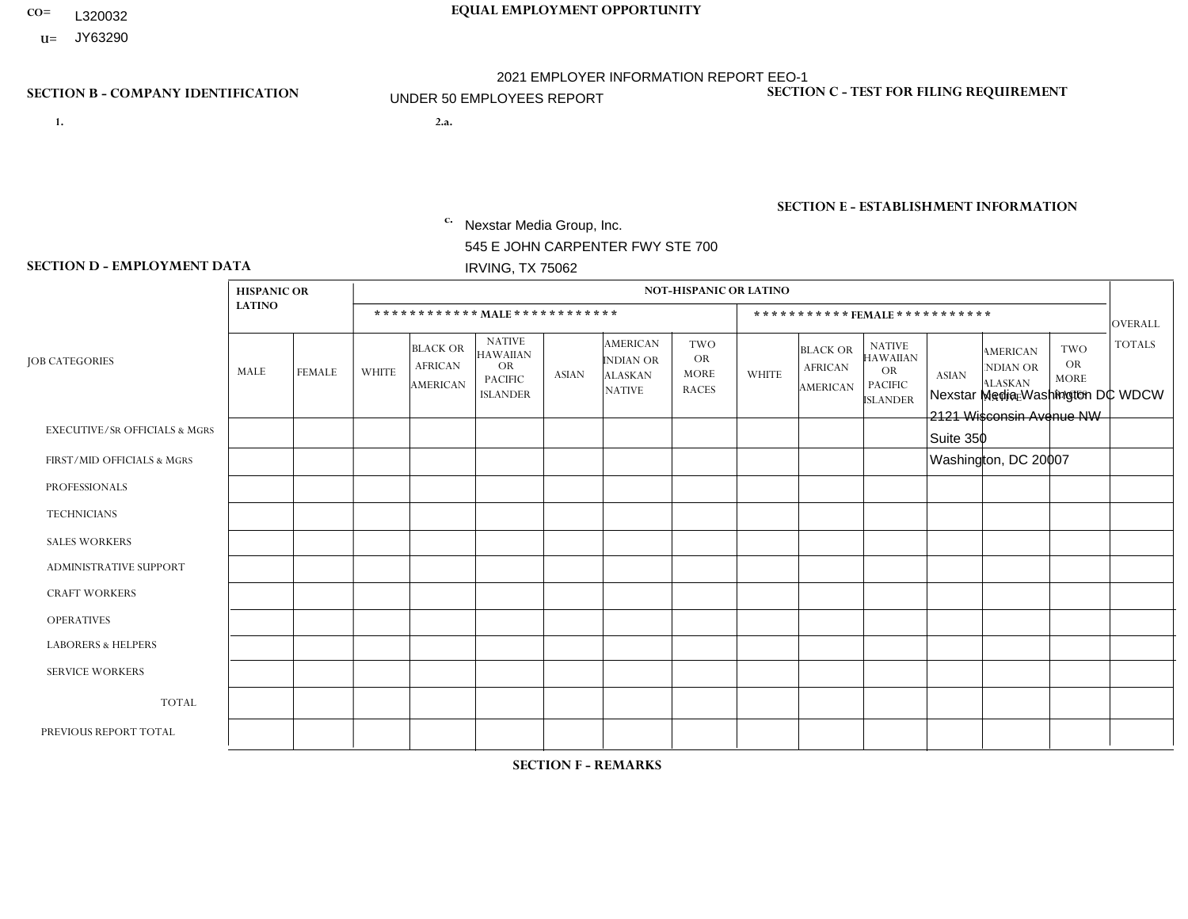- L320032
- **U=**

- **1. 2.a.** Nexstar Media Group, Inc. 545 E JOHN CARPENTER FWY STE 700 IRVING, TX 75062
- 2.a. Nexstar Media Washington DC WDCW 2121 Wisconsin Avenue NW Suite 350 Washington, DC 20007
	- EIN= 361880355

## **SECTION B - COMPANY IDENTIFICATION SECTION C - TEST FOR FILING REQUIREMENT**

1- Y 2- N 3- Y DUNS= 058168001

## **SECTION E - ESTABLISHMENT INFORMATION c.** NAICS: 515120 - Television Broadcasting

### **SECTION D - EMPLOYMENT DATA**

|                                          | <b>HISPANIC OR</b> |                |                |                                                      |                                                                                    |              |                                                                        | <b>NOT-HISPANIC OR LATINO</b>                          |                |                                                      |                                                                                    |              |                                                                       |                                                        |                |
|------------------------------------------|--------------------|----------------|----------------|------------------------------------------------------|------------------------------------------------------------------------------------|--------------|------------------------------------------------------------------------|--------------------------------------------------------|----------------|------------------------------------------------------|------------------------------------------------------------------------------------|--------------|-----------------------------------------------------------------------|--------------------------------------------------------|----------------|
|                                          | <b>LATINO</b>      |                |                |                                                      | ************ MALE ************                                                     |              |                                                                        |                                                        |                |                                                      | ***********FEMALE ***********                                                      |              |                                                                       |                                                        | <b>OVERALL</b> |
| <b>JOB CATEGORIES</b>                    | MALE               | <b>FEMALE</b>  | WHITE          | <b>BLACK OR</b><br><b>AFRICAN</b><br><b>AMERICAN</b> | <b>NATIVE</b><br><b>HAWAIIAN</b><br><b>OR</b><br><b>PACIFIC</b><br><b>ISLANDER</b> | <b>ASIAN</b> | <b>AMERICAN</b><br><b>INDIAN OR</b><br><b>ALASKAN</b><br><b>NATIVE</b> | <b>TWO</b><br><b>OR</b><br><b>MORE</b><br><b>RACES</b> | <b>WHITE</b>   | <b>BLACK OR</b><br><b>AFRICAN</b><br><b>AMERICAN</b> | <b>NATIVE</b><br><b>HAWAIIAN</b><br><b>OR</b><br><b>PACIFIC</b><br><b>ISLANDER</b> | <b>ASIAN</b> | <b>AMERICAN</b><br><b>NDIAN OR</b><br><b>ALASKAN</b><br><b>NATIVE</b> | <b>TWO</b><br><b>OR</b><br><b>MORE</b><br><b>RACES</b> | <b>TOTALS</b>  |
| <b>EXECUTIVE/SR OFFICIALS &amp; MGRS</b> | $\mathbf{0}$       | $\mathbf 0$    | $\mathbf 0$    | 0                                                    | $\Omega$                                                                           | $\mathbf{0}$ | $\Omega$                                                               | 0                                                      | $\Omega$       | $\mathbf{0}$                                         | $\Omega$                                                                           | $\mathbf 0$  | $\Omega$                                                              | $\Omega$                                               | $\Omega$       |
| FIRST/MID OFFICIALS & MGRS               | $\mathbf{0}$       | $\Omega$       | 5              | $\Omega$                                             | $\Omega$                                                                           | $\Omega$     | $\Omega$                                                               | 0                                                      | $\Omega$       | $\mathbf{0}$                                         | $\Omega$                                                                           | $\Omega$     | $\Omega$                                                              | $\Omega$                                               | 5              |
| <b>PROFESSIONALS</b>                     | $\mathbf 0$        | 1              | $\overline{4}$ | 0                                                    | $\Omega$                                                                           | $\mathbf{0}$ | $\Omega$                                                               | 0                                                      | $\overline{1}$ | 3                                                    | $\Omega$                                                                           | $\mathbf 0$  | $\Omega$                                                              | $\mathbf 0$                                            | 9              |
| <b>TECHNICIANS</b>                       | $\mathbf 0$        | $\mathbf 0$    | $\mathbf{1}$   | 0                                                    | $\Omega$                                                                           | $\Omega$     | $\Omega$                                                               | 0                                                      | $\Omega$       | $\Omega$                                             | 0                                                                                  | $\mathbf{0}$ | 0                                                                     | $\mathbf 0$                                            | $\mathbf 1$    |
| <b>SALES WORKERS</b>                     | $\mathbf 0$        | $\mathbf 0$    | $\mathbf{3}$   | 0                                                    | $\Omega$                                                                           | $\Omega$     | $\Omega$                                                               | 0                                                      | $\Omega$       | $\Omega$                                             | $\Omega$                                                                           | $\mathbf 0$  | $\mathbf 0$                                                           | $\mathbf{1}$                                           | $\overline{4}$ |
| ADMINISTRATIVE SUPPORT                   | $\mathbf 0$        | $\overline{2}$ | $\Omega$       | 0                                                    | $\Omega$                                                                           | $\Omega$     | $\Omega$                                                               | 1                                                      | $\Omega$       |                                                      | $\Omega$                                                                           | $\Omega$     | $\Omega$                                                              | $\Omega$                                               | 4              |
| <b>CRAFT WORKERS</b>                     | $\mathbf{0}$       | $\Omega$       | $\Omega$       | 0                                                    | $\Omega$                                                                           | $\mathbf{0}$ | $\Omega$                                                               | $\Omega$                                               | $\Omega$       | $\Omega$                                             | $\Omega$                                                                           | $\Omega$     | $\Omega$                                                              | $\Omega$                                               | $\Omega$       |
| <b>OPERATIVES</b>                        | $\mathbf{0}$       | $\Omega$       | $\Omega$       | $\Omega$                                             | $\Omega$                                                                           | $\mathbf{0}$ | $\Omega$                                                               | 0                                                      | $\Omega$       | $\mathbf{0}$                                         | $\Omega$                                                                           | $\Omega$     | $\Omega$                                                              | $\Omega$                                               | $\Omega$       |
| <b>LABORERS &amp; HELPERS</b>            | $\mathbf{0}$       | $\Omega$       | $\mathbf 0$    | 0                                                    | $\Omega$                                                                           | $\Omega$     | $\Omega$                                                               | 0                                                      | $\Omega$       | $\Omega$                                             | $\Omega$                                                                           | $\Omega$     | $\Omega$                                                              | $\Omega$                                               | $\mathbf 0$    |
| <b>SERVICE WORKERS</b>                   | $\mathbf 0$        | $\mathbf{0}$   | $\mathbf 0$    | 0                                                    | 0                                                                                  | $\Omega$     | $\Omega$                                                               | 0                                                      | $\Omega$       | $\mathbf{0}$                                         | $\Omega$                                                                           | $\mathbf 0$  | $\Omega$                                                              | $\Omega$                                               | $\mathbf 0$    |
| <b>TOTAL</b>                             | $\mathbf 0$        | 3              | 13             | 0                                                    | $\Omega$                                                                           | $\Omega$     | $\Omega$                                                               |                                                        | 1              | $\overline{4}$                                       | $\Omega$                                                                           | $\mathbf 0$  | 0                                                                     | -1                                                     | 23             |
| PREVIOUS REPORT TOTAL                    | 0                  | 5              | 16             | 3                                                    | $\mathbf 0$                                                                        | -1           | $\Omega$                                                               | 0                                                      | 9              | 5                                                    | 0                                                                                  | 0            | 0                                                                     | $\mathbf 0$                                            | 39             |

**SECTION F - REMARKS**

business needs

# **CO= EQUAL EMPLOYMENT OPPORTUNITY** 2021 EMPLOYER INFORMATION REPORT EEO-1 UNDER 50 EMPLOYEES REPORT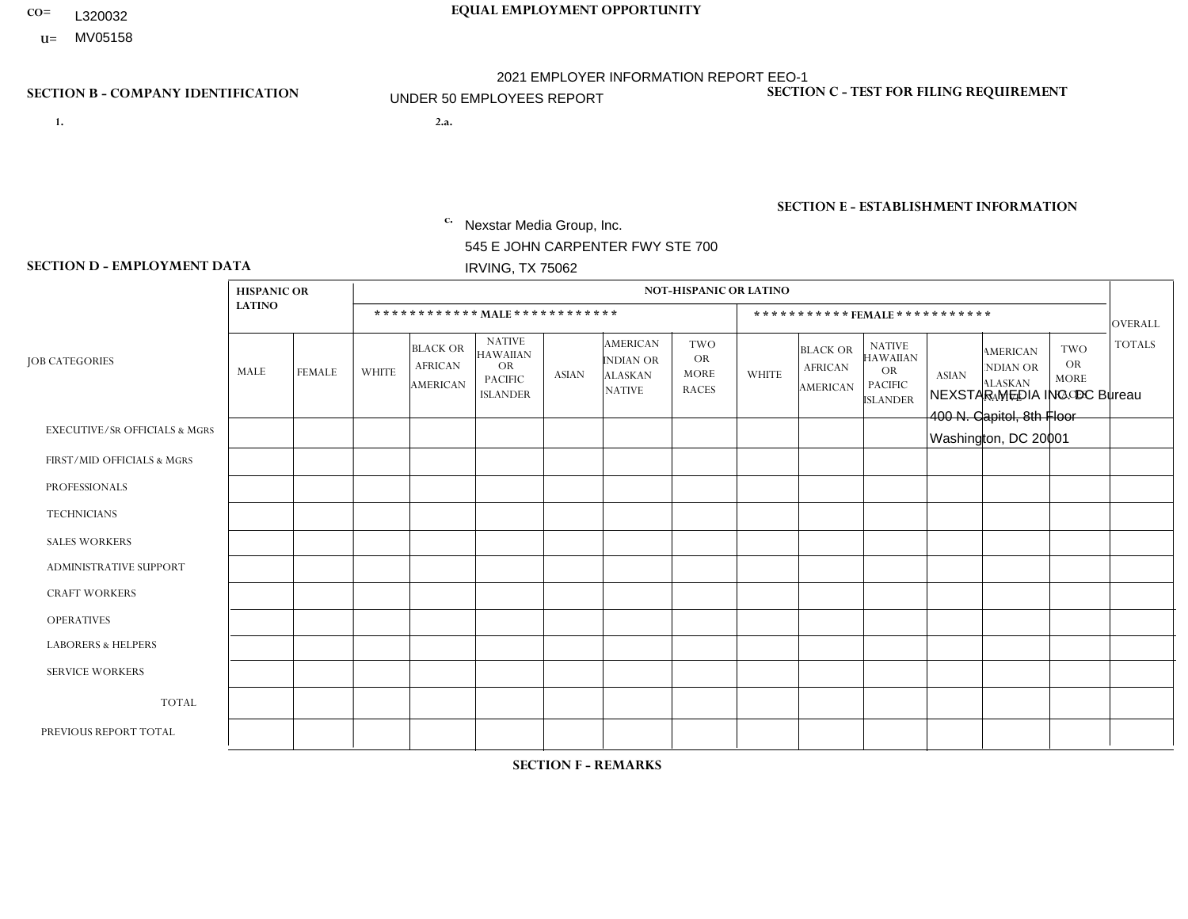- L320032
- **U=** MV05158

# **CO= EQUAL EMPLOYMENT OPPORTUNITY** 2021 EMPLOYER INFORMATION REPORT EEO-1 UNDER 50 EMPLOYEES REPORT

- **1. 2.a.** Nexstar Media Group, Inc. 545 E JOHN CARPENTER FWY STE 700 IRVING, TX 75062
- 2.a. NEXSTAR MEDIA INC. DC Bureau 400 N. Capitol, 8th Floor Washington, DC 20001

EIN= 233063152

## **SECTION B - COMPANY IDENTIFICATION SECTION C - TEST FOR FILING REQUIREMENT**

1- Y 2- N 3- Y DUNS= 058168001

## **SECTION E - ESTABLISHMENT INFORMATION c.** NAICS: 515120 - Television Broadcasting

### **SECTION D - EMPLOYMENT DATA**

|                                          | <b>HISPANIC OR</b> |               |                |                                                      |                                                                                    |                |                                                                        | <b>NOT-HISPANIC OR LATINO</b>                          |                |                                               |                                                                             |              |                                                                       |                                                        |                |
|------------------------------------------|--------------------|---------------|----------------|------------------------------------------------------|------------------------------------------------------------------------------------|----------------|------------------------------------------------------------------------|--------------------------------------------------------|----------------|-----------------------------------------------|-----------------------------------------------------------------------------|--------------|-----------------------------------------------------------------------|--------------------------------------------------------|----------------|
|                                          | <b>LATINO</b>      |               |                | ************ MALE ************                       |                                                                                    |                |                                                                        |                                                        |                | ***********FEMALE***********                  |                                                                             |              |                                                                       |                                                        | <b>OVERALL</b> |
| <b>JOB CATEGORIES</b>                    | MALE               | <b>FEMALE</b> | <b>WHITE</b>   | <b>BLACK OR</b><br><b>AFRICAN</b><br><b>AMERICAN</b> | <b>NATIVE</b><br><b>HAWAIIAN</b><br><b>OR</b><br><b>PACIFIC</b><br><b>ISLANDER</b> | ASIAN          | <b>AMERICAN</b><br><b>INDIAN OR</b><br><b>ALASKAN</b><br><b>NATIVE</b> | <b>TWO</b><br><b>OR</b><br><b>MORE</b><br><b>RACES</b> | <b>WHITE</b>   | <b>BLACK OR</b><br><b>AFRICAN</b><br>AMERICAN | <b>NATIVE</b><br><b>HAWAIIAN</b><br>OR<br><b>PACIFIC</b><br><b>ISLANDER</b> | <b>ASIAN</b> | <b>AMERICAN</b><br><b>NDIAN OR</b><br><b>ALASKAN</b><br><b>NATIVE</b> | <b>TWO</b><br><b>OR</b><br><b>MORE</b><br><b>RACES</b> | <b>TOTALS</b>  |
| <b>EXECUTIVE/SR OFFICIALS &amp; MGRS</b> | $\Omega$           | $\Omega$      | $\Omega$       | $\mathbf 0$                                          | $\Omega$                                                                           | $\Omega$       | $\Omega$                                                               | $\Omega$                                               | 0              | $\Omega$                                      | $\Omega$                                                                    | 0            | $\Omega$                                                              | $\mathbf 0$                                            | $\mathbf 0$    |
| FIRST/MID OFFICIALS & MGRS               | 0                  | $\Omega$      | $\overline{c}$ | $\mathbf 0$                                          | $\Omega$                                                                           | $\Omega$       | $\Omega$                                                               | $\Omega$                                               | 1              | $\Omega$                                      | $\Omega$                                                                    | $\Omega$     | $\Omega$                                                              | $\Omega$                                               | 3              |
| <b>PROFESSIONALS</b>                     | 0                  | $\mathbf{1}$  | 1              | $\overline{1}$                                       | $\mathbf 0$                                                                        | $\overline{1}$ | $\Omega$                                                               | $\Omega$                                               | $\overline{2}$ |                                               | $\Omega$                                                                    | $\Omega$     | $\Omega$                                                              | $\mathbf 0$                                            | $\overline{7}$ |
| <b>TECHNICIANS</b>                       | 0                  | $\Omega$      | $\overline{c}$ | $\mathbf{1}$                                         | $\Omega$                                                                           | $\Omega$       | $\Omega$                                                               | $\Omega$                                               | 0              | $\Omega$                                      | $\Omega$                                                                    | $\Omega$     | $\Omega$                                                              | $\Omega$                                               | 3              |
| <b>SALES WORKERS</b>                     | 0                  | $\Omega$      | $\Omega$       | $\mathbf 0$                                          | $\Omega$                                                                           | $\Omega$       | $\Omega$                                                               | $\Omega$                                               | $\Omega$       | $\Omega$                                      | $\Omega$                                                                    | $\Omega$     | $\Omega$                                                              | $\Omega$                                               | $\mathbf{0}$   |
| ADMINISTRATIVE SUPPORT                   | $\Omega$           | $\Omega$      | $\Omega$       | $\Omega$                                             | $\Omega$                                                                           | $\Omega$       | $\Omega$                                                               | $\Omega$                                               | $\Omega$       | $\Omega$                                      | $\Omega$                                                                    | $\Omega$     | $\Omega$                                                              | $\Omega$                                               | $\Omega$       |
| <b>CRAFT WORKERS</b>                     | $\Omega$           | $\Omega$      | $\Omega$       | $\mathbf 0$                                          | 0                                                                                  | $\Omega$       | $\Omega$                                                               | $\Omega$                                               | $\Omega$       | $\Omega$                                      | $\Omega$                                                                    | $\mathbf{0}$ | $\mathbf{0}$                                                          | $\Omega$                                               | $\mathbf{0}$   |
| <b>OPERATIVES</b>                        | 0                  | $\Omega$      | $\mathbf 0$    | $\mathbf 0$                                          | $\Omega$                                                                           | $\Omega$       | $\Omega$                                                               | $\Omega$                                               | $\Omega$       | $\Omega$                                      | $\Omega$                                                                    | $\mathbf{0}$ | $\Omega$                                                              | $\mathbf{0}$                                           | $\mathbf{0}$   |
| <b>LABORERS &amp; HELPERS</b>            | 0                  | 0             | $\mathbf 0$    | 0                                                    | 0                                                                                  | $\mathbf 0$    | $\Omega$                                                               | $\Omega$                                               | $\Omega$       | $\Omega$                                      | $\Omega$                                                                    | $\Omega$     | $\Omega$                                                              | $\Omega$                                               | 0              |
| <b>SERVICE WORKERS</b>                   | 0                  | $\Omega$      | $\Omega$       | $\mathbf 0$                                          | $\Omega$                                                                           | $\Omega$       | $\Omega$                                                               | $\Omega$                                               | $\Omega$       | $\Omega$                                      | $\Omega$                                                                    | $\Omega$     | $\Omega$                                                              | $\Omega$                                               | $\overline{0}$ |
| <b>TOTAL</b>                             | $\mathbf 0$        | $\mathbf{1}$  | 5              | $\overline{2}$                                       | 0                                                                                  | -1             | $\Omega$                                                               | $\Omega$                                               | 3              | $\blacktriangleleft$                          | $\Omega$                                                                    | $\mathbf 0$  | 0                                                                     | $\mathbf 0$                                            | 13             |
| PREVIOUS REPORT TOTAL                    |                    |               |                |                                                      |                                                                                    |                |                                                                        |                                                        |                |                                               |                                                                             |              |                                                                       |                                                        |                |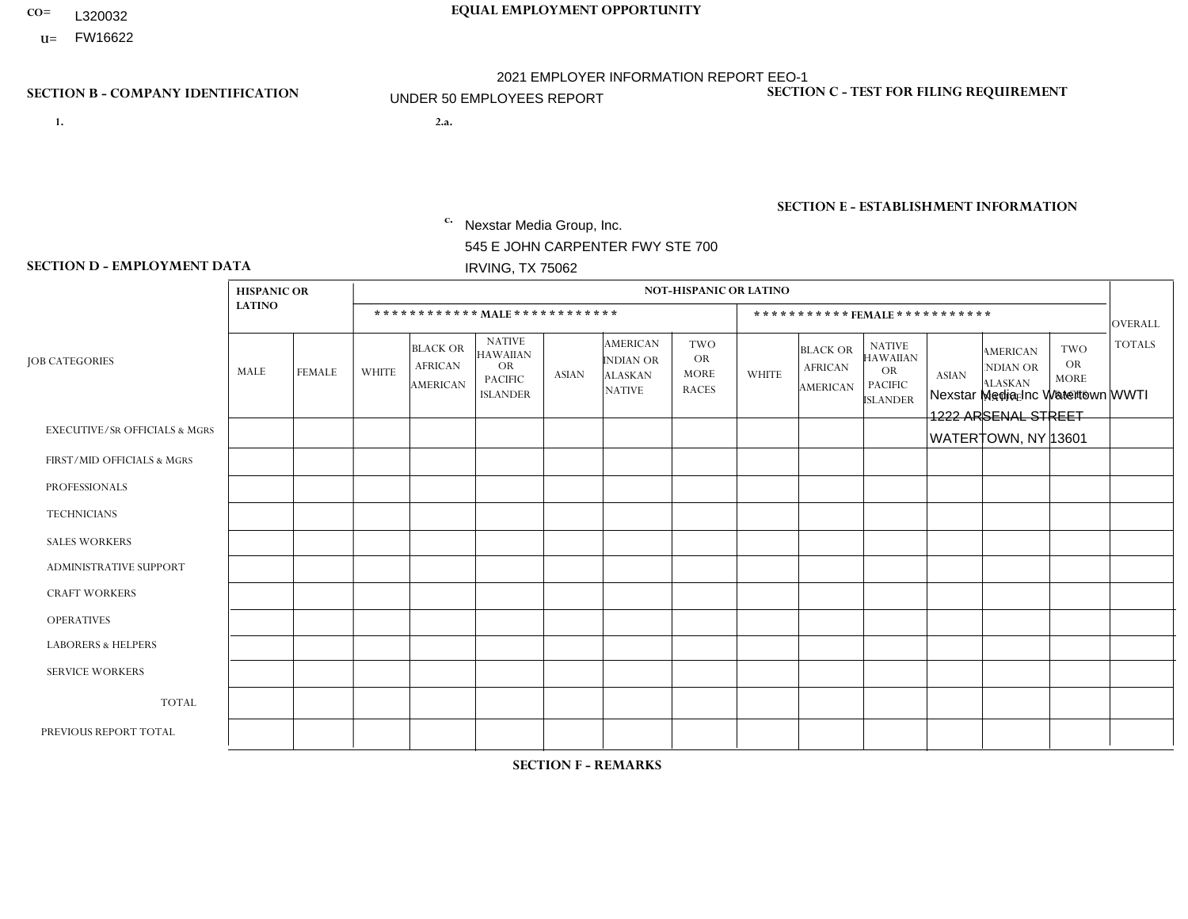- **CO= EQUAL EMPLOYMENT OPPORTUNITY** L320032
- **U=**

## **SECTION B - COMPANY IDENTIFICATION SECTION C - TEST FOR FILING REQUIREMENT**

- **1. 2.a.** Nexstar Media Group, Inc. 545 E JOHN CARPENTER FWY STE 700 IRVING, TX 75062
- 2.a. Nexstar Media Inc Watertown WWTI 1222 ARSENAL STREET WATERTOWN, NY 13601

2021 EMPLOYER INFORMATION REPORT EEO-1 UNDER 50 EMPLOYEES REPORT

EIN= 233063152

1- Y 2- N 3- Y DUNS= 058168001

**SECTION E - ESTABLISHMENT INFORMATION c.** NAICS: 515120 - Television Broadcasting

### **SECTION D - EMPLOYMENT DATA**

|                                          | <b>HISPANIC OR</b> |               |                |                                                      |                                                                             |              |                                                                 | <b>NOT-HISPANIC OR LATINO</b>                          |                |                                                      |                                                                                    |              |                                                                       |                                                        |                |
|------------------------------------------|--------------------|---------------|----------------|------------------------------------------------------|-----------------------------------------------------------------------------|--------------|-----------------------------------------------------------------|--------------------------------------------------------|----------------|------------------------------------------------------|------------------------------------------------------------------------------------|--------------|-----------------------------------------------------------------------|--------------------------------------------------------|----------------|
|                                          | <b>LATINO</b>      |               |                |                                                      | ************ MALE************                                               |              |                                                                 |                                                        |                |                                                      | *********** FEMALE ***********                                                     |              |                                                                       |                                                        | <b>OVERALL</b> |
| <b>JOB CATEGORIES</b>                    | MALE               | <b>FEMALE</b> | <b>WHITE</b>   | <b>BLACK OR</b><br><b>AFRICAN</b><br><b>AMERICAN</b> | <b>NATIVE</b><br><b>HAWAIIAN</b><br>OR<br><b>PACIFIC</b><br><b>ISLANDER</b> | <b>ASIAN</b> | <b>AMERICAN</b><br>INDIAN OR<br><b>ALASKAN</b><br><b>NATIVE</b> | <b>TWO</b><br><b>OR</b><br><b>MORE</b><br><b>RACES</b> | <b>WHITE</b>   | <b>BLACK OR</b><br><b>AFRICAN</b><br><b>AMERICAN</b> | <b>NATIVE</b><br><b>HAWAIIAN</b><br><b>OR</b><br><b>PACIFIC</b><br><b>ISLANDER</b> | <b>ASIAN</b> | <b>AMERICAN</b><br><b>NDIAN OR</b><br><b>ALASKAN</b><br><b>NATIVE</b> | <b>TWO</b><br><b>OR</b><br><b>MORE</b><br><b>RACES</b> | <b>TOTALS</b>  |
| <b>EXECUTIVE/SR OFFICIALS &amp; MGRS</b> | $\mathbf 0$        | $\mathbf 0$   | $\mathbf 0$    | $\mathbf 0$                                          | $\mathbf 0$                                                                 | $\mathbf 0$  | $\Omega$                                                        | $\Omega$                                               | $\Omega$       | $\Omega$                                             | $\Omega$                                                                           | $\mathbf 0$  | $\Omega$                                                              | $\Omega$                                               | $\mathbf 0$    |
| FIRST/MID OFFICIALS & MGRS               | 0                  | $\mathbf{0}$  | $\mathbf 0$    | $\mathbf 0$                                          | $\mathbf 0$                                                                 | $\mathbf 0$  | $\Omega$                                                        | $\Omega$                                               | $\overline{2}$ | $\Omega$                                             | $\Omega$                                                                           | $\Omega$     | $\mathbf{0}$                                                          | $\Omega$                                               | 2              |
| <b>PROFESSIONALS</b>                     | 0                  | $\Omega$      | $\overline{2}$ | $\mathbf 0$                                          | $\Omega$                                                                    | $\Omega$     | $\Omega$                                                        | $\Omega$                                               |                | $\Omega$                                             | $\Omega$                                                                           | $\Omega$     | $\Omega$                                                              | $\mathbf{0}$                                           | 3              |
| <b>TECHNICIANS</b>                       | 0                  | $\mathbf{0}$  | $\overline{2}$ | $\mathsf{O}\xspace$                                  | $\mathbf 0$                                                                 | $\mathbf{0}$ | $\Omega$                                                        | $\Omega$                                               | 3              | $\Omega$                                             | $\Omega$                                                                           | $\mathbf 0$  | $\Omega$                                                              | $\mathbf{0}$                                           | 5              |
| <b>SALES WORKERS</b>                     | $\Omega$           | $\mathbf 0$   | $\overline{c}$ | $\mathbf 0$                                          | $\mathbf 0$                                                                 | $\Omega$     | $\Omega$                                                        | $\Omega$                                               |                | $\Omega$                                             | $\mathbf{0}$                                                                       | $\Omega$     | $\mathbf{0}$                                                          | $\Omega$                                               | 3              |
| <b>ADMINISTRATIVE SUPPORT</b>            | 0                  | $\mathbf{0}$  | $\mathbf 0$    | $\mathbf 0$                                          | $\mathbf 0$                                                                 | $\mathbf 0$  | $\Omega$                                                        | $\Omega$                                               |                | $\Omega$                                             | $\Omega$                                                                           | $\mathbf{0}$ | $\Omega$                                                              | 0                                                      | $\mathbf 1$    |
| <b>CRAFT WORKERS</b>                     | 0                  | $\Omega$      | $\mathbf 0$    | $\mathbf 0$                                          | $\Omega$                                                                    | $\Omega$     | $\Omega$                                                        | $\Omega$                                               | $\Omega$       | $\Omega$                                             | $\Omega$                                                                           | $\Omega$     | $\Omega$                                                              | $\mathbf{0}$                                           | $\Omega$       |
| <b>OPERATIVES</b>                        | 0                  | $\Omega$      | $\mathbf 0$    | $\mathbf 0$                                          | $\mathbf 0$                                                                 | $\Omega$     | $\Omega$                                                        | $\Omega$                                               | $\Omega$       | $\Omega$                                             | $\Omega$                                                                           | $\Omega$     | $\Omega$                                                              | $\Omega$                                               | $\mathbf{0}$   |
| <b>LABORERS &amp; HELPERS</b>            | 0                  | $\Omega$      | $\mathbf 0$    | $\mathbf 0$                                          | $\mathbf 0$                                                                 | $\Omega$     | $\Omega$                                                        | $\Omega$                                               | $\Omega$       | $\Omega$                                             | $\mathbf{0}$                                                                       | $\mathbf{0}$ | $\Omega$                                                              | $\Omega$                                               | $\mathbf 0$    |
| <b>SERVICE WORKERS</b>                   | 0                  | $\mathbf 0$   | $\mathbf 0$    | $\mathbf 0$                                          | $\mathbf 0$                                                                 | $\mathbf 0$  | $\Omega$                                                        | $\Omega$                                               | $\Omega$       | $\Omega$                                             | $\Omega$                                                                           | $\Omega$     | $\mathbf 0$                                                           | $\mathbf 0$                                            | $\mathbf{0}$   |
| <b>TOTAL</b>                             | $\mathbf 0$        | $\mathbf 0$   | 6              | 0                                                    | $\mathbf 0$                                                                 | $\mathbf 0$  | $\Omega$                                                        | $\Omega$                                               | 8              | $\Omega$                                             | $\Omega$                                                                           | $\mathbf 0$  | $\Omega$                                                              | $\Omega$                                               | 14             |
| PREVIOUS REPORT TOTAL                    | 0                  | $\mathbf 0$   | 6              | $\mathbf 0$                                          | $\mathbf 0$                                                                 | $\Omega$     | $\Omega$                                                        | $\Omega$                                               | 10             | $\Omega$                                             | $\Omega$                                                                           | $\Omega$     | $\mathbf{0}$                                                          | $\Omega$                                               | 16             |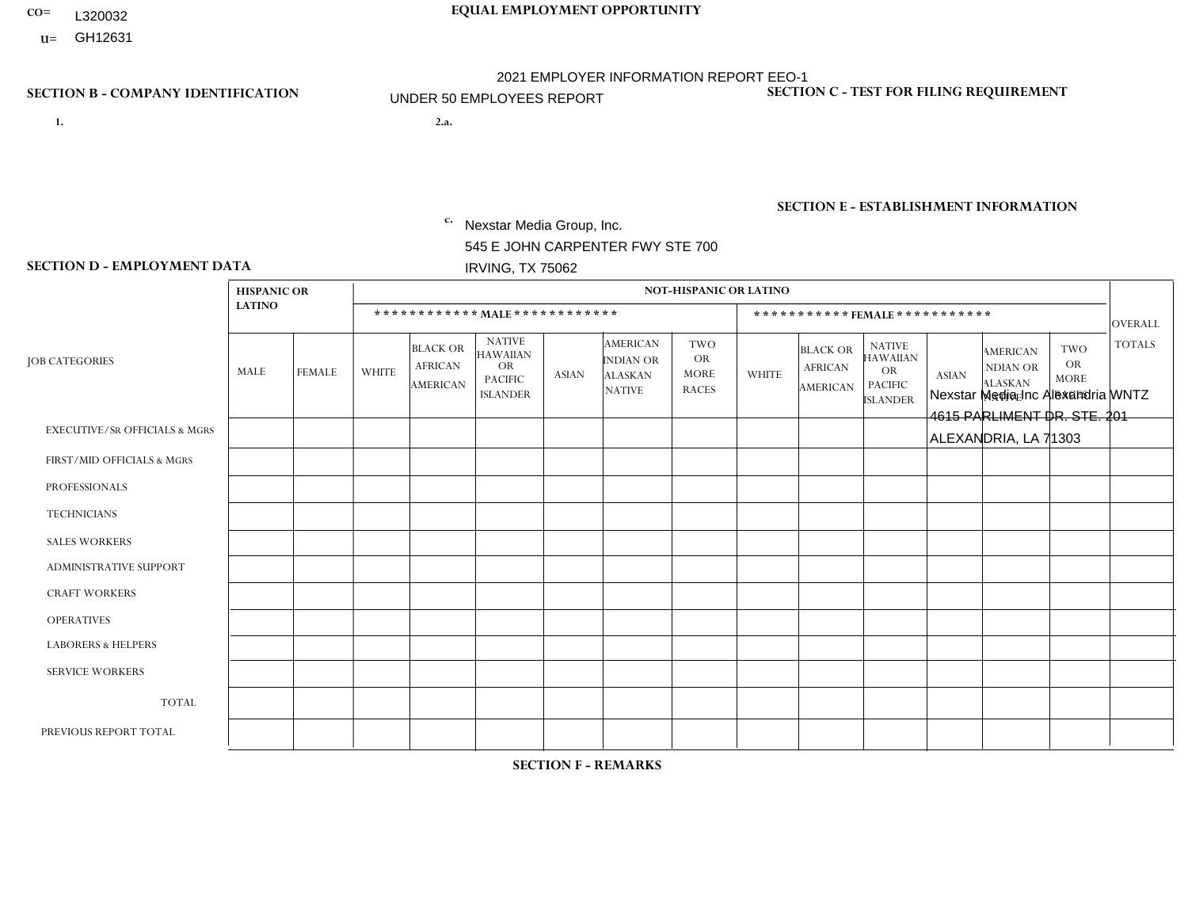- **CO= EQUAL EMPLOYMENT OPPORTUNITY** L320032
- **U=**

- **1. 2.a.** Nexstar Media Group, Inc. 545 E JOHN CARPENTER FWY STE 700 IRVING, TX 75062
- 2.a. Nexstar Media Inc Alexandria WNTZ 4615 PARLIMENT DR. STE. 201 ALEXANDRIA, LA 71303

EIN= 233063152

# **SECTION B - COMPANY IDENTIFICATION SECTION C - TEST FOR FILING REQUIREMENT**

1- Y 2- N 3- Y DUNS= 058168001

# **SECTION E - ESTABLISHMENT INFORMATION c.** NAICS: 515120 - Television Broadcasting

### **SECTION D - EMPLOYMENT DATA**

|                                          | <b>HISPANIC OR</b> |                |                |                                                      |                                                                                    |              |                                                                        | <b>NOT-HISPANIC OR LATINO</b>                          |                |                                               |                                                                             |              |                                                                |                                                        |                |
|------------------------------------------|--------------------|----------------|----------------|------------------------------------------------------|------------------------------------------------------------------------------------|--------------|------------------------------------------------------------------------|--------------------------------------------------------|----------------|-----------------------------------------------|-----------------------------------------------------------------------------|--------------|----------------------------------------------------------------|--------------------------------------------------------|----------------|
|                                          | <b>LATINO</b>      |                |                |                                                      | ************ MAIE************                                                      |              |                                                                        |                                                        |                |                                               | ***********FEMALE***********                                                |              |                                                                |                                                        | <b>OVERALL</b> |
| <b>JOB CATEGORIES</b>                    | MALE               | <b>FEMALE</b>  | <b>WHITE</b>   | <b>BLACK OR</b><br><b>AFRICAN</b><br><b>AMERICAN</b> | <b>NATIVE</b><br><b>HAWAIIAN</b><br><b>OR</b><br><b>PACIFIC</b><br><b>ISLANDER</b> | <b>ASIAN</b> | <b>AMERICAN</b><br><b>INDIAN OR</b><br><b>ALASKAN</b><br><b>NATIVE</b> | <b>TWO</b><br><b>OR</b><br><b>MORE</b><br><b>RACES</b> | <b>WHITE</b>   | <b>BLACK OR</b><br><b>AFRICAN</b><br>AMERICAN | <b>NATIVE</b><br><b>HAWAIIAN</b><br>OR<br><b>PACIFIC</b><br><b>ISLANDER</b> | <b>ASIAN</b> | <b>AMERICAN</b><br>NDIAN OR<br><b>ALASKAN</b><br><b>NATIVE</b> | <b>TWO</b><br><b>OR</b><br><b>MORE</b><br><b>RACES</b> | <b>TOTALS</b>  |
| <b>EXECUTIVE/SR OFFICIALS &amp; MGRS</b> | $\Omega$           | $\mathbf 0$    | $\mathbf 0$    | 0                                                    | $\Omega$                                                                           | $\Omega$     | $\Omega$                                                               | $\Omega$                                               | $\Omega$       | $\Omega$                                      | $\Omega$                                                                    | $\Omega$     | $\Omega$                                                       | $\Omega$                                               | $\mathbf 0$    |
| FIRST/MID OFFICIALS & MGRS               | $\mathbf 0$        | 0              | $\mathbf 0$    | $\mathbf 0$                                          | $\Omega$                                                                           | $\Omega$     | $\Omega$                                                               | $\Omega$                                               | 1              | $\Omega$                                      | $\Omega$                                                                    | $\Omega$     | $\Omega$                                                       | $\Omega$                                               | $\mathbf{1}$   |
| <b>PROFESSIONALS</b>                     | 0                  | $\mathbf{0}$   | $\mathbf{1}$   | 0                                                    | $\Omega$                                                                           | $\Omega$     | $\Omega$                                                               | $\Omega$                                               | 1              | $\mathbf 0$                                   | $\Omega$                                                                    | $\mathbf 0$  | $\Omega$                                                       | $\Omega$                                               | 2              |
| <b>TECHNICIANS</b>                       | $\mathbf 0$        | $\mathbf 0$    | $\mathbf 0$    | $\mathbf 0$                                          | $\Omega$                                                                           | $\Omega$     | $\Omega$                                                               | $\mathbf 0$                                            | 1              | $\mathbf 0$                                   | $\mathbf 0$                                                                 | $\mathbf 0$  | $\Omega$                                                       | $\mathbf 0$                                            | $\mathbf{1}$   |
| <b>SALES WORKERS</b>                     | $\mathbf 0$        | $\overline{0}$ | $\overline{1}$ | 0                                                    | $\Omega$                                                                           | $\Omega$     | $\Omega$                                                               | $\Omega$                                               | $\overline{2}$ | $\Omega$                                      | $\Omega$                                                                    | $\Omega$     | $\Omega$                                                       | $\Omega$                                               | 3              |
| <b>ADMINISTRATIVE SUPPORT</b>            | $\Omega$           | 0              | $\mathbf{1}$   | $\mathbf 0$                                          | $\mathbf{0}$                                                                       | $\Omega$     | $\Omega$                                                               | $\mathbf{0}$                                           | $\Omega$       | $\Omega$                                      | $\Omega$                                                                    | $\Omega$     | $\Omega$                                                       | $\Omega$                                               | $\mathbf{1}$   |
| <b>CRAFT WORKERS</b>                     | $\Omega$           | 0              | $\mathbf 0$    | $\mathbf 0$                                          | $\Omega$                                                                           | $\Omega$     | $\Omega$                                                               | $\Omega$                                               | $\Omega$       | $\Omega$                                      | $\Omega$                                                                    | $\Omega$     | $\Omega$                                                       | $\Omega$                                               | $\mathbf 0$    |
| <b>OPERATIVES</b>                        | $\mathbf{0}$       | $\mathbf{0}$   | $\mathbf 0$    | $\mathbf 0$                                          | $\Omega$                                                                           | $\Omega$     | $\Omega$                                                               | $\Omega$                                               | $\Omega$       | $\Omega$                                      | $\Omega$                                                                    | $\Omega$     | $\Omega$                                                       | $\Omega$                                               | $\mathbf 0$    |
| <b>LABORERS &amp; HELPERS</b>            | $\mathbf{0}$       | $\Omega$       | $\mathbf 0$    | 0                                                    | $\Omega$                                                                           | $\Omega$     | $\Omega$                                                               | $\Omega$                                               | $\Omega$       | $\Omega$                                      | $\Omega$                                                                    | $\Omega$     | $\Omega$                                                       | $\Omega$                                               | 0              |
| <b>SERVICE WORKERS</b>                   | $\mathbf{0}$       | $\mathbf 0$    | 0              | 0                                                    | $\Omega$                                                                           | $\Omega$     | $\Omega$                                                               | $\Omega$                                               | $\Omega$       | $\Omega$                                      | $\Omega$                                                                    | $\Omega$     | $\Omega$                                                       | $\Omega$                                               | 0              |
| <b>TOTAL</b>                             | 0                  | 0              | 3              | 0                                                    | $\mathbf 0$                                                                        | $\Omega$     | $\Omega$                                                               | $\Omega$                                               | 5              | $\mathbf 0$                                   | $\mathbf 0$                                                                 | $\mathbf 0$  | $\mathbf 0$                                                    | $\mathbf 0$                                            | 8              |
| PREVIOUS REPORT TOTAL                    | $\mathbf 0$        | $\mathbf 0$    | $\overline{2}$ | 0                                                    | $\Omega$                                                                           | $\Omega$     | $\Omega$                                                               | $\Omega$                                               | 5              | $\Omega$                                      | $\Omega$                                                                    | $\Omega$     | $\Omega$                                                       | $\mathbf 0$                                            | $\overline{7}$ |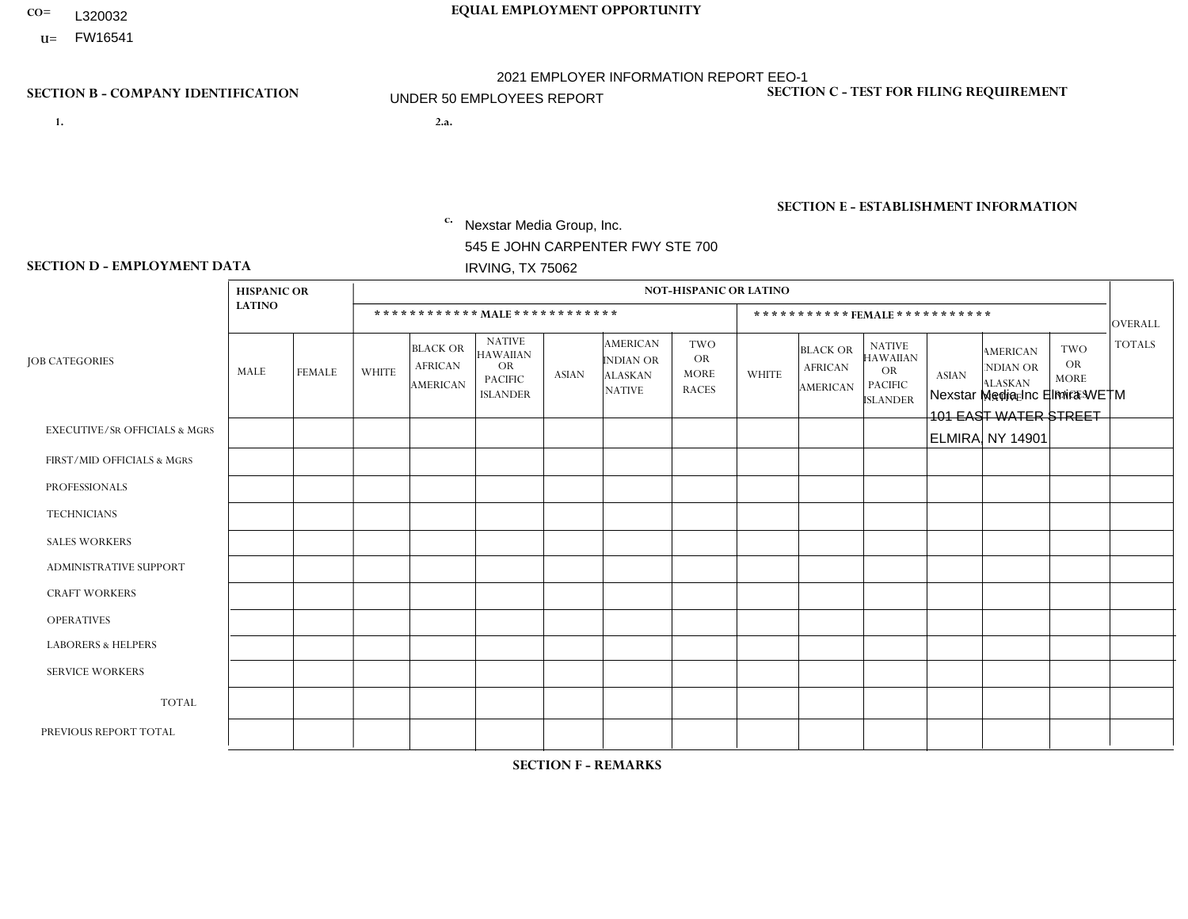- L320032
- **U=**

- **1. 2.a.** Nexstar Media Group, Inc. 545 E JOHN CARPENTER FWY STE 700 IRVING, TX 75062
- 2.a. Nexstar Media Inc Elmira WETM 101 EAST WATER STREET ELMIRA, NY 14901

EIN= 233063152

## **SECTION B - COMPANY IDENTIFICATION SECTION C - TEST FOR FILING REQUIREMENT**

1- Y 2- N 3- Y DUNS= 058168001

**SECTION E - ESTABLISHMENT INFORMATION c.** NAICS: 515120 - Television Broadcasting

### **SECTION D - EMPLOYMENT DATA**

|                                          | <b>HISPANIC OR</b>      |               |                |                                               |                                                                             |              |                                                                 |                                                        |                |                                                      |                                                                                    |              |                                                                       |                                                        |                |
|------------------------------------------|-------------------------|---------------|----------------|-----------------------------------------------|-----------------------------------------------------------------------------|--------------|-----------------------------------------------------------------|--------------------------------------------------------|----------------|------------------------------------------------------|------------------------------------------------------------------------------------|--------------|-----------------------------------------------------------------------|--------------------------------------------------------|----------------|
|                                          | <b>LATINO</b>           |               |                | ************ MALE ************                |                                                                             |              |                                                                 |                                                        |                | *********** FEMALE ***********                       |                                                                                    |              |                                                                       |                                                        | OVERALL        |
| <b>JOB CATEGORIES</b>                    | MALE                    | <b>FEMALE</b> | <b>WHITE</b>   | <b>BLACK OR</b><br><b>AFRICAN</b><br>AMERICAN | <b>NATIVE</b><br><b>HAWAIIAN</b><br>OR<br><b>PACIFIC</b><br><b>ISLANDER</b> | <b>ASIAN</b> | <b>AMERICAN</b><br>INDIAN OR<br><b>ALASKAN</b><br><b>NATIVE</b> | <b>TWO</b><br><b>OR</b><br><b>MORE</b><br><b>RACES</b> | <b>WHITE</b>   | <b>BLACK OR</b><br><b>AFRICAN</b><br><b>AMERICAN</b> | <b>NATIVE</b><br><b>HAWAIIAN</b><br><b>OR</b><br><b>PACIFIC</b><br><b>ISLANDER</b> | <b>ASIAN</b> | <b>AMERICAN</b><br><b>NDIAN OR</b><br><b>ALASKAN</b><br><b>NATIVE</b> | <b>TWO</b><br><b>OR</b><br><b>MORE</b><br><b>RACES</b> | <b>TOTALS</b>  |
| <b>EXECUTIVE/SR OFFICIALS &amp; MGRS</b> | $\Omega$                | $\mathbf 0$   | 0              | $\mathbf 0$                                   | $\mathbf 0$                                                                 | 0            | $\Omega$                                                        | $\Omega$                                               | $\Omega$       | $\Omega$                                             | 0                                                                                  | 0            | 0                                                                     | $\mathbf 0$                                            | $\mathbf 0$    |
| FIRST/MID OFFICIALS & MGRS               | $\Omega$                | $\mathbf{1}$  | $\mathbf{1}$   | $\mathbf 0$                                   | $\Omega$                                                                    | 0            | $\Omega$                                                        | $\Omega$                                               | $\Omega$       | $\Omega$                                             | 0                                                                                  | $\Omega$     | $\Omega$                                                              | $\Omega$                                               | $\overline{2}$ |
| <b>PROFESSIONALS</b>                     | $\Omega$                | $\mathbf 0$   | 5              | $\mathbf 0$                                   | $\mathbf 0$                                                                 | 0            | $\Omega$                                                        | $\mathbf{0}$                                           | $\Omega$       | $\Omega$                                             | 0                                                                                  | $\Omega$     | $\Omega$                                                              | $\mathbf 0$                                            | 5              |
| <b>TECHNICIANS</b>                       | $\Omega$                | $\mathbf 0$   | 18             | $\overline{2}$                                | $\mathbf 0$                                                                 | 0            | $\mathbf{0}$                                                    | $\Omega$                                               | 8              |                                                      | 0                                                                                  | $\mathbf{1}$ | $\Omega$                                                              | $\mathbf 0$                                            | 30             |
| <b>SALES WORKERS</b>                     | $\mathbf{1}$            | $\mathbf 0$   | $\overline{c}$ | $\mathbf 0$                                   | $\mathbf 0$                                                                 | 0            | $\Omega$                                                        | $\Omega$                                               | 3              | $\Omega$                                             | 0                                                                                  | $\Omega$     | $\Omega$                                                              | $\mathbf 0$                                            | 6              |
| <b>ADMINISTRATIVE SUPPORT</b>            | $\Omega$                | $\Omega$      | 3              | $\Omega$                                      | $\Omega$                                                                    | 0            | $\mathbf{0}$                                                    | $\Omega$                                               | $\overline{2}$ | $\Omega$                                             | 0                                                                                  | $\Omega$     | $\Omega$                                                              | $\Omega$                                               | 5              |
| <b>CRAFT WORKERS</b>                     | $\Omega$                | $\Omega$      | $\Omega$       | $\Omega$                                      | $\mathbf 0$                                                                 | 0            | $\mathbf{0}$                                                    | $\Omega$                                               | $\Omega$       | $\Omega$                                             | 0                                                                                  | $\Omega$     | $\Omega$                                                              | $\Omega$                                               | $\mathbf{0}$   |
| <b>OPERATIVES</b>                        | $\Omega$                | $\Omega$      | 0              | $\Omega$                                      | $\Omega$                                                                    | 0            | $\mathbf{0}$                                                    | $\Omega$                                               | $\Omega$       | $\Omega$                                             | 0                                                                                  | $\Omega$     | $\Omega$                                                              | $\Omega$                                               | $\mathbf{0}$   |
| <b>LABORERS &amp; HELPERS</b>            | $\Omega$                | $\mathbf 0$   | 0              | 0                                             | $\mathbf 0$                                                                 | 0            | $\Omega$                                                        | $\Omega$                                               | $\Omega$       | $\Omega$                                             | 0                                                                                  | $\Omega$     | $\Omega$                                                              | $\Omega$                                               | $\mathbf{0}$   |
| <b>SERVICE WORKERS</b>                   | $\Omega$                | $\Omega$      | 0              | 0                                             | $\mathbf 0$                                                                 | 0            | $\Omega$                                                        | $\Omega$                                               | $\Omega$       | $\Omega$                                             | 0                                                                                  | $\Omega$     | $\Omega$                                                              | $\Omega$                                               | $\overline{0}$ |
| <b>TOTAL</b>                             | $\overline{\mathbf{1}}$ | 1             | 29             | $\overline{c}$                                | $\mathbf 0$                                                                 | 0            | $\Omega$                                                        | $\mathbf{0}$                                           | 13             |                                                      | 0                                                                                  | 1            | $\Omega$                                                              | $\Omega$                                               | 48             |
| PREVIOUS REPORT TOTAL                    | 0                       |               | 30             | $\overline{2}$                                | $\mathbf 0$                                                                 | $\mathbf{1}$ | $\Omega$                                                        | $\mathbf 0$                                            | 13             | $\overline{2}$                                       | 0                                                                                  | 1            | $\Omega$                                                              | 0                                                      | 50             |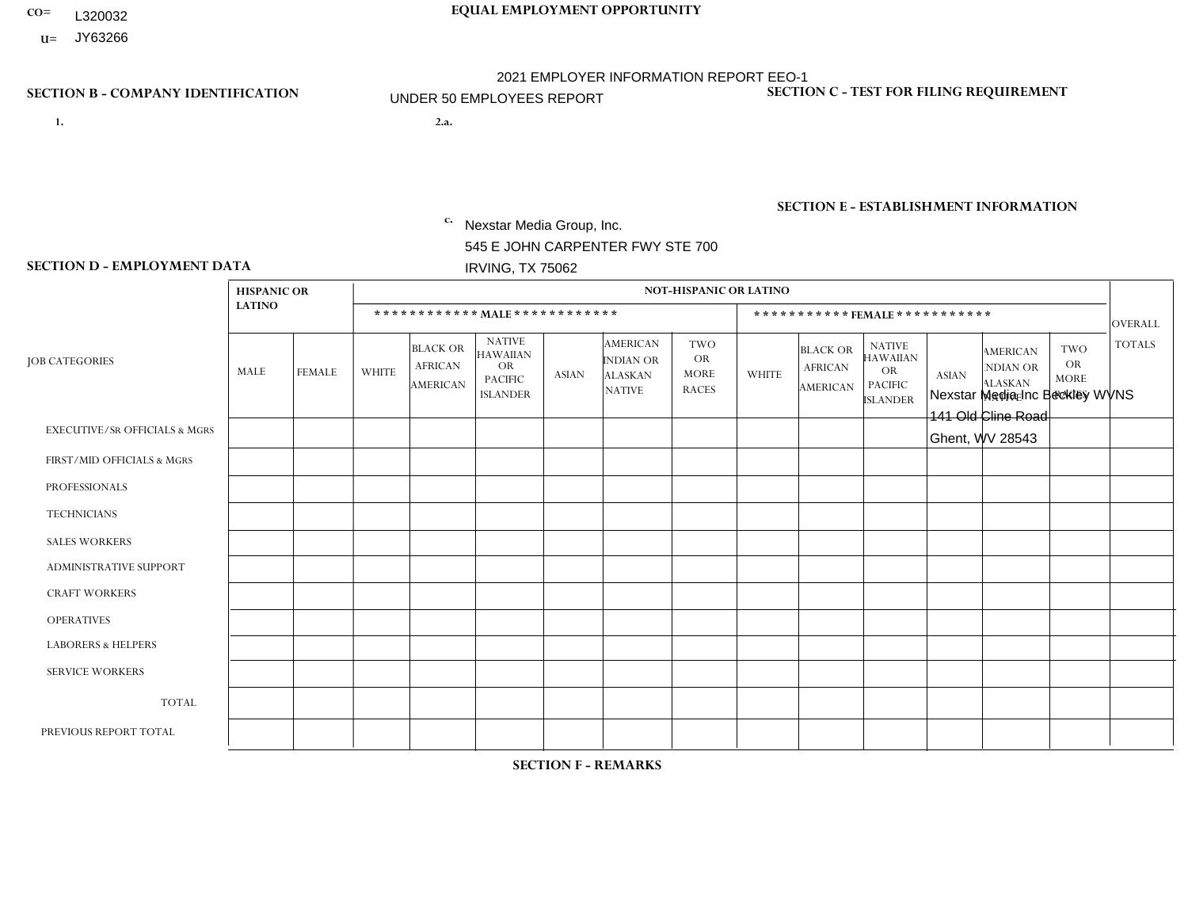- L320032
- **U=** JY63266

- **1. 2.a.** Nexstar Media Group, Inc. 545 E JOHN CARPENTER FWY STE 700 IRVING, TX 75062
- 2.a. Nexstar Media Inc Beckley WVNS 141 Old Cline Road Ghent, WV 28543

EIN= 233063152

# **SECTION B - COMPANY IDENTIFICATION SECTION C - TEST FOR FILING REQUIREMENT**

1- Y 2- N 3- Y DUNS= 058168001

# **SECTION E - ESTABLISHMENT INFORMATION c.** NAICS: 515120 - Television Broadcasting

### **SECTION D - EMPLOYMENT DATA**

|                                          | <b>HISPANIC OR</b> |               |                |                                                      |                                                                                    |              |                                                                 | <b>NOT-HISPANIC OR LATINO</b>                          |                |                                                      |                                                                                    |              |                                                                       |                                                        |                |
|------------------------------------------|--------------------|---------------|----------------|------------------------------------------------------|------------------------------------------------------------------------------------|--------------|-----------------------------------------------------------------|--------------------------------------------------------|----------------|------------------------------------------------------|------------------------------------------------------------------------------------|--------------|-----------------------------------------------------------------------|--------------------------------------------------------|----------------|
|                                          | <b>LATINO</b>      |               |                | ************ MAIE************                        |                                                                                    |              |                                                                 |                                                        |                |                                                      | ***********FEMALE***********                                                       |              |                                                                       |                                                        | OVERALL        |
| <b>JOB CATEGORIES</b>                    | MALE               | <b>FEMALE</b> | <b>WHITE</b>   | <b>BLACK OR</b><br><b>AFRICAN</b><br><b>AMERICAN</b> | <b>NATIVE</b><br><b>HAWAIIAN</b><br><b>OR</b><br><b>PACIFIC</b><br><b>ISLANDER</b> | <b>ASIAN</b> | <b>AMERICAN</b><br>INDIAN OR<br><b>ALASKAN</b><br><b>NATIVE</b> | <b>TWO</b><br><b>OR</b><br><b>MORE</b><br><b>RACES</b> | <b>WHITE</b>   | <b>BLACK OR</b><br><b>AFRICAN</b><br><b>AMERICAN</b> | <b>NATIVE</b><br><b>HAWAIIAN</b><br><b>OR</b><br><b>PACIFIC</b><br><b>ISLANDER</b> | <b>ASIAN</b> | <b>AMERICAN</b><br><b>NDIAN OR</b><br><b>ALASKAN</b><br><b>NATIVE</b> | <b>TWO</b><br><b>OR</b><br><b>MORE</b><br><b>RACES</b> | <b>TOTALS</b>  |
| <b>EXECUTIVE/SR OFFICIALS &amp; MGRS</b> | $\Omega$           | $\Omega$      | $\Omega$       | $\mathbf 0$                                          | $\Omega$                                                                           | $\Omega$     | $\Omega$                                                        | $\Omega$                                               | $\Omega$       | $\Omega$                                             | 0                                                                                  | $\Omega$     | $\Omega$                                                              | $\Omega$                                               | $\mathbf 0$    |
| FIRST/MID OFFICIALS & MGRS               | $\Omega$           | $\mathbf 0$   | $\overline{c}$ | $\mathbf 0$                                          | $\mathbf 0$                                                                        | 0            | $\Omega$                                                        | $\Omega$                                               | 1              | $\Omega$                                             | 0                                                                                  | $\Omega$     | $\Omega$                                                              | $\Omega$                                               | 3              |
| <b>PROFESSIONALS</b>                     | $\Omega$           | $\mathbf 0$   | 3              | $\mathbf 0$                                          | $\Omega$                                                                           | 0            | $\Omega$                                                        | $\Omega$                                               | 4              | $\Omega$                                             | 0                                                                                  | $\Omega$     | $\Omega$                                                              | $\mathbf 0$                                            | $\overline{7}$ |
| <b>TECHNICIANS</b>                       | $\mathbf 1$        | $\mathbf{1}$  | 14             | $\mathbf 0$                                          | $\mathbf 0$                                                                        | 0            | $\Omega$                                                        | $\Omega$                                               | 8              | $\Omega$                                             | 0                                                                                  | $\Omega$     | $\Omega$                                                              | $\Omega$                                               | 24             |
| <b>SALES WORKERS</b>                     | $\Omega$           | $\mathbf{1}$  | $\Omega$       | $\mathbf 0$                                          | $\Omega$                                                                           | $\Omega$     | $\Omega$                                                        | $\Omega$                                               | 4              | $\Omega$                                             | 0                                                                                  | $\Omega$     | $\Omega$                                                              | $\Omega$                                               | 5              |
| <b>ADMINISTRATIVE SUPPORT</b>            | $\Omega$           | $\Omega$      | 4              | 1                                                    | $\Omega$                                                                           | 0            | $\mathbf{0}$                                                    | $\Omega$                                               | $\overline{2}$ |                                                      | 0                                                                                  | $\Omega$     | $\Omega$                                                              | $\Omega$                                               | 8              |
| <b>CRAFT WORKERS</b>                     | $\Omega$           | $\mathbf{0}$  | 0              | $\mathbf 0$                                          | $\Omega$                                                                           | 0            | $\Omega$                                                        | $\Omega$                                               | $\Omega$       | $\Omega$                                             | 0                                                                                  | $\Omega$     | $\Omega$                                                              | $\Omega$                                               | $\mathbf 0$    |
| <b>OPERATIVES</b>                        | $\Omega$           | $\Omega$      | 0              | $\mathbf 0$                                          | $\Omega$                                                                           | 0            | $\mathbf{0}$                                                    | $\Omega$                                               | $\Omega$       | $\Omega$                                             | 0                                                                                  | $\Omega$     | $\Omega$                                                              | $\Omega$                                               | $\mathbf{0}$   |
| <b>LABORERS &amp; HELPERS</b>            | $\Omega$           | $\Omega$      | $\Omega$       | $\mathbf 0$                                          | $\Omega$                                                                           | 0            | $\Omega$                                                        | $\Omega$                                               | $\Omega$       | $\Omega$                                             | 0                                                                                  | $\Omega$     | $\Omega$                                                              | $\Omega$                                               | $\mathbf{0}$   |
| <b>SERVICE WORKERS</b>                   | $\Omega$           | $\mathbf 0$   | 0              | $\mathbf 0$                                          | $\mathbf 0$                                                                        | 0            | $\mathbf{0}$                                                    | $\Omega$                                               | $\Omega$       | $\Omega$                                             | 0                                                                                  | $\Omega$     | $\Omega$                                                              | $\Omega$                                               | $\mathbf 0$    |
| <b>TOTAL</b>                             | -1                 | 2             | 23             | $\mathbf{1}$                                         | 0                                                                                  | 0            | $\Omega$                                                        | $\mathbf{0}$                                           | 19             |                                                      | 0                                                                                  | $\Omega$     | $\Omega$                                                              | $\mathbf 0$                                            | 47             |
| PREVIOUS REPORT TOTAL                    | -1                 |               | 22             | $\overline{ }$                                       | $\mathbf 0$                                                                        | 0            | $\mathbf{0}$                                                    | $\Omega$                                               | 21             |                                                      | 0                                                                                  | $\Omega$     | $\Omega$                                                              | $\mathbf 0$                                            | 47             |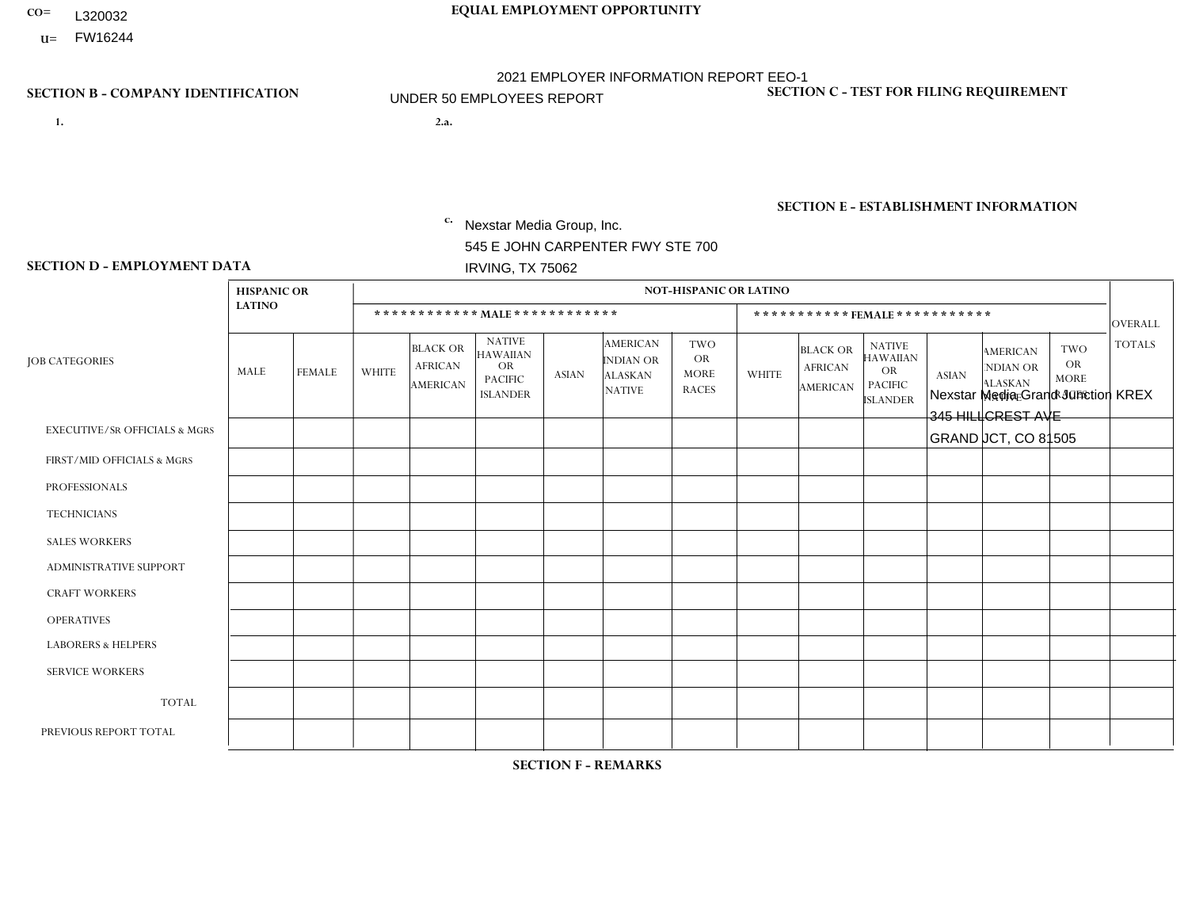- **CO= EQUAL EMPLOYMENT OPPORTUNITY** L320032
	- **U=** FW16244

- **1. 2.a.** Nexstar Media Group, Inc. 545 E JOHN CARPENTER FWY STE 700 IRVING, TX 75062
- 2.a. Nexstar Media Grand Junction KREX 345 HILLCREST AVE GRAND JCT, CO 81505

EIN= 233063152

# **SECTION B - COMPANY IDENTIFICATION SECTION C - TEST FOR FILING REQUIREMENT**

1- Y 2- N 3- Y DUNS= 058168001

**SECTION E - ESTABLISHMENT INFORMATION c.** NAICS: 515120 - Television Broadcasting

### **SECTION D - EMPLOYMENT DATA**

|                                          | <b>HISPANIC OR</b> |                |                |                                                      |                                                                                    |              |                                                                        | <b>NOT-HISPANIC OR LATINO</b>                          |                |                                               |                                                                             |              |                                                                |                                                        |                |
|------------------------------------------|--------------------|----------------|----------------|------------------------------------------------------|------------------------------------------------------------------------------------|--------------|------------------------------------------------------------------------|--------------------------------------------------------|----------------|-----------------------------------------------|-----------------------------------------------------------------------------|--------------|----------------------------------------------------------------|--------------------------------------------------------|----------------|
|                                          | <b>LATINO</b>      |                |                |                                                      | ************ MAIE************                                                      |              |                                                                        |                                                        |                |                                               | ***********FEMALE***********                                                |              |                                                                |                                                        | <b>OVERALL</b> |
| <b>JOB CATEGORIES</b>                    | MALE               | <b>FEMALE</b>  | <b>WHITE</b>   | <b>BLACK OR</b><br><b>AFRICAN</b><br><b>AMERICAN</b> | <b>NATIVE</b><br><b>HAWAIIAN</b><br><b>OR</b><br><b>PACIFIC</b><br><b>ISLANDER</b> | <b>ASIAN</b> | <b>AMERICAN</b><br><b>INDIAN OR</b><br><b>ALASKAN</b><br><b>NATIVE</b> | <b>TWO</b><br><b>OR</b><br><b>MORE</b><br><b>RACES</b> | <b>WHITE</b>   | <b>BLACK OR</b><br><b>AFRICAN</b><br>AMERICAN | <b>NATIVE</b><br><b>HAWAIIAN</b><br>OR<br><b>PACIFIC</b><br><b>ISLANDER</b> | <b>ASIAN</b> | <b>AMERICAN</b><br>NDIAN OR<br><b>ALASKAN</b><br><b>NATIVE</b> | <b>TWO</b><br><b>OR</b><br><b>MORE</b><br><b>RACES</b> | <b>TOTALS</b>  |
| <b>EXECUTIVE/SR OFFICIALS &amp; MGRS</b> | $\Omega$           | $\mathbf 0$    | $\mathbf 0$    | 0                                                    | $\Omega$                                                                           | $\Omega$     | $\Omega$                                                               | $\Omega$                                               | $\Omega$       | $\Omega$                                      | $\Omega$                                                                    | $\Omega$     | $\Omega$                                                       | $\Omega$                                               | $\mathbf 0$    |
| FIRST/MID OFFICIALS & MGRS               | $\mathbf 0$        | 0              | $\mathbf 0$    | $\mathbf 0$                                          | $\mathbf{0}$                                                                       | $\Omega$     | $\Omega$                                                               | $\Omega$                                               | $\overline{2}$ | $\Omega$                                      | $\Omega$                                                                    | $\Omega$     | $\Omega$                                                       | $\Omega$                                               | 2              |
| <b>PROFESSIONALS</b>                     | 0                  | $\mathbf{0}$   | $\overline{4}$ | 0                                                    | $\Omega$                                                                           | -1           | $\Omega$                                                               | $\Omega$                                               | $\overline{2}$ | 0                                             | $\Omega$                                                                    | $\mathbf 0$  | $\Omega$                                                       | $\mathbf 0$                                            | $\overline{7}$ |
| <b>TECHNICIANS</b>                       | $\mathbf 0$        | $\mathbf 0$    | 12             | $\overline{2}$                                       | $\Omega$                                                                           | 1            | $\Omega$                                                               | $\mathbf 0$                                            | 3              | $\blacktriangleleft$                          | $\mathbf 0$                                                                 | $\mathbf 0$  | $\Omega$                                                       | $\mathbf 0$                                            | 19             |
| <b>SALES WORKERS</b>                     | $\mathbf 0$        | $\mathbf 0$    | 3              | 0                                                    | $\Omega$                                                                           | $\Omega$     | $\Omega$                                                               | $\Omega$                                               | $\overline{2}$ | $\Omega$                                      | $\Omega$                                                                    | $\Omega$     | $\Omega$                                                       | $\Omega$                                               | 5              |
| <b>ADMINISTRATIVE SUPPORT</b>            | $\Omega$           | 1              | $\overline{c}$ | $\mathbf 0$                                          | $\mathbf{0}$                                                                       | $\Omega$     | $\Omega$                                                               | $\mathbf{0}$                                           | $\Omega$       | $\Omega$                                      | $\Omega$                                                                    | $\Omega$     | $\Omega$                                                       | $\Omega$                                               | 3              |
| <b>CRAFT WORKERS</b>                     | $\Omega$           | 0              | $\mathbf 0$    | $\mathbf 0$                                          | $\Omega$                                                                           | $\Omega$     | $\Omega$                                                               | $\Omega$                                               | $\Omega$       | $\Omega$                                      | $\Omega$                                                                    | $\Omega$     | $\Omega$                                                       | $\Omega$                                               | $\mathbf 0$    |
| <b>OPERATIVES</b>                        | $\mathbf{0}$       | $\mathbf{0}$   | $\mathbf 0$    | $\mathbf 0$                                          | $\Omega$                                                                           | $\Omega$     | $\Omega$                                                               | $\Omega$                                               | $\Omega$       | $\Omega$                                      | $\Omega$                                                                    | $\Omega$     | $\Omega$                                                       | $\Omega$                                               | $\mathbf 0$    |
| <b>LABORERS &amp; HELPERS</b>            | $\mathbf{0}$       | $\Omega$       | $\mathbf 0$    | 0                                                    | $\Omega$                                                                           | $\Omega$     | $\Omega$                                                               | $\Omega$                                               | $\Omega$       | $\Omega$                                      | $\Omega$                                                                    | $\Omega$     | $\Omega$                                                       | $\Omega$                                               | $\mathbf 0$    |
| <b>SERVICE WORKERS</b>                   | $\mathbf{0}$       | $\mathbf 0$    | 0              | 0                                                    | $\Omega$                                                                           | $\Omega$     | $\Omega$                                                               | $\Omega$                                               | $\Omega$       | $\Omega$                                      | $\Omega$                                                                    | $\Omega$     | $\Omega$                                                       | $\Omega$                                               | 0              |
| <b>TOTAL</b>                             | 0                  | $\mathbf{1}$   | 21             | $\overline{c}$                                       | $\mathbf 0$                                                                        | 2            | $\Omega$                                                               | $\Omega$                                               | 9              | $\blacktriangleleft$                          | $\mathbf 0$                                                                 | $\mathbf 0$  | $\mathbf 0$                                                    | $\mathbf 0$                                            | 36             |
| PREVIOUS REPORT TOTAL                    | $\mathbf 0$        | $\overline{2}$ | 19             | 1                                                    | $\Omega$                                                                           |              | $\Omega$                                                               |                                                        | 9              | 2                                             | $\Omega$                                                                    | $\Omega$     | $\Omega$                                                       | $\mathbf{1}$                                           | 36             |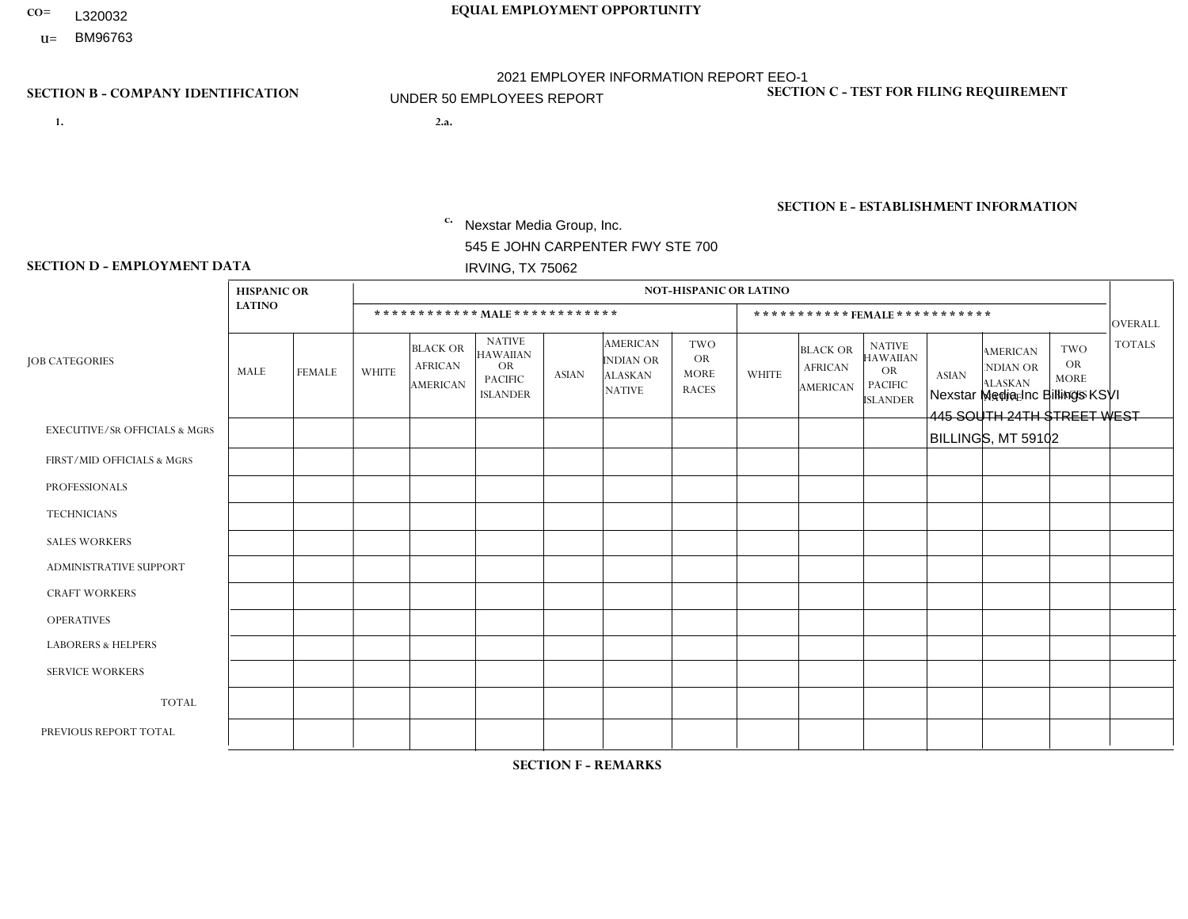- L320032
- **U=**

- **1. 2.a.** Nexstar Media Group, Inc. 545 E JOHN CARPENTER FWY STE 700 IRVING, TX 75062
- 2.a. Nexstar Media Inc Billings KSVI 445 SOUTH 24TH STREET WEST BILLINGS, MT 59102

EIN= 233063152

## **SECTION B - COMPANY IDENTIFICATION SECTION C - TEST FOR FILING REQUIREMENT**

1- Y 2- N 3- Y DUNS= 058168001

# **SECTION E - ESTABLISHMENT INFORMATION c.** NAICS: 515120 - Television Broadcasting

### **SECTION D - EMPLOYMENT DATA**

|                                          | <b>HISPANIC OR</b> |               |                |                                                      |                                                                             |              |                                                                 | <b>NOT-HISPANIC OR LATINO</b>                          |              |                                               |                                                                                    |              |                                                                       |                                                        |                |
|------------------------------------------|--------------------|---------------|----------------|------------------------------------------------------|-----------------------------------------------------------------------------|--------------|-----------------------------------------------------------------|--------------------------------------------------------|--------------|-----------------------------------------------|------------------------------------------------------------------------------------|--------------|-----------------------------------------------------------------------|--------------------------------------------------------|----------------|
|                                          | <b>LATINO</b>      |               |                |                                                      | ************ MALE************                                               |              |                                                                 |                                                        |              |                                               | *********** FEMALE ***********                                                     |              |                                                                       |                                                        | <b>OVERALL</b> |
| <b>JOB CATEGORIES</b>                    | MALE               | <b>FEMALE</b> | <b>WHITE</b>   | <b>BLACK OR</b><br><b>AFRICAN</b><br><b>AMERICAN</b> | <b>NATIVE</b><br><b>HAWAIIAN</b><br>OR<br><b>PACIFIC</b><br><b>ISLANDER</b> | <b>ASIAN</b> | <b>AMERICAN</b><br>INDIAN OR<br><b>ALASKAN</b><br><b>NATIVE</b> | <b>TWO</b><br><b>OR</b><br><b>MORE</b><br><b>RACES</b> | <b>WHITE</b> | <b>BLACK OR</b><br><b>AFRICAN</b><br>AMERICAN | <b>NATIVE</b><br><b>HAWAIIAN</b><br><b>OR</b><br><b>PACIFIC</b><br><b>ISLANDER</b> | <b>ASIAN</b> | <b>AMERICAN</b><br><b>NDIAN OR</b><br><b>ALASKAN</b><br><b>NATIVE</b> | <b>TWO</b><br><b>OR</b><br><b>MORE</b><br><b>RACES</b> | <b>TOTALS</b>  |
| <b>EXECUTIVE/SR OFFICIALS &amp; MGRS</b> | $\Omega$           | $\Omega$      | $\mathbf 0$    | $\mathbf 0$                                          | $\mathbf 0$                                                                 | $\Omega$     | $\Omega$                                                        | $\Omega$                                               | $\Omega$     | $\Omega$                                      | $\Omega$                                                                           | $\Omega$     | $\Omega$                                                              | $\Omega$                                               | $\mathbf 0$    |
| FIRST/MID OFFICIALS & MGRS               | 0                  | $\Omega$      | 1              | $\mathbf 0$                                          | $\mathbf 0$                                                                 | $\Omega$     | $\Omega$                                                        | $\Omega$                                               | $\Omega$     | $\Omega$                                      | $\mathbf{0}$                                                                       | $\mathbf{0}$ | $\Omega$                                                              | $\Omega$                                               | $\mathbf 1$    |
| <b>PROFESSIONALS</b>                     | 0                  | $\Omega$      | $\overline{c}$ | $\mathbf 0$                                          | $\mathbf 0$                                                                 | $\Omega$     | $\Omega$                                                        | $\Omega$                                               | $\Omega$     | $\Omega$                                      | $\Omega$                                                                           | $\Omega$     | $\Omega$                                                              | $\mathbf{0}$                                           | $\overline{2}$ |
| <b>TECHNICIANS</b>                       | 0                  | $\mathbf 0$   | $\overline{c}$ | $\mathbf 0$                                          | $\mathbf 0$                                                                 | $\mathbf 0$  | $\mathbf{0}$                                                    | $\Omega$                                               | $\mathbf 0$  | $\mathbf 0$                                   | $\mathbf 0$                                                                        | $\mathbf 0$  | $\mathbf 0$                                                           | $\mathbf 0$                                            | $\overline{2}$ |
| <b>SALES WORKERS</b>                     | 0                  | $\Omega$      | $\mathbf 0$    | $\mathbf 0$                                          | $\Omega$                                                                    | $\Omega$     | $\mathbf{0}$                                                    | $\Omega$                                               | 3            | $\Omega$                                      | $\mathbf{0}$                                                                       | $\mathbf{0}$ | $\Omega$                                                              | $\Omega$                                               | 3              |
| <b>ADMINISTRATIVE SUPPORT</b>            | 0                  | $\mathbf 0$   | $\overline{1}$ | $\mathbf 0$                                          | $\mathbf 0$                                                                 | $\mathbf 0$  | $\Omega$                                                        | $\Omega$                                               | 3            | $\Omega$                                      | $\Omega$                                                                           | $\Omega$     | $\Omega$                                                              | $\Omega$                                               | $\overline{4}$ |
| <b>CRAFT WORKERS</b>                     | 0                  | $\Omega$      | $\mathbf 0$    | $\mathbf 0$                                          | $\Omega$                                                                    | $\Omega$     | $\Omega$                                                        | $\Omega$                                               | $\Omega$     | $\Omega$                                      | $\Omega$                                                                           | $\Omega$     | $\Omega$                                                              | $\Omega$                                               | $\Omega$       |
| <b>OPERATIVES</b>                        | 0                  | $\mathbf 0$   | $\mathbf 0$    | $\mathbf 0$                                          | $\mathbf 0$                                                                 | $\mathbf 0$  | $\Omega$                                                        | $\Omega$                                               | $\Omega$     | $\Omega$                                      | $\Omega$                                                                           | $\Omega$     | $\Omega$                                                              | $\Omega$                                               | $\mathbf 0$    |
| <b>LABORERS &amp; HELPERS</b>            | 0                  | $\Omega$      | $\mathbf 0$    | $\mathbf 0$                                          | $\mathbf 0$                                                                 | $\mathbf 0$  | $\Omega$                                                        | $\Omega$                                               | $\Omega$     | $\Omega$                                      | $\Omega$                                                                           | $\Omega$     | $\Omega$                                                              | $\Omega$                                               | $\mathbf{0}$   |
| <b>SERVICE WORKERS</b>                   | 0                  | $\Omega$      | $\mathbf 0$    | 0                                                    | $\mathbf 0$                                                                 | $\mathbf 0$  | $\Omega$                                                        | $\Omega$                                               | $\Omega$     | $\Omega$                                      | $\Omega$                                                                           | $\Omega$     | $\Omega$                                                              | $\mathbf{0}$                                           | $\mathbf 0$    |
| <b>TOTAL</b>                             | $\mathbf 0$        | $\mathbf 0$   | 6              | $\mathbf 0$                                          | $\mathbf 0$                                                                 | $\mathbf 0$  | $\Omega$                                                        | $\Omega$                                               | 6            | 0                                             | $\mathbf 0$                                                                        | $\mathbf 0$  | $\mathbf 0$                                                           | $\mathbf 0$                                            | 12             |
| PREVIOUS REPORT TOTAL                    | 0                  | 0             | 8              | $\Omega$                                             | $\Omega$                                                                    | $\Omega$     | $\Omega$                                                        |                                                        | 6            | $\Omega$                                      | $\Omega$                                                                           | $\Omega$     | $\mathbf{0}$                                                          | $\Omega$                                               | 15             |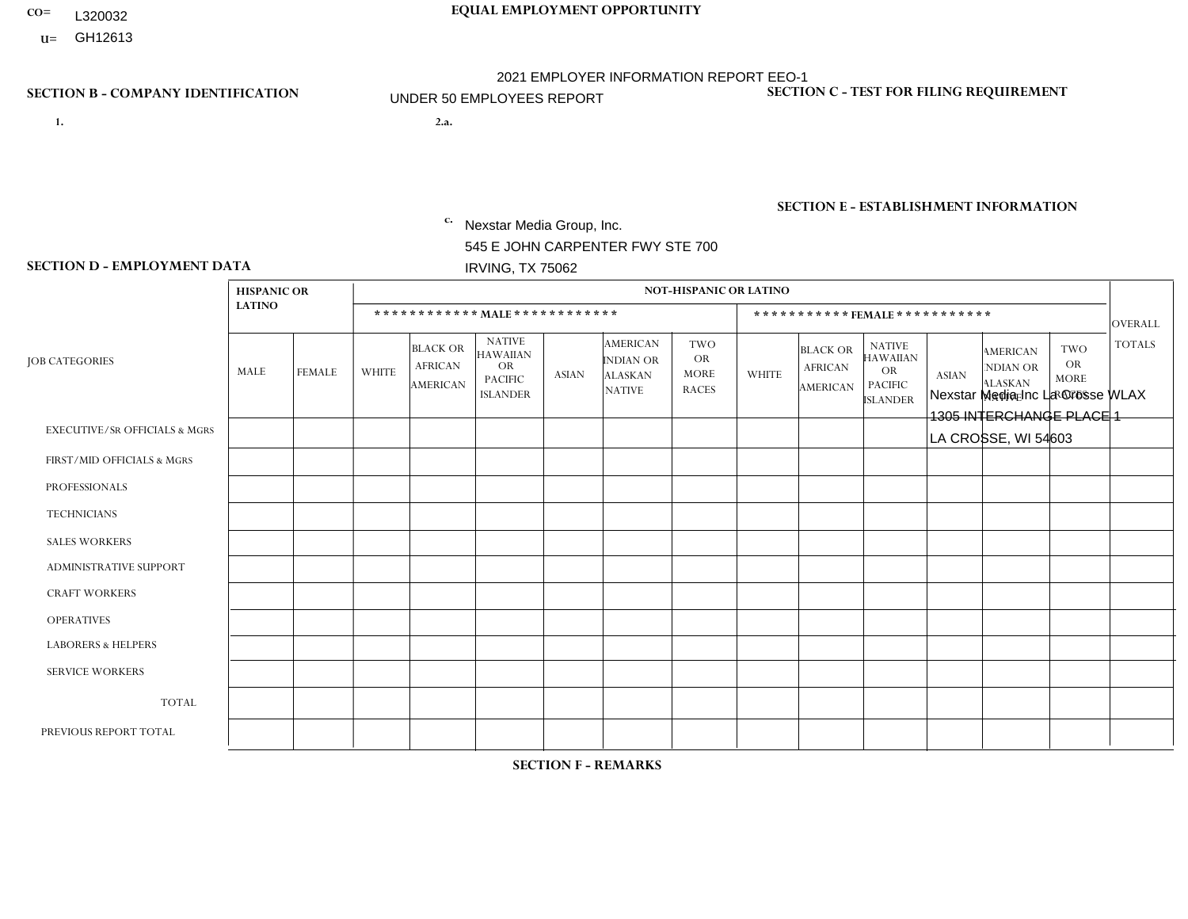- **CO= EQUAL EMPLOYMENT OPPORTUNITY** L320032
	- **U=**

- **1. 2.a.** Nexstar Media Group, Inc. 545 E JOHN CARPENTER FWY STE 700 IRVING, TX 75062
- 2.a. Nexstar Media Inc La Crosse WLAX 1305 INTERCHANGE PLACE 1 LA CROSSE, WI 54603

EIN= 233063152

## **SECTION B - COMPANY IDENTIFICATION SECTION C - TEST FOR FILING REQUIREMENT**

1- Y 2- N 3- Y DUNS= 058168001

# **SECTION E - ESTABLISHMENT INFORMATION c.** NAICS: 515120 - Television Broadcasting

### **SECTION D - EMPLOYMENT DATA**

|                                          | <b>HISPANIC OR</b> |               |                |                                                      |                                                                                    |              |                                                                        | <b>NOT-HISPANIC OR LATINO</b>                          |                |                                                      |                                                                                    |              |                                                                       |                                                        |                |
|------------------------------------------|--------------------|---------------|----------------|------------------------------------------------------|------------------------------------------------------------------------------------|--------------|------------------------------------------------------------------------|--------------------------------------------------------|----------------|------------------------------------------------------|------------------------------------------------------------------------------------|--------------|-----------------------------------------------------------------------|--------------------------------------------------------|----------------|
|                                          | <b>LATINO</b>      |               |                |                                                      | ************ MALE ************                                                     |              |                                                                        |                                                        |                |                                                      | ***********FEMALE***********                                                       |              |                                                                       |                                                        | <b>OVERALL</b> |
| <b>JOB CATEGORIES</b>                    | MALE               | <b>FEMALE</b> | <b>WHITE</b>   | <b>BLACK OR</b><br><b>AFRICAN</b><br><b>AMERICAN</b> | <b>NATIVE</b><br><b>HAWAIIAN</b><br><b>OR</b><br><b>PACIFIC</b><br><b>ISLANDER</b> | <b>ASIAN</b> | <b>AMERICAN</b><br><b>INDIAN OR</b><br><b>ALASKAN</b><br><b>NATIVE</b> | <b>TWO</b><br><b>OR</b><br><b>MORE</b><br><b>RACES</b> | <b>WHITE</b>   | <b>BLACK OR</b><br><b>AFRICAN</b><br><b>AMERICAN</b> | <b>NATIVE</b><br><b>HAWAIIAN</b><br><b>OR</b><br><b>PACIFIC</b><br><b>ISLANDER</b> | <b>ASIAN</b> | <b>AMERICAN</b><br><b>NDIAN OR</b><br><b>ALASKAN</b><br><b>NATIVE</b> | <b>TWO</b><br><b>OR</b><br><b>MORE</b><br><b>RACES</b> | <b>TOTALS</b>  |
| <b>EXECUTIVE/SR OFFICIALS &amp; MGRS</b> | $\Omega$           | $\Omega$      | $\Omega$       | $\Omega$                                             | $\Omega$                                                                           | $\Omega$     | $\mathbf{0}$                                                           | $\Omega$                                               | $\Omega$       | $\Omega$                                             | $\mathbf{0}$                                                                       | $\mathbf{0}$ | $\mathbf{0}$                                                          | $\Omega$                                               | $\Omega$       |
| FIRST/MID OFFICIALS & MGRS               | 0                  | $\Omega$      | 3              | $\mathbf 0$                                          | $\mathbf 0$                                                                        | $\Omega$     | $\Omega$                                                               | $\Omega$                                               | $\Omega$       | $\Omega$                                             | $\Omega$                                                                           | $\Omega$     | $\mathbf{0}$                                                          | $\Omega$                                               | 3              |
| <b>PROFESSIONALS</b>                     | $\Omega$           | $\Omega$      | $\overline{2}$ | $\mathbf{1}$                                         | $\Omega$                                                                           | $\Omega$     | $\mathbf{0}$                                                           | $\mathbf{0}$                                           | $\Omega$       | $\Omega$                                             | $\Omega$                                                                           | $\Omega$     | $\Omega$                                                              | $\Omega$                                               | 3              |
| <b>TECHNICIANS</b>                       | 0                  | $\mathbf 0$   | 8              | $\mathbf 0$                                          | $\mathbf 0$                                                                        | $\mathbf 0$  | $\Omega$                                                               | $\Omega$                                               | $\Omega$       | $\Omega$                                             | $\Omega$                                                                           | $\mathbf{0}$ | $\Omega$                                                              | $\mathbf{0}$                                           | 8              |
| <b>SALES WORKERS</b>                     | 0                  | $\Omega$      | 3              | $\mathbf 0$                                          | $\mathbf 0$                                                                        | $\Omega$     | $\Omega$                                                               | $\Omega$                                               | $\overline{4}$ | $\Omega$                                             | $\Omega$                                                                           | $\mathbf{0}$ | $\Omega$                                                              | $\mathbf{0}$                                           | $\overline{7}$ |
| ADMINISTRATIVE SUPPORT                   | $\Omega$           | $\mathbf 0$   | $\overline{2}$ | $\mathbf 0$                                          | $\mathbf 0$                                                                        | $\Omega$     | $\mathbf{0}$                                                           | $\Omega$                                               | 3              | $\Omega$                                             | $\Omega$                                                                           | $\mathbf{0}$ | $\Omega$                                                              | $\mathbf{0}$                                           | 5              |
| <b>CRAFT WORKERS</b>                     | 0                  | $\Omega$      | $\mathbf 0$    | $\mathbf 0$                                          | $\mathbf 0$                                                                        | $\Omega$     | $\mathbf{0}$                                                           | $\Omega$                                               | $\Omega$       | $\Omega$                                             | $\Omega$                                                                           | $\Omega$     | $\Omega$                                                              | $\Omega$                                               | $\overline{0}$ |
| <b>OPERATIVES</b>                        | 0                  | $\Omega$      | $\mathbf 0$    | $\mathbf 0$                                          | $\mathbf 0$                                                                        | $\mathbf 0$  | $\Omega$                                                               | $\Omega$                                               | $\Omega$       | $\Omega$                                             | $\Omega$                                                                           | $\mathbf{0}$ | $\Omega$                                                              | $\mathbf{0}$                                           | $\overline{0}$ |
| <b>LABORERS &amp; HELPERS</b>            | 0                  | $\Omega$      | $\mathbf 0$    | $\mathbf 0$                                          | $\mathbf 0$                                                                        | $\mathbf 0$  | $\Omega$                                                               | $\Omega$                                               | $\Omega$       | $\Omega$                                             | $\Omega$                                                                           | $\Omega$     | $\Omega$                                                              | $\Omega$                                               | $\overline{0}$ |
| <b>SERVICE WORKERS</b>                   | 0                  | $\mathbf 0$   | $\mathbf 0$    | $\mathbf 0$                                          | 0                                                                                  | $\mathbf 0$  | $\Omega$                                                               | $\Omega$                                               | $\Omega$       | $\Omega$                                             | $\Omega$                                                                           | $\mathbf 0$  | $\mathbf 0$                                                           | 0                                                      | $\mathbf 0$    |
| <b>TOTAL</b>                             | 0                  | $\Omega$      | 18             | $\mathbf{1}$                                         | $\mathbf 0$                                                                        | $\Omega$     | $\Omega$                                                               | $\Omega$                                               | $\overline{7}$ | $\Omega$                                             | $\Omega$                                                                           | $\Omega$     | $\Omega$                                                              | $\Omega$                                               | 26             |
| PREVIOUS REPORT TOTAL                    | 0                  | $\Omega$      | 17             | $\Omega$                                             | $\mathbf 0$                                                                        | $\Omega$     | $\Omega$                                                               | $\Omega$                                               | 10             | $\Omega$                                             | $\Omega$                                                                           | $\Omega$     | $\mathbf{0}$                                                          | $\mathbf{0}$                                           | 27             |

**SECTION F - REMARKS**

new location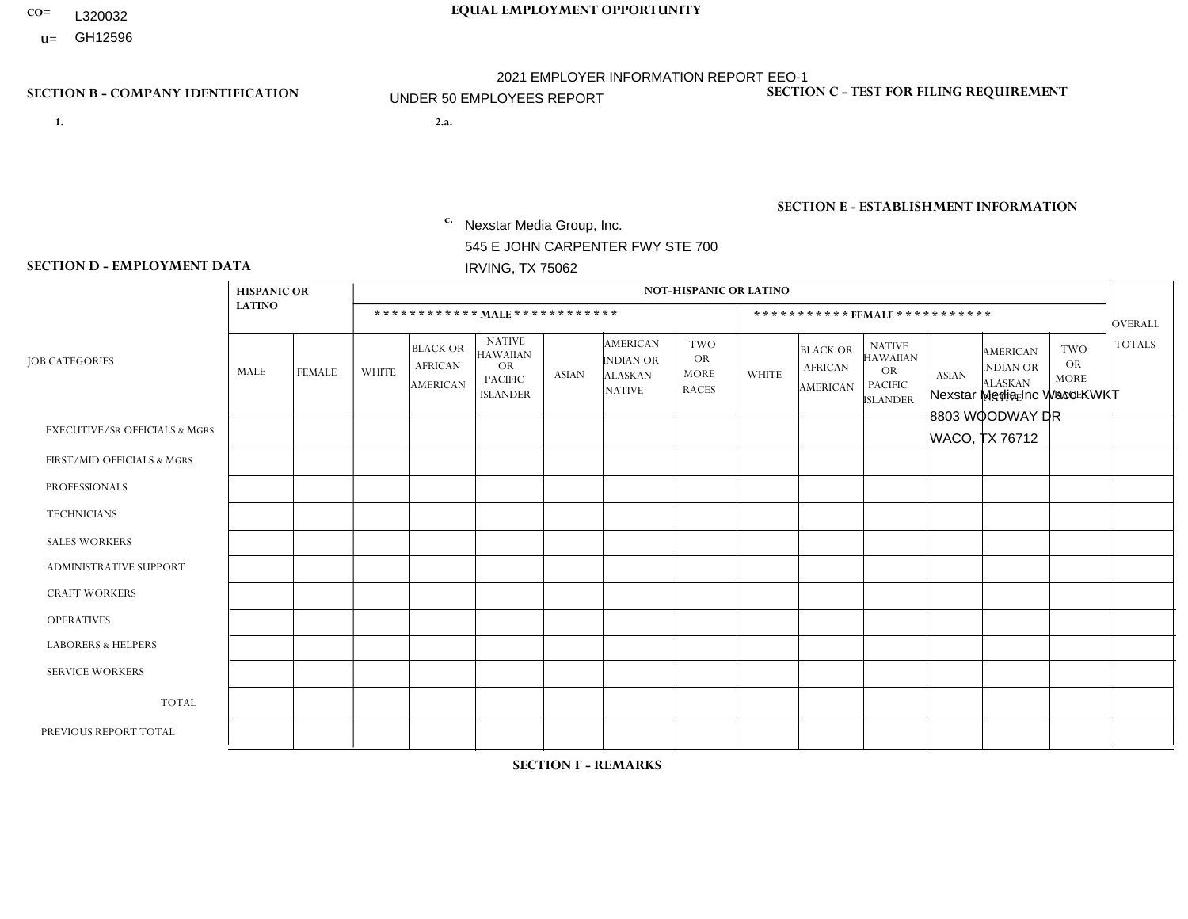- L320032
- **U=**

- **1. 2.a.** Nexstar Media Group, Inc. 545 E JOHN CARPENTER FWY STE 700 IRVING, TX 75062
- 2.a. Nexstar Media Inc Waco KWKT 8803 WOODWAY DR WACO, TX 76712

EIN= 233063152

# **SECTION B - COMPANY IDENTIFICATION SECTION C - TEST FOR FILING REQUIREMENT**

1- Y 2- N 3- Y DUNS= 058168001

**SECTION E - ESTABLISHMENT INFORMATION c.** NAICS: 515120 - Television Broadcasting

### **SECTION D - EMPLOYMENT DATA**

|                                          | <b>HISPANIC OR</b> |                |              |                                                      |                                                                                    |              |                                                                        | <b>NOT-HISPANIC OR LATINO</b>                          |                |                                               |                                                                                    |              |                                                                       |                                                        |               |
|------------------------------------------|--------------------|----------------|--------------|------------------------------------------------------|------------------------------------------------------------------------------------|--------------|------------------------------------------------------------------------|--------------------------------------------------------|----------------|-----------------------------------------------|------------------------------------------------------------------------------------|--------------|-----------------------------------------------------------------------|--------------------------------------------------------|---------------|
|                                          | <b>LATINO</b>      |                |              |                                                      | ************ MALE ************                                                     |              |                                                                        |                                                        |                |                                               | *********** FEMALE ***********                                                     |              |                                                                       |                                                        | OVERALL       |
| <b>JOB CATEGORIES</b>                    | MALE               | <b>FEMALE</b>  | <b>WHITE</b> | <b>BLACK OR</b><br><b>AFRICAN</b><br><b>AMERICAN</b> | <b>NATIVE</b><br><b>HAWAIIAN</b><br><b>OR</b><br><b>PACIFIC</b><br><b>ISLANDER</b> | <b>ASIAN</b> | <b>AMERICAN</b><br><b>INDIAN OR</b><br><b>ALASKAN</b><br><b>NATIVE</b> | <b>TWO</b><br><b>OR</b><br><b>MORE</b><br><b>RACES</b> | <b>WHITE</b>   | <b>BLACK OR</b><br><b>AFRICAN</b><br>AMERICAN | <b>NATIVE</b><br><b>HAWAIIAN</b><br><b>OR</b><br><b>PACIFIC</b><br><b>ISLANDER</b> | <b>ASIAN</b> | <b>AMERICAN</b><br><b>NDIAN OR</b><br><b>ALASKAN</b><br><b>NATIVE</b> | <b>TWO</b><br><b>OR</b><br><b>MORE</b><br><b>RACES</b> | <b>TOTALS</b> |
| <b>EXECUTIVE/SR OFFICIALS &amp; MGRS</b> | $\mathbf 0$        | 0              | $\mathbf 0$  | 0                                                    | $\mathbf 0$                                                                        | $\Omega$     | $\Omega$                                                               | $\Omega$                                               | 0              | $\mathbf 0$                                   | $\mathbf 0$                                                                        | $\mathbf 0$  | 0                                                                     | 0                                                      | $\mathbf 0$   |
| FIRST/MID OFFICIALS & MGRS               | $\Omega$           | $\Omega$       | 3            | $\Omega$                                             | $\Omega$                                                                           |              | 0                                                                      | $\Omega$                                               | 1              | $\Omega$                                      | $\Omega$                                                                           | $\Omega$     | $\Omega$                                                              | $\Omega$                                               | 5             |
| <b>PROFESSIONALS</b>                     | $\mathbf{0}$       | $\Omega$       | 5            | $\Omega$                                             | $\Omega$                                                                           | $\Omega$     | $\Omega$                                                               | $\Omega$                                               | $\overline{2}$ | $\Omega$                                      | 1                                                                                  | $\Omega$     | $\Omega$                                                              | $\Omega$                                               | 8             |
| <b>TECHNICIANS</b>                       |                    | 3              | 8            | 2                                                    | $\Omega$                                                                           | $\Omega$     | $\Omega$                                                               | $\Omega$                                               | 4              | $\overline{4}$                                | $\Omega$                                                                           | $\Omega$     | $\Omega$                                                              | $\Omega$                                               | 22            |
| <b>SALES WORKERS</b>                     | $\mathbf 0$        | $\overline{0}$ | $\mathbf 0$  | $\mathbf 0$                                          | $\Omega$                                                                           | $\Omega$     | $\Omega$                                                               | $\Omega$                                               | 4              | 2                                             | $\Omega$                                                                           | $\Omega$     | $\Omega$                                                              | $\Omega$                                               | 6             |
| <b>ADMINISTRATIVE SUPPORT</b>            | $\mathbf{0}$       | $\mathbf{1}$   | $\mathbf 0$  | $\mathbf{1}$                                         | $\Omega$                                                                           | $\Omega$     | $\Omega$                                                               | $\Omega$                                               | 3              | $\Omega$                                      | $\Omega$                                                                           | $\Omega$     | $\Omega$                                                              | $\Omega$                                               | 5             |
| <b>CRAFT WORKERS</b>                     | $\mathbf 0$        | $\mathbf 0$    | $\mathbf 0$  | $\mathbf 0$                                          | $\Omega$                                                                           | $\Omega$     | $\Omega$                                                               | $\Omega$                                               | $\Omega$       | $\Omega$                                      | $\Omega$                                                                           | $\Omega$     | $\Omega$                                                              | $\Omega$                                               | $\mathbf 0$   |
| <b>OPERATIVES</b>                        | $\mathbf{0}$       | 0              | $\mathbf 0$  | $\mathbf 0$                                          | $\Omega$                                                                           | $\Omega$     | $\Omega$                                                               | $\Omega$                                               | $\Omega$       | $\Omega$                                      | $\Omega$                                                                           | $\Omega$     | $\Omega$                                                              | $\Omega$                                               | $\mathbf 0$   |
| <b>LABORERS &amp; HELPERS</b>            | $\mathbf 0$        | $\mathbf{0}$   | $\mathbf 0$  | $\mathbf 0$                                          | $\mathbf 0$                                                                        | $\Omega$     | $\Omega$                                                               | $\Omega$                                               | $\Omega$       | $\Omega$                                      | $\Omega$                                                                           | $\Omega$     | $\Omega$                                                              | $\Omega$                                               | $\mathbf 0$   |
| <b>SERVICE WORKERS</b>                   | $\mathbf 0$        | $\overline{0}$ | $\mathbf 0$  | $\mathbf 0$                                          | $\Omega$                                                                           | $\Omega$     | $\Omega$                                                               | $\Omega$                                               | $\Omega$       | $\Omega$                                      | $\Omega$                                                                           | $\Omega$     | $\Omega$                                                              | $\Omega$                                               | $\mathbf 0$   |
| <b>TOTAL</b>                             |                    | $\overline{4}$ | 16           | 3                                                    | $\mathbf 0$                                                                        |              | $\Omega$                                                               | $\Omega$                                               | 14             | 6                                             | $\mathbf{1}$                                                                       | $\Omega$     | $\Omega$                                                              | $\Omega$                                               | 46            |
| PREVIOUS REPORT TOTAL                    | 3                  | $\overline{4}$ | 21           | 5                                                    | $\Omega$                                                                           | $\Omega$     | $\mathbf{0}$                                                           |                                                        | 11             | 3                                             | $\mathbf 0$                                                                        | $\mathbf 0$  | 0                                                                     | 0                                                      | 48            |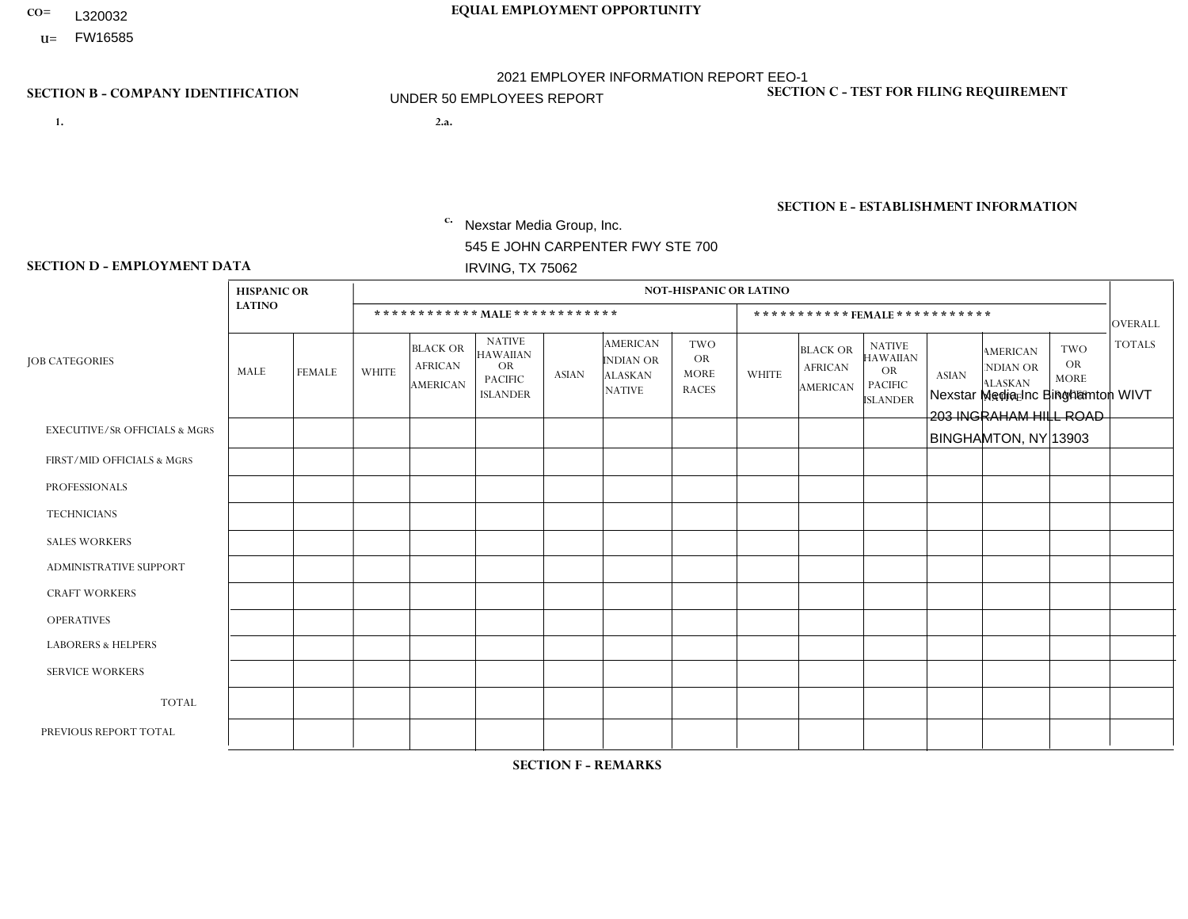- **CO= EQUAL EMPLOYMENT OPPORTUNITY** L320032
	- **U=**

- **1. 2.a.** Nexstar Media Group, Inc. 545 E JOHN CARPENTER FWY STE 700 IRVING, TX 75062
- 2.a. Nexstar Media Inc Binghamton WIVT 203 INGRAHAM HILL ROAD BINGHAMTON, NY 13903

EIN= 233063152

# **SECTION B - COMPANY IDENTIFICATION SECTION C - TEST FOR FILING REQUIREMENT**

1- Y 2- N 3- Y DUNS= 058168001

**SECTION E - ESTABLISHMENT INFORMATION c.** NAICS: 515120 - Television Broadcasting

### **SECTION D - EMPLOYMENT DATA**

|                                          | <b>HISPANIC OR</b> |               |                |                                                      |                                                                             |              |                                                                 | <b>NOT-HISPANIC OR LATINO</b>                          |                |                                                      |                                                                                    |              |                                                                       |                                                        |                |
|------------------------------------------|--------------------|---------------|----------------|------------------------------------------------------|-----------------------------------------------------------------------------|--------------|-----------------------------------------------------------------|--------------------------------------------------------|----------------|------------------------------------------------------|------------------------------------------------------------------------------------|--------------|-----------------------------------------------------------------------|--------------------------------------------------------|----------------|
|                                          | <b>LATINO</b>      |               |                |                                                      | ************ MALE************                                               |              |                                                                 |                                                        |                |                                                      | *********** FEMALE ***********                                                     |              |                                                                       |                                                        | <b>OVERALL</b> |
| <b>JOB CATEGORIES</b>                    | MALE               | <b>FEMALE</b> | <b>WHITE</b>   | <b>BLACK OR</b><br><b>AFRICAN</b><br><b>AMERICAN</b> | <b>NATIVE</b><br><b>HAWAIIAN</b><br>OR<br><b>PACIFIC</b><br><b>ISLANDER</b> | <b>ASIAN</b> | <b>AMERICAN</b><br>INDIAN OR<br><b>ALASKAN</b><br><b>NATIVE</b> | <b>TWO</b><br><b>OR</b><br><b>MORE</b><br><b>RACES</b> | <b>WHITE</b>   | <b>BLACK OR</b><br><b>AFRICAN</b><br><b>AMERICAN</b> | <b>NATIVE</b><br><b>HAWAIIAN</b><br><b>OR</b><br><b>PACIFIC</b><br><b>ISLANDER</b> | <b>ASIAN</b> | <b>AMERICAN</b><br><b>NDIAN OR</b><br><b>ALASKAN</b><br><b>NATIVE</b> | <b>TWO</b><br><b>OR</b><br><b>MORE</b><br><b>RACES</b> | <b>TOTALS</b>  |
| <b>EXECUTIVE/SR OFFICIALS &amp; MGRS</b> | $\Omega$           | $\mathbf 0$   | $\mathbf 0$    | $\mathbf 0$                                          | $\mathbf 0$                                                                 | $\mathbf 0$  | $\Omega$                                                        | $\Omega$                                               | $\Omega$       | $\Omega$                                             | $\Omega$                                                                           | $\mathbf 0$  | $\Omega$                                                              | $\Omega$                                               | $\mathbf 0$    |
| FIRST/MID OFFICIALS & MGRS               | 0                  | $\mathbf{0}$  | 1              | $\mathbf 0$                                          | $\mathbf 0$                                                                 | $\mathbf 0$  | $\Omega$                                                        | $\Omega$                                               | $\Omega$       | $\Omega$                                             | $\Omega$                                                                           | $\Omega$     | $\mathbf{0}$                                                          | 0                                                      | $\mathbf{1}$   |
| <b>PROFESSIONALS</b>                     | 0                  | $\Omega$      | $\overline{2}$ | $\mathbf 0$                                          | $\Omega$                                                                    | $\Omega$     | $\Omega$                                                        | $\Omega$                                               | $\overline{2}$ | $\Omega$                                             | $\Omega$                                                                           | $\Omega$     | $\Omega$                                                              | $\mathbf{0}$                                           | $\overline{4}$ |
| <b>TECHNICIANS</b>                       | 0                  | $\mathbf{0}$  | 3              | $\mathbf{1}$                                         | $\mathbf 0$                                                                 | $\mathbf{0}$ | $\Omega$                                                        | $\Omega$                                               | $\mathbf{1}$   | 0                                                    | $\Omega$                                                                           | $\mathbf 0$  | $\Omega$                                                              | $\mathbf{0}$                                           | 5              |
| <b>SALES WORKERS</b>                     | $\Omega$           | $\mathbf 0$   | 1              | $\mathbf 0$                                          | $\mathbf 0$                                                                 | $\Omega$     | $\Omega$                                                        | $\Omega$                                               | $\overline{2}$ | $\Omega$                                             | $\mathbf{0}$                                                                       | $\Omega$     | $\mathbf{0}$                                                          | $\Omega$                                               | 3              |
| <b>ADMINISTRATIVE SUPPORT</b>            | 0                  | $\mathbf{0}$  | 1              | $\mathbf 0$                                          | $\mathbf 0$                                                                 | $\mathbf 0$  | $\Omega$                                                        | $\Omega$                                               | $\overline{2}$ | $\Omega$                                             | $\Omega$                                                                           | $\mathbf{0}$ | $\Omega$                                                              | 1                                                      | $\overline{4}$ |
| <b>CRAFT WORKERS</b>                     | 0                  | $\Omega$      | $\mathbf 0$    | $\mathbf 0$                                          | $\Omega$                                                                    | $\Omega$     | $\Omega$                                                        | $\Omega$                                               | $\Omega$       | $\Omega$                                             | $\Omega$                                                                           | $\Omega$     | $\Omega$                                                              | $\mathbf{0}$                                           | $\Omega$       |
| <b>OPERATIVES</b>                        | 0                  | $\Omega$      | $\mathbf 0$    | $\mathbf 0$                                          | $\mathbf 0$                                                                 | $\Omega$     | $\Omega$                                                        | $\Omega$                                               | $\Omega$       | $\Omega$                                             | $\Omega$                                                                           | $\Omega$     | $\Omega$                                                              | $\Omega$                                               | $\overline{0}$ |
| <b>LABORERS &amp; HELPERS</b>            | 0                  | $\Omega$      | $\mathbf 0$    | $\mathbf 0$                                          | $\mathbf 0$                                                                 | $\Omega$     | $\Omega$                                                        | $\Omega$                                               | $\Omega$       | $\Omega$                                             | $\mathbf{0}$                                                                       | $\mathbf{0}$ | $\Omega$                                                              | $\Omega$                                               | $\mathbf 0$    |
| <b>SERVICE WORKERS</b>                   | 0                  | $\mathbf{0}$  | $\mathbf 0$    | $\mathbf 0$                                          | $\mathbf 0$                                                                 | $\mathbf{0}$ | $\Omega$                                                        | $\Omega$                                               | $\Omega$       | $\Omega$                                             | $\Omega$                                                                           | $\Omega$     | $\mathbf 0$                                                           | $\mathbf 0$                                            | $\overline{0}$ |
| <b>TOTAL</b>                             | $\mathbf 0$        | $\mathbf{0}$  | 8              | $\mathbf{1}$                                         | $\mathbf 0$                                                                 | $\mathbf{0}$ | $\Omega$                                                        | $\Omega$                                               | $\overline{7}$ | $\Omega$                                             | $\Omega$                                                                           | $\mathbf 0$  | $\Omega$                                                              | $\mathbf{1}$                                           | 17             |
| PREVIOUS REPORT TOTAL                    | 0                  | $\mathbf{1}$  | 10             | $\mathbf{1}$                                         | $\mathbf 0$                                                                 | $\Omega$     | $\Omega$                                                        | $\Omega$                                               | $\overline{7}$ | $\Omega$                                             | $\Omega$                                                                           | $\Omega$     | $\mathbf{0}$                                                          | $\Omega$                                               | 19             |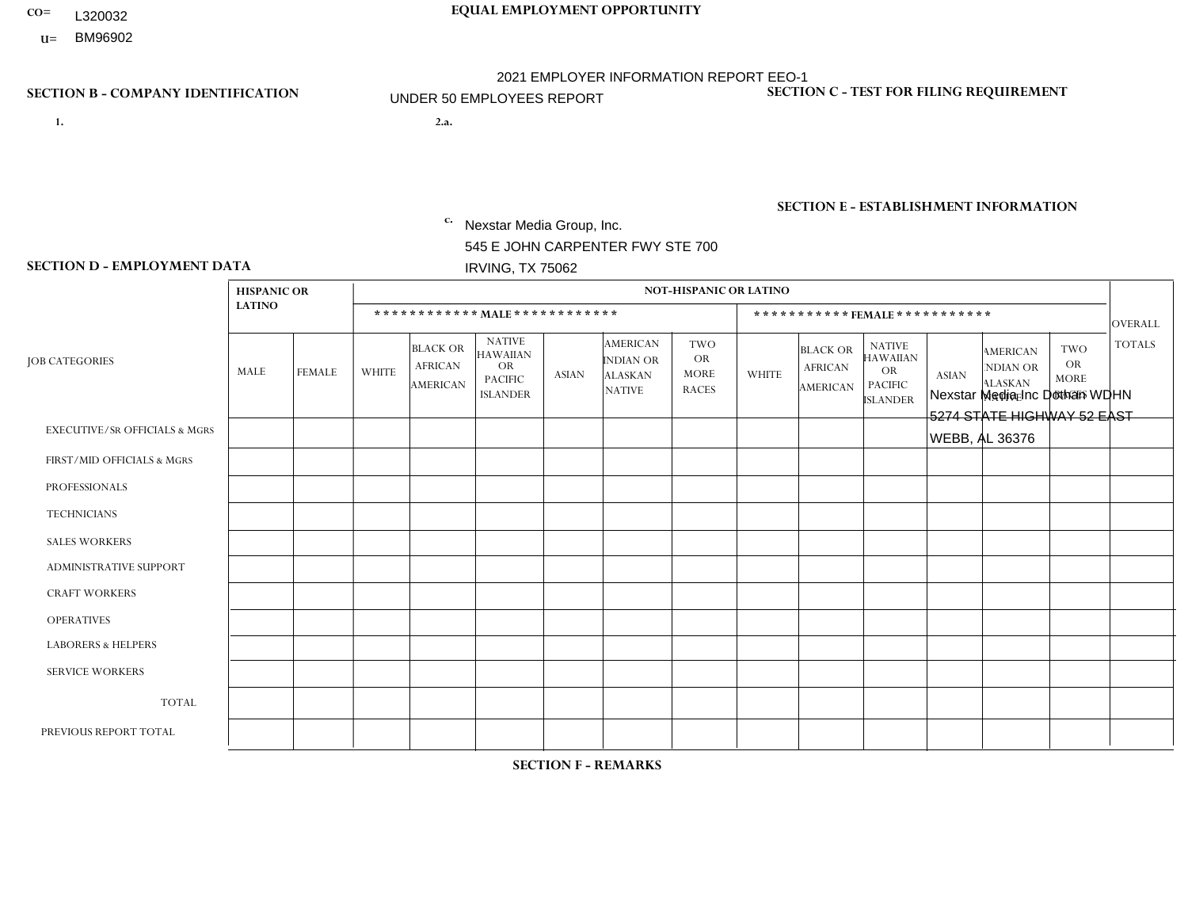- L320032
- **U=**

- **1. 2.a.** Nexstar Media Group, Inc. 545 E JOHN CARPENTER FWY STE 700 IRVING, TX 75062
- 2.a. Nexstar Media Inc Dothan WDHN 5274 STATE HIGHWAY 52 EAST WEBB, AL 36376

EIN= 233063152

# **SECTION B - COMPANY IDENTIFICATION SECTION C - TEST FOR FILING REQUIREMENT**

1- Y 2- N 3- Y DUNS= 058168001

# **SECTION E - ESTABLISHMENT INFORMATION c.** NAICS: 515120 - Television Broadcasting

### **SECTION D - EMPLOYMENT DATA**

|                                          | <b>HISPANIC OR</b> |                |                | <b>NOT-HISPANIC OR LATINO</b><br>************ MAIE************<br>***********FEMALE*********** |                                                                             |              |                                                                 |                                                        |                |                                                      |                                                                                    |              |                                                                       |                                                  |                |
|------------------------------------------|--------------------|----------------|----------------|------------------------------------------------------------------------------------------------|-----------------------------------------------------------------------------|--------------|-----------------------------------------------------------------|--------------------------------------------------------|----------------|------------------------------------------------------|------------------------------------------------------------------------------------|--------------|-----------------------------------------------------------------------|--------------------------------------------------|----------------|
|                                          | <b>LATINO</b>      |                |                |                                                                                                |                                                                             |              |                                                                 |                                                        |                |                                                      |                                                                                    |              |                                                                       |                                                  | OVERALL        |
| <b>JOB CATEGORIES</b>                    | MALE               | <b>FEMALE</b>  | <b>WHITE</b>   | <b>BLACK OR</b><br><b>AFRICAN</b><br><b>AMERICAN</b>                                           | <b>NATIVE</b><br><b>HAWAIIAN</b><br>OR<br><b>PACIFIC</b><br><b>ISLANDER</b> | <b>ASIAN</b> | <b>AMERICAN</b><br>INDIAN OR<br><b>ALASKAN</b><br><b>NATIVE</b> | <b>TWO</b><br><b>OR</b><br><b>MORE</b><br><b>RACES</b> | <b>WHITE</b>   | <b>BLACK OR</b><br><b>AFRICAN</b><br><b>AMERICAN</b> | <b>NATIVE</b><br><b>HAWAIIAN</b><br><b>OR</b><br><b>PACIFIC</b><br><b>ISLANDER</b> | <b>ASIAN</b> | <b>AMERICAN</b><br><b>NDIAN OR</b><br><b>ALASKAN</b><br><b>NATIVE</b> | <b>TWO</b><br>OR.<br><b>MORE</b><br><b>RACES</b> | <b>TOTALS</b>  |
| <b>EXECUTIVE/SR OFFICIALS &amp; MGRS</b> | $\Omega$           | $\Omega$       | 0              | $\mathbf 0$                                                                                    | 0                                                                           | 0            | $\Omega$                                                        | $\Omega$                                               | $\Omega$       | $\Omega$                                             | 0                                                                                  | $\Omega$     | $\Omega$                                                              | $\mathbf 0$                                      | $\mathbf 0$    |
| FIRST/MID OFFICIALS & MGRS               | $\Omega$           | $\mathbf 0$    | $\overline{2}$ | $\mathbf 0$                                                                                    | $\mathbf 0$                                                                 | 0            | $\mathbf{0}$                                                    | $\Omega$                                               | $\Omega$       | $\Omega$                                             | 0                                                                                  | $\Omega$     | $\Omega$                                                              | $\mathbf 0$                                      | $\overline{2}$ |
| <b>PROFESSIONALS</b>                     | $\Omega$           | $\Omega$       | 5              | $\mathbf 0$                                                                                    | $\Omega$                                                                    | $\Omega$     | $\mathbf{0}$                                                    | $\Omega$                                               | 1              | $\Omega$                                             | 0                                                                                  | $\Omega$     | $\Omega$                                                              | $\Omega$                                         | $6\phantom{1}$ |
| <b>TECHNICIANS</b>                       | $\overline{2}$     | $\mathbf 0$    | 11             | $\overline{4}$                                                                                 | $\mathbf 0$                                                                 | 0            | $\Omega$                                                        | $\Omega$                                               | $\overline{2}$ |                                                      | 0                                                                                  | $\Omega$     | $\Omega$                                                              | $\Omega$                                         | 20             |
| <b>SALES WORKERS</b>                     | $\overline{1}$     | $\mathbf 0$    | $\overline{2}$ | $\mathbf 0$                                                                                    | $\mathbf 0$                                                                 | 0            | $\Omega$                                                        | $\Omega$                                               | $\overline{2}$ | $\Omega$                                             | $\Omega$                                                                           | $\Omega$     | $\Omega$                                                              | $\Omega$                                         | 5              |
| <b>ADMINISTRATIVE SUPPORT</b>            | $\Omega$           | $\mathbf 0$    | 3              | $\mathbf 0$                                                                                    | $\mathbf 0$                                                                 | 0            | $\Omega$                                                        | $\Omega$                                               | 1              |                                                      | 0                                                                                  | $\Omega$     | $\Omega$                                                              | $\Omega$                                         | 5              |
| <b>CRAFT WORKERS</b>                     | $\Omega$           | $\Omega$       | $\Omega$       | $\mathbf 0$                                                                                    | $\Omega$                                                                    | 0            | $\Omega$                                                        | $\Omega$                                               | $\Omega$       | $\Omega$                                             | 0                                                                                  | $\Omega$     | $\Omega$                                                              | $\Omega$                                         | $\mathbf 0$    |
| <b>OPERATIVES</b>                        | $\Omega$           | $\Omega$       | 0              | $\Omega$                                                                                       | $\mathbf 0$                                                                 | 0            | $\Omega$                                                        | $\Omega$                                               | $\Omega$       | $\Omega$                                             | 0                                                                                  | $\Omega$     | $\Omega$                                                              | $\Omega$                                         | $\mathbf{0}$   |
| <b>LABORERS &amp; HELPERS</b>            | $\Omega$           | $\Omega$       | 0              | $\mathbf 0$                                                                                    | $\mathbf 0$                                                                 | 0            | $\Omega$                                                        | $\Omega$                                               | $\Omega$       | $\Omega$                                             | $\Omega$                                                                           | $\Omega$     | $\Omega$                                                              | $\Omega$                                         | $\mathbf 0$    |
| <b>SERVICE WORKERS</b>                   | $\Omega$           | $\mathbf 0$    | 0              | $\overline{1}$                                                                                 | $\mathbf 0$                                                                 | 0            | $\Omega$                                                        | $\mathbf{0}$                                           | $\Omega$       | $\Omega$                                             | 0                                                                                  | $\Omega$     | $\Omega$                                                              | $\mathbf 0$                                      | 1              |
| <b>TOTAL</b>                             | 3                  | $\mathbf 0$    | 23             | 5                                                                                              | $\mathbf 0$                                                                 | 0            | $\mathbf{0}$                                                    | $\Omega$                                               | 6              | $\overline{2}$                                       | 0                                                                                  | $\Omega$     | $\Omega$                                                              | $\Omega$                                         | 39             |
| PREVIOUS REPORT TOTAL                    | 3                  | $\overline{2}$ | 22             | 3                                                                                              | $\Omega$                                                                    | 0            | $\Omega$                                                        | $\Omega$                                               | 11             | $\overline{2}$                                       | 0                                                                                  | $\Omega$     | $\Omega$                                                              | 0                                                | 43             |